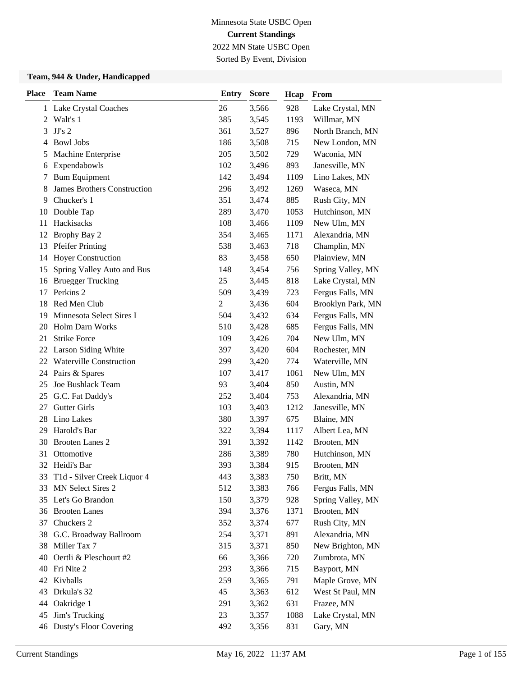Sorted By Event, Division

| <b>Place</b> | <b>Team Name</b>                   | <b>Entry</b>   | <b>Score</b> | Hcap | From              |
|--------------|------------------------------------|----------------|--------------|------|-------------------|
|              | 1 Lake Crystal Coaches             | 26             | 3,566        | 928  | Lake Crystal, MN  |
| 2            | Walt's 1                           | 385            | 3,545        | 1193 | Willmar, MN       |
| 3            | $JJ's$ 2                           | 361            | 3,527        | 896  | North Branch, MN  |
| 4            | <b>Bowl Jobs</b>                   | 186            | 3,508        | 715  | New London, MN    |
| 5            | Machine Enterprise                 | 205            | 3,502        | 729  | Waconia, MN       |
| 6            | Expendabowls                       | 102            | 3,496        | 893  | Janesville, MN    |
| 7            | <b>Bum Equipment</b>               | 142            | 3,494        | 1109 | Lino Lakes, MN    |
| 8            | <b>James Brothers Construction</b> | 296            | 3,492        | 1269 | Waseca, MN        |
| 9            | Chucker's 1                        | 351            | 3,474        | 885  | Rush City, MN     |
| 10           | Double Tap                         | 289            | 3,470        | 1053 | Hutchinson, MN    |
| 11           | Hackisacks                         | 108            | 3,466        | 1109 | New Ulm, MN       |
| 12           | Brophy Bay 2                       | 354            | 3,465        | 1171 | Alexandria, MN    |
| 13           | <b>Pfeifer Printing</b>            | 538            | 3,463        | 718  | Champlin, MN      |
| 14           | <b>Hoyer Construction</b>          | 83             | 3,458        | 650  | Plainview, MN     |
| 15           | Spring Valley Auto and Bus         | 148            | 3,454        | 756  | Spring Valley, MN |
| 16           | <b>Bruegger Trucking</b>           | 25             | 3,445        | 818  | Lake Crystal, MN  |
| 17           | Perkins <sub>2</sub>               | 509            | 3,439        | 723  | Fergus Falls, MN  |
| 18           | Red Men Club                       | $\overline{c}$ | 3,436        | 604  | Brooklyn Park, MN |
| 19           | Minnesota Select Sires I           | 504            | 3,432        | 634  | Fergus Falls, MN  |
| 20           | <b>Holm Darn Works</b>             | 510            | 3,428        | 685  | Fergus Falls, MN  |
| 21           | <b>Strike Force</b>                | 109            | 3,426        | 704  | New Ulm, MN       |
| 22           | Larson Siding White                | 397            | 3,420        | 604  | Rochester, MN     |
|              | 22 Waterville Construction         | 299            | 3,420        | 774  | Waterville, MN    |
| 24           | Pairs & Spares                     | 107            | 3,417        | 1061 | New Ulm, MN       |
| 25           | Joe Bushlack Team                  | 93             | 3,404        | 850  | Austin, MN        |
| 25           | G.C. Fat Daddy's                   | 252            | 3,404        | 753  | Alexandria, MN    |
| 27           | <b>Gutter Girls</b>                | 103            | 3,403        | 1212 | Janesville, MN    |
| 28           | Lino Lakes                         | 380            | 3,397        | 675  | Blaine, MN        |
| 29           | Harold's Bar                       | 322            | 3,394        | 1117 | Albert Lea, MN    |
| 30           | <b>Brooten Lanes 2</b>             | 391            | 3,392        | 1142 | Brooten, MN       |
| 31           | Ottomotive                         | 286            | 3,389        | 780  | Hutchinson, MN    |
|              | 32 Heidi's Bar                     | 393            | 3,384        | 915  | Brooten, MN       |
|              | 33 T1d - Silver Creek Liquor 4     | 443            | 3,383        | 750  | Britt, MN         |
|              | 33 MN Select Sires 2               | 512            | 3,383        | 766  | Fergus Falls, MN  |
|              | 35 Let's Go Brandon                | 150            | 3,379        | 928  | Spring Valley, MN |
|              | 36 Brooten Lanes                   | 394            | 3,376        | 1371 | Brooten, MN       |
| 37           | Chuckers 2                         | 352            | 3,374        | 677  | Rush City, MN     |
|              | 38 G.C. Broadway Ballroom          | 254            | 3,371        | 891  | Alexandria, MN    |
|              | 38 Miller Tax 7                    | 315            | 3,371        | 850  | New Brighton, MN  |
| 40           | Oertli & Pleschourt #2             | 66             | 3,366        | 720  | Zumbrota, MN      |
| 40           | Fri Nite 2                         | 293            | 3,366        | 715  | Bayport, MN       |
|              | 42 Kivballs                        | 259            | 3,365        | 791  | Maple Grove, MN   |
| 43           | Drkula's 32                        | 45             | 3,363        | 612  | West St Paul, MN  |
| 44           | Oakridge 1                         | 291            | 3,362        | 631  | Frazee, MN        |
| 45           | Jim's Trucking                     | 23             | 3,357        | 1088 | Lake Crystal, MN  |
|              | 46 Dusty's Floor Covering          | 492            | 3,356        | 831  | Gary, MN          |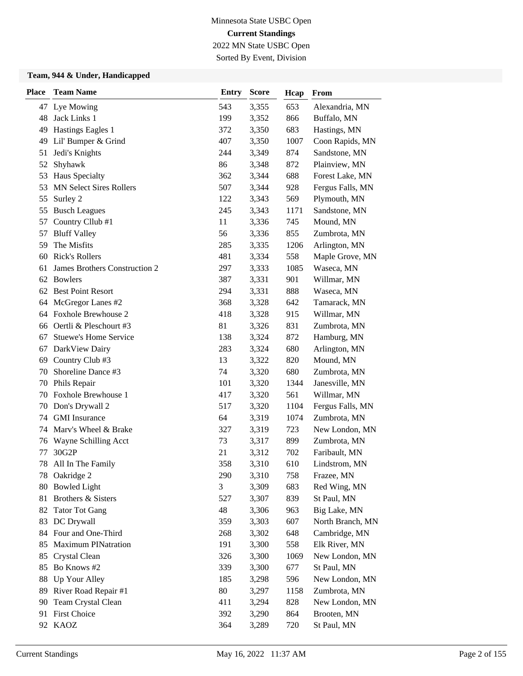2022 MN State USBC Open Sorted By Event, Division

| <b>Place</b> | <b>Team Name</b>               | <b>Entry</b> | <b>Score</b> | Hcap | From             |
|--------------|--------------------------------|--------------|--------------|------|------------------|
|              | 47 Lye Mowing                  | 543          | 3,355        | 653  | Alexandria, MN   |
| 48           | Jack Links 1                   | 199          | 3,352        | 866  | Buffalo, MN      |
| 49           | Hastings Eagles 1              | 372          | 3,350        | 683  | Hastings, MN     |
| 49           | Lil' Bumper & Grind            | 407          | 3,350        | 1007 | Coon Rapids, MN  |
| 51           | Jedi's Knights                 | 244          | 3,349        | 874  | Sandstone, MN    |
| 52           | Shyhawk                        | 86           | 3,348        | 872  | Plainview, MN    |
| 53           | Haus Specialty                 | 362          | 3,344        | 688  | Forest Lake, MN  |
| 53           | <b>MN Select Sires Rollers</b> | 507          | 3,344        | 928  | Fergus Falls, MN |
| 55           | Surley 2                       | 122          | 3,343        | 569  | Plymouth, MN     |
| 55           | <b>Busch Leagues</b>           | 245          | 3,343        | 1171 | Sandstone, MN    |
| 57           | Country Cllub #1               | 11           | 3,336        | 745  | Mound, MN        |
| 57           | <b>Bluff Valley</b>            | 56           | 3,336        | 855  | Zumbrota, MN     |
| 59           | The Misfits                    | 285          | 3,335        | 1206 | Arlington, MN    |
| 60           | <b>Rick's Rollers</b>          | 481          | 3,334        | 558  | Maple Grove, MN  |
| 61           | James Brothers Construction 2  | 297          | 3,333        | 1085 | Waseca, MN       |
| 62           | <b>Bowlers</b>                 | 387          | 3,331        | 901  | Willmar, MN      |
| 62           | <b>Best Point Resort</b>       | 294          | 3,331        | 888  | Waseca, MN       |
| 64           | McGregor Lanes #2              | 368          | 3,328        | 642  | Tamarack, MN     |
| 64           | Foxhole Brewhouse 2            | 418          | 3,328        | 915  | Willmar, MN      |
| 66           | Oertli & Pleschourt #3         | 81           | 3,326        | 831  | Zumbrota, MN     |
| 67           | <b>Stuewe's Home Service</b>   | 138          | 3,324        | 872  | Hamburg, MN      |
| 67           | DarkView Dairy                 | 283          | 3,324        | 680  | Arlington, MN    |
| 69           | Country Club #3                | 13           | 3,322        | 820  | Mound, MN        |
| 70           | Shoreline Dance #3             | 74           | 3,320        | 680  | Zumbrota, MN     |
| 70           | Phils Repair                   | 101          | 3,320        | 1344 | Janesville, MN   |
| 70           | Foxhole Brewhouse 1            | 417          | 3,320        | 561  | Willmar, MN      |
| 70           | Don's Drywall 2                | 517          | 3,320        | 1104 | Fergus Falls, MN |
| 74           | <b>GMI</b> Insurance           | 64           | 3,319        | 1074 | Zumbrota, MN     |
|              | 74 Marv's Wheel & Brake        | 327          | 3,319        | 723  | New London, MN   |
| 76           | Wayne Schilling Acct           | 73           | 3,317        | 899  | Zumbrota, MN     |
| 77           | 30G2P                          | 21           | 3,312        | 702  | Faribault, MN    |
| 78           | All In The Family              | 358          | 3,310        | 610  | Lindstrom, MN    |
|              | 78 Oakridge 2                  | 290          | 3,310        | 758  | Frazee, MN       |
| 80           | <b>Bowled Light</b>            | 3            | 3,309        | 683  | Red Wing, MN     |
| 81           | Brothers & Sisters             | 527          | 3,307        | 839  | St Paul, MN      |
| 82           | <b>Tator Tot Gang</b>          | 48           | 3,306        | 963  | Big Lake, MN     |
| 83           | DC Drywall                     | 359          | 3,303        | 607  | North Branch, MN |
| 84           | Four and One-Third             | 268          | 3,302        | 648  | Cambridge, MN    |
| 85           | <b>Maximum PINatration</b>     | 191          | 3,300        | 558  | Elk River, MN    |
| 85           | Crystal Clean                  | 326          | 3,300        | 1069 | New London, MN   |
| 85           | Bo Knows #2                    | 339          | 3,300        | 677  | St Paul, MN      |
| 88           | Up Your Alley                  | 185          | 3,298        | 596  | New London, MN   |
| 89           | River Road Repair #1           | 80           | 3,297        | 1158 | Zumbrota, MN     |
| 90           | Team Crystal Clean             | 411          | 3,294        | 828  | New London, MN   |
| 91           | <b>First Choice</b>            | 392          | 3,290        | 864  | Brooten, MN      |
|              | 92 KAOZ                        | 364          | 3,289        | 720  | St Paul, MN      |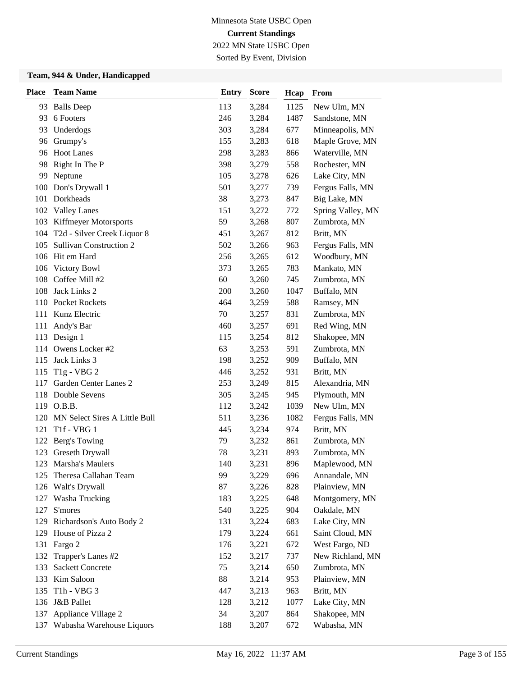2022 MN State USBC Open Sorted By Event, Division

| <b>Place</b> | <b>Team Name</b>                    | <b>Entry</b> | <b>Score</b> | Hcap | From              |
|--------------|-------------------------------------|--------------|--------------|------|-------------------|
|              | 93 Balls Deep                       | 113          | 3,284        | 1125 | New Ulm, MN       |
| 93           | 6 Footers                           | 246          | 3,284        | 1487 | Sandstone, MN     |
| 93           | Underdogs                           | 303          | 3,284        | 677  | Minneapolis, MN   |
| 96           | Grumpy's                            | 155          | 3,283        | 618  | Maple Grove, MN   |
|              | 96 Hoot Lanes                       | 298          | 3,283        | 866  | Waterville, MN    |
| 98           | Right In The P                      | 398          | 3,279        | 558  | Rochester, MN     |
| 99           | Neptune                             | 105          | 3,278        | 626  | Lake City, MN     |
| 100          | Don's Drywall 1                     | 501          | 3,277        | 739  | Fergus Falls, MN  |
| 101          | Dorkheads                           | 38           | 3,273        | 847  | Big Lake, MN      |
|              | 102 Valley Lanes                    | 151          | 3,272        | 772  | Spring Valley, MN |
|              | 103 Kiffmeyer Motorsports           | 59           | 3,268        | 807  | Zumbrota, MN      |
|              | 104 T2d - Silver Creek Liquor 8     | 451          | 3,267        | 812  | Britt, MN         |
| 105          | <b>Sullivan Construction 2</b>      | 502          | 3,266        | 963  | Fergus Falls, MN  |
| 106          | Hit em Hard                         | 256          | 3,265        | 612  | Woodbury, MN      |
| 106          | <b>Victory Bowl</b>                 | 373          | 3,265        | 783  | Mankato, MN       |
| 108          | Coffee Mill #2                      | 60           | 3,260        | 745  | Zumbrota, MN      |
| 108          | Jack Links 2                        | 200          | 3,260        | 1047 | Buffalo, MN       |
|              | 110 Pocket Rockets                  | 464          | 3,259        | 588  | Ramsey, MN        |
| 111          | Kunz Electric                       | 70           | 3,257        | 831  | Zumbrota, MN      |
| 111          | Andy's Bar                          | 460          | 3,257        | 691  | Red Wing, MN      |
|              | 113 Design 1                        | 115          | 3,254        | 812  | Shakopee, MN      |
| 114          | Owens Locker #2                     | 63           | 3,253        | 591  | Zumbrota, MN      |
| 115          | Jack Links 3                        | 198          | 3,252        | 909  | Buffalo, MN       |
|              | 115 T1g - VBG 2                     | 446          | 3,252        | 931  | Britt, MN         |
| 117          | Garden Center Lanes 2               | 253          | 3,249        | 815  | Alexandria, MN    |
| 118          | Double Sevens                       | 305          | 3,245        | 945  | Plymouth, MN      |
|              | 119 O.B.B.                          | 112          | 3,242        | 1039 | New Ulm, MN       |
| 120          | MN Select Sires A Little Bull       | 511          | 3,236        | 1082 | Fergus Falls, MN  |
| 121          | T <sub>1f</sub> - V <sub>BG</sub> 1 | 445          | 3,234        | 974  | Britt, MN         |
| 122          | Berg's Towing                       | 79           | 3,232        | 861  | Zumbrota, MN      |
| 123          | Greseth Drywall                     | 78           | 3,231        | 893  | Zumbrota, MN      |
|              | 123 Marsha's Maulers                | 140          | 3,231        | 896  | Maplewood, MN     |
|              | 125 Theresa Callahan Team           | 99           | 3,229        | 696  | Annandale, MN     |
| 126          | Walt's Drywall                      | 87           | 3,226        | 828  | Plainview, MN     |
| 127          | Washa Trucking                      | 183          | 3,225        | 648  | Montgomery, MN    |
| 127          | S'mores                             | 540          | 3,225        | 904  | Oakdale, MN       |
|              | 129 Richardson's Auto Body 2        | 131          | 3,224        | 683  | Lake City, MN     |
|              | 129 House of Pizza 2                | 179          | 3,224        | 661  | Saint Cloud, MN   |
| 131          | Fargo 2                             | 176          | 3,221        | 672  | West Fargo, ND    |
| 132          | Trapper's Lanes #2                  | 152          | 3,217        | 737  | New Richland, MN  |
| 133          | <b>Sackett Concrete</b>             | 75           | 3,214        | 650  | Zumbrota, MN      |
|              | 133 Kim Saloon                      | 88           | 3,214        | 953  | Plainview, MN     |
| 135          | T <sub>1</sub> h - VBG 3            | 447          | 3,213        | 963  | Britt, MN         |
|              | 136 J&B Pallet                      | 128          | 3,212        | 1077 | Lake City, MN     |
|              | 137 Appliance Village 2             | 34           | 3,207        | 864  | Shakopee, MN      |
|              | 137 Wabasha Warehouse Liquors       | 188          | 3,207        | 672  | Wabasha, MN       |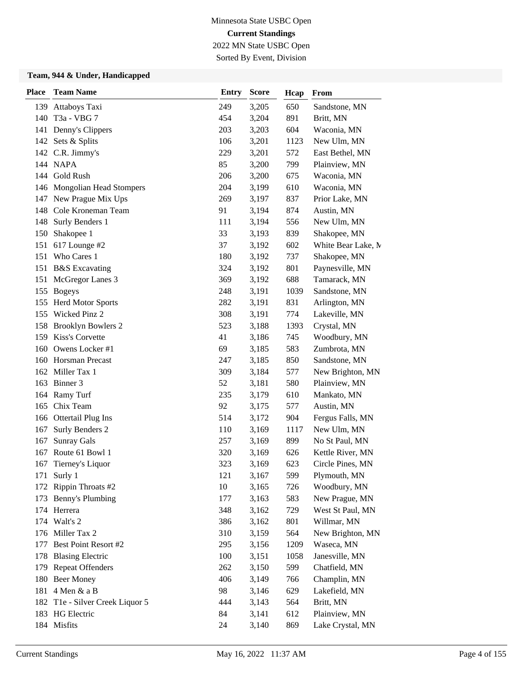2022 MN State USBC Open

### Sorted By Event, Division

| <b>Place</b> | <b>Team Name</b>                | <b>Entry</b> | <b>Score</b> | Hcap | From               |
|--------------|---------------------------------|--------------|--------------|------|--------------------|
| 139          | Attaboys Taxi                   | 249          | 3,205        | 650  | Sandstone, MN      |
| 140          | T3a - VBG 7                     | 454          | 3,204        | 891  | Britt, MN          |
| 141          | Denny's Clippers                | 203          | 3,203        | 604  | Waconia, MN        |
|              | 142 Sets & Splits               | 106          | 3,201        | 1123 | New Ulm, MN        |
|              | 142 C.R. Jimmy's                | 229          | 3,201        | 572  | East Bethel, MN    |
|              | 144 NAPA                        | 85           | 3,200        | 799  | Plainview, MN      |
| 144          | Gold Rush                       | 206          | 3,200        | 675  | Waconia, MN        |
|              | 146 Mongolian Head Stompers     | 204          | 3,199        | 610  | Waconia, MN        |
| 147          | New Prague Mix Ups              | 269          | 3,197        | 837  | Prior Lake, MN     |
| 148          | Cole Kroneman Team              | 91           | 3,194        | 874  | Austin, MN         |
| 148          | Surly Benders 1                 | 111          | 3,194        | 556  | New Ulm, MN        |
| 150          | Shakopee 1                      | 33           | 3,193        | 839  | Shakopee, MN       |
| 151          | 617 Lounge #2                   | 37           | 3,192        | 602  | White Bear Lake, M |
| 151          | Who Cares 1                     | 180          | 3,192        | 737  | Shakopee, MN       |
| 151          | <b>B&amp;S</b> Excavating       | 324          | 3,192        | 801  | Paynesville, MN    |
| 151          | McGregor Lanes 3                | 369          | 3,192        | 688  | Tamarack, MN       |
|              | 155 Bogeys                      | 248          | 3,191        | 1039 | Sandstone, MN      |
| 155          | <b>Herd Motor Sports</b>        | 282          | 3,191        | 831  | Arlington, MN      |
| 155          | Wicked Pinz 2                   | 308          | 3,191        | 774  | Lakeville, MN      |
| 158          | <b>Brooklyn Bowlers 2</b>       | 523          | 3,188        | 1393 | Crystal, MN        |
| 159          | Kiss's Corvette                 | 41           | 3,186        | 745  | Woodbury, MN       |
| 160          | Owens Locker #1                 | 69           | 3,185        | 583  | Zumbrota, MN       |
| 160          | <b>Horsman Precast</b>          | 247          | 3,185        | 850  | Sandstone, MN      |
|              | 162 Miller Tax 1                | 309          | 3,184        | 577  | New Brighton, MN   |
| 163          | Binner 3                        | 52           | 3,181        | 580  | Plainview, MN      |
| 164          | Ramy Turf                       | 235          | 3,179        | 610  | Mankato, MN        |
| 165          | Chix Team                       | 92           | 3,175        | 577  | Austin, MN         |
| 166          | Ottertail Plug Ins              | 514          | 3,172        | 904  | Fergus Falls, MN   |
| 167          | Surly Benders 2                 | 110          | 3,169        | 1117 | New Ulm, MN        |
| 167          | <b>Sunray Gals</b>              | 257          | 3,169        | 899  | No St Paul, MN     |
| 167          | Route 61 Bowl 1                 | 320          | 3,169        | 626  | Kettle River, MN   |
| 167          | Tierney's Liquor                | 323          | 3,169        | 623  | Circle Pines, MN   |
|              | 171 Surly 1                     | 121          | 3,167        | 599  | Plymouth, MN       |
|              | 172 Rippin Throats #2           | 10           | 3,165        | 726  | Woodbury, MN       |
| 173          | Benny's Plumbing                | 177          | 3,163        | 583  | New Prague, MN     |
|              | 174 Herrera                     | 348          | 3,162        | 729  | West St Paul, MN   |
|              | 174 Walt's 2                    | 386          | 3,162        | 801  | Willmar, MN        |
|              | 176 Miller Tax 2                | 310          | 3,159        | 564  | New Brighton, MN   |
| 177          | Best Point Resort #2            | 295          | 3,156        | 1209 | Waseca, MN         |
|              | 178 Blasing Electric            | 100          | 3,151        | 1058 | Janesville, MN     |
|              | 179 Repeat Offenders            | 262          | 3,150        | 599  | Chatfield, MN      |
|              | 180 Beer Money                  | 406          | 3,149        | 766  | Champlin, MN       |
| 181          | 4 Men & a B                     | 98           | 3,146        | 629  | Lakefield, MN      |
|              | 182 T1e - Silver Creek Liquor 5 | 444          | 3,143        | 564  | Britt, MN          |
|              | 183 HG Electric                 | 84           | 3,141        | 612  | Plainview, MN      |
|              | 184 Misfits                     | 24           | 3,140        | 869  | Lake Crystal, MN   |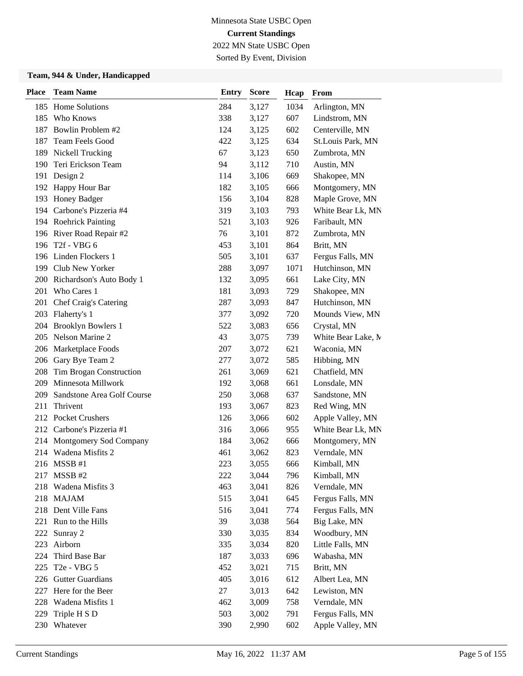2022 MN State USBC Open Sorted By Event, Division

| <b>Place</b> | <b>Team Name</b>             | <b>Entry</b> | <b>Score</b> | Hcap | From               |
|--------------|------------------------------|--------------|--------------|------|--------------------|
|              | 185 Home Solutions           | 284          | 3,127        | 1034 | Arlington, MN      |
|              | 185 Who Knows                | 338          | 3,127        | 607  | Lindstrom, MN      |
| 187          | Bowlin Problem #2            | 124          | 3,125        | 602  | Centerville, MN    |
|              | 187 Team Feels Good          | 422          | 3,125        | 634  | St.Louis Park, MN  |
|              | 189 Nickell Trucking         | 67           | 3,123        | 650  | Zumbrota, MN       |
| 190          | Teri Erickson Team           | 94           | 3,112        | 710  | Austin, MN         |
| 191          | Design 2                     | 114          | 3,106        | 669  | Shakopee, MN       |
|              | 192 Happy Hour Bar           | 182          | 3,105        | 666  | Montgomery, MN     |
|              | 193 Honey Badger             | 156          | 3,104        | 828  | Maple Grove, MN    |
|              | 194 Carbone's Pizzeria #4    | 319          | 3,103        | 793  | White Bear Lk, MN  |
|              | 194 Roehrick Painting        | 521          | 3,103        | 926  | Faribault, MN      |
|              | 196 River Road Repair #2     | 76           | 3,101        | 872  | Zumbrota, MN       |
|              | 196 T2f - VBG 6              | 453          | 3,101        | 864  | Britt, MN          |
|              | 196 Linden Flockers 1        | 505          | 3,101        | 637  | Fergus Falls, MN   |
|              | 199 Club New Yorker          | 288          | 3,097        | 1071 | Hutchinson, MN     |
|              | 200 Richardson's Auto Body 1 | 132          | 3,095        | 661  | Lake City, MN      |
|              | 201 Who Cares 1              | 181          | 3,093        | 729  | Shakopee, MN       |
| 201          | Chef Craig's Catering        | 287          | 3,093        | 847  | Hutchinson, MN     |
| 203          | Flaherty's 1                 | 377          | 3,092        | 720  | Mounds View, MN    |
| 204          | <b>Brooklyn Bowlers 1</b>    | 522          | 3,083        | 656  | Crystal, MN        |
|              | 205 Nelson Marine 2          | 43           | 3,075        | 739  | White Bear Lake, M |
|              | 206 Marketplace Foods        | 207          | 3,072        | 621  | Waconia, MN        |
| 206          | Gary Bye Team 2              | 277          | 3,072        | 585  | Hibbing, MN        |
| 208          | Tim Brogan Construction      | 261          | 3,069        | 621  | Chatfield, MN      |
| 209          | Minnesota Millwork           | 192          | 3,068        | 661  | Lonsdale, MN       |
| 209          | Sandstone Area Golf Course   | 250          | 3,068        | 637  | Sandstone, MN      |
| 211          | Thrivent                     | 193          | 3,067        | 823  | Red Wing, MN       |
|              | 212 Pocket Crushers          | 126          | 3,066        | 602  | Apple Valley, MN   |
|              | 212 Carbone's Pizzeria #1    | 316          | 3,066        | 955  | White Bear Lk, MN  |
| 214          | Montgomery Sod Company       | 184          | 3,062        | 666  | Montgomery, MN     |
| 214          | Wadena Misfits 2             | 461          | 3,062        | 823  | Verndale, MN       |
|              | 216 MSSB #1                  | 223          | 3,055        | 666  | Kimball, MN        |
| 217          | MSSB#2                       | 222          | 3,044        | 796  | Kimball, MN        |
|              | 218 Wadena Misfits 3         | 463          | 3,041        | 826  | Verndale, MN       |
|              | 218 MAJAM                    | 515          | 3,041        | 645  | Fergus Falls, MN   |
|              | 218 Dent Ville Fans          | 516          | 3,041        | 774  | Fergus Falls, MN   |
|              | 221 Run to the Hills         | 39           | 3,038        | 564  | Big Lake, MN       |
| 222          | Sunray 2                     | 330          | 3,035        | 834  | Woodbury, MN       |
| 223          | Airborn                      | 335          | 3,034        | 820  | Little Falls, MN   |
| 224          | Third Base Bar               | 187          | 3,033        | 696  | Wabasha, MN        |
| 225          | T2e - VBG 5                  | 452          | 3,021        | 715  | Britt, MN          |
|              | 226 Gutter Guardians         | 405          | 3,016        | 612  | Albert Lea, MN     |
| 227          | Here for the Beer            | 27           | 3,013        | 642  | Lewiston, MN       |
|              | 228 Wadena Misfits 1         | 462          | 3,009        | 758  | Verndale, MN       |
| 229          | Triple H S D                 | 503          | 3,002        | 791  | Fergus Falls, MN   |
|              | 230 Whatever                 | 390          | 2,990        | 602  | Apple Valley, MN   |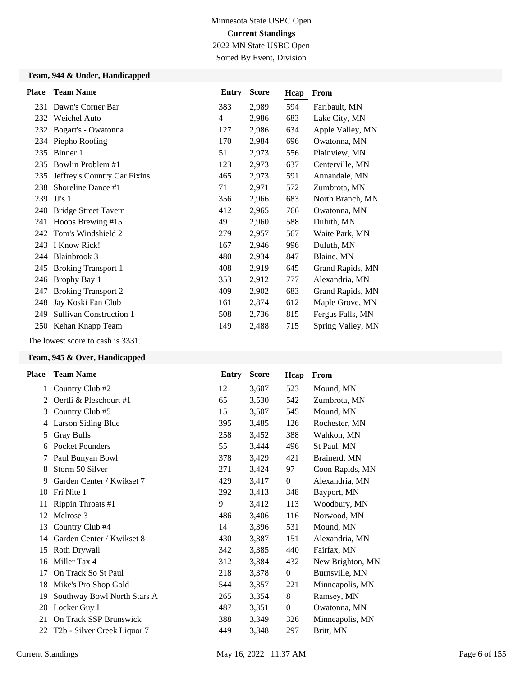Sorted By Event, Division

### **Team, 944 & Under, Handicapped**

| <b>Place</b> | <b>Team Name</b>               | Entry | <b>Score</b> | Hcap | From              |
|--------------|--------------------------------|-------|--------------|------|-------------------|
| 231          | Dawn's Corner Bar              | 383   | 2,989        | 594  | Faribault, MN     |
| 232          | Weichel Auto                   | 4     | 2,986        | 683  | Lake City, MN     |
| 232          | Bogart's - Owatonna            | 127   | 2,986        | 634  | Apple Valley, MN  |
| 234          | Piepho Roofing                 | 170   | 2,984        | 696  | Owatonna, MN      |
| 235          | Binner 1                       | 51    | 2,973        | 556  | Plainview, MN     |
| 235          | Bowlin Problem #1              | 123   | 2,973        | 637  | Centerville, MN   |
| 235          | Jeffrey's Country Car Fixins   | 465   | 2,973        | 591  | Annandale, MN     |
| 238          | Shoreline Dance #1             | 71    | 2,971        | 572  | Zumbrota, MN      |
| 239          | JJ's 1                         | 356   | 2,966        | 683  | North Branch, MN  |
| 240          | <b>Bridge Street Tavern</b>    | 412   | 2,965        | 766  | Owatonna, MN      |
| 241          | Hoops Brewing #15              | 49    | 2,960        | 588  | Duluth, MN        |
| 242          | Tom's Windshield 2             | 279   | 2,957        | 567  | Waite Park, MN    |
| 243          | I Know Rick!                   | 167   | 2,946        | 996  | Duluth, MN        |
| 244          | Blainbrook 3                   | 480   | 2,934        | 847  | Blaine, MN        |
| 245          | <b>Broking Transport 1</b>     | 408   | 2,919        | 645  | Grand Rapids, MN  |
| 246          | Brophy Bay 1                   | 353   | 2,912        | 777  | Alexandria, MN    |
| 247          | <b>Broking Transport 2</b>     | 409   | 2,902        | 683  | Grand Rapids, MN  |
| 248          | Jay Koski Fan Club             | 161   | 2,874        | 612  | Maple Grove, MN   |
| 249          | <b>Sullivan Construction 1</b> | 508   | 2,736        | 815  | Fergus Falls, MN  |
| 250          | Kehan Knapp Team               | 149   | 2,488        | 715  | Spring Valley, MN |

The lowest score to cash is 3331.

| Place        | <b>Team Name</b>            | Entry | <b>Score</b> | Hcap             | From             |
|--------------|-----------------------------|-------|--------------|------------------|------------------|
| $\mathbf{1}$ | Country Club#2              | 12    | 3,607        | 523              | Mound, MN        |
| 2            | Oertli & Pleschourt #1      | 65    | 3,530        | 542              | Zumbrota, MN     |
| 3            | Country Club #5             | 15    | 3,507        | 545              | Mound, MN        |
| 4            | Larson Siding Blue          | 395   | 3,485        | 126              | Rochester, MN    |
| 5            | <b>Gray Bulls</b>           | 258   | 3,452        | 388              | Wahkon, MN       |
| 6            | <b>Pocket Pounders</b>      | 55    | 3,444        | 496              | St Paul, MN      |
| 7            | Paul Bunyan Bowl            | 378   | 3,429        | 421              | Brainerd, MN     |
| 8            | Storm 50 Silver             | 271   | 3,424        | 97               | Coon Rapids, MN  |
| 9            | Garden Center / Kwikset 7   | 429   | 3,417        | $\boldsymbol{0}$ | Alexandria, MN   |
| 10           | Fri Nite 1                  | 292   | 3,413        | 348              | Bayport, MN      |
| 11           | Rippin Throats #1           | 9     | 3,412        | 113              | Woodbury, MN     |
| 12           | Melrose 3                   | 486   | 3,406        | 116              | Norwood, MN      |
| 13           | Country Club #4             | 14    | 3,396        | 531              | Mound, MN        |
| 14           | Garden Center / Kwikset 8   | 430   | 3,387        | 151              | Alexandria, MN   |
| 15           | Roth Drywall                | 342   | 3,385        | 440              | Fairfax, MN      |
| 16           | Miller Tax 4                | 312   | 3,384        | 432              | New Brighton, MN |
| 17           | On Track So St Paul         | 218   | 3,378        | $\boldsymbol{0}$ | Burnsville, MN   |
| 18           | Mike's Pro Shop Gold        | 544   | 3,357        | 221              | Minneapolis, MN  |
| 19           | Southway Bowl North Stars A | 265   | 3,354        | 8                | Ramsey, MN       |
| 20           | Locker Guy I                | 487   | 3,351        | $\boldsymbol{0}$ | Owatonna, MN     |
| 21           | On Track SSP Brunswick      | 388   | 3,349        | 326              | Minneapolis, MN  |
| 22           | T2b - Silver Creek Liquor 7 | 449   | 3,348        | 297              | Britt, MN        |
|              |                             |       |              |                  |                  |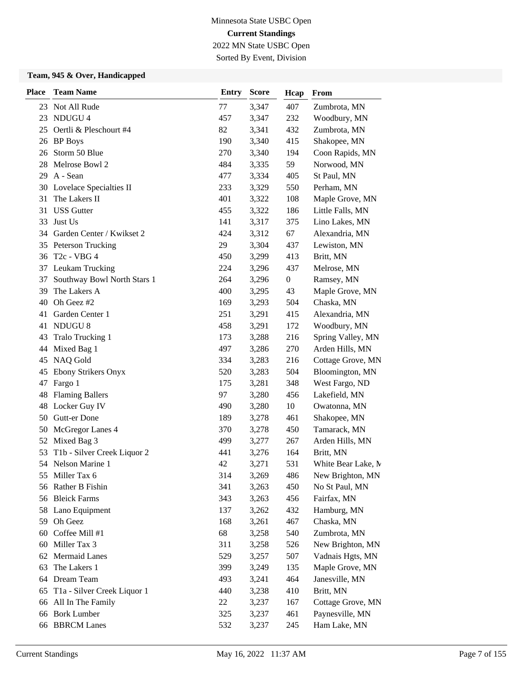2022 MN State USBC Open Sorted By Event, Division

| <b>Place</b> | <b>Team Name</b>            | <b>Entry</b> | <b>Score</b> | Hcap             | From               |
|--------------|-----------------------------|--------------|--------------|------------------|--------------------|
|              | 23 Not All Rude             | 77           | 3,347        | 407              | Zumbrota, MN       |
| 23           | NDUGU 4                     | 457          | 3,347        | 232              | Woodbury, MN       |
| 25           | Oertli & Pleschourt #4      | 82           | 3,341        | 432              | Zumbrota, MN       |
| 26           | <b>BP</b> Boys              | 190          | 3,340        | 415              | Shakopee, MN       |
| 26           | Storm 50 Blue               | 270          | 3,340        | 194              | Coon Rapids, MN    |
| 28           | Melrose Bowl 2              | 484          | 3,335        | 59               | Norwood, MN        |
| 29           | A - Sean                    | 477          | 3,334        | 405              | St Paul, MN        |
| 30           | Lovelace Specialties II     | 233          | 3,329        | 550              | Perham, MN         |
| 31           | The Lakers II               | 401          | 3,322        | 108              | Maple Grove, MN    |
| 31           | <b>USS</b> Gutter           | 455          | 3,322        | 186              | Little Falls, MN   |
| 33           | Just Us                     | 141          | 3,317        | 375              | Lino Lakes, MN     |
| 34           | Garden Center / Kwikset 2   | 424          | 3,312        | 67               | Alexandria, MN     |
| 35           | Peterson Trucking           | 29           | 3,304        | 437              | Lewiston, MN       |
| 36           | T <sub>2</sub> c - VBG 4    | 450          | 3,299        | 413              | Britt, MN          |
| 37           | Leukam Trucking             | 224          | 3,296        | 437              | Melrose, MN        |
| 37           | Southway Bowl North Stars 1 | 264          | 3,296        | $\boldsymbol{0}$ | Ramsey, MN         |
| 39           | The Lakers A                | 400          | 3,295        | 43               | Maple Grove, MN    |
| 40           | Oh Geez #2                  | 169          | 3,293        | 504              | Chaska, MN         |
| 41           | Garden Center 1             | 251          | 3,291        | 415              | Alexandria, MN     |
| 41           | <b>NDUGU 8</b>              | 458          | 3,291        | 172              | Woodbury, MN       |
| 43           | Tralo Trucking 1            | 173          | 3,288        | 216              | Spring Valley, MN  |
| 44           | Mixed Bag 1                 | 497          | 3,286        | 270              | Arden Hills, MN    |
| 45           | NAQ Gold                    | 334          | 3,283        | 216              | Cottage Grove, MN  |
| 45           | <b>Ebony Strikers Onyx</b>  | 520          | 3,283        | 504              | Bloomington, MN    |
| 47           | Fargo 1                     | 175          | 3,281        | 348              | West Fargo, ND     |
| 48           | <b>Flaming Ballers</b>      | 97           | 3,280        | 456              | Lakefield, MN      |
|              | 48 Locker Guy IV            | 490          | 3,280        | 10               | Owatonna, MN       |
| 50           | Gutt-er Done                | 189          | 3,278        | 461              | Shakopee, MN       |
| 50           | McGregor Lanes 4            | 370          | 3,278        | 450              | Tamarack, MN       |
| 52           | Mixed Bag 3                 | 499          | 3,277        | 267              | Arden Hills, MN    |
| 53           | T1b - Silver Creek Liquor 2 | 441          | 3,276        | 164              | Britt, MN          |
| 54           | Nelson Marine 1             | 42           | 3,271        | 531              | White Bear Lake, M |
| 55           | Miller Tax 6                | 314          | 3,269        | 486              | New Brighton, MN   |
|              | 56 Rather B Fishin          | 341          | 3,263        | 450              | No St Paul, MN     |
| 56           | <b>Bleick Farms</b>         | 343          | 3,263        | 456              | Fairfax, MN        |
|              | 58 Lano Equipment           | 137          | 3,262        | 432              | Hamburg, MN        |
| 59           | Oh Geez                     | 168          | 3,261        | 467              | Chaska, MN         |
| 60           | Coffee Mill #1              | 68           | 3,258        | 540              | Zumbrota, MN       |
| 60           | Miller Tax 3                | 311          | 3,258        | 526              | New Brighton, MN   |
| 62           | Mermaid Lanes               | 529          | 3,257        | 507              | Vadnais Hgts, MN   |
| 63           | The Lakers 1                | 399          | 3,249        | 135              | Maple Grove, MN    |
| 64           | Dream Team                  | 493          | 3,241        | 464              | Janesville, MN     |
| 65           | T1a - Silver Creek Liquor 1 | 440          | 3,238        | 410              | Britt, MN          |
| 66           | All In The Family           | 22           | 3,237        | 167              | Cottage Grove, MN  |
| 66           | <b>Bork Lumber</b>          | 325          | 3,237        | 461              | Paynesville, MN    |
| 66           | <b>BBRCM</b> Lanes          | 532          | 3,237        | 245              | Ham Lake, MN       |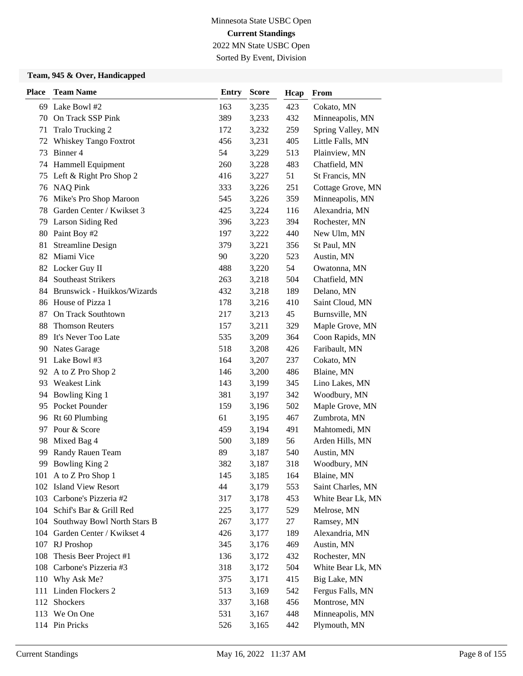Sorted By Event, Division

| <b>Place</b> | <b>Team Name</b>                | <b>Entry</b> | <b>Score</b> | Hcap | From              |
|--------------|---------------------------------|--------------|--------------|------|-------------------|
|              | 69 Lake Bowl #2                 | 163          | 3,235        | 423  | Cokato, MN        |
|              | 70 On Track SSP Pink            | 389          | 3,233        | 432  | Minneapolis, MN   |
| 71           | Tralo Trucking 2                | 172          | 3,232        | 259  | Spring Valley, MN |
| 72           | Whiskey Tango Foxtrot           | 456          | 3,231        | 405  | Little Falls, MN  |
| 73           | Binner 4                        | 54           | 3,229        | 513  | Plainview, MN     |
| 74           | Hammell Equipment               | 260          | 3,228        | 483  | Chatfield, MN     |
| 75           | Left & Right Pro Shop 2         | 416          | 3,227        | 51   | St Francis, MN    |
|              | 76 NAQ Pink                     | 333          | 3,226        | 251  | Cottage Grove, MN |
| 76           | Mike's Pro Shop Maroon          | 545          | 3,226        | 359  | Minneapolis, MN   |
| 78           | Garden Center / Kwikset 3       | 425          | 3,224        | 116  | Alexandria, MN    |
| 79           | Larson Siding Red               | 396          | 3,223        | 394  | Rochester, MN     |
| 80           | Paint Boy #2                    | 197          | 3,222        | 440  | New Ulm, MN       |
| 81           | <b>Streamline Design</b>        | 379          | 3,221        | 356  | St Paul, MN       |
| 82           | Miami Vice                      | 90           | 3,220        | 523  | Austin, MN        |
|              | 82 Locker Guy II                | 488          | 3,220        | 54   | Owatonna, MN      |
| 84           | <b>Southeast Strikers</b>       | 263          | 3,218        | 504  | Chatfield, MN     |
|              | 84 Brunswick - Huikkos/Wizards  | 432          | 3,218        | 189  | Delano, MN        |
| 86           | House of Pizza 1                | 178          | 3,216        | 410  | Saint Cloud, MN   |
| 87           | On Track Southtown              | 217          | 3,213        | 45   | Burnsville, MN    |
| 88           | <b>Thomson Reuters</b>          | 157          | 3,211        | 329  | Maple Grove, MN   |
| 89           | It's Never Too Late             | 535          | 3,209        | 364  | Coon Rapids, MN   |
| 90           | Nates Garage                    | 518          | 3,208        | 426  | Faribault, MN     |
|              | 91 Lake Bowl #3                 | 164          | 3,207        | 237  | Cokato, MN        |
| 92           | A to Z Pro Shop 2               | 146          | 3,200        | 486  | Blaine, MN        |
| 93           | Weakest Link                    | 143          | 3,199        | 345  | Lino Lakes, MN    |
| 94           | Bowling King 1                  | 381          | 3,197        | 342  | Woodbury, MN      |
| 95           | Pocket Pounder                  | 159          | 3,196        | 502  | Maple Grove, MN   |
|              | 96 Rt 60 Plumbing               | 61           | 3,195        | 467  | Zumbrota, MN      |
| 97           | Pour & Score                    | 459          | 3,194        | 491  | Mahtomedi, MN     |
| 98           | Mixed Bag 4                     | 500          | 3,189        | 56   | Arden Hills, MN   |
| 99           | Randy Rauen Team                | 89           | 3,187        | 540  | Austin, MN        |
| 99           | <b>Bowling King 2</b>           | 382          | 3,187        | 318  | Woodbury, MN      |
|              | 101 A to Z Pro Shop 1           | 145          | 3,185        | 164  | Blaine, MN        |
| 102          | <b>Island View Resort</b>       | 44           | 3,179        | 553  | Saint Charles, MN |
|              | 103 Carbone's Pizzeria #2       | 317          | 3,178        | 453  | White Bear Lk, MN |
|              | 104 Schif's Bar & Grill Red     | 225          | 3,177        | 529  | Melrose, MN       |
|              | 104 Southway Bowl North Stars B | 267          | 3,177        | 27   | Ramsey, MN        |
|              | 104 Garden Center / Kwikset 4   | 426          | 3,177        | 189  | Alexandria, MN    |
| 107          | RJ Proshop                      | 345          | 3,176        | 469  | Austin, MN        |
| 108          | Thesis Beer Project #1          | 136          | 3,172        | 432  | Rochester, MN     |
| 108          | Carbone's Pizzeria #3           | 318          | 3,172        | 504  | White Bear Lk, MN |
|              | 110 Why Ask Me?                 | 375          | 3,171        | 415  | Big Lake, MN      |
|              | 111 Linden Flockers 2           | 513          | 3,169        | 542  | Fergus Falls, MN  |
| 112          | Shockers                        | 337          | 3,168        | 456  | Montrose, MN      |
|              | 113 We On One                   | 531          | 3,167        | 448  | Minneapolis, MN   |
|              | 114 Pin Pricks                  | 526          | 3,165        | 442  | Plymouth, MN      |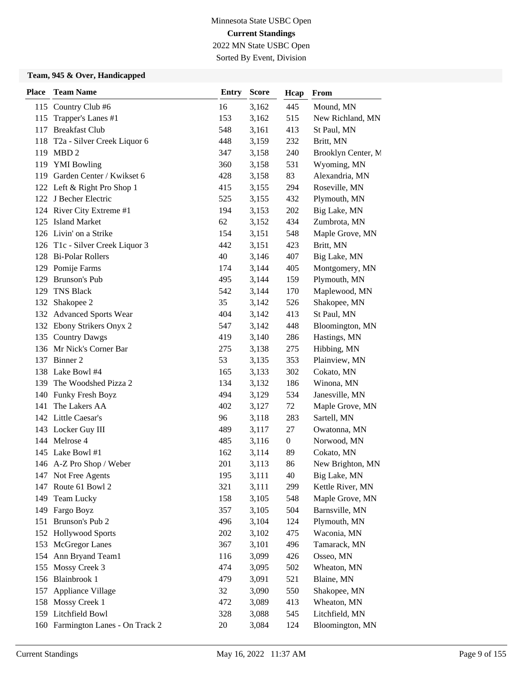2022 MN State USBC Open Sorted By Event, Division

| <b>Place</b> | <b>Team Name</b>                  | <b>Entry</b> | <b>Score</b> | Hcap             | From               |
|--------------|-----------------------------------|--------------|--------------|------------------|--------------------|
|              | 115 Country Club #6               | 16           | 3,162        | 445              | Mound, MN          |
| 115          | Trapper's Lanes #1                | 153          | 3,162        | 515              | New Richland, MN   |
| 117          | <b>Breakfast Club</b>             | 548          | 3,161        | 413              | St Paul, MN        |
|              | 118 T2a - Silver Creek Liquor 6   | 448          | 3,159        | 232              | Britt, MN          |
|              | 119 MBD 2                         | 347          | 3,158        | 240              | Brooklyn Center, M |
|              | 119 YMI Bowling                   | 360          | 3,158        | 531              | Wyoming, MN        |
|              | 119 Garden Center / Kwikset 6     | 428          | 3,158        | 83               | Alexandria, MN     |
|              | 122 Left & Right Pro Shop 1       | 415          | 3,155        | 294              | Roseville, MN      |
|              | 122 J Becher Electric             | 525          | 3,155        | 432              | Plymouth, MN       |
|              | 124 River City Extreme #1         | 194          | 3,153        | 202              | Big Lake, MN       |
| 125          | <b>Island Market</b>              | 62           | 3,152        | 434              | Zumbrota, MN       |
|              | 126 Livin' on a Strike            | 154          | 3,151        | 548              | Maple Grove, MN    |
|              | 126 T1c - Silver Creek Liquor 3   | 442          | 3,151        | 423              | Britt, MN          |
| 128          | <b>Bi-Polar Rollers</b>           | 40           | 3,146        | 407              | Big Lake, MN       |
|              | 129 Pomije Farms                  | 174          | 3,144        | 405              | Montgomery, MN     |
| 129          | Brunson's Pub                     | 495          | 3,144        | 159              | Plymouth, MN       |
| 129          | <b>TNS Black</b>                  | 542          | 3,144        | 170              | Maplewood, MN      |
| 132          | Shakopee 2                        | 35           | 3,142        | 526              | Shakopee, MN       |
|              | 132 Advanced Sports Wear          | 404          | 3,142        | 413              | St Paul, MN        |
|              | 132 Ebony Strikers Onyx 2         | 547          | 3,142        | 448              | Bloomington, MN    |
|              | 135 Country Dawgs                 | 419          | 3,140        | 286              | Hastings, MN       |
|              | 136 Mr Nick's Corner Bar          | 275          | 3,138        | 275              | Hibbing, MN        |
|              | 137 Binner 2                      | 53           | 3,135        | 353              | Plainview, MN      |
|              | 138 Lake Bowl #4                  | 165          | 3,133        | 302              | Cokato, MN         |
|              | 139 The Woodshed Pizza 2          | 134          | 3,132        | 186              | Winona, MN         |
| 140          | Funky Fresh Boyz                  | 494          | 3,129        | 534              | Janesville, MN     |
| 141          | The Lakers AA                     | 402          | 3,127        | 72               | Maple Grove, MN    |
|              | 142 Little Caesar's               | 96           | 3,118        | 283              | Sartell, MN        |
|              | 143 Locker Guy III                | 489          | 3,117        | 27               | Owatonna, MN       |
|              | 144 Melrose 4                     | 485          | 3,116        | $\boldsymbol{0}$ | Norwood, MN        |
|              | 145 Lake Bowl #1                  | 162          | 3,114        | 89               | Cokato, MN         |
|              | 146 A-Z Pro Shop / Weber          | 201          | 3,113        | 86               | New Brighton, MN   |
|              | 147 Not Free Agents               | 195          | 3,111        | 40               | Big Lake, MN       |
| 147          | Route 61 Bowl 2                   | 321          | 3,111        | 299              | Kettle River, MN   |
| 149          | Team Lucky                        | 158          | 3,105        | 548              | Maple Grove, MN    |
| 149          | Fargo Boyz                        | 357          | 3,105        | 504              | Barnsville, MN     |
| 151          | Brunson's Pub 2                   | 496          | 3,104        | 124              | Plymouth, MN       |
| 152          | <b>Hollywood Sports</b>           | 202          | 3,102        | 475              | Waconia, MN        |
| 153          | McGregor Lanes                    | 367          | 3,101        | 496              | Tamarack, MN       |
|              | 154 Ann Bryand Team1              | 116          | 3,099        | 426              | Osseo, MN          |
| 155          | Mossy Creek 3                     | 474          | 3,095        | 502              | Wheaton, MN        |
|              | 156 Blainbrook 1                  | 479          | 3,091        | 521              | Blaine, MN         |
| 157          | Appliance Village                 | 32           | 3,090        | 550              | Shakopee, MN       |
| 158          | Mossy Creek 1                     | 472          | 3,089        | 413              | Wheaton, MN        |
|              | 159 Litchfield Bowl               | 328          | 3,088        | 545              | Litchfield, MN     |
|              | 160 Farmington Lanes - On Track 2 | 20           | 3,084        | 124              | Bloomington, MN    |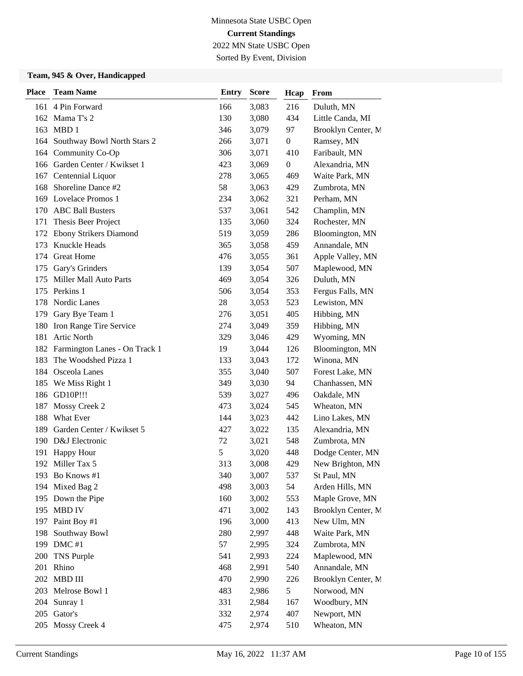Sorted By Event, Division

| <b>Place</b> | <b>Team Name</b>                | <b>Entry</b> | <b>Score</b> | Hcap             | From               |
|--------------|---------------------------------|--------------|--------------|------------------|--------------------|
|              | 161 4 Pin Forward               | 166          | 3,083        | 216              | Duluth, MN         |
| 162          | Mama T's 2                      | 130          | 3,080        | 434              | Little Canda, MI   |
| 163          | MBD1                            | 346          | 3,079        | 97               | Brooklyn Center, M |
|              | 164 Southway Bowl North Stars 2 | 266          | 3,071        | $\boldsymbol{0}$ | Ramsey, MN         |
|              | 164 Community Co-Op             | 306          | 3,071        | 410              | Faribault, MN      |
|              | 166 Garden Center / Kwikset 1   | 423          | 3,069        | $\boldsymbol{0}$ | Alexandria, MN     |
| 167          | Centennial Liquor               | 278          | 3,065        | 469              | Waite Park, MN     |
| 168          | Shoreline Dance #2              | 58           | 3,063        | 429              | Zumbrota, MN       |
|              | 169 Lovelace Promos 1           | 234          | 3,062        | 321              | Perham, MN         |
| 170          | <b>ABC Ball Busters</b>         | 537          | 3,061        | 542              | Champlin, MN       |
| 171          | Thesis Beer Project             | 135          | 3,060        | 324              | Rochester, MN      |
| 172          | Ebony Strikers Diamond          | 519          | 3,059        | 286              | Bloomington, MN    |
| 173          | Knuckle Heads                   | 365          | 3,058        | 459              | Annandale, MN      |
| 174          | <b>Great Home</b>               | 476          | 3,055        | 361              | Apple Valley, MN   |
| 175          | Gary's Grinders                 | 139          | 3,054        | 507              | Maplewood, MN      |
| 175          | Miller Mall Auto Parts          | 469          | 3,054        | 326              | Duluth, MN         |
|              | 175 Perkins 1                   | 506          | 3,054        | 353              | Fergus Falls, MN   |
| 178          | Nordic Lanes                    | 28           | 3,053        | 523              | Lewiston, MN       |
| 179          | Gary Bye Team 1                 | 276          | 3,051        | 405              | Hibbing, MN        |
| 180          | Iron Range Tire Service         | 274          | 3,049        | 359              | Hibbing, MN        |
| 181          | <b>Artic North</b>              | 329          | 3,046        | 429              | Wyoming, MN        |
| 182          | Farmington Lanes - On Track 1   | 19           | 3,044        | 126              | Bloomington, MN    |
| 183          | The Woodshed Pizza 1            | 133          | 3,043        | 172              | Winona, MN         |
|              | 184 Osceola Lanes               | 355          | 3,040        | 507              | Forest Lake, MN    |
| 185          | We Miss Right 1                 | 349          | 3,030        | 94               | Chanhassen, MN     |
|              | 186 GD10P!!!                    | 539          | 3,027        | 496              | Oakdale, MN        |
| 187          | Mossy Creek 2                   | 473          | 3,024        | 545              | Wheaton, MN        |
| 188          | What Ever                       | 144          | 3,023        | 442              | Lino Lakes, MN     |
| 189          | Garden Center / Kwikset 5       | 427          | 3,022        | 135              | Alexandria, MN     |
| 190          | D&J Electronic                  | 72           | 3,021        | 548              | Zumbrota, MN       |
| 191          | <b>Happy Hour</b>               | 5            | 3,020        | 448              | Dodge Center, MN   |
|              | 192 Miller Tax 5                | 313          | 3,008        | 429              | New Brighton, MN   |
|              | 193 Bo Knows #1                 | 340          | 3,007        | 537              | St Paul, MN        |
| 194          | Mixed Bag 2                     | 498          | 3,003        | 54               | Arden Hills, MN    |
| 195          | Down the Pipe                   | 160          | 3,002        | 553              | Maple Grove, MN    |
| 195          | <b>MBD IV</b>                   | 471          | 3,002        | 143              | Brooklyn Center, M |
|              | 197 Paint Boy #1                | 196          | 3,000        | 413              | New Ulm, MN        |
| 198          | Southway Bowl                   | 280          | 2,997        | 448              | Waite Park, MN     |
| 199          | $DMC$ #1                        | 57           | 2,995        | 324              | Zumbrota, MN       |
| 200          | TNS Purple                      | 541          | 2,993        | 224              | Maplewood, MN      |
| 201          | Rhino                           | 468          | 2,991        | 540              | Annandale, MN      |
| 202          | MBD III                         | 470          | 2,990        | 226              | Brooklyn Center, M |
| 203          | Melrose Bowl 1                  | 483          | 2,986        | 5                | Norwood, MN        |
| 204          | Sunray 1                        | 331          | 2,984        | 167              | Woodbury, MN       |
|              | 205 Gator's                     | 332          | 2,974        | 407              | Newport, MN        |
| 205          | Mossy Creek 4                   | 475          | 2,974        | 510              | Wheaton, MN        |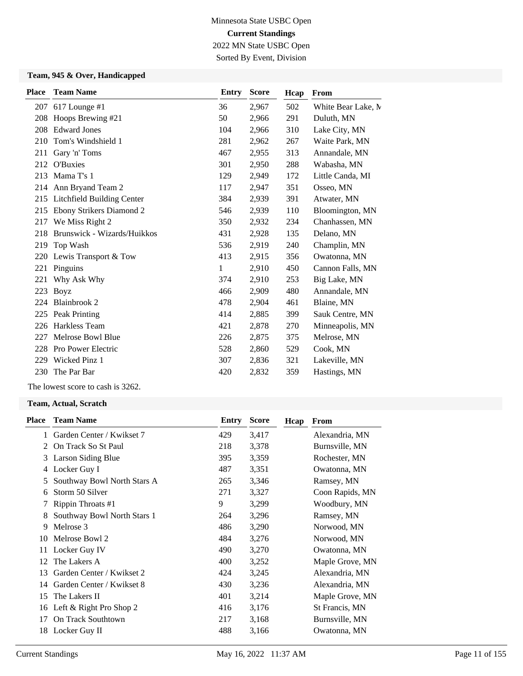Sorted By Event, Division

### **Team, 945 & Over, Handicapped**

| <b>Place</b> | <b>Team Name</b>                  | <b>Entry</b> | <b>Score</b> | Hcap | From               |
|--------------|-----------------------------------|--------------|--------------|------|--------------------|
| 207          | $617$ Lounge #1                   | 36           | 2,967        | 502  | White Bear Lake, M |
| 208          | Hoops Brewing #21                 | 50           | 2,966        | 291  | Duluth, MN         |
| 208          | <b>Edward Jones</b>               | 104          | 2,966        | 310  | Lake City, MN      |
| 210          | Tom's Windshield 1                | 281          | 2,962        | 267  | Waite Park, MN     |
| 211          | Gary 'n' Toms                     | 467          | 2,955        | 313  | Annandale, MN      |
|              | 212 O'Buxies                      | 301          | 2,950        | 288  | Wabasha, MN        |
| 213          | Mama T's 1                        | 129          | 2,949        | 172  | Little Canda, MI   |
| 214          | Ann Bryand Team 2                 | 117          | 2,947        | 351  | Osseo, MN          |
| 215          | <b>Litchfield Building Center</b> | 384          | 2,939        | 391  | Atwater, MN        |
| 215          | Ebony Strikers Diamond 2          | 546          | 2,939        | 110  | Bloomington, MN    |
| 217          | We Miss Right 2                   | 350          | 2,932        | 234  | Chanhassen, MN     |
| 218          | Brunswick - Wizards/Huikkos       | 431          | 2,928        | 135  | Delano, MN         |
| 219          | Top Wash                          | 536          | 2,919        | 240  | Champlin, MN       |
| 220          | Lewis Transport & Tow             | 413          | 2,915        | 356  | Owatonna, MN       |
| 221          | Pinguins                          | 1            | 2,910        | 450  | Cannon Falls, MN   |
| 221          | Why Ask Why                       | 374          | 2,910        | 253  | Big Lake, MN       |
| 223          | <b>Boyz</b>                       | 466          | 2,909        | 480  | Annandale, MN      |
| 224          | Blainbrook 2                      | 478          | 2,904        | 461  | Blaine, MN         |
| 225          | Peak Printing                     | 414          | 2,885        | 399  | Sauk Centre, MN    |
| 226          | Harkless Team                     | 421          | 2,878        | 270  | Minneapolis, MN    |
| 227          | Melrose Bowl Blue                 | 226          | 2,875        | 375  | Melrose, MN        |
| 228          | <b>Pro Power Electric</b>         | 528          | 2,860        | 529  | Cook, MN           |
| 229          | Wicked Pinz 1                     | 307          | 2,836        | 321  | Lakeville, MN      |
| 230          | The Par Bar                       | 420          | 2,832        | 359  | Hastings, MN       |
|              |                                   |              |              |      |                    |

The lowest score to cash is 3262.

#### **Team, Actual, Scratch**

| <b>Place</b> | <b>Team Name</b>            | Entry | <b>Score</b> | Hcap | From            |
|--------------|-----------------------------|-------|--------------|------|-----------------|
| 1            | Garden Center / Kwikset 7   | 429   | 3,417        |      | Alexandria, MN  |
| 2            | On Track So St Paul         | 218   | 3,378        |      | Burnsville, MN  |
| 3            | Larson Siding Blue          | 395   | 3,359        |      | Rochester, MN   |
| 4            | Locker Guy I                | 487   | 3,351        |      | Owatonna, MN    |
| 5            | Southway Bowl North Stars A | 265   | 3,346        |      | Ramsey, MN      |
| 6            | Storm 50 Silver             | 271   | 3,327        |      | Coon Rapids, MN |
|              | Rippin Throats #1           | 9     | 3,299        |      | Woodbury, MN    |
| 8            | Southway Bowl North Stars 1 | 264   | 3,296        |      | Ramsey, MN      |
| 9            | Melrose 3                   | 486   | 3,290        |      | Norwood, MN     |
| 10           | Melrose Bowl 2              | 484   | 3,276        |      | Norwood, MN     |
| 11           | Locker Guy IV               | 490   | 3,270        |      | Owatonna, MN    |
| 12           | The Lakers A                | 400   | 3,252        |      | Maple Grove, MN |
| 13           | Garden Center / Kwikset 2   | 424   | 3,245        |      | Alexandria, MN  |
| 14           | Garden Center / Kwikset 8   | 430   | 3,236        |      | Alexandria, MN  |
| 15           | The Lakers II               | 401   | 3,214        |      | Maple Grove, MN |
| 16           | Left & Right Pro Shop 2     | 416   | 3,176        |      | St Francis, MN  |
| 17           | On Track Southtown          | 217   | 3,168        |      | Burnsville, MN  |
| 18           | Locker Guy II               | 488   | 3,166        |      | Owatonna, MN    |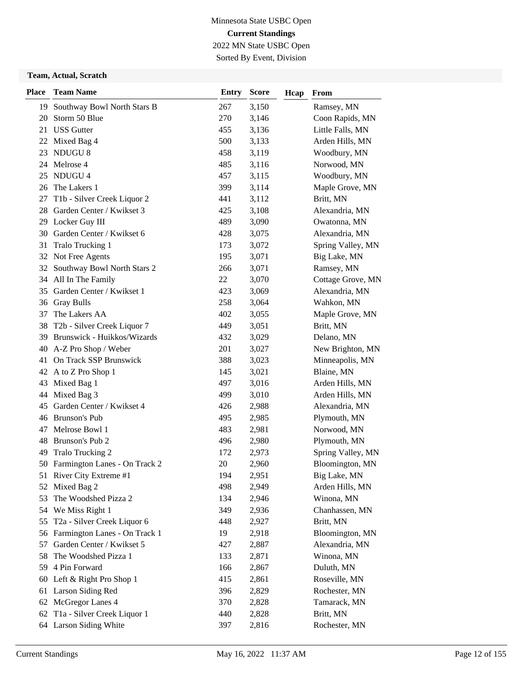Sorted By Event, Division

#### **Team, Actual, Scratch**

| <b>Place</b> | <b>Team Name</b>                 | <b>Entry</b> | <b>Score</b> | Hcap | From              |
|--------------|----------------------------------|--------------|--------------|------|-------------------|
| 19           | Southway Bowl North Stars B      | 267          | 3,150        |      | Ramsey, MN        |
| 20           | Storm 50 Blue                    | 270          | 3,146        |      | Coon Rapids, MN   |
| 21           | <b>USS Gutter</b>                | 455          | 3,136        |      | Little Falls, MN  |
|              | 22 Mixed Bag 4                   | 500          | 3,133        |      | Arden Hills, MN   |
| 23           | NDUGU 8                          | 458          | 3,119        |      | Woodbury, MN      |
|              | 24 Melrose 4                     | 485          | 3,116        |      | Norwood, MN       |
| 25           | NDUGU 4                          | 457          | 3,115        |      | Woodbury, MN      |
| 26           | The Lakers 1                     | 399          | 3,114        |      | Maple Grove, MN   |
| 27           | T1b - Silver Creek Liquor 2      | 441          | 3,112        |      | Britt, MN         |
| 28           | Garden Center / Kwikset 3        | 425          | 3,108        |      | Alexandria, MN    |
| 29           | Locker Guy III                   | 489          | 3,090        |      | Owatonna, MN      |
| 30           | Garden Center / Kwikset 6        | 428          | 3,075        |      | Alexandria, MN    |
| 31           | Tralo Trucking 1                 | 173          | 3,072        |      | Spring Valley, MN |
|              | 32 Not Free Agents               | 195          | 3,071        |      | Big Lake, MN      |
| 32           | Southway Bowl North Stars 2      | 266          | 3,071        |      | Ramsey, MN        |
|              | 34 All In The Family             | 22           | 3,070        |      | Cottage Grove, MN |
| 35           | Garden Center / Kwikset 1        | 423          | 3,069        |      | Alexandria, MN    |
| 36           | <b>Gray Bulls</b>                | 258          | 3,064        |      | Wahkon, MN        |
| 37           | The Lakers AA                    | 402          | 3,055        |      | Maple Grove, MN   |
| 38           | T2b - Silver Creek Liquor 7      | 449          | 3,051        |      | Britt, MN         |
| 39           | Brunswick - Huikkos/Wizards      | 432          | 3,029        |      | Delano, MN        |
| 40           | A-Z Pro Shop / Weber             | 201          | 3,027        |      | New Brighton, MN  |
| 41           | On Track SSP Brunswick           | 388          | 3,023        |      | Minneapolis, MN   |
|              | 42 A to Z Pro Shop 1             | 145          | 3,021        |      | Blaine, MN        |
| 43           | Mixed Bag 1                      | 497          | 3,016        |      | Arden Hills, MN   |
| 44           | Mixed Bag 3                      | 499          | 3,010        |      | Arden Hills, MN   |
| 45           | Garden Center / Kwikset 4        | 426          | 2,988        |      | Alexandria, MN    |
|              | 46 Brunson's Pub                 | 495          | 2,985        |      | Plymouth, MN      |
|              | 47 Melrose Bowl 1                | 483          | 2,981        |      | Norwood, MN       |
| 48           | Brunson's Pub 2                  | 496          | 2,980        |      | Plymouth, MN      |
| 49           | Tralo Trucking 2                 | 172          | 2,973        |      | Spring Valley, MN |
|              | 50 Farmington Lanes - On Track 2 | 20           | 2,960        |      | Bloomington, MN   |
|              | 51 River City Extreme #1         | 194          | 2,951        |      | Big Lake, MN      |
| 52           | Mixed Bag 2                      | 498          | 2,949        |      | Arden Hills, MN   |
| 53           | The Woodshed Pizza 2             | 134          | 2,946        |      | Winona, MN        |
| 54           | We Miss Right 1                  | 349          | 2,936        |      | Chanhassen, MN    |
| 55           | T2a - Silver Creek Liquor 6      | 448          | 2,927        |      | Britt, MN         |
| 56           | Farmington Lanes - On Track 1    | 19           | 2,918        |      | Bloomington, MN   |
| 57           | Garden Center / Kwikset 5        | 427          | 2,887        |      | Alexandria, MN    |
| 58           | The Woodshed Pizza 1             | 133          | 2,871        |      | Winona, MN        |
| 59           | 4 Pin Forward                    | 166          | 2,867        |      | Duluth, MN        |
| 60           | Left & Right Pro Shop 1          | 415          | 2,861        |      | Roseville, MN     |
| 61           | Larson Siding Red                | 396          | 2,829        |      | Rochester, MN     |
| 62           | McGregor Lanes 4                 | 370          | 2,828        |      | Tamarack, MN      |
| 62           | T1a - Silver Creek Liquor 1      | 440          | 2,828        |      | Britt, MN         |
|              | 64 Larson Siding White           | 397          | 2,816        |      | Rochester, MN     |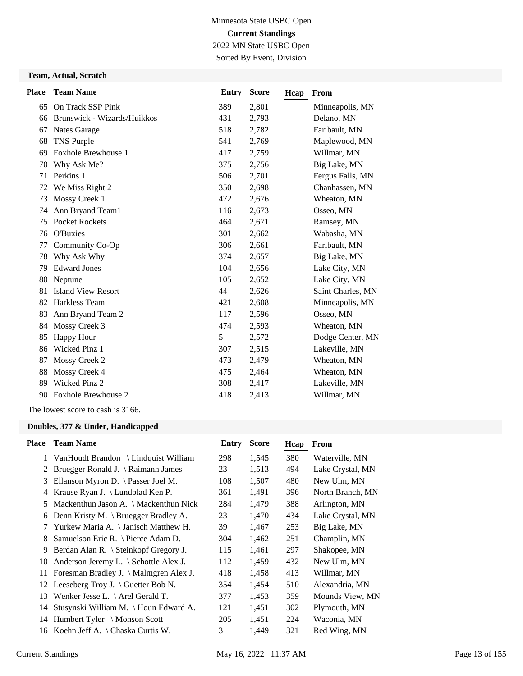Sorted By Event, Division

#### **Team, Actual, Scratch**

| <b>Place</b> | <b>Team Name</b>            | <b>Entry</b> | <b>Score</b> | Hcap | From              |
|--------------|-----------------------------|--------------|--------------|------|-------------------|
|              | 65 On Track SSP Pink        | 389          | 2,801        |      | Minneapolis, MN   |
| 66           | Brunswick - Wizards/Huikkos | 431          | 2,793        |      | Delano, MN        |
| 67           | Nates Garage                | 518          | 2,782        |      | Faribault, MN     |
| 68           | TNS Purple                  | 541          | 2,769        |      | Maplewood, MN     |
| 69           | Foxhole Brewhouse 1         | 417          | 2,759        |      | Willmar, MN       |
| 70           | Why Ask Me?                 | 375          | 2,756        |      | Big Lake, MN      |
| 71           | Perkins 1                   | 506          | 2,701        |      | Fergus Falls, MN  |
| 72           | We Miss Right 2             | 350          | 2,698        |      | Chanhassen, MN    |
| 73           | Mossy Creek 1               | 472          | 2,676        |      | Wheaton, MN       |
| 74           | Ann Bryand Team1            | 116          | 2,673        |      | Osseo, MN         |
| 75           | <b>Pocket Rockets</b>       | 464          | 2,671        |      | Ramsey, MN        |
| 76           | O'Buxies                    | 301          | 2,662        |      | Wabasha, MN       |
| 77           | Community Co-Op             | 306          | 2,661        |      | Faribault, MN     |
| 78           | Why Ask Why                 | 374          | 2,657        |      | Big Lake, MN      |
| 79           | <b>Edward Jones</b>         | 104          | 2,656        |      | Lake City, MN     |
| 80           | Neptune                     | 105          | 2,652        |      | Lake City, MN     |
| 81           | <b>Island View Resort</b>   | 44           | 2,626        |      | Saint Charles, MN |
| 82           | Harkless Team               | 421          | 2,608        |      | Minneapolis, MN   |
| 83           | Ann Bryand Team 2           | 117          | 2,596        |      | Osseo, MN         |
| 84           | Mossy Creek 3               | 474          | 2,593        |      | Wheaton, MN       |
| 85           | <b>Happy Hour</b>           | 5            | 2,572        |      | Dodge Center, MN  |
| 86           | Wicked Pinz 1               | 307          | 2,515        |      | Lakeville, MN     |
| 87           | Mossy Creek 2               | 473          | 2,479        |      | Wheaton, MN       |
| 88           | Mossy Creek 4               | 475          | 2,464        |      | Wheaton, MN       |
| 89           | Wicked Pinz 2               | 308          | 2,417        |      | Lakeville, MN     |
| 90           | <b>Foxhole Brewhouse 2</b>  | 418          | 2,413        |      | Willmar, MN       |
|              |                             |              |              |      |                   |

The lowest score to cash is 3166.

| Place | <b>Team Name</b>                                | Entry | <b>Score</b> | Hcap | From             |
|-------|-------------------------------------------------|-------|--------------|------|------------------|
|       | 1 VanHoudt Brandon \ Lindquist William          | 298   | 1,545        | 380  | Waterville, MN   |
| 2     | Bruegger Ronald J. \ Raimann James              | 23    | 1,513        | 494  | Lake Crystal, MN |
| 3     | Ellanson Myron D. \ Passer Joel M.              | 108   | 1,507        | 480  | New Ulm, MN      |
| 4     | Krause Ryan J. \ Lundblad Ken P.                | 361   | 1,491        | 396  | North Branch, MN |
| 5     | Mackenthun Jason A. \ Mackenthun Nick           | 284   | 1,479        | 388  | Arlington, MN    |
| 6     | Denn Kristy M. \ Bruegger Bradley A.            | 23    | 1,470        | 434  | Lake Crystal, MN |
|       | Yurkew Maria A. \ Janisch Matthew H.            | 39    | 1,467        | 253  | Big Lake, MN     |
| 8     | Samuelson Eric R. \ Pierce Adam D.              | 304   | 1,462        | 251  | Champlin, MN     |
| 9     | Berdan Alan R. \ Steinkopf Gregory J.           | 115   | 1,461        | 297  | Shakopee, MN     |
| 10    | Anderson Jeremy L. $\setminus$ Schottle Alex J. | 112   | 1,459        | 432  | New Ulm, MN      |
| 11    | Foresman Bradley J. \ Malmgren Alex J.          | 418   | 1,458        | 413  | Willmar, MN      |
| 12    | Leeseberg Troy J. $\langle$ Guetter Bob N.      | 354   | 1,454        | 510  | Alexandria, MN   |
| 13    | Wenker Jesse L. $\setminus$ Arel Gerald T.      | 377   | 1,453        | 359  | Mounds View, MN  |
| 14    | Stusynski William M. \ Houn Edward A.           | 121   | 1,451        | 302  | Plymouth, MN     |
| 14    | Humbert Tyler \ Monson Scott                    | 205   | 1,451        | 224  | Waconia, MN      |
| 16    | Koehn Jeff A. $\langle$ Chaska Curtis W.        | 3     | 1,449        | 321  | Red Wing, MN     |
|       |                                                 |       |              |      |                  |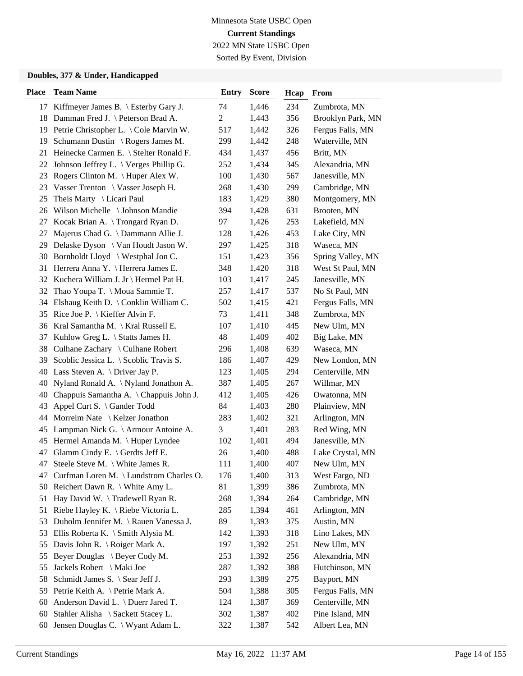Sorted By Event, Division

| <b>Place</b> | <b>Team Name</b>                                 | <b>Entry</b>   | <b>Score</b> | Hcap | From              |
|--------------|--------------------------------------------------|----------------|--------------|------|-------------------|
|              | 17 Kiffmeyer James B. \ Esterby Gary J.          | 74             | 1,446        | 234  | Zumbrota, MN      |
|              | 18 Damman Fred J. \ Peterson Brad A.             | $\overline{c}$ | 1,443        | 356  | Brooklyn Park, MN |
| 19           | Petrie Christopher L. \ Cole Marvin W.           | 517            | 1,442        | 326  | Fergus Falls, MN  |
| 19           | Schumann Dustin \ Rogers James M.                | 299            | 1,442        | 248  | Waterville, MN    |
| 21           | Heinecke Carmen E. \ Stelter Ronald F.           | 434            | 1,437        | 456  | Britt, MN         |
| 22           | Johnson Jeffrey L. $\setminus$ Verges Phillip G. | 252            | 1,434        | 345  | Alexandria, MN    |
| 23           | Rogers Clinton M. $\langle$ Huper Alex W.        | 100            | 1,430        | 567  | Janesville, MN    |
| 23           | Vasser Trenton \ Vasser Joseph H.                | 268            | 1,430        | 299  | Cambridge, MN     |
| 25           | Theis Marty \ Licari Paul                        | 183            | 1,429        | 380  | Montgomery, MN    |
| 26           | Wilson Michelle \ Johnson Mandie                 | 394            | 1,428        | 631  | Brooten, MN       |
| 27           | Kocak Brian A. \ Trongard Ryan D.                | 97             | 1,426        | 253  | Lakefield, MN     |
| 27           | Majerus Chad G. \ Dammann Allie J.               | 128            | 1,426        | 453  | Lake City, MN     |
| 29           | Delaske Dyson \ Van Houdt Jason W.               | 297            | 1,425        | 318  | Waseca, MN        |
|              | 30 Bornholdt Lloyd \ Westphal Jon C.             | 151            | 1,423        | 356  | Spring Valley, MN |
| 31           | Herrera Anna Y. \ Herrera James E.               | 348            | 1,420        | 318  | West St Paul, MN  |
|              | 32 Kuchera William J. Jr \ Hermel Pat H.         | 103            | 1,417        | 245  | Janesville, MN    |
| 32           | Thao Youpa T. \ Moua Sammie T.                   | 257            | 1,417        | 537  | No St Paul, MN    |
| 34           | Elshaug Keith D. $\setminus$ Conklin William C.  | 502            | 1,415        | 421  | Fergus Falls, MN  |
| 35           | Rice Joe P. $\setminus$ Kieffer Alvin F.         | 73             | 1,411        | 348  | Zumbrota, MN      |
|              | 36 Kral Samantha M. \ Kral Russell E.            | 107            | 1,410        | 445  | New Ulm, MN       |
| 37           | Kuhlow Greg L. \ Statts James H.                 | 48             | 1,409        | 402  | Big Lake, MN      |
| 38           | Culhane Zachary \ Culhane Robert                 | 296            | 1,408        | 639  | Waseca, MN        |
| 39           | Scoblic Jessica L. \ Scoblic Travis S.           | 186            | 1,407        | 429  | New London, MN    |
|              | 40 Lass Steven A. \ Driver Jay P.                | 123            | 1,405        | 294  | Centerville, MN   |
| 40           | Nyland Ronald A. \ Nyland Jonathon A.            | 387            | 1,405        | 267  | Willmar, MN       |
| 40           | Chappuis Samantha A. \ Chappuis John J.          | 412            | 1,405        | 426  | Owatonna, MN      |
| 43           | Appel Curt S. \ Gander Todd                      | 84             | 1,403        | 280  | Plainview, MN     |
| 44           | Morreim Nate \ Kelzer Jonathon                   | 283            | 1,402        | 321  | Arlington, MN     |
| 45           | Lampman Nick G. \ Armour Antoine A.              | 3              | 1,401        | 283  | Red Wing, MN      |
| 45           | Hermel Amanda M. \Huper Lyndee                   | 102            | 1,401        | 494  | Janesville, MN    |
| 47           | Glamm Cindy E. $\setminus$ Gerdts Jeff E.        | 26             | 1,400        | 488  | Lake Crystal, MN  |
| 47           | Steele Steve M. \ White James R.                 | 111            | 1,400        | 407  | New Ulm, MN       |
| 47           | Curfman Loren M. \ Lundstrom Charles O.          | 176            | 1,400        | 313  | West Fargo, ND    |
|              | 50 Reichert Dawn R. \ White Amy L.               | 81             | 1,399        | 386  | Zumbrota, MN      |
| 51           | Hay David W. \Tradewell Ryan R.                  | 268            | 1,394        | 264  | Cambridge, MN     |
| 51           | Riebe Hayley K. \ Riebe Victoria L.              | 285            | 1,394        | 461  | Arlington, MN     |
| 53           | Duholm Jennifer M. \Rauen Vanessa J.             | 89             | 1,393        | 375  | Austin, MN        |
| 53           | Ellis Roberta K. \ Smith Alysia M.               | 142            | 1,393        | 318  | Lino Lakes, MN    |
| 55           | Davis John R. \ Roiger Mark A.                   | 197            | 1,392        | 251  | New Ulm, MN       |
| 55           | Beyer Douglas \ Beyer Cody M.                    | 253            | 1,392        | 256  | Alexandria, MN    |
| 55           | Jackels Robert \ Maki Joe                        | 287            | 1,392        | 388  | Hutchinson, MN    |
| 58           | Schmidt James S. \ Sear Jeff J.                  | 293            | 1,389        | 275  | Bayport, MN       |
| 59           | Petrie Keith A. \ Petrie Mark A.                 | 504            | 1,388        | 305  | Fergus Falls, MN  |
| 60           | Anderson David L. \ Duerr Jared T.               | 124            | 1,387        | 369  | Centerville, MN   |
| 60           | Stahler Alisha \ Sackett Stacey L.               | 302            | 1,387        | 402  | Pine Island, MN   |
| 60           | Jensen Douglas C. \ Wyant Adam L.                | 322            | 1,387        | 542  | Albert Lea, MN    |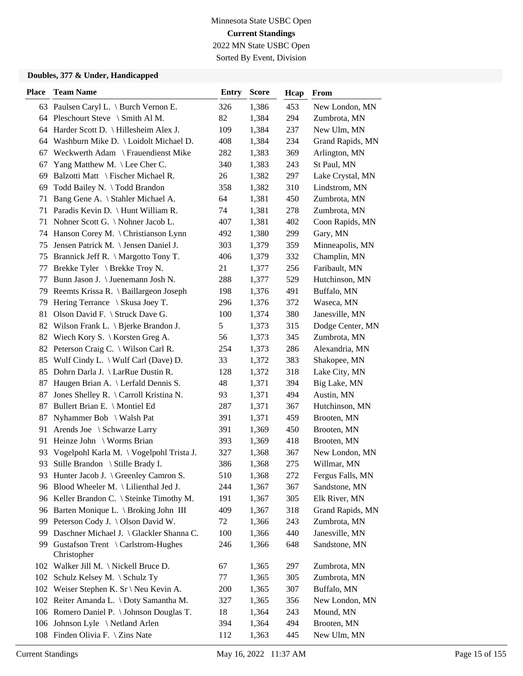Sorted By Event, Division

| <b>Place</b> | <b>Team Name</b>                                  | <b>Entry</b> | <b>Score</b> | Hcap | <b>From</b>      |
|--------------|---------------------------------------------------|--------------|--------------|------|------------------|
|              | 63 Paulsen Caryl L. \ Burch Vernon E.             | 326          | 1,386        | 453  | New London, MN   |
|              | 64 Pleschourt Steve \ Smith Al M.                 | 82           | 1,384        | 294  | Zumbrota, MN     |
|              | 64 Harder Scott D. \ Hillesheim Alex J.           | 109          | 1,384        | 237  | New Ulm, MN      |
|              | 64 Washburn Mike D. \ Loidolt Michael D.          | 408          | 1,384        | 234  | Grand Rapids, MN |
| 67           | Weckwerth Adam \ Frauendienst Mike                | 282          | 1,383        | 369  | Arlington, MN    |
| 67           | Yang Matthew M. \ Lee Cher C.                     | 340          | 1,383        | 243  | St Paul, MN      |
| 69           | Balzotti Matt \ Fischer Michael R.                | 26           | 1,382        | 297  | Lake Crystal, MN |
| 69           | Todd Bailey N. \Todd Brandon                      | 358          | 1,382        | 310  | Lindstrom, MN    |
| 71           | Bang Gene A. \ Stahler Michael A.                 | 64           | 1,381        | 450  | Zumbrota, MN     |
| 71           | Paradis Kevin D. \ Hunt William R.                | 74           | 1,381        | 278  | Zumbrota, MN     |
| 71           | Nohner Scott G. \ Nohner Jacob L.                 | 407          | 1,381        | 402  | Coon Rapids, MN  |
|              | 74 Hanson Corey M. \ Christianson Lynn            | 492          | 1,380        | 299  | Gary, MN         |
| 75           | Jensen Patrick M. \ Jensen Daniel J.              | 303          | 1,379        | 359  | Minneapolis, MN  |
|              | 75 Brannick Jeff R. \ Margotto Tony T.            | 406          | 1,379        | 332  | Champlin, MN     |
| 77           | Brekke Tyler \ Brekke Troy N.                     | 21           | 1,377        | 256  | Faribault, MN    |
| 77           | Bunn Jason J. \ Juenemann Josh N.                 | 288          | 1,377        | 529  | Hutchinson, MN   |
| 79           | Reemts Krissa R. \ Baillargeon Joseph             | 198          | 1,376        | 491  | Buffalo, MN      |
| 79           | Hering Terrance \ Skusa Joey T.                   | 296          | 1,376        | 372  | Waseca, MN       |
| 81           | Olson David F. \ Struck Dave G.                   | 100          | 1,374        | 380  | Janesville, MN   |
| 82           | Wilson Frank L. $\setminus$ Bjerke Brandon J.     | 5            | 1,373        | 315  | Dodge Center, MN |
|              | 82 Wiech Kory S. \ Korsten Greg A.                | 56           | 1,373        | 345  | Zumbrota, MN     |
| 82           | Peterson Craig C. \ Wilson Carl R.                | 254          | 1,373        | 286  | Alexandria, MN   |
| 85           | Wulf Cindy L. $\setminus$ Wulf Carl (Dave) D.     | 33           | 1,372        | 383  | Shakopee, MN     |
|              | 85 Dohrn Darla J. \ LarRue Dustin R.              | 128          | 1,372        | 318  | Lake City, MN    |
| 87           | Haugen Brian A. \ Lerfald Dennis S.               | 48           | 1,371        | 394  | Big Lake, MN     |
| 87           | Jones Shelley R. \ Carroll Kristina N.            | 93           | 1,371        | 494  | Austin, MN       |
| 87           | Bullert Brian E. \ Montiel Ed                     | 287          | 1,371        | 367  | Hutchinson, MN   |
| 87           | Nyhammer Bob \ Walsh Pat                          | 391          | 1,371        | 459  | Brooten, MN      |
| 91           | Arends Joe \ Schwarze Larry                       | 391          | 1,369        | 450  | Brooten, MN      |
| 91           | Heinze John \ Worms Brian                         | 393          | 1,369        | 418  | Brooten, MN      |
| 93           | Vogelpohl Karla M. \ Vogelpohl Trista J.          | 327          | 1,368        | 367  | New London, MN   |
| 93           | Stille Brandon \ Stille Brady I.                  | 386          | 1,368        | 275  | Willmar, MN      |
|              | 93 Hunter Jacob J. \ Greenley Camron S.           | 510          | 1,368        | 272  | Fergus Falls, MN |
|              | 96 Blood Wheeler M. \ Lilienthal Jed J.           | 244          | 1,367        | 367  | Sandstone, MN    |
|              | 96 Keller Brandon C. \ Steinke Timothy M.         | 191          | 1,367        | 305  | Elk River, MN    |
|              | 96 Barten Monique L. \ Broking John III           | 409          | 1,367        | 318  | Grand Rapids, MN |
| 99           | Peterson Cody J. \ Olson David W.                 | 72           | 1,366        | 243  | Zumbrota, MN     |
| 99           | Daschner Michael J. \ Glackler Shanna C.          | 100          | 1,366        | 440  | Janesville, MN   |
| 99           | Gustafson Trent \ Carlstrom-Hughes<br>Christopher | 246          | 1,366        | 648  | Sandstone, MN    |
|              | 102 Walker Jill M. \ Nickell Bruce D.             | 67           | 1,365        | 297  | Zumbrota, MN     |
| 102          | Schulz Kelsey M. \ Schulz Ty                      | 77           | 1,365        | 305  | Zumbrota, MN     |
|              | 102 Weiser Stephen K. Sr \ Neu Kevin A.           | 200          | 1,365        | 307  | Buffalo, MN      |
|              | 102 Reiter Amanda L. \ Doty Samantha M.           | 327          | 1,365        | 356  | New London, MN   |
|              | 106 Romero Daniel P. \ Johnson Douglas T.         | 18           | 1,364        | 243  | Mound, MN        |
|              | 106 Johnson Lyle \Netland Arlen                   | 394          | 1,364        | 494  | Brooten, MN      |
|              | 108 Finden Olivia F. \ Zins Nate                  | 112          | 1,363        | 445  | New Ulm, MN      |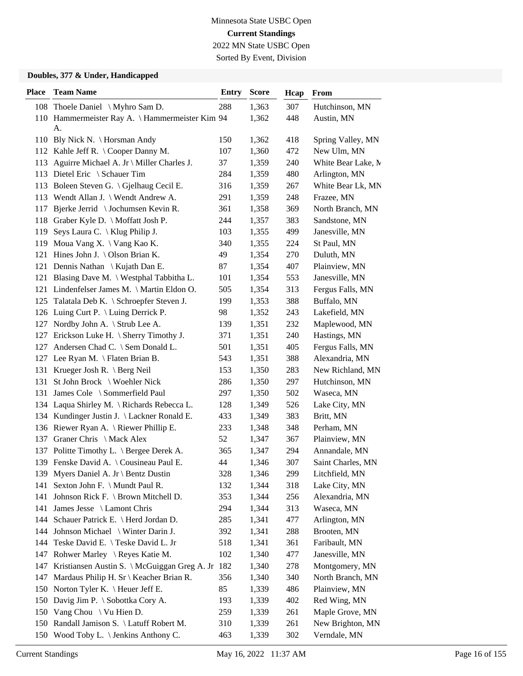Sorted By Event, Division

| <b>Place</b> | <b>Team Name</b>                                     | <b>Entry</b> | <b>Score</b> | Hcap | From               |
|--------------|------------------------------------------------------|--------------|--------------|------|--------------------|
|              | 108 Thoele Daniel \ Myhro Sam D.                     | 288          | 1,363        | 307  | Hutchinson, MN     |
|              | 110 Hammermeister Ray A. \Hammermeister Kim 94       |              | 1,362        | 448  | Austin, MN         |
|              | A.                                                   |              |              |      |                    |
|              | 110 Bly Nick N. \ Horsman Andy                       | 150          | 1,362        | 418  | Spring Valley, MN  |
|              | 112 Kahle Jeff R. \ Cooper Danny M.                  | 107          | 1,360        | 472  | New Ulm, MN        |
|              | 113 Aguirre Michael A. Jr \ Miller Charles J.        | 37           | 1,359        | 240  | White Bear Lake, M |
| 113          | Dietel Eric \ Schauer Tim                            | 284          | 1,359        | 480  | Arlington, MN      |
|              | 113 Boleen Steven G. \Gjelhaug Cecil E.              | 316          | 1,359        | 267  | White Bear Lk, MN  |
|              | 113 Wendt Allan J. \ Wendt Andrew A.                 | 291          | 1,359        | 248  | Frazee, MN         |
| 117          | Bjerke Jerrid \ Jochumsen Kevin R.                   | 361          | 1,358        | 369  | North Branch, MN   |
| 118          | Graber Kyle D. \ Moffatt Josh P.                     | 244          | 1,357        | 383  | Sandstone, MN      |
| 119          | Seys Laura C. \ Klug Philip J.                       | 103          | 1,355        | 499  | Janesville, MN     |
|              | 119 Moua Vang X. \ Vang Kao K.                       | 340          | 1,355        | 224  | St Paul, MN        |
|              | 121 Hines John J. \Olson Brian K.                    | 49           | 1,354        | 270  | Duluth, MN         |
|              | 121 Dennis Nathan \ Kujath Dan E.                    | 87           | 1,354        | 407  | Plainview, MN      |
|              | 121 Blasing Dave M. \ Westphal Tabbitha L.           | 101          | 1,354        | 553  | Janesville, MN     |
|              | 121 Lindenfelser James M. \ Martin Eldon O.          | 505          | 1,354        | 313  | Fergus Falls, MN   |
|              | 125 Talatala Deb K. \ Schroepfer Steven J.           | 199          | 1,353        | 388  | Buffalo, MN        |
|              | 126 Luing Curt P. \ Luing Derrick P.                 | 98           | 1,352        | 243  | Lakefield, MN      |
| 127          | Nordby John A. \ Strub Lee A.                        | 139          | 1,351        | 232  | Maplewood, MN      |
|              | 127 Erickson Luke H. \ Sherry Timothy J.             | 371          | 1,351        | 240  | Hastings, MN       |
| 127          | Andersen Chad C. \ Sem Donald L.                     | 501          | 1,351        | 405  | Fergus Falls, MN   |
|              | 127 Lee Ryan M. \ Flaten Brian B.                    | 543          | 1,351        | 388  | Alexandria, MN     |
| 131          | Krueger Josh R. $\operatorname{Berg}$ Neil           | 153          | 1,350        | 283  | New Richland, MN   |
|              | 131 St John Brock \ Woehler Nick                     | 286          | 1,350        | 297  | Hutchinson, MN     |
|              | 131 James Cole \ Sommerfield Paul                    | 297          | 1,350        | 502  | Waseca, MN         |
|              | 134 Laqua Shirley M. \ Richards Rebecca L.           | 128          | 1,349        | 526  | Lake City, MN      |
|              | 134 Kundinger Justin J. \ Lackner Ronald E.          | 433          | 1,349        | 383  | Britt, MN          |
|              | 136 Riewer Ryan A. \ Riewer Phillip E.               | 233          | 1,348        | 348  | Perham, MN         |
| 137          | Graner Chris \ Mack Alex                             | 52           | 1,347        | 367  | Plainview, MN      |
|              | 137 Politte Timothy L. \ Bergee Derek A.             | 365          | 1,347        | 294  | Annandale, MN      |
|              | 139 Fenske David A. \ Cousineau Paul E.              | 44           | 1,346        | 307  | Saint Charles, MN  |
|              | 139 Myers Daniel A. Jr \ Bentz Dustin                | 328          | 1,346        | 299  | Litchfield, MN     |
| 141          | Sexton John F. \ Mundt Paul R.                       | 132          | 1,344        | 318  | Lake City, MN      |
| 141          | Johnson Rick F. \ Brown Mitchell D.                  | 353          | 1,344        | 256  | Alexandria, MN     |
|              | 141 James Jesse \ Lamont Chris                       | 294          | 1,344        | 313  | Waseca, MN         |
|              | 144 Schauer Patrick E. \ Herd Jordan D.              | 285          | 1,341        | 477  | Arlington, MN      |
|              | 144 Johnson Michael \ Winter Darin J.                | 392          | 1,341        | 288  | Brooten, MN        |
|              | 144 Teske David E. \Teske David L. Jr                | 518          | 1,341        | 361  | Faribault, MN      |
| 147          | Rohwer Marley \ Reyes Katie M.                       | 102          | 1,340        | 477  | Janesville, MN     |
|              | 147 Kristiansen Austin S. \ McGuiggan Greg A. Jr 182 |              | 1,340        | 278  | Montgomery, MN     |
| 147          | Mardaus Philip H. Sr \ Keacher Brian R.              | 356          | 1,340        | 340  | North Branch, MN   |
|              | 150 Norton Tyler K. \ Heuer Jeff E.                  | 85           | 1,339        | 486  | Plainview, MN      |
|              | 150 Davig Jim P. \ Sobottka Cory A.                  | 193          | 1,339        | 402  | Red Wing, MN       |
|              | 150 Vang Chou \ Vu Hien D.                           | 259          | 1,339        | 261  | Maple Grove, MN    |
|              | 150 Randall Jamison S. \ Latuff Robert M.            | 310          | 1,339        | 261  | New Brighton, MN   |
|              | 150 Wood Toby L. \ Jenkins Anthony C.                | 463          | 1,339        | 302  | Verndale, MN       |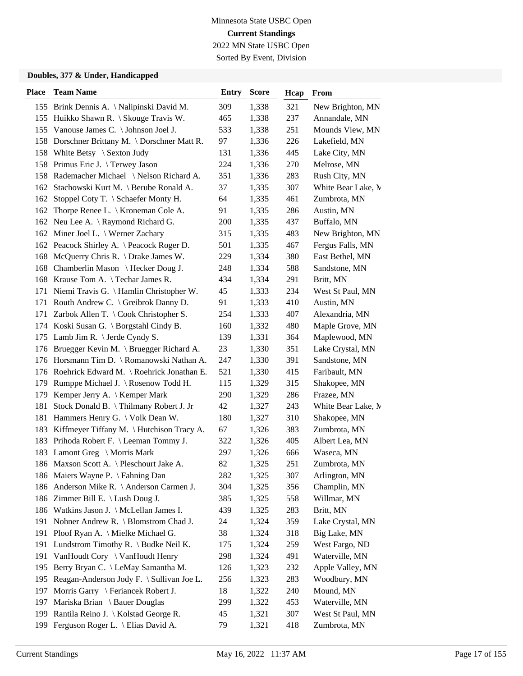Sorted By Event, Division

| <b>Place</b> | <b>Team Name</b>                              | <b>Entry</b> | <b>Score</b> | Hcap | From               |
|--------------|-----------------------------------------------|--------------|--------------|------|--------------------|
|              | 155 Brink Dennis A. \Nalipinski David M.      | 309          | 1,338        | 321  | New Brighton, MN   |
|              | 155 Huikko Shawn R. \ Skouge Travis W.        | 465          | 1,338        | 237  | Annandale, MN      |
|              | 155 Vanouse James C. \ Johnson Joel J.        | 533          | 1,338        | 251  | Mounds View, MN    |
|              | 158 Dorschner Brittany M. \Dorschner Matt R.  | 97           | 1,336        | 226  | Lakefield, MN      |
|              | 158 White Betsy \ Sexton Judy                 | 131          | 1,336        | 445  | Lake City, MN      |
|              | 158 Primus Eric J. \Terwey Jason              | 224          | 1,336        | 270  | Melrose, MN        |
|              | 158 Rademacher Michael \Nelson Richard A.     | 351          | 1,336        | 283  | Rush City, MN      |
|              | 162 Stachowski Kurt M. \ Berube Ronald A.     | 37           | 1,335        | 307  | White Bear Lake, M |
|              | 162 Stoppel Coty T. \ Schaefer Monty H.       | 64           | 1,335        | 461  | Zumbrota, MN       |
| 162          | Thorpe Renee L. $\setminus$ Kroneman Cole A.  | 91           | 1,335        | 286  | Austin, MN         |
|              | 162 Neu Lee A. \ Raymond Richard G.           | 200          | 1,335        | 437  | Buffalo, MN        |
|              | 162 Miner Joel L. \ Werner Zachary            | 315          | 1,335        | 483  | New Brighton, MN   |
|              | 162 Peacock Shirley A. \ Peacock Roger D.     | 501          | 1,335        | 467  | Fergus Falls, MN   |
|              | 168 McQuerry Chris R. \ Drake James W.        | 229          | 1,334        | 380  | East Bethel, MN    |
|              | 168 Chamberlin Mason \ Hecker Doug J.         | 248          | 1,334        | 588  | Sandstone, MN      |
|              | 168 Krause Tom A. \Techar James R.            | 434          | 1,334        | 291  | Britt, MN          |
|              | 171 Niemi Travis G. \Hamlin Christopher W.    | 45           | 1,333        | 234  | West St Paul, MN   |
|              | 171 Routh Andrew C. \ Greibrok Danny D.       | 91           | 1,333        | 410  | Austin, MN         |
| 171          | Zarbok Allen T. \ Cook Christopher S.         | 254          | 1,333        | 407  | Alexandria, MN     |
|              | 174 Koski Susan G. \ Borgstahl Cindy B.       | 160          | 1,332        | 480  | Maple Grove, MN    |
| 175          | Lamb Jim R. $\setminus$ Jerde Cyndy S.        | 139          | 1,331        | 364  | Maplewood, MN      |
|              | 176 Bruegger Kevin M. \ Bruegger Richard A.   | 23           | 1,330        | 351  | Lake Crystal, MN   |
|              | 176 Horsmann Tim D. \ Romanowski Nathan A.    | 247          | 1,330        | 391  | Sandstone, MN      |
|              | 176 Roehrick Edward M. \ Roehrick Jonathan E. | 521          | 1,330        | 415  | Faribault, MN      |
| 179          | Rumppe Michael J. \ Rosenow Todd H.           | 115          | 1,329        | 315  | Shakopee, MN       |
| 179          | Kemper Jerry A. \ Kemper Mark                 | 290          | 1,329        | 286  | Frazee, MN         |
| 181          | Stock Donald B. \Thilmany Robert J. Jr        | 42           | 1,327        | 243  | White Bear Lake, M |
|              | 181 Hammers Henry G. \ Volk Dean W.           | 180          | 1,327        | 310  | Shakopee, MN       |
| 183          | Kiffmeyer Tiffany M. \ Hutchison Tracy A.     | 67           | 1,326        | 383  | Zumbrota, MN       |
| 183          | Prihoda Robert F. \ Leeman Tommy J.           | 322          | 1,326        | 405  | Albert Lea, MN     |
|              | 183 Lamont Greg \ Morris Mark                 | 297          | 1,326        | 666  | Waseca, MN         |
|              | 186 Maxson Scott A. \ Pleschourt Jake A.      | 82           | 1,325        | 251  | Zumbrota, MN       |
|              | 186 Maiers Wayne P. \ Fahning Dan             | 282          | 1,325        | 307  | Arlington, MN      |
|              | 186 Anderson Mike R. \ Anderson Carmen J.     | 304          | 1,325        | 356  | Champlin, MN       |
|              | 186 Zimmer Bill E. \ Lush Doug J.             | 385          | 1,325        | 558  | Willmar, MN        |
|              | 186 Watkins Jason J. \ McLellan James I.      | 439          | 1,325        | 283  | Britt, MN          |
| 191          | Nohner Andrew R. \ Blomstrom Chad J.          | 24           | 1,324        | 359  | Lake Crystal, MN   |
| 191          | Ploof Ryan A. \ Mielke Michael G.             | 38           | 1,324        | 318  | Big Lake, MN       |
| 191          | Lundstrom Timothy R. $\langle$ Budke Neil K.  | 175          | 1,324        | 259  | West Fargo, ND     |
| 191          | VanHoudt Cory \ VanHoudt Henry                | 298          | 1,324        | 491  | Waterville, MN     |
| 195          | Berry Bryan C. \ LeMay Samantha M.            | 126          | 1,323        | 232  | Apple Valley, MN   |
| 195          | Reagan-Anderson Jody F. \ Sullivan Joe L.     | 256          | 1,323        | 283  | Woodbury, MN       |
| 197          | Morris Garry \ Feriancek Robert J.            | 18           | 1,322        | 240  | Mound, MN          |
| 197          | Mariska Brian \ Bauer Douglas                 | 299          | 1,322        | 453  | Waterville, MN     |
| 199          | Rantila Reino J. \ Kolstad George R.          | 45           | 1,321        | 307  | West St Paul, MN   |
| 199          | Ferguson Roger L. \ Elias David A.            | 79           | 1,321        | 418  | Zumbrota, MN       |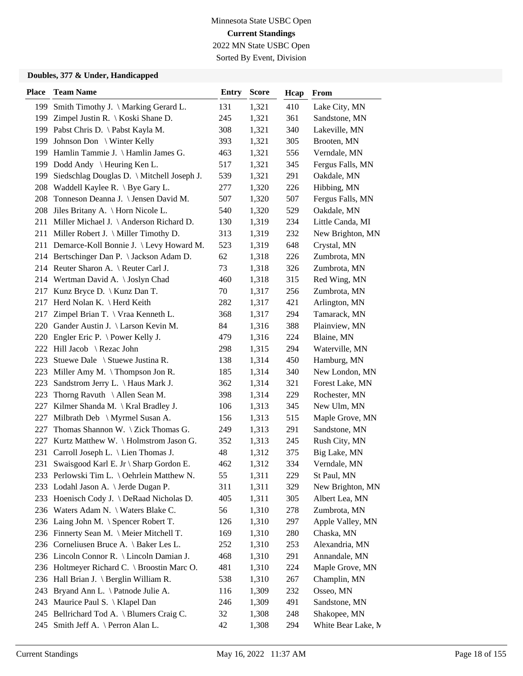Sorted By Event, Division

| <b>Place</b> | <b>Team Name</b>                             | <b>Entry</b> | <b>Score</b> | Hcap | <b>From</b>        |
|--------------|----------------------------------------------|--------------|--------------|------|--------------------|
| 199          | Smith Timothy J. \ Marking Gerard L.         | 131          | 1,321        | 410  | Lake City, MN      |
| 199          | Zimpel Justin R. $\setminus$ Koski Shane D.  | 245          | 1,321        | 361  | Sandstone, MN      |
| 199          | Pabst Chris D. \ Pabst Kayla M.              | 308          | 1,321        | 340  | Lakeville, MN      |
|              | 199 Johnson Don \ Winter Kelly               | 393          | 1,321        | 305  | Brooten, MN        |
| 199          | Hamlin Tammie J. \ Hamlin James G.           | 463          | 1,321        | 556  | Verndale, MN       |
| 199          | Dodd Andy \ Heuring Ken L.                   | 517          | 1,321        | 345  | Fergus Falls, MN   |
| 199          | Siedschlag Douglas D. \ Mitchell Joseph J.   | 539          | 1,321        | 291  | Oakdale, MN        |
|              | 208 Waddell Kaylee R. \ Bye Gary L.          | 277          | 1,320        | 226  | Hibbing, MN        |
|              | 208 Tonneson Deanna J. \ Jensen David M.     | 507          | 1,320        | 507  | Fergus Falls, MN   |
|              | 208 Jiles Britany A. \ Horn Nicole L.        | 540          | 1,320        | 529  | Oakdale, MN        |
| 211          | Miller Michael J. \ Anderson Richard D.      | 130          | 1,319        | 234  | Little Canda, MI   |
|              | 211 Miller Robert J. \ Miller Timothy D.     | 313          | 1,319        | 232  | New Brighton, MN   |
|              | 211 Demarce-Koll Bonnie J. \Levy Howard M.   | 523          | 1,319        | 648  | Crystal, MN        |
|              | 214 Bertschinger Dan P. \Jackson Adam D.     | 62           | 1,318        | 226  | Zumbrota, MN       |
|              | 214 Reuter Sharon A. \ Reuter Carl J.        | 73           | 1,318        | 326  | Zumbrota, MN       |
|              | 214 Wertman David A. \Joslyn Chad            | 460          | 1,318        | 315  | Red Wing, MN       |
|              | 217 Kunz Bryce D. \ Kunz Dan T.              | 70           | 1,317        | 256  | Zumbrota, MN       |
| 217          | Herd Nolan K. \ Herd Keith                   | 282          | 1,317        | 421  | Arlington, MN      |
| 217          | Zimpel Brian T. \ Vraa Kenneth L.            | 368          | 1,317        | 294  | Tamarack, MN       |
|              | 220 Gander Austin J. \ Larson Kevin M.       | 84           | 1,316        | 388  | Plainview, MN      |
| 220          | Engler Eric P. $\backslash$ Power Kelly J.   | 479          | 1,316        | 224  | Blaine, MN         |
| 222          | Hill Jacob \ Rezac John                      | 298          | 1,315        | 294  | Waterville, MN     |
| 223          | Stuewe Dale \ Stuewe Justina R.              | 138          | 1,314        | 450  | Hamburg, MN        |
|              | 223 Miller Amy M. \Thompson Jon R.           | 185          | 1,314        | 340  | New London, MN     |
| 223          | Sandstrom Jerry L. \ Haus Mark J.            | 362          | 1,314        | 321  | Forest Lake, MN    |
| 223          | Thorng Ravuth $\setminus$ Allen Sean M.      | 398          | 1,314        | 229  | Rochester, MN      |
| 227          | Kilmer Shanda M. \ Kral Bradley J.           | 106          | 1,313        | 345  | New Ulm, MN        |
| 227          | Milbrath Deb \ Myrmel Susan A.               | 156          | 1,313        | 515  | Maple Grove, MN    |
| 227          | Thomas Shannon W. $\setminus$ Zick Thomas G. | 249          | 1,313        | 291  | Sandstone, MN      |
| 227          | Kurtz Matthew W. \Holmstrom Jason G.         | 352          | 1,313        | 245  | Rush City, MN      |
| 231          | Carroll Joseph L. \ Lien Thomas J.           | 48           | 1,312        | 375  | Big Lake, MN       |
| 231          | Swaisgood Karl E. Jr \ Sharp Gordon E.       | 462          | 1,312        | 334  | Verndale, MN       |
|              | 233 Perlowski Tim L. \ Oehrlein Matthew N.   | 55           | 1,311        | 229  | St Paul, MN        |
|              | 233 Lodahl Jason A. \ Jerde Dugan P.         | 311          | 1,311        | 329  | New Brighton, MN   |
|              | 233 Hoenisch Cody J. \DeRaad Nicholas D.     | 405          | 1,311        | 305  | Albert Lea, MN     |
|              | 236 Waters Adam N. \ Waters Blake C.         | 56           | 1,310        | 278  | Zumbrota, MN       |
|              | 236 Laing John M. \ Spencer Robert T.        | 126          | 1,310        | 297  | Apple Valley, MN   |
|              | 236 Finnerty Sean M. \ Meier Mitchell T.     | 169          | 1,310        | 280  | Chaska, MN         |
|              | 236 Corneliusen Bruce A. \ Baker Les L.      | 252          | 1,310        | 253  | Alexandria, MN     |
|              | 236 Lincoln Connor R. \ Lincoln Damian J.    | 468          | 1,310        | 291  | Annandale, MN      |
|              | 236 Holtmeyer Richard C. \ Broostin Marc O.  | 481          | 1,310        | 224  | Maple Grove, MN    |
|              | 236 Hall Brian J. \ Berglin William R.       | 538          | 1,310        | 267  | Champlin, MN       |
| 243          | Bryand Ann L. \ Patnode Julie A.             | 116          | 1,309        | 232  | Osseo, MN          |
|              | 243 Maurice Paul S. \ Klapel Dan             | 246          | 1,309        | 491  | Sandstone, MN      |
|              | 245 Bellrichard Tod A. \ Blumers Craig C.    | 32           | 1,308        | 248  | Shakopee, MN       |
|              | 245 Smith Jeff A. \ Perron Alan L.           | 42           | 1,308        | 294  | White Bear Lake, M |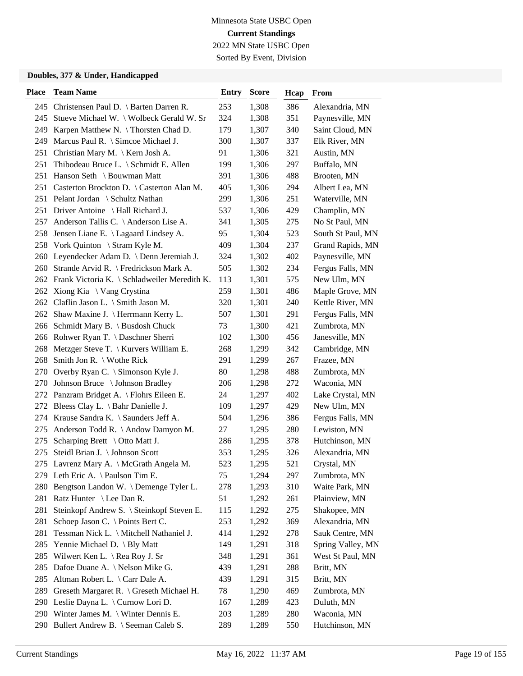Sorted By Event, Division

| <b>Place</b> | <b>Team Name</b>                                 | <b>Entry</b> | <b>Score</b> | Hcap | From              |
|--------------|--------------------------------------------------|--------------|--------------|------|-------------------|
|              | 245 Christensen Paul D. \ Barten Darren R.       | 253          | 1,308        | 386  | Alexandria, MN    |
|              | 245 Stueve Michael W. \ Wolbeck Gerald W. Sr     | 324          | 1,308        | 351  | Paynesville, MN   |
|              | 249 Karpen Matthew N. \Thorsten Chad D.          | 179          | 1,307        | 340  | Saint Cloud, MN   |
| 249          | Marcus Paul R. $\Im$ Simcoe Michael J.           | 300          | 1,307        | 337  | Elk River, MN     |
| 251          | Christian Mary M. \ Kern Josh A.                 | 91           | 1,306        | 321  | Austin, MN        |
| 251          | Thibodeau Bruce L. \ Schmidt E. Allen            | 199          | 1,306        | 297  | Buffalo, MN       |
| 251          | Hanson Seth \ Bouwman Matt                       | 391          | 1,306        | 488  | Brooten, MN       |
|              | 251 Casterton Brockton D. \ Casterton Alan M.    | 405          | 1,306        | 294  | Albert Lea, MN    |
|              | 251 Pelant Jordan \ Schultz Nathan               | 299          | 1,306        | 251  | Waterville, MN    |
|              | 251 Driver Antoine \ Hall Richard J.             | 537          | 1,306        | 429  | Champlin, MN      |
| 257          | Anderson Tallis C. \Anderson Lise A.             | 341          | 1,305        | 275  | No St Paul, MN    |
| 258          | Jensen Liane E. \ Lagaard Lindsey A.             | 95           | 1,304        | 523  | South St Paul, MN |
| 258          | Vork Quinton \ Stram Kyle M.                     | 409          | 1,304        | 237  | Grand Rapids, MN  |
|              | 260 Leyendecker Adam D. \ Denn Jeremiah J.       | 324          | 1,302        | 402  | Paynesville, MN   |
|              | 260 Strande Arvid R. \ Fredrickson Mark A.       | 505          | 1,302        | 234  | Fergus Falls, MN  |
|              | 262 Frank Victoria K. \ Schladweiler Meredith K. | 113          | 1,301        | 575  | New Ulm, MN       |
|              | 262 Xiong Kia \ Vang Crystina                    | 259          | 1,301        | 486  | Maple Grove, MN   |
| 262          | Claflin Jason L. $\Im$ Smith Jason M.            | 320          | 1,301        | 240  | Kettle River, MN  |
|              | 262 Shaw Maxine J. \ Herrmann Kerry L.           | 507          | 1,301        | 291  | Fergus Falls, MN  |
|              | 266 Schmidt Mary B. \ Busdosh Chuck              | 73           | 1,300        | 421  | Zumbrota, MN      |
|              | 266 Rohwer Ryan T. \ Daschner Sherri             | 102          | 1,300        | 456  | Janesville, MN    |
| 268          | Metzger Steve T. $\setminus$ Kurvers William E.  | 268          | 1,299        | 342  | Cambridge, MN     |
| 268          | Smith Jon R. $\setminus$ Wothe Rick              | 291          | 1,299        | 267  | Frazee, MN        |
|              | 270 Overby Ryan C. \ Simonson Kyle J.            | 80           | 1,298        | 488  | Zumbrota, MN      |
|              | 270 Johnson Bruce \ Johnson Bradley              | 206          | 1,298        | 272  | Waconia, MN       |
|              | 272 Panzram Bridget A. \ Flohrs Eileen E.        | 24           | 1,297        | 402  | Lake Crystal, MN  |
|              | 272 Bleess Clay L. \ Bahr Danielle J.            | 109          | 1,297        | 429  | New Ulm, MN       |
|              | 274 Krause Sandra K. \ Saunders Jeff A.          | 504          | 1,296        | 386  | Fergus Falls, MN  |
| 275          | Anderson Todd R. \ Andow Damyon M.               | 27           | 1,295        | 280  | Lewiston, MN      |
| 275          | Scharping Brett $\setminus$ Otto Matt J.         | 286          | 1,295        | 378  | Hutchinson, MN    |
| 275          | Steidl Brian J. \ Johnson Scott                  | 353          | 1,295        | 326  | Alexandria, MN    |
|              | 275 Lavrenz Mary A. \ McGrath Angela M.          | 523          | 1,295        | 521  | Crystal, MN       |
|              | 279 Leth Eric A. \Paulson Tim E.                 | 75           | 1,294        | 297  | Zumbrota, MN      |
| 280          | Bengtson Landon W. \Demenge Tyler L.             | 278          | 1,293        | 310  | Waite Park, MN    |
| 281          | Ratz Hunter \ Lee Dan R.                         | 51           | 1,292        | 261  | Plainview, MN     |
| 281          | Steinkopf Andrew S. \ Steinkopf Steven E.        | 115          | 1,292        | 275  | Shakopee, MN      |
| 281          | Schoep Jason C. \ Points Bert C.                 | 253          | 1,292        | 369  | Alexandria, MN    |
| 281          | Tessman Nick L. \ Mitchell Nathaniel J.          | 414          | 1,292        | 278  | Sauk Centre, MN   |
| 285          | Yennie Michael D. \ Bly Matt                     | 149          | 1,291        | 318  | Spring Valley, MN |
| 285          | Wilwert Ken L. \ Rea Roy J. Sr                   | 348          | 1,291        | 361  | West St Paul, MN  |
| 285          | Dafoe Duane A. \ Nelson Mike G.                  | 439          | 1,291        | 288  | Britt, MN         |
| 285          | Altman Robert L. \ Carr Dale A.                  | 439          | 1,291        | 315  | Britt, MN         |
| 289          | Greseth Margaret R. \ Greseth Michael H.         | 78           | 1,290        | 469  | Zumbrota, MN      |
|              | 290 Leslie Dayna L. \ Curnow Lori D.             | 167          | 1,289        | 423  | Duluth, MN        |
|              | 290 Winter James M. \ Winter Dennis E.           | 203          | 1,289        | 280  | Waconia, MN       |
| 290          | Bullert Andrew B. \ Seeman Caleb S.              | 289          | 1,289        | 550  | Hutchinson, MN    |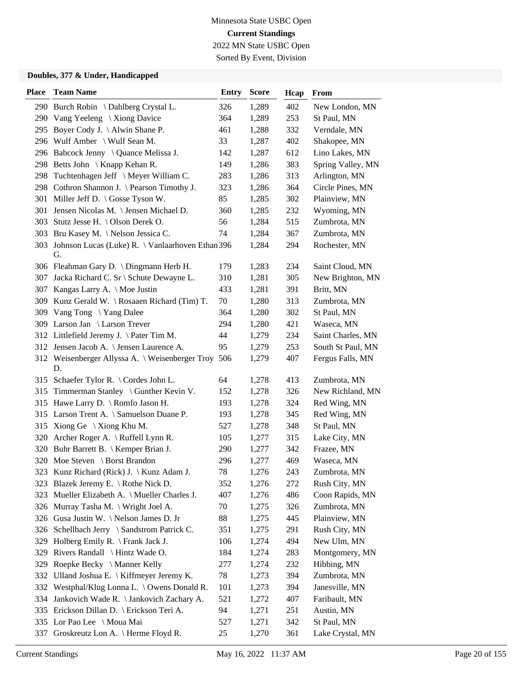Sorted By Event, Division

| <b>Place</b> | <b>Team Name</b>                                           | <b>Entry</b> | <b>Score</b> | Hcap | From              |
|--------------|------------------------------------------------------------|--------------|--------------|------|-------------------|
|              | 290 Burch Robin \ Dahlberg Crystal L.                      | 326          | 1,289        | 402  | New London, MN    |
|              | 290 Vang Yeeleng \Xiong Davice                             | 364          | 1,289        | 253  | St Paul, MN       |
|              | 295 Boyer Cody J. \ Alwin Shane P.                         | 461          | 1,288        | 332  | Verndale, MN      |
|              | 296 Wulf Amber \ Wulf Sean M.                              | 33           | 1,287        | 402  | Shakopee, MN      |
|              | 296 Babcock Jenny \ Quance Melissa J.                      | 142          | 1,287        | 612  | Lino Lakes, MN    |
|              | 298 Betts John \ Knapp Kehan R.                            | 149          | 1,286        | 383  | Spring Valley, MN |
| 298          | Tuchtenhagen Jeff \ Meyer William C.                       | 283          | 1,286        | 313  | Arlington, MN     |
|              | 298 Cothron Shannon J. \ Pearson Timothy J.                | 323          | 1,286        | 364  | Circle Pines, MN  |
|              | 301 Miller Jeff D. \ Gosse Tyson W.                        | 85           | 1,285        | 302  | Plainview, MN     |
| 301          | Jensen Nicolas M. \ Jensen Michael D.                      | 360          | 1,285        | 232  | Wyoming, MN       |
|              | 303 Stutz Jesse H. \Olson Derek O.                         | 56           | 1,284        | 515  | Zumbrota, MN      |
|              | 303 Bru Kasey M. \ Nelson Jessica C.                       | 74           | 1,284        | 367  | Zumbrota, MN      |
|              | 303 Johnson Lucas (Luke) R. \ Vanlaarhoven Ethan 396<br>G. |              | 1,284        | 294  | Rochester, MN     |
|              | 306 Fleahman Gary D. \ Dingmann Herb H.                    | 179          | 1,283        | 234  | Saint Cloud, MN   |
|              | 307 Jacka Richard C. Sr \ Schute Dewayne L.                | 310          | 1,281        | 305  | New Brighton, MN  |
|              | 307 Kangas Larry A. \ Moe Justin                           | 433          | 1,281        | 391  | Britt, MN         |
|              | 309 Kunz Gerald W. \ Rosaaen Richard (Tim) T.              | 70           | 1,280        | 313  | Zumbrota, MN      |
|              | 309 Vang Tong \Yang Dalee                                  | 364          | 1,280        | 302  | St Paul, MN       |
|              | 309 Larson Jan \ Larson Trever                             | 294          | 1,280        | 421  | Waseca, MN        |
|              | 312 Littlefield Jeremy J. \Pater Tim M.                    | 44           | 1,279        | 234  | Saint Charles, MN |
|              | 312 Jensen Jacob A. \ Jensen Laurence A.                   | 95           | 1,279        | 253  | South St Paul, MN |
|              | 312 Weisenberger Allyssa A. \ Weisenberger Troy 506<br>D.  |              | 1,279        | 407  | Fergus Falls, MN  |
|              | 315 Schaefer Tylor R. \ Cordes John L.                     | 64           | 1,278        | 413  | Zumbrota, MN      |
|              | 315 Timmerman Stanley \ Gunther Kevin V.                   | 152          | 1,278        | 326  | New Richland, MN  |
|              | 315 Hawe Larry D. \ Romfo Jason H.                         | 193          | 1,278        | 324  | Red Wing, MN      |
|              | 315 Larson Trent A. \ Samuelson Duane P.                   | 193          | 1,278        | 345  | Red Wing, MN      |
|              | 315 Xiong Ge $\setminus$ Xiong Khu M.                      | 527          | 1,278        | 348  | St Paul, MN       |
|              | 320 Archer Roger A. \ Ruffell Lynn R.                      | 105          | 1,277        | 315  | Lake City, MN     |
|              | 320 Buhr Barrett B. \ Kemper Brian J.                      | 290          | 1,277        | 342  | Frazee, MN        |
|              | 320 Moe Steven \ Borst Brandon                             | 296          | 1,277        | 469  | Waseca, MN        |
|              | 323 Kunz Richard (Rick) J. \ Kunz Adam J.                  | 78           | 1,276        | 243  | Zumbrota, MN      |
|              | 323 Blazek Jeremy E. \ Rothe Nick D.                       | 352          | 1,276        | 272  | Rush City, MN     |
|              | 323 Mueller Elizabeth A. \ Mueller Charles J.              | 407          | 1,276        | 486  | Coon Rapids, MN   |
| 326          | Murray Tasha M. \ Wright Joel A.                           | 70           | 1,275        | 326  | Zumbrota, MN      |
| 326          | Gusa Justin W. \Nelson James D. Jr                         | 88           | 1,275        | 445  | Plainview, MN     |
|              | 326 Schellbach Jerry \ Sandstrom Patrick C.                | 351          | 1,275        | 291  | Rush City, MN     |
| 329          | Holberg Emily R. $\Gamma$ Frank Jack J.                    | 106          | 1,274        | 494  | New Ulm, MN       |
| 329          | Rivers Randall \ Hintz Wade O.                             | 184          | 1,274        | 283  | Montgomery, MN    |
| 329          | Roepke Becky \ Manner Kelly                                | 277          | 1,274        | 232  | Hibbing, MN       |
|              | 332 Ulland Joshua E. \ Kiffmeyer Jeremy K.                 | 78           | 1,273        | 394  | Zumbrota, MN      |
|              | 332 Westphal/Klug Lonna L. \ Owens Donald R.               | 101          | 1,273        | 394  | Janesville, MN    |
| 334          | Jankovich Wade R. \ Jankovich Zachary A.                   | 521          | 1,272        | 407  | Faribault, MN     |
|              | 335 Erickson Dillan D. \ Erickson Teri A.                  | 94           | 1,271        | 251  | Austin, MN        |
|              | 335 Lor Pao Lee \ Moua Mai                                 | 527          | 1,271        | 342  | St Paul, MN       |
| 337          | Groskreutz Lon A. \ Herme Floyd R.                         | 25           | 1,270        | 361  | Lake Crystal, MN  |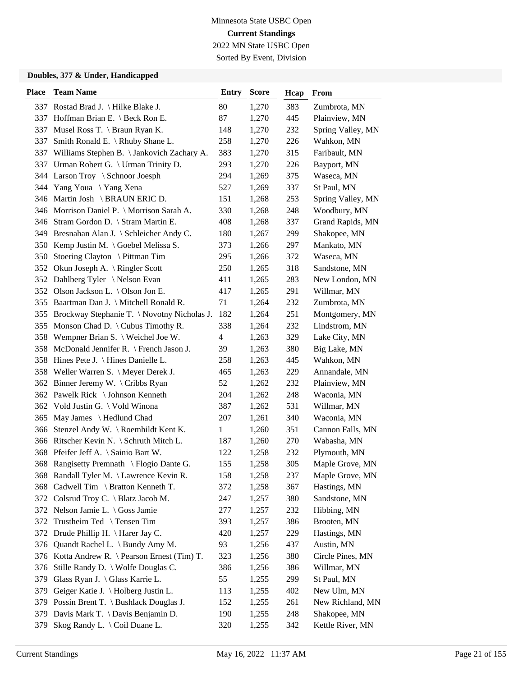Sorted By Event, Division

| <b>Place</b> | <b>Team Name</b>                               | <b>Entry</b>             | <b>Score</b> | Hcap | From              |
|--------------|------------------------------------------------|--------------------------|--------------|------|-------------------|
|              | 337 Rostad Brad J. \ Hilke Blake J.            | 80                       | 1,270        | 383  | Zumbrota, MN      |
|              | 337 Hoffman Brian E. \ Beck Ron E.             | 87                       | 1,270        | 445  | Plainview, MN     |
| 337          | Musel Ross T. \ Braun Ryan K.                  | 148                      | 1,270        | 232  | Spring Valley, MN |
| 337          | Smith Ronald E. \ Rhuby Shane L.               | 258                      | 1,270        | 226  | Wahkon, MN        |
|              | 337 Williams Stephen B. \ Jankovich Zachary A. | 383                      | 1,270        | 315  | Faribault, MN     |
|              | 337 Urman Robert G. \ Urman Trinity D.         | 293                      | 1,270        | 226  | Bayport, MN       |
|              | 344 Larson Troy \ Schnoor Joesph               | 294                      | 1,269        | 375  | Waseca, MN        |
|              | 344 Yang Youa \Yang Xena                       | 527                      | 1,269        | 337  | St Paul, MN       |
|              | 346 Martin Josh \ BRAUN ERIC D.                | 151                      | 1,268        | 253  | Spring Valley, MN |
|              | 346 Morrison Daniel P. \ Morrison Sarah A.     | 330                      | 1,268        | 248  | Woodbury, MN      |
|              | 346 Stram Gordon D. \ Stram Martin E.          | 408                      | 1,268        | 337  | Grand Rapids, MN  |
|              | 349 Bresnahan Alan J. \ Schleicher Andy C.     | 180                      | 1,267        | 299  | Shakopee, MN      |
|              | 350 Kemp Justin M. \ Goebel Melissa S.         | 373                      | 1,266        | 297  | Mankato, MN       |
|              | 350 Stoering Clayton \ Pittman Tim             | 295                      | 1,266        | 372  | Waseca, MN        |
|              | 352 Okun Joseph A. \ Ringler Scott             | 250                      | 1,265        | 318  | Sandstone, MN     |
|              | 352 Dahlberg Tyler \Nelson Evan                | 411                      | 1,265        | 283  | New London, MN    |
|              | 352 Olson Jackson L. \ Olson Jon E.            | 417                      | 1,265        | 291  | Willmar, MN       |
|              | 355 Baartman Dan J. \ Mitchell Ronald R.       | 71                       | 1,264        | 232  | Zumbrota, MN      |
|              | 355 Brockway Stephanie T. \Novotny Nicholas J. | 182                      | 1,264        | 251  | Montgomery, MN    |
|              | 355 Monson Chad D. \ Cubus Timothy R.          | 338                      | 1,264        | 232  | Lindstrom, MN     |
|              | 358 Wempner Brian S. \ Weichel Joe W.          | $\overline{\mathcal{A}}$ | 1,263        | 329  | Lake City, MN     |
| 358          | McDonald Jennifer R. \ French Jason J.         | 39                       | 1,263        | 380  | Big Lake, MN      |
|              | 358 Hines Pete J. \ Hines Danielle L.          | 258                      | 1,263        | 445  | Wahkon, MN        |
|              | 358 Weller Warren S. \ Meyer Derek J.          | 465                      | 1,263        | 229  | Annandale, MN     |
|              | 362 Binner Jeremy W. \ Cribbs Ryan             | 52                       | 1,262        | 232  | Plainview, MN     |
|              | 362 Pawelk Rick \ Johnson Kenneth              | 204                      | 1,262        | 248  | Waconia, MN       |
|              | 362 Vold Justin G. \ Vold Winona               | 387                      | 1,262        | 531  | Willmar, MN       |
|              | 365 May James \ Hedlund Chad                   | 207                      | 1,261        | 340  | Waconia, MN       |
| 366          | Stenzel Andy W. \ Roemhildt Kent K.            | $\mathbf{1}$             | 1,260        | 351  | Cannon Falls, MN  |
|              | 366 Ritscher Kevin N. \ Schruth Mitch L.       | 187                      | 1,260        | 270  | Wabasha, MN       |
|              | 368 Pfeifer Jeff A. \ Sainio Bart W.           | 122                      | 1,258        | 232  | Plymouth, MN      |
|              | 368 Rangisetty Premnath \ Flogio Dante G.      | 155                      | 1,258        | 305  | Maple Grove, MN   |
|              | 368 Randall Tyler M. \Lawrence Kevin R.        | 158                      | 1,258        | 237  | Maple Grove, MN   |
|              | 368 Cadwell Tim \ Bratton Kenneth T.           | 372                      | 1,258        | 367  | Hastings, MN      |
|              | 372 Colsrud Troy C. \ Blatz Jacob M.           | 247                      | 1,257        | 380  | Sandstone, MN     |
|              | 372 Nelson Jamie L. \ Goss Jamie               | 277                      | 1,257        | 232  | Hibbing, MN       |
|              | 372 Trustheim Ted \ Tensen Tim                 | 393                      | 1,257        | 386  | Brooten, MN       |
| 372          | Drude Phillip H. $\langle$ Harer Jay C.        | 420                      | 1,257        | 229  | Hastings, MN      |
| 376          | Quandt Rachel L. \ Bundy Amy M.                | 93                       | 1,256        | 437  | Austin, MN        |
|              | 376 Kotta Andrew R. \ Pearson Ernest (Tim) T.  | 323                      | 1,256        | 380  | Circle Pines, MN  |
| 376          | Stille Randy D. \ Wolfe Douglas C.             | 386                      | 1,256        | 386  | Willmar, MN       |
| 379          | Glass Ryan J. \ Glass Karrie L.                | 55                       | 1,255        | 299  | St Paul, MN       |
| 379          | Geiger Katie J. \ Holberg Justin L.            | 113                      | 1,255        | 402  | New Ulm, MN       |
| 379          | Possin Brent T. \ Bushlack Douglas J.          | 152                      | 1,255        | 261  | New Richland, MN  |
| 379          | Davis Mark T. \ Davis Benjamin D.              | 190                      | 1,255        | 248  | Shakopee, MN      |
| 379          | Skog Randy L. \ Coil Duane L.                  | 320                      | 1,255        | 342  | Kettle River, MN  |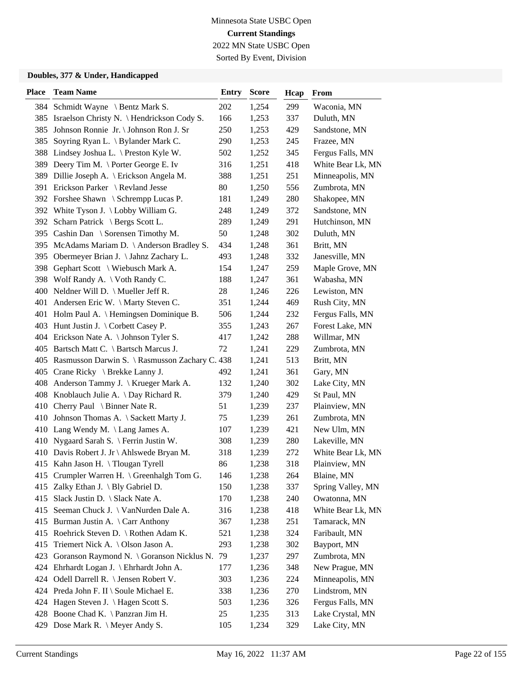Sorted By Event, Division

| <b>Place</b> | <b>Team Name</b>                                   | <b>Entry</b> | <b>Score</b> | Hcap | From              |
|--------------|----------------------------------------------------|--------------|--------------|------|-------------------|
|              | 384 Schmidt Wayne \ Bentz Mark S.                  | 202          | 1,254        | 299  | Waconia, MN       |
|              | 385 Israelson Christy N. \ Hendrickson Cody S.     | 166          | 1,253        | 337  | Duluth, MN        |
| 385          | Johnson Ronnie Jr. \Johnson Ron J. Sr              | 250          | 1,253        | 429  | Sandstone, MN     |
| 385          | Soyring Ryan L. \ Bylander Mark C.                 | 290          | 1,253        | 245  | Frazee, MN        |
| 388          | Lindsey Joshua L. \ Preston Kyle W.                | 502          | 1,252        | 345  | Fergus Falls, MN  |
| 389          | Deery Tim M. \ Porter George E. Iv                 | 316          | 1,251        | 418  | White Bear Lk, MN |
|              | 389 Dillie Joseph A. \ Erickson Angela M.          | 388          | 1,251        | 251  | Minneapolis, MN   |
|              | 391 Erickson Parker \ Revland Jesse                | 80           | 1,250        | 556  | Zumbrota, MN      |
|              | 392 Forshee Shawn \ Schrempp Lucas P.              | 181          | 1,249        | 280  | Shakopee, MN      |
|              | 392 White Tyson J. \ Lobby William G.              | 248          | 1,249        | 372  | Sandstone, MN     |
| 392          | Scharn Patrick \ Bergs Scott L.                    | 289          | 1,249        | 291  | Hutchinson, MN    |
|              | 395 Cashin Dan \ Sorensen Timothy M.               | 50           | 1,248        | 302  | Duluth, MN        |
| 395          | McAdams Mariam D. \ Anderson Bradley S.            | 434          | 1,248        | 361  | Britt, MN         |
| 395          | Obermeyer Brian J. \ Jahnz Zachary L.              | 493          | 1,248        | 332  | Janesville, MN    |
| 398          | Gephart Scott \ Wiebusch Mark A.                   | 154          | 1,247        | 259  | Maple Grove, MN   |
|              | 398 Wolf Randy A. \ Voth Randy C.                  | 188          | 1,247        | 361  | Wabasha, MN       |
| 400          | Neldner Will D. $\backslash$ Mueller Jeff R.       | 28           | 1,246        | 226  | Lewiston, MN      |
| 401          | Andersen Eric W. \ Marty Steven C.                 | 351          | 1,244        | 469  | Rush City, MN     |
|              | 401 Holm Paul A. \ Hemingsen Dominique B.          | 506          | 1,244        | 232  | Fergus Falls, MN  |
|              | 403 Hunt Justin J. \ Corbett Casey P.              | 355          | 1,243        | 267  | Forest Lake, MN   |
|              | 404 Erickson Nate A. \ Johnson Tyler S.            | 417          | 1,242        | 288  | Willmar, MN       |
|              | 405 Bartsch Matt C. \ Bartsch Marcus J.            | 72           | 1,241        | 229  | Zumbrota, MN      |
|              | 405 Rasmusson Darwin S. \ Rasmusson Zachary C. 438 |              | 1,241        | 513  | Britt, MN         |
| 405          | Crane Ricky \ Brekke Lanny J.                      | 492          | 1,241        | 361  | Gary, MN          |
| 408          | Anderson Tammy J. \ Krueger Mark A.                | 132          | 1,240        | 302  | Lake City, MN     |
| 408          | Knoblauch Julie A. $\log$ Richard R.               | 379          | 1,240        | 429  | St Paul, MN       |
| 410          | Cherry Paul \ Binner Nate R.                       | 51           | 1,239        | 237  | Plainview, MN     |
|              | 410 Johnson Thomas A. \ Sackett Marty J.           | 75           | 1,239        | 261  | Zumbrota, MN      |
|              | 410 Lang Wendy M. \ Lang James A.                  | 107          | 1,239        | 421  | New Ulm, MN       |
| 410          | Nygaard Sarah S. \ Ferrin Justin W.                | 308          | 1,239        | 280  | Lakeville, MN     |
|              | 410 Davis Robert J. Jr \ Ahlswede Bryan M.         | 318          | 1,239        | 272  | White Bear Lk, MN |
|              | 415 Kahn Jason H. \Tlougan Tyrell                  | 86           | 1,238        | 318  | Plainview, MN     |
| 415          | Crumpler Warren H. \ Greenhalgh Tom G.             | 146          | 1,238        | 264  | Blaine, MN        |
| 415          | Zalky Ethan J. \ Bly Gabriel D.                    | 150          | 1,238        | 337  | Spring Valley, MN |
| 415          | Slack Justin D. \ Slack Nate A.                    | 170          | 1,238        | 240  | Owatonna, MN      |
| 415          | Seeman Chuck J. \ VanNurden Dale A.                | 316          | 1,238        | 418  | White Bear Lk, MN |
| 415          | Burman Justin A. \ Carr Anthony                    | 367          | 1,238        | 251  | Tamarack, MN      |
| 415          | Roehrick Steven D. \ Rothen Adam K.                | 521          | 1,238        | 324  | Faribault, MN     |
| 415          | Triemert Nick A. \ Olson Jason A.                  | 293          | 1,238        | 302  | Bayport, MN       |
| 423          | Goranson Raymond N. \ Goranson Nicklus N. 79       |              | 1,237        | 297  | Zumbrota, MN      |
| 424          | Ehrhardt Logan J. \ Ehrhardt John A.               | 177          | 1,236        | 348  | New Prague, MN    |
|              | 424 Odell Darrell R. \ Jensen Robert V.            | 303          | 1,236        | 224  | Minneapolis, MN   |
|              | 424 Preda John F. II \ Soule Michael E.            | 338          | 1,236        | 270  | Lindstrom, MN     |
|              | 424 Hagen Steven J. \ Hagen Scott S.               | 503          | 1,236        | 326  | Fergus Falls, MN  |
|              | 428 Boone Chad K. \ Panzran Jim H.                 | 25           | 1,235        | 313  | Lake Crystal, MN  |
|              | 429 Dose Mark R. \ Meyer Andy S.                   | 105          | 1,234        | 329  | Lake City, MN     |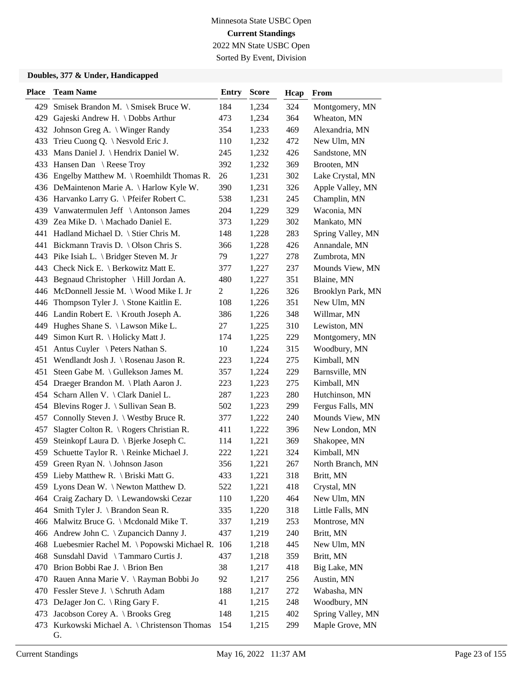Sorted By Event, Division

| <b>Place</b> | <b>Team Name</b>                                                                        | Entry          | <b>Score</b> | Hcap | From                     |
|--------------|-----------------------------------------------------------------------------------------|----------------|--------------|------|--------------------------|
| 429          | Smisek Brandon M. \ Smisek Bruce W.                                                     | 184            | 1,234        | 324  | Montgomery, MN           |
| 429          | Gajeski Andrew H. \ Dobbs Arthur                                                        | 473            | 1,234        | 364  | Wheaton, MN              |
|              | 432 Johnson Greg A.   Winger Randy                                                      | 354            | 1,233        | 469  | Alexandria, MN           |
|              | 433 Trieu Cuong Q. \ Nesvold Eric J.                                                    | 110            | 1,232        | 472  | New Ulm, MN              |
| 433          | Mans Daniel J. \ Hendrix Daniel W.                                                      | 245            | 1,232        | 426  | Sandstone, MN            |
|              | 433 Hansen Dan \ Reese Troy                                                             | 392            | 1,232        | 369  | Brooten, MN              |
|              | 436 Engelby Matthew M. \Roemhildt Thomas R.                                             | 26             | 1,231        | 302  | Lake Crystal, MN         |
|              | 436 DeMaintenon Marie A. \ Harlow Kyle W.                                               | 390            | 1,231        | 326  | Apple Valley, MN         |
|              | 436 Harvanko Larry G. \ Pfeifer Robert C.                                               | 538            | 1,231        | 245  | Champlin, MN             |
|              | 439 Vanwatermulen Jeff \ Antonson James                                                 | 204            | 1,229        | 329  | Waconia, MN              |
|              | 439 Zea Mike D. \ Machado Daniel E.                                                     | 373            | 1,229        | 302  | Mankato, MN              |
|              | 441 Hadland Michael D. \ Stier Chris M.                                                 | 148            | 1,228        | 283  | Spring Valley, MN        |
| 441          | Bickmann Travis D. \ Olson Chris S.                                                     | 366            | 1,228        | 426  | Annandale, MN            |
|              | 443 Pike Isiah L. \ Bridger Steven M. Jr                                                | 79             | 1,227        | 278  | Zumbrota, MN             |
|              | 443 Check Nick E. \ Berkowitz Matt E.                                                   | 377            | 1,227        | 237  | Mounds View, MN          |
|              | 443 Begnaud Christopher \ Hill Jordan A.                                                | 480            | 1,227        | 351  | Blaine, MN               |
|              | 446 McDonnell Jessie M. \ Wood Mike I. Jr                                               | $\overline{c}$ | 1,226        | 326  | Brooklyn Park, MN        |
|              | 446 Thompson Tyler J. \ Stone Kaitlin E.                                                | 108            | 1,226        | 351  | New Ulm, MN              |
|              | 446 Landin Robert E. \ Krouth Joseph A.                                                 | 386            | 1,226        | 348  | Willmar, MN              |
|              | 449 Hughes Shane S. \ Lawson Mike L.                                                    | 27             | 1,225        | 310  | Lewiston, MN             |
| 449          | Simon Kurt R. \ Holicky Matt J.                                                         | 174            | 1,225        | 229  | Montgomery, MN           |
| 451          | Antus Cuyler \ Peters Nathan S.                                                         | 10             | 1,224        | 315  | Woodbury, MN             |
|              | 451 Wendlandt Josh J. \Rosenau Jason R.                                                 | 223            | 1,224        | 275  | Kimball, MN              |
| 451          | Steen Gabe M. \ Gullekson James M.                                                      | 357            | 1,224        | 229  | Barnsville, MN           |
|              | 454 Draeger Brandon M. \ Plath Aaron J.                                                 | 223            | 1,223        | 275  | Kimball, MN              |
|              | 454 Scharn Allen V. \ Clark Daniel L.                                                   | 287            | 1,223        | 280  | Hutchinson, MN           |
|              | 454 Blevins Roger J. \ Sullivan Sean B.                                                 | 502            | 1,223        | 299  | Fergus Falls, MN         |
|              | 457 Connolly Steven J. \ Westby Bruce R.                                                | 377            | 1,222        | 240  | Mounds View, MN          |
| 457          | Slagter Colton R. \ Rogers Christian R.                                                 | 411            | 1,222        | 396  | New London, MN           |
| 459          | Steinkopf Laura D. \ Bjerke Joseph C.                                                   | 114            | 1,221        | 369  | Shakopee, MN             |
| 459          | Schuette Taylor R. \ Reinke Michael J.                                                  | 222            | 1,221        | 324  | Kimball, MN              |
|              | 459 Green Ryan N. \ Johnson Jason                                                       | 356            | 1,221        | 267  | North Branch, MN         |
|              | 459 Lieby Matthew R. \ Briski Matt G.                                                   | 433            | 1,221        | 318  | Britt, MN                |
| 459.         | Lyons Dean W. $\ \$ Newton Matthew D.                                                   | 522            | 1,221        | 418  | Crystal, MN              |
|              | 464 Craig Zachary D. \ Lewandowski Cezar                                                | 110            | 1,220        | 464  | New Ulm, MN              |
|              | 464 Smith Tyler J. \ Brandon Sean R.                                                    | 335            | 1,220        | 318  | Little Falls, MN         |
|              | 466 Malwitz Bruce G. \ Mcdonald Mike T.                                                 | 337            | 1,219        | 253  | Montrose, MN             |
|              | 466 Andrew John C. \ Zupancich Danny J.                                                 | 437            | 1,219        | 240  | Britt, MN                |
|              |                                                                                         | 106            |              |      |                          |
|              | 468 Luebesmier Rachel M. \Popowski Michael R.<br>468 Sunsdahl David \ Tammaro Curtis J. |                | 1,218        | 445  | New Ulm, MN<br>Britt, MN |
|              |                                                                                         | 437            | 1,218        | 359  |                          |
| 470          | Brion Bobbi Rae J. \ Brion Ben                                                          | 38             | 1,217        | 418  | Big Lake, MN             |
| 470.         | Rauen Anna Marie V. \ Rayman Bobbi Jo                                                   | 92             | 1,217        | 256  | Austin, MN               |
|              | 470 Fessler Steve J. \ Schruth Adam                                                     | 188            | 1,217        | 272  | Wabasha, MN              |
| 473          | DeJager Jon C. $\langle$ Ring Gary F.                                                   | 41             | 1,215        | 248  | Woodbury, MN             |
| 473          | Jacobson Corey A. \ Brooks Greg                                                         | 148            | 1,215        | 402  | Spring Valley, MN        |
| 473          | Kurkowski Michael A. \ Christenson Thomas<br>G.                                         | 154            | 1,215        | 299  | Maple Grove, MN          |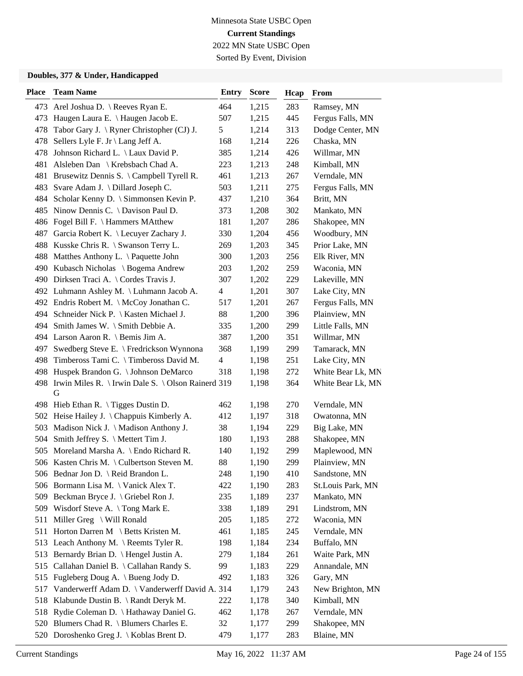Sorted By Event, Division

| <b>Place</b> | <b>Team Name</b>                                            | <b>Entry</b>             | <b>Score</b> | Hcap | <b>From</b>       |
|--------------|-------------------------------------------------------------|--------------------------|--------------|------|-------------------|
|              | 473 Arel Joshua D. \ Reeves Ryan E.                         | 464                      | 1,215        | 283  | Ramsey, MN        |
|              | 473 Haugen Laura E. \ Haugen Jacob E.                       | 507                      | 1,215        | 445  | Fergus Falls, MN  |
| 478          | Tabor Gary J. \ Ryner Christopher (CJ) J.                   | 5                        | 1,214        | 313  | Dodge Center, MN  |
|              | 478 Sellers Lyle F. Jr \ Lang Jeff A.                       | 168                      | 1,214        | 226  | Chaska, MN        |
| 478          | Johnson Richard L. \ Laux David P.                          | 385                      | 1,214        | 426  | Willmar, MN       |
| 481          | Alsleben Dan \ Krebsbach Chad A.                            | 223                      | 1,213        | 248  | Kimball, MN       |
| 481          | Brusewitz Dennis S. \ Campbell Tyrell R.                    | 461                      | 1,213        | 267  | Verndale, MN      |
|              | 483 Svare Adam J. \ Dillard Joseph C.                       | 503                      | 1,211        | 275  | Fergus Falls, MN  |
|              | 484 Scholar Kenny D. \ Simmonsen Kevin P.                   | 437                      | 1,210        | 364  | Britt, MN         |
|              | 485 Ninow Dennis C. \ Davison Paul D.                       | 373                      | 1,208        | 302  | Mankato, MN       |
|              | 486 Fogel Bill F. \ Hammers MAtthew                         | 181                      | 1,207        | 286  | Shakopee, MN      |
|              | 487 Garcia Robert K. \ Lecuyer Zachary J.                   | 330                      | 1,204        | 456  | Woodbury, MN      |
|              | 488 Kusske Chris R. \ Swanson Terry L.                      | 269                      | 1,203        | 345  | Prior Lake, MN    |
|              | 488 Matthes Anthony L. \ Paquette John                      | 300                      | 1,203        | 256  | Elk River, MN     |
|              | 490 Kubasch Nicholas \ Bogema Andrew                        | 203                      | 1,202        | 259  | Waconia, MN       |
|              | 490 Dirksen Traci A. \ Cordes Travis J.                     | 307                      | 1,202        | 229  | Lakeville, MN     |
|              | 492 Luhmann Ashley M. \ Luhmann Jacob A.                    | $\overline{\mathcal{A}}$ | 1,201        | 307  | Lake City, MN     |
|              | 492 Endris Robert M. \ McCoy Jonathan C.                    | 517                      | 1,201        | 267  | Fergus Falls, MN  |
|              | 494 Schneider Nick P. \ Kasten Michael J.                   | 88                       | 1,200        | 396  | Plainview, MN     |
|              | 494 Smith James W. \ Smith Debbie A.                        | 335                      | 1,200        | 299  | Little Falls, MN  |
|              | 494 Larson Aaron R. \ Bemis Jim A.                          | 387                      | 1,200        | 351  | Willmar, MN       |
| 497          | Swedberg Steve E. \ Fredrickson Wynnona                     | 368                      | 1,199        | 299  | Tamarack, MN      |
| 498          | Timbeross Tami C. \Timbeross David M.                       | $\overline{\mathcal{L}}$ | 1,198        | 251  | Lake City, MN     |
|              | 498 Huspek Brandon G. \ Johnson DeMarco                     | 318                      | 1,198        | 272  | White Bear Lk, MN |
|              | 498 Irwin Miles R. \ Irwin Dale S. \ Olson Rainerd 319<br>G |                          | 1,198        | 364  | White Bear Lk, MN |
|              | 498 Hieb Ethan R. \Tigges Dustin D.                         | 462                      | 1,198        | 270  | Verndale, MN      |
|              | 502 Heise Hailey J. \ Chappuis Kimberly A.                  | 412                      | 1,197        | 318  | Owatonna, MN      |
|              | 503 Madison Nick J. \ Madison Anthony J.                    | 38                       | 1,194        | 229  | Big Lake, MN      |
|              | 504 Smith Jeffrey S. \ Mettert Tim J.                       | 180                      | 1,193        | 288  | Shakopee, MN      |
|              | 505 Moreland Marsha A. \ Endo Richard R.                    | 140                      | 1,192        | 299  | Maplewood, MN     |
|              | 506 Kasten Chris M. \ Culbertson Steven M.                  | 88                       | 1,190        | 299  | Plainview, MN     |
|              | 506 Bednar Jon D. \ Reid Brandon L.                         | 248                      | 1,190        | 410  | Sandstone, MN     |
|              | 506 Bormann Lisa M. \ Vanick Alex T.                        | 422                      | 1,190        | 283  | St.Louis Park, MN |
| 509          | Beckman Bryce J. \ Griebel Ron J.                           | 235                      | 1,189        | 237  | Mankato, MN       |
|              | 509 Wisdorf Steve A. \Tong Mark E.                          | 338                      | 1,189        | 291  | Lindstrom, MN     |
|              | 511 Miller Greg \ Will Ronald                               | 205                      | 1,185        | 272  | Waconia, MN       |
|              | 511 Horton Darren M \ Betts Kristen M.                      | 461                      | 1,185        | 245  | Verndale, MN      |
|              | 513 Leach Anthony M. \ Reemts Tyler R.                      | 198                      | 1,184        | 234  | Buffalo, MN       |
|              | 513 Bernardy Brian D.   Hengel Justin A.                    | 279                      | 1,184        | 261  | Waite Park, MN    |
|              | 515 Callahan Daniel B. \Callahan Randy S.                   | 99                       | 1,183        | 229  | Annandale, MN     |
|              | 515 Fugleberg Doug A. \ Bueng Jody D.                       | 492                      | 1,183        | 326  | Gary, MN          |
|              | 517 Vanderwerff Adam D. \ Vanderwerff David A. 314          |                          | 1,179        | 243  | New Brighton, MN  |
|              | 518 Klabunde Dustin B. \ Randt Deryk M.                     | 222                      | 1,178        | 340  | Kimball, MN       |
|              | 518 Rydie Coleman D. \ Hathaway Daniel G.                   | 462                      | 1,178        | 267  | Verndale, MN      |
|              | 520 Blumers Chad R. \ Blumers Charles E.                    | 32                       | 1,177        | 299  | Shakopee, MN      |
|              | 520 Doroshenko Greg J. \ Koblas Brent D.                    | 479                      | 1,177        | 283  | Blaine, MN        |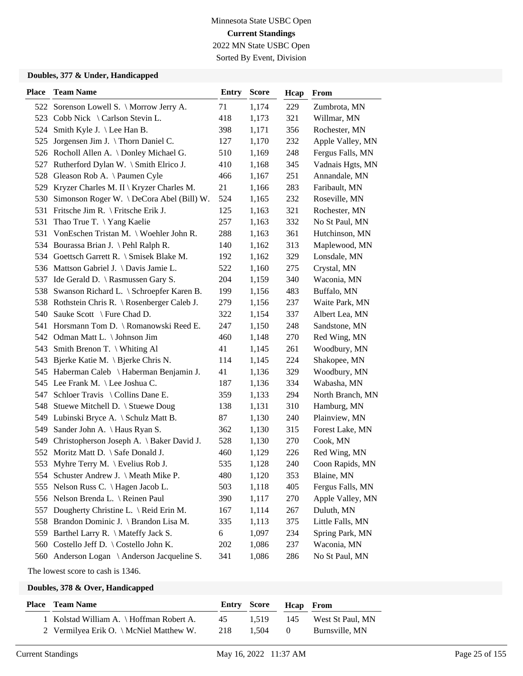Sorted By Event, Division

#### **Doubles, 377 & Under, Handicapped**

| <b>Place</b> | <b>Team Name</b>                              | Entry | <b>Score</b> | Hcap | From             |
|--------------|-----------------------------------------------|-------|--------------|------|------------------|
|              | 522 Sorenson Lowell S. \ Morrow Jerry A.      | 71    | 1,174        | 229  | Zumbrota, MN     |
|              | 523 Cobb Nick \ Carlson Stevin L.             | 418   | 1,173        | 321  | Willmar, MN      |
|              | 524 Smith Kyle J. \Lee Han B.                 | 398   | 1,171        | 356  | Rochester, MN    |
| 525          | Jorgensen Jim J. $\backslash$ Thorn Daniel C. | 127   | 1,170        | 232  | Apple Valley, MN |
|              | 526 Rocholl Allen A. \Donley Michael G.       | 510   | 1,169        | 248  | Fergus Falls, MN |
| 527          | Rutherford Dylan W. \ Smith Elrico J.         | 410   | 1,168        | 345  | Vadnais Hgts, MN |
|              | 528 Gleason Rob A. \Paumen Cyle               | 466   | 1,167        | 251  | Annandale, MN    |
|              | 529 Kryzer Charles M. II \ Kryzer Charles M.  | 21    | 1,166        | 283  | Faribault, MN    |
|              | 530 Simonson Roger W. \DeCora Abel (Bill) W.  | 524   | 1,165        | 232  | Roseville, MN    |
|              | 531 Fritsche Jim R. \ Fritsche Erik J.        | 125   | 1,163        | 321  | Rochester, MN    |
| 531          | Thao True T. \Yang Kaelie                     | 257   | 1,163        | 332  | No St Paul, MN   |
| 531          | VonEschen Tristan M. \ Woehler John R.        | 288   | 1,163        | 361  | Hutchinson, MN   |
|              | 534 Bourassa Brian J. \Pehl Ralph R.          | 140   | 1,162        | 313  | Maplewood, MN    |
|              | 534 Goettsch Garrett R. \ Smisek Blake M.     | 192   | 1,162        | 329  | Lonsdale, MN     |
|              | 536 Mattson Gabriel J. \ Davis Jamie L.       | 522   | 1,160        | 275  | Crystal, MN      |
|              | 537 Ide Gerald D. \ Rasmussen Gary S.         | 204   | 1,159        | 340  | Waconia, MN      |
|              | 538 Swanson Richard L. \ Schroepfer Karen B.  | 199   | 1,156        | 483  | Buffalo, MN      |
|              | 538 Rothstein Chris R. \ Rosenberger Caleb J. | 279   | 1,156        | 237  | Waite Park, MN   |
| 540          | Sauke Scott \ Fure Chad D.                    | 322   | 1,154        | 337  | Albert Lea, MN   |
|              | 541 Horsmann Tom D. \ Romanowski Reed E.      | 247   | 1,150        | 248  | Sandstone, MN    |
|              | 542 Odman Matt L. \ Johnson Jim               | 460   | 1,148        | 270  | Red Wing, MN     |
| 543          | Smith Brenon T. $\backslash$ Whiting Al       | 41    | 1,145        | 261  | Woodbury, MN     |
| 543          | Bjerke Katie M. \ Bjerke Chris N.             | 114   | 1,145        | 224  | Shakopee, MN     |
|              | 545 Haberman Caleb \ Haberman Benjamin J.     | 41    | 1,136        | 329  | Woodbury, MN     |
|              | 545 Lee Frank M. \Lee Joshua C.               | 187   | 1,136        | 334  | Wabasha, MN      |
| 547          | Schloer Travis \ Collins Dane E.              | 359   | 1,133        | 294  | North Branch, MN |
| 548          | Stuewe Mitchell D. \ Stuewe Doug              | 138   | 1,131        | 310  | Hamburg, MN      |
|              | 549 Lubinski Bryce A. \ Schulz Matt B.        | 87    | 1,130        | 240  | Plainview, MN    |
| 549          | Sander John A. \ Haus Ryan S.                 | 362   | 1,130        | 315  | Forest Lake, MN  |
| 549          | Christopherson Joseph A. \ Baker David J.     | 528   | 1,130        | 270  | Cook, MN         |
|              | 552 Moritz Matt D. \ Safe Donald J.           | 460   | 1,129        | 226  | Red Wing, MN     |
|              | 553 Myhre Terry M. \ Evelius Rob J.           | 535   | 1,128        | 240  | Coon Rapids, MN  |
|              | 554 Schuster Andrew J. \ Meath Mike P.        | 480   | 1,120        | 353  | Blaine, MN       |
|              | 555 Nelson Russ C. \Hagen Jacob L.            | 503   | 1,118        | 405  | Fergus Falls, MN |
|              | 556 Nelson Brenda L. \ Reinen Paul            | 390   | 1,117        | 270  | Apple Valley, MN |
|              | 557 Dougherty Christine L. \ Reid Erin M.     | 167   | 1,114        | 267  | Duluth, MN       |
|              | 558 Brandon Dominic J. \ Brandon Lisa M.      | 335   | 1,113        | 375  | Little Falls, MN |
| 559          | Barthel Larry R. \ Mateffy Jack S.            | 6     | 1,097        | 234  | Spring Park, MN  |
| 560          | Costello Jeff D. \ Costello John K.           | 202   | 1,086        | 237  | Waconia, MN      |
|              | 560 Anderson Logan \ Anderson Jacqueline S.   | 341   | 1,086        | 286  | No St Paul, MN   |

The lowest score to cash is 1346.

|                                          | <b>Entry Score</b> |       | <b>Hcap</b> From |                  |
|------------------------------------------|--------------------|-------|------------------|------------------|
| 1 Kolstad William A. \ Hoffman Robert A. | 45                 | 1.519 | 145              | West St Paul, MN |
| 2 Vermilyea Erik O. \ McNiel Matthew W.  | 218                | 1.504 | -0               | Burnsville, MN   |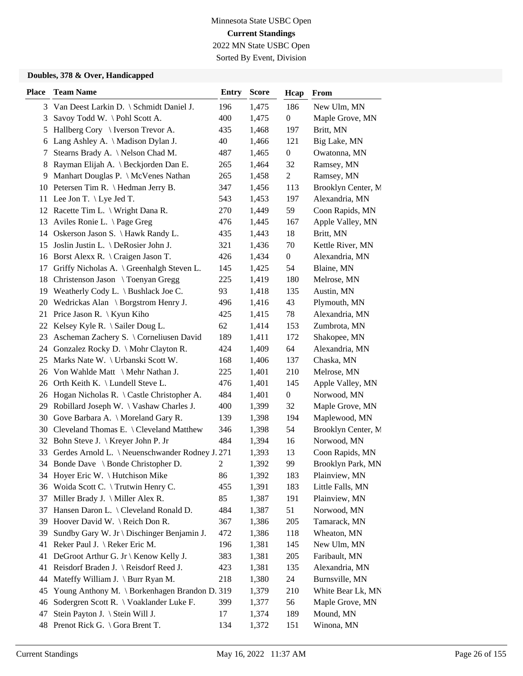Sorted By Event, Division

| Place    | <b>Team Name</b>                                                               | <b>Entry</b>   | <b>Score</b>   | Hcap             | From                         |
|----------|--------------------------------------------------------------------------------|----------------|----------------|------------------|------------------------------|
|          | 3 Van Deest Larkin D. \ Schmidt Daniel J.                                      | 196            | 1,475          | 186              | New Ulm, MN                  |
| 3        | Savoy Todd W. \ Pohl Scott A.                                                  | 400            | 1,475          | $\boldsymbol{0}$ | Maple Grove, MN              |
| 5        | Hallberg Cory \ Iverson Trevor A.                                              | 435            | 1,468          | 197              | Britt, MN                    |
| 6        | Lang Ashley A. \ Madison Dylan J.                                              | 40             | 1,466          | 121              | Big Lake, MN                 |
| 7        | Stearns Brady A. \ Nelson Chad M.                                              | 487            | 1,465          | $\boldsymbol{0}$ | Owatonna, MN                 |
| 8        | Rayman Elijah A. \ Beckjorden Dan E.                                           | 265            | 1,464          | 32               | Ramsey, MN                   |
| 9        | Manhart Douglas P. \ McVenes Nathan                                            | 265            | 1,458          | $\overline{c}$   | Ramsey, MN                   |
|          | 10 Petersen Tim R. \ Hedman Jerry B.                                           | 347            | 1,456          | 113              | Brooklyn Center, M           |
|          | 11 Lee Jon T. \ Lye Jed T.                                                     | 543            | 1,453          | 197              | Alexandria, MN               |
|          | 12 Racette Tim L. \ Wright Dana R.                                             | 270            | 1,449          | 59               | Coon Rapids, MN              |
| 13       | Aviles Ronie L. \Page Greg                                                     | 476            | 1,445          | 167              | Apple Valley, MN             |
| 14       | Oskerson Jason S. \ Hawk Randy L.                                              | 435            | 1,443          | 18               | Britt, MN                    |
| 15       | Joslin Justin L. \ DeRosier John J.                                            | 321            | 1,436          | 70               | Kettle River, MN             |
|          | 16 Borst Alexx R. \ Craigen Jason T.                                           | 426            | 1,434          | $\boldsymbol{0}$ | Alexandria, MN               |
| 17       | Griffy Nicholas A. \ Greenhalgh Steven L.                                      | 145            | 1,425          | 54               | Blaine, MN                   |
|          | 18 Christenson Jason \ Toenyan Gregg                                           | 225            | 1,419          | 180              | Melrose, MN                  |
|          | 19 Weatherly Cody L. \ Bushlack Joe C.                                         | 93             | 1,418          | 135              | Austin, MN                   |
|          | 20 Wedrickas Alan \ Borgstrom Henry J.                                         | 496            | 1,416          | 43               | Plymouth, MN                 |
| 21       | Price Jason R. $\setminus$ Kyun Kiho                                           | 425            | 1,415          | 78               | Alexandria, MN               |
| 22       | Kelsey Kyle R. $\setminus$ Sailer Doug L.                                      | 62             | 1,414          | 153              | Zumbrota, MN                 |
| 23       | Ascheman Zachery S. \ Corneliusen David                                        | 189            | 1,411          | 172              | Shakopee, MN                 |
|          | 24 Gonzalez Rocky D. \ Mohr Clayton R.                                         | 424            | 1,409          | 64               | Alexandria, MN               |
|          | 25 Marks Nate W. \ Urbanski Scott W.                                           | 168            | 1,406          | 137              | Chaska, MN                   |
|          | 26 Von Wahlde Matt \ Mehr Nathan J.                                            | 225            | 1,401          | 210              | Melrose, MN                  |
|          | 26 Orth Keith K. \ Lundell Steve L.                                            | 476            | 1,401          | 145              | Apple Valley, MN             |
| 26       | Hogan Nicholas R. $\setminus$ Castle Christopher A.                            | 484            | 1,401          | $\boldsymbol{0}$ | Norwood, MN                  |
| 29       | Robillard Joseph W. \ Vashaw Charles J.                                        | 400            | 1,399          | 32               | Maple Grove, MN              |
| 30       | Gove Barbara A. \ Moreland Gary R.                                             | 139            | 1,398          | 194              | Maplewood, MN                |
|          | 30 Cleveland Thomas E. \ Cleveland Matthew                                     | 346            | 1,398          | 54               | Brooklyn Center, M           |
| 32       | Bohn Steve J. \ Kreyer John P. Jr                                              | 484            | 1,394          | 16               | Norwood, MN                  |
| 33       | Gerdes Arnold L. \ Neuenschwander Rodney J. 271                                |                | 1,393          | 13               | Coon Rapids, MN              |
|          | 34 Bonde Dave \ Bonde Christopher D.                                           | $\mathfrak{2}$ | 1,392          | 99               | Brooklyn Park, MN            |
|          | 34 Hoyer Eric W. \ Hutchison Mike                                              | 86             | 1,392          | 183              | Plainview, MN                |
| 36       | Woida Scott C. \ Trutwin Henry C.                                              | 455            | 1,391          | 183              | Little Falls, MN             |
| 37       | Miller Brady J. \ Miller Alex R.                                               | 85             | 1,387          | 191              | Plainview, MN                |
| 37       | Hansen Daron L. \ Cleveland Ronald D.                                          | 484            | 1,387          | 51               | Norwood, MN                  |
| 39       | Hoover David W. \ Reich Don R.                                                 | 367            | 1,386          | 205              | Tamarack, MN                 |
| 39       | Sundby Gary W. Jr \ Dischinger Benjamin J.<br>Reker Paul J. \ Reker Eric M.    | 472            | 1,386          | 118              | Wheaton, MN                  |
| 41<br>41 |                                                                                | 196            | 1,381          | 145<br>$205\,$   | New Ulm, MN<br>Faribault, MN |
| 41       | DeGroot Arthur G. Jr \ Kenow Kelly J.<br>Reisdorf Braden J. \ Reisdorf Reed J. | 383<br>423     | 1,381<br>1,381 | 135              | Alexandria, MN               |
| 44       | Mateffy William J. \ Burr Ryan M.                                              | 218            | 1,380          | 24               | Burnsville, MN               |
| 45       | Young Anthony M. \ Borkenhagen Brandon D. 319                                  |                | 1,379          | 210              | White Bear Lk, MN            |
| 46       | Sodergren Scott R. \ Voaklander Luke F.                                        | 399            | 1,377          | 56               | Maple Grove, MN              |
| 47       | Stein Payton J. \ Stein Will J.                                                | 17             | 1,374          | 189              | Mound, MN                    |
| 48       | Prenot Rick G. \ Gora Brent T.                                                 | 134            | 1,372          | 151              | Winona, MN                   |
|          |                                                                                |                |                |                  |                              |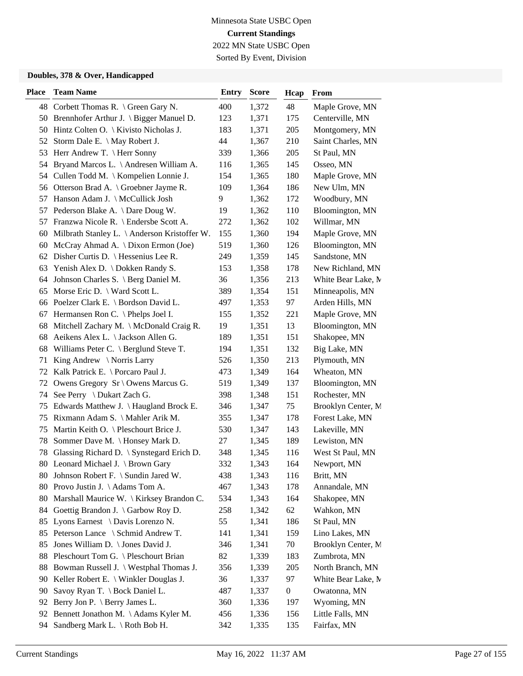Sorted By Event, Division

| <b>Place</b> | <b>Team Name</b>                                | <b>Entry</b> | <b>Score</b> | Hcap             | From               |
|--------------|-------------------------------------------------|--------------|--------------|------------------|--------------------|
|              | 48 Corbett Thomas R. \ Green Gary N.            | 400          | 1,372        | 48               | Maple Grove, MN    |
|              | 50 Brennhofer Arthur J. \ Bigger Manuel D.      | 123          | 1,371        | 175              | Centerville, MN    |
|              | 50 Hintz Colten O. \ Kivisto Nicholas J.        | 183          | 1,371        | 205              | Montgomery, MN     |
| 52           | Storm Dale E. \ May Robert J.                   | 44           | 1,367        | 210              | Saint Charles, MN  |
| 53           | Herr Andrew T. \ Herr Sonny                     | 339          | 1,366        | 205              | St Paul, MN        |
| 54           | Bryand Marcos L. \ Andresen William A.          | 116          | 1,365        | 145              | Osseo, MN          |
|              | 54 Cullen Todd M. \ Kompelien Lonnie J.         | 154          | 1,365        | 180              | Maple Grove, MN    |
|              | 56 Otterson Brad A. \ Groebner Jayme R.         | 109          | 1,364        | 186              | New Ulm, MN        |
| 57           | Hanson Adam J. \ McCullick Josh                 | 9            | 1,362        | 172              | Woodbury, MN       |
| 57           | Pederson Blake A. \ Dare Doug W.                | 19           | 1,362        | 110              | Bloomington, MN    |
| 57           | Franzwa Nicole R. \ Endersbe Scott A.           | 272          | 1,362        | 102              | Willmar, MN        |
| 60           | Milbrath Stanley L. \ Anderson Kristoffer W.    | 155          | 1,360        | 194              | Maple Grove, MN    |
| 60           | McCray Ahmad A. \ Dixon Ermon (Joe)             | 519          | 1,360        | 126              | Bloomington, MN    |
|              | 62 Disher Curtis D.   Hessenius Lee R.          | 249          | 1,359        | 145              | Sandstone, MN      |
| 63           | Yenish Alex D. \ Dokken Randy S.                | 153          | 1,358        | 178              | New Richland, MN   |
|              | 64 Johnson Charles S. \ Berg Daniel M.          | 36           | 1,356        | 213              | White Bear Lake, M |
| 65           | Morse Eric D. $\setminus$ Ward Scott L.         | 389          | 1,354        | 151              | Minneapolis, MN    |
|              | 66 Poelzer Clark E. \ Bordson David L.          | 497          | 1,353        | 97               | Arden Hills, MN    |
| 67           | Hermansen Ron C. \ Phelps Joel I.               | 155          | 1,352        | 221              | Maple Grove, MN    |
| 68           | Mitchell Zachary M. \ McDonald Craig R.         | 19           | 1,351        | 13               | Bloomington, MN    |
| 68           | Aeikens Alex L. \ Jackson Allen G.              | 189          | 1,351        | 151              | Shakopee, MN       |
| 68           | Williams Peter C. $\setminus$ Berglund Steve T. | 194          | 1,351        | 132              | Big Lake, MN       |
| 71           | King Andrew \ Norris Larry                      | 526          | 1,350        | 213              | Plymouth, MN       |
|              | 72 Kalk Patrick E. \ Porcaro Paul J.            | 473          | 1,349        | 164              | Wheaton, MN        |
| 72           | Owens Gregory Sr \ Owens Marcus G.              | 519          | 1,349        | 137              | Bloomington, MN    |
| 74           | See Perry \ Dukart Zach G.                      | 398          | 1,348        | 151              | Rochester, MN      |
| 75           | Edwards Matthew J. \ Haugland Brock E.          | 346          | 1,347        | 75               | Brooklyn Center, M |
| 75           | Rixmann Adam S. \ Mahler Arik M.                | 355          | 1,347        | 178              | Forest Lake, MN    |
| 75           | Martin Keith O. \ Pleschourt Brice J.           | 530          | 1,347        | 143              | Lakeville, MN      |
| 78           | Sommer Dave M. \ Honsey Mark D.                 | 27           | 1,345        | 189              | Lewiston, MN       |
| 78           | Glassing Richard D. \ Synstegard Erich D.       | 348          | 1,345        | 116              | West St Paul, MN   |
|              | 80 Leonard Michael J. \ Brown Gary              | 332          | 1,343        | 164              | Newport, MN        |
| 80.          | Johnson Robert F. \ Sundin Jared W.             | 438          | 1,343        | 116              | Britt, MN          |
| 80           | Provo Justin J. \Adams Tom A.                   | 467          | 1,343        | 178              | Annandale, MN      |
| 80           | Marshall Maurice W.   Kirksey Brandon C.        | 534          | 1,343        | 164              | Shakopee, MN       |
|              | 84 Goettig Brandon J. \ Garbow Roy D.           | 258          | 1,342        | 62               | Wahkon, MN         |
| 85           | Lyons Earnest \ Davis Lorenzo N.                | 55           | 1,341        | 186              | St Paul, MN        |
| 85           | Peterson Lance \ Schmid Andrew T.               | 141          | 1,341        | 159              | Lino Lakes, MN     |
| 85           | Jones William D. \ Jones David J.               | 346          | 1,341        | 70               | Brooklyn Center, M |
| 88           | Pleschourt Tom G. \ Pleschourt Brian            | 82           | 1,339        | 183              | Zumbrota, MN       |
| 88           | Bowman Russell J. \ Westphal Thomas J.          | 356          | 1,339        | 205              | North Branch, MN   |
| 90           | Keller Robert E. \ Winkler Douglas J.           | 36           | 1,337        | 97               | White Bear Lake, M |
| 90           | Savoy Ryan T. \ Bock Daniel L.                  | 487          | 1,337        | $\boldsymbol{0}$ | Owatonna, MN       |
| 92           | Berry Jon P. \ Berry James L.                   | 360          | 1,336        | 197              | Wyoming, MN        |
| 92           | Bennett Jonathon M. \Adams Kyler M.             | 456          | 1,336        | 156              | Little Falls, MN   |
| 94           | Sandberg Mark L. \ Roth Bob H.                  | 342          | 1,335        | 135              | Fairfax, MN        |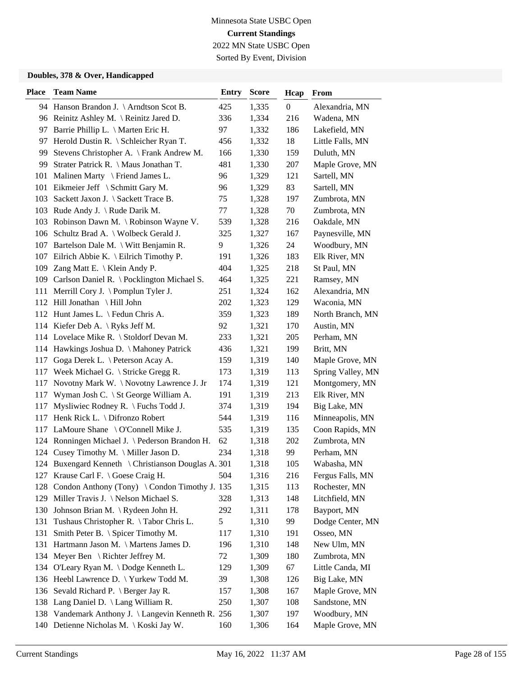Sorted By Event, Division

| <b>Place</b> | <b>Team Name</b>                                    | Entry | <b>Score</b> | Hcap             | From              |
|--------------|-----------------------------------------------------|-------|--------------|------------------|-------------------|
|              | 94 Hanson Brandon J. \Arndtson Scot B.              | 425   | 1,335        | $\boldsymbol{0}$ | Alexandria, MN    |
|              | 96 Reinitz Ashley M. \ Reinitz Jared D.             | 336   | 1,334        | 216              | Wadena, MN        |
|              | 97 Barrie Phillip L. \ Marten Eric H.               | 97    | 1,332        | 186              | Lakefield, MN     |
| 97           | Herold Dustin R. $\setminus$ Schleicher Ryan T.     | 456   | 1,332        | 18               | Little Falls, MN  |
| 99           | Stevens Christopher A. \ Frank Andrew M.            | 166   | 1,330        | 159              | Duluth, MN        |
| 99           | Strater Patrick R. \ Maus Jonathan T.               | 481   | 1,330        | 207              | Maple Grove, MN   |
|              | 101 Malinen Marty \ Friend James L.                 | 96    | 1,329        | 121              | Sartell, MN       |
|              | 101 Eikmeier Jeff \ Schmitt Gary M.                 | 96    | 1,329        | 83               | Sartell, MN       |
|              | 103 Sackett Jaxon J. \ Sackett Trace B.             | 75    | 1,328        | 197              | Zumbrota, MN      |
|              | 103 Rude Andy J. \ Rude Darik M.                    | 77    | 1,328        | 70               | Zumbrota, MN      |
|              | 103 Robinson Dawn M. \Robinson Wayne V.             | 539   | 1,328        | 216              | Oakdale, MN       |
|              | 106 Schultz Brad A.   Wolbeck Gerald J.             | 325   | 1,327        | 167              | Paynesville, MN   |
| 107          | Bartelson Dale M. $\setminus$ Witt Benjamin R.      | 9     | 1,326        | 24               | Woodbury, MN      |
|              | 107 Eilrich Abbie K. \ Eilrich Timothy P.           | 191   | 1,326        | 183              | Elk River, MN     |
|              | 109 Zang Matt E. \ Klein Andy P.                    | 404   | 1,325        | 218              | St Paul, MN       |
|              | 109 Carlson Daniel R. \ Pocklington Michael S.      | 464   | 1,325        | 221              | Ramsey, MN        |
|              | 111 Merrill Cory J. \ Pomplun Tyler J.              | 251   | 1,324        | 162              | Alexandria, MN    |
|              | 112 Hill Jonathan \ Hill John                       | 202   | 1,323        | 129              | Waconia, MN       |
|              | 112 Hunt James L. \ Fedun Chris A.                  | 359   | 1,323        | 189              | North Branch, MN  |
|              | 114 Kiefer Deb A. \Ryks Jeff M.                     | 92    | 1,321        | 170              | Austin, MN        |
|              | 114 Lovelace Mike R. \ Stoldorf Devan M.            | 233   | 1,321        | 205              | Perham, MN        |
|              | 114 Hawkings Joshua D. \ Mahoney Patrick            | 436   | 1,321        | 199              | Britt, MN         |
| 117          | Goga Derek L. \ Peterson Acay A.                    | 159   | 1,319        | 140              | Maple Grove, MN   |
|              | 117 Week Michael G. \ Stricke Gregg R.              | 173   | 1,319        | 113              | Spring Valley, MN |
| 117          | Novotny Mark W. \Novotny Lawrence J. Jr             | 174   | 1,319        | 121              | Montgomery, MN    |
| 117          | Wyman Josh C. \ St George William A.                | 191   | 1,319        | 213              | Elk River, MN     |
| 117          | Mysliwiec Rodney R. \ Fuchs Todd J.                 | 374   | 1,319        | 194              | Big Lake, MN      |
|              | 117 Henk Rick L. \ Difronzo Robert                  | 544   | 1,319        | 116              | Minneapolis, MN   |
| 117          | LaMoure Shane $\setminus$ O'Connell Mike J.         | 535   | 1,319        | 135              | Coon Rapids, MN   |
|              | 124 Ronningen Michael J. \ Pederson Brandon H.      | 62    | 1,318        | 202              | Zumbrota, MN      |
|              | 124 Cusey Timothy M. \ Miller Jason D.              | 234   | 1,318        | 99               | Perham, MN        |
|              | 124 Buxengard Kenneth \ Christianson Douglas A. 301 |       | 1,318        | 105              | Wabasha, MN       |
|              | 127 Krause Carl F. \ Goese Craig H.                 | 504   | 1,316        | 216              | Fergus Falls, MN  |
| 128          | Condon Anthony (Tony) \ Condon Timothy J. 135       |       | 1,315        | 113              | Rochester, MN     |
| 129          | Miller Travis J. \Nelson Michael S.                 | 328   | 1,313        | 148              | Litchfield, MN    |
|              | 130 Johnson Brian M. \ Rydeen John H.               | 292   | 1,311        | 178              | Bayport, MN       |
| 131          | Tushaus Christopher R. \Tabor Chris L.              | 5     | 1,310        | 99               | Dodge Center, MN  |
| 131          | Smith Peter B. \ Spicer Timothy M.                  | 117   | 1,310        | 191              | Osseo, MN         |
| 131          | Hartmann Jason M. \ Martens James D.                | 196   | 1,310        | 148              | New Ulm, MN       |
|              | 134 Meyer Ben \ Richter Jeffrey M.                  | 72    | 1,309        | 180              | Zumbrota, MN      |
| 134          | O'Leary Ryan M. \Dodge Kenneth L.                   | 129   | 1,309        | 67               | Little Canda, MI  |
|              | 136 Heebl Lawrence D. \ Yurkew Todd M.              | 39    | 1,308        | 126              | Big Lake, MN      |
|              | 136 Sevald Richard P. \ Berger Jay R.               | 157   | 1,308        | 167              | Maple Grove, MN   |
|              | 138 Lang Daniel D. \ Lang William R.                | 250   | 1,307        | 108              | Sandstone, MN     |
|              | 138 Vandemark Anthony J. \ Langevin Kenneth R. 256  |       | 1,307        | 197              | Woodbury, MN      |
|              | 140 Detienne Nicholas M. \ Koski Jay W.             | 160   | 1,306        | 164              | Maple Grove, MN   |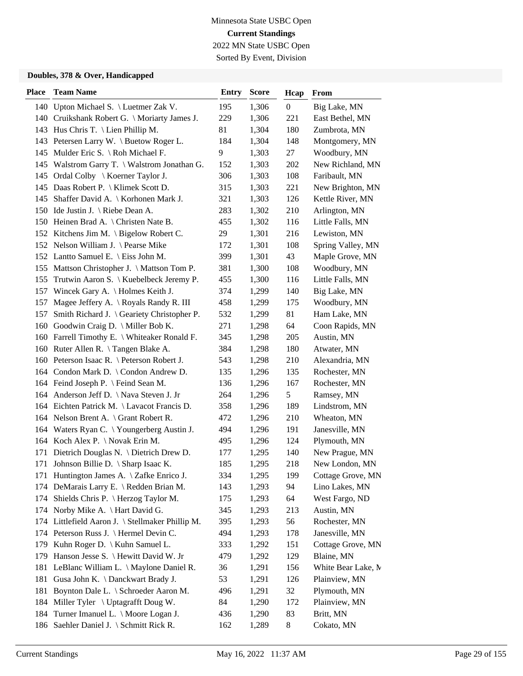Sorted By Event, Division

| 140 Upton Michael S. \ Luetmer Zak V.<br>195<br>1,306<br>$\boldsymbol{0}$<br>Big Lake, MN<br>140 Cruikshank Robert G. \ Moriarty James J.<br>229<br>1,306<br>221<br>East Bethel, MN<br>143 Hus Chris T. \ Lien Phillip M.<br>81<br>1,304<br>180<br>Zumbrota, MN<br>1,304<br>143 Petersen Larry W. \ Buetow Roger L.<br>184<br>148<br>Montgomery, MN<br>1,303<br>145 Mulder Eric S. \Roh Michael F.<br>9<br>27<br>Woodbury, MN<br>1,303<br>New Richland, MN<br>145 Walstrom Garry T. \ Walstrom Jonathan G.<br>152<br>202<br>1,303<br>108<br>Faribault, MN<br>145 Ordal Colby \ Koerner Taylor J.<br>306<br>145 Daas Robert P. \ Klimek Scott D.<br>1,303<br>221<br>315<br>New Brighton, MN<br>1,303<br>145 Shaffer David A.   Korhonen Mark J.<br>126<br>Kettle River, MN<br>321<br>Arlington, MN<br>150 Ide Justin J. \ Riebe Dean A.<br>283<br>1,302<br>210<br>116<br>150 Heinen Brad A. \ Christen Nate B.<br>455<br>1,302<br>Little Falls, MN<br>1,301<br>216<br>Lewiston, MN<br>152 Kitchens Jim M. \ Bigelow Robert C.<br>29<br>1,301<br>152 Nelson William J. \ Pearse Mike<br>172<br>108<br>Spring Valley, MN<br>Maple Grove, MN<br>152 Lantto Samuel E. \ Eiss John M.<br>399<br>1,301<br>43<br>155 Mattson Christopher J. \ Mattson Tom P.<br>381<br>1,300<br>108<br>Woodbury, MN<br>1,300<br>155 Trutwin Aaron S. \ Kuebelbeck Jeremy P.<br>455<br>116<br>Little Falls, MN<br>157 Wincek Gary A. \ Holmes Keith J.<br>374<br>1,299<br>140<br>Big Lake, MN<br>Magee Jeffery A. \ Royals Randy R. III<br>458<br>1,299<br>175<br>Woodbury, MN<br>157<br>81<br>Smith Richard J. \ Geariety Christopher P.<br>532<br>1,299<br>Ham Lake, MN<br>157<br>160 Goodwin Craig D. \ Miller Bob K.<br>271<br>1,298<br>64<br>Coon Rapids, MN<br>1,298<br>Austin, MN<br>160 Farrell Timothy E. \ Whiteaker Ronald F.<br>205<br>345<br>160 Ruter Allen R. \Tangen Blake A.<br>384<br>1,298<br>180<br>Atwater, MN<br>160 Peterson Isaac R. \ Peterson Robert J.<br>1,298<br>210<br>Alexandria, MN<br>543<br>164 Condon Mark D. \ Condon Andrew D.<br>135<br>1,296<br>135<br>Rochester, MN<br>164 Feind Joseph P. \ Feind Sean M.<br>136<br>1,296<br>167<br>Rochester, MN<br>164 Anderson Jeff D. \ Nava Steven J. Jr<br>264<br>1,296<br>5<br>Ramsey, MN<br>Lindstrom, MN<br>164 Eichten Patrick M. \Lavacot Francis D.<br>358<br>1,296<br>189<br>Wheaton, MN<br>164 Nelson Brent A. \ Grant Robert R.<br>472<br>1,296<br>210<br>164 Waters Ryan C. \Youngerberg Austin J.<br>494<br>1,296<br>191<br>Janesville, MN<br>164 Koch Alex P. \Novak Erin M.<br>495<br>1,296<br>124<br>Plymouth, MN<br>Dietrich Douglas N. \ Dietrich Drew D.<br>177<br>1,295<br>140<br>New Prague, MN<br>171<br>185<br>1,295<br>171 Johnson Billie D. \ Sharp Isaac K.<br>218<br>New London, MN<br>1,295<br>171 Huntington James A. \ Zafke Enrico J.<br>334<br>199<br>Cottage Grove, MN<br>DeMarais Larry E. \ Redden Brian M.<br>1,293<br>Lino Lakes, MN<br>143<br>94<br>174<br>Shields Chris P. \ Herzog Taylor M.<br>175<br>1,293<br>64<br>West Fargo, ND<br>174<br>174 Norby Mike A. \ Hart David G.<br>1,293<br>Austin, MN<br>345<br>213<br>174 Littlefield Aaron J. \ Stellmaker Phillip M.<br>395<br>1,293<br>56<br>Rochester, MN<br>174 Peterson Russ J. \ Hermel Devin C.<br>494<br>1,293<br>178<br>Janesville, MN<br>Kuhn Roger D.   Kuhn Samuel L.<br>151<br>333<br>1,292<br>Cottage Grove, MN<br>179<br>Hanson Jesse S. \ Hewitt David W. Jr<br>1,292<br>Blaine, MN<br>479<br>129<br>179<br>LeBlanc William L. \ Maylone Daniel R.<br>1,291<br>White Bear Lake, M<br>156<br>181<br>36<br>Gusa John K. \ Danckwart Brady J.<br>Plainview, MN<br>181<br>53<br>1,291<br>126<br>Boynton Dale L. \ Schroeder Aaron M.<br>32<br>181<br>1,291<br>Plymouth, MN<br>496<br>184 Miller Tyler \ Uptagrafft Doug W.<br>1,290<br>Plainview, MN<br>84<br>172<br>184 Turner Imanuel L. \ Moore Logan J.<br>436<br>1,290<br>83<br>Britt, MN<br>186 Saehler Daniel J. \ Schmitt Rick R.<br>162<br>1,289<br>8<br>Cokato, MN | <b>Place</b> | <b>Team Name</b> | <b>Entry</b> | <b>Score</b> | Hcap | From |
|------------------------------------------------------------------------------------------------------------------------------------------------------------------------------------------------------------------------------------------------------------------------------------------------------------------------------------------------------------------------------------------------------------------------------------------------------------------------------------------------------------------------------------------------------------------------------------------------------------------------------------------------------------------------------------------------------------------------------------------------------------------------------------------------------------------------------------------------------------------------------------------------------------------------------------------------------------------------------------------------------------------------------------------------------------------------------------------------------------------------------------------------------------------------------------------------------------------------------------------------------------------------------------------------------------------------------------------------------------------------------------------------------------------------------------------------------------------------------------------------------------------------------------------------------------------------------------------------------------------------------------------------------------------------------------------------------------------------------------------------------------------------------------------------------------------------------------------------------------------------------------------------------------------------------------------------------------------------------------------------------------------------------------------------------------------------------------------------------------------------------------------------------------------------------------------------------------------------------------------------------------------------------------------------------------------------------------------------------------------------------------------------------------------------------------------------------------------------------------------------------------------------------------------------------------------------------------------------------------------------------------------------------------------------------------------------------------------------------------------------------------------------------------------------------------------------------------------------------------------------------------------------------------------------------------------------------------------------------------------------------------------------------------------------------------------------------------------------------------------------------------------------------------------------------------------------------------------------------------------------------------------------------------------------------------------------------------------------------------------------------------------------------------------------------------------------------------------------------------------------------------------------------------------------------------------------------------------------------------------------------------------------------------------------------------------------------------------------------------------------------------------------------------------------------------------------------------------------------------------------------------------------------------------------------------------------------------------------------------------|--------------|------------------|--------------|--------------|------|------|
|                                                                                                                                                                                                                                                                                                                                                                                                                                                                                                                                                                                                                                                                                                                                                                                                                                                                                                                                                                                                                                                                                                                                                                                                                                                                                                                                                                                                                                                                                                                                                                                                                                                                                                                                                                                                                                                                                                                                                                                                                                                                                                                                                                                                                                                                                                                                                                                                                                                                                                                                                                                                                                                                                                                                                                                                                                                                                                                                                                                                                                                                                                                                                                                                                                                                                                                                                                                                                                                                                                                                                                                                                                                                                                                                                                                                                                                                                                                                                                                          |              |                  |              |              |      |      |
|                                                                                                                                                                                                                                                                                                                                                                                                                                                                                                                                                                                                                                                                                                                                                                                                                                                                                                                                                                                                                                                                                                                                                                                                                                                                                                                                                                                                                                                                                                                                                                                                                                                                                                                                                                                                                                                                                                                                                                                                                                                                                                                                                                                                                                                                                                                                                                                                                                                                                                                                                                                                                                                                                                                                                                                                                                                                                                                                                                                                                                                                                                                                                                                                                                                                                                                                                                                                                                                                                                                                                                                                                                                                                                                                                                                                                                                                                                                                                                                          |              |                  |              |              |      |      |
|                                                                                                                                                                                                                                                                                                                                                                                                                                                                                                                                                                                                                                                                                                                                                                                                                                                                                                                                                                                                                                                                                                                                                                                                                                                                                                                                                                                                                                                                                                                                                                                                                                                                                                                                                                                                                                                                                                                                                                                                                                                                                                                                                                                                                                                                                                                                                                                                                                                                                                                                                                                                                                                                                                                                                                                                                                                                                                                                                                                                                                                                                                                                                                                                                                                                                                                                                                                                                                                                                                                                                                                                                                                                                                                                                                                                                                                                                                                                                                                          |              |                  |              |              |      |      |
|                                                                                                                                                                                                                                                                                                                                                                                                                                                                                                                                                                                                                                                                                                                                                                                                                                                                                                                                                                                                                                                                                                                                                                                                                                                                                                                                                                                                                                                                                                                                                                                                                                                                                                                                                                                                                                                                                                                                                                                                                                                                                                                                                                                                                                                                                                                                                                                                                                                                                                                                                                                                                                                                                                                                                                                                                                                                                                                                                                                                                                                                                                                                                                                                                                                                                                                                                                                                                                                                                                                                                                                                                                                                                                                                                                                                                                                                                                                                                                                          |              |                  |              |              |      |      |
|                                                                                                                                                                                                                                                                                                                                                                                                                                                                                                                                                                                                                                                                                                                                                                                                                                                                                                                                                                                                                                                                                                                                                                                                                                                                                                                                                                                                                                                                                                                                                                                                                                                                                                                                                                                                                                                                                                                                                                                                                                                                                                                                                                                                                                                                                                                                                                                                                                                                                                                                                                                                                                                                                                                                                                                                                                                                                                                                                                                                                                                                                                                                                                                                                                                                                                                                                                                                                                                                                                                                                                                                                                                                                                                                                                                                                                                                                                                                                                                          |              |                  |              |              |      |      |
|                                                                                                                                                                                                                                                                                                                                                                                                                                                                                                                                                                                                                                                                                                                                                                                                                                                                                                                                                                                                                                                                                                                                                                                                                                                                                                                                                                                                                                                                                                                                                                                                                                                                                                                                                                                                                                                                                                                                                                                                                                                                                                                                                                                                                                                                                                                                                                                                                                                                                                                                                                                                                                                                                                                                                                                                                                                                                                                                                                                                                                                                                                                                                                                                                                                                                                                                                                                                                                                                                                                                                                                                                                                                                                                                                                                                                                                                                                                                                                                          |              |                  |              |              |      |      |
|                                                                                                                                                                                                                                                                                                                                                                                                                                                                                                                                                                                                                                                                                                                                                                                                                                                                                                                                                                                                                                                                                                                                                                                                                                                                                                                                                                                                                                                                                                                                                                                                                                                                                                                                                                                                                                                                                                                                                                                                                                                                                                                                                                                                                                                                                                                                                                                                                                                                                                                                                                                                                                                                                                                                                                                                                                                                                                                                                                                                                                                                                                                                                                                                                                                                                                                                                                                                                                                                                                                                                                                                                                                                                                                                                                                                                                                                                                                                                                                          |              |                  |              |              |      |      |
|                                                                                                                                                                                                                                                                                                                                                                                                                                                                                                                                                                                                                                                                                                                                                                                                                                                                                                                                                                                                                                                                                                                                                                                                                                                                                                                                                                                                                                                                                                                                                                                                                                                                                                                                                                                                                                                                                                                                                                                                                                                                                                                                                                                                                                                                                                                                                                                                                                                                                                                                                                                                                                                                                                                                                                                                                                                                                                                                                                                                                                                                                                                                                                                                                                                                                                                                                                                                                                                                                                                                                                                                                                                                                                                                                                                                                                                                                                                                                                                          |              |                  |              |              |      |      |
|                                                                                                                                                                                                                                                                                                                                                                                                                                                                                                                                                                                                                                                                                                                                                                                                                                                                                                                                                                                                                                                                                                                                                                                                                                                                                                                                                                                                                                                                                                                                                                                                                                                                                                                                                                                                                                                                                                                                                                                                                                                                                                                                                                                                                                                                                                                                                                                                                                                                                                                                                                                                                                                                                                                                                                                                                                                                                                                                                                                                                                                                                                                                                                                                                                                                                                                                                                                                                                                                                                                                                                                                                                                                                                                                                                                                                                                                                                                                                                                          |              |                  |              |              |      |      |
|                                                                                                                                                                                                                                                                                                                                                                                                                                                                                                                                                                                                                                                                                                                                                                                                                                                                                                                                                                                                                                                                                                                                                                                                                                                                                                                                                                                                                                                                                                                                                                                                                                                                                                                                                                                                                                                                                                                                                                                                                                                                                                                                                                                                                                                                                                                                                                                                                                                                                                                                                                                                                                                                                                                                                                                                                                                                                                                                                                                                                                                                                                                                                                                                                                                                                                                                                                                                                                                                                                                                                                                                                                                                                                                                                                                                                                                                                                                                                                                          |              |                  |              |              |      |      |
|                                                                                                                                                                                                                                                                                                                                                                                                                                                                                                                                                                                                                                                                                                                                                                                                                                                                                                                                                                                                                                                                                                                                                                                                                                                                                                                                                                                                                                                                                                                                                                                                                                                                                                                                                                                                                                                                                                                                                                                                                                                                                                                                                                                                                                                                                                                                                                                                                                                                                                                                                                                                                                                                                                                                                                                                                                                                                                                                                                                                                                                                                                                                                                                                                                                                                                                                                                                                                                                                                                                                                                                                                                                                                                                                                                                                                                                                                                                                                                                          |              |                  |              |              |      |      |
|                                                                                                                                                                                                                                                                                                                                                                                                                                                                                                                                                                                                                                                                                                                                                                                                                                                                                                                                                                                                                                                                                                                                                                                                                                                                                                                                                                                                                                                                                                                                                                                                                                                                                                                                                                                                                                                                                                                                                                                                                                                                                                                                                                                                                                                                                                                                                                                                                                                                                                                                                                                                                                                                                                                                                                                                                                                                                                                                                                                                                                                                                                                                                                                                                                                                                                                                                                                                                                                                                                                                                                                                                                                                                                                                                                                                                                                                                                                                                                                          |              |                  |              |              |      |      |
|                                                                                                                                                                                                                                                                                                                                                                                                                                                                                                                                                                                                                                                                                                                                                                                                                                                                                                                                                                                                                                                                                                                                                                                                                                                                                                                                                                                                                                                                                                                                                                                                                                                                                                                                                                                                                                                                                                                                                                                                                                                                                                                                                                                                                                                                                                                                                                                                                                                                                                                                                                                                                                                                                                                                                                                                                                                                                                                                                                                                                                                                                                                                                                                                                                                                                                                                                                                                                                                                                                                                                                                                                                                                                                                                                                                                                                                                                                                                                                                          |              |                  |              |              |      |      |
|                                                                                                                                                                                                                                                                                                                                                                                                                                                                                                                                                                                                                                                                                                                                                                                                                                                                                                                                                                                                                                                                                                                                                                                                                                                                                                                                                                                                                                                                                                                                                                                                                                                                                                                                                                                                                                                                                                                                                                                                                                                                                                                                                                                                                                                                                                                                                                                                                                                                                                                                                                                                                                                                                                                                                                                                                                                                                                                                                                                                                                                                                                                                                                                                                                                                                                                                                                                                                                                                                                                                                                                                                                                                                                                                                                                                                                                                                                                                                                                          |              |                  |              |              |      |      |
|                                                                                                                                                                                                                                                                                                                                                                                                                                                                                                                                                                                                                                                                                                                                                                                                                                                                                                                                                                                                                                                                                                                                                                                                                                                                                                                                                                                                                                                                                                                                                                                                                                                                                                                                                                                                                                                                                                                                                                                                                                                                                                                                                                                                                                                                                                                                                                                                                                                                                                                                                                                                                                                                                                                                                                                                                                                                                                                                                                                                                                                                                                                                                                                                                                                                                                                                                                                                                                                                                                                                                                                                                                                                                                                                                                                                                                                                                                                                                                                          |              |                  |              |              |      |      |
|                                                                                                                                                                                                                                                                                                                                                                                                                                                                                                                                                                                                                                                                                                                                                                                                                                                                                                                                                                                                                                                                                                                                                                                                                                                                                                                                                                                                                                                                                                                                                                                                                                                                                                                                                                                                                                                                                                                                                                                                                                                                                                                                                                                                                                                                                                                                                                                                                                                                                                                                                                                                                                                                                                                                                                                                                                                                                                                                                                                                                                                                                                                                                                                                                                                                                                                                                                                                                                                                                                                                                                                                                                                                                                                                                                                                                                                                                                                                                                                          |              |                  |              |              |      |      |
|                                                                                                                                                                                                                                                                                                                                                                                                                                                                                                                                                                                                                                                                                                                                                                                                                                                                                                                                                                                                                                                                                                                                                                                                                                                                                                                                                                                                                                                                                                                                                                                                                                                                                                                                                                                                                                                                                                                                                                                                                                                                                                                                                                                                                                                                                                                                                                                                                                                                                                                                                                                                                                                                                                                                                                                                                                                                                                                                                                                                                                                                                                                                                                                                                                                                                                                                                                                                                                                                                                                                                                                                                                                                                                                                                                                                                                                                                                                                                                                          |              |                  |              |              |      |      |
|                                                                                                                                                                                                                                                                                                                                                                                                                                                                                                                                                                                                                                                                                                                                                                                                                                                                                                                                                                                                                                                                                                                                                                                                                                                                                                                                                                                                                                                                                                                                                                                                                                                                                                                                                                                                                                                                                                                                                                                                                                                                                                                                                                                                                                                                                                                                                                                                                                                                                                                                                                                                                                                                                                                                                                                                                                                                                                                                                                                                                                                                                                                                                                                                                                                                                                                                                                                                                                                                                                                                                                                                                                                                                                                                                                                                                                                                                                                                                                                          |              |                  |              |              |      |      |
|                                                                                                                                                                                                                                                                                                                                                                                                                                                                                                                                                                                                                                                                                                                                                                                                                                                                                                                                                                                                                                                                                                                                                                                                                                                                                                                                                                                                                                                                                                                                                                                                                                                                                                                                                                                                                                                                                                                                                                                                                                                                                                                                                                                                                                                                                                                                                                                                                                                                                                                                                                                                                                                                                                                                                                                                                                                                                                                                                                                                                                                                                                                                                                                                                                                                                                                                                                                                                                                                                                                                                                                                                                                                                                                                                                                                                                                                                                                                                                                          |              |                  |              |              |      |      |
|                                                                                                                                                                                                                                                                                                                                                                                                                                                                                                                                                                                                                                                                                                                                                                                                                                                                                                                                                                                                                                                                                                                                                                                                                                                                                                                                                                                                                                                                                                                                                                                                                                                                                                                                                                                                                                                                                                                                                                                                                                                                                                                                                                                                                                                                                                                                                                                                                                                                                                                                                                                                                                                                                                                                                                                                                                                                                                                                                                                                                                                                                                                                                                                                                                                                                                                                                                                                                                                                                                                                                                                                                                                                                                                                                                                                                                                                                                                                                                                          |              |                  |              |              |      |      |
|                                                                                                                                                                                                                                                                                                                                                                                                                                                                                                                                                                                                                                                                                                                                                                                                                                                                                                                                                                                                                                                                                                                                                                                                                                                                                                                                                                                                                                                                                                                                                                                                                                                                                                                                                                                                                                                                                                                                                                                                                                                                                                                                                                                                                                                                                                                                                                                                                                                                                                                                                                                                                                                                                                                                                                                                                                                                                                                                                                                                                                                                                                                                                                                                                                                                                                                                                                                                                                                                                                                                                                                                                                                                                                                                                                                                                                                                                                                                                                                          |              |                  |              |              |      |      |
|                                                                                                                                                                                                                                                                                                                                                                                                                                                                                                                                                                                                                                                                                                                                                                                                                                                                                                                                                                                                                                                                                                                                                                                                                                                                                                                                                                                                                                                                                                                                                                                                                                                                                                                                                                                                                                                                                                                                                                                                                                                                                                                                                                                                                                                                                                                                                                                                                                                                                                                                                                                                                                                                                                                                                                                                                                                                                                                                                                                                                                                                                                                                                                                                                                                                                                                                                                                                                                                                                                                                                                                                                                                                                                                                                                                                                                                                                                                                                                                          |              |                  |              |              |      |      |
|                                                                                                                                                                                                                                                                                                                                                                                                                                                                                                                                                                                                                                                                                                                                                                                                                                                                                                                                                                                                                                                                                                                                                                                                                                                                                                                                                                                                                                                                                                                                                                                                                                                                                                                                                                                                                                                                                                                                                                                                                                                                                                                                                                                                                                                                                                                                                                                                                                                                                                                                                                                                                                                                                                                                                                                                                                                                                                                                                                                                                                                                                                                                                                                                                                                                                                                                                                                                                                                                                                                                                                                                                                                                                                                                                                                                                                                                                                                                                                                          |              |                  |              |              |      |      |
|                                                                                                                                                                                                                                                                                                                                                                                                                                                                                                                                                                                                                                                                                                                                                                                                                                                                                                                                                                                                                                                                                                                                                                                                                                                                                                                                                                                                                                                                                                                                                                                                                                                                                                                                                                                                                                                                                                                                                                                                                                                                                                                                                                                                                                                                                                                                                                                                                                                                                                                                                                                                                                                                                                                                                                                                                                                                                                                                                                                                                                                                                                                                                                                                                                                                                                                                                                                                                                                                                                                                                                                                                                                                                                                                                                                                                                                                                                                                                                                          |              |                  |              |              |      |      |
|                                                                                                                                                                                                                                                                                                                                                                                                                                                                                                                                                                                                                                                                                                                                                                                                                                                                                                                                                                                                                                                                                                                                                                                                                                                                                                                                                                                                                                                                                                                                                                                                                                                                                                                                                                                                                                                                                                                                                                                                                                                                                                                                                                                                                                                                                                                                                                                                                                                                                                                                                                                                                                                                                                                                                                                                                                                                                                                                                                                                                                                                                                                                                                                                                                                                                                                                                                                                                                                                                                                                                                                                                                                                                                                                                                                                                                                                                                                                                                                          |              |                  |              |              |      |      |
|                                                                                                                                                                                                                                                                                                                                                                                                                                                                                                                                                                                                                                                                                                                                                                                                                                                                                                                                                                                                                                                                                                                                                                                                                                                                                                                                                                                                                                                                                                                                                                                                                                                                                                                                                                                                                                                                                                                                                                                                                                                                                                                                                                                                                                                                                                                                                                                                                                                                                                                                                                                                                                                                                                                                                                                                                                                                                                                                                                                                                                                                                                                                                                                                                                                                                                                                                                                                                                                                                                                                                                                                                                                                                                                                                                                                                                                                                                                                                                                          |              |                  |              |              |      |      |
|                                                                                                                                                                                                                                                                                                                                                                                                                                                                                                                                                                                                                                                                                                                                                                                                                                                                                                                                                                                                                                                                                                                                                                                                                                                                                                                                                                                                                                                                                                                                                                                                                                                                                                                                                                                                                                                                                                                                                                                                                                                                                                                                                                                                                                                                                                                                                                                                                                                                                                                                                                                                                                                                                                                                                                                                                                                                                                                                                                                                                                                                                                                                                                                                                                                                                                                                                                                                                                                                                                                                                                                                                                                                                                                                                                                                                                                                                                                                                                                          |              |                  |              |              |      |      |
|                                                                                                                                                                                                                                                                                                                                                                                                                                                                                                                                                                                                                                                                                                                                                                                                                                                                                                                                                                                                                                                                                                                                                                                                                                                                                                                                                                                                                                                                                                                                                                                                                                                                                                                                                                                                                                                                                                                                                                                                                                                                                                                                                                                                                                                                                                                                                                                                                                                                                                                                                                                                                                                                                                                                                                                                                                                                                                                                                                                                                                                                                                                                                                                                                                                                                                                                                                                                                                                                                                                                                                                                                                                                                                                                                                                                                                                                                                                                                                                          |              |                  |              |              |      |      |
|                                                                                                                                                                                                                                                                                                                                                                                                                                                                                                                                                                                                                                                                                                                                                                                                                                                                                                                                                                                                                                                                                                                                                                                                                                                                                                                                                                                                                                                                                                                                                                                                                                                                                                                                                                                                                                                                                                                                                                                                                                                                                                                                                                                                                                                                                                                                                                                                                                                                                                                                                                                                                                                                                                                                                                                                                                                                                                                                                                                                                                                                                                                                                                                                                                                                                                                                                                                                                                                                                                                                                                                                                                                                                                                                                                                                                                                                                                                                                                                          |              |                  |              |              |      |      |
|                                                                                                                                                                                                                                                                                                                                                                                                                                                                                                                                                                                                                                                                                                                                                                                                                                                                                                                                                                                                                                                                                                                                                                                                                                                                                                                                                                                                                                                                                                                                                                                                                                                                                                                                                                                                                                                                                                                                                                                                                                                                                                                                                                                                                                                                                                                                                                                                                                                                                                                                                                                                                                                                                                                                                                                                                                                                                                                                                                                                                                                                                                                                                                                                                                                                                                                                                                                                                                                                                                                                                                                                                                                                                                                                                                                                                                                                                                                                                                                          |              |                  |              |              |      |      |
|                                                                                                                                                                                                                                                                                                                                                                                                                                                                                                                                                                                                                                                                                                                                                                                                                                                                                                                                                                                                                                                                                                                                                                                                                                                                                                                                                                                                                                                                                                                                                                                                                                                                                                                                                                                                                                                                                                                                                                                                                                                                                                                                                                                                                                                                                                                                                                                                                                                                                                                                                                                                                                                                                                                                                                                                                                                                                                                                                                                                                                                                                                                                                                                                                                                                                                                                                                                                                                                                                                                                                                                                                                                                                                                                                                                                                                                                                                                                                                                          |              |                  |              |              |      |      |
|                                                                                                                                                                                                                                                                                                                                                                                                                                                                                                                                                                                                                                                                                                                                                                                                                                                                                                                                                                                                                                                                                                                                                                                                                                                                                                                                                                                                                                                                                                                                                                                                                                                                                                                                                                                                                                                                                                                                                                                                                                                                                                                                                                                                                                                                                                                                                                                                                                                                                                                                                                                                                                                                                                                                                                                                                                                                                                                                                                                                                                                                                                                                                                                                                                                                                                                                                                                                                                                                                                                                                                                                                                                                                                                                                                                                                                                                                                                                                                                          |              |                  |              |              |      |      |
|                                                                                                                                                                                                                                                                                                                                                                                                                                                                                                                                                                                                                                                                                                                                                                                                                                                                                                                                                                                                                                                                                                                                                                                                                                                                                                                                                                                                                                                                                                                                                                                                                                                                                                                                                                                                                                                                                                                                                                                                                                                                                                                                                                                                                                                                                                                                                                                                                                                                                                                                                                                                                                                                                                                                                                                                                                                                                                                                                                                                                                                                                                                                                                                                                                                                                                                                                                                                                                                                                                                                                                                                                                                                                                                                                                                                                                                                                                                                                                                          |              |                  |              |              |      |      |
|                                                                                                                                                                                                                                                                                                                                                                                                                                                                                                                                                                                                                                                                                                                                                                                                                                                                                                                                                                                                                                                                                                                                                                                                                                                                                                                                                                                                                                                                                                                                                                                                                                                                                                                                                                                                                                                                                                                                                                                                                                                                                                                                                                                                                                                                                                                                                                                                                                                                                                                                                                                                                                                                                                                                                                                                                                                                                                                                                                                                                                                                                                                                                                                                                                                                                                                                                                                                                                                                                                                                                                                                                                                                                                                                                                                                                                                                                                                                                                                          |              |                  |              |              |      |      |
|                                                                                                                                                                                                                                                                                                                                                                                                                                                                                                                                                                                                                                                                                                                                                                                                                                                                                                                                                                                                                                                                                                                                                                                                                                                                                                                                                                                                                                                                                                                                                                                                                                                                                                                                                                                                                                                                                                                                                                                                                                                                                                                                                                                                                                                                                                                                                                                                                                                                                                                                                                                                                                                                                                                                                                                                                                                                                                                                                                                                                                                                                                                                                                                                                                                                                                                                                                                                                                                                                                                                                                                                                                                                                                                                                                                                                                                                                                                                                                                          |              |                  |              |              |      |      |
|                                                                                                                                                                                                                                                                                                                                                                                                                                                                                                                                                                                                                                                                                                                                                                                                                                                                                                                                                                                                                                                                                                                                                                                                                                                                                                                                                                                                                                                                                                                                                                                                                                                                                                                                                                                                                                                                                                                                                                                                                                                                                                                                                                                                                                                                                                                                                                                                                                                                                                                                                                                                                                                                                                                                                                                                                                                                                                                                                                                                                                                                                                                                                                                                                                                                                                                                                                                                                                                                                                                                                                                                                                                                                                                                                                                                                                                                                                                                                                                          |              |                  |              |              |      |      |
|                                                                                                                                                                                                                                                                                                                                                                                                                                                                                                                                                                                                                                                                                                                                                                                                                                                                                                                                                                                                                                                                                                                                                                                                                                                                                                                                                                                                                                                                                                                                                                                                                                                                                                                                                                                                                                                                                                                                                                                                                                                                                                                                                                                                                                                                                                                                                                                                                                                                                                                                                                                                                                                                                                                                                                                                                                                                                                                                                                                                                                                                                                                                                                                                                                                                                                                                                                                                                                                                                                                                                                                                                                                                                                                                                                                                                                                                                                                                                                                          |              |                  |              |              |      |      |
|                                                                                                                                                                                                                                                                                                                                                                                                                                                                                                                                                                                                                                                                                                                                                                                                                                                                                                                                                                                                                                                                                                                                                                                                                                                                                                                                                                                                                                                                                                                                                                                                                                                                                                                                                                                                                                                                                                                                                                                                                                                                                                                                                                                                                                                                                                                                                                                                                                                                                                                                                                                                                                                                                                                                                                                                                                                                                                                                                                                                                                                                                                                                                                                                                                                                                                                                                                                                                                                                                                                                                                                                                                                                                                                                                                                                                                                                                                                                                                                          |              |                  |              |              |      |      |
|                                                                                                                                                                                                                                                                                                                                                                                                                                                                                                                                                                                                                                                                                                                                                                                                                                                                                                                                                                                                                                                                                                                                                                                                                                                                                                                                                                                                                                                                                                                                                                                                                                                                                                                                                                                                                                                                                                                                                                                                                                                                                                                                                                                                                                                                                                                                                                                                                                                                                                                                                                                                                                                                                                                                                                                                                                                                                                                                                                                                                                                                                                                                                                                                                                                                                                                                                                                                                                                                                                                                                                                                                                                                                                                                                                                                                                                                                                                                                                                          |              |                  |              |              |      |      |
|                                                                                                                                                                                                                                                                                                                                                                                                                                                                                                                                                                                                                                                                                                                                                                                                                                                                                                                                                                                                                                                                                                                                                                                                                                                                                                                                                                                                                                                                                                                                                                                                                                                                                                                                                                                                                                                                                                                                                                                                                                                                                                                                                                                                                                                                                                                                                                                                                                                                                                                                                                                                                                                                                                                                                                                                                                                                                                                                                                                                                                                                                                                                                                                                                                                                                                                                                                                                                                                                                                                                                                                                                                                                                                                                                                                                                                                                                                                                                                                          |              |                  |              |              |      |      |
|                                                                                                                                                                                                                                                                                                                                                                                                                                                                                                                                                                                                                                                                                                                                                                                                                                                                                                                                                                                                                                                                                                                                                                                                                                                                                                                                                                                                                                                                                                                                                                                                                                                                                                                                                                                                                                                                                                                                                                                                                                                                                                                                                                                                                                                                                                                                                                                                                                                                                                                                                                                                                                                                                                                                                                                                                                                                                                                                                                                                                                                                                                                                                                                                                                                                                                                                                                                                                                                                                                                                                                                                                                                                                                                                                                                                                                                                                                                                                                                          |              |                  |              |              |      |      |
|                                                                                                                                                                                                                                                                                                                                                                                                                                                                                                                                                                                                                                                                                                                                                                                                                                                                                                                                                                                                                                                                                                                                                                                                                                                                                                                                                                                                                                                                                                                                                                                                                                                                                                                                                                                                                                                                                                                                                                                                                                                                                                                                                                                                                                                                                                                                                                                                                                                                                                                                                                                                                                                                                                                                                                                                                                                                                                                                                                                                                                                                                                                                                                                                                                                                                                                                                                                                                                                                                                                                                                                                                                                                                                                                                                                                                                                                                                                                                                                          |              |                  |              |              |      |      |
|                                                                                                                                                                                                                                                                                                                                                                                                                                                                                                                                                                                                                                                                                                                                                                                                                                                                                                                                                                                                                                                                                                                                                                                                                                                                                                                                                                                                                                                                                                                                                                                                                                                                                                                                                                                                                                                                                                                                                                                                                                                                                                                                                                                                                                                                                                                                                                                                                                                                                                                                                                                                                                                                                                                                                                                                                                                                                                                                                                                                                                                                                                                                                                                                                                                                                                                                                                                                                                                                                                                                                                                                                                                                                                                                                                                                                                                                                                                                                                                          |              |                  |              |              |      |      |
|                                                                                                                                                                                                                                                                                                                                                                                                                                                                                                                                                                                                                                                                                                                                                                                                                                                                                                                                                                                                                                                                                                                                                                                                                                                                                                                                                                                                                                                                                                                                                                                                                                                                                                                                                                                                                                                                                                                                                                                                                                                                                                                                                                                                                                                                                                                                                                                                                                                                                                                                                                                                                                                                                                                                                                                                                                                                                                                                                                                                                                                                                                                                                                                                                                                                                                                                                                                                                                                                                                                                                                                                                                                                                                                                                                                                                                                                                                                                                                                          |              |                  |              |              |      |      |
|                                                                                                                                                                                                                                                                                                                                                                                                                                                                                                                                                                                                                                                                                                                                                                                                                                                                                                                                                                                                                                                                                                                                                                                                                                                                                                                                                                                                                                                                                                                                                                                                                                                                                                                                                                                                                                                                                                                                                                                                                                                                                                                                                                                                                                                                                                                                                                                                                                                                                                                                                                                                                                                                                                                                                                                                                                                                                                                                                                                                                                                                                                                                                                                                                                                                                                                                                                                                                                                                                                                                                                                                                                                                                                                                                                                                                                                                                                                                                                                          |              |                  |              |              |      |      |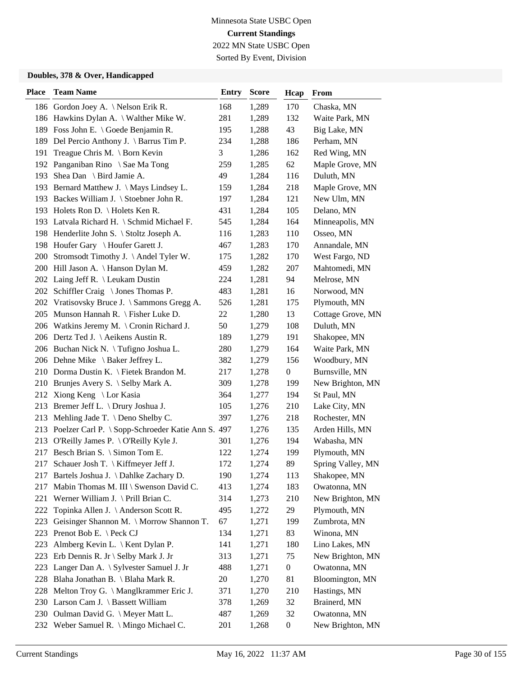Sorted By Event, Division

| <b>Place</b> | <b>Team Name</b>                                      | <b>Entry</b> | <b>Score</b> | Hcap             | From              |
|--------------|-------------------------------------------------------|--------------|--------------|------------------|-------------------|
|              | 186 Gordon Joey A. \ Nelson Erik R.                   | 168          | 1,289        | 170              | Chaska, MN        |
|              | 186 Hawkins Dylan A. \ Walther Mike W.                | 281          | 1,289        | 132              | Waite Park, MN    |
|              | 189 Foss John E. \ Goede Benjamin R.                  | 195          | 1,288        | 43               | Big Lake, MN      |
|              | 189 Del Percio Anthony J. \ Barrus Tim P.             | 234          | 1,288        | 186              | Perham, MN        |
| 191          | Treague Chris M. \ Born Kevin                         | 3            | 1,286        | 162              | Red Wing, MN      |
| 192          | Panganiban Rino \ Sae Ma Tong                         | 259          | 1,285        | 62               | Maple Grove, MN   |
| 193          | Shea Dan \ Bird Jamie A.                              | 49           | 1,284        | 116              | Duluth, MN        |
|              | 193 Bernard Matthew J. \ Mays Lindsey L.              | 159          | 1,284        | 218              | Maple Grove, MN   |
|              | 193 Backes William J. \ Stoebner John R.              | 197          | 1,284        | 121              | New Ulm, MN       |
|              | 193 Holets Ron D. \ Holets Ken R.                     | 431          | 1,284        | 105              | Delano, MN        |
|              | 193 Latvala Richard H. \ Schmid Michael F.            | 545          | 1,284        | 164              | Minneapolis, MN   |
|              | 198 Henderlite John S. \ Stoltz Joseph A.             | 116          | 1,283        | 110              | Osseo, MN         |
|              | 198 Houfer Gary \ Houfer Garett J.                    | 467          | 1,283        | 170              | Annandale, MN     |
|              | 200 Stromsodt Timothy J. \Andel Tyler W.              | 175          | 1,282        | 170              | West Fargo, ND    |
|              | 200 Hill Jason A. \ Hanson Dylan M.                   | 459          | 1,282        | 207              | Mahtomedi, MN     |
|              | 202 Laing Jeff R. \ Leukam Dustin                     | 224          | 1,281        | 94               | Melrose, MN       |
|              | 202 Schiffler Craig \ Jones Thomas P.                 | 483          | 1,281        | 16               | Norwood, MN       |
|              | 202 Vratisovsky Bruce J. \ Sammons Gregg A.           | 526          | 1,281        | 175              | Plymouth, MN      |
| 205          | Munson Hannah R. \ Fisher Luke D.                     | 22           | 1,280        | 13               | Cottage Grove, MN |
|              | 206 Watkins Jeremy M. \ Cronin Richard J.             | 50           | 1,279        | 108              | Duluth, MN        |
|              | 206 Dertz Ted J. \ Aeikens Austin R.                  | 189          | 1,279        | 191              | Shakopee, MN      |
|              | 206 Buchan Nick N. \Tufigno Joshua L.                 | 280          | 1,279        | 164              | Waite Park, MN    |
|              | 206 Dehne Mike \ Baker Jeffrey L.                     | 382          | 1,279        | 156              | Woodbury, MN      |
|              | 210 Dorma Dustin K. \ Fietek Brandon M.               | 217          | 1,278        | $\boldsymbol{0}$ | Burnsville, MN    |
|              | 210 Brunjes Avery S. \ Selby Mark A.                  | 309          | 1,278        | 199              | New Brighton, MN  |
| 212          | Xiong Keng \ Lor Kasia                                | 364          | 1,277        | 194              | St Paul, MN       |
| 213          | Bremer Jeff L. \ Drury Joshua J.                      | 105          | 1,276        | 210              | Lake City, MN     |
| 213          | Mehling Jade T. \ Deno Shelby C.                      | 397          | 1,276        | 218              | Rochester, MN     |
|              | 213 Poelzer Carl P. \ Sopp-Schroeder Katie Ann S. 497 |              | 1,276        | 135              | Arden Hills, MN   |
| 213          | O'Reilly James P. \O'Reilly Kyle J.                   | 301          | 1,276        | 194              | Wabasha, MN       |
|              | 217 Besch Brian S. \ Simon Tom E.                     | 122          | 1,274        | 199              | Plymouth, MN      |
| 217          | Schauer Josh T. \ Kiffmeyer Jeff J.                   | 172          | 1,274        | 89               | Spring Valley, MN |
|              | 217 Bartels Joshua J. \Dahlke Zachary D.              | 190          | 1,274        | 113              | Shakopee, MN      |
| 217          | Mabin Thomas M. III \ Swenson David C.                | 413          | 1,274        | 183              | Owatonna, MN      |
| 221          | Werner William J. \ Prill Brian C.                    | 314          | 1,273        | 210              | New Brighton, MN  |
| 222          | Topinka Allen J. \ Anderson Scott R.                  | 495          | 1,272        | 29               | Plymouth, MN      |
| 223          | Geisinger Shannon M. \ Morrow Shannon T.              | 67           | 1,271        | 199              | Zumbrota, MN      |
| 223          | Prenot Bob E. \ Peck CJ                               | 134          | 1,271        | 83               | Winona, MN        |
| 223          | Almberg Kevin L. \ Kent Dylan P.                      | 141          | 1,271        | 180              | Lino Lakes, MN    |
| 223          | Erb Dennis R. Jr \ Selby Mark J. Jr                   | 313          | 1,271        | 75               | New Brighton, MN  |
| 223          | Langer Dan A. \ Sylvester Samuel J. Jr                | 488          | 1,271        | $\boldsymbol{0}$ | Owatonna, MN      |
| 228          | Blaha Jonathan B. \ Blaha Mark R.                     | 20           | 1,270        | 81               | Bloomington, MN   |
| 228          | Melton Troy G. \ Manglkrammer Eric J.                 | 371          | 1,270        | 210              | Hastings, MN      |
|              | 230 Larson Cam J. \ Bassett William                   | 378          | 1,269        | 32               | Brainerd, MN      |
|              | 230 Oulman David G. \ Meyer Matt L.                   | 487          | 1,269        | 32               | Owatonna, MN      |
|              | 232 Weber Samuel R. \ Mingo Michael C.                | 201          | 1,268        | $\overline{0}$   | New Brighton, MN  |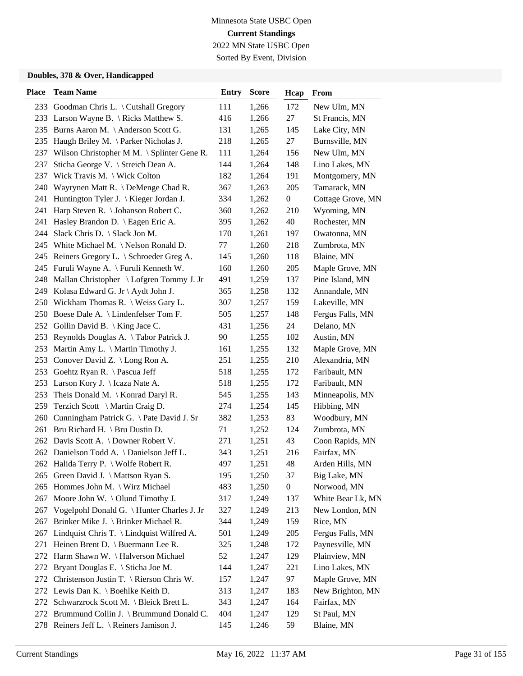Sorted By Event, Division

| <b>Place</b> | <b>Team Name</b>                                     | <b>Entry</b> | <b>Score</b> | Hcap             | From              |
|--------------|------------------------------------------------------|--------------|--------------|------------------|-------------------|
|              | 233 Goodman Chris L. \ Cutshall Gregory              | 111          | 1,266        | 172              | New Ulm, MN       |
|              | 233 Larson Wayne B. \ Ricks Matthew S.               | 416          | 1,266        | 27               | St Francis, MN    |
|              | 235 Burns Aaron M. \ Anderson Scott G.               | 131          | 1,265        | 145              | Lake City, MN     |
|              | 235 Haugh Briley M. \Parker Nicholas J.              | 218          | 1,265        | 27               | Burnsville, MN    |
| 237          | Wilson Christopher M M. $\setminus$ Splinter Gene R. | 111          | 1,264        | 156              | New Ulm, MN       |
| 237          | Sticha George V. \ Streich Dean A.                   | 144          | 1,264        | 148              | Lino Lakes, MN    |
| 237          | Wick Travis M. $\setminus$ Wick Colton               | 182          | 1,264        | 191              | Montgomery, MN    |
|              | 240 Wayrynen Matt R. \ DeMenge Chad R.               | 367          | 1,263        | 205              | Tamarack, MN      |
|              | 241 Huntington Tyler J. \ Kieger Jordan J.           | 334          | 1,262        | $\boldsymbol{0}$ | Cottage Grove, MN |
| 241          | Harp Steven R. \ Johanson Robert C.                  | 360          | 1,262        | 210              | Wyoming, MN       |
| 241          | Hasley Brandon D. \ Eagen Eric A.                    | 395          | 1,262        | 40               | Rochester, MN     |
|              | 244 Slack Chris D. \ Slack Jon M.                    | 170          | 1,261        | 197              | Owatonna, MN      |
|              | 245 White Michael M. \Nelson Ronald D.               | 77           | 1,260        | 218              | Zumbrota, MN      |
|              | 245 Reiners Gregory L. \ Schroeder Greg A.           | 145          | 1,260        | 118              | Blaine, MN        |
|              | 245 Furuli Wayne A. \ Furuli Kenneth W.              | 160          | 1,260        | 205              | Maple Grove, MN   |
|              | 248 Mallan Christopher \ Lofgren Tommy J. Jr         | 491          | 1,259        | 137              | Pine Island, MN   |
|              | 249 Kolasa Edward G. Jr \ Aydt John J.               | 365          | 1,258        | 132              | Annandale, MN     |
|              | 250 Wickham Thomas R. \ Weiss Gary L.                | 307          | 1,257        | 159              | Lakeville, MN     |
|              | 250 Boese Dale A. \ Lindenfelser Tom F.              | 505          | 1,257        | 148              | Fergus Falls, MN  |
|              | 252 Gollin David B.   King Jace C.                   | 431          | 1,256        | 24               | Delano, MN        |
| 253          | Reynolds Douglas A. \Tabor Patrick J.                | 90           | 1,255        | 102              | Austin, MN        |
| 253          | Martin Amy L. \ Martin Timothy J.                    | 161          | 1,255        | 132              | Maple Grove, MN   |
|              | 253 Conover David Z. \ Long Ron A.                   | 251          | 1,255        | 210              | Alexandria, MN    |
|              | 253 Goehtz Ryan R. \ Pascua Jeff                     | 518          | 1,255        | 172              | Faribault, MN     |
|              | 253 Larson Kory J. \ Icaza Nate A.                   | 518          | 1,255        | 172              | Faribault, MN     |
| 253          | Theis Donald M. $\{$ Konrad Daryl R.                 | 545          | 1,255        | 143              | Minneapolis, MN   |
| 259          | Terzich Scott \ Martin Craig D.                      | 274          | 1,254        | 145              | Hibbing, MN       |
| 260          | Cunningham Patrick G. \ Pate David J. Sr             | 382          | 1,253        | 83               | Woodbury, MN      |
| 261          | Bru Richard H. $\setminus$ Bru Dustin D.             | 71           | 1,252        | 124              | Zumbrota, MN      |
|              | 262 Davis Scott A. \ Downer Robert V.                | 271          | 1,251        | 43               | Coon Rapids, MN   |
|              | 262 Danielson Todd A. \ Danielson Jeff L.            | 343          | 1,251        | 216              | Fairfax, MN       |
|              | 262 Halida Terry P. \ Wolfe Robert R.                | 497          | 1,251        | 48               | Arden Hills, MN   |
|              | 265 Green David J. \ Mattson Ryan S.                 | 195          | 1,250        | 37               | Big Lake, MN      |
| 265          | Hommes John M. \ Wirz Michael                        | 483          | 1,250        | $\boldsymbol{0}$ | Norwood, MN       |
| 267          | Moore John W. \ Olund Timothy J.                     | 317          | 1,249        | 137              | White Bear Lk, MN |
|              | 267 Vogelpohl Donald G. \ Hunter Charles J. Jr       | 327          | 1,249        | 213              | New London, MN    |
| 267          | Brinker Mike J. \ Brinker Michael R.                 | 344          | 1,249        | 159              | Rice, MN          |
| 267          | Lindquist Chris T. \ Lindquist Wilfred A.            | 501          | 1,249        | 205              | Fergus Falls, MN  |
| 271          | Heinen Brent D. \ Buermann Lee R.                    | 325          | 1,248        | 172              | Paynesville, MN   |
|              | 272 Harm Shawn W. \Halverson Michael                 | 52           | 1,247        | 129              | Plainview, MN     |
| 272          | Bryant Douglas E. \ Sticha Joe M.                    | 144          | 1,247        | 221              | Lino Lakes, MN    |
| 272          | Christenson Justin T. \ Rierson Chris W.             | 157          | 1,247        | 97               | Maple Grove, MN   |
|              | 272 Lewis Dan K. \ Boehlke Keith D.                  | 313          | 1,247        | 183              | New Brighton, MN  |
|              | 272 Schwarzrock Scott M. \ Bleick Brett L.           | 343          | 1,247        | 164              | Fairfax, MN       |
|              | 272 Brummund Collin J. \ Brummund Donald C.          | 404          | 1,247        | 129              | St Paul, MN       |
|              | 278 Reiners Jeff L. \ Reiners Jamison J.             | 145          | 1,246        | 59               | Blaine, MN        |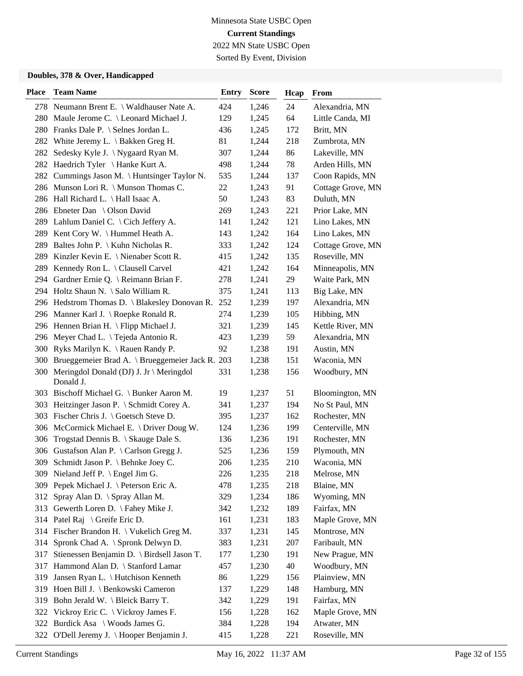Sorted By Event, Division

| <b>Place</b> | <b>Team Name</b>                                         | <b>Entry</b> | <b>Score</b> | Hcap | From              |
|--------------|----------------------------------------------------------|--------------|--------------|------|-------------------|
|              | 278 Neumann Brent E. \ Waldhauser Nate A.                | 424          | 1,246        | 24   | Alexandria, MN    |
|              | 280 Maule Jerome C. \ Leonard Michael J.                 | 129          | 1,245        | 64   | Little Canda, MI  |
|              | 280 Franks Dale P. \ Selnes Jordan L.                    | 436          | 1,245        | 172  | Britt, MN         |
|              | 282 White Jeremy L. \ Bakken Greg H.                     | 81           | 1,244        | 218  | Zumbrota, MN      |
|              | 282 Sedesky Kyle J. \Nygaard Ryan M.                     | 307          | 1,244        | 86   | Lakeville, MN     |
|              | 282 Haedrich Tyler \ Hanke Kurt A.                       | 498          | 1,244        | 78   | Arden Hills, MN   |
|              | 282 Cummings Jason M. \ Huntsinger Taylor N.             | 535          | 1,244        | 137  | Coon Rapids, MN   |
|              | 286 Munson Lori R. \ Munson Thomas C.                    | 22           | 1,243        | 91   | Cottage Grove, MN |
|              | 286 Hall Richard L. \ Hall Isaac A.                      | 50           | 1,243        | 83   | Duluth, MN        |
|              | 286 Ebneter Dan \ Olson David                            | 269          | 1,243        | 221  | Prior Lake, MN    |
|              | 289 Lahlum Daniel C. \ Cich Jeffery A.                   | 141          | 1,242        | 121  | Lino Lakes, MN    |
|              | 289 Kent Cory W. \Hummel Heath A.                        | 143          | 1,242        | 164  | Lino Lakes, MN    |
| 289          | Baltes John P. \ Kuhn Nicholas R.                        | 333          | 1,242        | 124  | Cottage Grove, MN |
| 289          | Kinzler Kevin E. \ Nienaber Scott R.                     | 415          | 1,242        | 135  | Roseville, MN     |
|              | 289 Kennedy Ron L. \ Clausell Carvel                     | 421          | 1,242        | 164  | Minneapolis, MN   |
|              | 294 Gardner Ernie Q. \ Reimann Brian F.                  | 278          | 1,241        | 29   | Waite Park, MN    |
|              | 294 Holtz Shaun N. \ Salo William R.                     | 375          | 1,241        | 113  | Big Lake, MN      |
|              | 296 Hedstrom Thomas D. \ Blakesley Donovan R.            | 252          | 1,239        | 197  | Alexandria, MN    |
|              | 296 Manner Karl J. \ Roepke Ronald R.                    | 274          | 1,239        | 105  | Hibbing, MN       |
|              | 296 Hennen Brian H. \ Flipp Michael J.                   | 321          | 1,239        | 145  | Kettle River, MN  |
|              | 296 Meyer Chad L. \ Tejeda Antonio R.                    | 423          | 1,239        | 59   | Alexandria, MN    |
| 300          | Ryks Marilyn K. \ Rauen Randy P.                         | 92           | 1,238        | 191  | Austin, MN        |
|              | 300 Brueggemeier Brad A. \ Brueggemeier Jack R. 203      |              | 1,238        | 151  | Waconia, MN       |
|              | 300 Meringdol Donald (DJ) J. Jr \ Meringdol<br>Donald J. | 331          | 1,238        | 156  | Woodbury, MN      |
|              | 303 Bischoff Michael G. \ Bunker Aaron M.                | 19           | 1,237        | 51   | Bloomington, MN   |
| 303          | Heitzinger Jason P. \ Schmidt Corey A.                   | 341          | 1,237        | 194  | No St Paul, MN    |
| 303          | Fischer Chris J. $\setminus$ Goetsch Steve D.            | 395          | 1,237        | 162  | Rochester, MN     |
|              | 306 McCormick Michael E. \ Driver Doug W.                | 124          | 1,236        | 199  | Centerville, MN   |
| 306          | Trogstad Dennis B. \ Skauge Dale S.                      | 136          | 1,236        | 191  | Rochester, MN     |
|              | 306 Gustafson Alan P. \ Carlson Gregg J.                 | 525          | 1,236        | 159  | Plymouth, MN      |
|              | 309 Schmidt Jason P. \ Behnke Joey C.                    | 206          | 1,235        | 210  | Waconia, MN       |
|              | 309 Nieland Jeff P. \ Engel Jim G.                       | 226          | 1,235        | 218  | Melrose, MN       |
|              | 309 Pepek Michael J. \ Peterson Eric A.                  | 478          | 1,235        | 218  | Blaine, MN        |
| 312          | Spray Alan D. \ Spray Allan M.                           | 329          | 1,234        | 186  | Wyoming, MN       |
|              | 313 Gewerth Loren D. \ Fahey Mike J.                     | 342          | 1,232        | 189  | Fairfax, MN       |
|              | 314 Patel Raj \ Greife Eric D.                           | 161          | 1,231        | 183  | Maple Grove, MN   |
|              | 314 Fischer Brandon H. \ Vukelich Greg M.                | 337          | 1,231        | 145  | Montrose, MN      |
| 314          | Spronk Chad A. \ Spronk Delwyn D.                        | 383          | 1,231        | 207  | Faribault, MN     |
| 317          | Stienessen Benjamin D. \ Birdsell Jason T.               | 177          | 1,230        | 191  | New Prague, MN    |
|              | 317 Hammond Alan D. \ Stanford Lamar                     | 457          | 1,230        | 40   | Woodbury, MN      |
| 319          | Jansen Ryan L. \ Hutchison Kenneth                       | 86           | 1,229        | 156  | Plainview, MN     |
| 319          | Hoen Bill J. \ Benkowski Cameron                         | 137          | 1,229        | 148  | Hamburg, MN       |
| 319          | Bohn Jerald W. \ Bleick Barry T.                         | 342          | 1,229        | 191  | Fairfax, MN       |
|              | 322 Vickroy Eric C. \ Vickroy James F.                   | 156          | 1,228        | 162  | Maple Grove, MN   |
|              | 322 Burdick Asa \ Woods James G.                         | 384          | 1,228        | 194  | Atwater, MN       |
|              | 322 O'Dell Jeremy J. \Hooper Benjamin J.                 | 415          | 1,228        | 221  | Roseville, MN     |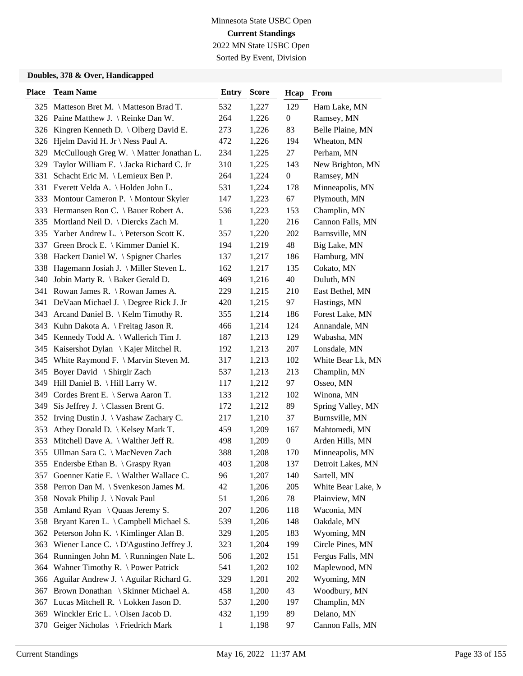Sorted By Event, Division

| <b>Place</b> | <b>Team Name</b>                             | <b>Entry</b> | <b>Score</b> | Hcap             | From               |
|--------------|----------------------------------------------|--------------|--------------|------------------|--------------------|
|              | 325 Matteson Bret M. \ Matteson Brad T.      | 532          | 1,227        | 129              | Ham Lake, MN       |
|              | 326 Paine Matthew J. \ Reinke Dan W.         | 264          | 1,226        | $\boldsymbol{0}$ | Ramsey, MN         |
|              | 326 Kingren Kenneth D. \ Olberg David E.     | 273          | 1,226        | 83               | Belle Plaine, MN   |
|              | 326 Hjelm David H. Jr \ Ness Paul A.         | 472          | 1,226        | 194              | Wheaton, MN        |
| 329          | McCullough Greg W. \ Matter Jonathan L.      | 234          | 1,225        | 27               | Perham, MN         |
| 329          | Taylor William E. \ Jacka Richard C. Jr      | 310          | 1,225        | 143              | New Brighton, MN   |
| 331          | Schacht Eric M. \ Lemieux Ben P.             | 264          | 1,224        | $\boldsymbol{0}$ | Ramsey, MN         |
|              | 331 Everett Velda A. \ Holden John L.        | 531          | 1,224        | 178              | Minneapolis, MN    |
|              | 333 Montour Cameron P. \ Montour Skyler      | 147          | 1,223        | 67               | Plymouth, MN       |
|              | 333 Hermansen Ron C. \ Bauer Robert A.       | 536          | 1,223        | 153              | Champlin, MN       |
|              | 335 Mortland Neil D. \ Diercks Zach M.       | 1            | 1,220        | 216              | Cannon Falls, MN   |
|              | 335 Yarber Andrew L. \ Peterson Scott K.     | 357          | 1,220        | 202              | Barnsville, MN     |
| 337          | Green Brock E. \ Kimmer Daniel K.            | 194          | 1,219        | 48               | Big Lake, MN       |
| 338          | Hackert Daniel W. \ Spigner Charles          | 137          | 1,217        | 186              | Hamburg, MN        |
| 338          | Hagemann Josiah J. \ Miller Steven L.        | 162          | 1,217        | 135              | Cokato, MN         |
|              | 340 Jobin Marty R. \ Baker Gerald D.         | 469          | 1,216        | 40               | Duluth, MN         |
|              | 341 Rowan James R. \ Rowan James A.          | 229          | 1,215        | 210              | East Bethel, MN    |
|              | 341 DeVaan Michael J. \ Degree Rick J. Jr    | 420          | 1,215        | 97               | Hastings, MN       |
|              | 343 Arcand Daniel B. \ Kelm Timothy R.       | 355          | 1,214        | 186              | Forest Lake, MN    |
|              | 343 Kuhn Dakota A. \ Freitag Jason R.        | 466          | 1,214        | 124              | Annandale, MN      |
|              | 345 Kennedy Todd A. \ Wallerich Tim J.       | 187          | 1,213        | 129              | Wabasha, MN        |
| 345          | Kaisershot Dylan \ Kajer Mitchel R.          | 192          | 1,213        | 207              | Lonsdale, MN       |
|              | 345 White Raymond F. \ Marvin Steven M.      | 317          | 1,213        | 102              | White Bear Lk, MN  |
|              | 345 Boyer David \ Shirgir Zach               | 537          | 1,213        | 213              | Champlin, MN       |
| 349          | Hill Daniel B. \ Hill Larry W.               | 117          | 1,212        | 97               | Osseo, MN          |
|              | 349 Cordes Brent E. \ Serwa Aaron T.         | 133          | 1,212        | 102              | Winona, MN         |
| 349          | Sis Jeffrey J. $\setminus$ Classen Brent G.  | 172          | 1,212        | 89               | Spring Valley, MN  |
|              | 352 Irving Dustin J. \ Vashaw Zachary C.     | 217          | 1,210        | 37               | Burnsville, MN     |
| 353          | Athey Donald D. \ Kelsey Mark T.             | 459          | 1,209        | 167              | Mahtomedi, MN      |
| 353          | Mitchell Dave A. $\setminus$ Walther Jeff R. | 498          | 1,209        | $\boldsymbol{0}$ | Arden Hills, MN    |
|              | 355 Ullman Sara C. \ MacNeven Zach           | 388          | 1,208        | 170              | Minneapolis, MN    |
|              | 355 Endersbe Ethan B. \ Graspy Ryan          | 403          | 1,208        | 137              | Detroit Lakes, MN  |
|              | 357 Goenner Katie E. \ Walther Wallace C.    | 96           | 1,207        | 140              | Sartell, MN        |
|              | 358 Perron Dan M. \ Svenkeson James M.       | 42           | 1,206        | 205              | White Bear Lake, M |
|              | 358 Novak Philip J. \Novak Paul              | 51           | 1,206        | 78               | Plainview, MN      |
|              | 358 Amland Ryan \ Quaas Jeremy S.            | 207          | 1,206        | 118              | Waconia, MN        |
| 358          | Bryant Karen L. \ Campbell Michael S.        | 539          | 1,206        | 148              | Oakdale, MN        |
|              | 362 Peterson John K. \ Kimlinger Alan B.     | 329          | 1,205        | 183              | Wyoming, MN        |
| 363          | Wiener Lance C. \ D'Agustino Jeffrey J.      | 323          | 1,204        | 199              | Circle Pines, MN   |
| 364          | Runningen John M. \ Runningen Nate L.        | 506          | 1,202        | 151              | Fergus Falls, MN   |
| 364          | Wahner Timothy R. \ Power Patrick            | 541          | 1,202        | 102              | Maplewood, MN      |
| 366          | Aguilar Andrew J. \ Aguilar Richard G.       | 329          | 1,201        | 202              | Wyoming, MN        |
| 367          | Brown Donathan \ Skinner Michael A.          | 458          | 1,200        | 43               | Woodbury, MN       |
|              | 367 Lucas Mitchell R. \ Lokken Jason D.      | 537          | 1,200        | 197              | Champlin, MN       |
|              | 369 Winckler Eric L. \Olsen Jacob D.         | 432          | 1,199        | 89               | Delano, MN         |
| 370          | Geiger Nicholas \ Friedrich Mark             | $\mathbf{1}$ | 1,198        | 97               | Cannon Falls, MN   |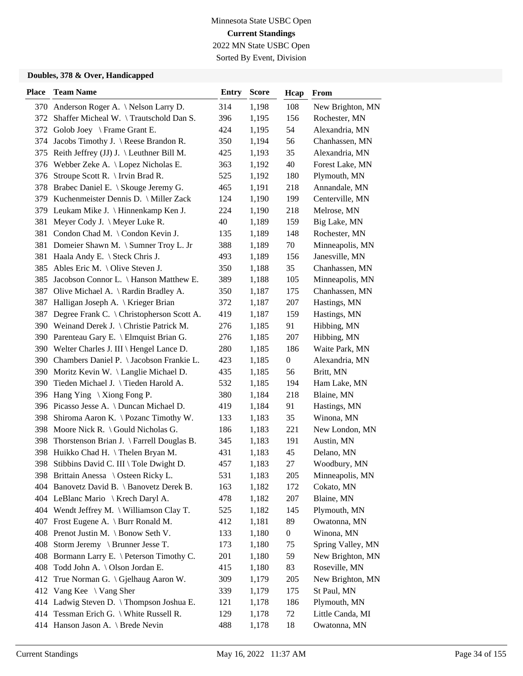Sorted By Event, Division

| <b>Place</b> | <b>Team Name</b>                             | <b>Entry</b> | <b>Score</b> | Hcap             | From              |
|--------------|----------------------------------------------|--------------|--------------|------------------|-------------------|
|              | 370 Anderson Roger A. \Nelson Larry D.       | 314          | 1,198        | 108              | New Brighton, MN  |
|              | 372 Shaffer Micheal W. \Trautschold Dan S.   | 396          | 1,195        | 156              | Rochester, MN     |
| 372          | Golob Joey \ Frame Grant E.                  | 424          | 1,195        | 54               | Alexandria, MN    |
| 374          | Jacobs Timothy J. $\Re$ Reese Brandon R.     | 350          | 1,194        | 56               | Chanhassen, MN    |
| 375          | Reith Jeffrey (JJ) J. \ Leuthner Bill M.     | 425          | 1,193        | 35               | Alexandria, MN    |
| 376          | Webber Zeke A. \ Lopez Nicholas E.           | 363          | 1,192        | 40               | Forest Lake, MN   |
| 376          | Stroupe Scott R. $\Im$ Irvin Brad R.         | 525          | 1,192        | 180              | Plymouth, MN      |
|              | 378 Brabec Daniel E. \ Skouge Jeremy G.      | 465          | 1,191        | 218              | Annandale, MN     |
|              | 379 Kuchenmeister Dennis D. \ Miller Zack    | 124          | 1,190        | 199              | Centerville, MN   |
|              | 379 Leukam Mike J. \ Hinnenkamp Ken J.       | 224          | 1,190        | 218              | Melrose, MN       |
| 381          | Meyer Cody J. \ Meyer Luke R.                | 40           | 1,189        | 159              | Big Lake, MN      |
|              | 381 Condon Chad M. \Condon Kevin J.          | 135          | 1,189        | 148              | Rochester, MN     |
| 381          | Domeier Shawn M. \ Sumner Troy L. Jr         | 388          | 1,189        | 70               | Minneapolis, MN   |
|              | 381 Haala Andy E. \ Steck Chris J.           | 493          | 1,189        | 156              | Janesville, MN    |
| 385          | Ables Eric M. $\setminus$ Olive Steven J.    | 350          | 1,188        | 35               | Chanhassen, MN    |
| 385          | Jacobson Connor L. \ Hanson Matthew E.       | 389          | 1,188        | 105              | Minneapolis, MN   |
| 387          | Olive Michael A. \ Rardin Bradley A.         | 350          | 1,187        | 175              | Chanhassen, MN    |
| 387          | Halligan Joseph A. \ Krieger Brian           | 372          | 1,187        | 207              | Hastings, MN      |
| 387          | Degree Frank C. \ Christopherson Scott A.    | 419          | 1,187        | 159              | Hastings, MN      |
|              | 390 Weinand Derek J. \ Christie Patrick M.   | 276          | 1,185        | 91               | Hibbing, MN       |
| 390          | Parenteau Gary E. \ Elmquist Brian G.        | 276          | 1,185        | 207              | Hibbing, MN       |
|              | 390 Welter Charles J. III \ Hengel Lance D.  | 280          | 1,185        | 186              | Waite Park, MN    |
|              | 390 Chambers Daniel P. \ Jacobson Frankie L. | 423          | 1,185        | $\boldsymbol{0}$ | Alexandria, MN    |
|              | 390 Moritz Kevin W. \ Langlie Michael D.     | 435          | 1,185        | 56               | Britt, MN         |
|              | 390 Tieden Michael J. \Tieden Harold A.      | 532          | 1,185        | 194              | Ham Lake, MN      |
|              | 396 Hang Ying \Xiong Fong P.                 | 380          | 1,184        | 218              | Blaine, MN        |
|              | 396 Picasso Jesse A. \ Duncan Michael D.     | 419          | 1,184        | 91               | Hastings, MN      |
| 398          | Shiroma Aaron K. \ Pozanc Timothy W.         | 133          | 1,183        | 35               | Winona, MN        |
| 398          | Moore Nick R. \ Gould Nicholas G.            | 186          | 1,183        | 221              | New London, MN    |
| 398          | Thorstenson Brian J. $\$ Farrell Douglas B.  | 345          | 1,183        | 191              | Austin, MN        |
| 398          | Huikko Chad H. \Thelen Bryan M.              | 431          | 1,183        | 45               | Delano, MN        |
|              | 398 Stibbins David C. III \ Tole Dwight D.   | 457          | 1,183        | 27               | Woodbury, MN      |
|              | 398 Brittain Anessa \ Osteen Ricky L.        | 531          | 1,183        | 205              | Minneapolis, MN   |
|              | 404 Banovetz David B. \ Banovetz Derek B.    | 163          | 1,182        | 172              | Cokato, MN        |
|              | 404 LeBlanc Mario \ Krech Daryl A.           | 478          | 1,182        | 207              | Blaine, MN        |
|              | 404 Wendt Jeffrey M. \ Williamson Clay T.    | 525          | 1,182        | 145              | Plymouth, MN      |
| 407          | Frost Eugene A. \ Burr Ronald M.             | 412          | 1,181        | 89               | Owatonna, MN      |
|              | 408 Prenot Justin M. \ Bonow Seth V.         | 133          | 1,180        | $\boldsymbol{0}$ | Winona, MN        |
| 408          | Storm Jeremy \ Brunner Jesse T.              | 173          | 1,180        | 75               | Spring Valley, MN |
|              | 408 Bormann Larry E. \ Peterson Timothy C.   | 201          | 1,180        | 59               | New Brighton, MN  |
| 408          | Todd John A. \ Olson Jordan E.               | 415          | 1,180        | 83               | Roseville, MN     |
| 412          | True Norman G. \ Gjelhaug Aaron W.           | 309          | 1,179        | 205              | New Brighton, MN  |
| 412          | Vang Kee \ Vang Sher                         | 339          | 1,179        | 175              | St Paul, MN       |
|              | 414 Ladwig Steven D. \Thompson Joshua E.     | 121          | 1,178        | 186              | Plymouth, MN      |
|              | 414 Tessman Erich G. \ White Russell R.      | 129          | 1,178        | 72               | Little Canda, MI  |
|              | 414 Hanson Jason A. \ Brede Nevin            | 488          | 1,178        | 18               | Owatonna, MN      |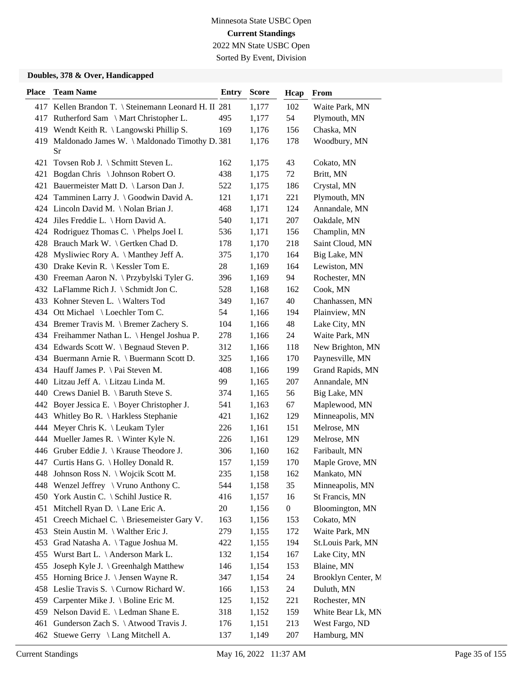Sorted By Event, Division

| <b>Place</b> | <b>Team Name</b>                                        | <b>Entry</b> | <b>Score</b> | Hcap             | From               |
|--------------|---------------------------------------------------------|--------------|--------------|------------------|--------------------|
|              | 417 Kellen Brandon T. \ Steinemann Leonard H. II 281    |              | 1,177        | 102              | Waite Park, MN     |
|              | 417 Rutherford Sam \ Mart Christopher L.                | 495          | 1,177        | 54               | Plymouth, MN       |
|              | 419 Wendt Keith R. \ Langowski Phillip S.               | 169          | 1,176        | 156              | Chaska, MN         |
|              | 419 Maldonado James W. \ Maldonado Timothy D. 381<br>Sr |              | 1,176        | 178              | Woodbury, MN       |
|              | 421 Tovsen Rob J. \ Schmitt Steven L.                   | 162          | 1,175        | 43               | Cokato, MN         |
| 421          | Bogdan Chris \ Johnson Robert O.                        | 438          | 1,175        | 72               | Britt, MN          |
|              | 421 Bauermeister Matt D. \ Larson Dan J.                | 522          | 1,175        | 186              | Crystal, MN        |
|              | 424 Tamminen Larry J. \ Goodwin David A.                | 121          | 1,171        | 221              | Plymouth, MN       |
|              | 424 Lincoln David M. \Nolan Brian J.                    | 468          | 1,171        | 124              | Annandale, MN      |
|              | 424 Jiles Freddie L. \ Horn David A.                    | 540          | 1,171        | 207              | Oakdale, MN        |
|              | 424 Rodriguez Thomas C. \ Phelps Joel I.                | 536          | 1,171        | 156              | Champlin, MN       |
|              | 428 Brauch Mark W. \ Gertken Chad D.                    | 178          | 1,170        | 218              | Saint Cloud, MN    |
|              | 428 Mysliwiec Rory A. \ Manthey Jeff A.                 | 375          | 1,170        | 164              | Big Lake, MN       |
|              | 430 Drake Kevin R. \ Kessler Tom E.                     | 28           | 1,169        | 164              | Lewiston, MN       |
|              | 430 Freeman Aaron N. \Przybylski Tyler G.               | 396          | 1,169        | 94               | Rochester, MN      |
|              | 432 LaFlamme Rich J. \ Schmidt Jon C.                   | 528          | 1,168        | 162              | Cook, MN           |
|              | 433 Kohner Steven L. \ Walters Tod                      | 349          | 1,167        | 40               | Chanhassen, MN     |
|              | 434 Ott Michael \ Loechler Tom C.                       | 54           | 1,166        | 194              | Plainview, MN      |
|              | 434 Bremer Travis M. \ Bremer Zachery S.                | 104          | 1,166        | 48               | Lake City, MN      |
|              | 434 Freihammer Nathan L. \ Hengel Joshua P.             | 278          | 1,166        | 24               | Waite Park, MN     |
|              | 434 Edwards Scott W. \ Begnaud Steven P.                | 312          | 1,166        | 118              | New Brighton, MN   |
|              | 434 Buermann Arnie R. \ Buermann Scott D.               | 325          | 1,166        | 170              | Paynesville, MN    |
|              | 434 Hauff James P. \ Pai Steven M.                      | 408          | 1,166        | 199              | Grand Rapids, MN   |
|              | 440 Litzau Jeff A. \ Litzau Linda M.                    | 99           | 1,165        | 207              | Annandale, MN      |
|              | 440 Crews Daniel B. \ Baruth Steve S.                   | 374          | 1,165        | 56               | Big Lake, MN       |
| 442          | Boyer Jessica E. $\setminus$ Boyer Christopher J.       | 541          | 1,163        | 67               | Maplewood, MN      |
| 443          | Whitley Bo R. \ Harkless Stephanie                      | 421          | 1,162        | 129              | Minneapolis, MN    |
|              | 444 Meyer Chris K. \ Leukam Tyler                       | 226          | 1,161        | 151              | Melrose, MN        |
|              | 444 Mueller James R. \ Winter Kyle N.                   | 226          | 1,161        | 129              | Melrose, MN        |
|              | 446 Gruber Eddie J. \ Krause Theodore J.                | 306          | 1,160        | 162              | Faribault, MN      |
|              | 447 Curtis Hans G. \ Holley Donald R.                   | 157          | 1,159        | 170              | Maple Grove, MN    |
|              | 448 Johnson Ross N. \ Wojcik Scott M.                   | 235          | 1,158        | 162              | Mankato, MN        |
|              | 448 Wenzel Jeffrey \ Vruno Anthony C.                   | 544          | 1,158        | 35               | Minneapolis, MN    |
| 450          | York Austin C. \ Schihl Justice R.                      | 416          | 1,157        | 16               | St Francis, MN     |
| 451          | Mitchell Ryan D. \ Lane Eric A.                         | 20           | 1,156        | $\boldsymbol{0}$ | Bloomington, MN    |
|              | 451 Creech Michael C. \ Briesemeister Gary V.           | 163          | 1,156        | 153              | Cokato, MN         |
|              | 453 Stein Austin M. \ Walther Eric J.                   | 279          | 1,155        | 172              | Waite Park, MN     |
| 453          | Grad Natasha A. \Tague Joshua M.                        | 422          | 1,155        | 194              | St.Louis Park, MN  |
| 455          | Wurst Bart L. \ Anderson Mark L.                        | 132          | 1,154        | 167              | Lake City, MN      |
| 455          | Joseph Kyle J. \ Greenhalgh Matthew                     | 146          | 1,154        | 153              | Blaine, MN         |
|              | 455 Horning Brice J. \ Jensen Wayne R.                  | 347          | 1,154        | 24               | Brooklyn Center, M |
|              | 458 Leslie Travis S. \ Curnow Richard W.                | 166          | 1,153        | 24               | Duluth, MN         |
| 459          | Carpenter Mike J. \ Boline Eric M.                      | 125          | 1,152        | 221              | Rochester, MN      |
|              | 459 Nelson David E. \ Ledman Shane E.                   | 318          | 1,152        | 159              | White Bear Lk, MN  |
| 461          | Gunderson Zach S. \ Atwood Travis J.                    | 176          | 1,151        | 213              | West Fargo, ND     |
|              | 462 Stuewe Gerry \ Lang Mitchell A.                     | 137          | 1,149        | 207              | Hamburg, MN        |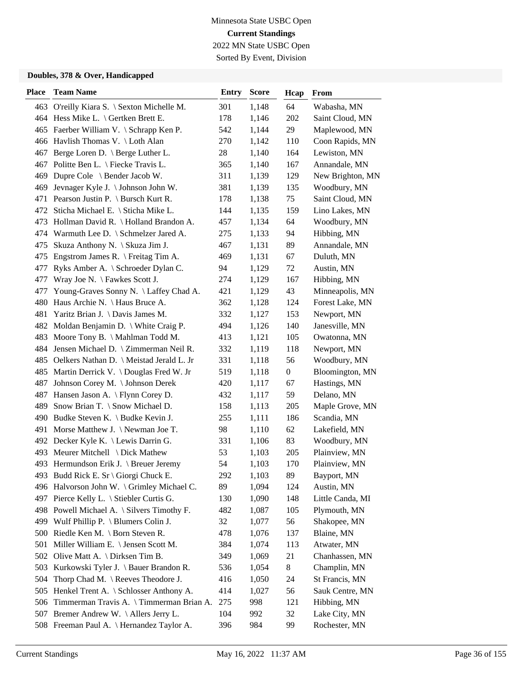Sorted By Event, Division

| <b>Place</b> | <b>Team Name</b>                           | <b>Entry</b> | <b>Score</b> | Hcap             | From             |
|--------------|--------------------------------------------|--------------|--------------|------------------|------------------|
|              | 463 O'reilly Kiara S. \ Sexton Michelle M. | 301          | 1,148        | 64               | Wabasha, MN      |
|              | 464 Hess Mike L. \ Gertken Brett E.        | 178          | 1,146        | 202              | Saint Cloud, MN  |
|              | 465 Faerber William V. \ Schrapp Ken P.    | 542          | 1,144        | 29               | Maplewood, MN    |
|              | 466 Havlish Thomas V. \ Loth Alan          | 270          | 1,142        | 110              | Coon Rapids, MN  |
| 467          | Berge Loren D. \ Berge Luther L.           | 28           | 1,140        | 164              | Lewiston, MN     |
| 467          | Politte Ben L. \ Fiecke Travis L.          | 365          | 1,140        | 167              | Annandale, MN    |
| 469          | Dupre Cole \ Bender Jacob W.               | 311          | 1,139        | 129              | New Brighton, MN |
| 469          | Jevnager Kyle J. \ Johnson John W.         | 381          | 1,139        | 135              | Woodbury, MN     |
| 471          | Pearson Justin P. \ Bursch Kurt R.         | 178          | 1,138        | 75               | Saint Cloud, MN  |
| 472          | Sticha Michael E. \ Sticha Mike L.         | 144          | 1,135        | 159              | Lino Lakes, MN   |
| 473          | Hollman David R. \ Holland Brandon A.      | 457          | 1,134        | 64               | Woodbury, MN     |
|              | 474 Warmuth Lee D. \ Schmelzer Jared A.    | 275          | 1,133        | 94               | Hibbing, MN      |
| 475          | Skuza Anthony N. \ Skuza Jim J.            | 467          | 1,131        | 89               | Annandale, MN    |
| 475          | Engstrom James R. \ Freitag Tim A.         | 469          | 1,131        | 67               | Duluth, MN       |
| 477          | Ryks Amber A. \ Schroeder Dylan C.         | 94           | 1,129        | 72               | Austin, MN       |
| 477          | Wray Joe N. \ Fawkes Scott J.              | 274          | 1,129        | 167              | Hibbing, MN      |
| 477          | Young-Graves Sonny N. \ Laffey Chad A.     | 421          | 1,129        | 43               | Minneapolis, MN  |
| 480          | Haus Archie N. \ Haus Bruce A.             | 362          | 1,128        | 124              | Forest Lake, MN  |
| 481          | Yaritz Brian J. \ Davis James M.           | 332          | 1,127        | 153              | Newport, MN      |
| 482          | Moldan Benjamin D. \ White Craig P.        | 494          | 1,126        | 140              | Janesville, MN   |
| 483          | Moore Tony B. \ Mahlman Todd M.            | 413          | 1,121        | 105              | Owatonna, MN     |
| 484          | Jensen Michael D. \ Zimmerman Neil R.      | 332          | 1,119        | 118              | Newport, MN      |
| 485          | Oelkers Nathan D. \ Meistad Jerald L. Jr   | 331          | 1,118        | 56               | Woodbury, MN     |
|              | 485 Martin Derrick V. \Douglas Fred W. Jr  | 519          | 1,118        | $\boldsymbol{0}$ | Bloomington, MN  |
| 487          | Johnson Corey M. \ Johnson Derek           | 420          | 1,117        | 67               | Hastings, MN     |
| 487          | Hansen Jason A. \ Flynn Corey D.           | 432          | 1,117        | 59               | Delano, MN       |
| 489          | Snow Brian T. \ Snow Michael D.            | 158          | 1,113        | 205              | Maple Grove, MN  |
| 490          | Budke Steven K. \ Budke Kevin J.           | 255          | 1,111        | 186              | Scandia, MN      |
| 491          | Morse Matthew J. $\N$ ewman Joe T.         | 98           | 1,110        | 62               | Lakefield, MN    |
| 492          | Decker Kyle K. \ Lewis Darrin G.           | 331          | 1,106        | 83               | Woodbury, MN     |
| 493          | Meurer Mitchell \ Dick Mathew              | 53           | 1,103        | 205              | Plainview, MN    |
|              | 493 Hermundson Erik J. \ Breuer Jeremy     | 54           | 1,103        | 170              | Plainview, MN    |
|              | 493 Budd Rick E. Sr \ Giorgi Chuck E.      | 292          | 1,103        | 89               | Bayport, MN      |
|              | 496 Halvorson John W. \ Grimley Michael C. | 89           | 1,094        | 124              | Austin, MN       |
| 497          | Pierce Kelly L. \ Stiebler Curtis G.       | 130          | 1,090        | 148              | Little Canda, MI |
|              | 498 Powell Michael A. \ Silvers Timothy F. | 482          | 1,087        | 105              | Plymouth, MN     |
|              | 499 Wulf Phillip P. \ Blumers Colin J.     | 32           | 1,077        | 56               | Shakopee, MN     |
| 500          | Riedle Ken M. $\setminus$ Born Steven R.   | 478          | 1,076        | 137              | Blaine, MN       |
| 501          | Miller William E. \ Jensen Scott M.        | 384          | 1,074        | 113              | Atwater, MN      |
|              | 502 Olive Matt A. \ Dirksen Tim B.         | 349          | 1,069        | 21               | Chanhassen, MN   |
| 503          | Kurkowski Tyler J. \ Bauer Brandon R.      | 536          | 1,054        | 8                | Champlin, MN     |
| 504          | Thorp Chad M. \ Reeves Theodore J.         | 416          | 1,050        | 24               | St Francis, MN   |
| 505          | Henkel Trent A. \ Schlosser Anthony A.     | 414          | 1,027        | 56               | Sauk Centre, MN  |
| 506          | Timmerman Travis A. \Timmerman Brian A.    | 275          | 998          | 121              | Hibbing, MN      |
| 507          | Bremer Andrew W. \Allers Jerry L.          | 104          | 992          | 32               | Lake City, MN    |
|              | 508 Freeman Paul A. \ Hernandez Taylor A.  | 396          | 984          | 99               | Rochester, MN    |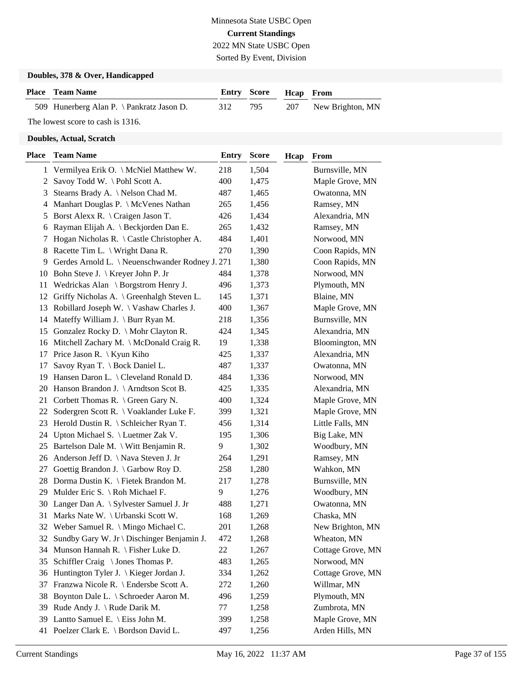Sorted By Event, Division

#### **Doubles, 378 & Over, Handicapped**

| <b>Place</b> Team Name                    |     | <b>Entry Score Heap From</b> |                      |
|-------------------------------------------|-----|------------------------------|----------------------|
| 509 Hunerberg Alan P. \ Pankratz Jason D. | 312 | 795                          | 207 New Brighton, MN |
| The lowest score to cash is 1316.         |     |                              |                      |

| <b>Place</b> | <b>Team Name</b>                                    | <b>Entry</b> | Score | Hcap | From              |
|--------------|-----------------------------------------------------|--------------|-------|------|-------------------|
|              | 1 Vermilyea Erik O. \ McNiel Matthew W.             | 218          | 1,504 |      | Burnsville, MN    |
| 2            | Savoy Todd W. \Pohl Scott A.                        | 400          | 1,475 |      | Maple Grove, MN   |
| 3            | Stearns Brady A. \ Nelson Chad M.                   | 487          | 1,465 |      | Owatonna, MN      |
| 4            | Manhart Douglas P. \ McVenes Nathan                 | 265          | 1,456 |      | Ramsey, MN        |
| 5            | Borst Alexx R. \ Craigen Jason T.                   | 426          | 1,434 |      | Alexandria, MN    |
| 6            | Rayman Elijah A. \ Beckjorden Dan E.                | 265          | 1,432 |      | Ramsey, MN        |
| 7            | Hogan Nicholas R. $\setminus$ Castle Christopher A. | 484          | 1,401 |      | Norwood, MN       |
| 8            | Racette Tim L. \ Wright Dana R.                     | 270          | 1,390 |      | Coon Rapids, MN   |
| 9            | Gerdes Arnold L. \ Neuenschwander Rodney J. 271     |              | 1,380 |      | Coon Rapids, MN   |
| 10           | Bohn Steve J.   Kreyer John P. Jr                   | 484          | 1,378 |      | Norwood, MN       |
| 11           | Wedrickas Alan \ Borgstrom Henry J.                 | 496          | 1,373 |      | Plymouth, MN      |
| 12           | Griffy Nicholas A. \ Greenhalgh Steven L.           | 145          | 1,371 |      | Blaine, MN        |
| 13           | Robillard Joseph W. $\setminus$ Vashaw Charles J.   | 400          | 1,367 |      | Maple Grove, MN   |
|              | 14 Mateffy William J. \ Burr Ryan M.                | 218          | 1,356 |      | Burnsville, MN    |
|              | 15 Gonzalez Rocky D. \ Mohr Clayton R.              | 424          | 1,345 |      | Alexandria, MN    |
|              | 16 Mitchell Zachary M. \ McDonald Craig R.          | 19           | 1,338 |      | Bloomington, MN   |
| 17           | Price Jason R. $\setminus$ Kyun Kiho                | 425          | 1,337 |      | Alexandria, MN    |
| 17           | Savoy Ryan T. \ Bock Daniel L.                      | 487          | 1,337 |      | Owatonna, MN      |
| 19           | Hansen Daron L. \ Cleveland Ronald D.               | 484          | 1,336 |      | Norwood, MN       |
| 20           | Hanson Brandon J. \ Arndtson Scot B.                | 425          | 1,335 |      | Alexandria, MN    |
| 21           | Corbett Thomas R. \ Green Gary N.                   | 400          | 1,324 |      | Maple Grove, MN   |
|              | 22 Sodergren Scott R. \ Voaklander Luke F.          | 399          | 1,321 |      | Maple Grove, MN   |
|              | 23 Herold Dustin R. \ Schleicher Ryan T.            | 456          | 1,314 |      | Little Falls, MN  |
| 24           | Upton Michael S. \ Luetmer Zak V.                   | 195          | 1,306 |      | Big Lake, MN      |
| 25           | Bartelson Dale M. \ Witt Benjamin R.                | 9            | 1,302 |      | Woodbury, MN      |
| 26           | Anderson Jeff D. \ Nava Steven J. Jr                | 264          | 1,291 |      | Ramsey, MN        |
| 27           | Goettig Brandon J. $\langle$ Garbow Roy D.          | 258          | 1,280 |      | Wahkon, MN        |
|              | 28 Dorma Dustin K. \ Fietek Brandon M.              | 217          | 1,278 |      | Burnsville, MN    |
| 29           | Mulder Eric S. \ Roh Michael F.                     | 9            | 1,276 |      | Woodbury, MN      |
| 30           | Langer Dan A. \ Sylvester Samuel J. Jr              | 488          | 1,271 |      | Owatonna, MN      |
|              | 31 Marks Nate W. \ Urbanski Scott W.                | 168          | 1,269 |      | Chaska, MN        |
| 32           | Weber Samuel R. \ Mingo Michael C.                  | 201          | 1,268 |      | New Brighton, MN  |
|              | 32 Sundby Gary W. Jr \ Dischinger Benjamin J.       | 472          | 1,268 |      | Wheaton, MN       |
| 34           | Munson Hannah R. $\Fisher$ Luke D.                  | 22           | 1,267 |      | Cottage Grove, MN |
| 35           | Schiffler Craig \ Jones Thomas P.                   | 483          | 1,265 |      | Norwood, MN       |
| 36           | Huntington Tyler J. $\setminus$ Kieger Jordan J.    | 334          | 1,262 |      | Cottage Grove, MN |
| 37           | Franzwa Nicole R. \ Endersbe Scott A.               | 272          | 1,260 |      | Willmar, MN       |
| 38           | Boynton Dale L. \ Schroeder Aaron M.                | 496          | 1,259 |      | Plymouth, MN      |
| 39           | Rude Andy J. \ Rude Darik M.                        | 77           | 1,258 |      | Zumbrota, MN      |
| 39           | Lantto Samuel E. \ Eiss John M.                     | 399          | 1,258 |      | Maple Grove, MN   |
|              | 41 Poelzer Clark E. \ Bordson David L.              | 497          | 1,256 |      | Arden Hills, MN   |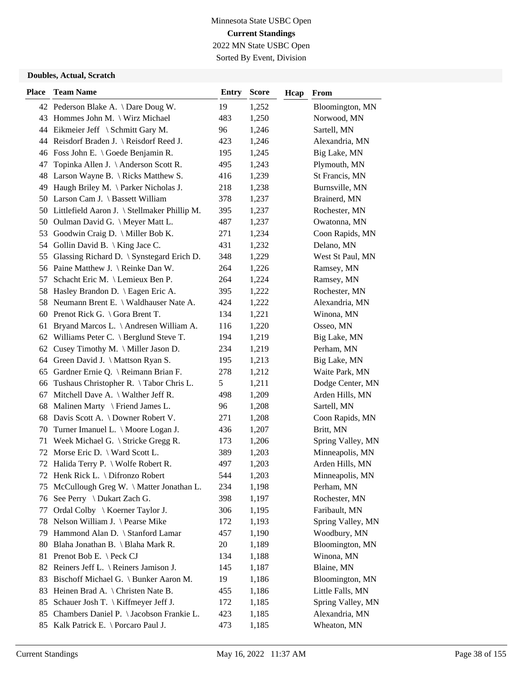Sorted By Event, Division

| <b>Place</b> | <b>Team Name</b>                                | <b>Entry</b>  | <b>Score</b> | Hcap | From              |
|--------------|-------------------------------------------------|---------------|--------------|------|-------------------|
|              | 42 Pederson Blake A. \Dare Doug W.              | 19            | 1,252        |      | Bloomington, MN   |
|              | 43 Hommes John M. \ Wirz Michael                | 483           | 1,250        |      | Norwood, MN       |
|              | 44 Eikmeier Jeff \ Schmitt Gary M.              | 96            | 1,246        |      | Sartell, MN       |
|              | 44 Reisdorf Braden J. \ Reisdorf Reed J.        | 423           | 1,246        |      | Alexandria, MN    |
|              | 46 Foss John E. \ Goede Benjamin R.             | 195           | 1,245        |      | Big Lake, MN      |
| 47           | Topinka Allen J. \ Anderson Scott R.            | 495           | 1,243        |      | Plymouth, MN      |
| 48           | Larson Wayne B. $\backslash$ Ricks Matthew S.   | 416           | 1,239        |      | St Francis, MN    |
|              | 49 Haugh Briley M. \ Parker Nicholas J.         | 218           | 1,238        |      | Burnsville, MN    |
|              | 50 Larson Cam J. \ Bassett William              | 378           | 1,237        |      | Brainerd, MN      |
|              | 50 Littlefield Aaron J. \ Stellmaker Phillip M. | 395           | 1,237        |      | Rochester, MN     |
|              | 50 Oulman David G. \ Meyer Matt L.              | 487           | 1,237        |      | Owatonna, MN      |
|              | 53 Goodwin Craig D. \ Miller Bob K.             | 271           | 1,234        |      | Coon Rapids, MN   |
|              | 54 Gollin David B. \ King Jace C.               | 431           | 1,232        |      | Delano, MN        |
| 55           | Glassing Richard D. \ Synstegard Erich D.       | 348           | 1,229        |      | West St Paul, MN  |
|              | 56 Paine Matthew J. \ Reinke Dan W.             | 264           | 1,226        |      | Ramsey, MN        |
| 57           | Schacht Eric M. \ Lemieux Ben P.                | 264           | 1,224        |      | Ramsey, MN        |
|              | 58 Hasley Brandon D. \ Eagen Eric A.            | 395           | 1,222        |      | Rochester, MN     |
|              | 58 Neumann Brent E. \ Waldhauser Nate A.        | 424           | 1,222        |      | Alexandria, MN    |
|              | 60 Prenot Rick G. \ Gora Brent T.               | 134           | 1,221        |      | Winona, MN        |
| 61           | Bryand Marcos L. \ Andresen William A.          | 116           | 1,220        |      | Osseo, MN         |
|              | 62 Williams Peter C. \ Berglund Steve T.        | 194           | 1,219        |      | Big Lake, MN      |
| 62           | Cusey Timothy M. \ Miller Jason D.              | 234           | 1,219        |      | Perham, MN        |
|              | 64 Green David J. \ Mattson Ryan S.             | 195           | 1,213        |      | Big Lake, MN      |
|              | 65 Gardner Ernie Q. \ Reimann Brian F.          | 278           | 1,212        |      | Waite Park, MN    |
|              | 66 Tushaus Christopher R. \Tabor Chris L.       | $\mathfrak s$ | 1,211        |      | Dodge Center, MN  |
| 67           | Mitchell Dave A. $\setminus$ Walther Jeff R.    | 498           | 1,209        |      | Arden Hills, MN   |
| 68           | Malinen Marty $\{$ Friend James L.              | 96            | 1,208        |      | Sartell, MN       |
|              | 68 Davis Scott A. \ Downer Robert V.            | 271           | 1,208        |      | Coon Rapids, MN   |
|              | 70 Turner Imanuel L. \ Moore Logan J.           | 436           | 1,207        |      | Britt, MN         |
| 71           | Week Michael G. \ Stricke Gregg R.              | 173           | 1,206        |      | Spring Valley, MN |
| 72           | Morse Eric D. \ Ward Scott L.                   | 389           | 1,203        |      | Minneapolis, MN   |
| 72           | Halida Terry P. \ Wolfe Robert R.               | 497           | 1,203        |      | Arden Hills, MN   |
|              | 72 Henk Rick L. \ Difronzo Robert               | 544           | 1,203        |      | Minneapolis, MN   |
| 75           | McCullough Greg W. \ Matter Jonathan L.         | 234           | 1,198        |      | Perham, MN        |
| 76           | See Perry \ Dukart Zach G.                      | 398           | 1,197        |      | Rochester, MN     |
| 77           | Ordal Colby \ Koerner Taylor J.                 | 306           | 1,195        |      | Faribault, MN     |
| 78           | Nelson William J. \ Pearse Mike                 | 172           | 1,193        |      | Spring Valley, MN |
| 79           | Hammond Alan D. \ Stanford Lamar                | 457           | 1,190        |      | Woodbury, MN      |
| 80           | Blaha Jonathan B. \ Blaha Mark R.               | 20            | 1,189        |      | Bloomington, MN   |
|              | 81 Prenot Bob E. \ Peck CJ                      | 134           | 1,188        |      | Winona, MN        |
|              | 82 Reiners Jeff L. \ Reiners Jamison J.         | 145           | 1,187        |      | Blaine, MN        |
| 83           | Bischoff Michael G. \ Bunker Aaron M.           | 19            | 1,186        |      | Bloomington, MN   |
| 83           | Heinen Brad A. $\backslash$ Christen Nate B.    | 455           | 1,186        |      | Little Falls, MN  |
| 85           | Schauer Josh T. \ Kiffmeyer Jeff J.             | 172           | 1,185        |      | Spring Valley, MN |
|              | 85 Chambers Daniel P. \ Jacobson Frankie L.     | 423           | 1,185        |      | Alexandria, MN    |
| 85           | Kalk Patrick E. \ Porcaro Paul J.               | 473           | 1,185        |      | Wheaton, MN       |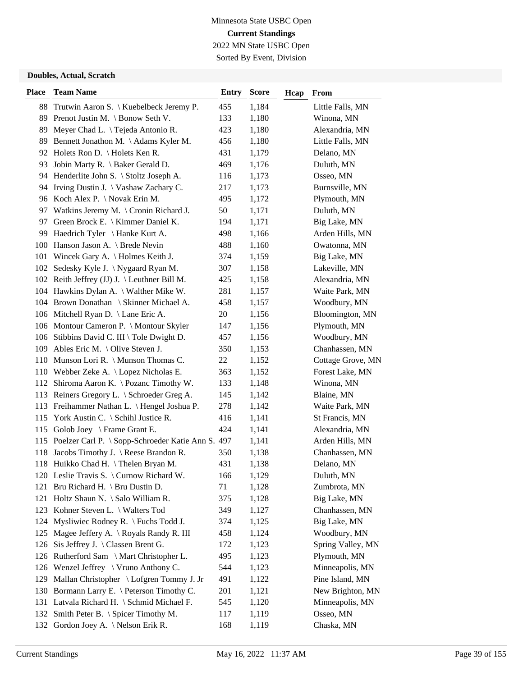## Minnesota State USBC Open **Current Standings** 2022 MN State USBC Open Sorted By Event, Division

| <b>Place</b> | <b>Team Name</b>                                      | <b>Entry</b> | <b>Score</b> | Hcap | From              |
|--------------|-------------------------------------------------------|--------------|--------------|------|-------------------|
|              | 88 Trutwin Aaron S. \ Kuebelbeck Jeremy P.            | 455          | 1,184        |      | Little Falls, MN  |
|              | 89 Prenot Justin M. \ Bonow Seth V.                   | 133          | 1,180        |      | Winona, MN        |
| 89           | Meyer Chad L. \ Tejeda Antonio R.                     | 423          | 1,180        |      | Alexandria, MN    |
| 89           | Bennett Jonathon M. \Adams Kyler M.                   | 456          | 1,180        |      | Little Falls, MN  |
|              | 92 Holets Ron D. \ Holets Ken R.                      | 431          | 1,179        |      | Delano, MN        |
|              | 93 Jobin Marty R. \ Baker Gerald D.                   | 469          | 1,176        |      | Duluth, MN        |
|              | 94 Henderlite John S. \ Stoltz Joseph A.              | 116          | 1,173        |      | Osseo, MN         |
| 94           | Irving Dustin J. \ Vashaw Zachary C.                  | 217          | 1,173        |      | Burnsville, MN    |
|              | 96 Koch Alex P. \ Novak Erin M.                       | 495          | 1,172        |      | Plymouth, MN      |
|              | 97 Watkins Jeremy M. \ Cronin Richard J.              | 50           | 1,171        |      | Duluth, MN        |
| 97           | Green Brock E. \ Kimmer Daniel K.                     | 194          | 1,171        |      | Big Lake, MN      |
| 99           | Haedrich Tyler \ Hanke Kurt A.                        | 498          | 1,166        |      | Arden Hills, MN   |
|              | 100 Hanson Jason A. \ Brede Nevin                     | 488          | 1,160        |      | Owatonna, MN      |
|              | 101 Wincek Gary A. \ Holmes Keith J.                  | 374          | 1,159        |      | Big Lake, MN      |
|              | 102 Sedesky Kyle J. \Nygaard Ryan M.                  | 307          | 1,158        |      | Lakeville, MN     |
|              | 102 Reith Jeffrey (JJ) J. \Leuthner Bill M.           | 425          | 1,158        |      | Alexandria, MN    |
|              | 104 Hawkins Dylan A. \ Walther Mike W.                | 281          | 1,157        |      | Waite Park, MN    |
|              | 104 Brown Donathan \ Skinner Michael A.               | 458          | 1,157        |      | Woodbury, MN      |
|              | 106 Mitchell Ryan D. \ Lane Eric A.                   | 20           | 1,156        |      | Bloomington, MN   |
|              | 106 Montour Cameron P. \ Montour Skyler               | 147          | 1,156        |      | Plymouth, MN      |
|              | 106 Stibbins David C. III \ Tole Dwight D.            | 457          | 1,156        |      | Woodbury, MN      |
|              | 109 Ables Eric M. \ Olive Steven J.                   | 350          | 1,153        |      | Chanhassen, MN    |
|              | 110 Munson Lori R. \ Munson Thomas C.                 | 22           | 1,152        |      | Cottage Grove, MN |
|              | 110 Webber Zeke A. \ Lopez Nicholas E.                | 363          | 1,152        |      | Forest Lake, MN   |
|              | 112 Shiroma Aaron K. \Pozanc Timothy W.               | 133          | 1,148        |      | Winona, MN        |
|              | 113 Reiners Gregory L. \ Schroeder Greg A.            | 145          | 1,142        |      | Blaine, MN        |
|              | 113 Freihammer Nathan L. \ Hengel Joshua P.           | 278          | 1,142        |      | Waite Park, MN    |
|              | 115 York Austin C. \ Schihl Justice R.                | 416          | 1,141        |      | St Francis, MN    |
|              | 115 Golob Joey \ Frame Grant E.                       | 424          | 1,141        |      | Alexandria, MN    |
|              | 115 Poelzer Carl P. \ Sopp-Schroeder Katie Ann S. 497 |              | 1,141        |      | Arden Hills, MN   |
|              | 118 Jacobs Timothy J. \ Reese Brandon R.              | 350          | 1,138        |      | Chanhassen, MN    |
|              | 118 Huikko Chad H. \Thelen Bryan M.                   | 431          | 1,138        |      | Delano, MN        |
|              | 120 Leslie Travis S. \ Curnow Richard W.              | 166          | 1,129        |      | Duluth, MN        |
|              | 121 Bru Richard H. \ Bru Dustin D.                    | 71           | 1,128        |      | Zumbrota, MN      |
|              | 121 Holtz Shaun N. \ Salo William R.                  | 375          | 1,128        |      | Big Lake, MN      |
|              | 123 Kohner Steven L. \ Walters Tod                    | 349          | 1,127        |      | Chanhassen, MN    |
|              | 124 Mysliwiec Rodney R. \ Fuchs Todd J.               | 374          | 1,125        |      | Big Lake, MN      |
|              | 125 Magee Jeffery A. \ Royals Randy R. III            | 458          | 1,124        |      | Woodbury, MN      |
|              | 126 Sis Jeffrey J. \ Classen Brent G.                 | 172          | 1,123        |      | Spring Valley, MN |
|              | 126 Rutherford Sam \ Mart Christopher L.              | 495          | 1,123        |      | Plymouth, MN      |
|              | 126 Wenzel Jeffrey \ Vruno Anthony C.                 | 544          | 1,123        |      | Minneapolis, MN   |
|              | 129 Mallan Christopher \ Lofgren Tommy J. Jr          | 491          | 1,122        |      | Pine Island, MN   |
|              | 130 Bormann Larry E. \ Peterson Timothy C.            | 201          | 1,121        |      | New Brighton, MN  |
|              | 131 Latvala Richard H. \ Schmid Michael F.            | 545          | 1,120        |      | Minneapolis, MN   |
|              | 132 Smith Peter B. \ Spicer Timothy M.                | 117          | 1,119        |      | Osseo, MN         |
|              | 132 Gordon Joey A. \Nelson Erik R.                    | 168          | 1,119        |      | Chaska, MN        |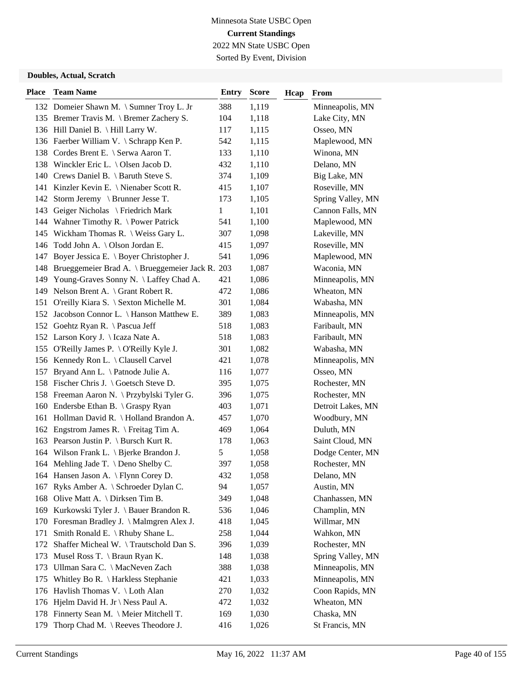Sorted By Event, Division

| <b>Place</b> | <b>Team Name</b>                                    | Entry | <b>Score</b> | Hcap | From              |
|--------------|-----------------------------------------------------|-------|--------------|------|-------------------|
|              | 132 Domeier Shawn M. \ Sumner Troy L. Jr            | 388   | 1,119        |      | Minneapolis, MN   |
|              | 135 Bremer Travis M. \ Bremer Zachery S.            | 104   | 1,118        |      | Lake City, MN     |
|              | 136 Hill Daniel B. \ Hill Larry W.                  | 117   | 1,115        |      | Osseo, MN         |
|              | 136 Faerber William V. \ Schrapp Ken P.             | 542   | 1,115        |      | Maplewood, MN     |
|              | 138 Cordes Brent E. \ Serwa Aaron T.                | 133   | 1,110        |      | Winona, MN        |
|              | 138 Winckler Eric L. \ Olsen Jacob D.               | 432   | 1,110        |      | Delano, MN        |
|              | 140 Crews Daniel B. \ Baruth Steve S.               | 374   | 1,109        |      | Big Lake, MN      |
|              | 141 Kinzler Kevin E. \ Nienaber Scott R.            | 415   | 1,107        |      | Roseville, MN     |
| 142          | Storm Jeremy $\setminus$ Brunner Jesse T.           | 173   | 1,105        |      | Spring Valley, MN |
| 143          | Geiger Nicholas \ Friedrich Mark                    | 1     | 1,101        |      | Cannon Falls, MN  |
|              | 144 Wahner Timothy R. \ Power Patrick               | 541   | 1,100        |      | Maplewood, MN     |
|              | 145 Wickham Thomas R. \ Weiss Gary L.               | 307   | 1,098        |      | Lakeville, MN     |
| 146          | Todd John A. \ Olson Jordan E.                      | 415   | 1,097        |      | Roseville, MN     |
| 147          | Boyer Jessica E. \ Boyer Christopher J.             | 541   | 1,096        |      | Maplewood, MN     |
|              | 148 Brueggemeier Brad A. \ Brueggemeier Jack R. 203 |       | 1,087        |      | Waconia, MN       |
| 149          | Young-Graves Sonny N. \ Laffey Chad A.              | 421   | 1,086        |      | Minneapolis, MN   |
|              | 149 Nelson Brent A. \ Grant Robert R.               | 472   | 1,086        |      | Wheaton, MN       |
| 151          | O'reilly Kiara S. \ Sexton Michelle M.              | 301   | 1,084        |      | Wabasha, MN       |
|              | 152 Jacobson Connor L. \ Hanson Matthew E.          | 389   | 1,083        |      | Minneapolis, MN   |
|              | 152 Goehtz Ryan R. \ Pascua Jeff                    | 518   | 1,083        |      | Faribault, MN     |
|              | 152 Larson Kory J. \ Icaza Nate A.                  | 518   | 1,083        |      | Faribault, MN     |
|              | 155 O'Reilly James P. \O'Reilly Kyle J.             | 301   | 1,082        |      | Wabasha, MN       |
|              | 156 Kennedy Ron L. \ Clausell Carvel                | 421   | 1,078        |      | Minneapolis, MN   |
|              | 157 Bryand Ann L. \ Patnode Julie A.                | 116   | 1,077        |      | Osseo, MN         |
|              | 158 Fischer Chris J. \ Goetsch Steve D.             | 395   | 1,075        |      | Rochester, MN     |
|              | 158 Freeman Aaron N. \ Przybylski Tyler G.          | 396   | 1,075        |      | Rochester, MN     |
|              | 160 Endersbe Ethan B. \ Graspy Ryan                 | 403   | 1,071        |      | Detroit Lakes, MN |
|              | 161 Hollman David R. \ Holland Brandon A.           | 457   | 1,070        |      | Woodbury, MN      |
|              | 162 Engstrom James R. \ Freitag Tim A.              | 469   | 1,064        |      | Duluth, MN        |
|              | 163 Pearson Justin P. \ Bursch Kurt R.              | 178   | 1,063        |      | Saint Cloud, MN   |
|              | 164 Wilson Frank L. \ Bjerke Brandon J.             | 5     | 1,058        |      | Dodge Center, MN  |
|              | 164 Mehling Jade T. \ Deno Shelby C.                | 397   | 1,058        |      | Rochester, MN     |
|              | 164 Hansen Jason A. \ Flynn Corey D.                | 432   | 1,058        |      | Delano, MN        |
| 167          | Ryks Amber A. \ Schroeder Dylan C.                  | 94    | 1,057        |      | Austin, MN        |
|              | 168 Olive Matt A. \ Dirksen Tim B.                  | 349   | 1,048        |      | Chanhassen, MN    |
|              | 169 Kurkowski Tyler J. \ Bauer Brandon R.           | 536   | 1,046        |      | Champlin, MN      |
|              | 170 Foresman Bradley J. \ Malmgren Alex J.          | 418   | 1,045        |      | Willmar, MN       |
| 171          | Smith Ronald E. \ Rhuby Shane L.                    | 258   | 1,044        |      | Wahkon, MN        |
| 172          | Shaffer Micheal W. \Trautschold Dan S.              | 396   | 1,039        |      | Rochester, MN     |
| 173          | Musel Ross T. \ Braun Ryan K.                       | 148   | 1,038        |      | Spring Valley, MN |
| 173          | Ullman Sara C. \ MacNeven Zach                      | 388   | 1,038        |      | Minneapolis, MN   |
| 175          | Whitley Bo R. \ Harkless Stephanie                  | 421   | 1,033        |      | Minneapolis, MN   |
|              | 176 Havlish Thomas V. \ Loth Alan                   | 270   | 1,032        |      | Coon Rapids, MN   |
|              | 176 Hjelm David H. Jr \ Ness Paul A.                | 472   | 1,032        |      | Wheaton, MN       |
| 178          | Finnerty Sean M. \ Meier Mitchell T.                | 169   | 1,030        |      | Chaska, MN        |
| 179          | Thorp Chad M. \ Reeves Theodore J.                  | 416   | 1,026        |      | St Francis, MN    |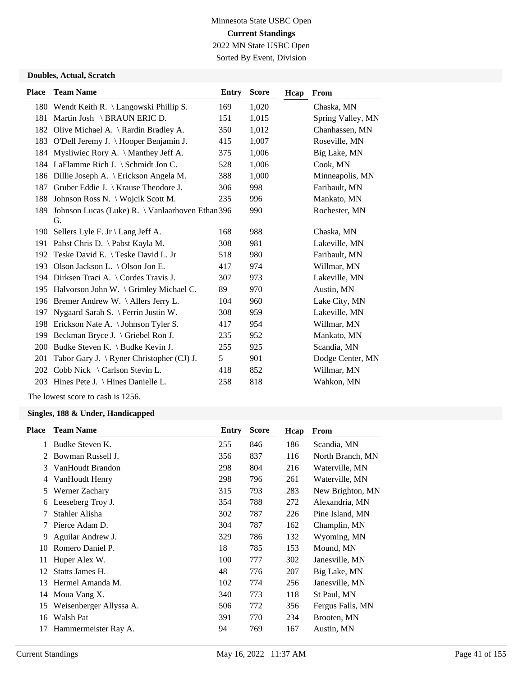## Minnesota State USBC Open **Current Standings** 2022 MN State USBC Open Sorted By Event, Division

#### **Doubles, Actual, Scratch**

| <b>Place</b> | <b>Team Name</b>                                       | Entry | <b>Score</b> | Hcap | From              |
|--------------|--------------------------------------------------------|-------|--------------|------|-------------------|
|              | 180 Wendt Keith R. \ Langowski Phillip S.              | 169   | 1,020        |      | Chaska, MN        |
|              | 181 Martin Josh \BRAUN ERIC D.                         | 151   | 1,015        |      | Spring Valley, MN |
|              | 182 Olive Michael A. \ Rardin Bradley A.               | 350   | 1,012        |      | Chanhassen, MN    |
|              | 183 O'Dell Jeremy J. \ Hooper Benjamin J.              | 415   | 1,007        |      | Roseville, MN     |
| 184          | Mysliwiec Rory A. \ Manthey Jeff A.                    | 375   | 1,006        |      | Big Lake, MN      |
|              | 184 LaFlamme Rich J. \ Schmidt Jon C.                  | 528   | 1,006        |      | Cook, MN          |
|              | 186 Dillie Joseph A. \ Erickson Angela M.              | 388   | 1,000        |      | Minneapolis, MN   |
| 187          | Gruber Eddie J. \ Krause Theodore J.                   | 306   | 998          |      | Faribault, MN     |
| 188          | Johnson Ross N. \ Wojcik Scott M.                      | 235   | 996          |      | Mankato, MN       |
| 189          | Johnson Lucas (Luke) R. \ Vanlaarhoven Ethan 396<br>G. |       | 990          |      | Rochester, MN     |
| 190          | Sellers Lyle F. Jr $\langle$ Lang Jeff A.              | 168   | 988          |      | Chaska, MN        |
| 191          | Pabst Chris D. \ Pabst Kayla M.                        | 308   | 981          |      | Lakeville, MN     |
| 192          | Teske David E. \ Teske David L. Jr                     | 518   | 980          |      | Faribault, MN     |
| 193          | Olson Jackson L. \ Olson Jon E.                        | 417   | 974          |      | Willmar, MN       |
|              | 194 Dirksen Traci A. \ Cordes Travis J.                | 307   | 973          |      | Lakeville, MN     |
|              | 195 Halvorson John W. \ Grimley Michael C.             | 89    | 970          |      | Austin, MN        |
|              | 196 Bremer Andrew W. \Allers Jerry L.                  | 104   | 960          |      | Lake City, MN     |
| 197          | Nygaard Sarah S. \ Ferrin Justin W.                    | 308   | 959          |      | Lakeville, MN     |
| 198          | Erickson Nate A. \ Johnson Tyler S.                    | 417   | 954          |      | Willmar, MN       |
| 199          | Beckman Bryce J. \ Griebel Ron J.                      | 235   | 952          |      | Mankato, MN       |
| 200          | Budke Steven K. \ Budke Kevin J.                       | 255   | 925          |      | Scandia, MN       |
| 201          | Tabor Gary J. $\setminus$ Ryner Christopher (CJ) J.    | 5     | 901          |      | Dodge Center, MN  |
| 202          | Cobb Nick \ Carlson Stevin L.                          | 418   | 852          |      | Willmar, MN       |
|              | 203 Hines Pete J. \ Hines Danielle L.                  | 258   | 818          |      | Wahkon, MN        |
|              |                                                        |       |              |      |                   |

The lowest score to cash is 1256.

| <b>Place</b> | <b>Team Name</b>        | Entry | <b>Score</b> | Hcap | From             |
|--------------|-------------------------|-------|--------------|------|------------------|
| 1            | Budke Steven K.         | 255   | 846          | 186  | Scandia, MN      |
| 2            | Bowman Russell J.       | 356   | 837          | 116  | North Branch, MN |
| 3            | VanHoudt Brandon        | 298   | 804          | 216  | Waterville, MN   |
| 4            | VanHoudt Henry          | 298   | 796          | 261  | Waterville, MN   |
| 5            | Werner Zachary          | 315   | 793          | 283  | New Brighton, MN |
| 6            | Leeseberg Troy J.       | 354   | 788          | 272  | Alexandria, MN   |
| 7            | Stahler Alisha          | 302   | 787          | 226  | Pine Island, MN  |
| 7            | Pierce Adam D.          | 304   | 787          | 162  | Champlin, MN     |
| 9            | Aguilar Andrew J.       | 329   | 786          | 132  | Wyoming, MN      |
| 10           | Romero Daniel P.        | 18    | 785          | 153  | Mound, MN        |
| 11           | Huper Alex W.           | 100   | 777          | 302  | Janesville, MN   |
| 12           | Statts James H.         | 48    | 776          | 207  | Big Lake, MN     |
| 13           | Hermel Amanda M.        | 102   | 774          | 256  | Janesville, MN   |
| 14           | Moua Vang X.            | 340   | 773          | 118  | St Paul, MN      |
| 15           | Weisenberger Allyssa A. | 506   | 772          | 356  | Fergus Falls, MN |
| 16           | Walsh Pat               | 391   | 770          | 234  | Brooten, MN      |
| 17           | Hammermeister Ray A.    | 94    | 769          | 167  | Austin, MN       |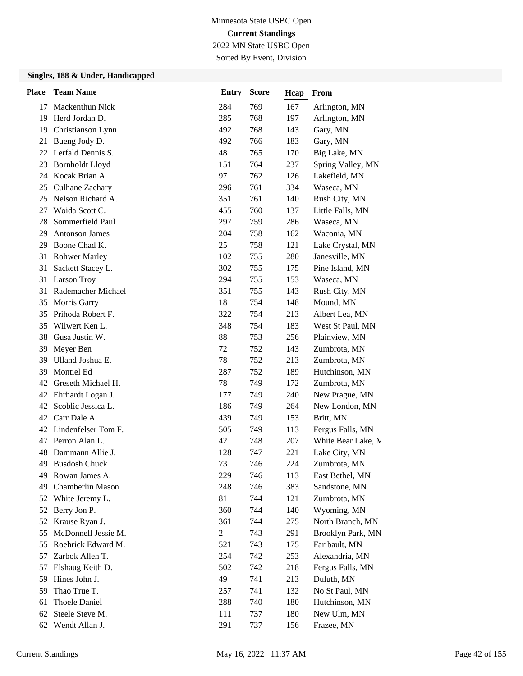Sorted By Event, Division

| <b>Place</b> | <b>Team Name</b>       | <b>Entry</b> | <b>Score</b> | Hcap | From               |
|--------------|------------------------|--------------|--------------|------|--------------------|
| 17           | Mackenthun Nick        | 284          | 769          | 167  | Arlington, MN      |
| 19           | Herd Jordan D.         | 285          | 768          | 197  | Arlington, MN      |
| 19           | Christianson Lynn      | 492          | 768          | 143  | Gary, MN           |
| 21           | Bueng Jody D.          | 492          | 766          | 183  | Gary, MN           |
|              | 22 Lerfald Dennis S.   | 48           | 765          | 170  | Big Lake, MN       |
| 23           | <b>Bornholdt Lloyd</b> | 151          | 764          | 237  | Spring Valley, MN  |
| 24           | Kocak Brian A.         | 97           | 762          | 126  | Lakefield, MN      |
| 25           | Culhane Zachary        | 296          | 761          | 334  | Waseca, MN         |
| 25           | Nelson Richard A.      | 351          | 761          | 140  | Rush City, MN      |
| 27           | Woida Scott C.         | 455          | 760          | 137  | Little Falls, MN   |
| 28           | Sommerfield Paul       | 297          | 759          | 286  | Waseca, MN         |
| 29           | <b>Antonson James</b>  | 204          | 758          | 162  | Waconia, MN        |
| 29           | Boone Chad K.          | 25           | 758          | 121  | Lake Crystal, MN   |
| 31           | <b>Rohwer Marley</b>   | 102          | 755          | 280  | Janesville, MN     |
| 31           | Sackett Stacey L.      | 302          | 755          | 175  | Pine Island, MN    |
| 31           | Larson Troy            | 294          | 755          | 153  | Waseca, MN         |
| 31           | Rademacher Michael     | 351          | 755          | 143  | Rush City, MN      |
| 35           | Morris Garry           | 18           | 754          | 148  | Mound, MN          |
| 35           | Prihoda Robert F.      | 322          | 754          | 213  | Albert Lea, MN     |
| 35           | Wilwert Ken L.         | 348          | 754          | 183  | West St Paul, MN   |
| 38           | Gusa Justin W.         | 88           | 753          | 256  | Plainview, MN      |
| 39           | Meyer Ben              | 72           | 752          | 143  | Zumbrota, MN       |
| 39           | Ulland Joshua E.       | 78           | 752          | 213  | Zumbrota, MN       |
| 39           | Montiel Ed             | 287          | 752          | 189  | Hutchinson, MN     |
| 42           | Greseth Michael H.     | 78           | 749          | 172  | Zumbrota, MN       |
|              | 42 Ehrhardt Logan J.   | 177          | 749          | 240  | New Prague, MN     |
| 42           | Scoblic Jessica L.     | 186          | 749          | 264  | New London, MN     |
| 42           | Carr Dale A.           | 439          | 749          | 153  | Britt, MN          |
|              | 42 Lindenfelser Tom F. | 505          | 749          | 113  | Fergus Falls, MN   |
| 47           | Perron Alan L.         | 42           | 748          | 207  | White Bear Lake, M |
| 48           | Dammann Allie J.       | 128          | 747          | 221  | Lake City, MN      |
| 49           | <b>Busdosh Chuck</b>   | 73           | 746          | 224  | Zumbrota, MN       |
|              | 49 Rowan James A.      | 229          | 746          | 113  | East Bethel, MN    |
| 49           | Chamberlin Mason       | 248          | 746          | 383  | Sandstone, MN      |
| 52           | White Jeremy L.        | 81           | 744          | 121  | Zumbrota, MN       |
| 52           | Berry Jon P.           | 360          | 744          | 140  | Wyoming, MN        |
| 52           | Krause Ryan J.         | 361          | 744          | 275  | North Branch, MN   |
| 55           | McDonnell Jessie M.    | 2            | 743          | 291  | Brooklyn Park, MN  |
| 55           | Roehrick Edward M.     | 521          | 743          | 175  | Faribault, MN      |
| 57           | Zarbok Allen T.        | 254          | 742          | 253  | Alexandria, MN     |
| 57           | Elshaug Keith D.       | 502          | 742          | 218  | Fergus Falls, MN   |
| 59           | Hines John J.          | 49           | 741          | 213  | Duluth, MN         |
| 59           | Thao True T.           | 257          | 741          | 132  | No St Paul, MN     |
| 61           | Thoele Daniel          | 288          | 740          | 180  | Hutchinson, MN     |
| 62           | Steele Steve M.        | 111          | 737          | 180  | New Ulm, MN        |
| 62           | Wendt Allan J.         | 291          | 737          | 156  | Frazee, MN         |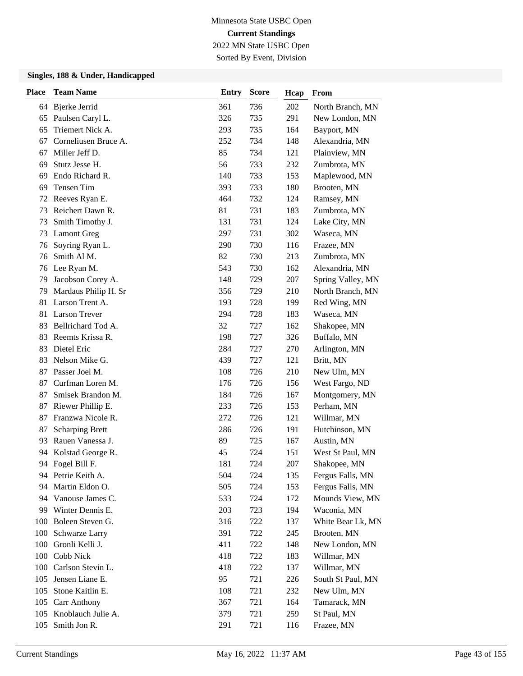Sorted By Event, Division

| <b>Place</b> | <b>Team Name</b>       | <b>Entry</b> | <b>Score</b> | Hcap | From              |
|--------------|------------------------|--------------|--------------|------|-------------------|
|              | 64 Bjerke Jerrid       | 361          | 736          | 202  | North Branch, MN  |
|              | 65 Paulsen Caryl L.    | 326          | 735          | 291  | New London, MN    |
| 65           | Triemert Nick A.       | 293          | 735          | 164  | Bayport, MN       |
| 67           | Corneliusen Bruce A.   | 252          | 734          | 148  | Alexandria, MN    |
| 67           | Miller Jeff D.         | 85           | 734          | 121  | Plainview, MN     |
| 69           | Stutz Jesse H.         | 56           | 733          | 232  | Zumbrota, MN      |
| 69           | Endo Richard R.        | 140          | 733          | 153  | Maplewood, MN     |
| 69           | Tensen Tim             | 393          | 733          | 180  | Brooten, MN       |
| 72           | Reeves Ryan E.         | 464          | 732          | 124  | Ramsey, MN        |
| 73           | Reichert Dawn R.       | 81           | 731          | 183  | Zumbrota, MN      |
| 73           | Smith Timothy J.       | 131          | 731          | 124  | Lake City, MN     |
| 73           | <b>Lamont Greg</b>     | 297          | 731          | 302  | Waseca, MN        |
| 76           | Soyring Ryan L.        | 290          | 730          | 116  | Frazee, MN        |
| 76           | Smith Al M.            | 82           | 730          | 213  | Zumbrota, MN      |
| 76           | Lee Ryan M.            | 543          | 730          | 162  | Alexandria, MN    |
| 79           | Jacobson Corey A.      | 148          | 729          | 207  | Spring Valley, MN |
| 79           | Mardaus Philip H. Sr   | 356          | 729          | 210  | North Branch, MN  |
| 81           | Larson Trent A.        | 193          | 728          | 199  | Red Wing, MN      |
| 81           | <b>Larson Trever</b>   | 294          | 728          | 183  | Waseca, MN        |
| 83           | Bellrichard Tod A.     | 32           | 727          | 162  | Shakopee, MN      |
| 83           | Reemts Krissa R.       | 198          | 727          | 326  | Buffalo, MN       |
| 83           | Dietel Eric            | 284          | 727          | 270  | Arlington, MN     |
| 83           | Nelson Mike G.         | 439          | 727          | 121  | Britt, MN         |
| 87           | Passer Joel M.         | 108          | 726          | 210  | New Ulm, MN       |
| 87           | Curfman Loren M.       | 176          | 726          | 156  | West Fargo, ND    |
| 87           | Smisek Brandon M.      | 184          | 726          | 167  | Montgomery, MN    |
| 87           | Riewer Phillip E.      | 233          | 726          | 153  | Perham, MN        |
| 87           | Franzwa Nicole R.      | 272          | 726          | 121  | Willmar, MN       |
| 87           | <b>Scharping Brett</b> | 286          | 726          | 191  | Hutchinson, MN    |
| 93           | Rauen Vanessa J.       | 89           | 725          | 167  | Austin, MN        |
| 94           | Kolstad George R.      | 45           | 724          | 151  | West St Paul, MN  |
|              | 94 Fogel Bill F.       | 181          | 724          | 207  | Shakopee, MN      |
|              | 94 Petrie Keith A.     | 504          | 724          | 135  | Fergus Falls, MN  |
| 94           | Martin Eldon O.        | 505          | 724          | 153  | Fergus Falls, MN  |
| 94           | Vanouse James C.       | 533          | 724          | 172  | Mounds View, MN   |
|              | 99 Winter Dennis E.    | 203          | 723          | 194  | Waconia, MN       |
| 100          | Boleen Steven G.       | 316          | 722          | 137  | White Bear Lk, MN |
| 100          | Schwarze Larry         | 391          | 722          | 245  | Brooten, MN       |
| 100          | Gronli Kelli J.        | 411          | 722          | 148  | New London, MN    |
| 100          | Cobb Nick              | 418          | 722          | 183  | Willmar, MN       |
| 100          | Carlson Stevin L.      | 418          | 722          | 137  | Willmar, MN       |
| 105          | Jensen Liane E.        | 95           | 721          | 226  | South St Paul, MN |
| 105          | Stone Kaitlin E.       | 108          | 721          | 232  | New Ulm, MN       |
|              | 105 Carr Anthony       | 367          | 721          | 164  | Tamarack, MN      |
|              | 105 Knoblauch Julie A. | 379          | 721          | 259  | St Paul, MN       |
| 105          | Smith Jon R.           | 291          | 721          | 116  | Frazee, MN        |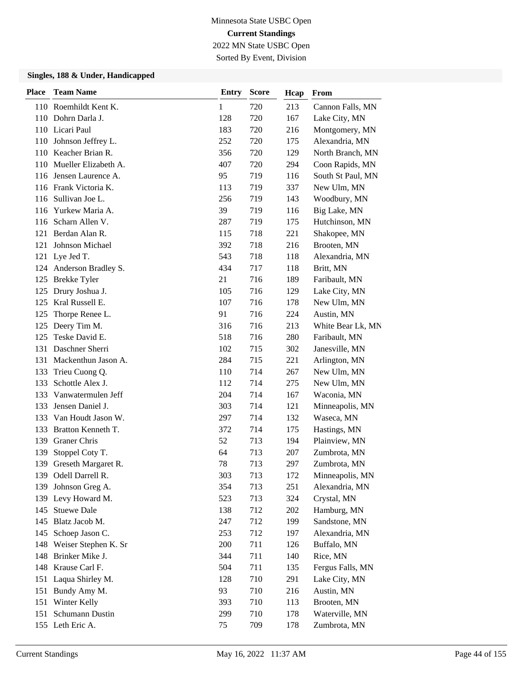Sorted By Event, Division

| <b>Place</b> | <b>Team Name</b>         | <b>Entry</b> | <b>Score</b> | Hcap | From              |
|--------------|--------------------------|--------------|--------------|------|-------------------|
|              | 110 Roemhildt Kent K.    | 1            | 720          | 213  | Cannon Falls, MN  |
|              | 110 Dohrn Darla J.       | 128          | 720          | 167  | Lake City, MN     |
|              | 110 Licari Paul          | 183          | 720          | 216  | Montgomery, MN    |
| 110          | Johnson Jeffrey L.       | 252          | 720          | 175  | Alexandria, MN    |
| 110          | Keacher Brian R.         | 356          | 720          | 129  | North Branch, MN  |
| 110          | Mueller Elizabeth A.     | 407          | 720          | 294  | Coon Rapids, MN   |
| 116          | Jensen Laurence A.       | 95           | 719          | 116  | South St Paul, MN |
|              | 116 Frank Victoria K.    | 113          | 719          | 337  | New Ulm, MN       |
| 116          | Sullivan Joe L.          | 256          | 719          | 143  | Woodbury, MN      |
| 116          | Yurkew Maria A.          | 39           | 719          | 116  | Big Lake, MN      |
| 116          | Scharn Allen V.          | 287          | 719          | 175  | Hutchinson, MN    |
| 121          | Berdan Alan R.           | 115          | 718          | 221  | Shakopee, MN      |
| 121          | Johnson Michael          | 392          | 718          | 216  | Brooten, MN       |
|              | 121 Lye Jed T.           | 543          | 718          | 118  | Alexandria, MN    |
|              | 124 Anderson Bradley S.  | 434          | 717          | 118  | Britt, MN         |
|              | 125 Brekke Tyler         | 21           | 716          | 189  | Faribault, MN     |
| 125          | Drury Joshua J.          | 105          | 716          | 129  | Lake City, MN     |
| 125          | Kral Russell E.          | 107          | 716          | 178  | New Ulm, MN       |
| 125          | Thorpe Renee L.          | 91           | 716          | 224  | Austin, MN        |
|              | 125 Deery Tim M.         | 316          | 716          | 213  | White Bear Lk, MN |
| 125          | Teske David E.           | 518          | 716          | 280  | Faribault, MN     |
|              | 131 Daschner Sherri      | 102          | 715          | 302  | Janesville, MN    |
| 131          | Mackenthun Jason A.      | 284          | 715          | 221  | Arlington, MN     |
| 133          | Trieu Cuong Q.           | 110          | 714          | 267  | New Ulm, MN       |
| 133          | Schottle Alex J.         | 112          | 714          | 275  | New Ulm, MN       |
| 133          | Vanwatermulen Jeff       | 204          | 714          | 167  | Waconia, MN       |
| 133          | Jensen Daniel J.         | 303          | 714          | 121  | Minneapolis, MN   |
| 133          | Van Houdt Jason W.       | 297          | 714          | 132  | Waseca, MN        |
| 133          | Bratton Kenneth T.       | 372          | 714          | 175  | Hastings, MN      |
| 139          | Graner Chris             | 52           | 713          | 194  | Plainview, MN     |
| 139          | Stoppel Coty T.          | 64           | 713          | 207  | Zumbrota, MN      |
| 139          | Greseth Margaret R.      | 78           | 713          | 297  | Zumbrota, MN      |
|              | 139 Odell Darrell R.     | 303          | 713          | 172  | Minneapolis, MN   |
| 139          | Johnson Greg A.          | 354          | 713          | 251  | Alexandria, MN    |
|              | 139 Levy Howard M.       | 523          | 713          | 324  | Crystal, MN       |
| 145          | <b>Stuewe Dale</b>       | 138          | 712          | 202  | Hamburg, MN       |
| 145          | Blatz Jacob M.           | 247          | 712          | 199  | Sandstone, MN     |
| 145          | Schoep Jason C.          | 253          | 712          | 197  | Alexandria, MN    |
|              | 148 Weiser Stephen K. Sr | 200          | 711          | 126  | Buffalo, MN       |
| 148          | Brinker Mike J.          | 344          | 711          | 140  | Rice, MN          |
| 148          | Krause Carl F.           | 504          | 711          | 135  | Fergus Falls, MN  |
| 151          | Laqua Shirley M.         | 128          | 710          | 291  | Lake City, MN     |
| 151          | Bundy Amy M.             | 93           | 710          | 216  | Austin, MN        |
|              | 151 Winter Kelly         | 393          | 710          | 113  | Brooten, MN       |
| 151          | Schumann Dustin          | 299          | 710          | 178  | Waterville, MN    |
|              | 155 Leth Eric A.         | 75           | 709          | 178  | Zumbrota, MN      |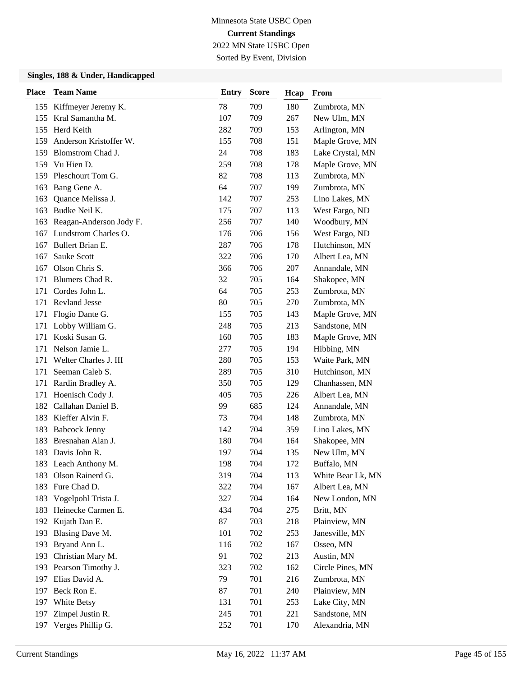Sorted By Event, Division

| <b>Place</b> | <b>Team Name</b>           | <b>Entry</b> | <b>Score</b> | Hcap | From              |
|--------------|----------------------------|--------------|--------------|------|-------------------|
| 155          | Kiffmeyer Jeremy K.        | 78           | 709          | 180  | Zumbrota, MN      |
| 155          | Kral Samantha M.           | 107          | 709          | 267  | New Ulm, MN       |
| 155          | Herd Keith                 | 282          | 709          | 153  | Arlington, MN     |
|              | 159 Anderson Kristoffer W. | 155          | 708          | 151  | Maple Grove, MN   |
| 159          | Blomstrom Chad J.          | 24           | 708          | 183  | Lake Crystal, MN  |
|              | 159 Vu Hien D.             | 259          | 708          | 178  | Maple Grove, MN   |
| 159          | Pleschourt Tom G.          | 82           | 708          | 113  | Zumbrota, MN      |
| 163          | Bang Gene A.               | 64           | 707          | 199  | Zumbrota, MN      |
| 163          | Quance Melissa J.          | 142          | 707          | 253  | Lino Lakes, MN    |
| 163          | Budke Neil K.              | 175          | 707          | 113  | West Fargo, ND    |
| 163          | Reagan-Anderson Jody F.    | 256          | 707          | 140  | Woodbury, MN      |
| 167          | Lundstrom Charles O.       | 176          | 706          | 156  | West Fargo, ND    |
| 167          | Bullert Brian E.           | 287          | 706          | 178  | Hutchinson, MN    |
| 167          | <b>Sauke Scott</b>         | 322          | 706          | 170  | Albert Lea, MN    |
| 167          | Olson Chris S.             | 366          | 706          | 207  | Annandale, MN     |
| 171          | Blumers Chad R.            | 32           | 705          | 164  | Shakopee, MN      |
| 171          | Cordes John L.             | 64           | 705          | 253  | Zumbrota, MN      |
| 171          | <b>Revland Jesse</b>       | 80           | 705          | 270  | Zumbrota, MN      |
| 171          | Flogio Dante G.            | 155          | 705          | 143  | Maple Grove, MN   |
| 171          | Lobby William G.           | 248          | 705          | 213  | Sandstone, MN     |
| 171          | Koski Susan G.             | 160          | 705          | 183  | Maple Grove, MN   |
| 171          | Nelson Jamie L.            | 277          | 705          | 194  | Hibbing, MN       |
| 171          | Welter Charles J. III      | 280          | 705          | 153  | Waite Park, MN    |
| 171          | Seeman Caleb S.            | 289          | 705          | 310  | Hutchinson, MN    |
| 171          | Rardin Bradley A.          | 350          | 705          | 129  | Chanhassen, MN    |
| 171          | Hoenisch Cody J.           | 405          | 705          | 226  | Albert Lea, MN    |
| 182          | Callahan Daniel B.         | 99           | 685          | 124  | Annandale, MN     |
| 183          | Kieffer Alvin F.           | 73           | 704          | 148  | Zumbrota, MN      |
| 183          | <b>Babcock Jenny</b>       | 142          | 704          | 359  | Lino Lakes, MN    |
| 183          | Bresnahan Alan J.          | 180          | 704          | 164  | Shakopee, MN      |
| 183          | Davis John R.              | 197          | 704          | 135  | New Ulm, MN       |
|              | 183 Leach Anthony M.       | 198          | 704          | 172  | Buffalo, MN       |
| 183          | Olson Rainerd G.           | 319          | 704          | 113  | White Bear Lk, MN |
| 183          | Fure Chad D.               | 322          | 704          | 167  | Albert Lea, MN    |
| 183          | Vogelpohl Trista J.        | 327          | 704          | 164  | New London, MN    |
| 183          | Heinecke Carmen E.         | 434          | 704          | 275  | Britt, MN         |
|              | 192 Kujath Dan E.          | 87           | 703          | 218  | Plainview, MN     |
| 193          | Blasing Dave M.            | 101          | 702          | 253  | Janesville, MN    |
| 193          | Bryand Ann L.              | 116          | 702          | 167  | Osseo, MN         |
| 193          | Christian Mary M.          | 91           | 702          | 213  | Austin, MN        |
|              | 193 Pearson Timothy J.     | 323          | 702          | 162  | Circle Pines, MN  |
|              | 197 Elias David A.         | 79           | 701          | 216  | Zumbrota, MN      |
| 197          | Beck Ron E.                | 87           | 701          | 240  | Plainview, MN     |
|              | 197 White Betsy            | 131          | 701          | 253  | Lake City, MN     |
| 197          | Zimpel Justin R.           | 245          | 701          | 221  | Sandstone, MN     |
| 197          | Verges Phillip G.          | 252          | 701          | 170  | Alexandria, MN    |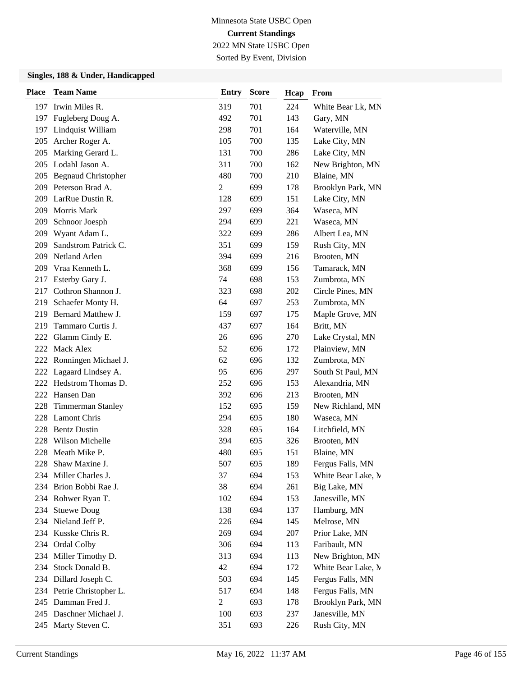# Minnesota State USBC Open **Current Standings**

2022 MN State USBC Open Sorted By Event, Division

| <b>Place</b> | <b>Team Name</b>           | <b>Entry</b>   | <b>Score</b> | Hcap | From               |
|--------------|----------------------------|----------------|--------------|------|--------------------|
|              | 197 Irwin Miles R.         | 319            | 701          | 224  | White Bear Lk, MN  |
| 197          | Fugleberg Doug A.          | 492            | 701          | 143  | Gary, MN           |
| 197          | Lindquist William          | 298            | 701          | 164  | Waterville, MN     |
| 205          | Archer Roger A.            | 105            | 700          | 135  | Lake City, MN      |
| 205          | Marking Gerard L.          | 131            | 700          | 286  | Lake City, MN      |
| 205          | Lodahl Jason A.            | 311            | 700          | 162  | New Brighton, MN   |
| 205          | <b>Begnaud Christopher</b> | 480            | 700          | 210  | Blaine, MN         |
| 209          | Peterson Brad A.           | $\overline{c}$ | 699          | 178  | Brooklyn Park, MN  |
|              | 209 LarRue Dustin R.       | 128            | 699          | 151  | Lake City, MN      |
| 209          | Morris Mark                | 297            | 699          | 364  | Waseca, MN         |
| 209          | Schnoor Joesph             | 294            | 699          | 221  | Waseca, MN         |
| 209          | Wyant Adam L.              | 322            | 699          | 286  | Albert Lea, MN     |
| 209          | Sandstrom Patrick C.       | 351            | 699          | 159  | Rush City, MN      |
| 209          | <b>Netland Arlen</b>       | 394            | 699          | 216  | Brooten, MN        |
| 209          | Vraa Kenneth L.            | 368            | 699          | 156  | Tamarack, MN       |
| 217          | Esterby Gary J.            | 74             | 698          | 153  | Zumbrota, MN       |
| 217          | Cothron Shannon J.         | 323            | 698          | 202  | Circle Pines, MN   |
| 219          | Schaefer Monty H.          | 64             | 697          | 253  | Zumbrota, MN       |
| 219          | Bernard Matthew J.         | 159            | 697          | 175  | Maple Grove, MN    |
| 219          | Tammaro Curtis J.          | 437            | 697          | 164  | Britt, MN          |
| 222          | Glamm Cindy E.             | 26             | 696          | 270  | Lake Crystal, MN   |
| 222          | Mack Alex                  | 52             | 696          | 172  | Plainview, MN      |
| 222          | Ronningen Michael J.       | 62             | 696          | 132  | Zumbrota, MN       |
| 222          | Lagaard Lindsey A.         | 95             | 696          | 297  | South St Paul, MN  |
| 222          | Hedstrom Thomas D.         | 252            | 696          | 153  | Alexandria, MN     |
| 222          | Hansen Dan                 | 392            | 696          | 213  | Brooten, MN        |
| 228          | <b>Timmerman Stanley</b>   | 152            | 695          | 159  | New Richland, MN   |
| 228          | <b>Lamont Chris</b>        | 294            | 695          | 180  | Waseca, MN         |
| 228          | <b>Bentz Dustin</b>        | 328            | 695          | 164  | Litchfield, MN     |
| 228          | Wilson Michelle            | 394            | 695          | 326  | Brooten, MN        |
| 228          | Meath Mike P.              | 480            | 695          | 151  | Blaine, MN         |
| 228          | Shaw Maxine J.             | 507            | 695          | 189  | Fergus Falls, MN   |
|              | 234 Miller Charles J.      | 37             | 694          | 153  | White Bear Lake, M |
| 234          | Brion Bobbi Rae J.         | 38             | 694          | 261  | Big Lake, MN       |
|              | 234 Rohwer Ryan T.         | 102            | 694          | 153  | Janesville, MN     |
| 234          | <b>Stuewe Doug</b>         | 138            | 694          | 137  | Hamburg, MN        |
|              | 234 Nieland Jeff P.        | 226            | 694          | 145  | Melrose, MN        |
| 234          | Kusske Chris R.            | 269            | 694          | 207  | Prior Lake, MN     |
|              | 234 Ordal Colby            | 306            | 694          | 113  | Faribault, MN      |
| 234          | Miller Timothy D.          | 313            | 694          | 113  | New Brighton, MN   |
| 234          | Stock Donald B.            | 42             | 694          | 172  | White Bear Lake, M |
| 234          | Dillard Joseph C.          | 503            | 694          | 145  | Fergus Falls, MN   |
|              | 234 Petrie Christopher L.  | 517            | 694          | 148  | Fergus Falls, MN   |
| 245          | Damman Fred J.             | $\overline{c}$ | 693          | 178  | Brooklyn Park, MN  |
| 245          | Daschner Michael J.        | 100            | 693          | 237  | Janesville, MN     |
| 245          | Marty Steven C.            | 351            | 693          | 226  | Rush City, MN      |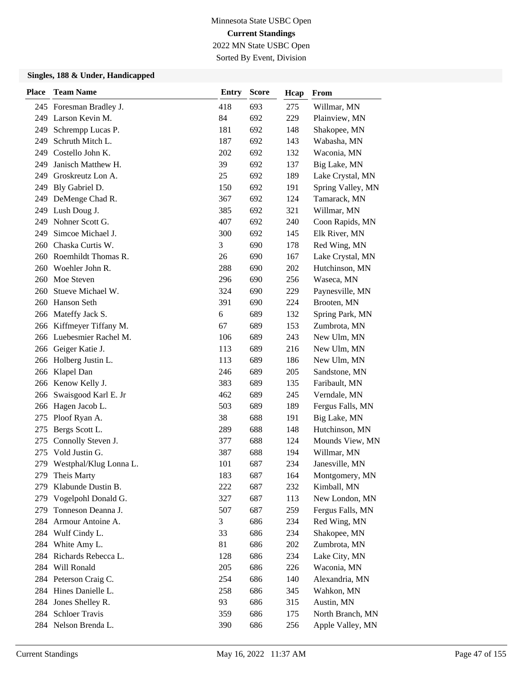Sorted By Event, Division

| <b>Place</b> | <b>Team Name</b>           | <b>Entry</b> | <b>Score</b> | Hcap | From              |
|--------------|----------------------------|--------------|--------------|------|-------------------|
|              | 245 Foresman Bradley J.    | 418          | 693          | 275  | Willmar, MN       |
|              | 249 Larson Kevin M.        | 84           | 692          | 229  | Plainview, MN     |
| 249          | Schrempp Lucas P.          | 181          | 692          | 148  | Shakopee, MN      |
| 249          | Schruth Mitch L.           | 187          | 692          | 143  | Wabasha, MN       |
| 249          | Costello John K.           | 202          | 692          | 132  | Waconia, MN       |
| 249          | Janisch Matthew H.         | 39           | 692          | 137  | Big Lake, MN      |
| 249          | Groskreutz Lon A.          | 25           | 692          | 189  | Lake Crystal, MN  |
|              | 249 Bly Gabriel D.         | 150          | 692          | 191  | Spring Valley, MN |
| 249          | DeMenge Chad R.            | 367          | 692          | 124  | Tamarack, MN      |
| 249          | Lush Doug J.               | 385          | 692          | 321  | Willmar, MN       |
| 249          | Nohner Scott G.            | 407          | 692          | 240  | Coon Rapids, MN   |
| 249          | Simcoe Michael J.          | 300          | 692          | 145  | Elk River, MN     |
| 260          | Chaska Curtis W.           | 3            | 690          | 178  | Red Wing, MN      |
| 260          | Roemhildt Thomas R.        | 26           | 690          | 167  | Lake Crystal, MN  |
| 260          | Woehler John R.            | 288          | 690          | 202  | Hutchinson, MN    |
| 260          | Moe Steven                 | 296          | 690          | 256  | Waseca, MN        |
| 260          | Stueve Michael W.          | 324          | 690          | 229  | Paynesville, MN   |
| 260          | Hanson Seth                | 391          | 690          | 224  | Brooten, MN       |
| 266          | Mateffy Jack S.            | 6            | 689          | 132  | Spring Park, MN   |
|              | 266 Kiffmeyer Tiffany M.   | 67           | 689          | 153  | Zumbrota, MN      |
|              | 266 Luebesmier Rachel M.   | 106          | 689          | 243  | New Ulm, MN       |
| 266          | Geiger Katie J.            | 113          | 689          | 216  | New Ulm, MN       |
| 266          | Holberg Justin L.          | 113          | 689          | 186  | New Ulm, MN       |
|              | 266 Klapel Dan             | 246          | 689          | 205  | Sandstone, MN     |
| 266          | Kenow Kelly J.             | 383          | 689          | 135  | Faribault, MN     |
| 266          | Swaisgood Karl E. Jr       | 462          | 689          | 245  | Verndale, MN      |
| 266          | Hagen Jacob L.             | 503          | 689          | 189  | Fergus Falls, MN  |
| 275          | Ploof Ryan A.              | 38           | 688          | 191  | Big Lake, MN      |
| 275          | Bergs Scott L.             | 289          | 688          | 148  | Hutchinson, MN    |
| 275          | Connolly Steven J.         | 377          | 688          | 124  | Mounds View, MN   |
| 275          | Vold Justin G.             | 387          | 688          | 194  | Willmar, MN       |
|              | 279 Westphal/Klug Lonna L. | 101          | 687          | 234  | Janesville, MN    |
|              | 279 Theis Marty            | 183          | 687          | 164  | Montgomery, MN    |
| 279          | Klabunde Dustin B.         | 222          | 687          | 232  | Kimball, MN       |
| 279          | Vogelpohl Donald G.        | 327          | 687          | 113  | New London, MN    |
| 279          | Tonneson Deanna J.         | 507          | 687          | 259  | Fergus Falls, MN  |
| 284          | Armour Antoine A.          | 3            | 686          | 234  | Red Wing, MN      |
|              | 284 Wulf Cindy L.          | 33           | 686          | 234  | Shakopee, MN      |
| 284          | White Amy L.               | 81           | 686          | 202  | Zumbrota, MN      |
| 284          | Richards Rebecca L.        | 128          | 686          | 234  | Lake City, MN     |
| 284          | Will Ronald                | 205          | 686          | 226  | Waconia, MN       |
|              | 284 Peterson Craig C.      | 254          | 686          | 140  | Alexandria, MN    |
|              | 284 Hines Danielle L.      | 258          | 686          | 345  | Wahkon, MN        |
| 284          | Jones Shelley R.           | 93           | 686          | 315  | Austin, MN        |
|              | 284 Schloer Travis         | 359          | 686          | 175  | North Branch, MN  |
|              | 284 Nelson Brenda L.       | 390          | 686          | 256  | Apple Valley, MN  |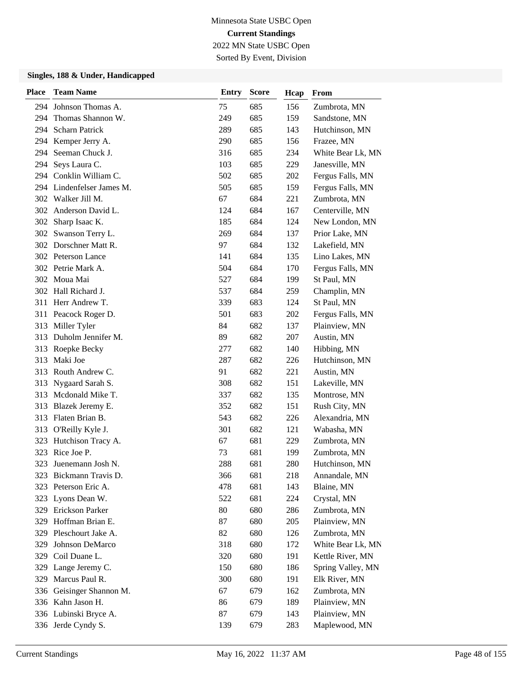Sorted By Event, Division

| <b>Place</b> | <b>Team Name</b>          | Entry | <b>Score</b> | Hcap | From              |
|--------------|---------------------------|-------|--------------|------|-------------------|
|              | 294 Johnson Thomas A.     | 75    | 685          | 156  | Zumbrota, MN      |
| 294          | Thomas Shannon W.         | 249   | 685          | 159  | Sandstone, MN     |
| 294          | <b>Scharn Patrick</b>     | 289   | 685          | 143  | Hutchinson, MN    |
|              | 294 Kemper Jerry A.       | 290   | 685          | 156  | Frazee, MN        |
| 294          | Seeman Chuck J.           | 316   | 685          | 234  | White Bear Lk, MN |
| 294          | Seys Laura C.             | 103   | 685          | 229  | Janesville, MN    |
| 294          | Conklin William C.        | 502   | 685          | 202  | Fergus Falls, MN  |
|              | 294 Lindenfelser James M. | 505   | 685          | 159  | Fergus Falls, MN  |
|              | 302 Walker Jill M.        | 67    | 684          | 221  | Zumbrota, MN      |
|              | 302 Anderson David L.     | 124   | 684          | 167  | Centerville, MN   |
| 302          | Sharp Isaac K.            | 185   | 684          | 124  | New London, MN    |
| 302          | Swanson Terry L.          | 269   | 684          | 137  | Prior Lake, MN    |
|              | 302 Dorschner Matt R.     | 97    | 684          | 132  | Lakefield, MN     |
|              | 302 Peterson Lance        | 141   | 684          | 135  | Lino Lakes, MN    |
|              | 302 Petrie Mark A.        | 504   | 684          | 170  | Fergus Falls, MN  |
|              | 302 Moua Mai              | 527   | 684          | 199  | St Paul, MN       |
|              | 302 Hall Richard J.       | 537   | 684          | 259  | Champlin, MN      |
|              | 311 Herr Andrew T.        | 339   | 683          | 124  | St Paul, MN       |
|              | 311 Peacock Roger D.      | 501   | 683          | 202  | Fergus Falls, MN  |
| 313          | Miller Tyler              | 84    | 682          | 137  | Plainview, MN     |
| 313          | Duholm Jennifer M.        | 89    | 682          | 207  | Austin, MN        |
| 313          | Roepke Becky              | 277   | 682          | 140  | Hibbing, MN       |
| 313          | Maki Joe                  | 287   | 682          | 226  | Hutchinson, MN    |
| 313          | Routh Andrew C.           | 91    | 682          | 221  | Austin, MN        |
| 313          | Nygaard Sarah S.          | 308   | 682          | 151  | Lakeville, MN     |
| 313          | Mcdonald Mike T.          | 337   | 682          | 135  | Montrose, MN      |
| 313          | Blazek Jeremy E.          | 352   | 682          | 151  | Rush City, MN     |
| 313          | Flaten Brian B.           | 543   | 682          | 226  | Alexandria, MN    |
| 313          | O'Reilly Kyle J.          | 301   | 682          | 121  | Wabasha, MN       |
| 323          | Hutchison Tracy A.        | 67    | 681          | 229  | Zumbrota, MN      |
| 323          | Rice Joe P.               | 73    | 681          | 199  | Zumbrota, MN      |
| 323          | Juenemann Josh N.         | 288   | 681          | 280  | Hutchinson, MN    |
|              | 323 Bickmann Travis D.    | 366   | 681          | 218  | Annandale, MN     |
| 323          | Peterson Eric A.          | 478   | 681          | 143  | Blaine, MN        |
| 323          | Lyons Dean W.             | 522   | 681          | 224  | Crystal, MN       |
|              | 329 Erickson Parker       | 80    | 680          | 286  | Zumbrota, MN      |
|              | 329 Hoffman Brian E.      | 87    | 680          | 205  | Plainview, MN     |
|              | 329 Pleschourt Jake A.    | 82    | 680          | 126  | Zumbrota, MN      |
| 329          | Johnson DeMarco           | 318   | 680          | 172  | White Bear Lk, MN |
| 329          | Coil Duane L.             | 320   | 680          | 191  | Kettle River, MN  |
|              | 329 Lange Jeremy C.       | 150   | 680          | 186  | Spring Valley, MN |
| 329          | Marcus Paul R.            | 300   | 680          | 191  | Elk River, MN     |
| 336          | Geisinger Shannon M.      | 67    | 679          | 162  | Zumbrota, MN      |
|              | 336 Kahn Jason H.         | 86    | 679          | 189  | Plainview, MN     |
|              | 336 Lubinski Bryce A.     | 87    | 679          | 143  | Plainview, MN     |
|              | 336 Jerde Cyndy S.        | 139   | 679          | 283  | Maplewood, MN     |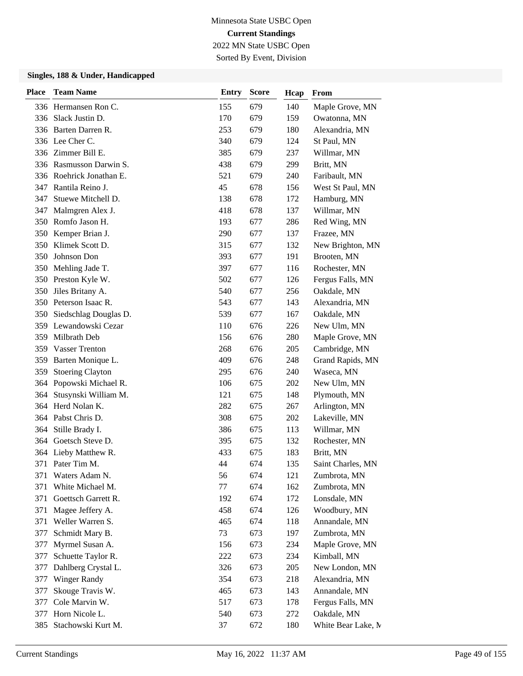Sorted By Event, Division

| Place | <b>Team Name</b>         | <b>Entry</b> | <b>Score</b> | Hcap | From               |
|-------|--------------------------|--------------|--------------|------|--------------------|
|       | 336 Hermansen Ron C.     | 155          | 679          | 140  | Maple Grove, MN    |
|       | 336 Slack Justin D.      | 170          | 679          | 159  | Owatonna, MN       |
| 336   | Barten Darren R.         | 253          | 679          | 180  | Alexandria, MN     |
|       | 336 Lee Cher C.          | 340          | 679          | 124  | St Paul, MN        |
|       | 336 Zimmer Bill E.       | 385          | 679          | 237  | Willmar, MN        |
|       | 336 Rasmusson Darwin S.  | 438          | 679          | 299  | Britt, MN          |
|       | 336 Roehrick Jonathan E. | 521          | 679          | 240  | Faribault, MN      |
| 347   | Rantila Reino J.         | 45           | 678          | 156  | West St Paul, MN   |
| 347   | Stuewe Mitchell D.       | 138          | 678          | 172  | Hamburg, MN        |
| 347   | Malmgren Alex J.         | 418          | 678          | 137  | Willmar, MN        |
| 350   | Romfo Jason H.           | 193          | 677          | 286  | Red Wing, MN       |
| 350   | Kemper Brian J.          | 290          | 677          | 137  | Frazee, MN         |
| 350   | Klimek Scott D.          | 315          | 677          | 132  | New Brighton, MN   |
| 350   | Johnson Don              | 393          | 677          | 191  | Brooten, MN        |
| 350   | Mehling Jade T.          | 397          | 677          | 116  | Rochester, MN      |
| 350   | Preston Kyle W.          | 502          | 677          | 126  | Fergus Falls, MN   |
| 350   | Jiles Britany A.         | 540          | 677          | 256  | Oakdale, MN        |
|       | 350 Peterson Isaac R.    | 543          | 677          | 143  | Alexandria, MN     |
| 350   | Siedschlag Douglas D.    | 539          | 677          | 167  | Oakdale, MN        |
|       | 359 Lewandowski Cezar    | 110          | 676          | 226  | New Ulm, MN        |
| 359   | Milbrath Deb             | 156          | 676          | 280  | Maple Grove, MN    |
| 359   | <b>Vasser Trenton</b>    | 268          | 676          | 205  | Cambridge, MN      |
| 359   | Barten Monique L.        | 409          | 676          | 248  | Grand Rapids, MN   |
| 359   | <b>Stoering Clayton</b>  | 295          | 676          | 240  | Waseca, MN         |
|       | 364 Popowski Michael R.  | 106          | 675          | 202  | New Ulm, MN        |
| 364   | Stusynski William M.     | 121          | 675          | 148  | Plymouth, MN       |
| 364   | Herd Nolan K.            | 282          | 675          | 267  | Arlington, MN      |
|       | 364 Pabst Chris D.       | 308          | 675          | 202  | Lakeville, MN      |
|       | 364 Stille Brady I.      | 386          | 675          | 113  | Willmar, MN        |
|       | 364 Goetsch Steve D.     | 395          | 675          | 132  | Rochester, MN      |
| 364   | Lieby Matthew R.         | 433          | 675          | 183  | Britt, MN          |
| 371   | Pater Tim M.             | 44           | 674          | 135  | Saint Charles, MN  |
| 371   | Waters Adam N.           | 56           | 674          | 121  | Zumbrota, MN       |
| 371   | White Michael M.         | 77           | 674          | 162  | Zumbrota, MN       |
| 371   | Goettsch Garrett R.      | 192          | 674          | 172  | Lonsdale, MN       |
| 371   | Magee Jeffery A.         | 458          | 674          | 126  | Woodbury, MN       |
| 371   | Weller Warren S.         | 465          | 674          | 118  | Annandale, MN      |
| 377   | Schmidt Mary B.          | 73           | 673          | 197  | Zumbrota, MN       |
| 377   | Myrmel Susan A.          | 156          | 673          | 234  | Maple Grove, MN    |
| 377   | Schuette Taylor R.       | 222          | 673          | 234  | Kimball, MN        |
| 377   | Dahlberg Crystal L.      | 326          | 673          | 205  | New London, MN     |
| 377   | <b>Winger Randy</b>      | 354          | 673          | 218  | Alexandria, MN     |
| 377   | Skouge Travis W.         | 465          | 673          | 143  | Annandale, MN      |
| 377   | Cole Marvin W.           | 517          | 673          | 178  | Fergus Falls, MN   |
| 377   | Horn Nicole L.           | 540          | 673          | 272  | Oakdale, MN        |
| 385   | Stachowski Kurt M.       | 37           | 672          | 180  | White Bear Lake, M |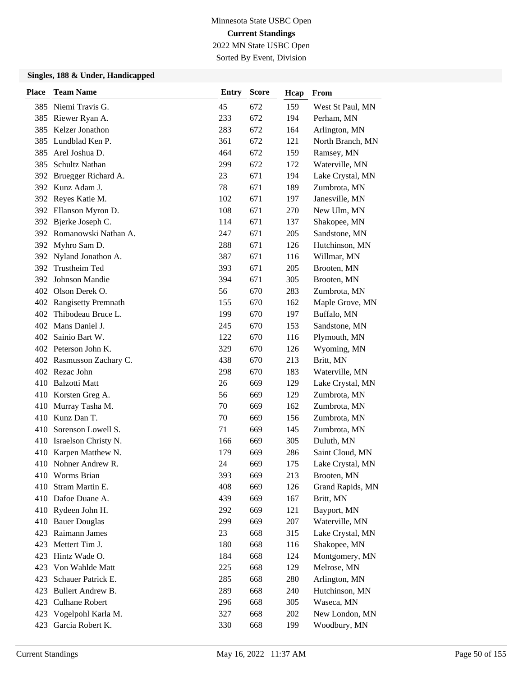Sorted By Event, Division

| Place | <b>Team Name</b>         | <b>Entry</b> | <b>Score</b> | Hcap | From             |
|-------|--------------------------|--------------|--------------|------|------------------|
|       | 385 Niemi Travis G.      | 45           | 672          | 159  | West St Paul, MN |
|       | 385 Riewer Ryan A.       | 233          | 672          | 194  | Perham, MN       |
| 385   | Kelzer Jonathon          | 283          | 672          | 164  | Arlington, MN    |
| 385   | Lundblad Ken P.          | 361          | 672          | 121  | North Branch, MN |
| 385   | Arel Joshua D.           | 464          | 672          | 159  | Ramsey, MN       |
| 385   | Schultz Nathan           | 299          | 672          | 172  | Waterville, MN   |
| 392   | Bruegger Richard A.      | 23           | 671          | 194  | Lake Crystal, MN |
|       | 392 Kunz Adam J.         | 78           | 671          | 189  | Zumbrota, MN     |
|       | 392 Reyes Katie M.       | 102          | 671          | 197  | Janesville, MN   |
|       | 392 Ellanson Myron D.    | 108          | 671          | 270  | New Ulm, MN      |
| 392   | Bjerke Joseph C.         | 114          | 671          | 137  | Shakopee, MN     |
|       | 392 Romanowski Nathan A. | 247          | 671          | 205  | Sandstone, MN    |
|       | 392 Myhro Sam D.         | 288          | 671          | 126  | Hutchinson, MN   |
| 392   | Nyland Jonathon A.       | 387          | 671          | 116  | Willmar, MN      |
| 392   | Trustheim Ted            | 393          | 671          | 205  | Brooten, MN      |
| 392   | Johnson Mandie           | 394          | 671          | 305  | Brooten, MN      |
|       | 402 Olson Derek O.       | 56           | 670          | 283  | Zumbrota, MN     |
|       | 402 Rangisetty Premnath  | 155          | 670          | 162  | Maple Grove, MN  |
| 402   | Thibodeau Bruce L.       | 199          | 670          | 197  | Buffalo, MN      |
| 402   | Mans Daniel J.           | 245          | 670          | 153  | Sandstone, MN    |
| 402   | Sainio Bart W.           | 122          | 670          | 116  | Plymouth, MN     |
|       | 402 Peterson John K.     | 329          | 670          | 126  | Wyoming, MN      |
|       | 402 Rasmusson Zachary C. | 438          | 670          | 213  | Britt, MN        |
|       | 402 Rezac John           | 298          | 670          | 183  | Waterville, MN   |
| 410   | <b>Balzotti Matt</b>     | 26           | 669          | 129  | Lake Crystal, MN |
|       | 410 Korsten Greg A.      | 56           | 669          | 129  | Zumbrota, MN     |
| 410   | Murray Tasha M.          | 70           | 669          | 162  | Zumbrota, MN     |
| 410   | Kunz Dan T.              | 70           | 669          | 156  | Zumbrota, MN     |
| 410   | Sorenson Lowell S.       | 71           | 669          | 145  | Zumbrota, MN     |
| 410   | Israelson Christy N.     | 166          | 669          | 305  | Duluth, MN       |
| 410   | Karpen Matthew N.        | 179          | 669          | 286  | Saint Cloud, MN  |
|       | 410 Nohner Andrew R.     | 24           | 669          | 175  | Lake Crystal, MN |
|       | 410 Worms Brian          | 393          | 669          | 213  | Brooten, MN      |
| 410   | Stram Martin E.          | 408          | 669          | 126  | Grand Rapids, MN |
| 410   | Dafoe Duane A.           | 439          | 669          | 167  | Britt, MN        |
|       | 410 Rydeen John H.       | 292          | 669          | 121  | Bayport, MN      |
| 410   | <b>Bauer Douglas</b>     | 299          | 669          | 207  | Waterville, MN   |
| 423   | Raimann James            | 23           | 668          | 315  | Lake Crystal, MN |
| 423   | Mettert Tim J.           | 180          | 668          | 116  | Shakopee, MN     |
| 423   | Hintz Wade O.            | 184          | 668          | 124  | Montgomery, MN   |
| 423   | Von Wahlde Matt          | 225          | 668          | 129  | Melrose, MN      |
| 423   | Schauer Patrick E.       | 285          | 668          | 280  | Arlington, MN    |
| 423   | Bullert Andrew B.        | 289          | 668          | 240  | Hutchinson, MN   |
| 423   | <b>Culhane Robert</b>    | 296          | 668          | 305  | Waseca, MN       |
| 423   | Vogelpohl Karla M.       | 327          | 668          | 202  | New London, MN   |
| 423   | Garcia Robert K.         | 330          | 668          | 199  | Woodbury, MN     |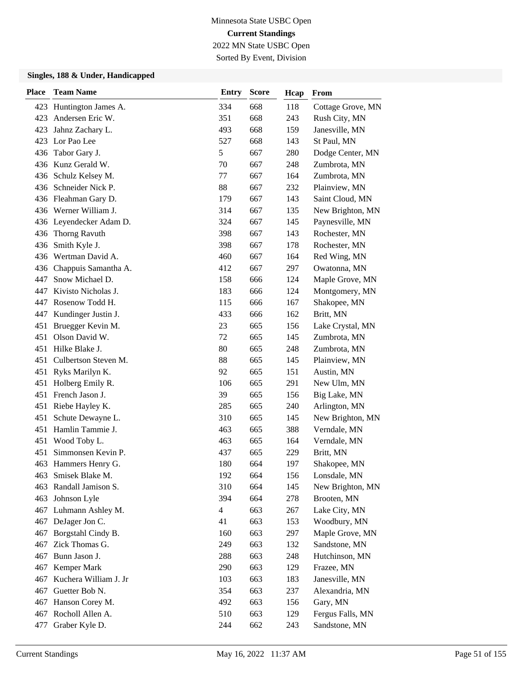## Minnesota State USBC Open **Current Standings**

2022 MN State USBC Open Sorted By Event, Division

| <b>Place</b> | <b>Team Name</b>         | <b>Entry</b>   | <b>Score</b> | Hcap | From              |
|--------------|--------------------------|----------------|--------------|------|-------------------|
|              | 423 Huntington James A.  | 334            | 668          | 118  | Cottage Grove, MN |
| 423          | Andersen Eric W.         | 351            | 668          | 243  | Rush City, MN     |
| 423          | Jahnz Zachary L.         | 493            | 668          | 159  | Janesville, MN    |
| 423          | Lor Pao Lee              | 527            | 668          | 143  | St Paul, MN       |
|              | 436 Tabor Gary J.        | 5              | 667          | 280  | Dodge Center, MN  |
|              | 436 Kunz Gerald W.       | 70             | 667          | 248  | Zumbrota, MN      |
| 436          | Schulz Kelsey M.         | 77             | 667          | 164  | Zumbrota, MN      |
|              | 436 Schneider Nick P.    | 88             | 667          | 232  | Plainview, MN     |
|              | 436 Fleahman Gary D.     | 179            | 667          | 143  | Saint Cloud, MN   |
|              | 436 Werner William J.    | 314            | 667          | 135  | New Brighton, MN  |
|              | 436 Leyendecker Adam D.  | 324            | 667          | 145  | Paynesville, MN   |
|              | 436 Thorng Ravuth        | 398            | 667          | 143  | Rochester, MN     |
| 436          | Smith Kyle J.            | 398            | 667          | 178  | Rochester, MN     |
|              | 436 Wertman David A.     | 460            | 667          | 164  | Red Wing, MN      |
|              | 436 Chappuis Samantha A. | 412            | 667          | 297  | Owatonna, MN      |
| 447          | Snow Michael D.          | 158            | 666          | 124  | Maple Grove, MN   |
| 447          | Kivisto Nicholas J.      | 183            | 666          | 124  | Montgomery, MN    |
| 447          | Rosenow Todd H.          | 115            | 666          | 167  | Shakopee, MN      |
| 447          | Kundinger Justin J.      | 433            | 666          | 162  | Britt, MN         |
| 451          | Bruegger Kevin M.        | 23             | 665          | 156  | Lake Crystal, MN  |
| 451          | Olson David W.           | 72             | 665          | 145  | Zumbrota, MN      |
| 451          | Hilke Blake J.           | 80             | 665          | 248  | Zumbrota, MN      |
| 451          | Culbertson Steven M.     | 88             | 665          | 145  | Plainview, MN     |
| 451          | Ryks Marilyn K.          | 92             | 665          | 151  | Austin, MN        |
| 451          | Holberg Emily R.         | 106            | 665          | 291  | New Ulm, MN       |
|              | 451 French Jason J.      | 39             | 665          | 156  | Big Lake, MN      |
| 451          | Riebe Hayley K.          | 285            | 665          | 240  | Arlington, MN     |
| 451          | Schute Dewayne L.        | 310            | 665          | 145  | New Brighton, MN  |
| 451          | Hamlin Tammie J.         | 463            | 665          | 388  | Verndale, MN      |
| 451          | Wood Toby L.             | 463            | 665          | 164  | Verndale, MN      |
| 451          | Simmonsen Kevin P.       | 437            | 665          | 229  | Britt, MN         |
|              | 463 Hammers Henry G.     | 180            | 664          | 197  | Shakopee, MN      |
| 463          | Smisek Blake M.          | 192            | 664          | 156  | Lonsdale, MN      |
| 463          | Randall Jamison S.       | 310            | 664          | 145  | New Brighton, MN  |
| 463          | Johnson Lyle             | 394            | 664          | 278  | Brooten, MN       |
|              | 467 Luhmann Ashley M.    | $\overline{4}$ | 663          | 267  | Lake City, MN     |
|              | 467 DeJager Jon C.       | 41             | 663          | 153  | Woodbury, MN      |
| 467          | Borgstahl Cindy B.       | 160            | 663          | 297  | Maple Grove, MN   |
| 467          | Zick Thomas G.           | 249            | 663          | 132  | Sandstone, MN     |
| 467          | Bunn Jason J.            | 288            | 663          | 248  | Hutchinson, MN    |
| 467          | Kemper Mark              | 290            | 663          | 129  | Frazee, MN        |
| 467          | Kuchera William J. Jr    | 103            | 663          | 183  | Janesville, MN    |
| 467          | Guetter Bob N.           | 354            | 663          | 237  | Alexandria, MN    |
| 467          | Hanson Corey M.          | 492            | 663          | 156  | Gary, MN          |
|              | 467 Rocholl Allen A.     | 510            | 663          | 129  | Fergus Falls, MN  |
| 477          | Graber Kyle D.           | 244            | 662          | 243  | Sandstone, MN     |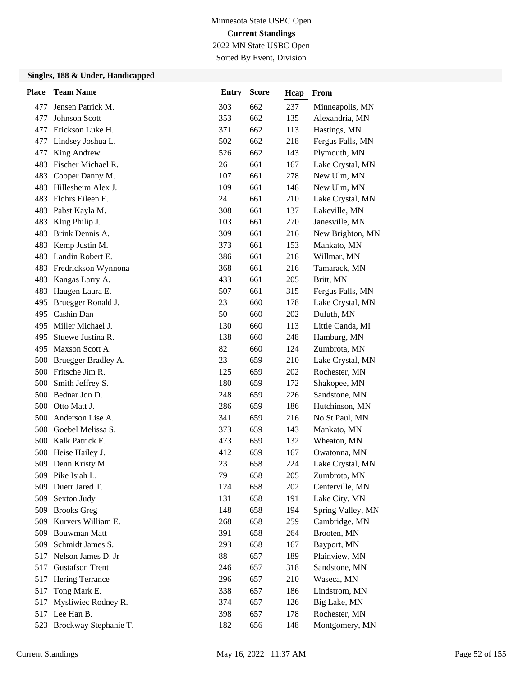Sorted By Event, Division

| <b>Place</b> | <b>Team Name</b>          | <b>Entry</b> | <b>Score</b> | Hcap | From              |
|--------------|---------------------------|--------------|--------------|------|-------------------|
| 477          | Jensen Patrick M.         | 303          | 662          | 237  | Minneapolis, MN   |
| 477          | <b>Johnson Scott</b>      | 353          | 662          | 135  | Alexandria, MN    |
| 477          | Erickson Luke H.          | 371          | 662          | 113  | Hastings, MN      |
| 477          | Lindsey Joshua L.         | 502          | 662          | 218  | Fergus Falls, MN  |
| 477          | King Andrew               | 526          | 662          | 143  | Plymouth, MN      |
| 483          | Fischer Michael R.        | 26           | 661          | 167  | Lake Crystal, MN  |
| 483          | Cooper Danny M.           | 107          | 661          | 278  | New Ulm, MN       |
| 483          | Hillesheim Alex J.        | 109          | 661          | 148  | New Ulm, MN       |
| 483          | Flohrs Eileen E.          | 24           | 661          | 210  | Lake Crystal, MN  |
| 483          | Pabst Kayla M.            | 308          | 661          | 137  | Lakeville, MN     |
| 483          | Klug Philip J.            | 103          | 661          | 270  | Janesville, MN    |
| 483          | Brink Dennis A.           | 309          | 661          | 216  | New Brighton, MN  |
| 483          | Kemp Justin M.            | 373          | 661          | 153  | Mankato, MN       |
| 483          | Landin Robert E.          | 386          | 661          | 218  | Willmar, MN       |
| 483          | Fredrickson Wynnona       | 368          | 661          | 216  | Tamarack, MN      |
| 483          | Kangas Larry A.           | 433          | 661          | 205  | Britt, MN         |
| 483          | Haugen Laura E.           | 507          | 661          | 315  | Fergus Falls, MN  |
| 495          | Bruegger Ronald J.        | 23           | 660          | 178  | Lake Crystal, MN  |
| 495          | Cashin Dan                | 50           | 660          | 202  | Duluth, MN        |
| 495          | Miller Michael J.         | 130          | 660          | 113  | Little Canda, MI  |
| 495          | Stuewe Justina R.         | 138          | 660          | 248  | Hamburg, MN       |
| 495          | Maxson Scott A.           | 82           | 660          | 124  | Zumbrota, MN      |
| 500          | Bruegger Bradley A.       | 23           | 659          | 210  | Lake Crystal, MN  |
| 500          | Fritsche Jim R.           | 125          | 659          | 202  | Rochester, MN     |
| 500          | Smith Jeffrey S.          | 180          | 659          | 172  | Shakopee, MN      |
| 500          | Bednar Jon D.             | 248          | 659          | 226  | Sandstone, MN     |
| 500          | Otto Matt J.              | 286          | 659          | 186  | Hutchinson, MN    |
| 500          | Anderson Lise A.          | 341          | 659          | 216  | No St Paul, MN    |
| 500          | Goebel Melissa S.         | 373          | 659          | 143  | Mankato, MN       |
| 500          | Kalk Patrick E.           | 473          | 659          | 132  | Wheaton, MN       |
| 500          | Heise Hailey J.           | 412          | 659          | 167  | Owatonna, MN      |
|              | 509 Denn Kristy M.        | 23           | 658          | 224  | Lake Crystal, MN  |
|              | 509 Pike Isiah L.         | 79           | 658          | 205  | Zumbrota, MN      |
| 509          | Duerr Jared T.            | 124          | 658          | 202  | Centerville, MN   |
| 509          | Sexton Judy               | 131          | 658          | 191  | Lake City, MN     |
| 509          | <b>Brooks Greg</b>        | 148          | 658          | 194  | Spring Valley, MN |
| 509          | Kurvers William E.        | 268          | 658          | 259  | Cambridge, MN     |
| 509          | <b>Bouwman Matt</b>       | 391          | 658          | 264  | Brooten, MN       |
| 509          | Schmidt James S.          | 293          | 658          | 167  | Bayport, MN       |
| 517          | Nelson James D. Jr        | 88           | 657          | 189  | Plainview, MN     |
| 517          | <b>Gustafson Trent</b>    | 246          | 657          | 318  | Sandstone, MN     |
| 517          | Hering Terrance           | 296          | 657          | 210  | Waseca, MN        |
| 517          | Tong Mark E.              | 338          | 657          | 186  | Lindstrom, MN     |
| 517          | Mysliwiec Rodney R.       | 374          | 657          | 126  | Big Lake, MN      |
|              | 517 Lee Han B.            | 398          | 657          | 178  | Rochester, MN     |
|              | 523 Brockway Stephanie T. | 182          | 656          | 148  | Montgomery, MN    |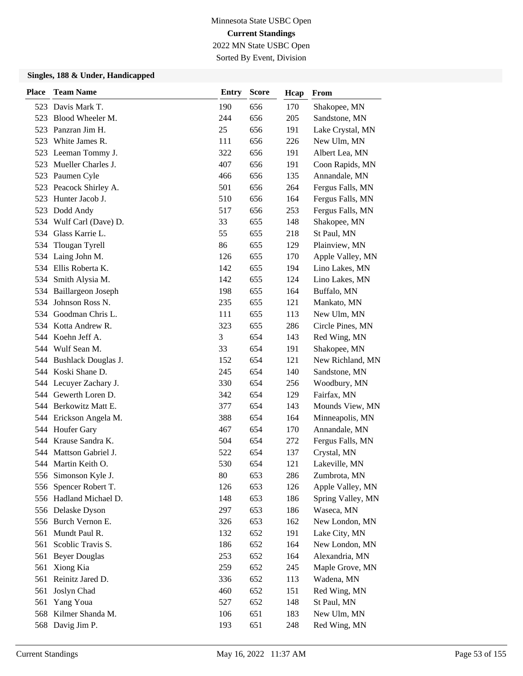# Minnesota State USBC Open **Current Standings**

2022 MN State USBC Open Sorted By Event, Division

| <b>Place</b> | <b>Team Name</b>           | Entry | <b>Score</b> | Hcap | From              |
|--------------|----------------------------|-------|--------------|------|-------------------|
|              | 523 Davis Mark T.          | 190   | 656          | 170  | Shakopee, MN      |
| 523          | Blood Wheeler M.           | 244   | 656          | 205  | Sandstone, MN     |
| 523          | Panzran Jim H.             | 25    | 656          | 191  | Lake Crystal, MN  |
| 523          | White James R.             | 111   | 656          | 226  | New Ulm, MN       |
| 523          | Leeman Tommy J.            | 322   | 656          | 191  | Albert Lea, MN    |
| 523          | Mueller Charles J.         | 407   | 656          | 191  | Coon Rapids, MN   |
| 523          | Paumen Cyle                | 466   | 656          | 135  | Annandale, MN     |
| 523          | Peacock Shirley A.         | 501   | 656          | 264  | Fergus Falls, MN  |
| 523          | Hunter Jacob J.            | 510   | 656          | 164  | Fergus Falls, MN  |
| 523          | Dodd Andy                  | 517   | 656          | 253  | Fergus Falls, MN  |
| 534          | Wulf Carl (Dave) D.        | 33    | 655          | 148  | Shakopee, MN      |
| 534          | Glass Karrie L.            | 55    | 655          | 218  | St Paul, MN       |
| 534          | Tlougan Tyrell             | 86    | 655          | 129  | Plainview, MN     |
| 534          | Laing John M.              | 126   | 655          | 170  | Apple Valley, MN  |
| 534          | Ellis Roberta K.           | 142   | 655          | 194  | Lino Lakes, MN    |
| 534          | Smith Alysia M.            | 142   | 655          | 124  | Lino Lakes, MN    |
|              | 534 Baillargeon Joseph     | 198   | 655          | 164  | Buffalo, MN       |
| 534          | Johnson Ross N.            | 235   | 655          | 121  | Mankato, MN       |
| 534          | Goodman Chris L.           | 111   | 655          | 113  | New Ulm, MN       |
|              | 534 Kotta Andrew R.        | 323   | 655          | 286  | Circle Pines, MN  |
|              | 544 Koehn Jeff A.          | 3     | 654          | 143  | Red Wing, MN      |
|              | 544 Wulf Sean M.           | 33    | 654          | 191  | Shakopee, MN      |
| 544          | <b>Bushlack Douglas J.</b> | 152   | 654          | 121  | New Richland, MN  |
|              | 544 Koski Shane D.         | 245   | 654          | 140  | Sandstone, MN     |
|              | 544 Lecuyer Zachary J.     | 330   | 654          | 256  | Woodbury, MN      |
|              | 544 Gewerth Loren D.       | 342   | 654          | 129  | Fairfax, MN       |
|              | 544 Berkowitz Matt E.      | 377   | 654          | 143  | Mounds View, MN   |
|              | 544 Erickson Angela M.     | 388   | 654          | 164  | Minneapolis, MN   |
|              | 544 Houfer Gary            | 467   | 654          | 170  | Annandale, MN     |
|              | 544 Krause Sandra K.       | 504   | 654          | 272  | Fergus Falls, MN  |
| 544          | Mattson Gabriel J.         | 522   | 654          | 137  | Crystal, MN       |
|              | 544 Martin Keith O.        | 530   | 654          | 121  | Lakeville, MN     |
|              | 556 Simonson Kyle J.       | 80    | 653          | 286  | Zumbrota, MN      |
| 556          | Spencer Robert T.          | 126   | 653          | 126  | Apple Valley, MN  |
|              | 556 Hadland Michael D.     | 148   | 653          | 186  | Spring Valley, MN |
|              | 556 Delaske Dyson          | 297   | 653          | 186  | Waseca, MN        |
|              | 556 Burch Vernon E.        | 326   | 653          | 162  | New London, MN    |
| 561          | Mundt Paul R.              | 132   | 652          | 191  | Lake City, MN     |
| 561          | Scoblic Travis S.          | 186   | 652          | 164  | New London, MN    |
|              | 561 Beyer Douglas          | 253   | 652          | 164  | Alexandria, MN    |
| 561          | Xiong Kia                  | 259   | 652          | 245  | Maple Grove, MN   |
| 561          | Reinitz Jared D.           | 336   | 652          | 113  | Wadena, MN        |
| 561          | Joslyn Chad                | 460   | 652          | 151  | Red Wing, MN      |
| 561          | Yang Youa                  | 527   | 652          | 148  | St Paul, MN       |
|              | 568 Kilmer Shanda M.       | 106   | 651          | 183  | New Ulm, MN       |
|              | 568 Davig Jim P.           | 193   | 651          | 248  | Red Wing, MN      |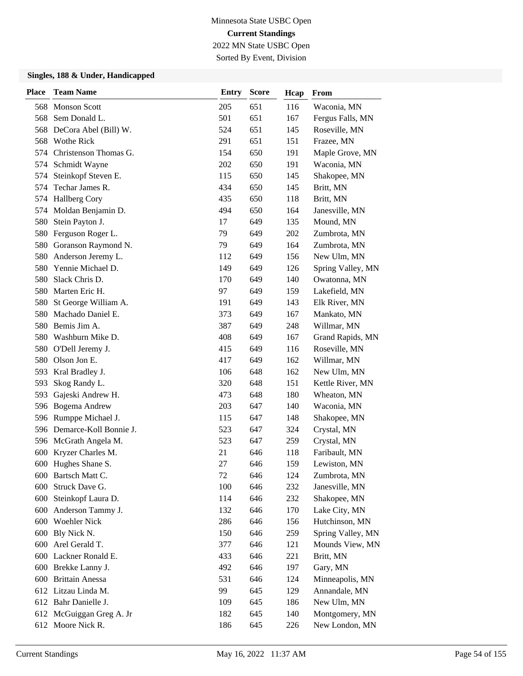# Minnesota State USBC Open **Current Standings**

2022 MN State USBC Open Sorted By Event, Division

| <b>Place</b> | <b>Team Name</b>           | <b>Entry</b> | <b>Score</b> | Hcap | From              |
|--------------|----------------------------|--------------|--------------|------|-------------------|
|              | 568 Monson Scott           | 205          | 651          | 116  | Waconia, MN       |
| 568          | Sem Donald L.              | 501          | 651          | 167  | Fergus Falls, MN  |
| 568          | DeCora Abel (Bill) W.      | 524          | 651          | 145  | Roseville, MN     |
|              | 568 Wothe Rick             | 291          | 651          | 151  | Frazee, MN        |
| 574          | Christenson Thomas G.      | 154          | 650          | 191  | Maple Grove, MN   |
| 574          | Schmidt Wayne              | 202          | 650          | 191  | Waconia, MN       |
| 574          | Steinkopf Steven E.        | 115          | 650          | 145  | Shakopee, MN      |
| 574          | Techar James R.            | 434          | 650          | 145  | Britt, MN         |
| 574          | <b>Hallberg Cory</b>       | 435          | 650          | 118  | Britt, MN         |
| 574          | Moldan Benjamin D.         | 494          | 650          | 164  | Janesville, MN    |
| 580          | Stein Payton J.            | 17           | 649          | 135  | Mound, MN         |
| 580          | Ferguson Roger L.          | 79           | 649          | 202  | Zumbrota, MN      |
| 580          | Goranson Raymond N.        | 79           | 649          | 164  | Zumbrota, MN      |
| 580          | Anderson Jeremy L.         | 112          | 649          | 156  | New Ulm, MN       |
| 580          | Yennie Michael D.          | 149          | 649          | 126  | Spring Valley, MN |
| 580          | Slack Chris D.             | 170          | 649          | 140  | Owatonna, MN      |
| 580          | Marten Eric H.             | 97           | 649          | 159  | Lakefield, MN     |
| 580          | St George William A.       | 191          | 649          | 143  | Elk River, MN     |
| 580          | Machado Daniel E.          | 373          | 649          | 167  | Mankato, MN       |
| 580          | Bemis Jim A.               | 387          | 649          | 248  | Willmar, MN       |
| 580          | Washburn Mike D.           | 408          | 649          | 167  | Grand Rapids, MN  |
| 580          | O'Dell Jeremy J.           | 415          | 649          | 116  | Roseville, MN     |
| 580          | Olson Jon E.               | 417          | 649          | 162  | Willmar, MN       |
| 593          | Kral Bradley J.            | 106          | 648          | 162  | New Ulm, MN       |
| 593          | Skog Randy L.              | 320          | 648          | 151  | Kettle River, MN  |
| 593          | Gajeski Andrew H.          | 473          | 648          | 180  | Wheaton, MN       |
|              | 596 Bogema Andrew          | 203          | 647          | 140  | Waconia, MN       |
|              | 596 Rumppe Michael J.      | 115          | 647          | 148  | Shakopee, MN      |
|              | 596 Demarce-Koll Bonnie J. | 523          | 647          | 324  | Crystal, MN       |
|              | 596 McGrath Angela M.      | 523          | 647          | 259  | Crystal, MN       |
| 600          | Kryzer Charles M.          | 21           | 646          | 118  | Faribault, MN     |
|              | 600 Hughes Shane S.        | 27           | 646          | 159  | Lewiston, MN      |
|              | 600 Bartsch Matt C.        | 72           | 646          | 124  | Zumbrota, MN      |
| 600          | Struck Dave G.             | 100          | 646          | 232  | Janesville, MN    |
| 600          | Steinkopf Laura D.         | 114          | 646          | 232  | Shakopee, MN      |
|              | 600 Anderson Tammy J.      | 132          | 646          | 170  | Lake City, MN     |
|              | 600 Woehler Nick           | 286          | 646          | 156  | Hutchinson, MN    |
| 600          | Bly Nick N.                | 150          | 646          | 259  | Spring Valley, MN |
| 600          | Arel Gerald T.             | 377          | 646          | 121  | Mounds View, MN   |
|              | 600 Lackner Ronald E.      | 433          | 646          | 221  | Britt, MN         |
|              | 600 Brekke Lanny J.        | 492          | 646          | 197  | Gary, MN          |
|              | 600 Brittain Anessa        | 531          | 646          | 124  | Minneapolis, MN   |
|              | 612 Litzau Linda M.        | 99           | 645          | 129  | Annandale, MN     |
|              | 612 Bahr Danielle J.       | 109          | 645          | 186  | New Ulm, MN       |
|              | 612 McGuiggan Greg A. Jr   | 182          | 645          | 140  | Montgomery, MN    |
|              | 612 Moore Nick R.          | 186          | 645          | 226  | New London, MN    |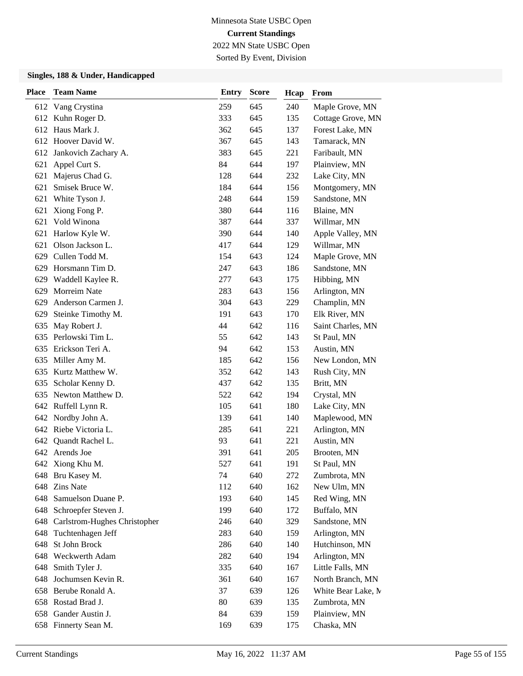Sorted By Event, Division

| <b>Place</b> | <b>Team Name</b>                 | <b>Entry</b> | <b>Score</b> | Hcap | From               |
|--------------|----------------------------------|--------------|--------------|------|--------------------|
|              | 612 Vang Crystina                | 259          | 645          | 240  | Maple Grove, MN    |
| 612          | Kuhn Roger D.                    | 333          | 645          | 135  | Cottage Grove, MN  |
|              | 612 Haus Mark J.                 | 362          | 645          | 137  | Forest Lake, MN    |
|              | 612 Hoover David W.              | 367          | 645          | 143  | Tamarack, MN       |
|              | 612 Jankovich Zachary A.         | 383          | 645          | 221  | Faribault, MN      |
| 621          | Appel Curt S.                    | 84           | 644          | 197  | Plainview, MN      |
| 621          | Majerus Chad G.                  | 128          | 644          | 232  | Lake City, MN      |
| 621          | Smisek Bruce W.                  | 184          | 644          | 156  | Montgomery, MN     |
| 621          | White Tyson J.                   | 248          | 644          | 159  | Sandstone, MN      |
| 621          | Xiong Fong P.                    | 380          | 644          | 116  | Blaine, MN         |
| 621          | Vold Winona                      | 387          | 644          | 337  | Willmar, MN        |
| 621          | Harlow Kyle W.                   | 390          | 644          | 140  | Apple Valley, MN   |
|              | 621 Olson Jackson L.             | 417          | 644          | 129  | Willmar, MN        |
| 629          | Cullen Todd M.                   | 154          | 643          | 124  | Maple Grove, MN    |
| 629          | Horsmann Tim D.                  | 247          | 643          | 186  | Sandstone, MN      |
|              | 629 Waddell Kaylee R.            | 277          | 643          | 175  | Hibbing, MN        |
| 629          | Morreim Nate                     | 283          | 643          | 156  | Arlington, MN      |
| 629          | Anderson Carmen J.               | 304          | 643          | 229  | Champlin, MN       |
| 629          | Steinke Timothy M.               | 191          | 643          | 170  | Elk River, MN      |
| 635          | May Robert J.                    | 44           | 642          | 116  | Saint Charles, MN  |
|              | 635 Perlowski Tim L.             | 55           | 642          | 143  | St Paul, MN        |
| 635          | Erickson Teri A.                 | 94           | 642          | 153  | Austin, MN         |
| 635          | Miller Amy M.                    | 185          | 642          | 156  | New London, MN     |
| 635          | Kurtz Matthew W.                 | 352          | 642          | 143  | Rush City, MN      |
| 635          | Scholar Kenny D.                 | 437          | 642          | 135  | Britt, MN          |
| 635          | Newton Matthew D.                | 522          | 642          | 194  | Crystal, MN        |
|              | 642 Ruffell Lynn R.              | 105          | 641          | 180  | Lake City, MN      |
|              | 642 Nordby John A.               | 139          | 641          | 140  | Maplewood, MN      |
|              | 642 Riebe Victoria L.            | 285          | 641          | 221  | Arlington, MN      |
| 642          | Quandt Rachel L.                 | 93           | 641          | 221  | Austin, MN         |
|              | 642 Arends Joe                   | 391          | 641          | 205  | Brooten, MN        |
|              | 642 Xiong Khu M.                 | 527          | 641          | 191  | St Paul, MN        |
|              | 648 Bru Kasey M.                 | 74           | 640          | 272  | Zumbrota, MN       |
| 648          | <b>Zins Nate</b>                 | 112          | 640          | 162  | New Ulm, MN        |
| 648          | Samuelson Duane P.               | 193          | 640          | 145  | Red Wing, MN       |
| 648          | Schroepfer Steven J.             | 199          | 640          | 172  | Buffalo, MN        |
|              | 648 Carlstrom-Hughes Christopher | 246          | 640          | 329  | Sandstone, MN      |
| 648          | Tuchtenhagen Jeff                | 283          | 640          | 159  | Arlington, MN      |
| 648          | St John Brock                    | 286          | 640          | 140  | Hutchinson, MN     |
| 648          | Weckwerth Adam                   | 282          | 640          | 194  | Arlington, MN      |
| 648          | Smith Tyler J.                   | 335          | 640          | 167  | Little Falls, MN   |
| 648          | Jochumsen Kevin R.               | 361          | 640          | 167  | North Branch, MN   |
| 658          | Berube Ronald A.                 | 37           | 639          | 126  | White Bear Lake, M |
|              | 658 Rostad Brad J.               | 80           | 639          | 135  | Zumbrota, MN       |
|              | 658 Gander Austin J.             | 84           | 639          | 159  | Plainview, MN      |
|              | 658 Finnerty Sean M.             | 169          | 639          | 175  | Chaska, MN         |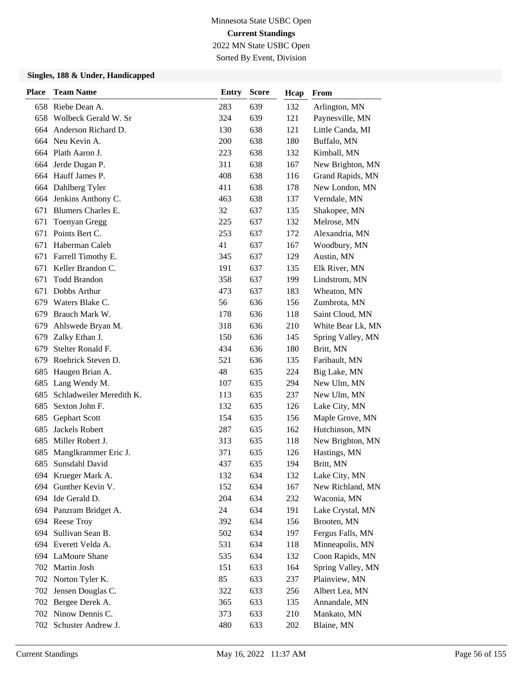Sorted By Event, Division

| <b>Place</b> | <b>Team Name</b>         | <b>Entry</b> | <b>Score</b> | Hcap | From              |
|--------------|--------------------------|--------------|--------------|------|-------------------|
|              | 658 Riebe Dean A.        | 283          | 639          | 132  | Arlington, MN     |
| 658          | Wolbeck Gerald W. Sr     | 324          | 639          | 121  | Paynesville, MN   |
| 664          | Anderson Richard D.      | 130          | 638          | 121  | Little Canda, MI  |
|              | 664 Neu Kevin A.         | 200          | 638          | 180  | Buffalo, MN       |
|              | 664 Plath Aaron J.       | 223          | 638          | 132  | Kimball, MN       |
| 664          | Jerde Dugan P.           | 311          | 638          | 167  | New Brighton, MN  |
| 664          | Hauff James P.           | 408          | 638          | 116  | Grand Rapids, MN  |
|              | 664 Dahlberg Tyler       | 411          | 638          | 178  | New London, MN    |
|              | 664 Jenkins Anthony C.   | 463          | 638          | 137  | Verndale, MN      |
| 671          | Blumers Charles E.       | 32           | 637          | 135  | Shakopee, MN      |
| 671          | <b>Toenyan Gregg</b>     | 225          | 637          | 132  | Melrose, MN       |
| 671          | Points Bert C.           | 253          | 637          | 172  | Alexandria, MN    |
| 671          | Haberman Caleb           | 41           | 637          | 167  | Woodbury, MN      |
| 671          | Farrell Timothy E.       | 345          | 637          | 129  | Austin, MN        |
| 671          | Keller Brandon C.        | 191          | 637          | 135  | Elk River, MN     |
| 671          | <b>Todd Brandon</b>      | 358          | 637          | 199  | Lindstrom, MN     |
| 671          | Dobbs Arthur             | 473          | 637          | 183  | Wheaton, MN       |
|              | 679 Waters Blake C.      | 56           | 636          | 156  | Zumbrota, MN      |
| 679          | Brauch Mark W.           | 178          | 636          | 118  | Saint Cloud, MN   |
| 679          | Ahlswede Bryan M.        | 318          | 636          | 210  | White Bear Lk, MN |
| 679          | Zalky Ethan J.           | 150          | 636          | 145  | Spring Valley, MN |
| 679          | Stelter Ronald F.        | 434          | 636          | 180  | Britt, MN         |
| 679          | Roehrick Steven D.       | 521          | 636          | 135  | Faribault, MN     |
| 685          | Haugen Brian A.          | 48           | 635          | 224  | Big Lake, MN      |
| 685          | Lang Wendy M.            | 107          | 635          | 294  | New Ulm, MN       |
| 685          | Schladweiler Meredith K. | 113          | 635          | 237  | New Ulm, MN       |
| 685          | Sexton John F.           | 132          | 635          | 126  | Lake City, MN     |
| 685          | <b>Gephart Scott</b>     | 154          | 635          | 156  | Maple Grove, MN   |
| 685          | Jackels Robert           | 287          | 635          | 162  | Hutchinson, MN    |
| 685          | Miller Robert J.         | 313          | 635          | 118  | New Brighton, MN  |
| 685          | Manglkrammer Eric J.     | 371          | 635          | 126  | Hastings, MN      |
| 685          | Sunsdahl David           | 437          | 635          | 194  | Britt, MN         |
|              | 694 Krueger Mark A.      | 132          | 634          | 132  | Lake City, MN     |
| 694          | Gunther Kevin V.         | 152          | 634          | 167  | New Richland, MN  |
|              | 694 Ide Gerald D.        | 204          | 634          | 232  | Waconia, MN       |
|              | 694 Panzram Bridget A.   | 24           | 634          | 191  | Lake Crystal, MN  |
|              | 694 Reese Troy           | 392          | 634          | 156  | Brooten, MN       |
|              | 694 Sullivan Sean B.     | 502          | 634          | 197  | Fergus Falls, MN  |
|              | 694 Everett Velda A.     | 531          | 634          | 118  | Minneapolis, MN   |
|              | 694 LaMoure Shane        | 535          | 634          | 132  | Coon Rapids, MN   |
|              | 702 Martin Josh          | 151          | 633          | 164  | Spring Valley, MN |
|              | 702 Norton Tyler K.      | 85           | 633          | 237  | Plainview, MN     |
|              | 702 Jensen Douglas C.    | 322          | 633          | 256  | Albert Lea, MN    |
|              | 702 Bergee Derek A.      | 365          | 633          | 135  | Annandale, MN     |
|              | 702 Ninow Dennis C.      | 373          | 633          | 210  | Mankato, MN       |
|              | 702 Schuster Andrew J.   | 480          | 633          | 202  | Blaine, MN        |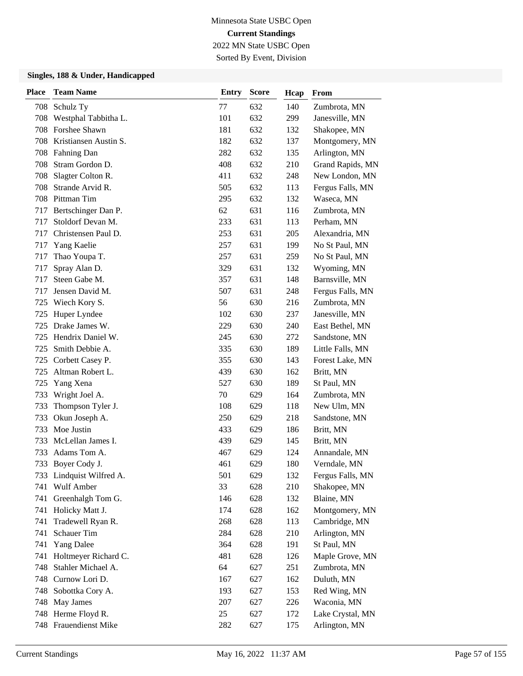Sorted By Event, Division

| <b>Place</b> | <b>Team Name</b>         | <b>Entry</b> | <b>Score</b> | Hcap | From             |
|--------------|--------------------------|--------------|--------------|------|------------------|
| 708          | Schulz Ty                | 77           | 632          | 140  | Zumbrota, MN     |
| 708          | Westphal Tabbitha L.     | 101          | 632          | 299  | Janesville, MN   |
| 708          | Forshee Shawn            | 181          | 632          | 132  | Shakopee, MN     |
| 708          | Kristiansen Austin S.    | 182          | 632          | 137  | Montgomery, MN   |
| 708          | <b>Fahning Dan</b>       | 282          | 632          | 135  | Arlington, MN    |
| 708          | Stram Gordon D.          | 408          | 632          | 210  | Grand Rapids, MN |
| 708          | Slagter Colton R.        | 411          | 632          | 248  | New London, MN   |
| 708          | Strande Arvid R.         | 505          | 632          | 113  | Fergus Falls, MN |
| 708          | Pittman Tim              | 295          | 632          | 132  | Waseca, MN       |
| 717          | Bertschinger Dan P.      | 62           | 631          | 116  | Zumbrota, MN     |
| 717          | Stoldorf Devan M.        | 233          | 631          | 113  | Perham, MN       |
| 717          | Christensen Paul D.      | 253          | 631          | 205  | Alexandria, MN   |
| 717          | Yang Kaelie              | 257          | 631          | 199  | No St Paul, MN   |
| 717          | Thao Youpa T.            | 257          | 631          | 259  | No St Paul, MN   |
| 717          | Spray Alan D.            | 329          | 631          | 132  | Wyoming, MN      |
| 717          | Steen Gabe M.            | 357          | 631          | 148  | Barnsville, MN   |
| 717          | Jensen David M.          | 507          | 631          | 248  | Fergus Falls, MN |
| 725          | Wiech Kory S.            | 56           | 630          | 216  | Zumbrota, MN     |
| 725          | Huper Lyndee             | 102          | 630          | 237  | Janesville, MN   |
| 725          | Drake James W.           | 229          | 630          | 240  | East Bethel, MN  |
| 725          | Hendrix Daniel W.        | 245          | 630          | 272  | Sandstone, MN    |
| 725          | Smith Debbie A.          | 335          | 630          | 189  | Little Falls, MN |
| 725          | Corbett Casey P.         | 355          | 630          | 143  | Forest Lake, MN  |
| 725          | Altman Robert L.         | 439          | 630          | 162  | Britt, MN        |
| 725          | Yang Xena                | 527          | 630          | 189  | St Paul, MN      |
| 733          | Wright Joel A.           | 70           | 629          | 164  | Zumbrota, MN     |
| 733          | Thompson Tyler J.        | 108          | 629          | 118  | New Ulm, MN      |
| 733          | Okun Joseph A.           | 250          | 629          | 218  | Sandstone, MN    |
| 733          | Moe Justin               | 433          | 629          | 186  | Britt, MN        |
| 733          | McLellan James I.        | 439          | 629          | 145  | Britt, MN        |
| 733          | Adams Tom A.             | 467          | 629          | 124  | Annandale, MN    |
| 733          | Boyer Cody J.            | 461          | 629          | 180  | Verndale, MN     |
|              | 733 Lindquist Wilfred A. | 501          | 629          | 132  | Fergus Falls, MN |
| 741          | Wulf Amber               | 33           | 628          | 210  | Shakopee, MN     |
| 741          | Greenhalgh Tom G.        | 146          | 628          | 132  | Blaine, MN       |
| 741          | Holicky Matt J.          | 174          | 628          | 162  | Montgomery, MN   |
| 741          | Tradewell Ryan R.        | 268          | 628          | 113  | Cambridge, MN    |
| 741          | Schauer Tim              | 284          | 628          | 210  | Arlington, MN    |
| 741          | Yang Dalee               | 364          | 628          | 191  | St Paul, MN      |
| 741          | Holtmeyer Richard C.     | 481          | 628          | 126  | Maple Grove, MN  |
| 748          | Stahler Michael A.       | 64           | 627          | 251  | Zumbrota, MN     |
| 748          | Curnow Lori D.           | 167          | 627          | 162  | Duluth, MN       |
| 748          | Sobottka Cory A.         | 193          | 627          | 153  | Red Wing, MN     |
|              | 748 May James            | 207          | 627          | 226  | Waconia, MN      |
|              | 748 Herme Floyd R.       | 25           | 627          | 172  | Lake Crystal, MN |
|              | 748 Frauendienst Mike    | 282          | 627          | 175  | Arlington, MN    |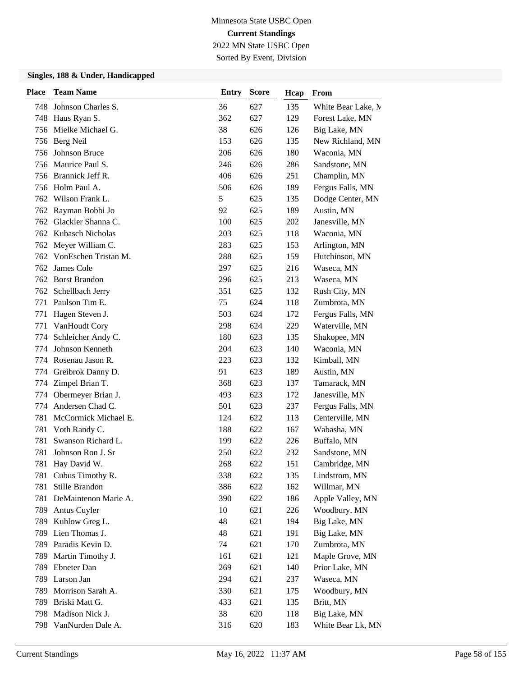Sorted By Event, Division

| <b>Place</b> | <b>Team Name</b>      | <b>Entry</b> | <b>Score</b> | Hcap | From               |
|--------------|-----------------------|--------------|--------------|------|--------------------|
| 748.         | Johnson Charles S.    | 36           | 627          | 135  | White Bear Lake, M |
|              | 748 Haus Ryan S.      | 362          | 627          | 129  | Forest Lake, MN    |
| 756          | Mielke Michael G.     | 38           | 626          | 126  | Big Lake, MN       |
|              | 756 Berg Neil         | 153          | 626          | 135  | New Richland, MN   |
| 756          | Johnson Bruce         | 206          | 626          | 180  | Waconia, MN        |
| 756          | Maurice Paul S.       | 246          | 626          | 286  | Sandstone, MN      |
| 756          | Brannick Jeff R.      | 406          | 626          | 251  | Champlin, MN       |
|              | 756 Holm Paul A.      | 506          | 626          | 189  | Fergus Falls, MN   |
|              | 762 Wilson Frank L.   | 5            | 625          | 135  | Dodge Center, MN   |
| 762          | Rayman Bobbi Jo       | 92           | 625          | 189  | Austin, MN         |
| 762.         | Glackler Shanna C.    | 100          | 625          | 202  | Janesville, MN     |
|              | 762 Kubasch Nicholas  | 203          | 625          | 118  | Waconia, MN        |
| 762          | Meyer William C.      | 283          | 625          | 153  | Arlington, MN      |
| 762          | VonEschen Tristan M.  | 288          | 625          | 159  | Hutchinson, MN     |
| 762.         | James Cole            | 297          | 625          | 216  | Waseca, MN         |
| 762          | <b>Borst Brandon</b>  | 296          | 625          | 213  | Waseca, MN         |
|              | 762 Schellbach Jerry  | 351          | 625          | 132  | Rush City, MN      |
| 771          | Paulson Tim E.        | 75           | 624          | 118  | Zumbrota, MN       |
| 771          | Hagen Steven J.       | 503          | 624          | 172  | Fergus Falls, MN   |
| 771          | VanHoudt Cory         | 298          | 624          | 229  | Waterville, MN     |
| 774          | Schleicher Andy C.    | 180          | 623          | 135  | Shakopee, MN       |
| 774          | Johnson Kenneth       | 204          | 623          | 140  | Waconia, MN        |
| 774          | Rosenau Jason R.      | 223          | 623          | 132  | Kimball, MN        |
| 774          | Greibrok Danny D.     | 91           | 623          | 189  | Austin, MN         |
| 774          | Zimpel Brian T.       | 368          | 623          | 137  | Tamarack, MN       |
| 774          | Obermeyer Brian J.    | 493          | 623          | 172  | Janesville, MN     |
| 774          | Andersen Chad C.      | 501          | 623          | 237  | Fergus Falls, MN   |
| 781          | McCormick Michael E.  | 124          | 622          | 113  | Centerville, MN    |
| 781          | Voth Randy C.         | 188          | 622          | 167  | Wabasha, MN        |
| 781          | Swanson Richard L.    | 199          | 622          | 226  | Buffalo, MN        |
| 781          | Johnson Ron J. Sr     | 250          | 622          | 232  | Sandstone, MN      |
| 781          | Hay David W.          | 268          | 622          | 151  | Cambridge, MN      |
|              | 781 Cubus Timothy R.  | 338          | 622          | 135  | Lindstrom, MN      |
| 781          | Stille Brandon        | 386          | 622          | 162  | Willmar, MN        |
| 781          | DeMaintenon Marie A.  | 390          | 622          | 186  | Apple Valley, MN   |
|              | 789 Antus Cuyler      | 10           | 621          | 226  | Woodbury, MN       |
|              | 789 Kuhlow Greg L.    | 48           | 621          | 194  | Big Lake, MN       |
|              | 789 Lien Thomas J.    | 48           | 621          | 191  | Big Lake, MN       |
| 789          | Paradis Kevin D.      | 74           | 621          | 170  | Zumbrota, MN       |
| 789          | Martin Timothy J.     | 161          | 621          | 121  | Maple Grove, MN    |
| 789          | Ebneter Dan           | 269          | 621          | 140  | Prior Lake, MN     |
|              | 789 Larson Jan        | 294          | 621          | 237  | Waseca, MN         |
| 789          | Morrison Sarah A.     | 330          | 621          | 175  | Woodbury, MN       |
|              | 789 Briski Matt G.    | 433          | 621          | 135  | Britt, MN          |
|              | 798 Madison Nick J.   | 38           | 620          | 118  | Big Lake, MN       |
|              | 798 VanNurden Dale A. | 316          | 620          | 183  | White Bear Lk, MN  |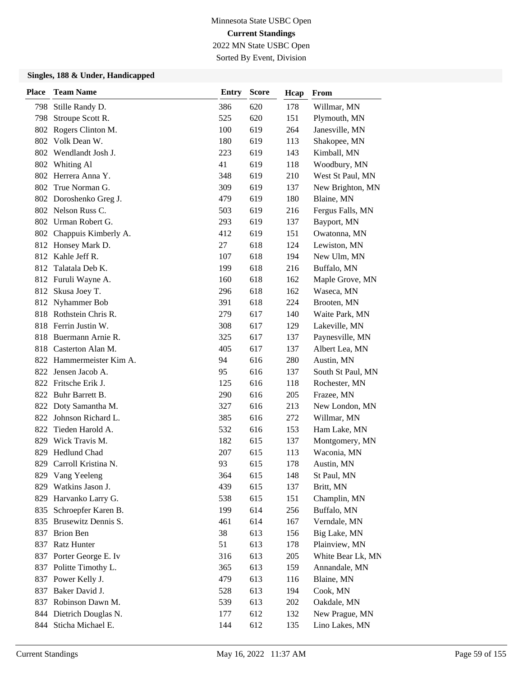# Minnesota State USBC Open **Current Standings**

2022 MN State USBC Open Sorted By Event, Division

| <b>Place</b> | <b>Team Name</b>         | <b>Entry</b> | <b>Score</b> | Hcap | From              |
|--------------|--------------------------|--------------|--------------|------|-------------------|
| 798          | Stille Randy D.          | 386          | 620          | 178  | Willmar, MN       |
| 798          | Stroupe Scott R.         | 525          | 620          | 151  | Plymouth, MN      |
|              | 802 Rogers Clinton M.    | 100          | 619          | 264  | Janesville, MN    |
|              | 802 Volk Dean W.         | 180          | 619          | 113  | Shakopee, MN      |
|              | 802 Wendlandt Josh J.    | 223          | 619          | 143  | Kimball, MN       |
|              | 802 Whiting Al           | 41           | 619          | 118  | Woodbury, MN      |
|              | 802 Herrera Anna Y.      | 348          | 619          | 210  | West St Paul, MN  |
|              | 802 True Norman G.       | 309          | 619          | 137  | New Brighton, MN  |
|              | 802 Doroshenko Greg J.   | 479          | 619          | 180  | Blaine, MN        |
|              | 802 Nelson Russ C.       | 503          | 619          | 216  | Fergus Falls, MN  |
|              | 802 Urman Robert G.      | 293          | 619          | 137  | Bayport, MN       |
|              | 802 Chappuis Kimberly A. | 412          | 619          | 151  | Owatonna, MN      |
|              | 812 Honsey Mark D.       | 27           | 618          | 124  | Lewiston, MN      |
|              | 812 Kahle Jeff R.        | 107          | 618          | 194  | New Ulm, MN       |
|              | 812 Talatala Deb K.      | 199          | 618          | 216  | Buffalo, MN       |
|              | 812 Furuli Wayne A.      | 160          | 618          | 162  | Maple Grove, MN   |
| 812          | Skusa Joey T.            | 296          | 618          | 162  | Waseca, MN        |
|              | 812 Nyhammer Bob         | 391          | 618          | 224  | Brooten, MN       |
|              | 818 Rothstein Chris R.   | 279          | 617          | 140  | Waite Park, MN    |
|              | 818 Ferrin Justin W.     | 308          | 617          | 129  | Lakeville, MN     |
|              | 818 Buermann Arnie R.    | 325          | 617          | 137  | Paynesville, MN   |
|              | 818 Casterton Alan M.    | 405          | 617          | 137  | Albert Lea, MN    |
|              | 822 Hammermeister Kim A. | 94           | 616          | 280  | Austin, MN        |
|              | 822 Jensen Jacob A.      | 95           | 616          | 137  | South St Paul, MN |
|              | 822 Fritsche Erik J.     | 125          | 616          | 118  | Rochester, MN     |
|              | 822 Buhr Barrett B.      | 290          | 616          | 205  | Frazee, MN        |
|              | 822 Doty Samantha M.     | 327          | 616          | 213  | New London, MN    |
|              | 822 Johnson Richard L.   | 385          | 616          | 272  | Willmar, MN       |
|              | 822 Tieden Harold A.     | 532          | 616          | 153  | Ham Lake, MN      |
| 829          | Wick Travis M.           | 182          | 615          | 137  | Montgomery, MN    |
| 829          | Hedlund Chad             | 207          | 615          | 113  | Waconia, MN       |
| 829          | Carroll Kristina N.      | 93           | 615          | 178  | Austin, MN        |
|              | 829 Vang Yeeleng         | 364          | 615          | 148  | St Paul, MN       |
| 829          | Watkins Jason J.         | 439          | 615          | 137  | Britt, MN         |
| 829          | Harvanko Larry G.        | 538          | 615          | 151  | Champlin, MN      |
| 835          | Schroepfer Karen B.      | 199          | 614          | 256  | Buffalo, MN       |
|              | 835 Brusewitz Dennis S.  | 461          | 614          | 167  | Verndale, MN      |
| 837          | <b>Brion Ben</b>         | 38           | 613          | 156  | Big Lake, MN      |
| 837          | Ratz Hunter              | 51           | 613          | 178  | Plainview, MN     |
|              | 837 Porter George E. Iv  | 316          | 613          | 205  | White Bear Lk, MN |
|              | 837 Politte Timothy L.   | 365          | 613          | 159  | Annandale, MN     |
| 837          | Power Kelly J.           | 479          | 613          | 116  | Blaine, MN        |
| 837          | Baker David J.           | 528          | 613          | 194  | Cook, MN          |
| 837          | Robinson Dawn M.         | 539          | 613          | 202  | Oakdale, MN       |
|              | 844 Dietrich Douglas N.  | 177          | 612          | 132  | New Prague, MN    |
| 844          | Sticha Michael E.        | 144          | 612          | 135  | Lino Lakes, MN    |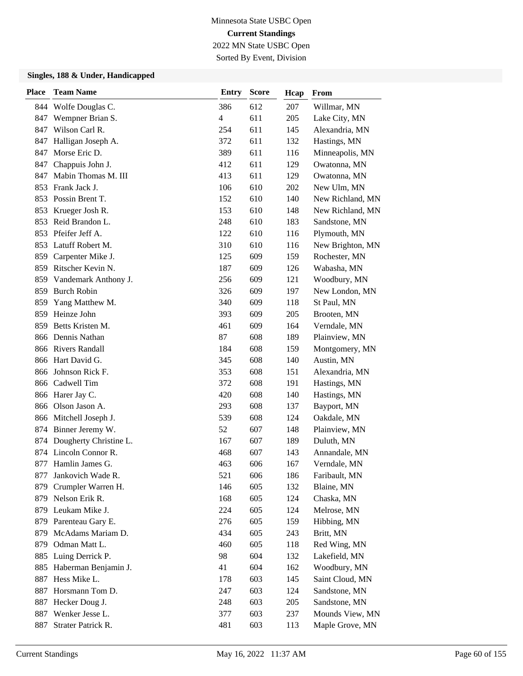Sorted By Event, Division

| <b>Place</b> | <b>Team Name</b>         | <b>Entry</b>             | <b>Score</b> | Hcap | From             |
|--------------|--------------------------|--------------------------|--------------|------|------------------|
|              | 844 Wolfe Douglas C.     | 386                      | 612          | 207  | Willmar, MN      |
| 847          | Wempner Brian S.         | $\overline{\mathcal{L}}$ | 611          | 205  | Lake City, MN    |
| 847          | Wilson Carl R.           | 254                      | 611          | 145  | Alexandria, MN   |
|              | 847 Halligan Joseph A.   | 372                      | 611          | 132  | Hastings, MN     |
| 847          | Morse Eric D.            | 389                      | 611          | 116  | Minneapolis, MN  |
| 847          | Chappuis John J.         | 412                      | 611          | 129  | Owatonna, MN     |
| 847          | Mabin Thomas M. III      | 413                      | 611          | 129  | Owatonna, MN     |
|              | 853 Frank Jack J.        | 106                      | 610          | 202  | New Ulm, MN      |
|              | 853 Possin Brent T.      | 152                      | 610          | 140  | New Richland, MN |
| 853          | Krueger Josh R.          | 153                      | 610          | 148  | New Richland, MN |
| 853          | Reid Brandon L.          | 248                      | 610          | 183  | Sandstone, MN    |
|              | 853 Pfeifer Jeff A.      | 122                      | 610          | 116  | Plymouth, MN     |
|              | 853 Latuff Robert M.     | 310                      | 610          | 116  | New Brighton, MN |
| 859          | Carpenter Mike J.        | 125                      | 609          | 159  | Rochester, MN    |
|              | 859 Ritscher Kevin N.    | 187                      | 609          | 126  | Wabasha, MN      |
| 859          | Vandemark Anthony J.     | 256                      | 609          | 121  | Woodbury, MN     |
|              | 859 Burch Robin          | 326                      | 609          | 197  | New London, MN   |
| 859          | Yang Matthew M.          | 340                      | 609          | 118  | St Paul, MN      |
| 859          | Heinze John              | 393                      | 609          | 205  | Brooten, MN      |
| 859          | Betts Kristen M.         | 461                      | 609          | 164  | Verndale, MN     |
|              | 866 Dennis Nathan        | 87                       | 608          | 189  | Plainview, MN    |
|              | 866 Rivers Randall       | 184                      | 608          | 159  | Montgomery, MN   |
|              | 866 Hart David G.        | 345                      | 608          | 140  | Austin, MN       |
| 866          | Johnson Rick F.          | 353                      | 608          | 151  | Alexandria, MN   |
|              | 866 Cadwell Tim          | 372                      | 608          | 191  | Hastings, MN     |
|              | 866 Harer Jay C.         | 420                      | 608          | 140  | Hastings, MN     |
| 866          | Olson Jason A.           | 293                      | 608          | 137  | Bayport, MN      |
|              | 866 Mitchell Joseph J.   | 539                      | 608          | 124  | Oakdale, MN      |
|              | 874 Binner Jeremy W.     | 52                       | 607          | 148  | Plainview, MN    |
| 874          | Dougherty Christine L.   | 167                      | 607          | 189  | Duluth, MN       |
|              | 874 Lincoln Connor R.    | 468                      | 607          | 143  | Annandale, MN    |
| 877          | Hamlin James G.          | 463                      | 606          | 167  | Verndale, MN     |
| 877          | Jankovich Wade R.        | 521                      | 606          | 186  | Faribault, MN    |
| 879          | Crumpler Warren H.       | 146                      | 605          | 132  | Blaine, MN       |
| 879          | Nelson Erik R.           | 168                      | 605          | 124  | Chaska, MN       |
|              | 879 Leukam Mike J.       | 224                      | 605          | 124  | Melrose, MN      |
|              | 879 Parenteau Gary E.    | 276                      | 605          | 159  | Hibbing, MN      |
|              | 879 McAdams Mariam D.    | 434                      | 605          | 243  | Britt, MN        |
| 879          | Odman Matt L.            | 460                      | 605          | 118  | Red Wing, MN     |
|              | 885 Luing Derrick P.     | 98                       | 604          | 132  | Lakefield, MN    |
|              | 885 Haberman Benjamin J. | 41                       | 604          | 162  | Woodbury, MN     |
| 887          | Hess Mike L.             | 178                      | 603          | 145  | Saint Cloud, MN  |
| 887          | Horsmann Tom D.          | 247                      | 603          | 124  | Sandstone, MN    |
| 887          | Hecker Doug J.           | 248                      | 603          | 205  | Sandstone, MN    |
| 887          | Wenker Jesse L.          | 377                      | 603          | 237  | Mounds View, MN  |
| 887          | Strater Patrick R.       | 481                      | 603          | 113  | Maple Grove, MN  |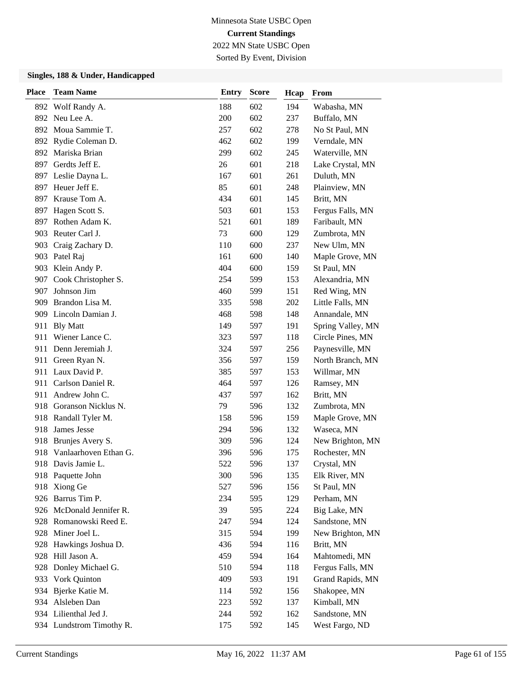## Minnesota State USBC Open **Current Standings**

2022 MN State USBC Open Sorted By Event, Division

| <b>Place</b> | <b>Team Name</b>         | Entry | <b>Score</b> | Hcap | From              |
|--------------|--------------------------|-------|--------------|------|-------------------|
|              | 892 Wolf Randy A.        | 188   | 602          | 194  | Wabasha, MN       |
|              | 892 Neu Lee A.           | 200   | 602          | 237  | Buffalo, MN       |
|              | 892 Moua Sammie T.       | 257   | 602          | 278  | No St Paul, MN    |
|              | 892 Rydie Coleman D.     | 462   | 602          | 199  | Verndale, MN      |
|              | 892 Mariska Brian        | 299   | 602          | 245  | Waterville, MN    |
| 897          | Gerdts Jeff E.           | 26    | 601          | 218  | Lake Crystal, MN  |
|              | 897 Leslie Dayna L.      | 167   | 601          | 261  | Duluth, MN        |
|              | 897 Heuer Jeff E.        | 85    | 601          | 248  | Plainview, MN     |
|              | 897 Krause Tom A.        | 434   | 601          | 145  | Britt, MN         |
| 897          | Hagen Scott S.           | 503   | 601          | 153  | Fergus Falls, MN  |
| 897          | Rothen Adam K.           | 521   | 601          | 189  | Faribault, MN     |
|              | 903 Reuter Carl J.       | 73    | 600          | 129  | Zumbrota, MN      |
|              | 903 Craig Zachary D.     | 110   | 600          | 237  | New Ulm, MN       |
|              | 903 Patel Raj            | 161   | 600          | 140  | Maple Grove, MN   |
|              | 903 Klein Andy P.        | 404   | 600          | 159  | St Paul, MN       |
| 907          | Cook Christopher S.      | 254   | 599          | 153  | Alexandria, MN    |
| 907          | Johnson Jim              | 460   | 599          | 151  | Red Wing, MN      |
| 909          | Brandon Lisa M.          | 335   | 598          | 202  | Little Falls, MN  |
| 909          | Lincoln Damian J.        | 468   | 598          | 148  | Annandale, MN     |
| 911          | <b>Bly Matt</b>          | 149   | 597          | 191  | Spring Valley, MN |
| 911          | Wiener Lance C.          | 323   | 597          | 118  | Circle Pines, MN  |
| 911          | Denn Jeremiah J.         | 324   | 597          | 256  | Paynesville, MN   |
| 911          | Green Ryan N.            | 356   | 597          | 159  | North Branch, MN  |
|              | 911 Laux David P.        | 385   | 597          | 153  | Willmar, MN       |
|              | 911 Carlson Daniel R.    | 464   | 597          | 126  | Ramsey, MN        |
| 911          | Andrew John C.           | 437   | 597          | 162  | Britt, MN         |
| 918          | Goranson Nicklus N.      | 79    | 596          | 132  | Zumbrota, MN      |
|              | 918 Randall Tyler M.     | 158   | 596          | 159  | Maple Grove, MN   |
| 918          | James Jesse              | 294   | 596          | 132  | Waseca, MN        |
| 918          | Brunjes Avery S.         | 309   | 596          | 124  | New Brighton, MN  |
| 918          | Vanlaarhoven Ethan G.    | 396   | 596          | 175  | Rochester, MN     |
|              | 918 Davis Jamie L.       | 522   | 596          | 137  | Crystal, MN       |
|              | 918 Paquette John        | 300   | 596          | 135  | Elk River, MN     |
|              | 918 Xiong Ge             | 527   | 596          | 156  | St Paul, MN       |
|              | 926 Barrus Tim P.        | 234   | 595          | 129  | Perham, MN        |
|              | 926 McDonald Jennifer R. | 39    | 595          | 224  | Big Lake, MN      |
|              | 928 Romanowski Reed E.   | 247   | 594          | 124  | Sandstone, MN     |
|              | 928 Miner Joel L.        | 315   | 594          | 199  | New Brighton, MN  |
| 928          | Hawkings Joshua D.       | 436   | 594          | 116  | Britt, MN         |
|              | 928 Hill Jason A.        | 459   | 594          | 164  | Mahtomedi, MN     |
|              | 928 Donley Michael G.    | 510   | 594          | 118  | Fergus Falls, MN  |
|              | 933 Vork Quinton         | 409   | 593          | 191  | Grand Rapids, MN  |
|              | 934 Bjerke Katie M.      | 114   | 592          | 156  | Shakopee, MN      |
|              | 934 Alsleben Dan         | 223   | 592          | 137  | Kimball, MN       |
|              | 934 Lilienthal Jed J.    | 244   | 592          | 162  | Sandstone, MN     |
|              | 934 Lundstrom Timothy R. | 175   | 592          | 145  | West Fargo, ND    |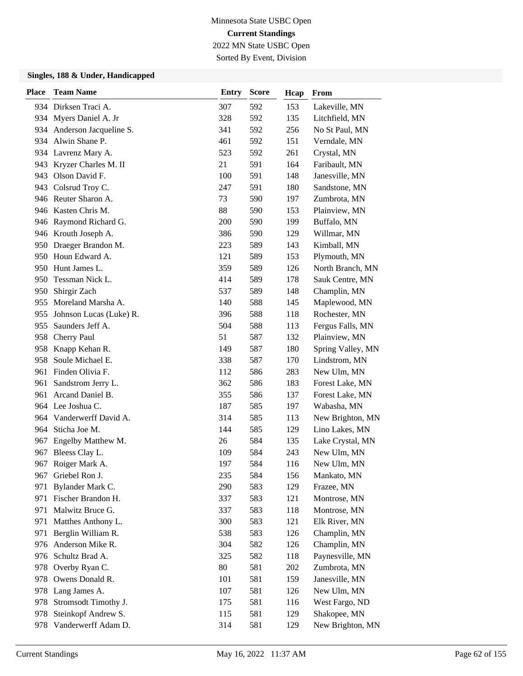Sorted By Event, Division

| <b>Place</b> | <b>Team Name</b>         | <b>Entry</b> | <b>Score</b> | Hcap | From              |
|--------------|--------------------------|--------------|--------------|------|-------------------|
|              | 934 Dirksen Traci A.     | 307          | 592          | 153  | Lakeville, MN     |
|              | 934 Myers Daniel A. Jr   | 328          | 592          | 135  | Litchfield, MN    |
| 934          | Anderson Jacqueline S.   | 341          | 592          | 256  | No St Paul, MN    |
|              | 934 Alwin Shane P.       | 461          | 592          | 151  | Verndale, MN      |
|              | 934 Lavrenz Mary A.      | 523          | 592          | 261  | Crystal, MN       |
| 943          | Kryzer Charles M. II     | 21           | 591          | 164  | Faribault, MN     |
| 943          | Olson David F.           | 100          | 591          | 148  | Janesville, MN    |
| 943          | Colsrud Troy C.          | 247          | 591          | 180  | Sandstone, MN     |
|              | 946 Reuter Sharon A.     | 73           | 590          | 197  | Zumbrota, MN      |
|              | 946 Kasten Chris M.      | 88           | 590          | 153  | Plainview, MN     |
|              | 946 Raymond Richard G.   | 200          | 590          | 199  | Buffalo, MN       |
|              | 946 Krouth Joseph A.     | 386          | 590          | 129  | Willmar, MN       |
|              | 950 Draeger Brandon M.   | 223          | 589          | 143  | Kimball, MN       |
|              | 950 Houn Edward A.       | 121          | 589          | 153  | Plymouth, MN      |
| 950          | Hunt James L.            | 359          | 589          | 126  | North Branch, MN  |
| 950          | Tessman Nick L.          | 414          | 589          | 178  | Sauk Centre, MN   |
| 950          | Shirgir Zach             | 537          | 589          | 148  | Champlin, MN      |
| 955          | Moreland Marsha A.       | 140          | 588          | 145  | Maplewood, MN     |
| 955          | Johnson Lucas (Luke) R.  | 396          | 588          | 118  | Rochester, MN     |
| 955          | Saunders Jeff A.         | 504          | 588          | 113  | Fergus Falls, MN  |
| 958          | Cherry Paul              | 51           | 587          | 132  | Plainview, MN     |
| 958          | Knapp Kehan R.           | 149          | 587          | 180  | Spring Valley, MN |
| 958          | Soule Michael E.         | 338          | 587          | 170  | Lindstrom, MN     |
| 961          | Finden Olivia F.         | 112          | 586          | 283  | New Ulm, MN       |
| 961          | Sandstrom Jerry L.       | 362          | 586          | 183  | Forest Lake, MN   |
| 961          | Arcand Daniel B.         | 355          | 586          | 137  | Forest Lake, MN   |
|              | 964 Lee Joshua C.        | 187          | 585          | 197  | Wabasha, MN       |
|              | 964 Vanderwerff David A. | 314          | 585          | 113  | New Brighton, MN  |
| 964          | Sticha Joe M.            | 144          | 585          | 129  | Lino Lakes, MN    |
| 967          | Engelby Matthew M.       | 26           | 584          | 135  | Lake Crystal, MN  |
| 967          | Bleess Clay L.           | 109          | 584          | 243  | New Ulm, MN       |
|              | 967 Roiger Mark A.       | 197          | 584          | 116  | New Ulm, MN       |
| 967          | Griebel Ron J.           | 235          | 584          | 156  | Mankato, MN       |
| 971          | Bylander Mark C.         | 290          | 583          | 129  | Frazee, MN        |
| 971          | Fischer Brandon H.       | 337          | 583          | 121  | Montrose, MN      |
| 971          | Malwitz Bruce G.         | 337          | 583          | 118  | Montrose, MN      |
| 971          | Matthes Anthony L.       | 300          | 583          | 121  | Elk River, MN     |
| 971          | Berglin William R.       | 538          | 583          | 126  | Champlin, MN      |
| 976          | Anderson Mike R.         | 304          | 582          | 126  | Champlin, MN      |
| 976          | Schultz Brad A.          | 325          | 582          | 118  | Paynesville, MN   |
| 978          | Overby Ryan C.           | 80           | 581          | 202  | Zumbrota, MN      |
| 978          | Owens Donald R.          | 101          | 581          | 159  | Janesville, MN    |
| 978          | Lang James A.            | 107          | 581          | 126  | New Ulm, MN       |
| 978          | Stromsodt Timothy J.     | 175          | 581          | 116  | West Fargo, ND    |
| 978          | Steinkopf Andrew S.      | 115          | 581          | 129  | Shakopee, MN      |
| 978          | Vanderwerff Adam D.      | 314          | 581          | 129  | New Brighton, MN  |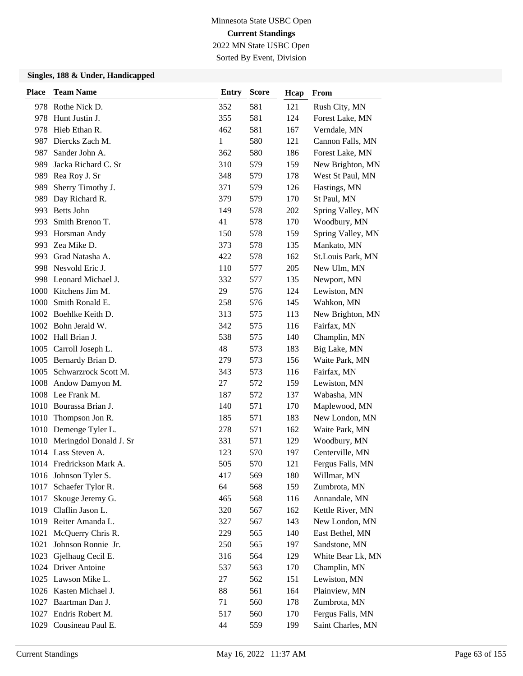Sorted By Event, Division

| <b>Place</b> | <b>Team Name</b>            | <b>Entry</b> | <b>Score</b> | Hcap | From              |
|--------------|-----------------------------|--------------|--------------|------|-------------------|
|              | 978 Rothe Nick D.           | 352          | 581          | 121  | Rush City, MN     |
| 978          | Hunt Justin J.              | 355          | 581          | 124  | Forest Lake, MN   |
|              | 978 Hieb Ethan R.           | 462          | 581          | 167  | Verndale, MN      |
|              | 987 Diercks Zach M.         | 1            | 580          | 121  | Cannon Falls, MN  |
| 987          | Sander John A.              | 362          | 580          | 186  | Forest Lake, MN   |
| 989          | Jacka Richard C. Sr         | 310          | 579          | 159  | New Brighton, MN  |
| 989          | Rea Roy J. Sr               | 348          | 579          | 178  | West St Paul, MN  |
| 989          | Sherry Timothy J.           | 371          | 579          | 126  | Hastings, MN      |
| 989          | Day Richard R.              | 379          | 579          | 170  | St Paul, MN       |
| 993          | <b>Betts John</b>           | 149          | 578          | 202  | Spring Valley, MN |
| 993          | Smith Brenon T.             | 41           | 578          | 170  | Woodbury, MN      |
|              | 993 Horsman Andy            | 150          | 578          | 159  | Spring Valley, MN |
|              | 993 Zea Mike D.             | 373          | 578          | 135  | Mankato, MN       |
| 993.         | Grad Natasha A.             | 422          | 578          | 162  | St.Louis Park, MN |
|              | 998 Nesvold Eric J.         | 110          | 577          | 205  | New Ulm, MN       |
|              | 998 Leonard Michael J.      | 332          | 577          | 135  | Newport, MN       |
|              | 1000 Kitchens Jim M.        | 29           | 576          | 124  | Lewiston, MN      |
|              | 1000 Smith Ronald E.        | 258          | 576          | 145  | Wahkon, MN        |
|              | 1002 Boehlke Keith D.       | 313          | 575          | 113  | New Brighton, MN  |
|              | 1002 Bohn Jerald W.         | 342          | 575          | 116  | Fairfax, MN       |
|              | 1002 Hall Brian J.          | 538          | 575          | 140  | Champlin, MN      |
|              | 1005 Carroll Joseph L.      | 48           | 573          | 183  | Big Lake, MN      |
|              | 1005 Bernardy Brian D.      | 279          | 573          | 156  | Waite Park, MN    |
|              | 1005 Schwarzrock Scott M.   | 343          | 573          | 116  | Fairfax, MN       |
|              | 1008 Andow Damyon M.        | 27           | 572          | 159  | Lewiston, MN      |
|              | 1008 Lee Frank M.           | 187          | 572          | 137  | Wabasha, MN       |
|              | 1010 Bourassa Brian J.      | 140          | 571          | 170  | Maplewood, MN     |
|              | 1010 Thompson Jon R.        | 185          | 571          | 183  | New London, MN    |
|              | 1010 Demenge Tyler L.       | 278          | 571          | 162  | Waite Park, MN    |
|              | 1010 Meringdol Donald J. Sr | 331          | 571          | 129  | Woodbury, MN      |
|              | 1014 Lass Steven A.         | 123          | 570          | 197  | Centerville, MN   |
|              | 1014 Fredrickson Mark A.    | 505          | 570          | 121  | Fergus Falls, MN  |
|              | 1016 Johnson Tyler S.       | 417          | 569          | 180  | Willmar, MN       |
| 1017         | Schaefer Tylor R.           | 64           | 568          | 159  | Zumbrota, MN      |
| 1017         | Skouge Jeremy G.            | 465          | 568          | 116  | Annandale, MN     |
|              | 1019 Claflin Jason L.       | 320          | 567          | 162  | Kettle River, MN  |
|              | 1019 Reiter Amanda L.       | 327          | 567          | 143  | New London, MN    |
| 1021         | McQuerry Chris R.           | 229          | 565          | 140  | East Bethel, MN   |
| 1021         | Johnson Ronnie Jr.          | 250          | 565          | 197  | Sandstone, MN     |
|              | 1023 Gjelhaug Cecil E.      | 316          | 564          | 129  | White Bear Lk, MN |
|              | 1024 Driver Antoine         | 537          | 563          | 170  | Champlin, MN      |
|              | 1025 Lawson Mike L.         | 27           | 562          | 151  | Lewiston, MN      |
|              | 1026 Kasten Michael J.      | 88           | 561          | 164  | Plainview, MN     |
|              | 1027 Baartman Dan J.        | 71           | 560          | 178  | Zumbrota, MN      |
|              | 1027 Endris Robert M.       | 517          | 560          | 170  | Fergus Falls, MN  |
|              | 1029 Cousineau Paul E.      | 44           | 559          | 199  | Saint Charles, MN |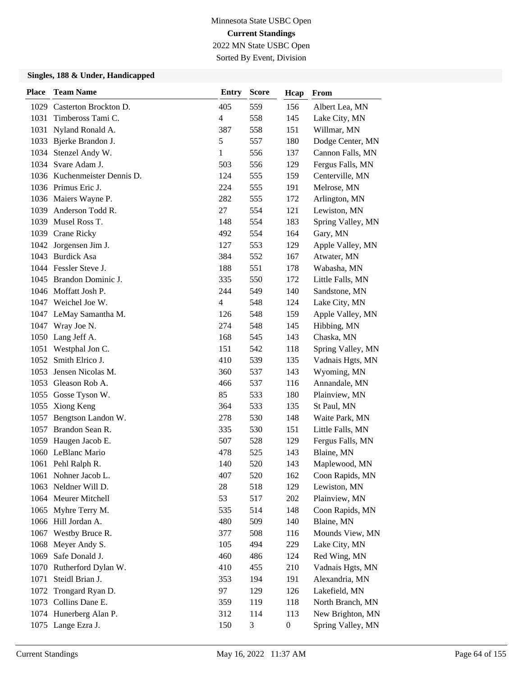Sorted By Event, Division

| <b>Place</b> | <b>Team Name</b>             | <b>Entry</b>   | <b>Score</b>   | Hcap             | From              |
|--------------|------------------------------|----------------|----------------|------------------|-------------------|
|              | 1029 Casterton Brockton D.   | 405            | 559            | 156              | Albert Lea, MN    |
| 1031         | Timbeross Tami C.            | $\overline{4}$ | 558            | 145              | Lake City, MN     |
| 1031         | Nyland Ronald A.             | 387            | 558            | 151              | Willmar, MN       |
|              | 1033 Bjerke Brandon J.       | $\mathfrak s$  | 557            | 180              | Dodge Center, MN  |
| 1034         | Stenzel Andy W.              | 1              | 556            | 137              | Cannon Falls, MN  |
| 1034         | Svare Adam J.                | 503            | 556            | 129              | Fergus Falls, MN  |
|              | 1036 Kuchenmeister Dennis D. | 124            | 555            | 159              | Centerville, MN   |
|              | 1036 Primus Eric J.          | 224            | 555            | 191              | Melrose, MN       |
|              | 1036 Maiers Wayne P.         | 282            | 555            | 172              | Arlington, MN     |
|              | 1039 Anderson Todd R.        | 27             | 554            | 121              | Lewiston, MN      |
|              | 1039 Musel Ross T.           | 148            | 554            | 183              | Spring Valley, MN |
|              | 1039 Crane Ricky             | 492            | 554            | 164              | Gary, MN          |
|              | 1042 Jorgensen Jim J.        | 127            | 553            | 129              | Apple Valley, MN  |
|              | 1043 Burdick Asa             | 384            | 552            | 167              | Atwater, MN       |
|              | 1044 Fessler Steve J.        | 188            | 551            | 178              | Wabasha, MN       |
|              | 1045 Brandon Dominic J.      | 335            | 550            | 172              | Little Falls, MN  |
|              | 1046 Moffatt Josh P.         | 244            | 549            | 140              | Sandstone, MN     |
|              | 1047 Weichel Joe W.          | $\overline{4}$ | 548            | 124              | Lake City, MN     |
|              | 1047 LeMay Samantha M.       | 126            | 548            | 159              | Apple Valley, MN  |
|              | 1047 Wray Joe N.             | 274            | 548            | 145              | Hibbing, MN       |
|              | 1050 Lang Jeff A.            | 168            | 545            | 143              | Chaska, MN        |
| 1051         | Westphal Jon C.              | 151            | 542            | 118              | Spring Valley, MN |
| 1052         | Smith Elrico J.              | 410            | 539            | 135              | Vadnais Hgts, MN  |
| 1053         | Jensen Nicolas M.            | 360            | 537            | 143              | Wyoming, MN       |
|              | 1053 Gleason Rob A.          | 466            | 537            | 116              | Annandale, MN     |
| 1055         | Gosse Tyson W.               | 85             | 533            | 180              | Plainview, MN     |
| 1055         | Xiong Keng                   | 364            | 533            | 135              | St Paul, MN       |
|              | 1057 Bengtson Landon W.      | 278            | 530            | 148              | Waite Park, MN    |
|              | 1057 Brandon Sean R.         | 335            | 530            | 151              | Little Falls, MN  |
|              | 1059 Haugen Jacob E.         | 507            | 528            | 129              | Fergus Falls, MN  |
|              | 1060 LeBlanc Mario           | 478            | 525            | 143              | Blaine, MN        |
|              | 1061 Pehl Ralph R.           | 140            | 520            | 143              | Maplewood, MN     |
|              | 1061 Nohner Jacob L.         | 407            | 520            | 162              | Coon Rapids, MN   |
| 1063         | Neldner Will D.              | 28             | 518            | 129              | Lewiston, MN      |
|              | 1064 Meurer Mitchell         | 53             | 517            | 202              | Plainview, MN     |
|              | 1065 Myhre Terry M.          | 535            | 514            | 148              | Coon Rapids, MN   |
|              | 1066 Hill Jordan A.          | 480            | 509            | 140              | Blaine, MN        |
| 1067         | Westby Bruce R.              | 377            | 508            | 116              | Mounds View, MN   |
| 1068         | Meyer Andy S.                | 105            | 494            | 229              | Lake City, MN     |
| 1069         | Safe Donald J.               | 460            | 486            | 124              | Red Wing, MN      |
| 1070         | Rutherford Dylan W.          | 410            | 455            | 210              | Vadnais Hgts, MN  |
| 1071         | Steidl Brian J.              | 353            | 194            | 191              | Alexandria, MN    |
| 1072         | Trongard Ryan D.             | 97             | 129            | 126              | Lakefield, MN     |
| 1073         | Collins Dane E.              | 359            | 119            | 118              | North Branch, MN  |
|              | 1074 Hunerberg Alan P.       | 312            | 114            | 113              | New Brighton, MN  |
|              | 1075 Lange Ezra J.           | 150            | $\mathfrak{Z}$ | $\boldsymbol{0}$ | Spring Valley, MN |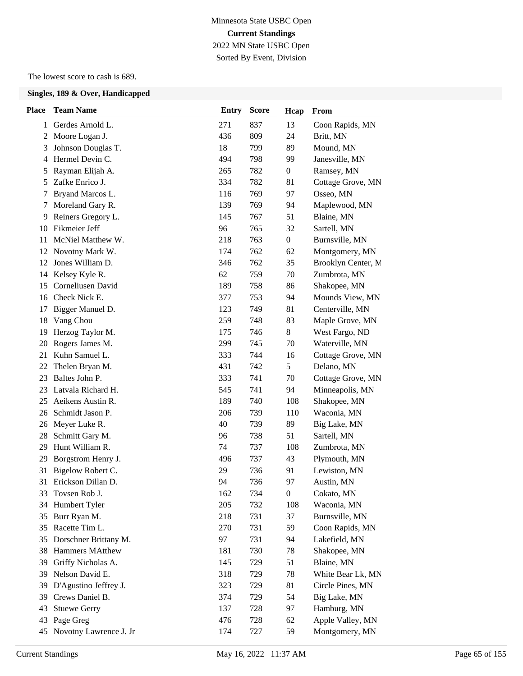## Minnesota State USBC Open **Current Standings** 2022 MN State USBC Open Sorted By Event, Division

The lowest score to cash is 689.

| <b>Place</b>   | <b>Team Name</b>       | <b>Entry</b> | <b>Score</b> | Hcap             | From               |
|----------------|------------------------|--------------|--------------|------------------|--------------------|
| 1              | Gerdes Arnold L.       | 271          | 837          | 13               | Coon Rapids, MN    |
| 2              | Moore Logan J.         | 436          | 809          | 24               | Britt, MN          |
| 3              | Johnson Douglas T.     | 18           | 799          | 89               | Mound, MN          |
| $\overline{4}$ | Hermel Devin C.        | 494          | 798          | 99               | Janesville, MN     |
| 5              | Rayman Elijah A.       | 265          | 782          | $\boldsymbol{0}$ | Ramsey, MN         |
| 5              | Zafke Enrico J.        | 334          | 782          | 81               | Cottage Grove, MN  |
| 7              | Bryand Marcos L.       | 116          | 769          | 97               | Osseo, MN          |
| 7              | Moreland Gary R.       | 139          | 769          | 94               | Maplewood, MN      |
| 9              | Reiners Gregory L.     | 145          | 767          | 51               | Blaine, MN         |
| 10             | Eikmeier Jeff          | 96           | 765          | 32               | Sartell, MN        |
| 11             | McNiel Matthew W.      | 218          | 763          | $\boldsymbol{0}$ | Burnsville, MN     |
| 12             | Novotny Mark W.        | 174          | 762          | 62               | Montgomery, MN     |
| 12             | Jones William D.       | 346          | 762          | 35               | Brooklyn Center, M |
| 14             | Kelsey Kyle R.         | 62           | 759          | 70               | Zumbrota, MN       |
| 15             | Corneliusen David      | 189          | 758          | 86               | Shakopee, MN       |
| 16             | Check Nick E.          | 377          | 753          | 94               | Mounds View, MN    |
| 17             | Bigger Manuel D.       | 123          | 749          | 81               | Centerville, MN    |
| 18             | Vang Chou              | 259          | 748          | 83               | Maple Grove, MN    |
| 19             | Herzog Taylor M.       | 175          | 746          | 8                | West Fargo, ND     |
| 20             | Rogers James M.        | 299          | 745          | 70               | Waterville, MN     |
| 21             | Kuhn Samuel L.         | 333          | 744          | 16               | Cottage Grove, MN  |
| 22             | Thelen Bryan M.        | 431          | 742          | 5                | Delano, MN         |
| 23             | Baltes John P.         | 333          | 741          | 70               | Cottage Grove, MN  |
| 23             | Latvala Richard H.     | 545          | 741          | 94               | Minneapolis, MN    |
| 25             | Aeikens Austin R.      | 189          | 740          | 108              | Shakopee, MN       |
| 26             | Schmidt Jason P.       | 206          | 739          | 110              | Waconia, MN        |
| 26             | Meyer Luke R.          | 40           | 739          | 89               | Big Lake, MN       |
| 28             | Schmitt Gary M.        | 96           | 738          | 51               | Sartell, MN        |
| 29             | Hunt William R.        | 74           | 737          | 108              | Zumbrota, MN       |
| 29             | Borgstrom Henry J.     | 496          | 737          | 43               | Plymouth, MN       |
| 31             | Bigelow Robert C.      | 29           | 736          | 91               | Lewiston, MN       |
| 31             | Erickson Dillan D.     | 94           | 736          | 97               | Austin, MN         |
| 33             | Tovsen Rob J.          | 162          | 734          | $\boldsymbol{0}$ | Cokato, MN         |
| 34             | Humbert Tyler          | 205          | 732          | 108              | Waconia, MN        |
| 35             | Burr Ryan M.           | 218          | 731          | 37               | Burnsville, MN     |
| 35             | Racette Tim L.         | 270          | 731          | 59               | Coon Rapids, MN    |
| 35             | Dorschner Brittany M.  | 97           | 731          | 94               | Lakefield, MN      |
| 38             | Hammers MAtthew        | 181          | 730          | 78               | Shakopee, MN       |
| 39             | Griffy Nicholas A.     | 145          | 729          | 51               | Blaine, MN         |
| 39             | Nelson David E.        | 318          | 729          | 78               | White Bear Lk, MN  |
| 39             | D'Agustino Jeffrey J.  | 323          | 729          | 81               | Circle Pines, MN   |
| 39             | Crews Daniel B.        | 374          | 729          | 54               | Big Lake, MN       |
| 43             | <b>Stuewe Gerry</b>    | 137          | 728          | 97               | Hamburg, MN        |
| 43             | Page Greg              | 476          | 728          | 62               | Apple Valley, MN   |
| 45             | Novotny Lawrence J. Jr | 174          | 727          | 59               | Montgomery, MN     |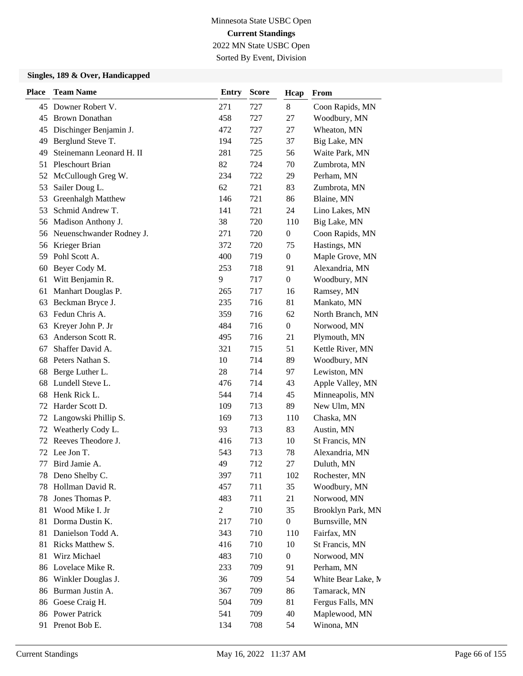Sorted By Event, Division

| <b>Place</b> | <b>Team Name</b>            | <b>Entry</b> | <b>Score</b> | Hcap             | From               |
|--------------|-----------------------------|--------------|--------------|------------------|--------------------|
| 45           | Downer Robert V.            | 271          | 727          | $8\,$            | Coon Rapids, MN    |
| 45           | <b>Brown Donathan</b>       | 458          | 727          | 27               | Woodbury, MN       |
| 45           | Dischinger Benjamin J.      | 472          | 727          | 27               | Wheaton, MN        |
| 49           | Berglund Steve T.           | 194          | 725          | 37               | Big Lake, MN       |
| 49           | Steinemann Leonard H. II    | 281          | 725          | 56               | Waite Park, MN     |
| 51           | <b>Pleschourt Brian</b>     | 82           | 724          | 70               | Zumbrota, MN       |
| 52           | McCullough Greg W.          | 234          | 722          | 29               | Perham, MN         |
| 53           | Sailer Doug L.              | 62           | 721          | 83               | Zumbrota, MN       |
| 53           | Greenhalgh Matthew          | 146          | 721          | 86               | Blaine, MN         |
| 53           | Schmid Andrew T.            | 141          | 721          | 24               | Lino Lakes, MN     |
| 56           | Madison Anthony J.          | 38           | 720          | 110              | Big Lake, MN       |
|              | 56 Neuenschwander Rodney J. | 271          | 720          | $\boldsymbol{0}$ | Coon Rapids, MN    |
| 56           | Krieger Brian               | 372          | 720          | 75               | Hastings, MN       |
| 59           | Pohl Scott A.               | 400          | 719          | $\theta$         | Maple Grove, MN    |
| 60           | Beyer Cody M.               | 253          | 718          | 91               | Alexandria, MN     |
| 61           | Witt Benjamin R.            | 9            | 717          | $\theta$         | Woodbury, MN       |
| 61           | Manhart Douglas P.          | 265          | 717          | 16               | Ramsey, MN         |
| 63           | Beckman Bryce J.            | 235          | 716          | 81               | Mankato, MN        |
| 63           | Fedun Chris A.              | 359          | 716          | 62               | North Branch, MN   |
| 63           | Kreyer John P. Jr           | 484          | 716          | $\boldsymbol{0}$ | Norwood, MN        |
| 63           | Anderson Scott R.           | 495          | 716          | 21               | Plymouth, MN       |
| 67           | Shaffer David A.            | 321          | 715          | 51               | Kettle River, MN   |
| 68           | Peters Nathan S.            | 10           | 714          | 89               | Woodbury, MN       |
| 68           | Berge Luther L.             | 28           | 714          | 97               | Lewiston, MN       |
| 68           | Lundell Steve L.            | 476          | 714          | 43               | Apple Valley, MN   |
| 68           | Henk Rick L.                | 544          | 714          | 45               | Minneapolis, MN    |
| 72           | Harder Scott D.             | 109          | 713          | 89               | New Ulm, MN        |
| 72           | Langowski Phillip S.        | 169          | 713          | 110              | Chaska, MN         |
| 72           | Weatherly Cody L.           | 93           | 713          | 83               | Austin, MN         |
| 72           | Reeves Theodore J.          | 416          | 713          | 10               | St Francis, MN     |
| 72           | Lee Jon T.                  | 543          | 713          | 78               | Alexandria, MN     |
| 77           | Bird Jamie A.               | 49           | 712          | 27               | Duluth, MN         |
| 78           | Deno Shelby C.              | 397          | 711          | 102              | Rochester, MN      |
| 78           | Hollman David R.            | 457          | 711          | 35               | Woodbury, MN       |
| 78           | Jones Thomas P.             | 483          | 711          | 21               | Norwood, MN        |
| 81           | Wood Mike I. Jr             | 2            | 710          | 35               | Brooklyn Park, MN  |
| 81           | Dorma Dustin K.             | 217          | 710          | $\boldsymbol{0}$ | Burnsville, MN     |
| 81           | Danielson Todd A.           | 343          | 710          | 110              | Fairfax, MN        |
| 81           | Ricks Matthew S.            | 416          | 710          | 10               | St Francis, MN     |
| 81           | Wirz Michael                | 483          | 710          | $\boldsymbol{0}$ | Norwood, MN        |
| 86           | Lovelace Mike R.            | 233          | 709          | 91               | Perham, MN         |
| 86           | Winkler Douglas J.          | 36           | 709          | 54               | White Bear Lake, M |
| 86           | Burman Justin A.            | 367          | 709          | 86               | Tamarack, MN       |
| 86           | Goese Craig H.              | 504          | 709          | 81               | Fergus Falls, MN   |
| 86           | <b>Power Patrick</b>        | 541          | 709          | 40               | Maplewood, MN      |
| 91           | Prenot Bob E.               | 134          | 708          | 54               | Winona, MN         |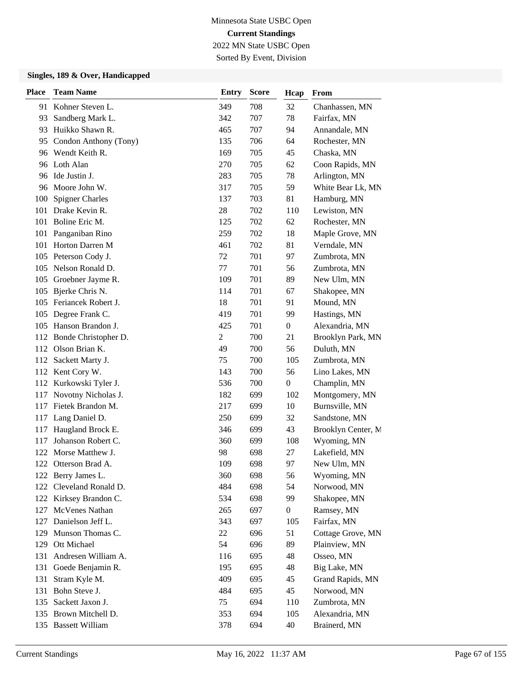Sorted By Event, Division

| <b>Place</b> | <b>Team Name</b>         | <b>Entry</b>   | <b>Score</b> | Hcap             | From               |
|--------------|--------------------------|----------------|--------------|------------------|--------------------|
|              | 91 Kohner Steven L.      | 349            | 708          | 32               | Chanhassen, MN     |
| 93           | Sandberg Mark L.         | 342            | 707          | 78               | Fairfax, MN        |
| 93           | Huikko Shawn R.          | 465            | 707          | 94               | Annandale, MN      |
|              | 95 Condon Anthony (Tony) | 135            | 706          | 64               | Rochester, MN      |
|              | 96 Wendt Keith R.        | 169            | 705          | 45               | Chaska, MN         |
|              | 96 Loth Alan             | 270            | 705          | 62               | Coon Rapids, MN    |
|              | 96 Ide Justin J.         | 283            | 705          | 78               | Arlington, MN      |
|              | 96 Moore John W.         | 317            | 705          | 59               | White Bear Lk, MN  |
| 100          | <b>Spigner Charles</b>   | 137            | 703          | 81               | Hamburg, MN        |
| 101          | Drake Kevin R.           | 28             | 702          | 110              | Lewiston, MN       |
| 101          | Boline Eric M.           | 125            | 702          | 62               | Rochester, MN      |
|              | 101 Panganiban Rino      | 259            | 702          | 18               | Maple Grove, MN    |
| 101          | Horton Darren M          | 461            | 702          | 81               | Verndale, MN       |
| 105          | Peterson Cody J.         | 72             | 701          | 97               | Zumbrota, MN       |
| 105          | Nelson Ronald D.         | 77             | 701          | 56               | Zumbrota, MN       |
|              | 105 Groebner Jayme R.    | 109            | 701          | 89               | New Ulm, MN        |
| 105          | Bjerke Chris N.          | 114            | 701          | 67               | Shakopee, MN       |
| 105          | Feriancek Robert J.      | 18             | 701          | 91               | Mound, MN          |
| 105          | Degree Frank C.          | 419            | 701          | 99               | Hastings, MN       |
|              | 105 Hanson Brandon J.    | 425            | 701          | $\boldsymbol{0}$ | Alexandria, MN     |
|              | 112 Bonde Christopher D. | $\overline{2}$ | 700          | 21               | Brooklyn Park, MN  |
| 112          | Olson Brian K.           | 49             | 700          | 56               | Duluth, MN         |
| 112          | Sackett Marty J.         | 75             | 700          | 105              | Zumbrota, MN       |
|              | 112 Kent Cory W.         | 143            | 700          | 56               | Lino Lakes, MN     |
|              | 112 Kurkowski Tyler J.   | 536            | 700          | $\boldsymbol{0}$ | Champlin, MN       |
| 117          | Novotny Nicholas J.      | 182            | 699          | 102              | Montgomery, MN     |
| 117          | Fietek Brandon M.        | 217            | 699          | 10               | Burnsville, MN     |
|              | 117 Lang Daniel D.       | 250            | 699          | 32               | Sandstone, MN      |
| 117          | Haugland Brock E.        | 346            | 699          | 43               | Brooklyn Center, M |
| 117          | Johanson Robert C.       | 360            | 699          | 108              | Wyoming, MN        |
| 122          | Morse Matthew J.         | 98             | 698          | 27               | Lakefield, MN      |
|              | 122 Otterson Brad A.     | 109            | 698          | 97               | New Ulm, MN        |
|              | 122 Berry James L.       | 360            | 698          | 56               | Wyoming, MN        |
| 122          | Cleveland Ronald D.      | 484            | 698          | 54               | Norwood, MN        |
|              | 122 Kirksey Brandon C.   | 534            | 698          | 99               | Shakopee, MN       |
| 127          | McVenes Nathan           | 265            | 697          | $\boldsymbol{0}$ | Ramsey, MN         |
| 127          | Danielson Jeff L.        | 343            | 697          | 105              | Fairfax, MN        |
| 129          | Munson Thomas C.         | 22             | 696          | 51               | Cottage Grove, MN  |
| 129          | Ott Michael              | 54             | 696          | 89               | Plainview, MN      |
| 131          | Andresen William A.      | 116            | 695          | 48               | Osseo, MN          |
| 131          | Goede Benjamin R.        | 195            | 695          | 48               | Big Lake, MN       |
| 131          | Stram Kyle M.            | 409            | 695          | 45               | Grand Rapids, MN   |
| 131          | Bohn Steve J.            | 484            | 695          | 45               | Norwood, MN        |
| 135          | Sackett Jaxon J.         | 75             | 694          | 110              | Zumbrota, MN       |
| 135          | Brown Mitchell D.        | 353            | 694          | 105              | Alexandria, MN     |
|              | 135 Bassett William      | 378            | 694          | 40               | Brainerd, MN       |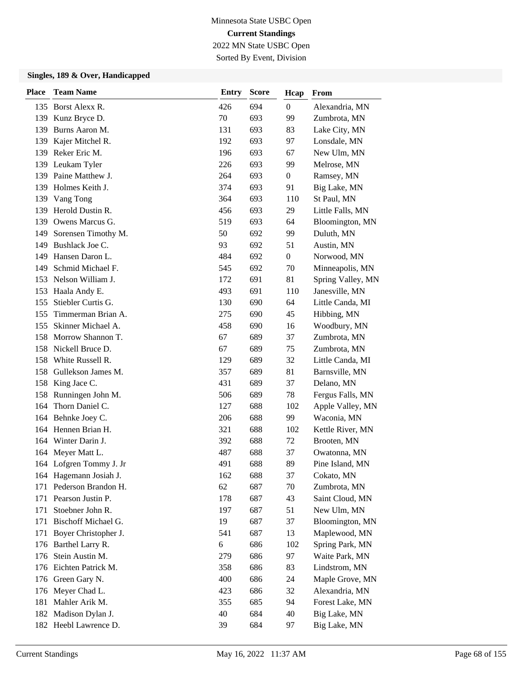Sorted By Event, Division

| <b>Place</b> | <b>Team Name</b>        | <b>Entry</b> | <b>Score</b> | Hcap           | From              |
|--------------|-------------------------|--------------|--------------|----------------|-------------------|
|              | 135 Borst Alexx R.      | 426          | 694          | $\overline{0}$ | Alexandria, MN    |
|              | 139 Kunz Bryce D.       | 70           | 693          | 99             | Zumbrota, MN      |
| 139          | Burns Aaron M.          | 131          | 693          | 83             | Lake City, MN     |
|              | 139 Kajer Mitchel R.    | 192          | 693          | 97             | Lonsdale, MN      |
| 139          | Reker Eric M.           | 196          | 693          | 67             | New Ulm, MN       |
| 139          | Leukam Tyler            | 226          | 693          | 99             | Melrose, MN       |
| 139          | Paine Matthew J.        | 264          | 693          | $\overline{0}$ | Ramsey, MN        |
| 139          | Holmes Keith J.         | 374          | 693          | 91             | Big Lake, MN      |
| 139          | Vang Tong               | 364          | 693          | 110            | St Paul, MN       |
| 139          | Herold Dustin R.        | 456          | 693          | 29             | Little Falls, MN  |
| 139          | Owens Marcus G.         | 519          | 693          | 64             | Bloomington, MN   |
| 149          | Sorensen Timothy M.     | 50           | 692          | 99             | Duluth, MN        |
| 149          | Bushlack Joe C.         | 93           | 692          | 51             | Austin, MN        |
| 149          | Hansen Daron L.         | 484          | 692          | $\theta$       | Norwood, MN       |
| 149          | Schmid Michael F.       | 545          | 692          | 70             | Minneapolis, MN   |
| 153          | Nelson William J.       | 172          | 691          | 81             | Spring Valley, MN |
| 153          | Haala Andy E.           | 493          | 691          | 110            | Janesville, MN    |
| 155          | Stiebler Curtis G.      | 130          | 690          | 64             | Little Canda, MI  |
| 155          | Timmerman Brian A.      | 275          | 690          | 45             | Hibbing, MN       |
| 155          | Skinner Michael A.      | 458          | 690          | 16             | Woodbury, MN      |
| 158          | Morrow Shannon T.       | 67           | 689          | 37             | Zumbrota, MN      |
| 158          | Nickell Bruce D.        | 67           | 689          | 75             | Zumbrota, MN      |
| 158          | White Russell R.        | 129          | 689          | 32             | Little Canda, MI  |
| 158          | Gullekson James M.      | 357          | 689          | 81             | Barnsville, MN    |
| 158          | King Jace C.            | 431          | 689          | 37             | Delano, MN        |
| 158          | Runningen John M.       | 506          | 689          | 78             | Fergus Falls, MN  |
| 164          | Thorn Daniel C.         | 127          | 688          | 102            | Apple Valley, MN  |
| 164          | Behnke Joey C.          | 206          | 688          | 99             | Waconia, MN       |
| 164          | Hennen Brian H.         | 321          | 688          | 102            | Kettle River, MN  |
| 164          | Winter Darin J.         | 392          | 688          | 72             | Brooten, MN       |
| 164          | Meyer Matt L.           | 487          | 688          | 37             | Owatonna, MN      |
|              | 164 Lofgren Tommy J. Jr | 491          | 688          | 89             | Pine Island, MN   |
|              | 164 Hagemann Josiah J.  | 162          | 688          | 37             | Cokato, MN        |
| 171          | Pederson Brandon H.     | 62           | 687          | 70             | Zumbrota, MN      |
| 171          | Pearson Justin P.       | 178          | 687          | 43             | Saint Cloud, MN   |
| 171          | Stoebner John R.        | 197          | 687          | 51             | New Ulm, MN       |
| 171          | Bischoff Michael G.     | 19           | 687          | 37             | Bloomington, MN   |
| 171          | Boyer Christopher J.    | 541          | 687          | 13             | Maplewood, MN     |
|              | 176 Barthel Larry R.    | 6            | 686          | 102            | Spring Park, MN   |
| 176          | Stein Austin M.         | 279          | 686          | 97             | Waite Park, MN    |
|              | 176 Eichten Patrick M.  | 358          | 686          | 83             | Lindstrom, MN     |
|              | 176 Green Gary N.       | 400          | 686          | 24             | Maple Grove, MN   |
|              | 176 Meyer Chad L.       | 423          | 686          | 32             | Alexandria, MN    |
| 181          | Mahler Arik M.          | 355          | 685          | 94             | Forest Lake, MN   |
|              | 182 Madison Dylan J.    | 40           | 684          | 40             | Big Lake, MN      |
|              | 182 Heebl Lawrence D.   | 39           | 684          | 97             | Big Lake, MN      |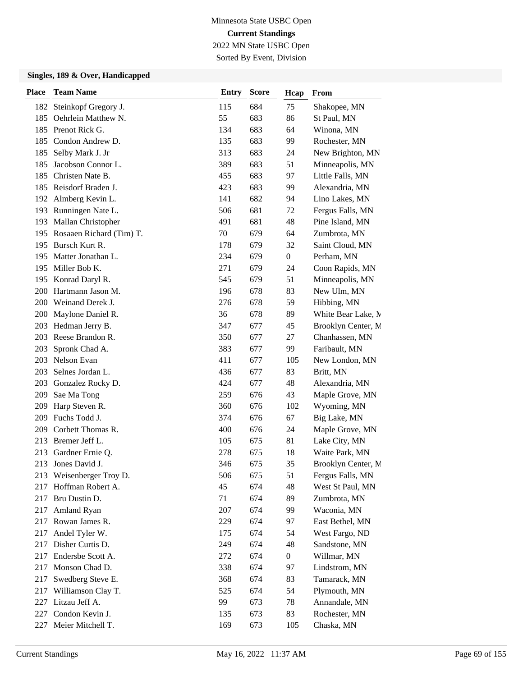Sorted By Event, Division

| <b>Place</b> | <b>Team Name</b>             | <b>Entry</b> | <b>Score</b> | Hcap             | From               |
|--------------|------------------------------|--------------|--------------|------------------|--------------------|
| 182          | Steinkopf Gregory J.         | 115          | 684          | 75               | Shakopee, MN       |
| 185          | Oehrlein Matthew N.          | 55           | 683          | 86               | St Paul, MN        |
| 185          | Prenot Rick G.               | 134          | 683          | 64               | Winona, MN         |
| 185          | Condon Andrew D.             | 135          | 683          | 99               | Rochester, MN      |
| 185          | Selby Mark J. Jr             | 313          | 683          | 24               | New Brighton, MN   |
| 185          | Jacobson Connor L.           | 389          | 683          | 51               | Minneapolis, MN    |
| 185          | Christen Nate B.             | 455          | 683          | 97               | Little Falls, MN   |
| 185          | Reisdorf Braden J.           | 423          | 683          | 99               | Alexandria, MN     |
|              | 192 Almberg Kevin L.         | 141          | 682          | 94               | Lino Lakes, MN     |
|              | 193 Runningen Nate L.        | 506          | 681          | 72               | Fergus Falls, MN   |
| 193          | Mallan Christopher           | 491          | 681          | 48               | Pine Island, MN    |
|              | 195 Rosaaen Richard (Tim) T. | 70           | 679          | 64               | Zumbrota, MN       |
|              | 195 Bursch Kurt R.           | 178          | 679          | 32               | Saint Cloud, MN    |
| 195          | Matter Jonathan L.           | 234          | 679          | $\overline{0}$   | Perham, MN         |
| 195          | Miller Bob K.                | 271          | 679          | 24               | Coon Rapids, MN    |
|              | 195 Konrad Daryl R.          | 545          | 679          | 51               | Minneapolis, MN    |
|              | 200 Hartmann Jason M.        | 196          | 678          | 83               | New Ulm, MN        |
|              | 200 Weinand Derek J.         | 276          | 678          | 59               | Hibbing, MN        |
| <b>200</b>   | Maylone Daniel R.            | 36           | 678          | 89               | White Bear Lake, M |
| 203          | Hedman Jerry B.              | 347          | 677          | 45               | Brooklyn Center, M |
| 203          | Reese Brandon R.             | 350          | 677          | 27               | Chanhassen, MN     |
| 203          | Spronk Chad A.               | 383          | 677          | 99               | Faribault, MN      |
| 203          | Nelson Evan                  | 411          | 677          | 105              | New London, MN     |
| 203          | Selnes Jordan L.             | 436          | 677          | 83               | Britt, MN          |
|              | 203 Gonzalez Rocky D.        | 424          | 677          | 48               | Alexandria, MN     |
| 209          | Sae Ma Tong                  | 259          | 676          | 43               | Maple Grove, MN    |
| 209          | Harp Steven R.               | 360          | 676          | 102              | Wyoming, MN        |
| 209          | Fuchs Todd J.                | 374          | 676          | 67               | Big Lake, MN       |
| 209          | Corbett Thomas R.            | 400          | 676          | 24               | Maple Grove, MN    |
| 213          | Bremer Jeff L.               | 105          | 675          | 81               | Lake City, MN      |
| 213          | Gardner Ernie Q.             | 278          | 675          | 18               | Waite Park, MN     |
|              | 213 Jones David J.           | 346          | 675          | 35               | Brooklyn Center, M |
|              | 213 Weisenberger Troy D.     | 506          | 675          | 51               | Fergus Falls, MN   |
| 217          | Hoffman Robert A.            | 45           | 674          | 48               | West St Paul, MN   |
| 217          | Bru Dustin D.                | 71           | 674          | 89               | Zumbrota, MN       |
| 217          | Amland Ryan                  | 207          | 674          | 99               | Waconia, MN        |
| 217          | Rowan James R.               | 229          | 674          | 97               | East Bethel, MN    |
| 217          | Andel Tyler W.               | 175          | 674          | 54               | West Fargo, ND     |
| 217          | Disher Curtis D.             | 249          | 674          | 48               | Sandstone, MN      |
| 217          | Endersbe Scott A.            | 272          | 674          | $\boldsymbol{0}$ | Willmar, MN        |
| 217          | Monson Chad D.               | 338          | 674          | 97               | Lindstrom, MN      |
| 217          | Swedberg Steve E.            | 368          | 674          | 83               | Tamarack, MN       |
| 217          | Williamson Clay T.           | 525          | 674          | 54               | Plymouth, MN       |
| 227          | Litzau Jeff A.               | 99           | 673          | 78               | Annandale, MN      |
| 227          | Condon Kevin J.              | 135          | 673          | 83               | Rochester, MN      |
| 227          | Meier Mitchell T.            | 169          | 673          | 105              | Chaska, MN         |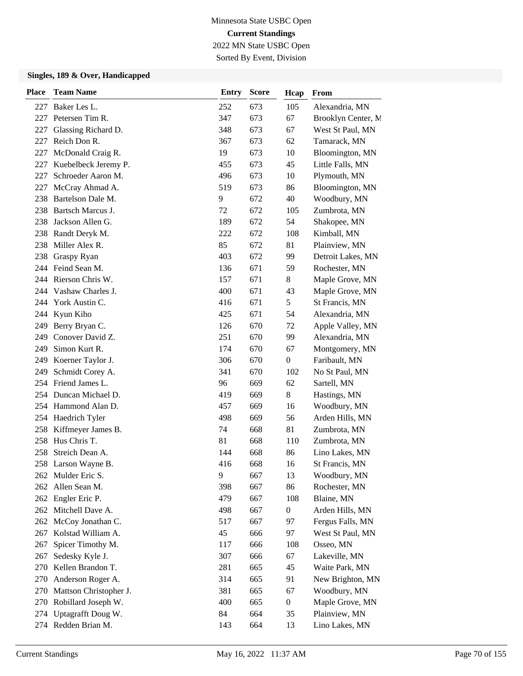Sorted By Event, Division

| <b>Place</b> | <b>Team Name</b>       | <b>Entry</b> | <b>Score</b> | Hcap             | From               |
|--------------|------------------------|--------------|--------------|------------------|--------------------|
|              | 227 Baker Les L.       | 252          | 673          | 105              | Alexandria, MN     |
| 227          | Petersen Tim R.        | 347          | 673          | 67               | Brooklyn Center, M |
| 227          | Glassing Richard D.    | 348          | 673          | 67               | West St Paul, MN   |
| 227          | Reich Don R.           | 367          | 673          | 62               | Tamarack, MN       |
| 227          | McDonald Craig R.      | 19           | 673          | 10               | Bloomington, MN    |
| 227          | Kuebelbeck Jeremy P.   | 455          | 673          | 45               | Little Falls, MN   |
| 227          | Schroeder Aaron M.     | 496          | 673          | 10               | Plymouth, MN       |
| 227          | McCray Ahmad A.        | 519          | 673          | 86               | Bloomington, MN    |
| 238          | Bartelson Dale M.      | 9            | 672          | 40               | Woodbury, MN       |
| 238          | Bartsch Marcus J.      | 72           | 672          | 105              | Zumbrota, MN       |
| 238          | Jackson Allen G.       | 189          | 672          | 54               | Shakopee, MN       |
|              | 238 Randt Deryk M.     | 222          | 672          | 108              | Kimball, MN        |
| 238          | Miller Alex R.         | 85           | 672          | 81               | Plainview, MN      |
| 238          | Graspy Ryan            | 403          | 672          | 99               | Detroit Lakes, MN  |
|              | 244 Feind Sean M.      | 136          | 671          | 59               | Rochester, MN      |
|              | 244 Rierson Chris W.   | 157          | 671          | 8                | Maple Grove, MN    |
|              | 244 Vashaw Charles J.  | 400          | 671          | 43               | Maple Grove, MN    |
|              | 244 York Austin C.     | 416          | 671          | 5                | St Francis, MN     |
| 244          | Kyun Kiho              | 425          | 671          | 54               | Alexandria, MN     |
|              | 249 Berry Bryan C.     | 126          | 670          | 72               | Apple Valley, MN   |
| 249          | Conover David Z.       | 251          | 670          | 99               | Alexandria, MN     |
| 249          | Simon Kurt R.          | 174          | 670          | 67               | Montgomery, MN     |
| 249          | Koerner Taylor J.      | 306          | 670          | $\boldsymbol{0}$ | Faribault, MN      |
| 249          | Schmidt Corey A.       | 341          | 670          | 102              | No St Paul, MN     |
|              | 254 Friend James L.    | 96           | 669          | 62               | Sartell, MN        |
|              | 254 Duncan Michael D.  | 419          | 669          | 8                | Hastings, MN       |
|              | 254 Hammond Alan D.    | 457          | 669          | 16               | Woodbury, MN       |
|              | 254 Haedrich Tyler     | 498          | 669          | 56               | Arden Hills, MN    |
|              | 258 Kiffmeyer James B. | 74           | 668          | 81               | Zumbrota, MN       |
| 258          | Hus Chris T.           | 81           | 668          | 110              | Zumbrota, MN       |
| 258          | Streich Dean A.        | 144          | 668          | 86               | Lino Lakes, MN     |
|              | 258 Larson Wayne B.    | 416          | 668          | 16               | St Francis, MN     |
|              | 262 Mulder Eric S.     | 9            | 667          | 13               | Woodbury, MN       |
|              | 262 Allen Sean M.      | 398          | 667          | 86               | Rochester, MN      |
|              | 262 Engler Eric P.     | 479          | 667          | 108              | Blaine, MN         |
|              | 262 Mitchell Dave A.   | 498          | 667          | $\boldsymbol{0}$ | Arden Hills, MN    |
|              | 262 McCoy Jonathan C.  | 517          | 667          | 97               | Fergus Falls, MN   |
|              | 267 Kolstad William A. | 45           | 666          | 97               | West St Paul, MN   |
| 267          | Spicer Timothy M.      | 117          | 666          | 108              | Osseo, MN          |
| 267          | Sedesky Kyle J.        | 307          | 666          | 67               | Lakeville, MN      |
| 270          | Kellen Brandon T.      | 281          | 665          | 45               | Waite Park, MN     |
| 270          | Anderson Roger A.      | 314          | 665          | 91               | New Brighton, MN   |
| 270          | Mattson Christopher J. | 381          | 665          | 67               | Woodbury, MN       |
| 270          | Robillard Joseph W.    | 400          | 665          | $\boldsymbol{0}$ | Maple Grove, MN    |
|              | 274 Uptagrafft Doug W. | 84           | 664          | 35               | Plainview, MN      |
|              | 274 Redden Brian M.    | 143          | 664          | 13               | Lino Lakes, MN     |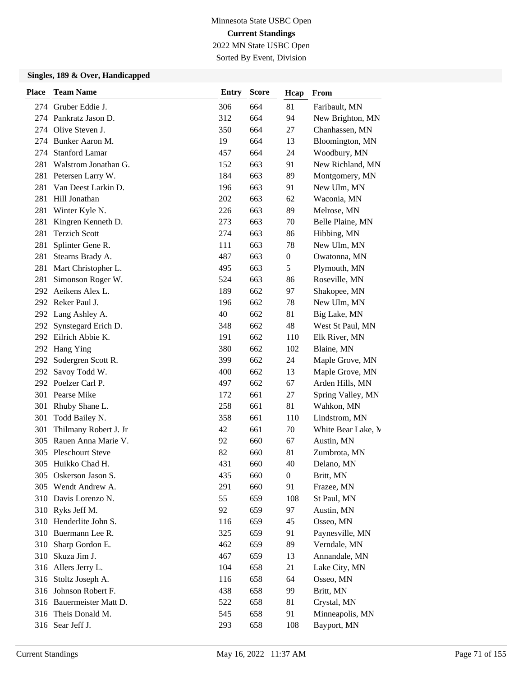Sorted By Event, Division

| <b>Place</b> | <b>Team Name</b>         | <b>Entry</b> | <b>Score</b> | Hcap             | From               |
|--------------|--------------------------|--------------|--------------|------------------|--------------------|
|              | 274 Gruber Eddie J.      | 306          | 664          | 81               | Faribault, MN      |
|              | 274 Pankratz Jason D.    | 312          | 664          | 94               | New Brighton, MN   |
| 274          | Olive Steven J.          | 350          | 664          | 27               | Chanhassen, MN     |
|              | 274 Bunker Aaron M.      | 19           | 664          | 13               | Bloomington, MN    |
|              | 274 Stanford Lamar       | 457          | 664          | 24               | Woodbury, MN       |
| 281          | Walstrom Jonathan G.     | 152          | 663          | 91               | New Richland, MN   |
| 281          | Petersen Larry W.        | 184          | 663          | 89               | Montgomery, MN     |
| 281          | Van Deest Larkin D.      | 196          | 663          | 91               | New Ulm, MN        |
| 281          | Hill Jonathan            | 202          | 663          | 62               | Waconia, MN        |
| 281          | Winter Kyle N.           | 226          | 663          | 89               | Melrose, MN        |
| 281          | Kingren Kenneth D.       | 273          | 663          | 70               | Belle Plaine, MN   |
| 281          | <b>Terzich Scott</b>     | 274          | 663          | 86               | Hibbing, MN        |
| 281          | Splinter Gene R.         | 111          | 663          | 78               | New Ulm, MN        |
| 281          | Stearns Brady A.         | 487          | 663          | $\boldsymbol{0}$ | Owatonna, MN       |
| 281          | Mart Christopher L.      | 495          | 663          | 5                | Plymouth, MN       |
| 281          | Simonson Roger W.        | 524          | 663          | 86               | Roseville, MN      |
|              | 292 Aeikens Alex L.      | 189          | 662          | 97               | Shakopee, MN       |
|              | 292 Reker Paul J.        | 196          | 662          | 78               | New Ulm, MN        |
|              | 292 Lang Ashley A.       | 40           | 662          | 81               | Big Lake, MN       |
|              | 292 Synstegard Erich D.  | 348          | 662          | 48               | West St Paul, MN   |
|              | 292 Eilrich Abbie K.     | 191          | 662          | 110              | Elk River, MN      |
| 292          | Hang Ying                | 380          | 662          | 102              | Blaine, MN         |
| 292          | Sodergren Scott R.       | 399          | 662          | 24               | Maple Grove, MN    |
|              | 292 Savoy Todd W.        | 400          | 662          | 13               | Maple Grove, MN    |
|              | 292 Poelzer Carl P.      | 497          | 662          | 67               | Arden Hills, MN    |
| 301          | Pearse Mike              | 172          | 661          | 27               | Spring Valley, MN  |
| 301          | Rhuby Shane L.           | 258          | 661          | 81               | Wahkon, MN         |
| 301          | Todd Bailey N.           | 358          | 661          | 110              | Lindstrom, MN      |
| 301          | Thilmany Robert J. Jr    | 42           | 661          | 70               | White Bear Lake, M |
| 305          | Rauen Anna Marie V.      | 92           | 660          | 67               | Austin, MN         |
| 305          | <b>Pleschourt Steve</b>  | 82           | 660          | 81               | Zumbrota, MN       |
|              | 305 Huikko Chad H.       | 431          | 660          | 40               | Delano, MN         |
|              | 305 Oskerson Jason S.    | 435          | 660          | $\boldsymbol{0}$ | Britt, MN          |
|              | 305 Wendt Andrew A.      | 291          | 660          | 91               | Frazee, MN         |
|              | 310 Davis Lorenzo N.     | 55           | 659          | 108              | St Paul, MN        |
| 310          | Ryks Jeff M.             | 92           | 659          | 97               | Austin, MN         |
|              | 310 Henderlite John S.   | 116          | 659          | 45               | Osseo, MN          |
| 310          | Buermann Lee R.          | 325          | 659          | 91               | Paynesville, MN    |
| 310          | Sharp Gordon E.          | 462          | 659          | 89               | Verndale, MN       |
| 310          | Skuza Jim J.             | 467          | 659          | 13               | Annandale, MN      |
|              | 316 Allers Jerry L.      | 104          | 658          | 21               | Lake City, MN      |
| 316          | Stoltz Joseph A.         | 116          | 658          | 64               | Osseo, MN          |
| 316          | Johnson Robert F.        | 438          | 658          | 99               | Britt, MN          |
|              | 316 Bauermeister Matt D. | 522          | 658          | 81               | Crystal, MN        |
|              | 316 Theis Donald M.      | 545          | 658          | 91               | Minneapolis, MN    |
|              | 316 Sear Jeff J.         | 293          | 658          | 108              | Bayport, MN        |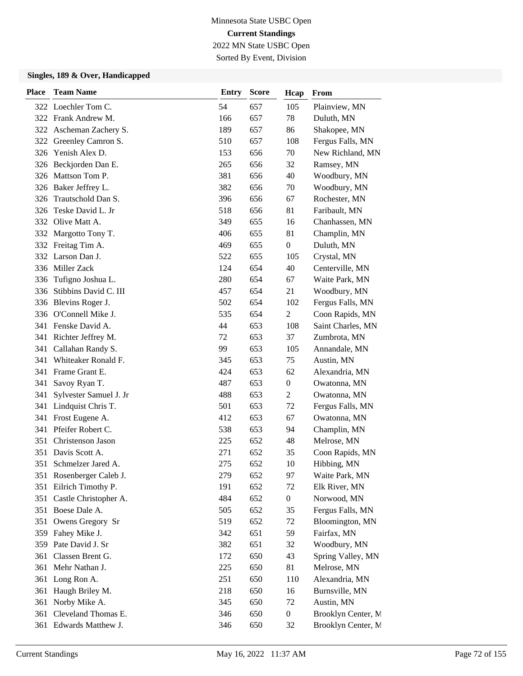Sorted By Event, Division

| <b>Place</b> | <b>Team Name</b>         | <b>Entry</b> | <b>Score</b> | Hcap             | From               |
|--------------|--------------------------|--------------|--------------|------------------|--------------------|
|              | 322 Loechler Tom C.      | 54           | 657          | 105              | Plainview, MN      |
|              | 322 Frank Andrew M.      | 166          | 657          | 78               | Duluth, MN         |
| 322          | Ascheman Zachery S.      | 189          | 657          | 86               | Shakopee, MN       |
| 322          | Greenley Camron S.       | 510          | 657          | 108              | Fergus Falls, MN   |
|              | 326 Yenish Alex D.       | 153          | 656          | 70               | New Richland, MN   |
| 326          | Beckjorden Dan E.        | 265          | 656          | 32               | Ramsey, MN         |
| 326          | Mattson Tom P.           | 381          | 656          | 40               | Woodbury, MN       |
| 326          | Baker Jeffrey L.         | 382          | 656          | 70               | Woodbury, MN       |
| 326          | Trautschold Dan S.       | 396          | 656          | 67               | Rochester, MN      |
| 326          | Teske David L. Jr        | 518          | 656          | 81               | Faribault, MN      |
| 332          | Olive Matt A.            | 349          | 655          | 16               | Chanhassen, MN     |
| 332          | Margotto Tony T.         | 406          | 655          | 81               | Champlin, MN       |
|              | 332 Freitag Tim A.       | 469          | 655          | $\boldsymbol{0}$ | Duluth, MN         |
| 332          | Larson Dan J.            | 522          | 655          | 105              | Crystal, MN        |
| 336          | Miller Zack              | 124          | 654          | 40               | Centerville, MN    |
| 336          | Tufigno Joshua L.        | 280          | 654          | 67               | Waite Park, MN     |
| 336          | Stibbins David C. III    | 457          | 654          | 21               | Woodbury, MN       |
|              | 336 Blevins Roger J.     | 502          | 654          | 102              | Fergus Falls, MN   |
| 336          | O'Connell Mike J.        | 535          | 654          | 2                | Coon Rapids, MN    |
|              | 341 Fenske David A.      | 44           | 653          | 108              | Saint Charles, MN  |
|              | 341 Richter Jeffrey M.   | 72           | 653          | 37               | Zumbrota, MN       |
| 341          | Callahan Randy S.        | 99           | 653          | 105              | Annandale, MN      |
| 341          | Whiteaker Ronald F.      | 345          | 653          | 75               | Austin, MN         |
| 341          | Frame Grant E.           | 424          | 653          | 62               | Alexandria, MN     |
| 341          | Savoy Ryan T.            | 487          | 653          | $\boldsymbol{0}$ | Owatonna, MN       |
| 341          | Sylvester Samuel J. Jr   | 488          | 653          | 2                | Owatonna, MN       |
| 341          | Lindquist Chris T.       | 501          | 653          | 72               | Fergus Falls, MN   |
|              | 341 Frost Eugene A.      | 412          | 653          | 67               | Owatonna, MN       |
|              | 341 Pfeifer Robert C.    | 538          | 653          | 94               | Champlin, MN       |
| 351          | Christenson Jason        | 225          | 652          | 48               | Melrose, MN        |
| 351          | Davis Scott A.           | 271          | 652          | 35               | Coon Rapids, MN    |
| 351          | Schmelzer Jared A.       | 275          | 652          | 10               | Hibbing, MN        |
|              | 351 Rosenberger Caleb J. | 279          | 652          | 97               | Waite Park, MN     |
| 351          | Eilrich Timothy P.       | 191          | 652          | 72               | Elk River, MN      |
| 351          | Castle Christopher A.    | 484          | 652          | $\boldsymbol{0}$ | Norwood, MN        |
|              | 351 Boese Dale A.        | 505          | 652          | 35               | Fergus Falls, MN   |
|              | 351 Owens Gregory Sr     | 519          | 652          | 72               | Bloomington, MN    |
|              | 359 Fahey Mike J.        | 342          | 651          | 59               | Fairfax, MN        |
| 359          | Pate David J. Sr         | 382          | 651          | 32               | Woodbury, MN       |
| 361          | Classen Brent G.         | 172          | 650          | 43               | Spring Valley, MN  |
|              | 361 Mehr Nathan J.       | 225          | 650          | 81               | Melrose, MN        |
| 361          | Long Ron A.              | 251          | 650          | 110              | Alexandria, MN     |
| 361          | Haugh Briley M.          | 218          | 650          | 16               | Burnsville, MN     |
| 361          | Norby Mike A.            | 345          | 650          | 72               | Austin, MN         |
| 361          | Cleveland Thomas E.      | 346          | 650          | $\boldsymbol{0}$ | Brooklyn Center, M |
|              | 361 Edwards Matthew J.   | 346          | 650          | 32               | Brooklyn Center, M |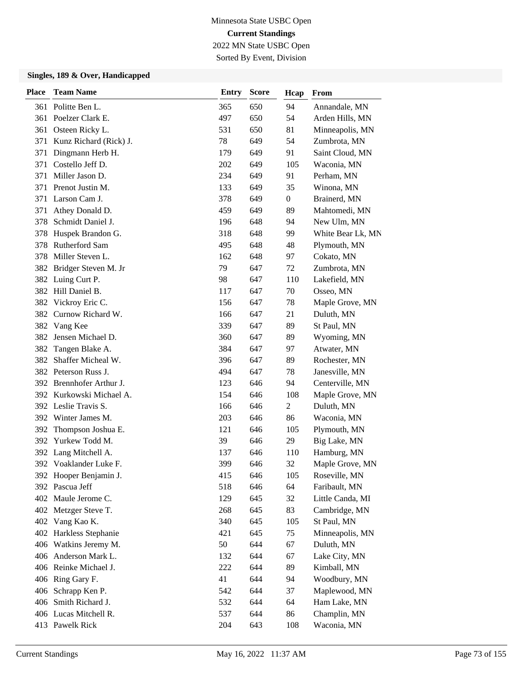2022 MN State USBC Open Sorted By Event, Division

| <b>Place</b> | <b>Team Name</b>         | Entry | <b>Score</b> | Hcap             | From              |
|--------------|--------------------------|-------|--------------|------------------|-------------------|
| 361          | Politte Ben L.           | 365   | 650          | 94               | Annandale, MN     |
|              | 361 Poelzer Clark E.     | 497   | 650          | 54               | Arden Hills, MN   |
| 361          | Osteen Ricky L.          | 531   | 650          | 81               | Minneapolis, MN   |
| 371          | Kunz Richard (Rick) J.   | 78    | 649          | 54               | Zumbrota, MN      |
| 371          | Dingmann Herb H.         | 179   | 649          | 91               | Saint Cloud, MN   |
| 371          | Costello Jeff D.         | 202   | 649          | 105              | Waconia, MN       |
| 371          | Miller Jason D.          | 234   | 649          | 91               | Perham, MN        |
| 371          | Prenot Justin M.         | 133   | 649          | 35               | Winona, MN        |
| 371          | Larson Cam J.            | 378   | 649          | $\boldsymbol{0}$ | Brainerd, MN      |
| 371          | Athey Donald D.          | 459   | 649          | 89               | Mahtomedi, MN     |
| 378          | Schmidt Daniel J.        | 196   | 648          | 94               | New Ulm, MN       |
| 378          | Huspek Brandon G.        | 318   | 648          | 99               | White Bear Lk, MN |
| 378          | Rutherford Sam           | 495   | 648          | 48               | Plymouth, MN      |
| 378          | Miller Steven L.         | 162   | 648          | 97               | Cokato, MN        |
|              | 382 Bridger Steven M. Jr | 79    | 647          | 72               | Zumbrota, MN      |
|              | 382 Luing Curt P.        | 98    | 647          | 110              | Lakefield, MN     |
|              | 382 Hill Daniel B.       | 117   | 647          | 70               | Osseo, MN         |
| 382          | Vickroy Eric C.          | 156   | 647          | 78               | Maple Grove, MN   |
| 382          | Curnow Richard W.        | 166   | 647          | 21               | Duluth, MN        |
|              | 382 Vang Kee             | 339   | 647          | 89               | St Paul, MN       |
|              | 382 Jensen Michael D.    | 360   | 647          | 89               | Wyoming, MN       |
| 382          | Tangen Blake A.          | 384   | 647          | 97               | Atwater, MN       |
| 382          | Shaffer Micheal W.       | 396   | 647          | 89               | Rochester, MN     |
|              | 382 Peterson Russ J.     | 494   | 647          | 78               | Janesville, MN    |
|              | 392 Brennhofer Arthur J. | 123   | 646          | 94               | Centerville, MN   |
|              | 392 Kurkowski Michael A. | 154   | 646          | 108              | Maple Grove, MN   |
|              | 392 Leslie Travis S.     | 166   | 646          | 2                | Duluth, MN        |
|              | 392 Winter James M.      | 203   | 646          | 86               | Waconia, MN       |
| 392          | Thompson Joshua E.       | 121   | 646          | 105              | Plymouth, MN      |
| 392          | Yurkew Todd M.           | 39    | 646          | 29               | Big Lake, MN      |
|              | 392 Lang Mitchell A.     | 137   | 646          | 110              | Hamburg, MN       |
|              | 392 Voaklander Luke F.   | 399   | 646          | 32               | Maple Grove, MN   |
|              | 392 Hooper Benjamin J.   | 415   | 646          | 105              | Roseville, MN     |
|              | 392 Pascua Jeff          | 518   | 646          | 64               | Faribault, MN     |
|              | 402 Maule Jerome C.      | 129   | 645          | 32               | Little Canda, MI  |
|              | 402 Metzger Steve T.     | 268   | 645          | 83               | Cambridge, MN     |
|              | 402 Vang Kao K.          | 340   | 645          | 105              | St Paul, MN       |
|              | 402 Harkless Stephanie   | 421   | 645          | 75               | Minneapolis, MN   |
|              | 406 Watkins Jeremy M.    | 50    | 644          | 67               | Duluth, MN        |
|              | 406 Anderson Mark L.     | 132   | 644          | 67               | Lake City, MN     |
|              | 406 Reinke Michael J.    | 222   | 644          | 89               | Kimball, MN       |
|              | 406 Ring Gary F.         | 41    | 644          | 94               | Woodbury, MN      |
| 406          | Schrapp Ken P.           | 542   | 644          | 37               | Maplewood, MN     |
|              | 406 Smith Richard J.     | 532   | 644          | 64               | Ham Lake, MN      |
|              | 406 Lucas Mitchell R.    | 537   | 644          | 86               | Champlin, MN      |
|              | 413 Pawelk Rick          | 204   | 643          | 108              | Waconia, MN       |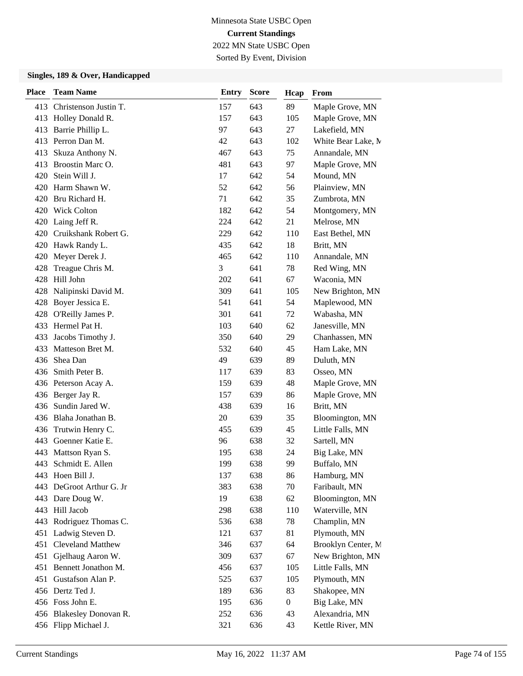Sorted By Event, Division

| <b>Place</b> | <b>Team Name</b>          | <b>Entry</b> | <b>Score</b> | Hcap             | From               |
|--------------|---------------------------|--------------|--------------|------------------|--------------------|
|              | 413 Christenson Justin T. | 157          | 643          | 89               | Maple Grove, MN    |
| 413          | Holley Donald R.          | 157          | 643          | 105              | Maple Grove, MN    |
| 413          | Barrie Phillip L.         | 97           | 643          | 27               | Lakefield, MN      |
|              | 413 Perron Dan M.         | 42           | 643          | 102              | White Bear Lake, M |
| 413          | Skuza Anthony N.          | 467          | 643          | 75               | Annandale, MN      |
| 413          | Broostin Marc O.          | 481          | 643          | 97               | Maple Grove, MN    |
| 420          | Stein Will J.             | 17           | 642          | 54               | Mound, MN          |
| 420          | Harm Shawn W.             | 52           | 642          | 56               | Plainview, MN      |
|              | 420 Bru Richard H.        | 71           | 642          | 35               | Zumbrota, MN       |
|              | 420 Wick Colton           | 182          | 642          | 54               | Montgomery, MN     |
| 420          | Laing Jeff R.             | 224          | 642          | 21               | Melrose, MN        |
|              | 420 Cruikshank Robert G.  | 229          | 642          | 110              | East Bethel, MN    |
|              | 420 Hawk Randy L.         | 435          | 642          | 18               | Britt, MN          |
| 420          | Meyer Derek J.            | 465          | 642          | 110              | Annandale, MN      |
| 428          | Treague Chris M.          | 3            | 641          | 78               | Red Wing, MN       |
| 428          | Hill John                 | 202          | 641          | 67               | Waconia, MN        |
| 428          | Nalipinski David M.       | 309          | 641          | 105              | New Brighton, MN   |
| 428          | Boyer Jessica E.          | 541          | 641          | 54               | Maplewood, MN      |
| 428          | O'Reilly James P.         | 301          | 641          | 72               | Wabasha, MN        |
| 433          | Hermel Pat H.             | 103          | 640          | 62               | Janesville, MN     |
| 433          | Jacobs Timothy J.         | 350          | 640          | 29               | Chanhassen, MN     |
| 433          | Matteson Bret M.          | 532          | 640          | 45               | Ham Lake, MN       |
| 436          | Shea Dan                  | 49           | 639          | 89               | Duluth, MN         |
| 436          | Smith Peter B.            | 117          | 639          | 83               | Osseo, MN          |
|              | 436 Peterson Acay A.      | 159          | 639          | 48               | Maple Grove, MN    |
|              | 436 Berger Jay R.         | 157          | 639          | 86               | Maple Grove, MN    |
| 436          | Sundin Jared W.           | 438          | 639          | 16               | Britt, MN          |
|              | 436 Blaha Jonathan B.     | 20           | 639          | 35               | Bloomington, MN    |
| 436          | Trutwin Henry C.          | 455          | 639          | 45               | Little Falls, MN   |
| 443          | Goenner Katie E.          | 96           | 638          | 32               | Sartell, MN        |
| 443          | Mattson Ryan S.           | 195          | 638          | 24               | Big Lake, MN       |
| 443          | Schmidt E. Allen          | 199          | 638          | 99               | Buffalo, MN        |
|              | 443 Hoen Bill J.          | 137          | 638          | 86               | Hamburg, MN        |
| 443          | DeGroot Arthur G. Jr      | 383          | 638          | 70               | Faribault, MN      |
| 443          | Dare Doug W.              | 19           | 638          | 62               | Bloomington, MN    |
| 443          | Hill Jacob                | 298          | 638          | 110              | Waterville, MN     |
| 443          | Rodriguez Thomas C.       | 536          | 638          | 78               | Champlin, MN       |
| 451          | Ladwig Steven D.          | 121          | 637          | 81               | Plymouth, MN       |
| 451          | Cleveland Matthew         | 346          | 637          | 64               | Brooklyn Center, M |
| 451          | Gjelhaug Aaron W.         | 309          | 637          | 67               | New Brighton, MN   |
|              | 451 Bennett Jonathon M.   | 456          | 637          | 105              | Little Falls, MN   |
| 451          | Gustafson Alan P.         | 525          | 637          | 105              | Plymouth, MN       |
|              | 456 Dertz Ted J.          | 189          | 636          | 83               | Shakopee, MN       |
|              | 456 Foss John E.          | 195          | 636          | $\boldsymbol{0}$ | Big Lake, MN       |
|              | 456 Blakesley Donovan R.  | 252          | 636          | 43               | Alexandria, MN     |
|              | 456 Flipp Michael J.      | 321          | 636          | 43               | Kettle River, MN   |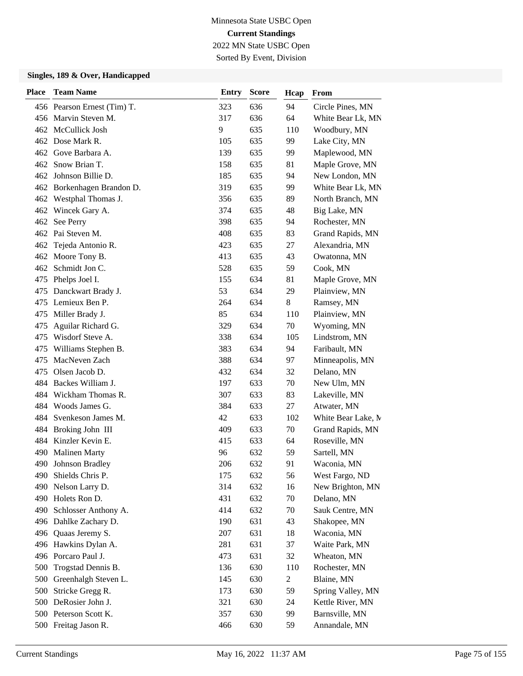Sorted By Event, Division

| <b>Place</b> | <b>Team Name</b>            | <b>Entry</b> | <b>Score</b> | Hcap   | From               |
|--------------|-----------------------------|--------------|--------------|--------|--------------------|
|              | 456 Pearson Ernest (Tim) T. | 323          | 636          | 94     | Circle Pines, MN   |
|              | 456 Marvin Steven M.        | 317          | 636          | 64     | White Bear Lk, MN  |
|              | 462 McCullick Josh          | 9            | 635          | 110    | Woodbury, MN       |
|              | 462 Dose Mark R.            | 105          | 635          | 99     | Lake City, MN      |
|              | 462 Gove Barbara A.         | 139          | 635          | 99     | Maplewood, MN      |
|              | 462 Snow Brian T.           | 158          | 635          | 81     | Maple Grove, MN    |
|              | 462 Johnson Billie D.       | 185          | 635          | 94     | New London, MN     |
|              | 462 Borkenhagen Brandon D.  | 319          | 635          | 99     | White Bear Lk, MN  |
|              | 462 Westphal Thomas J.      | 356          | 635          | 89     | North Branch, MN   |
| 462          | Wincek Gary A.              | 374          | 635          | 48     | Big Lake, MN       |
| 462          | See Perry                   | 398          | 635          | 94     | Rochester, MN      |
| 462          | Pai Steven M.               | 408          | 635          | 83     | Grand Rapids, MN   |
| 462          | Tejeda Antonio R.           | 423          | 635          | 27     | Alexandria, MN     |
| 462          | Moore Tony B.               | 413          | 635          | 43     | Owatonna, MN       |
| 462          | Schmidt Jon C.              | 528          | 635          | 59     | Cook, MN           |
|              | 475 Phelps Joel I.          | 155          | 634          | 81     | Maple Grove, MN    |
| 475          | Danckwart Brady J.          | 53           | 634          | 29     | Plainview, MN      |
| 475          | Lemieux Ben P.              | 264          | 634          | 8      | Ramsey, MN         |
| 475          | Miller Brady J.             | 85           | 634          | 110    | Plainview, MN      |
| 475          | Aguilar Richard G.          | 329          | 634          | 70     | Wyoming, MN        |
| 475          | Wisdorf Steve A.            | 338          | 634          | 105    | Lindstrom, MN      |
| 475          | Williams Stephen B.         | 383          | 634          | 94     | Faribault, MN      |
| 475          | MacNeven Zach               | 388          | 634          | 97     | Minneapolis, MN    |
| 475          | Olsen Jacob D.              | 432          | 634          | 32     | Delano, MN         |
|              | 484 Backes William J.       | 197          | 633          | 70     | New Ulm, MN        |
| 484          | Wickham Thomas R.           | 307          | 633          | 83     | Lakeville, MN      |
| 484          | Woods James G.              | 384          | 633          | 27     | Atwater, MN        |
| 484          | Svenkeson James M.          | 42           | 633          | 102    | White Bear Lake, M |
|              | 484 Broking John III        | 409          | 633          | 70     | Grand Rapids, MN   |
| 484          | Kinzler Kevin E.            | 415          | 633          | 64     | Roseville, MN      |
| 490          | <b>Malinen Marty</b>        | 96           | 632          | 59     | Sartell, MN        |
|              | 490 Johnson Bradley         | 206          | 632          | 91     | Waconia, MN        |
|              | 490 Shields Chris P.        | 175          | 632          | 56     | West Fargo, ND     |
| 490          | Nelson Larry D.             | 314          | 632          | 16     | New Brighton, MN   |
| 490          | Holets Ron D.               | 431          | 632          | $70\,$ | Delano, MN         |
|              | 490 Schlosser Anthony A.    | 414          | 632          | 70     | Sauk Centre, MN    |
|              | 496 Dahlke Zachary D.       | 190          | 631          | 43     | Shakopee, MN       |
|              | 496 Quaas Jeremy S.         | 207          | 631          | 18     | Waconia, MN        |
|              | 496 Hawkins Dylan A.        | 281          | 631          | 37     | Waite Park, MN     |
|              | 496 Porcaro Paul J.         | 473          | 631          | 32     | Wheaton, MN        |
| 500          | Trogstad Dennis B.          | 136          | 630          | 110    | Rochester, MN      |
| 500          | Greenhalgh Steven L.        | 145          | 630          | 2      | Blaine, MN         |
| 500          | Stricke Gregg R.            | 173          | 630          | 59     | Spring Valley, MN  |
|              | 500 DeRosier John J.        | 321          | 630          | 24     | Kettle River, MN   |
|              | 500 Peterson Scott K.       | 357          | 630          | 99     | Barnsville, MN     |
|              | 500 Freitag Jason R.        | 466          | 630          | 59     | Annandale, MN      |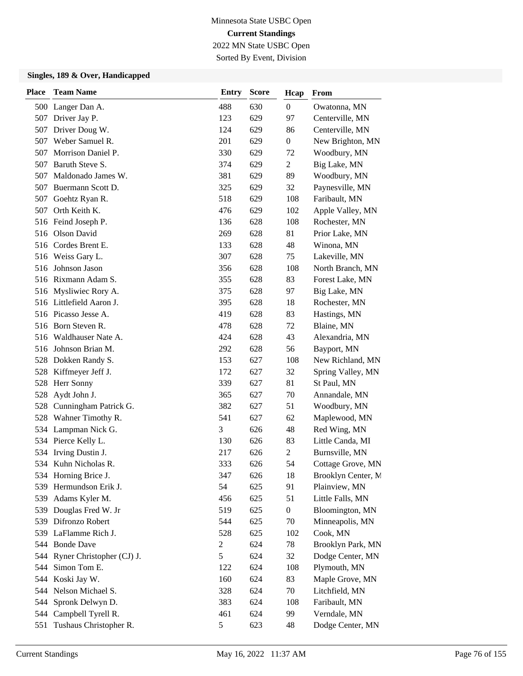Sorted By Event, Division

| <b>Place</b> | <b>Team Name</b>              | <b>Entry</b>   | <b>Score</b> | Hcap             | From               |
|--------------|-------------------------------|----------------|--------------|------------------|--------------------|
|              | 500 Langer Dan A.             | 488            | 630          | $\boldsymbol{0}$ | Owatonna, MN       |
|              | 507 Driver Jay P.             | 123            | 629          | 97               | Centerville, MN    |
| 507          | Driver Doug W.                | 124            | 629          | 86               | Centerville, MN    |
| 507          | Weber Samuel R.               | 201            | 629          | $\boldsymbol{0}$ | New Brighton, MN   |
| 507          | Morrison Daniel P.            | 330            | 629          | 72               | Woodbury, MN       |
| 507          | Baruth Steve S.               | 374            | 629          | 2                | Big Lake, MN       |
| 507          | Maldonado James W.            | 381            | 629          | 89               | Woodbury, MN       |
|              | 507 Buermann Scott D.         | 325            | 629          | 32               | Paynesville, MN    |
| 507          | Goehtz Ryan R.                | 518            | 629          | 108              | Faribault, MN      |
| 507          | Orth Keith K.                 | 476            | 629          | 102              | Apple Valley, MN   |
|              | 516 Feind Joseph P.           | 136            | 628          | 108              | Rochester, MN      |
|              | 516 Olson David               | 269            | 628          | 81               | Prior Lake, MN     |
|              | 516 Cordes Brent E.           | 133            | 628          | 48               | Winona, MN         |
|              | 516 Weiss Gary L.             | 307            | 628          | 75               | Lakeville, MN      |
| 516          | Johnson Jason                 | 356            | 628          | 108              | North Branch, MN   |
|              | 516 Rixmann Adam S.           | 355            | 628          | 83               | Forest Lake, MN    |
|              | 516 Mysliwiec Rory A.         | 375            | 628          | 97               | Big Lake, MN       |
|              | 516 Littlefield Aaron J.      | 395            | 628          | 18               | Rochester, MN      |
|              | 516 Picasso Jesse A.          | 419            | 628          | 83               | Hastings, MN       |
|              | 516 Born Steven R.            | 478            | 628          | 72               | Blaine, MN         |
|              | 516 Waldhauser Nate A.        | 424            | 628          | 43               | Alexandria, MN     |
| 516          | Johnson Brian M.              | 292            | 628          | 56               | Bayport, MN        |
| 528          | Dokken Randy S.               | 153            | 627          | 108              | New Richland, MN   |
|              | 528 Kiffmeyer Jeff J.         | 172            | 627          | 32               | Spring Valley, MN  |
| 528          | Herr Sonny                    | 339            | 627          | 81               | St Paul, MN        |
| 528          | Aydt John J.                  | 365            | 627          | 70               | Annandale, MN      |
| 528          | Cunningham Patrick G.         | 382            | 627          | 51               | Woodbury, MN       |
| 528          | Wahner Timothy R.             | 541            | 627          | 62               | Maplewood, MN      |
| 534          | Lampman Nick G.               | 3              | 626          | 48               | Red Wing, MN       |
|              | 534 Pierce Kelly L.           | 130            | 626          | 83               | Little Canda, MI   |
| 534          | Irving Dustin J.              | 217            | 626          | 2                | Burnsville, MN     |
|              | 534 Kuhn Nicholas R.          | 333            | 626          | 54               | Cottage Grove, MN  |
|              | 534 Horning Brice J.          | 347            | 626          | 18               | Brooklyn Center, M |
|              | 539 Hermundson Erik J.        | 54             | 625          | 91               | Plainview, MN      |
| 539          | Adams Kyler M.                | 456            | 625          | 51               | Little Falls, MN   |
|              | 539 Douglas Fred W. Jr        | 519            | 625          | $\boldsymbol{0}$ | Bloomington, MN    |
|              | 539 Difronzo Robert           | 544            | 625          | 70               | Minneapolis, MN    |
|              | 539 LaFlamme Rich J.          | 528            | 625          | 102              | Cook, MN           |
|              | 544 Bonde Dave                | $\overline{c}$ | 624          | 78               | Brooklyn Park, MN  |
|              | 544 Ryner Christopher (CJ) J. | 5              | 624          | 32               | Dodge Center, MN   |
| 544          | Simon Tom E.                  | 122            | 624          | 108              | Plymouth, MN       |
|              | 544 Koski Jay W.              | 160            | 624          | 83               | Maple Grove, MN    |
|              | 544 Nelson Michael S.         | 328            | 624          | 70               | Litchfield, MN     |
| 544          | Spronk Delwyn D.              | 383            | 624          | 108              | Faribault, MN      |
| 544          | Campbell Tyrell R.            | 461            | 624          | 99               | Verndale, MN       |
|              | 551 Tushaus Christopher R.    | 5              | 623          | 48               | Dodge Center, MN   |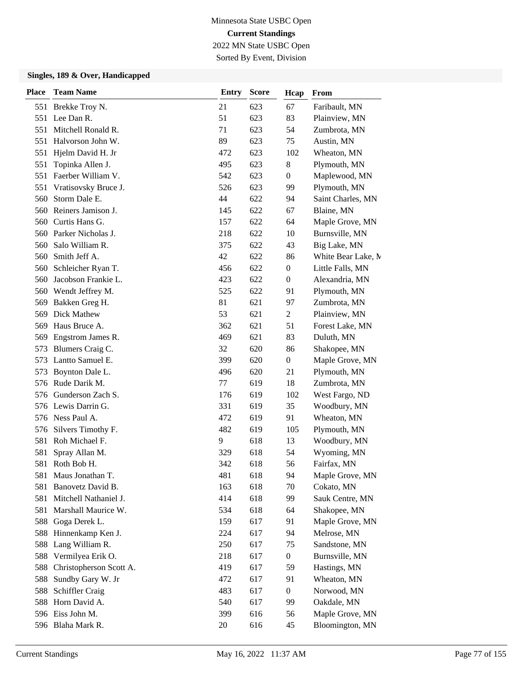Sorted By Event, Division

| <b>Place</b> | <b>Team Name</b>        | <b>Entry</b> | <b>Score</b> | Hcap             | From               |
|--------------|-------------------------|--------------|--------------|------------------|--------------------|
|              | 551 Brekke Troy N.      | 21           | 623          | 67               | Faribault, MN      |
|              | 551 Lee Dan R.          | 51           | 623          | 83               | Plainview, MN      |
| 551          | Mitchell Ronald R.      | 71           | 623          | 54               | Zumbrota, MN       |
| 551          | Halvorson John W.       | 89           | 623          | 75               | Austin, MN         |
| 551          | Hjelm David H. Jr       | 472          | 623          | 102              | Wheaton, MN        |
| 551          | Topinka Allen J.        | 495          | 623          | 8                | Plymouth, MN       |
| 551          | Faerber William V.      | 542          | 623          | $\overline{0}$   | Maplewood, MN      |
| 551          | Vratisovsky Bruce J.    | 526          | 623          | 99               | Plymouth, MN       |
| 560          | Storm Dale E.           | 44           | 622          | 94               | Saint Charles, MN  |
| 560          | Reiners Jamison J.      | 145          | 622          | 67               | Blaine, MN         |
| 560          | Curtis Hans G.          | 157          | 622          | 64               | Maple Grove, MN    |
|              | 560 Parker Nicholas J.  | 218          | 622          | 10               | Burnsville, MN     |
| 560          | Salo William R.         | 375          | 622          | 43               | Big Lake, MN       |
| 560          | Smith Jeff A.           | 42           | 622          | 86               | White Bear Lake, M |
| 560          | Schleicher Ryan T.      | 456          | 622          | $\boldsymbol{0}$ | Little Falls, MN   |
| 560          | Jacobson Frankie L.     | 423          | 622          | $\overline{0}$   | Alexandria, MN     |
|              | 560 Wendt Jeffrey M.    | 525          | 622          | 91               | Plymouth, MN       |
| 569          | Bakken Greg H.          | 81           | 621          | 97               | Zumbrota, MN       |
| 569          | Dick Mathew             | 53           | 621          | 2                | Plainview, MN      |
| 569          | Haus Bruce A.           | 362          | 621          | 51               | Forest Lake, MN    |
| 569          | Engstrom James R.       | 469          | 621          | 83               | Duluth, MN         |
| 573          | Blumers Craig C.        | 32           | 620          | 86               | Shakopee, MN       |
| 573          | Lantto Samuel E.        | 399          | 620          | $\boldsymbol{0}$ | Maple Grove, MN    |
| 573          | Boynton Dale L.         | 496          | 620          | 21               | Plymouth, MN       |
| 576          | Rude Darik M.           | 77           | 619          | 18               | Zumbrota, MN       |
| 576          | Gunderson Zach S.       | 176          | 619          | 102              | West Fargo, ND     |
|              | 576 Lewis Darrin G.     | 331          | 619          | 35               | Woodbury, MN       |
|              | 576 Ness Paul A.        | 472          | 619          | 91               | Wheaton, MN        |
| 576          | Silvers Timothy F.      | 482          | 619          | 105              | Plymouth, MN       |
| 581          | Roh Michael F.          | 9            | 618          | 13               | Woodbury, MN       |
| 581          | Spray Allan M.          | 329          | 618          | 54               | Wyoming, MN        |
| 581          | Roth Bob H.             | 342          | 618          | 56               | Fairfax, MN        |
| 581          | Maus Jonathan T.        | 481          | 618          | 94               | Maple Grove, MN    |
| 581          | Banovetz David B.       | 163          | 618          | 70               | Cokato, MN         |
| 581          | Mitchell Nathaniel J.   | 414          | 618          | 99               | Sauk Centre, MN    |
| 581          | Marshall Maurice W.     | 534          | 618          | 64               | Shakopee, MN       |
|              | 588 Goga Derek L.       | 159          | 617          | 91               | Maple Grove, MN    |
|              | 588 Hinnenkamp Ken J.   | 224          | 617          | 94               | Melrose, MN        |
|              | 588 Lang William R.     | 250          | 617          | 75               | Sandstone, MN      |
| 588          | Vermilyea Erik O.       | 218          | 617          | $\boldsymbol{0}$ | Burnsville, MN     |
| 588          | Christopherson Scott A. | 419          | 617          | 59               | Hastings, MN       |
| 588          | Sundby Gary W. Jr       | 472          | 617          | 91               | Wheaton, MN        |
| 588          | Schiffler Craig         | 483          | 617          | $\boldsymbol{0}$ | Norwood, MN        |
|              | 588 Horn David A.       | 540          | 617          | 99               | Oakdale, MN        |
|              | 596 Eiss John M.        | 399          | 616          | 56               | Maple Grove, MN    |
|              | 596 Blaha Mark R.       | 20           | 616          | 45               | Bloomington, MN    |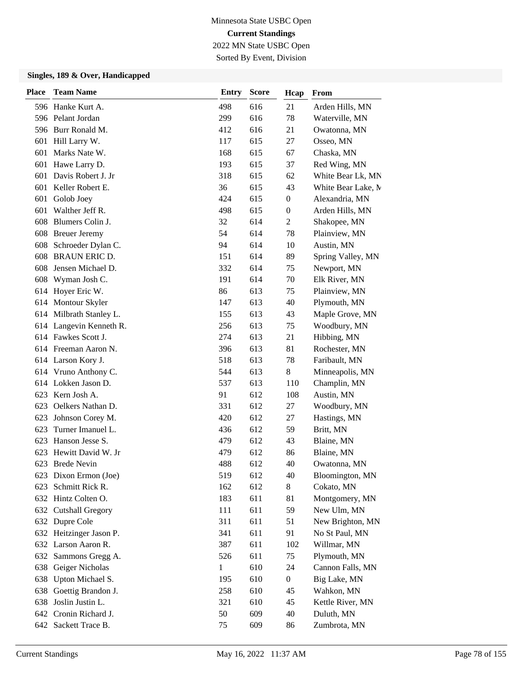Sorted By Event, Division

| <b>Place</b> | <b>Team Name</b>        | <b>Entry</b> | <b>Score</b> | Hcap             | From               |
|--------------|-------------------------|--------------|--------------|------------------|--------------------|
|              | 596 Hanke Kurt A.       | 498          | 616          | 21               | Arden Hills, MN    |
|              | 596 Pelant Jordan       | 299          | 616          | 78               | Waterville, MN     |
|              | 596 Burr Ronald M.      | 412          | 616          | 21               | Owatonna, MN       |
| 601          | Hill Larry W.           | 117          | 615          | 27               | Osseo, MN          |
| 601          | Marks Nate W.           | 168          | 615          | 67               | Chaska, MN         |
| 601          | Hawe Larry D.           | 193          | 615          | 37               | Red Wing, MN       |
| 601          | Davis Robert J. Jr      | 318          | 615          | 62               | White Bear Lk, MN  |
| 601          | Keller Robert E.        | 36           | 615          | 43               | White Bear Lake, M |
| 601          | Golob Joey              | 424          | 615          | $\overline{0}$   | Alexandria, MN     |
| 601          | Walther Jeff R.         | 498          | 615          | $\boldsymbol{0}$ | Arden Hills, MN    |
| 608          | Blumers Colin J.        | 32           | 614          | $\overline{2}$   | Shakopee, MN       |
| 608          | <b>Breuer Jeremy</b>    | 54           | 614          | 78               | Plainview, MN      |
|              | 608 Schroeder Dylan C.  | 94           | 614          | 10               | Austin, MN         |
| 608          | <b>BRAUN ERIC D.</b>    | 151          | 614          | 89               | Spring Valley, MN  |
| 608          | Jensen Michael D.       | 332          | 614          | 75               | Newport, MN        |
| 608          | Wyman Josh C.           | 191          | 614          | 70               | Elk River, MN      |
|              | 614 Hoyer Eric W.       | 86           | 613          | 75               | Plainview, MN      |
|              | 614 Montour Skyler      | 147          | 613          | 40               | Plymouth, MN       |
|              | 614 Milbrath Stanley L. | 155          | 613          | 43               | Maple Grove, MN    |
|              | 614 Langevin Kenneth R. | 256          | 613          | 75               | Woodbury, MN       |
|              | 614 Fawkes Scott J.     | 274          | 613          | 21               | Hibbing, MN        |
|              | 614 Freeman Aaron N.    | 396          | 613          | 81               | Rochester, MN      |
|              | 614 Larson Kory J.      | 518          | 613          | 78               | Faribault, MN      |
|              | 614 Vruno Anthony C.    | 544          | 613          | 8                | Minneapolis, MN    |
|              | 614 Lokken Jason D.     | 537          | 613          | 110              | Champlin, MN       |
| 623          | Kern Josh A.            | 91           | 612          | 108              | Austin, MN         |
| 623          | Oelkers Nathan D.       | 331          | 612          | 27               | Woodbury, MN       |
| 623          | Johnson Corey M.        | 420          | 612          | 27               | Hastings, MN       |
| 623          | Turner Imanuel L.       | 436          | 612          | 59               | Britt, MN          |
| 623          | Hanson Jesse S.         | 479          | 612          | 43               | Blaine, MN         |
| 623          | Hewitt David W. Jr      | 479          | 612          | 86               | Blaine, MN         |
| 623          | <b>Brede Nevin</b>      | 488          | 612          | 40               | Owatonna, MN       |
|              | 623 Dixon Ermon (Joe)   | 519          | 612          | 40               | Bloomington, MN    |
| 623          | Schmitt Rick R.         | 162          | 612          | 8                | Cokato, MN         |
|              | 632 Hintz Colten O.     | 183          | 611          | 81               | Montgomery, MN     |
|              | 632 Cutshall Gregory    | 111          | 611          | 59               | New Ulm, MN        |
|              | 632 Dupre Cole          | 311          | 611          | 51               | New Brighton, MN   |
|              | 632 Heitzinger Jason P. | 341          | 611          | 91               | No St Paul, MN     |
|              | 632 Larson Aaron R.     | 387          | 611          | 102              | Willmar, MN        |
| 632          | Sammons Gregg A.        | 526          | 611          | 75               | Plymouth, MN       |
|              | 638 Geiger Nicholas     | $\mathbf{1}$ | 610          | 24               | Cannon Falls, MN   |
| 638          | Upton Michael S.        | 195          | 610          | $\boldsymbol{0}$ | Big Lake, MN       |
| 638          | Goettig Brandon J.      | 258          | 610          | 45               | Wahkon, MN         |
| 638          | Joslin Justin L.        | 321          | 610          | 45               | Kettle River, MN   |
|              | 642 Cronin Richard J.   | 50           | 609          | 40               | Duluth, MN         |
|              | 642 Sackett Trace B.    | 75           | 609          | 86               | Zumbrota, MN       |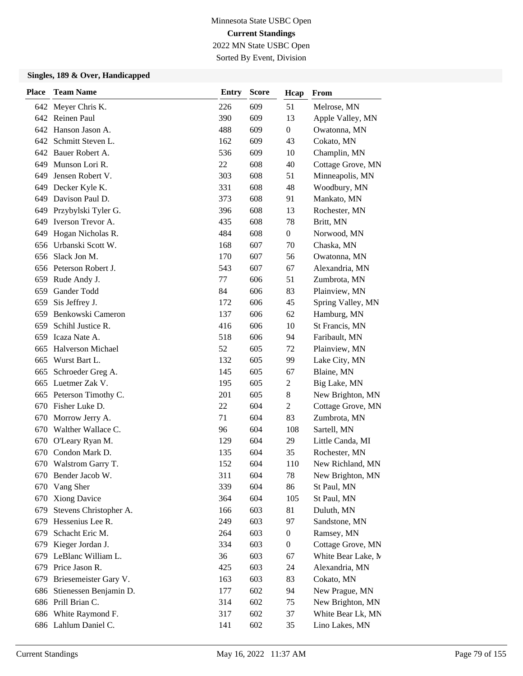2022 MN State USBC Open Sorted By Event, Division

| <b>Place</b> | <b>Team Name</b>         | <b>Entry</b> | <b>Score</b> | Hcap             | From               |
|--------------|--------------------------|--------------|--------------|------------------|--------------------|
|              | 642 Meyer Chris K.       | 226          | 609          | 51               | Melrose, MN        |
|              | 642 Reinen Paul          | 390          | 609          | 13               | Apple Valley, MN   |
|              | 642 Hanson Jason A.      | 488          | 609          | $\overline{0}$   | Owatonna, MN       |
|              | 642 Schmitt Steven L.    | 162          | 609          | 43               | Cokato, MN         |
|              | 642 Bauer Robert A.      | 536          | 609          | 10               | Champlin, MN       |
| 649          | Munson Lori R.           | 22           | 608          | 40               | Cottage Grove, MN  |
| 649          | Jensen Robert V.         | 303          | 608          | 51               | Minneapolis, MN    |
| 649          | Decker Kyle K.           | 331          | 608          | 48               | Woodbury, MN       |
| 649          | Davison Paul D.          | 373          | 608          | 91               | Mankato, MN        |
| 649          | Przybylski Tyler G.      | 396          | 608          | 13               | Rochester, MN      |
| 649          | Iverson Trevor A.        | 435          | 608          | 78               | Britt, MN          |
| 649          | Hogan Nicholas R.        | 484          | 608          | $\boldsymbol{0}$ | Norwood, MN        |
| 656          | Urbanski Scott W.        | 168          | 607          | 70               | Chaska, MN         |
| 656          | Slack Jon M.             | 170          | 607          | 56               | Owatonna, MN       |
|              | 656 Peterson Robert J.   | 543          | 607          | 67               | Alexandria, MN     |
|              | 659 Rude Andy J.         | 77           | 606          | 51               | Zumbrota, MN       |
| 659          | Gander Todd              | 84           | 606          | 83               | Plainview, MN      |
| 659          | Sis Jeffrey J.           | 172          | 606          | 45               | Spring Valley, MN  |
| 659          | Benkowski Cameron        | 137          | 606          | 62               | Hamburg, MN        |
| 659          | Schihl Justice R.        | 416          | 606          | 10               | St Francis, MN     |
| 659          | Icaza Nate A.            | 518          | 606          | 94               | Faribault, MN      |
| 665          | <b>Halverson Michael</b> | 52           | 605          | 72               | Plainview, MN      |
| 665          | Wurst Bart L.            | 132          | 605          | 99               | Lake City, MN      |
| 665          | Schroeder Greg A.        | 145          | 605          | 67               | Blaine, MN         |
|              | 665 Luetmer Zak V.       | 195          | 605          | $\overline{c}$   | Big Lake, MN       |
| 665          | Peterson Timothy C.      | 201          | 605          | 8                | New Brighton, MN   |
| 670          | Fisher Luke D.           | 22           | 604          | $\overline{2}$   | Cottage Grove, MN  |
| 670          | Morrow Jerry A.          | 71           | 604          | 83               | Zumbrota, MN       |
| 670          | Walther Wallace C.       | 96           | 604          | 108              | Sartell, MN        |
| 670          | O'Leary Ryan M.          | 129          | 604          | 29               | Little Canda, MI   |
| 670          | Condon Mark D.           | 135          | 604          | 35               | Rochester, MN      |
| 670          | Walstrom Garry T.        | 152          | 604          | 110              | New Richland, MN   |
|              | 670 Bender Jacob W.      | 311          | 604          | 78               | New Brighton, MN   |
| 670          | Vang Sher                | 339          | 604          | 86               | St Paul, MN        |
| 670          | <b>Xiong Davice</b>      | 364          | 604          | 105              | St Paul, MN        |
| 679          | Stevens Christopher A.   | 166          | 603          | 81               | Duluth, MN         |
| 679          | Hessenius Lee R.         | 249          | 603          | 97               | Sandstone, MN      |
| 679          | Schacht Eric M.          | 264          | 603          | $\boldsymbol{0}$ | Ramsey, MN         |
| 679          | Kieger Jordan J.         | 334          | 603          | $\boldsymbol{0}$ | Cottage Grove, MN  |
| 679          | LeBlanc William L.       | 36           | 603          | 67               | White Bear Lake, M |
| 679          | Price Jason R.           | 425          | 603          | 24               | Alexandria, MN     |
| 679          | Briesemeister Gary V.    | 163          | 603          | 83               | Cokato, MN         |
| 686          | Stienessen Benjamin D.   | 177          | 602          | 94               | New Prague, MN     |
|              | 686 Prill Brian C.       | 314          | 602          | 75               | New Brighton, MN   |
|              | 686 White Raymond F.     | 317          | 602          | 37               | White Bear Lk, MN  |
|              | 686 Lahlum Daniel C.     | 141          | 602          | 35               | Lino Lakes, MN     |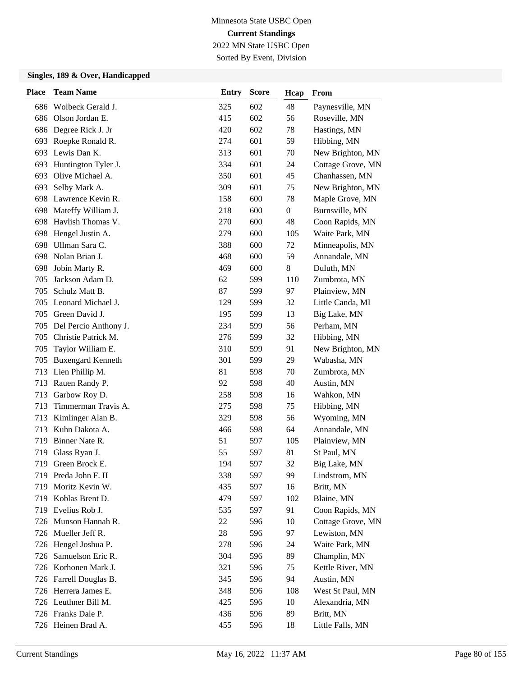Sorted By Event, Division

| <b>Place</b> | <b>Team Name</b>         | <b>Entry</b> | <b>Score</b> | Hcap             | From              |
|--------------|--------------------------|--------------|--------------|------------------|-------------------|
|              | 686 Wolbeck Gerald J.    | 325          | 602          | 48               | Paynesville, MN   |
| 686          | Olson Jordan E.          | 415          | 602          | 56               | Roseville, MN     |
| 686          | Degree Rick J. Jr        | 420          | 602          | 78               | Hastings, MN      |
|              | 693 Roepke Ronald R.     | 274          | 601          | 59               | Hibbing, MN       |
|              | 693 Lewis Dan K.         | 313          | 601          | 70               | New Brighton, MN  |
| 693          | Huntington Tyler J.      | 334          | 601          | 24               | Cottage Grove, MN |
| 693          | Olive Michael A.         | 350          | 601          | 45               | Chanhassen, MN    |
| 693          | Selby Mark A.            | 309          | 601          | 75               | New Brighton, MN  |
| 698          | Lawrence Kevin R.        | 158          | 600          | 78               | Maple Grove, MN   |
| 698          | Mateffy William J.       | 218          | 600          | $\boldsymbol{0}$ | Burnsville, MN    |
| 698          | Havlish Thomas V.        | 270          | 600          | 48               | Coon Rapids, MN   |
| 698          | Hengel Justin A.         | 279          | 600          | 105              | Waite Park, MN    |
| 698          | Ullman Sara C.           | 388          | 600          | 72               | Minneapolis, MN   |
| 698          | Nolan Brian J.           | 468          | 600          | 59               | Annandale, MN     |
| 698          | Jobin Marty R.           | 469          | 600          | 8                | Duluth, MN        |
| 705          | Jackson Adam D.          | 62           | 599          | 110              | Zumbrota, MN      |
| 705          | Schulz Matt B.           | 87           | 599          | 97               | Plainview, MN     |
| 705          | Leonard Michael J.       | 129          | 599          | 32               | Little Canda, MI  |
| 705          | Green David J.           | 195          | 599          | 13               | Big Lake, MN      |
| 705          | Del Percio Anthony J.    | 234          | 599          | 56               | Perham, MN        |
| 705          | Christie Patrick M.      | 276          | 599          | 32               | Hibbing, MN       |
| 705          | Taylor William E.        | 310          | 599          | 91               | New Brighton, MN  |
| 705          | <b>Buxengard Kenneth</b> | 301          | 599          | 29               | Wabasha, MN       |
| 713          | Lien Phillip M.          | 81           | 598          | 70               | Zumbrota, MN      |
| 713          | Rauen Randy P.           | 92           | 598          | 40               | Austin, MN        |
| 713          | Garbow Roy D.            | 258          | 598          | 16               | Wahkon, MN        |
| 713          | Timmerman Travis A.      | 275          | 598          | 75               | Hibbing, MN       |
| 713          | Kimlinger Alan B.        | 329          | 598          | 56               | Wyoming, MN       |
| 713          | Kuhn Dakota A.           | 466          | 598          | 64               | Annandale, MN     |
| 719          | Binner Nate R.           | 51           | 597          | 105              | Plainview, MN     |
| 719          | Glass Ryan J.            | 55           | 597          | 81               | St Paul, MN       |
| 719          | Green Brock E.           | 194          | 597          | 32               | Big Lake, MN      |
|              | 719 Preda John F. II     | 338          | 597          | 99               | Lindstrom, MN     |
| 719          | Moritz Kevin W.          | 435          | 597          | 16               | Britt, MN         |
|              | 719 Koblas Brent D.      | 479          | 597          | 102              | Blaine, MN        |
|              | 719 Evelius Rob J.       | 535          | 597          | 91               | Coon Rapids, MN   |
|              | 726 Munson Hannah R.     | 22           | 596          | 10               | Cottage Grove, MN |
|              | 726 Mueller Jeff R.      | 28           | 596          | 97               | Lewiston, MN      |
| 726          | Hengel Joshua P.         | 278          | 596          | 24               | Waite Park, MN    |
| 726          | Samuelson Eric R.        | 304          | 596          | 89               | Champlin, MN      |
|              | 726 Korhonen Mark J.     | 321          | 596          | 75               | Kettle River, MN  |
|              | 726 Farrell Douglas B.   | 345          | 596          | 94               | Austin, MN        |
|              | 726 Herrera James E.     | 348          | 596          | 108              | West St Paul, MN  |
|              | 726 Leuthner Bill M.     | 425          | 596          | 10               | Alexandria, MN    |
|              | 726 Franks Dale P.       | 436          | 596          | 89               | Britt, MN         |
|              | 726 Heinen Brad A.       | 455          | 596          | 18               | Little Falls, MN  |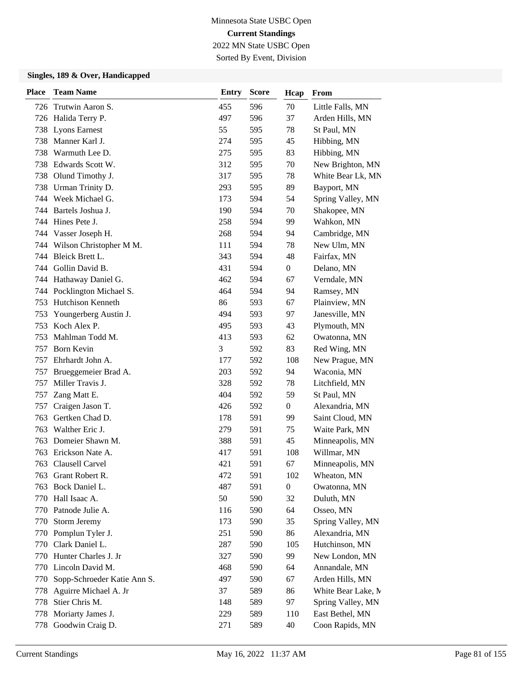Sorted By Event, Division

| <b>Place</b> | <b>Team Name</b>            | <b>Entry</b> | <b>Score</b> | Hcap             | From               |
|--------------|-----------------------------|--------------|--------------|------------------|--------------------|
|              | 726 Trutwin Aaron S.        | 455          | 596          | 70               | Little Falls, MN   |
|              | 726 Halida Terry P.         | 497          | 596          | 37               | Arden Hills, MN    |
| 738          | <b>Lyons Earnest</b>        | 55           | 595          | 78               | St Paul, MN        |
| 738          | Manner Karl J.              | 274          | 595          | 45               | Hibbing, MN        |
| 738          | Warmuth Lee D.              | 275          | 595          | 83               | Hibbing, MN        |
| 738          | Edwards Scott W.            | 312          | 595          | 70               | New Brighton, MN   |
| 738          | Olund Timothy J.            | 317          | 595          | 78               | White Bear Lk, MN  |
| 738          | Urman Trinity D.            | 293          | 595          | 89               | Bayport, MN        |
|              | 744 Week Michael G.         | 173          | 594          | 54               | Spring Valley, MN  |
| 744          | Bartels Joshua J.           | 190          | 594          | 70               | Shakopee, MN       |
|              | 744 Hines Pete J.           | 258          | 594          | 99               | Wahkon, MN         |
|              | 744 Vasser Joseph H.        | 268          | 594          | 94               | Cambridge, MN      |
|              | 744 Wilson Christopher M M. | 111          | 594          | 78               | New Ulm, MN        |
| 744          | Bleick Brett L.             | 343          | 594          | 48               | Fairfax, MN        |
| 744          | Gollin David B.             | 431          | 594          | $\boldsymbol{0}$ | Delano, MN         |
|              | 744 Hathaway Daniel G.      | 462          | 594          | 67               | Verndale, MN       |
|              | 744 Pocklington Michael S.  | 464          | 594          | 94               | Ramsey, MN         |
| 753          | <b>Hutchison Kenneth</b>    | 86           | 593          | 67               | Plainview, MN      |
| 753          | Youngerberg Austin J.       | 494          | 593          | 97               | Janesville, MN     |
| 753          | Koch Alex P.                | 495          | 593          | 43               | Plymouth, MN       |
| 753          | Mahlman Todd M.             | 413          | 593          | 62               | Owatonna, MN       |
| 757          | <b>Born Kevin</b>           | 3            | 592          | 83               | Red Wing, MN       |
| 757          | Ehrhardt John A.            | 177          | 592          | 108              | New Prague, MN     |
| 757          | Brueggemeier Brad A.        | 203          | 592          | 94               | Waconia, MN        |
| 757          | Miller Travis J.            | 328          | 592          | 78               | Litchfield, MN     |
| 757          | Zang Matt E.                | 404          | 592          | 59               | St Paul, MN        |
| 757          | Craigen Jason T.            | 426          | 592          | $\overline{0}$   | Alexandria, MN     |
| 763          | Gertken Chad D.             | 178          | 591          | 99               | Saint Cloud, MN    |
| 763          | Walther Eric J.             | 279          | 591          | 75               | Waite Park, MN     |
| 763          | Domeier Shawn M.            | 388          | 591          | 45               | Minneapolis, MN    |
| 763          | Erickson Nate A.            | 417          | 591          | 108              | Willmar, MN        |
| 763          | Clausell Carvel             | 421          | 591          | 67               | Minneapolis, MN    |
| 763          | Grant Robert R.             | 472          | 591          | 102              | Wheaton, MN        |
| 763          | Bock Daniel L.              | 487          | 591          | $\boldsymbol{0}$ | Owatonna, MN       |
| 770          | Hall Isaac A.               | 50           | 590          | 32               | Duluth, MN         |
| 770          | Patnode Julie A.            | 116          | 590          | 64               | Osseo, MN          |
| 770          | Storm Jeremy                | 173          | 590          | 35               | Spring Valley, MN  |
| 770          | Pomplun Tyler J.            | 251          | 590          | 86               | Alexandria, MN     |
| 770          | Clark Daniel L.             | 287          | 590          | 105              | Hutchinson, MN     |
| 770          | Hunter Charles J. Jr        | 327          | 590          | 99               | New London, MN     |
|              | 770 Lincoln David M.        | 468          | 590          | 64               | Annandale, MN      |
| 770          | Sopp-Schroeder Katie Ann S. | 497          | 590          | 67               | Arden Hills, MN    |
| 778          | Aguirre Michael A. Jr       | 37           | 589          | 86               | White Bear Lake, M |
| 778          | Stier Chris M.              | 148          | 589          | 97               | Spring Valley, MN  |
| 778          | Moriarty James J.           | 229          | 589          | 110              | East Bethel, MN    |
| 778          | Goodwin Craig D.            | 271          | 589          | 40               | Coon Rapids, MN    |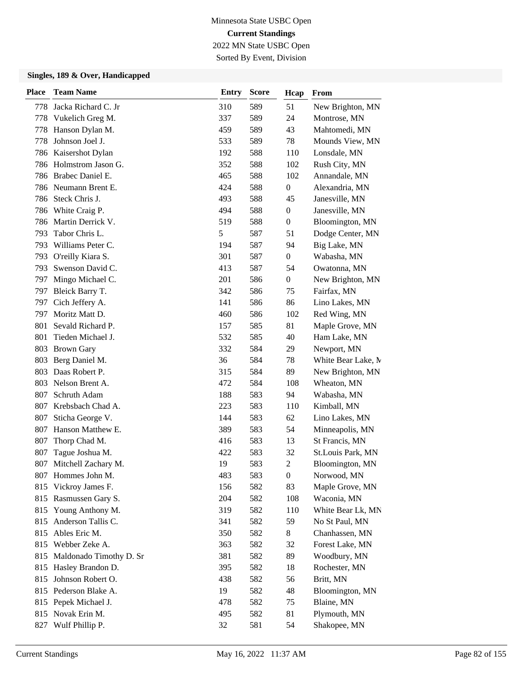Sorted By Event, Division

| <b>Place</b> | <b>Team Name</b>            | <b>Entry</b> | <b>Score</b> | Hcap             | From               |
|--------------|-----------------------------|--------------|--------------|------------------|--------------------|
| 778.         | Jacka Richard C. Jr         | 310          | 589          | 51               | New Brighton, MN   |
| 778          | Vukelich Greg M.            | 337          | 589          | 24               | Montrose, MN       |
| 778          | Hanson Dylan M.             | 459          | 589          | 43               | Mahtomedi, MN      |
| 778          | Johnson Joel J.             | 533          | 589          | 78               | Mounds View, MN    |
|              | 786 Kaisershot Dylan        | 192          | 588          | 110              | Lonsdale, MN       |
| 786          | Holmstrom Jason G.          | 352          | 588          | 102              | Rush City, MN      |
| 786          | Brabec Daniel E.            | 465          | 588          | 102              | Annandale, MN      |
|              | 786 Neumann Brent E.        | 424          | 588          | $\boldsymbol{0}$ | Alexandria, MN     |
| 786          | Steck Chris J.              | 493          | 588          | 45               | Janesville, MN     |
| 786          | White Craig P.              | 494          | 588          | $\boldsymbol{0}$ | Janesville, MN     |
| 786          | Martin Derrick V.           | 519          | 588          | $\boldsymbol{0}$ | Bloomington, MN    |
| 793          | Tabor Chris L.              | 5            | 587          | 51               | Dodge Center, MN   |
| 793          | Williams Peter C.           | 194          | 587          | 94               | Big Lake, MN       |
| 793          | O'reilly Kiara S.           | 301          | 587          | $\overline{0}$   | Wabasha, MN        |
| 793          | Swenson David C.            | 413          | 587          | 54               | Owatonna, MN       |
|              | 797 Mingo Michael C.        | 201          | 586          | $\overline{0}$   | New Brighton, MN   |
| 797          | Bleick Barry T.             | 342          | 586          | 75               | Fairfax, MN        |
| 797          | Cich Jeffery A.             | 141          | 586          | 86               | Lino Lakes, MN     |
| 797          | Moritz Matt D.              | 460          | 586          | 102              | Red Wing, MN       |
| 801          | Sevald Richard P.           | 157          | 585          | 81               | Maple Grove, MN    |
| 801          | Tieden Michael J.           | 532          | 585          | 40               | Ham Lake, MN       |
| 803          | <b>Brown Gary</b>           | 332          | 584          | 29               | Newport, MN        |
| 803          | Berg Daniel M.              | 36           | 584          | 78               | White Bear Lake, M |
| 803          | Daas Robert P.              | 315          | 584          | 89               | New Brighton, MN   |
|              | 803 Nelson Brent A.         | 472          | 584          | 108              | Wheaton, MN        |
| 807          | Schruth Adam                | 188          | 583          | 94               | Wabasha, MN        |
| 807          | Krebsbach Chad A.           | 223          | 583          | 110              | Kimball, MN        |
| 807          | Sticha George V.            | 144          | 583          | 62               | Lino Lakes, MN     |
| 807          | Hanson Matthew E.           | 389          | 583          | 54               | Minneapolis, MN    |
| 807          | Thorp Chad M.               | 416          | 583          | 13               | St Francis, MN     |
| 807          | Tague Joshua M.             | 422          | 583          | 32               | St.Louis Park, MN  |
| 807          | Mitchell Zachary M.         | 19           | 583          | $\mathfrak{2}$   | Bloomington, MN    |
|              | 807 Hommes John M.          | 483          | 583          | $\boldsymbol{0}$ | Norwood, MN        |
| 815          | Vickroy James F.            | 156          | 582          | 83               | Maple Grove, MN    |
| 815          | Rasmussen Gary S.           | 204          | 582          | 108              | Waconia, MN        |
|              | 815 Young Anthony M.        | 319          | 582          | 110              | White Bear Lk, MN  |
| 815          | Anderson Tallis C.          | 341          | 582          | 59               | No St Paul, MN     |
| 815          | Ables Eric M.               | 350          | 582          | 8                | Chanhassen, MN     |
| 815          | Webber Zeke A.              | 363          | 582          | 32               | Forest Lake, MN    |
|              | 815 Maldonado Timothy D. Sr | 381          | 582          | 89               | Woodbury, MN       |
| 815          | Hasley Brandon D.           | 395          | 582          | 18               | Rochester, MN      |
| 815          | Johnson Robert O.           | 438          | 582          | 56               | Britt, MN          |
|              | 815 Pederson Blake A.       | 19           | 582          | 48               | Bloomington, MN    |
|              | 815 Pepek Michael J.        | 478          | 582          | 75               | Blaine, MN         |
|              | 815 Novak Erin M.           | 495          | 582          | 81               | Plymouth, MN       |
| 827          | Wulf Phillip P.             | 32           | 581          | 54               | Shakopee, MN       |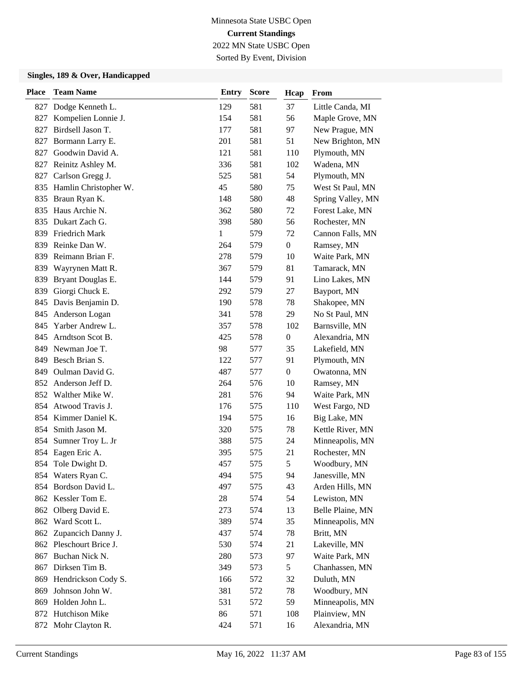Sorted By Event, Division

| <b>Place</b> | <b>Team Name</b>          | <b>Entry</b> | <b>Score</b> | Hcap             | From              |
|--------------|---------------------------|--------------|--------------|------------------|-------------------|
|              | 827 Dodge Kenneth L.      | 129          | 581          | 37               | Little Canda, MI  |
| 827          | Kompelien Lonnie J.       | 154          | 581          | 56               | Maple Grove, MN   |
| 827          | Birdsell Jason T.         | 177          | 581          | 97               | New Prague, MN    |
| 827          | Bormann Larry E.          | 201          | 581          | 51               | New Brighton, MN  |
| 827          | Goodwin David A.          | 121          | 581          | 110              | Plymouth, MN      |
| 827          | Reinitz Ashley M.         | 336          | 581          | 102              | Wadena, MN        |
| 827          | Carlson Gregg J.          | 525          | 581          | 54               | Plymouth, MN      |
|              | 835 Hamlin Christopher W. | 45           | 580          | 75               | West St Paul, MN  |
|              | 835 Braun Ryan K.         | 148          | 580          | 48               | Spring Valley, MN |
| 835          | Haus Archie N.            | 362          | 580          | 72               | Forest Lake, MN   |
| 835          | Dukart Zach G.            | 398          | 580          | 56               | Rochester, MN     |
| 839          | Friedrich Mark            | $\mathbf{1}$ | 579          | 72               | Cannon Falls, MN  |
| 839          | Reinke Dan W.             | 264          | 579          | $\boldsymbol{0}$ | Ramsey, MN        |
| 839          | Reimann Brian F.          | 278          | 579          | 10               | Waite Park, MN    |
| 839          | Wayrynen Matt R.          | 367          | 579          | 81               | Tamarack, MN      |
| 839          | Bryant Douglas E.         | 144          | 579          | 91               | Lino Lakes, MN    |
| 839          | Giorgi Chuck E.           | 292          | 579          | 27               | Bayport, MN       |
|              | 845 Davis Benjamin D.     | 190          | 578          | 78               | Shakopee, MN      |
| 845          | Anderson Logan            | 341          | 578          | 29               | No St Paul, MN    |
| 845          | Yarber Andrew L.          | 357          | 578          | 102              | Barnsville, MN    |
| 845          | Arndtson Scot B.          | 425          | 578          | $\boldsymbol{0}$ | Alexandria, MN    |
| 849          | Newman Joe T.             | 98           | 577          | 35               | Lakefield, MN     |
| 849          | Besch Brian S.            | 122          | 577          | 91               | Plymouth, MN      |
| 849          | Oulman David G.           | 487          | 577          | $\boldsymbol{0}$ | Owatonna, MN      |
|              | 852 Anderson Jeff D.      | 264          | 576          | 10               | Ramsey, MN        |
|              | 852 Walther Mike W.       | 281          | 576          | 94               | Waite Park, MN    |
| 854          | Atwood Travis J.          | 176          | 575          | 110              | West Fargo, ND    |
|              | 854 Kimmer Daniel K.      | 194          | 575          | 16               | Big Lake, MN      |
| 854          | Smith Jason M.            | 320          | 575          | 78               | Kettle River, MN  |
| 854          | Sumner Troy L. Jr         | 388          | 575          | 24               | Minneapolis, MN   |
| 854          | Eagen Eric A.             | 395          | 575          | 21               | Rochester, MN     |
|              | 854 Tole Dwight D.        | 457          | 575          | 5                | Woodbury, MN      |
|              | 854 Waters Ryan C.        | 494          | 575          | 94               | Janesville, MN    |
|              | 854 Bordson David L.      | 497          | 575          | 43               | Arden Hills, MN   |
|              | 862 Kessler Tom E.        | 28           | 574          | 54               | Lewiston, MN      |
|              | 862 Olberg David E.       | 273          | 574          | 13               | Belle Plaine, MN  |
|              | 862 Ward Scott L.         | 389          | 574          | 35               | Minneapolis, MN   |
| 862          | Zupancich Danny J.        | 437          | 574          | 78               | Britt, MN         |
|              | 862 Pleschourt Brice J.   | 530          | 574          | 21               | Lakeville, MN     |
| 867          | Buchan Nick N.            | 280          | 573          | 97               | Waite Park, MN    |
| 867          | Dirksen Tim B.            | 349          | 573          | $\mathfrak{S}$   | Chanhassen, MN    |
| 869          | Hendrickson Cody S.       | 166          | 572          | 32               | Duluth, MN        |
| 869          | Johnson John W.           | 381          | 572          | 78               | Woodbury, MN      |
| 869          | Holden John L.            | 531          | 572          | 59               | Minneapolis, MN   |
|              | 872 Hutchison Mike        | 86           | 571          | 108              | Plainview, MN     |
|              | 872 Mohr Clayton R.       | 424          | 571          | 16               | Alexandria, MN    |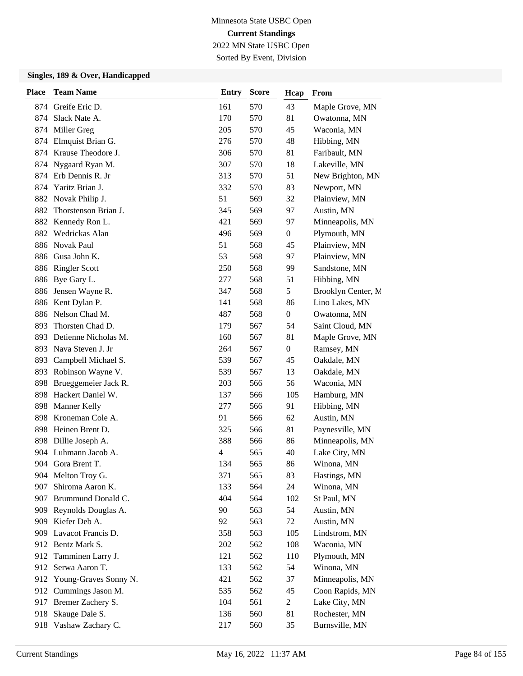Sorted By Event, Division

| <b>Place</b> | <b>Team Name</b>        | <b>Entry</b> | <b>Score</b> | Hcap             | From               |
|--------------|-------------------------|--------------|--------------|------------------|--------------------|
|              | 874 Greife Eric D.      | 161          | 570          | 43               | Maple Grove, MN    |
| 874          | Slack Nate A.           | 170          | 570          | 81               | Owatonna, MN       |
| 874          | Miller Greg             | 205          | 570          | 45               | Waconia, MN        |
| 874          | Elmquist Brian G.       | 276          | 570          | 48               | Hibbing, MN        |
| 874          | Krause Theodore J.      | 306          | 570          | 81               | Faribault, MN      |
| 874          | Nygaard Ryan M.         | 307          | 570          | 18               | Lakeville, MN      |
| 874          | Erb Dennis R. Jr        | 313          | 570          | 51               | New Brighton, MN   |
| 874          | Yaritz Brian J.         | 332          | 570          | 83               | Newport, MN        |
| 882          | Novak Philip J.         | 51           | 569          | 32               | Plainview, MN      |
| 882          | Thorstenson Brian J.    | 345          | 569          | 97               | Austin, MN         |
| 882          | Kennedy Ron L.          | 421          | 569          | 97               | Minneapolis, MN    |
| 882          | Wedrickas Alan          | 496          | 569          | $\boldsymbol{0}$ | Plymouth, MN       |
| 886          | <b>Novak Paul</b>       | 51           | 568          | 45               | Plainview, MN      |
| 886          | Gusa John K.            | 53           | 568          | 97               | Plainview, MN      |
| 886          | <b>Ringler Scott</b>    | 250          | 568          | 99               | Sandstone, MN      |
|              | 886 Bye Gary L.         | 277          | 568          | 51               | Hibbing, MN        |
| 886          | Jensen Wayne R.         | 347          | 568          | 5                | Brooklyn Center, M |
| 886          | Kent Dylan P.           | 141          | 568          | 86               | Lino Lakes, MN     |
| 886          | Nelson Chad M.          | 487          | 568          | $\boldsymbol{0}$ | Owatonna, MN       |
| 893          | Thorsten Chad D.        | 179          | 567          | 54               | Saint Cloud, MN    |
| 893          | Detienne Nicholas M.    | 160          | 567          | 81               | Maple Grove, MN    |
| 893          | Nava Steven J. Jr       | 264          | 567          | $\boldsymbol{0}$ | Ramsey, MN         |
| 893          | Campbell Michael S.     | 539          | 567          | 45               | Oakdale, MN        |
| 893          | Robinson Wayne V.       | 539          | 567          | 13               | Oakdale, MN        |
| 898          | Brueggemeier Jack R.    | 203          | 566          | 56               | Waconia, MN        |
| 898          | Hackert Daniel W.       | 137          | 566          | 105              | Hamburg, MN        |
| 898          | <b>Manner Kelly</b>     | 277          | 566          | 91               | Hibbing, MN        |
| 898          | Kroneman Cole A.        | 91           | 566          | 62               | Austin, MN         |
| 898          | Heinen Brent D.         | 325          | 566          | 81               | Paynesville, MN    |
| 898          | Dillie Joseph A.        | 388          | 566          | 86               | Minneapolis, MN    |
| 904          | Luhmann Jacob A.        | 4            | 565          | 40               | Lake City, MN      |
|              | 904 Gora Brent T.       | 134          | 565          | 86               | Winona, MN         |
|              | 904 Melton Troy G.      | 371          | 565          | 83               | Hastings, MN       |
| 907          | Shiroma Aaron K.        | 133          | 564          | 24               | Winona, MN         |
| 907          | Brummund Donald C.      | 404          | 564          | 102              | St Paul, MN        |
|              | 909 Reynolds Douglas A. | 90           | 563          | 54               | Austin, MN         |
|              | 909 Kiefer Deb A.       | 92           | 563          | 72               | Austin, MN         |
| 909          | Lavacot Francis D.      | 358          | 563          | 105              | Lindstrom, MN      |
|              | 912 Bentz Mark S.       | 202          | 562          | 108              | Waconia, MN        |
|              | 912 Tamminen Larry J.   | 121          | 562          | 110              | Plymouth, MN       |
| 912          | Serwa Aaron T.          | 133          | 562          | 54               | Winona, MN         |
| 912          | Young-Graves Sonny N.   | 421          | 562          | 37               | Minneapolis, MN    |
| 912          | Cummings Jason M.       | 535          | 562          | 45               | Coon Rapids, MN    |
|              | 917 Bremer Zachery S.   | 104          | 561          | 2                | Lake City, MN      |
| 918          | Skauge Dale S.          | 136          | 560          | 81               | Rochester, MN      |
|              | 918 Vashaw Zachary C.   | 217          | 560          | 35               | Burnsville, MN     |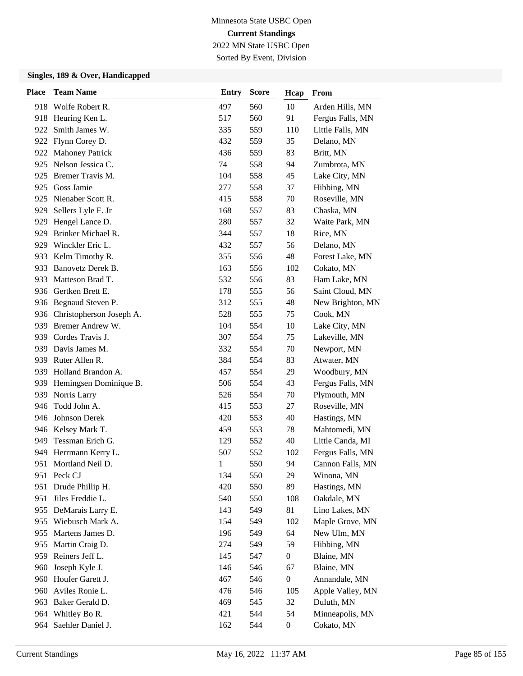Sorted By Event, Division

| <b>Place</b> | <b>Team Name</b>           | Entry | <b>Score</b> | Hcap             | From             |
|--------------|----------------------------|-------|--------------|------------------|------------------|
|              | 918 Wolfe Robert R.        | 497   | 560          | 10               | Arden Hills, MN  |
|              | 918 Heuring Ken L.         | 517   | 560          | 91               | Fergus Falls, MN |
| 922          | Smith James W.             | 335   | 559          | 110              | Little Falls, MN |
|              | 922 Flynn Corey D.         | 432   | 559          | 35               | Delano, MN       |
|              | 922 Mahoney Patrick        | 436   | 559          | 83               | Britt, MN        |
| 925          | Nelson Jessica C.          | 74    | 558          | 94               | Zumbrota, MN     |
| 925          | Bremer Travis M.           | 104   | 558          | 45               | Lake City, MN    |
| 925          | Goss Jamie                 | 277   | 558          | 37               | Hibbing, MN      |
| 925          | Nienaber Scott R.          | 415   | 558          | 70               | Roseville, MN    |
| 929          | Sellers Lyle F. Jr         | 168   | 557          | 83               | Chaska, MN       |
| 929          | Hengel Lance D.            | 280   | 557          | 32               | Waite Park, MN   |
| 929          | Brinker Michael R.         | 344   | 557          | 18               | Rice, MN         |
| 929          | Winckler Eric L.           | 432   | 557          | 56               | Delano, MN       |
| 933          | Kelm Timothy R.            | 355   | 556          | 48               | Forest Lake, MN  |
| 933          | Banovetz Derek B.          | 163   | 556          | 102              | Cokato, MN       |
|              | 933 Matteson Brad T.       | 532   | 556          | 83               | Ham Lake, MN     |
|              | 936 Gertken Brett E.       | 178   | 555          | 56               | Saint Cloud, MN  |
|              | 936 Begnaud Steven P.      | 312   | 555          | 48               | New Brighton, MN |
| 936          | Christopherson Joseph A.   | 528   | 555          | 75               | Cook, MN         |
|              | 939 Bremer Andrew W.       | 104   | 554          | 10               | Lake City, MN    |
|              | 939 Cordes Travis J.       | 307   | 554          | 75               | Lakeville, MN    |
|              | 939 Davis James M.         | 332   | 554          | 70               | Newport, MN      |
|              | 939 Ruter Allen R.         | 384   | 554          | 83               | Atwater, MN      |
|              | 939 Holland Brandon A.     | 457   | 554          | 29               | Woodbury, MN     |
|              | 939 Hemingsen Dominique B. | 506   | 554          | 43               | Fergus Falls, MN |
| 939          | Norris Larry               | 526   | 554          | 70               | Plymouth, MN     |
| 946          | Todd John A.               | 415   | 553          | 27               | Roseville, MN    |
|              | 946 Johnson Derek          | 420   | 553          | 40               | Hastings, MN     |
|              | 946 Kelsey Mark T.         | 459   | 553          | 78               | Mahtomedi, MN    |
| 949          | Tessman Erich G.           | 129   | 552          | 40               | Little Canda, MI |
| 949          | Herrmann Kerry L.          | 507   | 552          | 102              | Fergus Falls, MN |
| 951          | Mortland Neil D.           | 1     | 550          | 94               | Cannon Falls, MN |
|              | 951 Peck CJ                | 134   | 550          | 29               | Winona, MN       |
| 951          | Drude Phillip H.           | 420   | 550          | 89               | Hastings, MN     |
| 951          | Jiles Freddie L.           | 540   | 550          | 108              | Oakdale, MN      |
|              | 955 DeMarais Larry E.      | 143   | 549          | 81               | Lino Lakes, MN   |
|              | 955 Wiebusch Mark A.       | 154   | 549          | 102              | Maple Grove, MN  |
|              | 955 Martens James D.       | 196   | 549          | 64               | New Ulm, MN      |
| 955          | Martin Craig D.            | 274   | 549          | 59               | Hibbing, MN      |
|              | 959 Reiners Jeff L.        | 145   | 547          | $\boldsymbol{0}$ | Blaine, MN       |
| 960          | Joseph Kyle J.             | 146   | 546          | 67               | Blaine, MN       |
| 960          | Houfer Garett J.           | 467   | 546          | $\boldsymbol{0}$ | Annandale, MN    |
| 960          | Aviles Ronie L.            | 476   | 546          | 105              | Apple Valley, MN |
|              | 963 Baker Gerald D.        | 469   | 545          | 32               | Duluth, MN       |
|              | 964 Whitley Bo R.          | 421   | 544          | 54               | Minneapolis, MN  |
| 964          | Saehler Daniel J.          | 162   | 544          | $\boldsymbol{0}$ | Cokato, MN       |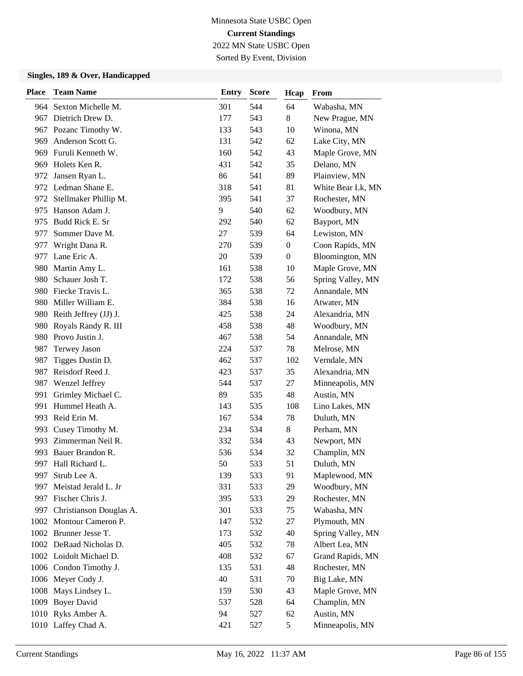Sorted By Event, Division

| <b>Place</b> | <b>Team Name</b>            | <b>Entry</b> | <b>Score</b> | Hcap           | From              |
|--------------|-----------------------------|--------------|--------------|----------------|-------------------|
| 964          | Sexton Michelle M.          | 301          | 544          | 64             | Wabasha, MN       |
|              | 967 Dietrich Drew D.        | 177          | 543          | 8              | New Prague, MN    |
| 967          | Pozanc Timothy W.           | 133          | 543          | 10             | Winona, MN        |
|              | 969 Anderson Scott G.       | 131          | 542          | 62             | Lake City, MN     |
|              | 969 Furuli Kenneth W.       | 160          | 542          | 43             | Maple Grove, MN   |
|              | 969 Holets Ken R.           | 431          | 542          | 35             | Delano, MN        |
| 972          | Jansen Ryan L.              | 86           | 541          | 89             | Plainview, MN     |
|              | 972 Ledman Shane E.         | 318          | 541          | 81             | White Bear Lk, MN |
|              | 972 Stellmaker Phillip M.   | 395          | 541          | 37             | Rochester, MN     |
| 975          | Hanson Adam J.              | 9            | 540          | 62             | Woodbury, MN      |
| 975          | Budd Rick E. Sr             | 292          | 540          | 62             | Bayport, MN       |
| 977          | Sommer Dave M.              | 27           | 539          | 64             | Lewiston, MN      |
| 977          | Wright Dana R.              | 270          | 539          | $\overline{0}$ | Coon Rapids, MN   |
| 977          | Lane Eric A.                | 20           | 539          | $\overline{0}$ | Bloomington, MN   |
| 980          | Martin Amy L.               | 161          | 538          | 10             | Maple Grove, MN   |
| 980          | Schauer Josh T.             | 172          | 538          | 56             | Spring Valley, MN |
|              | 980 Fiecke Travis L.        | 365          | 538          | 72             | Annandale, MN     |
| 980          | Miller William E.           | 384          | 538          | 16             | Atwater, MN       |
| 980          | Reith Jeffrey (JJ) J.       | 425          | 538          | 24             | Alexandria, MN    |
|              | 980 Royals Randy R. III     | 458          | 538          | 48             | Woodbury, MN      |
|              | 980 Provo Justin J.         | 467          | 538          | 54             | Annandale, MN     |
| 987          | <b>Terwey Jason</b>         | 224          | 537          | 78             | Melrose, MN       |
| 987          | Tigges Dustin D.            | 462          | 537          | 102            | Verndale, MN      |
| 987          | Reisdorf Reed J.            | 423          | 537          | 35             | Alexandria, MN    |
| 987          | Wenzel Jeffrey              | 544          | 537          | 27             | Minneapolis, MN   |
| 991          | Grimley Michael C.          | 89           | 535          | 48             | Austin, MN        |
| 991          | Hummel Heath A.             | 143          | 535          | 108            | Lino Lakes, MN    |
|              | 993 Reid Erin M.            | 167          | 534          | 78             | Duluth, MN        |
|              | 993 Cusey Timothy M.        | 234          | 534          | 8              | Perham, MN        |
| 993          | Zimmerman Neil R.           | 332          | 534          | 43             | Newport, MN       |
| 993          | Bauer Brandon R.            | 536          | 534          | 32             | Champlin, MN      |
|              | 997 Hall Richard L.         | 50           | 533          | 51             | Duluth, MN        |
| 997          | Strub Lee A.                | 139          | 533          | 91             | Maplewood, MN     |
| 997          | Meistad Jerald L. Jr        | 331          | 533          | 29             | Woodbury, MN      |
| 997          | Fischer Chris J.            | 395          | 533          | 29             | Rochester, MN     |
|              | 997 Christianson Douglas A. | 301          | 533          | 75             | Wabasha, MN       |
|              | 1002 Montour Cameron P.     | 147          | 532          | 27             | Plymouth, MN      |
|              | 1002 Brunner Jesse T.       | 173          | 532          | 40             | Spring Valley, MN |
|              | 1002 DeRaad Nicholas D.     | 405          | 532          | 78             | Albert Lea, MN    |
|              | 1002 Loidolt Michael D.     | 408          | 532          | 67             | Grand Rapids, MN  |
|              | 1006 Condon Timothy J.      | 135          | 531          | 48             | Rochester, MN     |
|              | 1006 Meyer Cody J.          | 40           | 531          | 70             | Big Lake, MN      |
|              | 1008 Mays Lindsey L.        | 159          | 530          | 43             | Maple Grove, MN   |
|              | 1009 Boyer David            | 537          | 528          | 64             | Champlin, MN      |
|              | 1010 Ryks Amber A.          | 94           | 527          | 62             | Austin, MN        |
|              | 1010 Laffey Chad A.         | 421          | 527          | 5              | Minneapolis, MN   |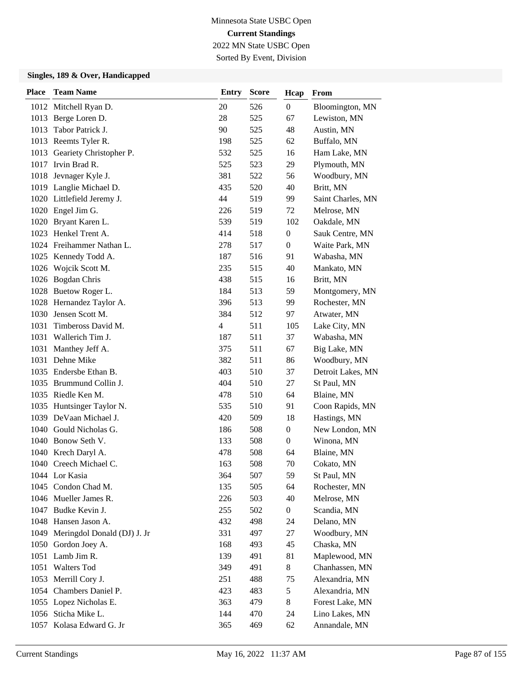Sorted By Event, Division

| <b>Place</b> | <b>Team Name</b>                 | <b>Entry</b>   | <b>Score</b> | Hcap             | From              |
|--------------|----------------------------------|----------------|--------------|------------------|-------------------|
|              | 1012 Mitchell Ryan D.            | 20             | 526          | $\boldsymbol{0}$ | Bloomington, MN   |
|              | 1013 Berge Loren D.              | 28             | 525          | 67               | Lewiston, MN      |
| 1013         | Tabor Patrick J.                 | 90             | 525          | 48               | Austin, MN        |
|              | 1013 Reemts Tyler R.             | 198            | 525          | 62               | Buffalo, MN       |
|              | 1013 Geariety Christopher P.     | 532            | 525          | 16               | Ham Lake, MN      |
|              | 1017 Irvin Brad R.               | 525            | 523          | 29               | Plymouth, MN      |
|              | 1018 Jevnager Kyle J.            | 381            | 522          | 56               | Woodbury, MN      |
|              | 1019 Langlie Michael D.          | 435            | 520          | 40               | Britt, MN         |
|              | 1020 Littlefield Jeremy J.       | 44             | 519          | 99               | Saint Charles, MN |
|              | 1020 Engel Jim G.                | 226            | 519          | 72               | Melrose, MN       |
|              | 1020 Bryant Karen L.             | 539            | 519          | 102              | Oakdale, MN       |
|              | 1023 Henkel Trent A.             | 414            | 518          | $\boldsymbol{0}$ | Sauk Centre, MN   |
|              | 1024 Freihammer Nathan L.        | 278            | 517          | $\boldsymbol{0}$ | Waite Park, MN    |
|              | 1025 Kennedy Todd A.             | 187            | 516          | 91               | Wabasha, MN       |
|              | 1026 Wojcik Scott M.             | 235            | 515          | 40               | Mankato, MN       |
|              | 1026 Bogdan Chris                | 438            | 515          | 16               | Britt, MN         |
|              | 1028 Buetow Roger L.             | 184            | 513          | 59               | Montgomery, MN    |
|              | 1028 Hernandez Taylor A.         | 396            | 513          | 99               | Rochester, MN     |
|              | 1030 Jensen Scott M.             | 384            | 512          | 97               | Atwater, MN       |
| 1031         | Timbeross David M.               | $\overline{4}$ | 511          | 105              | Lake City, MN     |
| 1031         | Wallerich Tim J.                 | 187            | 511          | 37               | Wabasha, MN       |
| 1031         | Manthey Jeff A.                  | 375            | 511          | 67               | Big Lake, MN      |
| 1031         | Dehne Mike                       | 382            | 511          | 86               | Woodbury, MN      |
|              | 1035 Endersbe Ethan B.           | 403            | 510          | 37               | Detroit Lakes, MN |
|              | 1035 Brummund Collin J.          | 404            | 510          | 27               | St Paul, MN       |
|              | 1035 Riedle Ken M.               | 478            | 510          | 64               | Blaine, MN        |
|              | 1035 Huntsinger Taylor N.        | 535            | 510          | 91               | Coon Rapids, MN   |
|              | 1039 DeVaan Michael J.           | 420            | 509          | 18               | Hastings, MN      |
|              | 1040 Gould Nicholas G.           | 186            | 508          | $\boldsymbol{0}$ | New London, MN    |
|              | 1040 Bonow Seth V.               | 133            | 508          | $\boldsymbol{0}$ | Winona, MN        |
|              | 1040 Krech Daryl A.              | 478            | 508          | 64               | Blaine, MN        |
|              | 1040 Creech Michael C.           | 163            | 508          | 70               | Cokato, MN        |
|              | 1044 Lor Kasia                   | 364            | 507          | 59               | St Paul, MN       |
| 1045         | Condon Chad M.                   | 135            | 505          | 64               | Rochester, MN     |
|              | 1046 Mueller James R.            | 226            | 503          | 40               | Melrose, MN       |
|              | 1047 Budke Kevin J.              | 255            | 502          | $\boldsymbol{0}$ | Scandia, MN       |
|              | 1048 Hansen Jason A.             | 432            | 498          | 24               | Delano, MN        |
|              | 1049 Meringdol Donald (DJ) J. Jr | 331            | 497          | 27               | Woodbury, MN      |
| 1050         | Gordon Joey A.                   | 168            | 493          | 45               | Chaska, MN        |
|              | 1051 Lamb Jim R.                 | 139            | 491          | 81               | Maplewood, MN     |
| 1051         | <b>Walters Tod</b>               | 349            | 491          | 8                | Chanhassen, MN    |
|              | 1053 Merrill Cory J.             | 251            | 488          | 75               | Alexandria, MN    |
| 1054         | Chambers Daniel P.               | 423            | 483          | 5                | Alexandria, MN    |
|              | 1055 Lopez Nicholas E.           | 363            | 479          | 8                | Forest Lake, MN   |
|              | 1056 Sticha Mike L.              | 144            | 470          | 24               | Lino Lakes, MN    |
|              | 1057 Kolasa Edward G. Jr         | 365            | 469          | 62               | Annandale, MN     |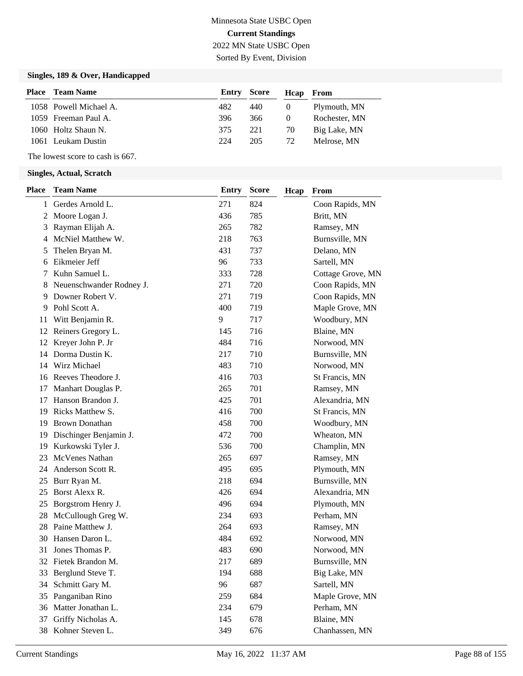Sorted By Event, Division

#### **Singles, 189 & Over, Handicapped**

| <b>Place</b> Team Name |     |     | Heap From          |               |
|------------------------|-----|-----|--------------------|---------------|
| 1058 Powell Michael A. | 482 | 440 | $\theta$           | Plymouth, MN  |
| 1059 Freeman Paul A.   | 396 | 366 | $\theta$           | Rochester, MN |
| 1060 Holtz Shaun N.    | 375 | 221 | 70                 | Big Lake, MN  |
| 1061 Leukam Dustin     | 224 | 205 | 72                 | Melrose, MN   |
|                        |     |     | <b>Entry Score</b> |               |

The lowest score to cash is 667.

| <b>Team Name</b>         | <b>Entry</b>                                                                                                                                                                                   | <b>Score</b> | Hcap              | From              |
|--------------------------|------------------------------------------------------------------------------------------------------------------------------------------------------------------------------------------------|--------------|-------------------|-------------------|
|                          | 271                                                                                                                                                                                            | 824          |                   | Coon Rapids, MN   |
|                          | 436                                                                                                                                                                                            | 785          |                   | Britt, MN         |
| Rayman Elijah A.         | 265                                                                                                                                                                                            | 782          |                   | Ramsey, MN        |
| McNiel Matthew W.        | 218                                                                                                                                                                                            | 763          |                   | Burnsville, MN    |
| Thelen Bryan M.          | 431                                                                                                                                                                                            | 737          |                   | Delano, MN        |
| Eikmeier Jeff            | 96                                                                                                                                                                                             | 733          |                   | Sartell, MN       |
| Kuhn Samuel L.           | 333                                                                                                                                                                                            | 728          |                   | Cottage Grove, MN |
| Neuenschwander Rodney J. | 271                                                                                                                                                                                            | 720          |                   | Coon Rapids, MN   |
| Downer Robert V.         | 271                                                                                                                                                                                            | 719          |                   | Coon Rapids, MN   |
| Pohl Scott A.            | 400                                                                                                                                                                                            | 719          |                   | Maple Grove, MN   |
|                          | 9                                                                                                                                                                                              | 717          |                   | Woodbury, MN      |
| Reiners Gregory L.       | 145                                                                                                                                                                                            | 716          |                   | Blaine, MN        |
|                          | 484                                                                                                                                                                                            | 716          |                   | Norwood, MN       |
| Dorma Dustin K.          | 217                                                                                                                                                                                            | 710          |                   | Burnsville, MN    |
| Wirz Michael             | 483                                                                                                                                                                                            | 710          |                   | Norwood, MN       |
|                          | 416                                                                                                                                                                                            | 703          |                   | St Francis, MN    |
| Manhart Douglas P.       | 265                                                                                                                                                                                            | 701          |                   | Ramsey, MN        |
| Hanson Brandon J.        | 425                                                                                                                                                                                            |              |                   | Alexandria, MN    |
| Ricks Matthew S.         | 416                                                                                                                                                                                            | 700          |                   | St Francis, MN    |
| <b>Brown Donathan</b>    | 458                                                                                                                                                                                            | 700          |                   | Woodbury, MN      |
|                          | 472                                                                                                                                                                                            | 700          |                   | Wheaton, MN       |
| Kurkowski Tyler J.       | 536                                                                                                                                                                                            | 700          |                   | Champlin, MN      |
| McVenes Nathan           | 265                                                                                                                                                                                            | 697          |                   | Ramsey, MN        |
| Anderson Scott R.        | 495                                                                                                                                                                                            | 695          |                   | Plymouth, MN      |
| Burr Ryan M.             | 218                                                                                                                                                                                            | 694          |                   | Burnsville, MN    |
| Borst Alexx R.           | 426                                                                                                                                                                                            | 694          |                   | Alexandria, MN    |
| Borgstrom Henry J.       | 496                                                                                                                                                                                            | 694          |                   | Plymouth, MN      |
| McCullough Greg W.       | 234                                                                                                                                                                                            | 693          |                   | Perham, MN        |
| Paine Matthew J.         | 264                                                                                                                                                                                            | 693          |                   | Ramsey, MN        |
| Hansen Daron L.          | 484                                                                                                                                                                                            | 692          |                   | Norwood, MN       |
| Jones Thomas P.          | 483                                                                                                                                                                                            | 690          |                   | Norwood, MN       |
|                          | 217                                                                                                                                                                                            | 689          |                   | Burnsville, MN    |
|                          | 194                                                                                                                                                                                            |              |                   | Big Lake, MN      |
|                          | 96                                                                                                                                                                                             | 687          |                   | Sartell, MN       |
| Panganiban Rino          | 259                                                                                                                                                                                            | 684          |                   | Maple Grove, MN   |
| Matter Jonathan L.       | 234                                                                                                                                                                                            |              |                   | Perham, MN        |
| Griffy Nicholas A.       | 145                                                                                                                                                                                            | 678          |                   | Blaine, MN        |
| Kohner Steven L.         | 349                                                                                                                                                                                            | 676          |                   | Chanhassen, MN    |
|                          | Gerdes Arnold L.<br>Moore Logan J.<br>Witt Benjamin R.<br>Kreyer John P. Jr<br>Reeves Theodore J.<br>Dischinger Benjamin J.<br>32 Fietek Brandon M.<br>33 Berglund Steve T.<br>Schmitt Gary M. |              | 701<br>688<br>679 |                   |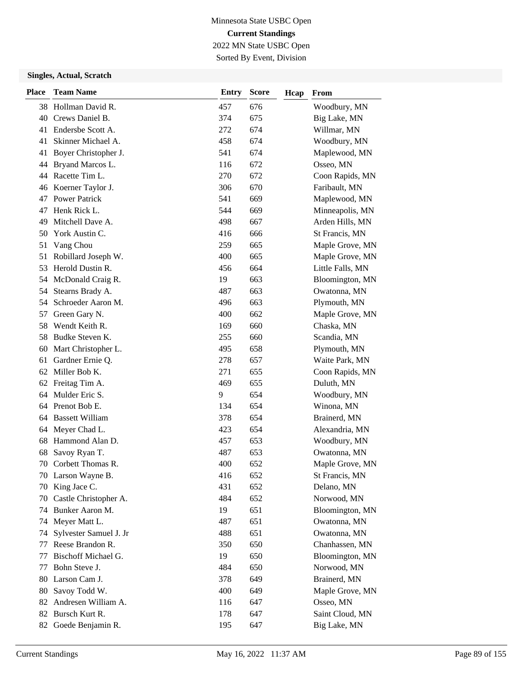Sorted By Event, Division

| <b>Place</b> | <b>Team Name</b>       | <b>Entry</b> | <b>Score</b> | Hcap | From             |
|--------------|------------------------|--------------|--------------|------|------------------|
| 38           | Hollman David R.       | 457          | 676          |      | Woodbury, MN     |
| 40           | Crews Daniel B.        | 374          | 675          |      | Big Lake, MN     |
| 41           | Endersbe Scott A.      | 272          | 674          |      | Willmar, MN      |
| 41           | Skinner Michael A.     | 458          | 674          |      | Woodbury, MN     |
| 41           | Boyer Christopher J.   | 541          | 674          |      | Maplewood, MN    |
| 44           | Bryand Marcos L.       | 116          | 672          |      | Osseo, MN        |
|              | 44 Racette Tim L.      | 270          | 672          |      | Coon Rapids, MN  |
|              | 46 Koerner Taylor J.   | 306          | 670          |      | Faribault, MN    |
| 47           | <b>Power Patrick</b>   | 541          | 669          |      | Maplewood, MN    |
| 47           | Henk Rick L.           | 544          | 669          |      | Minneapolis, MN  |
| 49           | Mitchell Dave A.       | 498          | 667          |      | Arden Hills, MN  |
| 50           | York Austin C.         | 416          | 666          |      | St Francis, MN   |
| 51           | Vang Chou              | 259          | 665          |      | Maple Grove, MN  |
| 51           | Robillard Joseph W.    | 400          | 665          |      | Maple Grove, MN  |
| 53           | Herold Dustin R.       | 456          | 664          |      | Little Falls, MN |
|              | 54 McDonald Craig R.   | 19           | 663          |      | Bloomington, MN  |
| 54           | Stearns Brady A.       | 487          | 663          |      | Owatonna, MN     |
| 54           | Schroeder Aaron M.     | 496          | 663          |      | Plymouth, MN     |
| 57           | Green Gary N.          | 400          | 662          |      | Maple Grove, MN  |
|              | 58 Wendt Keith R.      | 169          | 660          |      | Chaska, MN       |
| 58           | Budke Steven K.        | 255          | 660          |      | Scandia, MN      |
| 60           | Mart Christopher L.    | 495          | 658          |      | Plymouth, MN     |
| 61           | Gardner Ernie Q.       | 278          | 657          |      | Waite Park, MN   |
| 62           | Miller Bob K.          | 271          | 655          |      | Coon Rapids, MN  |
| 62           | Freitag Tim A.         | 469          | 655          |      | Duluth, MN       |
| 64           | Mulder Eric S.         | 9            | 654          |      | Woodbury, MN     |
| 64           | Prenot Bob E.          | 134          | 654          |      | Winona, MN       |
| 64           | <b>Bassett William</b> | 378          | 654          |      | Brainerd, MN     |
| 64           | Meyer Chad L.          | 423          | 654          |      | Alexandria, MN   |
| 68           | Hammond Alan D.        | 457          | 653          |      | Woodbury, MN     |
| 68           | Savoy Ryan T.          | 487          | 653          |      | Owatonna, MN     |
| 70           | Corbett Thomas R.      | 400          | 652          |      | Maple Grove, MN  |
|              | 70 Larson Wayne B.     | 416          | 652          |      | St Francis, MN   |
| 70           | King Jace C.           | 431          | 652          |      | Delano, MN       |
| 70           | Castle Christopher A.  | 484          | 652          |      | Norwood, MN      |
| 74           | Bunker Aaron M.        | 19           | 651          |      | Bloomington, MN  |
| 74           | Meyer Matt L.          | 487          | 651          |      | Owatonna, MN     |
| 74           | Sylvester Samuel J. Jr | 488          | 651          |      | Owatonna, MN     |
| 77           | Reese Brandon R.       | 350          | 650          |      | Chanhassen, MN   |
| 77           | Bischoff Michael G.    | 19           | 650          |      | Bloomington, MN  |
| 77           | Bohn Steve J.          | 484          | 650          |      | Norwood, MN      |
| 80           | Larson Cam J.          | 378          | 649          |      | Brainerd, MN     |
| 80           | Savoy Todd W.          | 400          | 649          |      | Maple Grove, MN  |
| 82           | Andresen William A.    | 116          | 647          |      | Osseo, MN        |
| 82           | Bursch Kurt R.         | 178          | 647          |      | Saint Cloud, MN  |
|              | 82 Goede Benjamin R.   | 195          | 647          |      | Big Lake, MN     |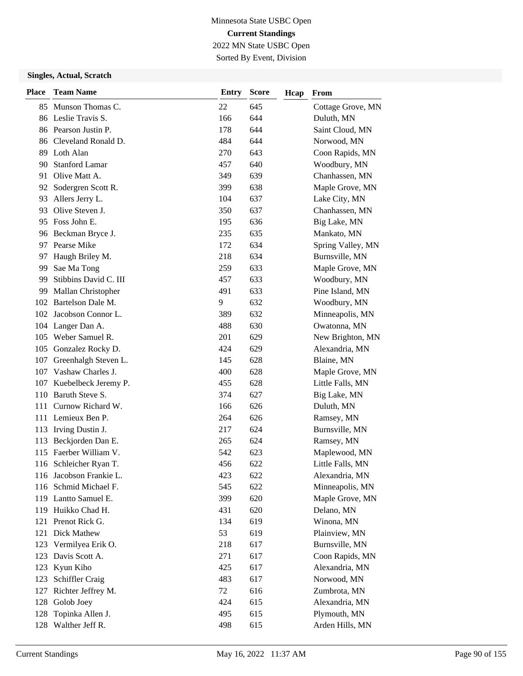Sorted By Event, Division

| <b>Place</b> | <b>Team Name</b>        | <b>Entry</b> | <b>Score</b> | Hcap | From              |
|--------------|-------------------------|--------------|--------------|------|-------------------|
| 85           | Munson Thomas C.        | 22           | 645          |      | Cottage Grove, MN |
|              | 86 Leslie Travis S.     | 166          | 644          |      | Duluth, MN        |
|              | 86 Pearson Justin P.    | 178          | 644          |      | Saint Cloud, MN   |
|              | 86 Cleveland Ronald D.  | 484          | 644          |      | Norwood, MN       |
|              | 89 Loth Alan            | 270          | 643          |      | Coon Rapids, MN   |
| 90           | <b>Stanford Lamar</b>   | 457          | 640          |      | Woodbury, MN      |
| 91           | Olive Matt A.           | 349          | 639          |      | Chanhassen, MN    |
| 92           | Sodergren Scott R.      | 399          | 638          |      | Maple Grove, MN   |
| 93           | Allers Jerry L.         | 104          | 637          |      | Lake City, MN     |
| 93           | Olive Steven J.         | 350          | 637          |      | Chanhassen, MN    |
| 95           | Foss John E.            | 195          | 636          |      | Big Lake, MN      |
|              | 96 Beckman Bryce J.     | 235          | 635          |      | Mankato, MN       |
| 97           | Pearse Mike             | 172          | 634          |      | Spring Valley, MN |
| 97           | Haugh Briley M.         | 218          | 634          |      | Burnsville, MN    |
| 99           | Sae Ma Tong             | 259          | 633          |      | Maple Grove, MN   |
| 99           | Stibbins David C. III   | 457          | 633          |      | Woodbury, MN      |
| 99           | Mallan Christopher      | 491          | 633          |      | Pine Island, MN   |
| 102          | Bartelson Dale M.       | 9            | 632          |      | Woodbury, MN      |
| 102          | Jacobson Connor L.      | 389          | 632          |      | Minneapolis, MN   |
|              | 104 Langer Dan A.       | 488          | 630          |      | Owatonna, MN      |
| 105          | Weber Samuel R.         | 201          | 629          |      | New Brighton, MN  |
| 105          | Gonzalez Rocky D.       | 424          | 629          |      | Alexandria, MN    |
| 107          | Greenhalgh Steven L.    | 145          | 628          |      | Blaine, MN        |
| 107          | Vashaw Charles J.       | 400          | 628          |      | Maple Grove, MN   |
| 107          | Kuebelbeck Jeremy P.    | 455          | 628          |      | Little Falls, MN  |
| 110          | Baruth Steve S.         | 374          | 627          |      | Big Lake, MN      |
| 111          | Curnow Richard W.       | 166          | 626          |      | Duluth, MN        |
|              | 111 Lemieux Ben P.      | 264          | 626          |      | Ramsey, MN        |
|              | 113 Irving Dustin J.    | 217          | 624          |      | Burnsville, MN    |
| 113          | Beckjorden Dan E.       | 265          | 624          |      | Ramsey, MN        |
| 115          | Faerber William V.      | 542          | 623          |      | Maplewood, MN     |
|              | 116 Schleicher Ryan T.  | 456          | 622          |      | Little Falls, MN  |
|              | 116 Jacobson Frankie L. | 423          | 622          |      | Alexandria, MN    |
|              | 116 Schmid Michael F.   | 545          | 622          |      | Minneapolis, MN   |
|              | 119 Lantto Samuel E.    | 399          | 620          |      | Maple Grove, MN   |
|              | 119 Huikko Chad H.      | 431          | 620          |      | Delano, MN        |
|              | 121 Prenot Rick G.      | 134          | 619          |      | Winona, MN        |
|              | 121 Dick Mathew         | 53           | 619          |      | Plainview, MN     |
| 123          | Vermilyea Erik O.       | 218          | 617          |      | Burnsville, MN    |
| 123          | Davis Scott A.          | 271          | 617          |      | Coon Rapids, MN   |
| 123          | Kyun Kiho               | 425          | 617          |      | Alexandria, MN    |
| 123          | Schiffler Craig         | 483          | 617          |      | Norwood, MN       |
| 127          | Richter Jeffrey M.      | 72           | 616          |      | Zumbrota, MN      |
| 128          | Golob Joey              | 424          | 615          |      | Alexandria, MN    |
| 128          | Topinka Allen J.        | 495          | 615          |      | Plymouth, MN      |
| 128          | Walther Jeff R.         | 498          | 615          |      | Arden Hills, MN   |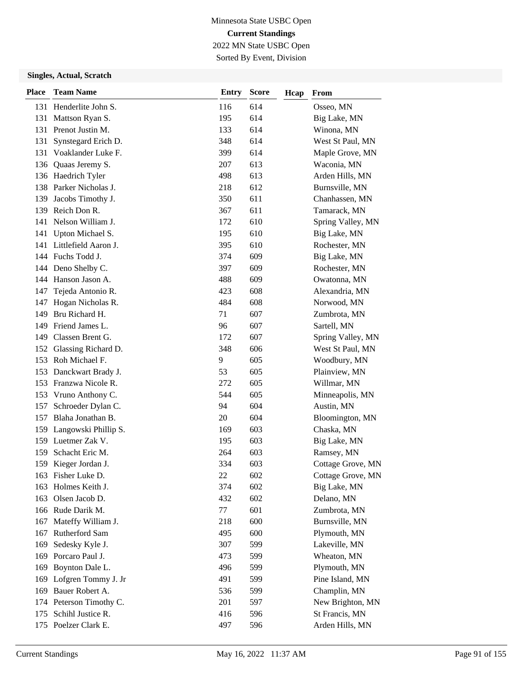Sorted By Event, Division

| <b>Place</b> | <b>Team Name</b>         | <b>Entry</b> | <b>Score</b> | Hcap | From              |
|--------------|--------------------------|--------------|--------------|------|-------------------|
|              | 131 Henderlite John S.   | 116          | 614          |      | Osseo, MN         |
| 131          | Mattson Ryan S.          | 195          | 614          |      | Big Lake, MN      |
|              | 131 Prenot Justin M.     | 133          | 614          |      | Winona, MN        |
| 131          | Synstegard Erich D.      | 348          | 614          |      | West St Paul, MN  |
| 131          | Voaklander Luke F.       | 399          | 614          |      | Maple Grove, MN   |
| 136          | Quaas Jeremy S.          | 207          | 613          |      | Waconia, MN       |
|              | 136 Haedrich Tyler       | 498          | 613          |      | Arden Hills, MN   |
|              | 138 Parker Nicholas J.   | 218          | 612          |      | Burnsville, MN    |
| 139          | Jacobs Timothy J.        | 350          | 611          |      | Chanhassen, MN    |
|              | 139 Reich Don R.         | 367          | 611          |      | Tamarack, MN      |
| 141          | Nelson William J.        | 172          | 610          |      | Spring Valley, MN |
| 141          | Upton Michael S.         | 195          | 610          |      | Big Lake, MN      |
|              | 141 Littlefield Aaron J. | 395          | 610          |      | Rochester, MN     |
|              | 144 Fuchs Todd J.        | 374          | 609          |      | Big Lake, MN      |
| 144          | Deno Shelby C.           | 397          | 609          |      | Rochester, MN     |
|              | 144 Hanson Jason A.      | 488          | 609          |      | Owatonna, MN      |
| 147          | Tejeda Antonio R.        | 423          | 608          |      | Alexandria, MN    |
| 147          | Hogan Nicholas R.        | 484          | 608          |      | Norwood, MN       |
| 149          | Bru Richard H.           | 71           | 607          |      | Zumbrota, MN      |
| 149          | Friend James L.          | 96           | 607          |      | Sartell, MN       |
| 149          | Classen Brent G.         | 172          | 607          |      | Spring Valley, MN |
| 152          | Glassing Richard D.      | 348          | 606          |      | West St Paul, MN  |
| 153          | Roh Michael F.           | 9            | 605          |      | Woodbury, MN      |
|              | 153 Danckwart Brady J.   | 53           | 605          |      | Plainview, MN     |
|              | 153 Franzwa Nicole R.    | 272          | 605          |      | Willmar, MN       |
|              | 153 Vruno Anthony C.     | 544          | 605          |      | Minneapolis, MN   |
| 157          | Schroeder Dylan C.       | 94           | 604          |      | Austin, MN        |
| 157          | Blaha Jonathan B.        | 20           | 604          |      | Bloomington, MN   |
|              | 159 Langowski Phillip S. | 169          | 603          |      | Chaska, MN        |
|              | 159 Luetmer Zak V.       | 195          | 603          |      | Big Lake, MN      |
| 159          | Schacht Eric M.          | 264          | 603          |      | Ramsey, MN        |
|              | 159 Kieger Jordan J.     | 334          | 603          |      | Cottage Grove, MN |
|              | 163 Fisher Luke D.       | 22           | 602          |      | Cottage Grove, MN |
| 163          | Holmes Keith J.          | 374          | 602          |      | Big Lake, MN      |
| 163          | Olsen Jacob D.           | 432          | 602          |      | Delano, MN        |
|              | 166 Rude Darik M.        | 77           | 601          |      | Zumbrota, MN      |
| 167          | Mateffy William J.       | 218          | 600          |      | Burnsville, MN    |
| 167          | Rutherford Sam           | 495          | 600          |      | Plymouth, MN      |
| 169          | Sedesky Kyle J.          | 307          | 599          |      | Lakeville, MN     |
| 169          | Porcaro Paul J.          | 473          | 599          |      | Wheaton, MN       |
| 169          | Boynton Dale L.          | 496          | 599          |      | Plymouth, MN      |
| 169          | Lofgren Tommy J. Jr      | 491          | 599          |      | Pine Island, MN   |
| 169          | Bauer Robert A.          | 536          | 599          |      | Champlin, MN      |
|              | 174 Peterson Timothy C.  | 201          | 597          |      | New Brighton, MN  |
| 175          | Schihl Justice R.        | 416          | 596          |      | St Francis, MN    |
|              | 175 Poelzer Clark E.     | 497          | 596          |      | Arden Hills, MN   |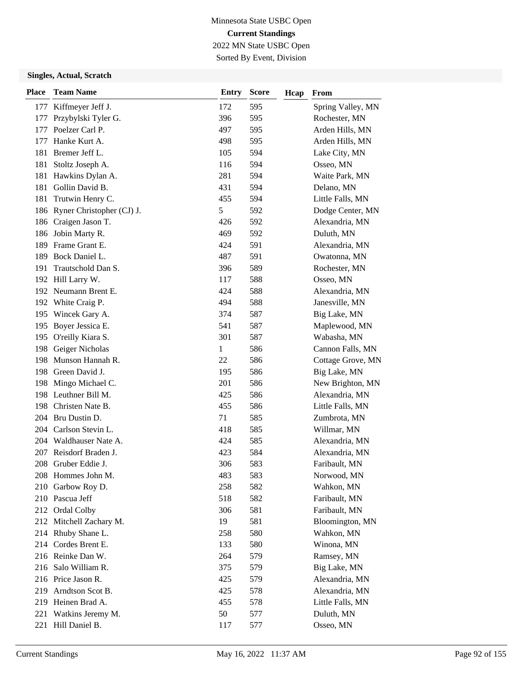Sorted By Event, Division

| <b>Place</b> | <b>Team Name</b>              | <b>Entry</b> | <b>Score</b> | Hcap | From              |
|--------------|-------------------------------|--------------|--------------|------|-------------------|
| 177          | Kiffmeyer Jeff J.             | 172          | 595          |      | Spring Valley, MN |
| 177          | Przybylski Tyler G.           | 396          | 595          |      | Rochester, MN     |
| 177          | Poelzer Carl P.               | 497          | 595          |      | Arden Hills, MN   |
| 177          | Hanke Kurt A.                 | 498          | 595          |      | Arden Hills, MN   |
| 181          | Bremer Jeff L.                | 105          | 594          |      | Lake City, MN     |
| 181          | Stoltz Joseph A.              | 116          | 594          |      | Osseo, MN         |
| 181          | Hawkins Dylan A.              | 281          | 594          |      | Waite Park, MN    |
|              | 181 Gollin David B.           | 431          | 594          |      | Delano, MN        |
| 181          | Trutwin Henry C.              | 455          | 594          |      | Little Falls, MN  |
|              | 186 Ryner Christopher (CJ) J. | 5            | 592          |      | Dodge Center, MN  |
|              | 186 Craigen Jason T.          | 426          | 592          |      | Alexandria, MN    |
| 186          | Jobin Marty R.                | 469          | 592          |      | Duluth, MN        |
| 189          | Frame Grant E.                | 424          | 591          |      | Alexandria, MN    |
| 189          | Bock Daniel L.                | 487          | 591          |      | Owatonna, MN      |
| 191          | Trautschold Dan S.            | 396          | 589          |      | Rochester, MN     |
|              | 192 Hill Larry W.             | 117          | 588          |      | Osseo, MN         |
|              | 192 Neumann Brent E.          | 424          | 588          |      | Alexandria, MN    |
| 192          | White Craig P.                | 494          | 588          |      | Janesville, MN    |
| 195          | Wincek Gary A.                | 374          | 587          |      | Big Lake, MN      |
|              | 195 Boyer Jessica E.          | 541          | 587          |      | Maplewood, MN     |
|              | 195 O'reilly Kiara S.         | 301          | 587          |      | Wabasha, MN       |
| 198          | Geiger Nicholas               | 1            | 586          |      | Cannon Falls, MN  |
| 198          | Munson Hannah R.              | 22           | 586          |      | Cottage Grove, MN |
|              | 198 Green David J.            | 195          | 586          |      | Big Lake, MN      |
| 198          | Mingo Michael C.              | 201          | 586          |      | New Brighton, MN  |
| 198          | Leuthner Bill M.              | 425          | 586          |      | Alexandria, MN    |
|              | 198 Christen Nate B.          | 455          | 586          |      | Little Falls, MN  |
|              | 204 Bru Dustin D.             | 71           | 585          |      | Zumbrota, MN      |
|              | 204 Carlson Stevin L.         | 418          | 585          |      | Willmar, MN       |
|              | 204 Waldhauser Nate A.        | 424          | 585          |      | Alexandria, MN    |
| 207          | Reisdorf Braden J.            | 423          | 584          |      | Alexandria, MN    |
|              | 208 Gruber Eddie J.           | 306          | 583          |      | Faribault, MN     |
|              | 208 Hommes John M.            | 483          | 583          |      | Norwood, MN       |
|              | 210 Garbow Roy D.             | 258          | 582          |      | Wahkon, MN        |
|              | 210 Pascua Jeff               | 518          | 582          |      | Faribault, MN     |
|              | 212 Ordal Colby               | 306          | 581          |      | Faribault, MN     |
|              | 212 Mitchell Zachary M.       | 19           | 581          |      | Bloomington, MN   |
|              | 214 Rhuby Shane L.            | 258          | 580          |      | Wahkon, MN        |
|              | 214 Cordes Brent E.           | 133          | 580          |      | Winona, MN        |
|              | 216 Reinke Dan W.             | 264          | 579          |      | Ramsey, MN        |
| 216          | Salo William R.               | 375          | 579          |      | Big Lake, MN      |
|              | 216 Price Jason R.            | 425          | 579          |      | Alexandria, MN    |
| 219          | Arndtson Scot B.              | 425          | 578          |      | Alexandria, MN    |
|              | 219 Heinen Brad A.            | 455          | 578          |      | Little Falls, MN  |
| 221          | Watkins Jeremy M.             | 50           | 577          |      | Duluth, MN        |
|              | 221 Hill Daniel B.            | 117          | 577          |      | Osseo, MN         |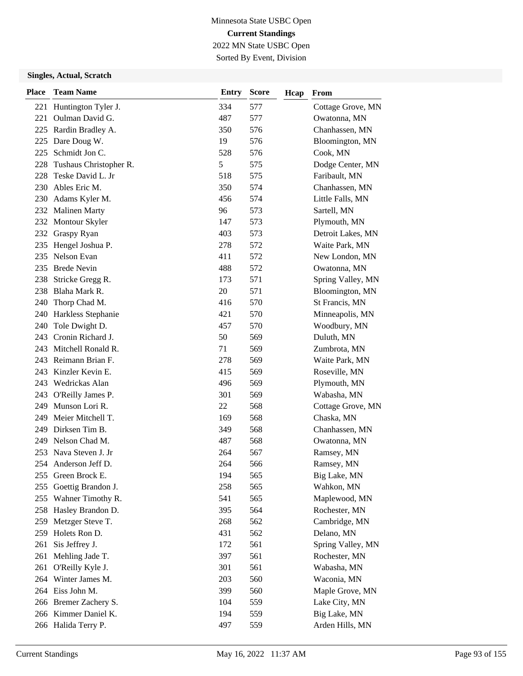Sorted By Event, Division

| <b>Place</b> | <b>Team Name</b>       | <b>Entry</b> | <b>Score</b> | Hcap | From              |
|--------------|------------------------|--------------|--------------|------|-------------------|
| 221          | Huntington Tyler J.    | 334          | 577          |      | Cottage Grove, MN |
| 221          | Oulman David G.        | 487          | 577          |      | Owatonna, MN      |
| 225          | Rardin Bradley A.      | 350          | 576          |      | Chanhassen, MN    |
|              | 225 Dare Doug W.       | 19           | 576          |      | Bloomington, MN   |
|              | 225 Schmidt Jon C.     | 528          | 576          |      | Cook, MN          |
| 228          | Tushaus Christopher R. | 5            | 575          |      | Dodge Center, MN  |
| 228          | Teske David L. Jr      | 518          | 575          |      | Faribault, MN     |
|              | 230 Ables Eric M.      | 350          | 574          |      | Chanhassen, MN    |
|              | 230 Adams Kyler M.     | 456          | 574          |      | Little Falls, MN  |
|              | 232 Malinen Marty      | 96           | 573          |      | Sartell, MN       |
|              | 232 Montour Skyler     | 147          | 573          |      | Plymouth, MN      |
|              | 232 Graspy Ryan        | 403          | 573          |      | Detroit Lakes, MN |
| 235          | Hengel Joshua P.       | 278          | 572          |      | Waite Park, MN    |
| 235          | Nelson Evan            | 411          | 572          |      | New London, MN    |
| 235          | <b>Brede Nevin</b>     | 488          | 572          |      | Owatonna, MN      |
|              | 238 Stricke Gregg R.   | 173          | 571          |      | Spring Valley, MN |
|              | 238 Blaha Mark R.      | 20           | 571          |      | Bloomington, MN   |
| 240          | Thorp Chad M.          | 416          | 570          |      | St Francis, MN    |
| 240          | Harkless Stephanie     | 421          | 570          |      | Minneapolis, MN   |
| 240          | Tole Dwight D.         | 457          | 570          |      | Woodbury, MN      |
|              | 243 Cronin Richard J.  | 50           | 569          |      | Duluth, MN        |
| 243          | Mitchell Ronald R.     | 71           | 569          |      | Zumbrota, MN      |
|              | 243 Reimann Brian F.   | 278          | 569          |      | Waite Park, MN    |
|              | 243 Kinzler Kevin E.   | 415          | 569          |      | Roseville, MN     |
|              | 243 Wedrickas Alan     | 496          | 569          |      | Plymouth, MN      |
| 243          | O'Reilly James P.      | 301          | 569          |      | Wabasha, MN       |
| 249          | Munson Lori R.         | 22           | 568          |      | Cottage Grove, MN |
| 249          | Meier Mitchell T.      | 169          | 568          |      | Chaska, MN        |
| 249          | Dirksen Tim B.         | 349          | 568          |      | Chanhassen, MN    |
| 249          | Nelson Chad M.         | 487          | 568          |      | Owatonna, MN      |
| 253          | Nava Steven J. Jr      | 264          | 567          |      | Ramsey, MN        |
|              | 254 Anderson Jeff D.   | 264          | 566          |      | Ramsey, MN        |
|              | 255 Green Brock E.     | 194          | 565          |      | Big Lake, MN      |
| 255          | Goettig Brandon J.     | 258          | 565          |      | Wahkon, MN        |
| 255          | Wahner Timothy R.      | 541          | 565          |      | Maplewood, MN     |
|              | 258 Hasley Brandon D.  | 395          | 564          |      | Rochester, MN     |
| 259          | Metzger Steve T.       | 268          | 562          |      | Cambridge, MN     |
| 259          | Holets Ron D.          | 431          | 562          |      | Delano, MN        |
| 261          | Sis Jeffrey J.         | 172          | 561          |      | Spring Valley, MN |
| 261          | Mehling Jade T.        | 397          | 561          |      | Rochester, MN     |
|              | 261 O'Reilly Kyle J.   | 301          | 561          |      | Wabasha, MN       |
|              | 264 Winter James M.    | 203          | 560          |      | Waconia, MN       |
|              | 264 Eiss John M.       | 399          | 560          |      | Maple Grove, MN   |
|              | 266 Bremer Zachery S.  | 104          | 559          |      | Lake City, MN     |
|              | 266 Kimmer Daniel K.   | 194          | 559          |      | Big Lake, MN      |
|              | 266 Halida Terry P.    | 497          | 559          |      | Arden Hills, MN   |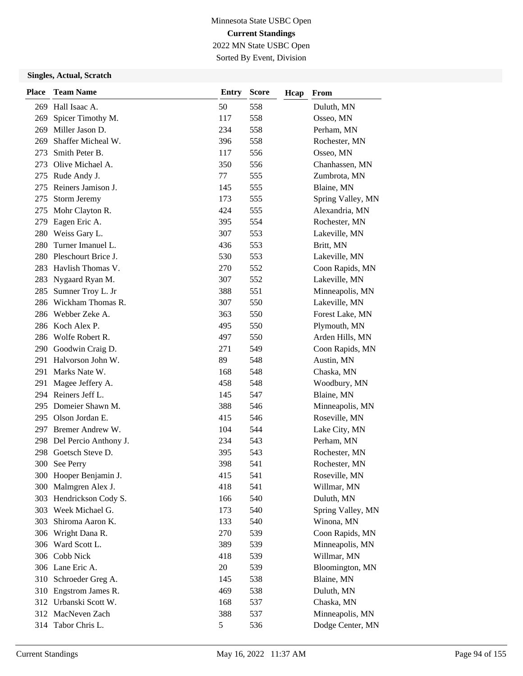Sorted By Event, Division

| <b>Place</b> | <b>Team Name</b>       | Entry         | <b>Score</b> | Hcap | From              |
|--------------|------------------------|---------------|--------------|------|-------------------|
|              | 269 Hall Isaac A.      | 50            | 558          |      | Duluth, MN        |
| 269          | Spicer Timothy M.      | 117           | 558          |      | Osseo, MN         |
| 269          | Miller Jason D.        | 234           | 558          |      | Perham, MN        |
| 269          | Shaffer Micheal W.     | 396           | 558          |      | Rochester, MN     |
| 273          | Smith Peter B.         | 117           | 556          |      | Osseo, MN         |
| 273          | Olive Michael A.       | 350           | 556          |      | Chanhassen, MN    |
| 275          | Rude Andy J.           | 77            | 555          |      | Zumbrota, MN      |
| 275          | Reiners Jamison J.     | 145           | 555          |      | Blaine, MN        |
| 275          | <b>Storm Jeremy</b>    | 173           | 555          |      | Spring Valley, MN |
| 275          | Mohr Clayton R.        | 424           | 555          |      | Alexandria, MN    |
| 279          | Eagen Eric A.          | 395           | 554          |      | Rochester, MN     |
| 280          | Weiss Gary L.          | 307           | 553          |      | Lakeville, MN     |
| 280          | Turner Imanuel L.      | 436           | 553          |      | Britt, MN         |
| 280          | Pleschourt Brice J.    | 530           | 553          |      | Lakeville, MN     |
| 283          | Havlish Thomas V.      | 270           | 552          |      | Coon Rapids, MN   |
| 283          | Nygaard Ryan M.        | 307           | 552          |      | Lakeville, MN     |
| 285          | Sumner Troy L. Jr      | 388           | 551          |      | Minneapolis, MN   |
| 286          | Wickham Thomas R.      | 307           | 550          |      | Lakeville, MN     |
| 286          | Webber Zeke A.         | 363           | 550          |      | Forest Lake, MN   |
|              | 286 Koch Alex P.       | 495           | 550          |      | Plymouth, MN      |
|              | 286 Wolfe Robert R.    | 497           | 550          |      | Arden Hills, MN   |
| 290          | Goodwin Craig D.       | 271           | 549          |      | Coon Rapids, MN   |
| 291          | Halvorson John W.      | 89            | 548          |      | Austin, MN        |
| 291          | Marks Nate W.          | 168           | 548          |      | Chaska, MN        |
| 291          | Magee Jeffery A.       | 458           | 548          |      | Woodbury, MN      |
|              | 294 Reiners Jeff L.    | 145           | 547          |      | Blaine, MN        |
| 295          | Domeier Shawn M.       | 388           | 546          |      | Minneapolis, MN   |
|              | 295 Olson Jordan E.    | 415           | 546          |      | Roseville, MN     |
|              | 297 Bremer Andrew W.   | 104           | 544          |      | Lake City, MN     |
| 298          | Del Percio Anthony J.  | 234           | 543          |      | Perham, MN        |
| 298          | Goetsch Steve D.       | 395           | 543          |      | Rochester, MN     |
|              | 300 See Perry          | 398           | 541          |      | Rochester, MN     |
|              | 300 Hooper Benjamin J. | 415           | 541          |      | Roseville, MN     |
| 300          | Malmgren Alex J.       | 418           | 541          |      | Willmar, MN       |
| 303          | Hendrickson Cody S.    | 166           | 540          |      | Duluth, MN        |
|              | 303 Week Michael G.    | 173           | 540          |      | Spring Valley, MN |
| 303          | Shiroma Aaron K.       | 133           | 540          |      | Winona, MN        |
| 306          | Wright Dana R.         | 270           | 539          |      | Coon Rapids, MN   |
| 306          | Ward Scott L.          | 389           | 539          |      | Minneapolis, MN   |
|              | 306 Cobb Nick          | 418           | 539          |      | Willmar, MN       |
|              | 306 Lane Eric A.       | 20            | 539          |      | Bloomington, MN   |
|              | 310 Schroeder Greg A.  | 145           | 538          |      | Blaine, MN        |
| 310          | Engstrom James R.      | 469           | 538          |      | Duluth, MN        |
|              | 312 Urbanski Scott W.  | 168           | 537          |      | Chaska, MN        |
|              | 312 MacNeven Zach      | 388           | 537          |      | Minneapolis, MN   |
| 314          | Tabor Chris L.         | $\mathfrak s$ | 536          |      | Dodge Center, MN  |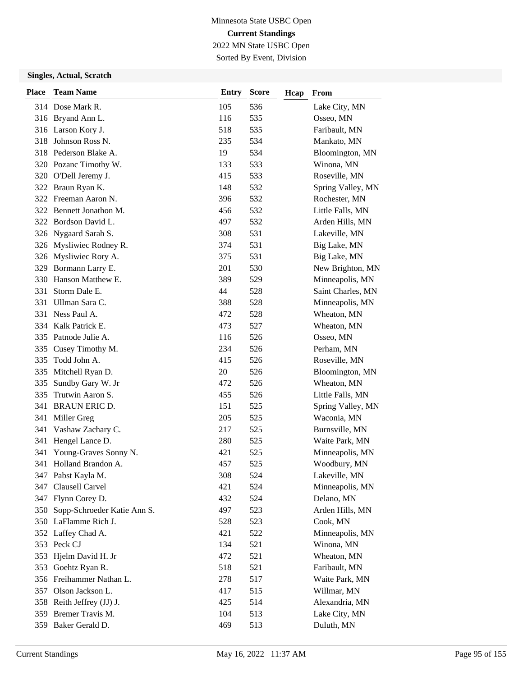Sorted By Event, Division

| <b>Place</b> | <b>Team Name</b>                | <b>Entry</b> | <b>Score</b> | Hcap | From              |
|--------------|---------------------------------|--------------|--------------|------|-------------------|
|              | 314 Dose Mark R.                | 105          | 536          |      | Lake City, MN     |
|              | 316 Bryand Ann L.               | 116          | 535          |      | Osseo, MN         |
|              | 316 Larson Kory J.              | 518          | 535          |      | Faribault, MN     |
| 318          | Johnson Ross N.                 | 235          | 534          |      | Mankato, MN       |
|              | 318 Pederson Blake A.           | 19           | 534          |      | Bloomington, MN   |
|              | 320 Pozanc Timothy W.           | 133          | 533          |      | Winona, MN        |
|              | 320 O'Dell Jeremy J.            | 415          | 533          |      | Roseville, MN     |
|              | 322 Braun Ryan K.               | 148          | 532          |      | Spring Valley, MN |
|              | 322 Freeman Aaron N.            | 396          | 532          |      | Rochester, MN     |
|              | 322 Bennett Jonathon M.         | 456          | 532          |      | Little Falls, MN  |
|              | 322 Bordson David L.            | 497          | 532          |      | Arden Hills, MN   |
|              | 326 Nygaard Sarah S.            | 308          | 531          |      | Lakeville, MN     |
|              | 326 Mysliwiec Rodney R.         | 374          | 531          |      | Big Lake, MN      |
|              | 326 Mysliwiec Rory A.           | 375          | 531          |      | Big Lake, MN      |
|              | 329 Bormann Larry E.            | 201          | 530          |      | New Brighton, MN  |
|              | 330 Hanson Matthew E.           | 389          | 529          |      | Minneapolis, MN   |
| 331          | Storm Dale E.                   | 44           | 528          |      | Saint Charles, MN |
| 331          | Ullman Sara C.                  | 388          | 528          |      | Minneapolis, MN   |
|              | 331 Ness Paul A.                | 472          | 528          |      | Wheaton, MN       |
|              | 334 Kalk Patrick E.             | 473          | 527          |      | Wheaton, MN       |
|              | 335 Patnode Julie A.            | 116          | 526          |      | Osseo, MN         |
| 335          | Cusey Timothy M.                | 234          | 526          |      | Perham, MN        |
| 335          | Todd John A.                    | 415          | 526          |      | Roseville, MN     |
|              | 335 Mitchell Ryan D.            | 20           | 526          |      | Bloomington, MN   |
| 335          | Sundby Gary W. Jr               | 472          | 526          |      | Wheaton, MN       |
| 335          | Trutwin Aaron S.                | 455          | 526          |      | Little Falls, MN  |
| 341          | <b>BRAUN ERIC D.</b>            | 151          | 525          |      | Spring Valley, MN |
|              | 341 Miller Greg                 | 205          | 525          |      | Waconia, MN       |
| 341          | Vashaw Zachary C.               | 217          | 525          |      | Burnsville, MN    |
| 341          | Hengel Lance D.                 | 280          | 525          |      | Waite Park, MN    |
| 341          | Young-Graves Sonny N.           | 421          | 525          |      | Minneapolis, MN   |
|              | 341 Holland Brandon A.          | 457          | 525          |      | Woodbury, MN      |
|              | 347 Pabst Kayla M.              | 308          | 524          |      | Lakeville, MN     |
| 347          | Clausell Carvel                 | 421          | 524          |      | Minneapolis, MN   |
|              | 347 Flynn Corey D.              | 432          | 524          |      | Delano, MN        |
|              | 350 Sopp-Schroeder Katie Ann S. | 497          | 523          |      | Arden Hills, MN   |
|              | 350 LaFlamme Rich J.            | 528          | 523          |      | Cook, MN          |
|              | 352 Laffey Chad A.              | 421          | 522          |      | Minneapolis, MN   |
|              | 353 Peck CJ                     | 134          | 521          |      | Winona, MN        |
|              | 353 Hjelm David H. Jr           | 472          | 521          |      | Wheaton, MN       |
| 353          | Goehtz Ryan R.                  | 518          | 521          |      | Faribault, MN     |
|              | 356 Freihammer Nathan L.        | 278          | 517          |      | Waite Park, MN    |
|              | 357 Olson Jackson L.            | 417          | 515          |      | Willmar, MN       |
|              | 358 Reith Jeffrey (JJ) J.       | 425          | 514          |      | Alexandria, MN    |
|              | 359 Bremer Travis M.            | 104          | 513          |      | Lake City, MN     |
|              | 359 Baker Gerald D.             | 469          | 513          |      | Duluth, MN        |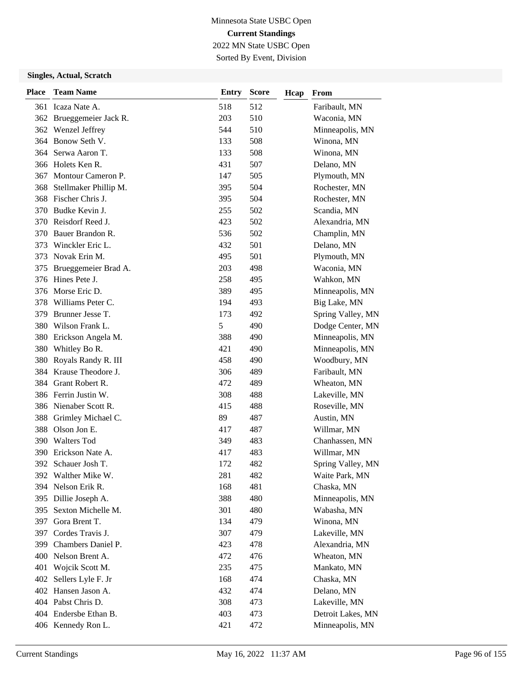Sorted By Event, Division

| <b>Place</b> | <b>Team Name</b>          | <b>Entry</b> | <b>Score</b> | Hcap | From              |
|--------------|---------------------------|--------------|--------------|------|-------------------|
|              | 361 Icaza Nate A.         | 518          | 512          |      | Faribault, MN     |
|              | 362 Brueggemeier Jack R.  | 203          | 510          |      | Waconia, MN       |
|              | 362 Wenzel Jeffrey        | 544          | 510          |      | Minneapolis, MN   |
|              | 364 Bonow Seth V.         | 133          | 508          |      | Winona, MN        |
|              | 364 Serwa Aaron T.        | 133          | 508          |      | Winona, MN        |
|              | 366 Holets Ken R.         | 431          | 507          |      | Delano, MN        |
| 367          | Montour Cameron P.        | 147          | 505          |      | Plymouth, MN      |
|              | 368 Stellmaker Phillip M. | 395          | 504          |      | Rochester, MN     |
|              | 368 Fischer Chris J.      | 395          | 504          |      | Rochester, MN     |
| 370          | Budke Kevin J.            | 255          | 502          |      | Scandia, MN       |
| 370          | Reisdorf Reed J.          | 423          | 502          |      | Alexandria, MN    |
| 370          | Bauer Brandon R.          | 536          | 502          |      | Champlin, MN      |
| 373          | Winckler Eric L.          | 432          | 501          |      | Delano, MN        |
| 373          | Novak Erin M.             | 495          | 501          |      | Plymouth, MN      |
| 375          | Brueggemeier Brad A.      | 203          | 498          |      | Waconia, MN       |
|              | 376 Hines Pete J.         | 258          | 495          |      | Wahkon, MN        |
| 376          | Morse Eric D.             | 389          | 495          |      | Minneapolis, MN   |
| 378          | Williams Peter C.         | 194          | 493          |      | Big Lake, MN      |
| 379          | Brunner Jesse T.          | 173          | 492          |      | Spring Valley, MN |
| 380          | Wilson Frank L.           | 5            | 490          |      | Dodge Center, MN  |
| 380          | Erickson Angela M.        | 388          | 490          |      | Minneapolis, MN   |
| 380          | Whitley Bo R.             | 421          | 490          |      | Minneapolis, MN   |
| 380          | Royals Randy R. III       | 458          | 490          |      | Woodbury, MN      |
|              | 384 Krause Theodore J.    | 306          | 489          |      | Faribault, MN     |
|              | 384 Grant Robert R.       | 472          | 489          |      | Wheaton, MN       |
|              | 386 Ferrin Justin W.      | 308          | 488          |      | Lakeville, MN     |
|              | 386 Nienaber Scott R.     | 415          | 488          |      | Roseville, MN     |
|              | 388 Grimley Michael C.    | 89           | 487          |      | Austin, MN        |
| 388          | Olson Jon E.              | 417          | 487          |      | Willmar, MN       |
| 390          | <b>Walters Tod</b>        | 349          | 483          |      | Chanhassen, MN    |
| 390          | Erickson Nate A.          | 417          | 483          |      | Willmar, MN       |
|              | 392 Schauer Josh T.       | 172          | 482          |      | Spring Valley, MN |
|              | 392 Walther Mike W.       | 281          | 482          |      | Waite Park, MN    |
| 394          | Nelson Erik R.            | 168          | 481          |      | Chaska, MN        |
| 395          | Dillie Joseph A.          | 388          | 480          |      | Minneapolis, MN   |
|              | 395 Sexton Michelle M.    | 301          | 480          |      | Wabasha, MN       |
|              | 397 Gora Brent T.         | 134          | 479          |      | Winona, MN        |
|              | 397 Cordes Travis J.      | 307          | 479          |      | Lakeville, MN     |
| 399          | Chambers Daniel P.        | 423          | 478          |      | Alexandria, MN    |
|              | 400 Nelson Brent A.       | 472          | 476          |      | Wheaton, MN       |
| 401          | Wojcik Scott M.           | 235          | 475          |      | Mankato, MN       |
| 402          | Sellers Lyle F. Jr        | 168          | 474          |      | Chaska, MN        |
|              | 402 Hansen Jason A.       | 432          | 474          |      | Delano, MN        |
|              | 404 Pabst Chris D.        | 308          | 473          |      | Lakeville, MN     |
|              | 404 Endersbe Ethan B.     | 403          | 473          |      | Detroit Lakes, MN |
|              | 406 Kennedy Ron L.        | 421          | 472          |      | Minneapolis, MN   |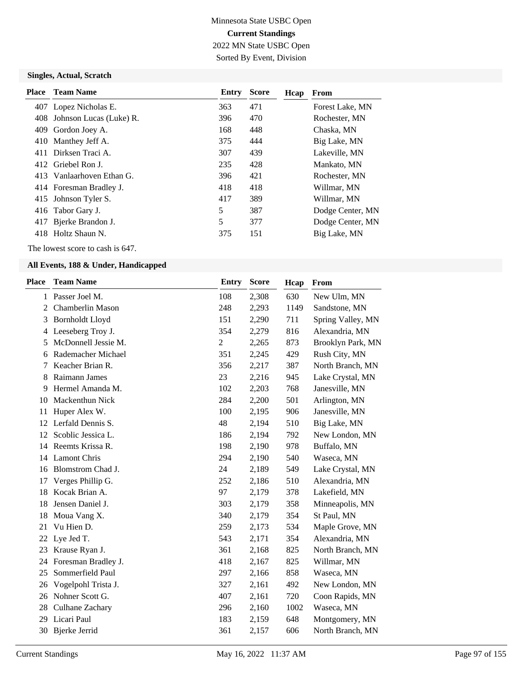## Minnesota State USBC Open **Current Standings** 2022 MN State USBC Open Sorted By Event, Division

#### **Singles, Actual, Scratch**

| <b>Place</b> | <b>Team Name</b>            | Entry | <b>Score</b> | Hcap | From             |
|--------------|-----------------------------|-------|--------------|------|------------------|
|              | 407 Lopez Nicholas E.       | 363   | 471          |      | Forest Lake, MN  |
|              | 408 Johnson Lucas (Luke) R. | 396   | 470          |      | Rochester, MN    |
| 409          | Gordon Joey A.              | 168   | 448          |      | Chaska, MN       |
| 410          | Manthey Jeff A.             | 375   | 444          |      | Big Lake, MN     |
| 411          | Dirksen Traci A.            | 307   | 439          |      | Lakeville, MN    |
|              | 412 Griebel Ron J.          | 235   | 428          |      | Mankato, MN      |
|              | 413 Vanlaarhoven Ethan G.   | 396   | 421          |      | Rochester, MN    |
|              | 414 Foresman Bradley J.     | 418   | 418          |      | Willmar, MN      |
|              | 415 Johnson Tyler S.        | 417   | 389          |      | Willmar, MN      |
|              | 416 Tabor Gary J.           | 5     | 387          |      | Dodge Center, MN |
| 417          | Bjerke Brandon J.           | 5     | 377          |      | Dodge Center, MN |
| 418.         | Holtz Shaun N.              | 375   | 151          |      | Big Lake, MN     |
|              |                             |       |              |      |                  |

The lowest score to cash is 647.

| <b>Place</b> | <b>Team Name</b>        | <b>Entry</b>   | <b>Score</b> | Hcap | From              |
|--------------|-------------------------|----------------|--------------|------|-------------------|
| $\mathbf{1}$ | Passer Joel M.          | 108            | 2,308        | 630  | New Ulm, MN       |
| 2            | <b>Chamberlin Mason</b> | 248            | 2,293        | 1149 | Sandstone, MN     |
| 3            | <b>Bornholdt Lloyd</b>  | 151            | 2,290        | 711  | Spring Valley, MN |
| 4            | Leeseberg Troy J.       | 354            | 2,279        | 816  | Alexandria, MN    |
| 5            | McDonnell Jessie M.     | $\overline{c}$ | 2,265        | 873  | Brooklyn Park, MN |
| 6            | Rademacher Michael      | 351            | 2,245        | 429  | Rush City, MN     |
| 7            | Keacher Brian R.        | 356            | 2,217        | 387  | North Branch, MN  |
| 8            | Raimann James           | 23             | 2,216        | 945  | Lake Crystal, MN  |
| 9            | Hermel Amanda M.        | 102            | 2,203        | 768  | Janesville, MN    |
| 10           | <b>Mackenthun Nick</b>  | 284            | 2,200        | 501  | Arlington, MN     |
| 11           | Huper Alex W.           | 100            | 2,195        | 906  | Janesville, MN    |
| 12           | Lerfald Dennis S.       | 48             | 2,194        | 510  | Big Lake, MN      |
| 12           | Scoblic Jessica L.      | 186            | 2,194        | 792  | New London, MN    |
| 14           | Reemts Krissa R.        | 198            | 2,190        | 978  | Buffalo, MN       |
| 14           | <b>Lamont Chris</b>     | 294            | 2,190        | 540  | Waseca, MN        |
| 16           | Blomstrom Chad J.       | 24             | 2,189        | 549  | Lake Crystal, MN  |
| 17           | Verges Phillip G.       | 252            | 2,186        | 510  | Alexandria, MN    |
| 18           | Kocak Brian A.          | 97             | 2,179        | 378  | Lakefield, MN     |
| 18           | Jensen Daniel J.        | 303            | 2,179        | 358  | Minneapolis, MN   |
| 18           | Moua Vang X.            | 340            | 2,179        | 354  | St Paul, MN       |
| 21           | Vu Hien D.              | 259            | 2,173        | 534  | Maple Grove, MN   |
| 22           | Lye Jed T.              | 543            | 2,171        | 354  | Alexandria, MN    |
| 23           | Krause Ryan J.          | 361            | 2,168        | 825  | North Branch, MN  |
| 24           | Foresman Bradley J.     | 418            | 2,167        | 825  | Willmar, MN       |
| 25           | Sommerfield Paul        | 297            | 2,166        | 858  | Waseca, MN        |
| 26           | Vogelpohl Trista J.     | 327            | 2,161        | 492  | New London, MN    |
| 26           | Nohner Scott G.         | 407            | 2,161        | 720  | Coon Rapids, MN   |
| 28           | Culhane Zachary         | 296            | 2,160        | 1002 | Waseca, MN        |
| 29           | Licari Paul             | 183            | 2,159        | 648  | Montgomery, MN    |
| 30           | Bjerke Jerrid           | 361            | 2,157        | 606  | North Branch, MN  |
|              |                         |                |              |      |                   |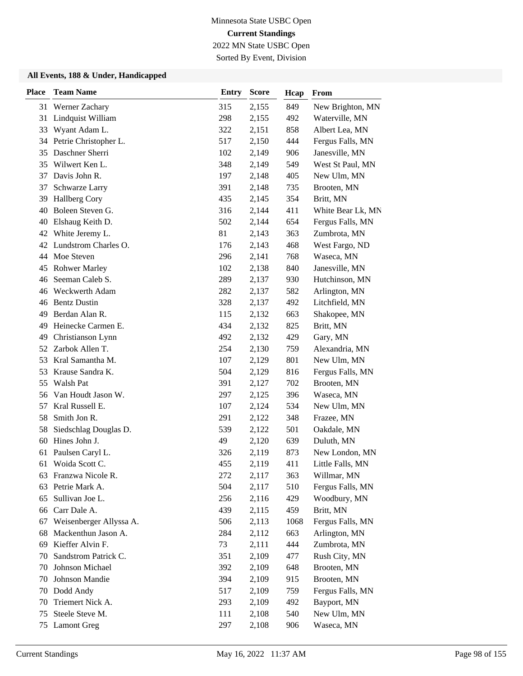2022 MN State USBC Open Sorted By Event, Division

| <b>Place</b> | <b>Team Name</b>         | <b>Entry</b> | <b>Score</b> | Hcap | From              |
|--------------|--------------------------|--------------|--------------|------|-------------------|
| 31           | Werner Zachary           | 315          | 2,155        | 849  | New Brighton, MN  |
| 31           | Lindquist William        | 298          | 2,155        | 492  | Waterville, MN    |
| 33           | Wyant Adam L.            | 322          | 2,151        | 858  | Albert Lea, MN    |
|              | 34 Petrie Christopher L. | 517          | 2,150        | 444  | Fergus Falls, MN  |
| 35           | Daschner Sherri          | 102          | 2,149        | 906  | Janesville, MN    |
| 35           | Wilwert Ken L.           | 348          | 2,149        | 549  | West St Paul, MN  |
| 37           | Davis John R.            | 197          | 2,148        | 405  | New Ulm, MN       |
| 37           | Schwarze Larry           | 391          | 2,148        | 735  | Brooten, MN       |
| 39           | Hallberg Cory            | 435          | 2,145        | 354  | Britt, MN         |
| 40           | Boleen Steven G.         | 316          | 2,144        | 411  | White Bear Lk, MN |
| 40           | Elshaug Keith D.         | 502          | 2,144        | 654  | Fergus Falls, MN  |
| 42           | White Jeremy L.          | 81           | 2,143        | 363  | Zumbrota, MN      |
| 42           | Lundstrom Charles O.     | 176          | 2,143        | 468  | West Fargo, ND    |
| 44           | Moe Steven               | 296          | 2,141        | 768  | Waseca, MN        |
| 45           | <b>Rohwer Marley</b>     | 102          | 2,138        | 840  | Janesville, MN    |
| 46           | Seeman Caleb S.          | 289          | 2,137        | 930  | Hutchinson, MN    |
| 46           | Weckwerth Adam           | 282          | 2,137        | 582  | Arlington, MN     |
| 46           | <b>Bentz Dustin</b>      | 328          | 2,137        | 492  | Litchfield, MN    |
| 49           | Berdan Alan R.           | 115          | 2,132        | 663  | Shakopee, MN      |
| 49           | Heinecke Carmen E.       | 434          | 2,132        | 825  | Britt, MN         |
| 49           | Christianson Lynn        | 492          | 2,132        | 429  | Gary, MN          |
| 52           | Zarbok Allen T.          | 254          | 2,130        | 759  | Alexandria, MN    |
| 53           | Kral Samantha M.         | 107          | 2,129        | 801  | New Ulm, MN       |
| 53           | Krause Sandra K.         | 504          | 2,129        | 816  | Fergus Falls, MN  |
| 55           | Walsh Pat                | 391          | 2,127        | 702  | Brooten, MN       |
| 56           | Van Houdt Jason W.       | 297          | 2,125        | 396  | Waseca, MN        |
| 57           | Kral Russell E.          | 107          | 2,124        | 534  | New Ulm, MN       |
| 58           | Smith Jon R.             | 291          | 2,122        | 348  | Frazee, MN        |
| 58           | Siedschlag Douglas D.    | 539          | 2,122        | 501  | Oakdale, MN       |
| 60           | Hines John J.            | 49           | 2,120        | 639  | Duluth, MN        |
| 61           | Paulsen Caryl L.         | 326          | 2,119        | 873  | New London, MN    |
| 61           | Woida Scott C.           | 455          | 2,119        | 411  | Little Falls, MN  |
| 63           | Franzwa Nicole R.        | 272          | 2,117        | 363  | Willmar, MN       |
| 63           | Petrie Mark A.           | 504          | 2,117        | 510  | Fergus Falls, MN  |
| 65           | Sullivan Joe L.          | 256          | 2,116        | 429  | Woodbury, MN      |
| 66           | Carr Dale A.             | 439          | 2,115        | 459  | Britt, MN         |
| 67           | Weisenberger Allyssa A.  | 506          | 2,113        | 1068 | Fergus Falls, MN  |
| 68           | Mackenthun Jason A.      | 284          | 2,112        | 663  | Arlington, MN     |
| 69           | Kieffer Alvin F.         | 73           | 2,111        | 444  | Zumbrota, MN      |
| 70           | Sandstrom Patrick C.     | 351          | 2,109        | 477  | Rush City, MN     |
| 70           | Johnson Michael          | 392          | 2,109        | 648  | Brooten, MN       |
| 70           | Johnson Mandie           | 394          | 2,109        | 915  | Brooten, MN       |
| 70           | Dodd Andy                | 517          | 2,109        | 759  | Fergus Falls, MN  |
| 70           | Triemert Nick A.         | 293          | 2,109        | 492  | Bayport, MN       |
| 75           | Steele Steve M.          | 111          | 2,108        | 540  | New Ulm, MN       |
| 75           | <b>Lamont Greg</b>       | 297          | 2,108        | 906  | Waseca, MN        |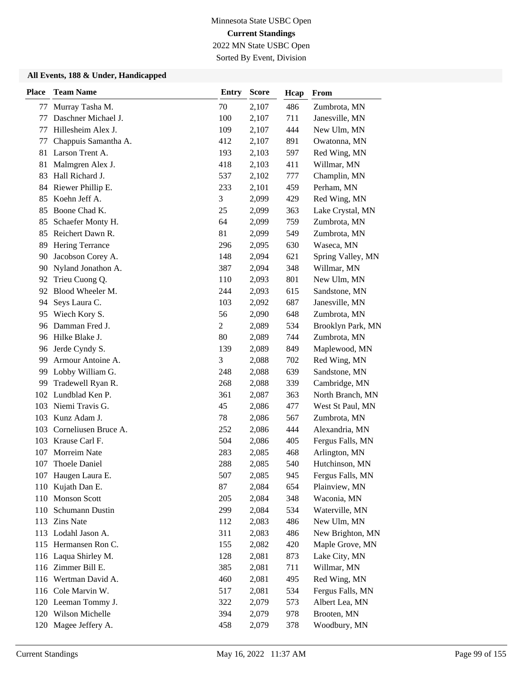Sorted By Event, Division

| <b>Place</b> | <b>Team Name</b>     | <b>Entry</b>   | <b>Score</b> | Hcap | From              |
|--------------|----------------------|----------------|--------------|------|-------------------|
| 77           | Murray Tasha M.      | 70             | 2,107        | 486  | Zumbrota, MN      |
| 77           | Daschner Michael J.  | 100            | 2,107        | 711  | Janesville, MN    |
| 77           | Hillesheim Alex J.   | 109            | 2,107        | 444  | New Ulm, MN       |
| 77           | Chappuis Samantha A. | 412            | 2,107        | 891  | Owatonna, MN      |
| 81           | Larson Trent A.      | 193            | 2,103        | 597  | Red Wing, MN      |
| 81           | Malmgren Alex J.     | 418            | 2,103        | 411  | Willmar, MN       |
| 83           | Hall Richard J.      | 537            | 2,102        | 777  | Champlin, MN      |
| 84           | Riewer Phillip E.    | 233            | 2,101        | 459  | Perham, MN        |
| 85           | Koehn Jeff A.        | 3              | 2,099        | 429  | Red Wing, MN      |
| 85           | Boone Chad K.        | 25             | 2,099        | 363  | Lake Crystal, MN  |
| 85           | Schaefer Monty H.    | 64             | 2,099        | 759  | Zumbrota, MN      |
| 85           | Reichert Dawn R.     | 81             | 2,099        | 549  | Zumbrota, MN      |
| 89           | Hering Terrance      | 296            | 2,095        | 630  | Waseca, MN        |
| 90           | Jacobson Corey A.    | 148            | 2,094        | 621  | Spring Valley, MN |
| 90           | Nyland Jonathon A.   | 387            | 2,094        | 348  | Willmar, MN       |
| 92           | Trieu Cuong Q.       | 110            | 2,093        | 801  | New Ulm, MN       |
| 92           | Blood Wheeler M.     | 244            | 2,093        | 615  | Sandstone, MN     |
| 94           | Seys Laura C.        | 103            | 2,092        | 687  | Janesville, MN    |
| 95           | Wiech Kory S.        | 56             | 2,090        | 648  | Zumbrota, MN      |
| 96           | Damman Fred J.       | $\overline{c}$ | 2,089        | 534  | Brooklyn Park, MN |
| 96           | Hilke Blake J.       | 80             | 2,089        | 744  | Zumbrota, MN      |
| 96           | Jerde Cyndy S.       | 139            | 2,089        | 849  | Maplewood, MN     |
| 99           | Armour Antoine A.    | 3              | 2,088        | 702  | Red Wing, MN      |
| 99           | Lobby William G.     | 248            | 2,088        | 639  | Sandstone, MN     |
| 99           | Tradewell Ryan R.    | 268            | 2,088        | 339  | Cambridge, MN     |
| 102          | Lundblad Ken P.      | 361            | 2,087        | 363  | North Branch, MN  |
| 103          | Niemi Travis G.      | 45             | 2,086        | 477  | West St Paul, MN  |
| 103          | Kunz Adam J.         | 78             | 2,086        | 567  | Zumbrota, MN      |
| 103          | Corneliusen Bruce A. | 252            | 2,086        | 444  | Alexandria, MN    |
| 103          | Krause Carl F.       | 504            | 2,086        | 405  | Fergus Falls, MN  |
| 107          | Morreim Nate         | 283            | 2,085        | 468  | Arlington, MN     |
| 107          | Thoele Daniel        | 288            | 2,085        | 540  | Hutchinson, MN    |
|              | 107 Haugen Laura E.  | 507            | 2,085        | 945  | Fergus Falls, MN  |
| 110          | Kujath Dan E.        | 87             | 2,084        | 654  | Plainview, MN     |
| 110          | <b>Monson Scott</b>  | 205            | 2,084        | 348  | Waconia, MN       |
|              | 110 Schumann Dustin  | 299            | 2,084        | 534  | Waterville, MN    |
|              | 113 Zins Nate        | 112            | 2,083        | 486  | New Ulm, MN       |
|              | 113 Lodahl Jason A.  | 311            | 2,083        | 486  | New Brighton, MN  |
|              | 115 Hermansen Ron C. | 155            | 2,082        | 420  | Maple Grove, MN   |
|              | 116 Laqua Shirley M. | 128            | 2,081        | 873  | Lake City, MN     |
|              | 116 Zimmer Bill E.   | 385            | 2,081        | 711  | Willmar, MN       |
|              | 116 Wertman David A. | 460            | 2,081        | 495  | Red Wing, MN      |
|              | 116 Cole Marvin W.   | 517            | 2,081        | 534  | Fergus Falls, MN  |
|              | 120 Leeman Tommy J.  | 322            | 2,079        | 573  | Albert Lea, MN    |
|              | 120 Wilson Michelle  | 394            | 2,079        | 978  | Brooten, MN       |
| 120          | Magee Jeffery A.     | 458            | 2,079        | 378  | Woodbury, MN      |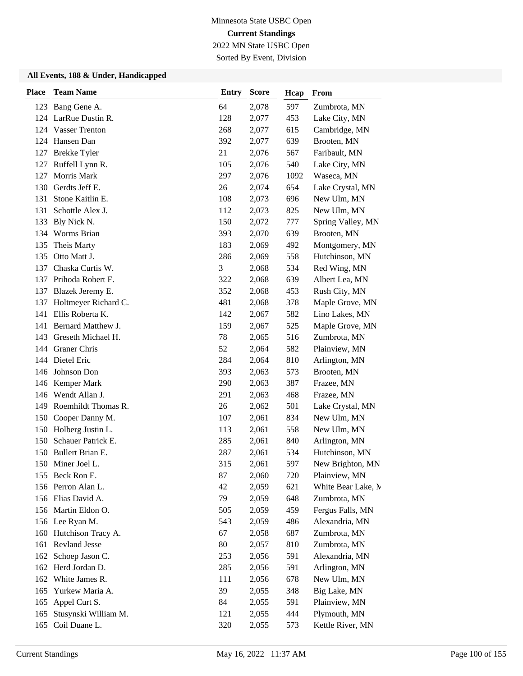2022 MN State USBC Open Sorted By Event, Division

| <b>Place</b> | <b>Team Name</b>       | <b>Entry</b> | <b>Score</b> | Hcap | From               |
|--------------|------------------------|--------------|--------------|------|--------------------|
|              | 123 Bang Gene A.       | 64           | 2,078        | 597  | Zumbrota, MN       |
| 124          | LarRue Dustin R.       | 128          | 2,077        | 453  | Lake City, MN      |
|              | 124 Vasser Trenton     | 268          | 2,077        | 615  | Cambridge, MN      |
|              | 124 Hansen Dan         | 392          | 2,077        | 639  | Brooten, MN        |
| 127          | <b>Brekke Tyler</b>    | 21           | 2,076        | 567  | Faribault, MN      |
| 127          | Ruffell Lynn R.        | 105          | 2,076        | 540  | Lake City, MN      |
| 127          | Morris Mark            | 297          | 2,076        | 1092 | Waseca, MN         |
| 130          | Gerdts Jeff E.         | 26           | 2,074        | 654  | Lake Crystal, MN   |
| 131          | Stone Kaitlin E.       | 108          | 2,073        | 696  | New Ulm, MN        |
| 131          | Schottle Alex J.       | 112          | 2,073        | 825  | New Ulm, MN        |
| 133          | Bly Nick N.            | 150          | 2,072        | 777  | Spring Valley, MN  |
| 134          | Worms Brian            | 393          | 2,070        | 639  | Brooten, MN        |
| 135          | Theis Marty            | 183          | 2,069        | 492  | Montgomery, MN     |
| 135          | Otto Matt J.           | 286          | 2,069        | 558  | Hutchinson, MN     |
| 137          | Chaska Curtis W.       | 3            | 2,068        | 534  | Red Wing, MN       |
|              | 137 Prihoda Robert F.  | 322          | 2,068        | 639  | Albert Lea, MN     |
|              | 137 Blazek Jeremy E.   | 352          | 2,068        | 453  | Rush City, MN      |
| 137          | Holtmeyer Richard C.   | 481          | 2,068        | 378  | Maple Grove, MN    |
| 141          | Ellis Roberta K.       | 142          | 2,067        | 582  | Lino Lakes, MN     |
| 141          | Bernard Matthew J.     | 159          | 2,067        | 525  | Maple Grove, MN    |
| 143          | Greseth Michael H.     | 78           | 2,065        | 516  | Zumbrota, MN       |
| 144          | Graner Chris           | 52           | 2,064        | 582  | Plainview, MN      |
|              | 144 Dietel Eric        | 284          | 2,064        | 810  | Arlington, MN      |
|              | 146 Johnson Don        | 393          | 2,063        | 573  | Brooten, MN        |
|              | 146 Kemper Mark        | 290          | 2,063        | 387  | Frazee, MN         |
|              | 146 Wendt Allan J.     | 291          | 2,063        | 468  | Frazee, MN         |
| 149          | Roemhildt Thomas R.    | 26           | 2,062        | 501  | Lake Crystal, MN   |
| 150          | Cooper Danny M.        | 107          | 2,061        | 834  | New Ulm, MN        |
|              | 150 Holberg Justin L.  | 113          | 2,061        | 558  | New Ulm, MN        |
| 150          | Schauer Patrick E.     | 285          | 2,061        | 840  | Arlington, MN      |
| 150          | Bullert Brian E.       | 287          | 2,061        | 534  | Hutchinson, MN     |
|              | 150 Miner Joel L.      | 315          | 2,061        | 597  | New Brighton, MN   |
|              | 155 Beck Ron E.        | 87           | 2,060        | 720  | Plainview, MN      |
|              | 156 Perron Alan L.     | 42           | 2,059        | 621  | White Bear Lake, M |
|              | 156 Elias David A.     | 79           | 2,059        | 648  | Zumbrota, MN       |
|              | 156 Martin Eldon O.    | 505          | 2,059        | 459  | Fergus Falls, MN   |
|              | 156 Lee Ryan M.        | 543          | 2,059        | 486  | Alexandria, MN     |
|              | 160 Hutchison Tracy A. | 67           | 2,058        | 687  | Zumbrota, MN       |
|              | 161 Revland Jesse      | $80\,$       | 2,057        | 810  | Zumbrota, MN       |
| 162          | Schoep Jason C.        | 253          | 2,056        | 591  | Alexandria, MN     |
|              | 162 Herd Jordan D.     | 285          | 2,056        | 591  | Arlington, MN      |
| 162          | White James R.         | 111          | 2,056        | 678  | New Ulm, MN        |
| 165          | Yurkew Maria A.        | 39           | 2,055        | 348  | Big Lake, MN       |
| 165          | Appel Curt S.          | 84           | 2,055        | 591  | Plainview, MN      |
| 165          | Stusynski William M.   | 121          | 2,055        | 444  | Plymouth, MN       |
| 165          | Coil Duane L.          | 320          | 2,055        | 573  | Kettle River, MN   |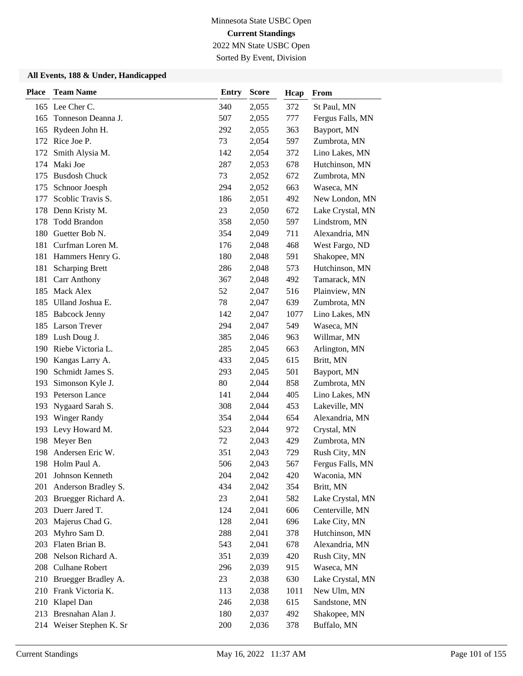2022 MN State USBC Open Sorted By Event, Division

| <b>Place</b> | <b>Team Name</b>                      | <b>Entry</b> | <b>Score</b>   | Hcap       | From                         |
|--------------|---------------------------------------|--------------|----------------|------------|------------------------------|
|              | 165 Lee Cher C.                       | 340          | 2,055          | 372        | St Paul, MN                  |
| 165          | Tonneson Deanna J.                    | 507          | 2,055          | 777        | Fergus Falls, MN             |
| 165          | Rydeen John H.                        | 292          | 2,055          | 363        | Bayport, MN                  |
|              | 172 Rice Joe P.                       | 73           | 2,054          | 597        | Zumbrota, MN                 |
| 172          | Smith Alysia M.                       | 142          | 2,054          | 372        | Lino Lakes, MN               |
| 174          | Maki Joe                              | 287          | 2,053          | 678        | Hutchinson, MN               |
| 175          | <b>Busdosh Chuck</b>                  | 73           | 2,052          | 672        | Zumbrota, MN                 |
| 175          | Schnoor Joesph                        | 294          | 2,052          | 663        | Waseca, MN                   |
| 177          | Scoblic Travis S.                     | 186          | 2,051          | 492        | New London, MN               |
| 178          | Denn Kristy M.                        | 23           | 2,050          | 672        | Lake Crystal, MN             |
| 178          | <b>Todd Brandon</b>                   | 358          | 2,050          | 597        | Lindstrom, MN                |
| 180          | Guetter Bob N.                        | 354          | 2,049          | 711        | Alexandria, MN               |
| 181          | Curfman Loren M.                      | 176          | 2,048          | 468        | West Fargo, ND               |
| 181          | Hammers Henry G.                      | 180          | 2,048          | 591        | Shakopee, MN                 |
| 181          | <b>Scharping Brett</b>                | 286          | 2,048          | 573        | Hutchinson, MN               |
| 181          | Carr Anthony                          | 367          | 2,048          | 492        | Tamarack, MN                 |
| 185          | <b>Mack Alex</b>                      | 52           | 2,047          | 516        | Plainview, MN                |
| 185          | Ulland Joshua E.                      | 78           | 2,047          | 639        | Zumbrota, MN                 |
| 185          | <b>Babcock Jenny</b>                  | 142          | 2,047          | 1077       | Lino Lakes, MN               |
|              | 185 Larson Trever                     | 294          | 2,047          | 549        | Waseca, MN                   |
| 189          | Lush Doug J.<br>190 Riebe Victoria L. | 385<br>285   | 2,046<br>2,045 | 963<br>663 | Willmar, MN<br>Arlington, MN |
| 190          | Kangas Larry A.                       | 433          | 2,045          | 615        | Britt, MN                    |
| 190          | Schmidt James S.                      | 293          | 2,045          | 501        | Bayport, MN                  |
| 193          | Simonson Kyle J.                      | 80           | 2,044          | 858        | Zumbrota, MN                 |
| 193          | Peterson Lance                        | 141          | 2,044          | 405        | Lino Lakes, MN               |
| 193          | Nygaard Sarah S.                      | 308          | 2,044          | 453        | Lakeville, MN                |
| 193          | <b>Winger Randy</b>                   | 354          | 2,044          | 654        | Alexandria, MN               |
| 193          | Levy Howard M.                        | 523          | 2,044          | 972        | Crystal, MN                  |
| 198          | Meyer Ben                             | 72           | 2,043          | 429        | Zumbrota, MN                 |
| 198          | Andersen Eric W.                      | 351          | 2,043          | 729        | Rush City, MN                |
| 198          | Holm Paul A.                          | 506          | 2,043          | 567        | Fergus Falls, MN             |
|              | 201 Johnson Kenneth                   | 204          | 2,042          | 420        | Waconia, MN                  |
| 201          | Anderson Bradley S.                   | 434          | 2,042          | 354        | Britt, MN                    |
| 203          | Bruegger Richard A.                   | 23           | 2,041          | 582        | Lake Crystal, MN             |
|              | 203 Duerr Jared T.                    | 124          | 2,041          | 606        | Centerville, MN              |
| 203          | Majerus Chad G.                       | 128          | 2,041          | 696        | Lake City, MN                |
| 203          | Myhro Sam D.                          | 288          | 2,041          | 378        | Hutchinson, MN               |
| 203          | Flaten Brian B.                       | 543          | 2,041          | 678        | Alexandria, MN               |
| 208          | Nelson Richard A.                     | 351          | 2,039          | 420        | Rush City, MN                |
| 208          | <b>Culhane Robert</b>                 | 296          | 2,039          | 915        | Waseca, MN                   |
|              | 210 Bruegger Bradley A.               | 23           | 2,038          | 630        | Lake Crystal, MN             |
|              | 210 Frank Victoria K.                 | 113          | 2,038          | 1011       | New Ulm, MN                  |
|              | 210 Klapel Dan                        | 246          | 2,038          | 615        | Sandstone, MN                |
| 213          | Bresnahan Alan J.                     | 180          | 2,037          | 492        | Shakopee, MN                 |
|              | 214 Weiser Stephen K. Sr              | 200          | 2,036          | 378        | Buffalo, MN                  |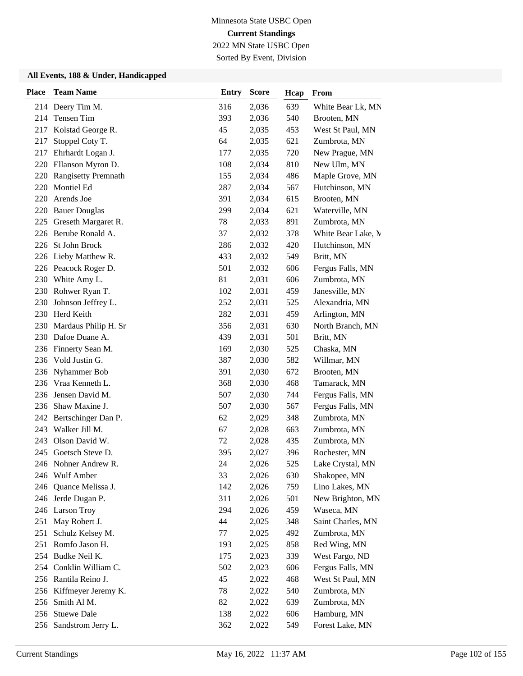2022 MN State USBC Open

Sorted By Event, Division

| <b>Place</b> | <b>Team Name</b>        | <b>Entry</b> | <b>Score</b> | Hcap | From               |
|--------------|-------------------------|--------------|--------------|------|--------------------|
|              | 214 Deery Tim M.        | 316          | 2,036        | 639  | White Bear Lk, MN  |
| 214          | Tensen Tim              | 393          | 2,036        | 540  | Brooten, MN        |
| 217          | Kolstad George R.       | 45           | 2,035        | 453  | West St Paul, MN   |
| 217          | Stoppel Coty T.         | 64           | 2,035        | 621  | Zumbrota, MN       |
| 217          | Ehrhardt Logan J.       | 177          | 2,035        | 720  | New Prague, MN     |
| 220          | Ellanson Myron D.       | 108          | 2,034        | 810  | New Ulm, MN        |
| 220          | Rangisetty Premnath     | 155          | 2,034        | 486  | Maple Grove, MN    |
| 220          | Montiel Ed              | 287          | 2,034        | 567  | Hutchinson, MN     |
| 220          | Arends Joe              | 391          | 2,034        | 615  | Brooten, MN        |
| 220          | <b>Bauer Douglas</b>    | 299          | 2,034        | 621  | Waterville, MN     |
| 225          | Greseth Margaret R.     | 78           | 2,033        | 891  | Zumbrota, MN       |
|              | 226 Berube Ronald A.    | 37           | 2,032        | 378  | White Bear Lake, M |
| 226          | St John Brock           | 286          | 2,032        | 420  | Hutchinson, MN     |
| 226          | Lieby Matthew R.        | 433          | 2,032        | 549  | Britt, MN          |
|              | 226 Peacock Roger D.    | 501          | 2,032        | 606  | Fergus Falls, MN   |
| 230          | White Amy L.            | 81           | 2,031        | 606  | Zumbrota, MN       |
| 230          | Rohwer Ryan T.          | 102          | 2,031        | 459  | Janesville, MN     |
| 230          | Johnson Jeffrey L.      | 252          | 2,031        | 525  | Alexandria, MN     |
| 230          | Herd Keith              | 282          | 2,031        | 459  | Arlington, MN      |
| 230          | Mardaus Philip H. Sr    | 356          | 2,031        | 630  | North Branch, MN   |
|              | 230 Dafoe Duane A.      | 439          | 2,031        | 501  | Britt, MN          |
| 236          | Finnerty Sean M.        | 169          | 2,030        | 525  | Chaska, MN         |
| 236          | Vold Justin G.          | 387          | 2,030        | 582  | Willmar, MN        |
|              | 236 Nyhammer Bob        | 391          | 2,030        | 672  | Brooten, MN        |
| 236          | Vraa Kenneth L.         | 368          | 2,030        | 468  | Tamarack, MN       |
| 236          | Jensen David M.         | 507          | 2,030        | 744  | Fergus Falls, MN   |
| 236          | Shaw Maxine J.          | 507          | 2,030        | 567  | Fergus Falls, MN   |
|              | 242 Bertschinger Dan P. | 62           | 2,029        | 348  | Zumbrota, MN       |
| 243          | Walker Jill M.          | 67           | 2,028        | 663  | Zumbrota, MN       |
| 243          | Olson David W.          | 72           | 2,028        | 435  | Zumbrota, MN       |
| 245          | Goetsch Steve D.        | 395          | 2,027        | 396  | Rochester, MN      |
|              | 246 Nohner Andrew R.    | 24           | 2,026        | 525  | Lake Crystal, MN   |
|              | 246 Wulf Amber          | 33           | 2,026        | 630  | Shakopee, MN       |
| 246          | Quance Melissa J.       | 142          | 2,026        | 759  | Lino Lakes, MN     |
| 246          | Jerde Dugan P.          | 311          | 2,026        | 501  | New Brighton, MN   |
|              | 246 Larson Troy         | 294          | 2,026        | 459  | Waseca, MN         |
| 251          | May Robert J.           | 44           | 2,025        | 348  | Saint Charles, MN  |
| 251          | Schulz Kelsey M.        | 77           | 2,025        | 492  | Zumbrota, MN       |
| 251          | Romfo Jason H.          | 193          | 2,025        | 858  | Red Wing, MN       |
|              | 254 Budke Neil K.       | 175          | 2,023        | 339  | West Fargo, ND     |
|              | 254 Conklin William C.  | 502          | 2,023        | 606  | Fergus Falls, MN   |
|              | 256 Rantila Reino J.    | 45           | 2,022        | 468  | West St Paul, MN   |
|              | 256 Kiffmeyer Jeremy K. | 78           | 2,022        | 540  | Zumbrota, MN       |
| 256          | Smith Al M.             | 82           | 2,022        | 639  | Zumbrota, MN       |
|              | 256 Stuewe Dale         | 138          | 2,022        | 606  | Hamburg, MN        |
|              | 256 Sandstrom Jerry L.  | 362          | 2,022        | 549  | Forest Lake, MN    |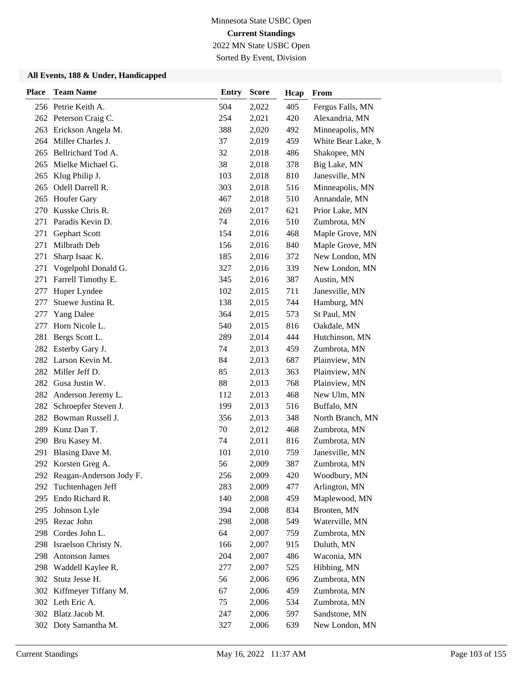2022 MN State USBC Open Sorted By Event, Division

| <b>Place</b> | <b>Team Name</b>                       | <b>Entry</b> | <b>Score</b>   | Hcap       | From                           |
|--------------|----------------------------------------|--------------|----------------|------------|--------------------------------|
|              | 256 Petrie Keith A.                    | 504          | 2,022          | 405        | Fergus Falls, MN               |
|              | 262 Peterson Craig C.                  | 254          | 2,021          | 420        | Alexandria, MN                 |
| 263          | Erickson Angela M.                     | 388          | 2,020          | 492        | Minneapolis, MN                |
| 264          | Miller Charles J.                      | 37           | 2,019          | 459        | White Bear Lake, M             |
| 265          | Bellrichard Tod A.                     | 32           | 2,018          | 486        | Shakopee, MN                   |
| 265          | Mielke Michael G.                      | 38           | 2,018          | 378        | Big Lake, MN                   |
| 265          | Klug Philip J.                         | 103          | 2,018          | 810        | Janesville, MN                 |
|              | 265 Odell Darrell R.                   | 303          | 2,018          | 516        | Minneapolis, MN                |
| 265          | <b>Houfer Gary</b>                     | 467          | 2,018          | 510        | Annandale, MN                  |
| 270          | Kusske Chris R.                        | 269          | 2,017          | 621        | Prior Lake, MN                 |
| 271          | Paradis Kevin D.                       | 74           | 2,016          | 510        | Zumbrota, MN                   |
| 271          | Gephart Scott                          | 154          | 2,016          | 468        | Maple Grove, MN                |
| 271          | Milbrath Deb                           | 156          | 2,016          | 840        | Maple Grove, MN                |
| 271          | Sharp Isaac K.                         | 185          | 2,016          | 372        | New London, MN                 |
| 271          | Vogelpohl Donald G.                    | 327          | 2,016          | 339        | New London, MN                 |
| 271          | Farrell Timothy E.                     | 345          | 2,016          | 387        | Austin, MN                     |
| 277          | Huper Lyndee                           | 102          | 2,015          | 711        | Janesville, MN                 |
| 277          | Stuewe Justina R.                      | 138          | 2,015          | 744        | Hamburg, MN                    |
| 277          | <b>Yang Dalee</b>                      | 364          | 2,015          | 573        | St Paul, MN                    |
| 277          | Horn Nicole L.                         | 540          | 2,015          | 816        | Oakdale, MN                    |
| 281          | Bergs Scott L.                         | 289          | 2,014          | 444        | Hutchinson, MN<br>Zumbrota, MN |
| 282          | Esterby Gary J.<br>282 Larson Kevin M. | 74<br>84     | 2,013<br>2,013 | 459<br>687 | Plainview, MN                  |
|              | 282 Miller Jeff D.                     | 85           | 2,013          | 363        | Plainview, MN                  |
|              | 282 Gusa Justin W.                     | 88           | 2,013          | 768        | Plainview, MN                  |
| 282          | Anderson Jeremy L.                     | 112          | 2,013          | 468        | New Ulm, MN                    |
| 282          | Schroepfer Steven J.                   | 199          | 2,013          | 516        | Buffalo, MN                    |
|              | 282 Bowman Russell J.                  | 356          | 2,013          | 348        | North Branch, MN               |
| 289          | Kunz Dan T.                            | 70           | 2,012          | 468        | Zumbrota, MN                   |
| 290          | Bru Kasey M.                           | 74           | 2,011          | 816        | Zumbrota, MN                   |
| 291          | Blasing Dave M.                        | 101          | 2,010          | 759        | Janesville, MN                 |
|              | 292 Korsten Greg A.                    | 56           | 2,009          | 387        | Zumbrota, MN                   |
|              | 292 Reagan-Anderson Jody F.            | 256          | 2,009          | 420        | Woodbury, MN                   |
| 292          | Tuchtenhagen Jeff                      | 283          | 2,009          | 477        | Arlington, MN                  |
| 295          | Endo Richard R.                        | 140          | 2,008          | 459        | Maplewood, MN                  |
| 295          | Johnson Lyle                           | 394          | 2,008          | 834        | Brooten, MN                    |
|              | 295 Rezac John                         | 298          | 2,008          | 549        | Waterville, MN                 |
|              | 298 Cordes John L.                     | 64           | 2,007          | 759        | Zumbrota, MN                   |
|              | 298 Israelson Christy N.               | 166          | 2,007          | 915        | Duluth, MN                     |
| 298          | <b>Antonson James</b>                  | 204          | 2,007          | 486        | Waconia, MN                    |
| 298          | Waddell Kaylee R.                      | 277          | 2,007          | 525        | Hibbing, MN                    |
| 302          | Stutz Jesse H.                         | 56           | 2,006          | 696        | Zumbrota, MN                   |
|              | 302 Kiffmeyer Tiffany M.               | 67           | 2,006          | 459        | Zumbrota, MN                   |
|              | 302 Leth Eric A.                       | 75           | 2,006          | 534        | Zumbrota, MN                   |
|              | 302 Blatz Jacob M.                     | 247          | 2,006          | 597        | Sandstone, MN                  |
|              | 302 Doty Samantha M.                   | 327          | 2,006          | 639        | New London, MN                 |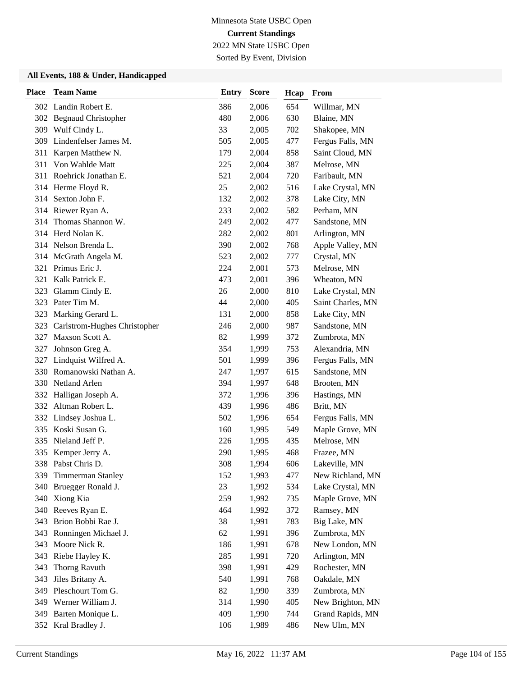2022 MN State USBC Open Sorted By Event, Division

| <b>Place</b> | <b>Team Name</b>             | <b>Entry</b> | <b>Score</b> | Hcap | <b>From</b>       |
|--------------|------------------------------|--------------|--------------|------|-------------------|
|              | 302 Landin Robert E.         | 386          | 2,006        | 654  | Willmar, MN       |
|              | 302 Begnaud Christopher      | 480          | 2,006        | 630  | Blaine, MN        |
|              | 309 Wulf Cindy L.            | 33           | 2,005        | 702  | Shakopee, MN      |
| 309          | Lindenfelser James M.        | 505          | 2,005        | 477  | Fergus Falls, MN  |
| 311          | Karpen Matthew N.            | 179          | 2,004        | 858  | Saint Cloud, MN   |
| 311          | Von Wahlde Matt              | 225          | 2,004        | 387  | Melrose, MN       |
| 311          | Roehrick Jonathan E.         | 521          | 2,004        | 720  | Faribault, MN     |
|              | 314 Herme Floyd R.           | 25           | 2,002        | 516  | Lake Crystal, MN  |
|              | 314 Sexton John F.           | 132          | 2,002        | 378  | Lake City, MN     |
|              | 314 Riewer Ryan A.           | 233          | 2,002        | 582  | Perham, MN        |
| 314          | Thomas Shannon W.            | 249          | 2,002        | 477  | Sandstone, MN     |
|              | 314 Herd Nolan K.            | 282          | 2,002        | 801  | Arlington, MN     |
|              | 314 Nelson Brenda L.         | 390          | 2,002        | 768  | Apple Valley, MN  |
|              | 314 McGrath Angela M.        | 523          | 2,002        | 777  | Crystal, MN       |
| 321          | Primus Eric J.               | 224          | 2,001        | 573  | Melrose, MN       |
| 321          | Kalk Patrick E.              | 473          | 2,001        | 396  | Wheaton, MN       |
|              | 323 Glamm Cindy E.           | 26           | 2,000        | 810  | Lake Crystal, MN  |
|              | 323 Pater Tim M.             | 44           | 2,000        | 405  | Saint Charles, MN |
| 323          | Marking Gerard L.            | 131          | 2,000        | 858  | Lake City, MN     |
| 323          | Carlstrom-Hughes Christopher | 246          | 2,000        | 987  | Sandstone, MN     |
| 327          | Maxson Scott A.              | 82           | 1,999        | 372  | Zumbrota, MN      |
| 327          | Johnson Greg A.              | 354          | 1,999        | 753  | Alexandria, MN    |
| 327          | Lindquist Wilfred A.         | 501          | 1,999        | 396  | Fergus Falls, MN  |
| 330          | Romanowski Nathan A.         | 247          | 1,997        | 615  | Sandstone, MN     |
|              | 330 Netland Arlen            | 394          | 1,997        | 648  | Brooten, MN       |
|              | 332 Halligan Joseph A.       | 372          | 1,996        | 396  | Hastings, MN      |
| 332          | Altman Robert L.             | 439          | 1,996        | 486  | Britt, MN         |
|              | 332 Lindsey Joshua L.        | 502          | 1,996        | 654  | Fergus Falls, MN  |
|              | 335 Koski Susan G.           | 160          | 1,995        | 549  | Maple Grove, MN   |
| 335          | Nieland Jeff P.              | 226          | 1,995        | 435  | Melrose, MN       |
| 335          | Kemper Jerry A.              | 290          | 1,995        | 468  | Frazee, MN        |
|              | 338 Pabst Chris D.           | 308          | 1,994        | 606  | Lakeville, MN     |
|              | 339 Timmerman Stanley        | 152          | 1,993        | 477  | New Richland, MN  |
| 340          | Bruegger Ronald J.           | 23           | 1,992        | 534  | Lake Crystal, MN  |
| 340          | Xiong Kia                    | 259          | 1,992        | 735  | Maple Grove, MN   |
| 340          | Reeves Ryan E.               | 464          | 1,992        | 372  | Ramsey, MN        |
|              | 343 Brion Bobbi Rae J.       | 38           | 1,991        | 783  | Big Lake, MN      |
| 343          | Ronningen Michael J.         | 62           | 1,991        | 396  | Zumbrota, MN      |
| 343          | Moore Nick R.                | 186          | 1,991        | 678  | New London, MN    |
|              | 343 Riebe Hayley K.          | 285          | 1,991        | 720  | Arlington, MN     |
| 343          | Thorng Ravuth                | 398          | 1,991        | 429  | Rochester, MN     |
| 343          | Jiles Britany A.             | 540          | 1,991        | 768  | Oakdale, MN       |
|              | 349 Pleschourt Tom G.        | 82           | 1,990        | 339  | Zumbrota, MN      |
| 349          | Werner William J.            | 314          | 1,990        | 405  | New Brighton, MN  |
| 349          | Barten Monique L.            | 409          | 1,990        | 744  | Grand Rapids, MN  |
|              | 352 Kral Bradley J.          | 106          | 1,989        | 486  | New Ulm, MN       |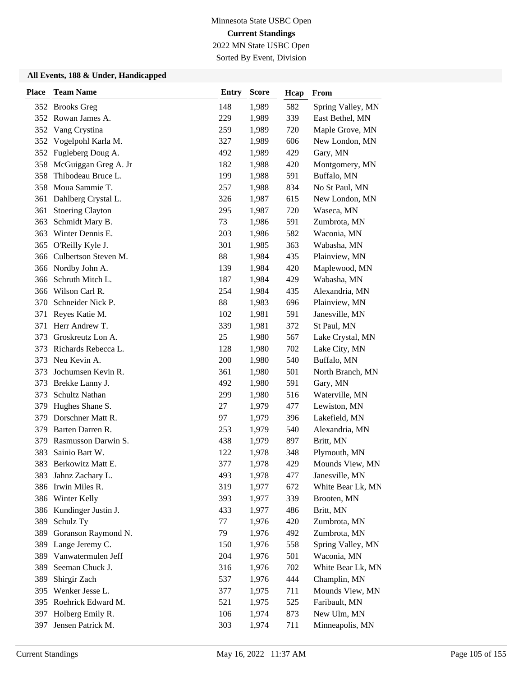2022 MN State USBC Open Sorted By Event, Division

| Place | <b>Team Name</b>        | <b>Entry</b> | <b>Score</b> | Hcap | From              |
|-------|-------------------------|--------------|--------------|------|-------------------|
|       | 352 Brooks Greg         | 148          | 1,989        | 582  | Spring Valley, MN |
|       | 352 Rowan James A.      | 229          | 1,989        | 339  | East Bethel, MN   |
| 352   | Vang Crystina           | 259          | 1,989        | 720  | Maple Grove, MN   |
| 352   | Vogelpohl Karla M.      | 327          | 1,989        | 606  | New London, MN    |
|       | 352 Fugleberg Doug A.   | 492          | 1,989        | 429  | Gary, MN          |
| 358   | McGuiggan Greg A. Jr    | 182          | 1,988        | 420  | Montgomery, MN    |
| 358   | Thibodeau Bruce L.      | 199          | 1,988        | 591  | Buffalo, MN       |
| 358   | Moua Sammie T.          | 257          | 1,988        | 834  | No St Paul, MN    |
| 361   | Dahlberg Crystal L.     | 326          | 1,987        | 615  | New London, MN    |
| 361   | <b>Stoering Clayton</b> | 295          | 1,987        | 720  | Waseca, MN        |
| 363   | Schmidt Mary B.         | 73           | 1,986        | 591  | Zumbrota, MN      |
| 363   | Winter Dennis E.        | 203          | 1,986        | 582  | Waconia, MN       |
| 365   | O'Reilly Kyle J.        | 301          | 1,985        | 363  | Wabasha, MN       |
| 366   | Culbertson Steven M.    | 88           | 1,984        | 435  | Plainview, MN     |
|       | 366 Nordby John A.      | 139          | 1,984        | 420  | Maplewood, MN     |
| 366   | Schruth Mitch L.        | 187          | 1,984        | 429  | Wabasha, MN       |
|       | 366 Wilson Carl R.      | 254          | 1,984        | 435  | Alexandria, MN    |
| 370   | Schneider Nick P.       | 88           | 1,983        | 696  | Plainview, MN     |
| 371   | Reyes Katie M.          | 102          | 1,981        | 591  | Janesville, MN    |
| 371   | Herr Andrew T.          | 339          | 1,981        | 372  | St Paul, MN       |
| 373   | Groskreutz Lon A.       | 25           | 1,980        | 567  | Lake Crystal, MN  |
| 373   | Richards Rebecca L.     | 128          | 1,980        | 702  | Lake City, MN     |
| 373   | Neu Kevin A.            | 200          | 1,980        | 540  | Buffalo, MN       |
| 373   | Jochumsen Kevin R.      | 361          | 1,980        | 501  | North Branch, MN  |
| 373   | Brekke Lanny J.         | 492          | 1,980        | 591  | Gary, MN          |
| 373   | Schultz Nathan          | 299          | 1,980        | 516  | Waterville, MN    |
| 379   | Hughes Shane S.         | 27           | 1,979        | 477  | Lewiston, MN      |
| 379   | Dorschner Matt R.       | 97           | 1,979        | 396  | Lakefield, MN     |
| 379   | Barten Darren R.        | 253          | 1,979        | 540  | Alexandria, MN    |
| 379   | Rasmusson Darwin S.     | 438          | 1,979        | 897  | Britt, MN         |
| 383   | Sainio Bart W.          | 122          | 1,978        | 348  | Plymouth, MN      |
| 383   | Berkowitz Matt E.       | 377          | 1,978        | 429  | Mounds View, MN   |
|       | 383 Jahnz Zachary L.    | 493          | 1,978        | 477  | Janesville, MN    |
|       | 386 Irwin Miles R.      | 319          | 1,977        | 672  | White Bear Lk, MN |
|       | 386 Winter Kelly        | 393          | 1,977        | 339  | Brooten, MN       |
|       | 386 Kundinger Justin J. | 433          | 1,977        | 486  | Britt, MN         |
| 389   | Schulz Ty               | 77           | 1,976        | 420  | Zumbrota, MN      |
| 389   | Goranson Raymond N.     | 79           | 1,976        | 492  | Zumbrota, MN      |
| 389   | Lange Jeremy C.         | 150          | 1,976        | 558  | Spring Valley, MN |
| 389   | Vanwatermulen Jeff      | 204          | 1,976        | 501  | Waconia, MN       |
| 389   | Seeman Chuck J.         | 316          | 1,976        | 702  | White Bear Lk, MN |
| 389   | Shirgir Zach            | 537          | 1,976        | 444  | Champlin, MN      |
| 395   | Wenker Jesse L.         | 377          | 1,975        | 711  | Mounds View, MN   |
|       | 395 Roehrick Edward M.  | 521          | 1,975        | 525  | Faribault, MN     |
| 397   | Holberg Emily R.        | 106          | 1,974        | 873  | New Ulm, MN       |
| 397   | Jensen Patrick M.       | 303          | 1,974        | 711  | Minneapolis, MN   |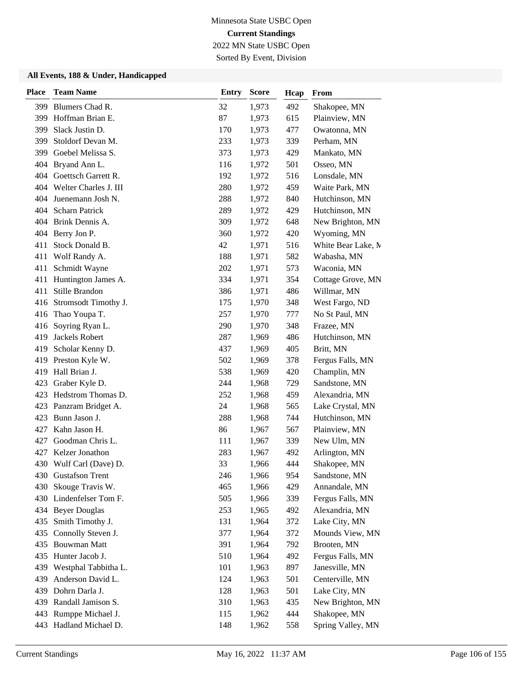2022 MN State USBC Open Sorted By Event, Division

| <b>Place</b> | <b>Team Name</b>          | <b>Entry</b> | <b>Score</b> | Hcap | From               |
|--------------|---------------------------|--------------|--------------|------|--------------------|
| 399          | Blumers Chad R.           | 32           | 1,973        | 492  | Shakopee, MN       |
| 399          | Hoffman Brian E.          | 87           | 1,973        | 615  | Plainview, MN      |
| 399          | Slack Justin D.           | 170          | 1,973        | 477  | Owatonna, MN       |
| 399          | Stoldorf Devan M.         | 233          | 1,973        | 339  | Perham, MN         |
| 399          | Goebel Melissa S.         | 373          | 1,973        | 429  | Mankato, MN        |
| 404          | Bryand Ann L.             | 116          | 1,972        | 501  | Osseo, MN          |
|              | 404 Goettsch Garrett R.   | 192          | 1,972        | 516  | Lonsdale, MN       |
|              | 404 Welter Charles J. III | 280          | 1,972        | 459  | Waite Park, MN     |
| 404          | Juenemann Josh N.         | 288          | 1,972        | 840  | Hutchinson, MN     |
| 404          | <b>Scharn Patrick</b>     | 289          | 1,972        | 429  | Hutchinson, MN     |
| 404          | Brink Dennis A.           | 309          | 1,972        | 648  | New Brighton, MN   |
| 404          | Berry Jon P.              | 360          | 1,972        | 420  | Wyoming, MN        |
| 411          | Stock Donald B.           | 42           | 1,971        | 516  | White Bear Lake, M |
| 411          | Wolf Randy A.             | 188          | 1,971        | 582  | Wabasha, MN        |
| 411          | Schmidt Wayne             | 202          | 1,971        | 573  | Waconia, MN        |
| 411          | Huntington James A.       | 334          | 1,971        | 354  | Cottage Grove, MN  |
| 411          | Stille Brandon            | 386          | 1,971        | 486  | Willmar, MN        |
|              | 416 Stromsodt Timothy J.  | 175          | 1,970        | 348  | West Fargo, ND     |
| 416          | Thao Youpa T.             | 257          | 1,970        | 777  | No St Paul, MN     |
| 416          | Soyring Ryan L.           | 290          | 1,970        | 348  | Frazee, MN         |
| 419          | Jackels Robert            | 287          | 1,969        | 486  | Hutchinson, MN     |
| 419          | Scholar Kenny D.          | 437          | 1,969        | 405  | Britt, MN          |
| 419          | Preston Kyle W.           | 502          | 1,969        | 378  | Fergus Falls, MN   |
| 419          | Hall Brian J.             | 538          | 1,969        | 420  | Champlin, MN       |
| 423          | Graber Kyle D.            | 244          | 1,968        | 729  | Sandstone, MN      |
| 423          | Hedstrom Thomas D.        | 252          | 1,968        | 459  | Alexandria, MN     |
| 423          | Panzram Bridget A.        | 24           | 1,968        | 565  | Lake Crystal, MN   |
| 423          | Bunn Jason J.             | 288          | 1,968        | 744  | Hutchinson, MN     |
| 427          | Kahn Jason H.             | 86           | 1,967        | 567  | Plainview, MN      |
| 427          | Goodman Chris L.          | 111          | 1,967        | 339  | New Ulm, MN        |
| 427          | Kelzer Jonathon           | 283          | 1,967        | 492  | Arlington, MN      |
|              | 430 Wulf Carl (Dave) D.   | 33           | 1,966        | 444  | Shakopee, MN       |
|              | 430 Gustafson Trent       | 246          | 1,966        | 954  | Sandstone, MN      |
| 430          | Skouge Travis W.          | 465          | 1,966        | 429  | Annandale, MN      |
|              | 430 Lindenfelser Tom F.   | 505          | 1,966        | 339  | Fergus Falls, MN   |
|              | 434 Beyer Douglas         | 253          | 1,965        | 492  | Alexandria, MN     |
| 435          | Smith Timothy J.          | 131          | 1,964        | 372  | Lake City, MN      |
| 435          | Connolly Steven J.        | 377          | 1,964        | 372  | Mounds View, MN    |
| 435          | <b>Bouwman Matt</b>       | 391          | 1,964        | 792  | Brooten, MN        |
|              | 435 Hunter Jacob J.       | 510          | 1,964        | 492  | Fergus Falls, MN   |
| 439          | Westphal Tabbitha L.      | 101          | 1,963        | 897  | Janesville, MN     |
| 439          | Anderson David L.         | 124          | 1,963        | 501  | Centerville, MN    |
| 439          | Dohrn Darla J.            | 128          | 1,963        | 501  | Lake City, MN      |
|              | 439 Randall Jamison S.    | 310          | 1,963        | 435  | New Brighton, MN   |
| 443          | Rumppe Michael J.         | 115          | 1,962        | 444  | Shakopee, MN       |
|              | 443 Hadland Michael D.    | 148          | 1,962        | 558  | Spring Valley, MN  |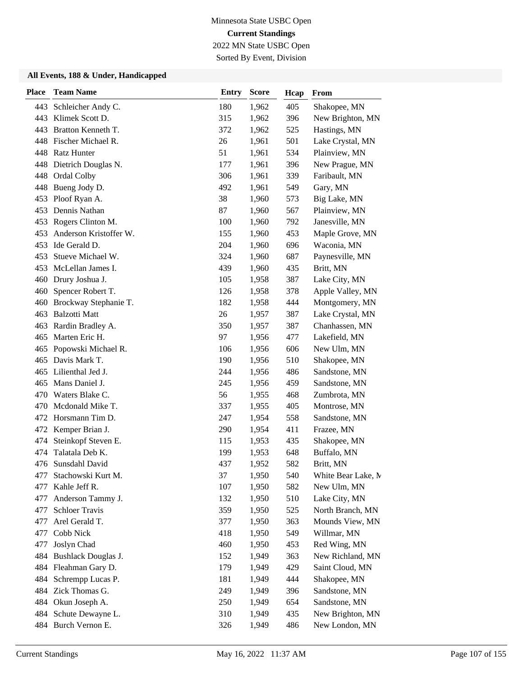2022 MN State USBC Open Sorted By Event, Division

| <b>Place</b> | <b>Team Name</b>       | <b>Entry</b> | <b>Score</b> | Hcap | From               |
|--------------|------------------------|--------------|--------------|------|--------------------|
| 443          | Schleicher Andy C.     | 180          | 1,962        | 405  | Shakopee, MN       |
| 443          | Klimek Scott D.        | 315          | 1,962        | 396  | New Brighton, MN   |
| 443          | Bratton Kenneth T.     | 372          | 1,962        | 525  | Hastings, MN       |
|              | 448 Fischer Michael R. | 26           | 1,961        | 501  | Lake Crystal, MN   |
|              | 448 Ratz Hunter        | 51           | 1,961        | 534  | Plainview, MN      |
| 448          | Dietrich Douglas N.    | 177          | 1,961        | 396  | New Prague, MN     |
| 448          | Ordal Colby            | 306          | 1,961        | 339  | Faribault, MN      |
| 448          | Bueng Jody D.          | 492          | 1,961        | 549  | Gary, MN           |
| 453          | Ploof Ryan A.          | 38           | 1,960        | 573  | Big Lake, MN       |
| 453          | Dennis Nathan          | 87           | 1,960        | 567  | Plainview, MN      |
| 453          | Rogers Clinton M.      | 100          | 1,960        | 792  | Janesville, MN     |
| 453          | Anderson Kristoffer W. | 155          | 1,960        | 453  | Maple Grove, MN    |
| 453          | Ide Gerald D.          | 204          | 1,960        | 696  | Waconia, MN        |
| 453          | Stueve Michael W.      | 324          | 1,960        | 687  | Paynesville, MN    |
| 453          | McLellan James I.      | 439          | 1,960        | 435  | Britt, MN          |
| 460          | Drury Joshua J.        | 105          | 1,958        | 387  | Lake City, MN      |
|              | 460 Spencer Robert T.  | 126          | 1,958        | 378  | Apple Valley, MN   |
| 460          | Brockway Stephanie T.  | 182          | 1,958        | 444  | Montgomery, MN     |
| 463          | <b>Balzotti Matt</b>   | 26           | 1,957        | 387  | Lake Crystal, MN   |
| 463          | Rardin Bradley A.      | 350          | 1,957        | 387  | Chanhassen, MN     |
| 465          | Marten Eric H.         | 97           | 1,956        | 477  | Lakefield, MN      |
| 465          | Popowski Michael R.    | 106          | 1,956        | 606  | New Ulm, MN        |
| 465          | Davis Mark T.          | 190          | 1,956        | 510  | Shakopee, MN       |
| 465          | Lilienthal Jed J.      | 244          | 1,956        | 486  | Sandstone, MN      |
| 465          | Mans Daniel J.         | 245          | 1,956        | 459  | Sandstone, MN      |
| 470          | Waters Blake C.        | 56           | 1,955        | 468  | Zumbrota, MN       |
| 470          | Mcdonald Mike T.       | 337          | 1,955        | 405  | Montrose, MN       |
| 472          | Horsmann Tim D.        | 247          | 1,954        | 558  | Sandstone, MN      |
|              | 472 Kemper Brian J.    | 290          | 1,954        | 411  | Frazee, MN         |
| 474          | Steinkopf Steven E.    | 115          | 1,953        | 435  | Shakopee, MN       |
| 474          | Talatala Deb K.        | 199          | 1,953        | 648  | Buffalo, MN        |
| 476          | Sunsdahl David         | 437          | 1,952        | 582  | Britt, MN          |
| 477          | Stachowski Kurt M.     | 37           | 1,950        | 540  | White Bear Lake, M |
| 477          | Kahle Jeff R.          | 107          | 1,950        | 582  | New Ulm, MN        |
| 477          | Anderson Tammy J.      | 132          | 1,950        | 510  | Lake City, MN      |
| 477          | <b>Schloer Travis</b>  | 359          | 1,950        | 525  | North Branch, MN   |
| 477          | Arel Gerald T.         | 377          | 1,950        | 363  | Mounds View, MN    |
| 477          | Cobb Nick              | 418          | 1,950        | 549  | Willmar, MN        |
| 477          | Joslyn Chad            | 460          | 1,950        | 453  | Red Wing, MN       |
| 484          | Bushlack Douglas J.    | 152          | 1,949        | 363  | New Richland, MN   |
|              | 484 Fleahman Gary D.   | 179          | 1,949        | 429  | Saint Cloud, MN    |
| 484          | Schrempp Lucas P.      | 181          | 1,949        | 444  | Shakopee, MN       |
|              | 484 Zick Thomas G.     | 249          | 1,949        | 396  | Sandstone, MN      |
|              | 484 Okun Joseph A.     | 250          | 1,949        | 654  | Sandstone, MN      |
|              | 484 Schute Dewayne L.  | 310          | 1,949        | 435  | New Brighton, MN   |
|              | 484 Burch Vernon E.    | 326          | 1,949        | 486  | New London, MN     |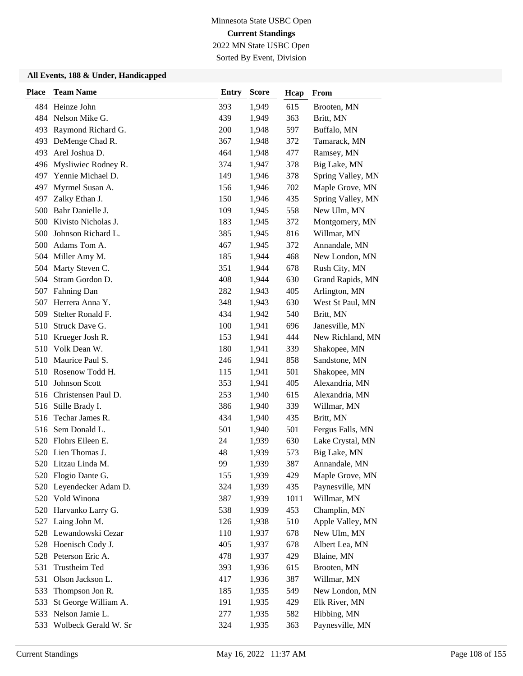2022 MN State USBC Open

Sorted By Event, Division

| <b>Place</b> | <b>Team Name</b>         | <b>Entry</b> | <b>Score</b> | Hcap | From              |
|--------------|--------------------------|--------------|--------------|------|-------------------|
|              | 484 Heinze John          | 393          | 1,949        | 615  | Brooten, MN       |
|              | 484 Nelson Mike G.       | 439          | 1,949        | 363  | Britt, MN         |
| 493          | Raymond Richard G.       | 200          | 1,948        | 597  | Buffalo, MN       |
| 493          | DeMenge Chad R.          | 367          | 1,948        | 372  | Tamarack, MN      |
| 493          | Arel Joshua D.           | 464          | 1,948        | 477  | Ramsey, MN        |
|              | 496 Mysliwiec Rodney R.  | 374          | 1,947        | 378  | Big Lake, MN      |
| 497          | Yennie Michael D.        | 149          | 1,946        | 378  | Spring Valley, MN |
| 497          | Myrmel Susan A.          | 156          | 1,946        | 702  | Maple Grove, MN   |
| 497          | Zalky Ethan J.           | 150          | 1,946        | 435  | Spring Valley, MN |
| 500          | Bahr Danielle J.         | 109          | 1,945        | 558  | New Ulm, MN       |
| 500          | Kivisto Nicholas J.      | 183          | 1,945        | 372  | Montgomery, MN    |
| 500          | Johnson Richard L.       | 385          | 1,945        | 816  | Willmar, MN       |
| 500          | Adams Tom A.             | 467          | 1,945        | 372  | Annandale, MN     |
| 504          | Miller Amy M.            | 185          | 1,944        | 468  | New London, MN    |
| 504          | Marty Steven C.          | 351          | 1,944        | 678  | Rush City, MN     |
| 504          | Stram Gordon D.          | 408          | 1,944        | 630  | Grand Rapids, MN  |
| 507          | Fahning Dan              | 282          | 1,943        | 405  | Arlington, MN     |
| 507          | Herrera Anna Y.          | 348          | 1,943        | 630  | West St Paul, MN  |
| 509          | Stelter Ronald F.        | 434          | 1,942        | 540  | Britt, MN         |
| 510          | Struck Dave G.           | 100          | 1,941        | 696  | Janesville, MN    |
| 510          | Krueger Josh R.          | 153          | 1,941        | 444  | New Richland, MN  |
|              | 510 Volk Dean W.         | 180          | 1,941        | 339  | Shakopee, MN      |
|              | 510 Maurice Paul S.      | 246          | 1,941        | 858  | Sandstone, MN     |
|              | 510 Rosenow Todd H.      | 115          | 1,941        | 501  | Shakopee, MN      |
| 510          | Johnson Scott            | 353          | 1,941        | 405  | Alexandria, MN    |
|              | 516 Christensen Paul D.  | 253          | 1,940        | 615  | Alexandria, MN    |
| 516          | Stille Brady I.          | 386          | 1,940        | 339  | Willmar, MN       |
| 516          | Techar James R.          | 434          | 1,940        | 435  | Britt, MN         |
| 516          | Sem Donald L.            | 501          | 1,940        | 501  | Fergus Falls, MN  |
|              | 520 Flohrs Eileen E.     | 24           | 1,939        | 630  | Lake Crystal, MN  |
|              | 520 Lien Thomas J.       | 48           | 1,939        | 573  | Big Lake, MN      |
|              | 520 Litzau Linda M.      | 99           | 1,939        | 387  | Annandale, MN     |
|              | 520 Flogio Dante G.      | 155          | 1,939        | 429  | Maple Grove, MN   |
|              | 520 Leyendecker Adam D.  | 324          | 1,939        | 435  | Paynesville, MN   |
|              | 520 Vold Winona          | 387          | 1,939        | 1011 | Willmar, MN       |
|              | 520 Harvanko Larry G.    | 538          | 1,939        | 453  | Champlin, MN      |
|              | 527 Laing John M.        | 126          | 1,938        | 510  | Apple Valley, MN  |
|              | 528 Lewandowski Cezar    | 110          | 1,937        | 678  | New Ulm, MN       |
|              | 528 Hoenisch Cody J.     | 405          | 1,937        | 678  | Albert Lea, MN    |
|              | 528 Peterson Eric A.     | 478          | 1,937        | 429  | Blaine, MN        |
| 531          | Trustheim Ted            | 393          | 1,936        | 615  | Brooten, MN       |
| 531          | Olson Jackson L.         | 417          | 1,936        | 387  | Willmar, MN       |
| 533          | Thompson Jon R.          | 185          | 1,935        | 549  | New London, MN    |
| 533          | St George William A.     | 191          | 1,935        | 429  | Elk River, MN     |
| 533          | Nelson Jamie L.          | 277          | 1,935        | 582  | Hibbing, MN       |
|              | 533 Wolbeck Gerald W. Sr | 324          | 1,935        | 363  | Paynesville, MN   |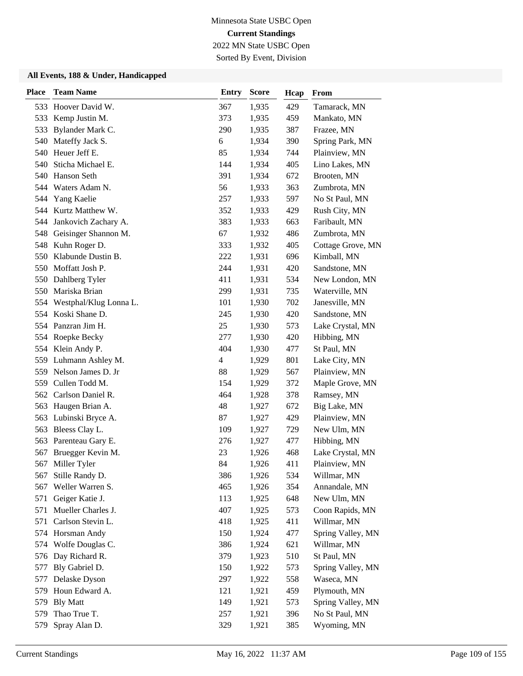2022 MN State USBC Open Sorted By Event, Division

| <b>Place</b> | <b>Team Name</b>         | <b>Entry</b>   | <b>Score</b> | Hcap | From              |
|--------------|--------------------------|----------------|--------------|------|-------------------|
|              | 533 Hoover David W.      | 367            | 1,935        | 429  | Tamarack, MN      |
| 533          | Kemp Justin M.           | 373            | 1,935        | 459  | Mankato, MN       |
| 533          | Bylander Mark C.         | 290            | 1,935        | 387  | Frazee, MN        |
| 540          | Mateffy Jack S.          | 6              | 1,934        | 390  | Spring Park, MN   |
| 540          | Heuer Jeff E.            | 85             | 1,934        | 744  | Plainview, MN     |
| 540          | Sticha Michael E.        | 144            | 1,934        | 405  | Lino Lakes, MN    |
| 540          | Hanson Seth              | 391            | 1,934        | 672  | Brooten, MN       |
|              | 544 Waters Adam N.       | 56             | 1,933        | 363  | Zumbrota, MN      |
| 544          | Yang Kaelie              | 257            | 1,933        | 597  | No St Paul, MN    |
| 544          | Kurtz Matthew W.         | 352            | 1,933        | 429  | Rush City, MN     |
| 544          | Jankovich Zachary A.     | 383            | 1,933        | 663  | Faribault, MN     |
|              | 548 Geisinger Shannon M. | 67             | 1,932        | 486  | Zumbrota, MN      |
|              | 548 Kuhn Roger D.        | 333            | 1,932        | 405  | Cottage Grove, MN |
| 550          | Klabunde Dustin B.       | 222            | 1,931        | 696  | Kimball, MN       |
| 550          | Moffatt Josh P.          | 244            | 1,931        | 420  | Sandstone, MN     |
| 550          | Dahlberg Tyler           | 411            | 1,931        | 534  | New London, MN    |
| 550          | Mariska Brian            | 299            | 1,931        | 735  | Waterville, MN    |
| 554          | Westphal/Klug Lonna L.   | 101            | 1,930        | 702  | Janesville, MN    |
| 554          | Koski Shane D.           | 245            | 1,930        | 420  | Sandstone, MN     |
| 554          | Panzran Jim H.           | 25             | 1,930        | 573  | Lake Crystal, MN  |
|              | 554 Roepke Becky         | 277            | 1,930        | 420  | Hibbing, MN       |
| 554          | Klein Andy P.            | 404            | 1,930        | 477  | St Paul, MN       |
| 559          | Luhmann Ashley M.        | $\overline{4}$ | 1,929        | 801  | Lake City, MN     |
|              | 559 Nelson James D. Jr   | 88             | 1,929        | 567  | Plainview, MN     |
|              | 559 Cullen Todd M.       | 154            | 1,929        | 372  | Maple Grove, MN   |
| 562          | Carlson Daniel R.        | 464            | 1,928        | 378  | Ramsey, MN        |
| 563          | Haugen Brian A.          | 48             | 1,927        | 672  | Big Lake, MN      |
|              | 563 Lubinski Bryce A.    | 87             | 1,927        | 429  | Plainview, MN     |
| 563          | Bleess Clay L.           | 109            | 1,927        | 729  | New Ulm, MN       |
| 563          | Parenteau Gary E.        | 276            | 1,927        | 477  | Hibbing, MN       |
| 567          | Bruegger Kevin M.        | 23             | 1,926        | 468  | Lake Crystal, MN  |
| 567          | Miller Tyler             | 84             | 1,926        | 411  | Plainview, MN     |
| 567          | Stille Randy D.          | 386            | 1,926        | 534  | Willmar, MN       |
| 567          | Weller Warren S.         | 465            | 1,926        | 354  | Annandale, MN     |
| 571          | Geiger Katie J.          | 113            | 1,925        | 648  | New Ulm, MN       |
| 571          | Mueller Charles J.       | 407            | 1,925        | 573  | Coon Rapids, MN   |
| 571          | Carlson Stevin L.        | 418            | 1,925        | 411  | Willmar, MN       |
|              | 574 Horsman Andy         | 150            | 1,924        | 477  | Spring Valley, MN |
| 574          | Wolfe Douglas C.         | 386            | 1,924        | 621  | Willmar, MN       |
|              | 576 Day Richard R.       | 379            | 1,923        | 510  | St Paul, MN       |
| 577          | Bly Gabriel D.           | 150            | 1,922        | 573  | Spring Valley, MN |
| 577          | Delaske Dyson            | 297            | 1,922        | 558  | Waseca, MN        |
| 579          | Houn Edward A.           | 121            | 1,921        | 459  | Plymouth, MN      |
| 579          | <b>Bly Matt</b>          | 149            | 1,921        | 573  | Spring Valley, MN |
| 579          | Thao True T.             | 257            | 1,921        | 396  | No St Paul, MN    |
| 579          | Spray Alan D.            | 329            | 1,921        | 385  | Wyoming, MN       |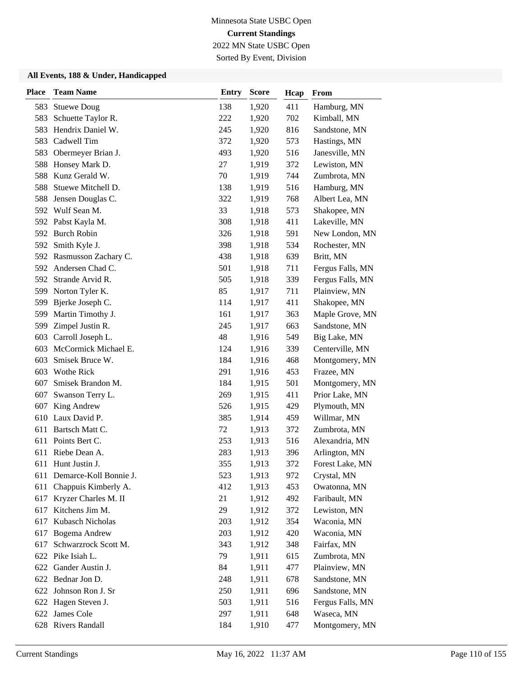2022 MN State USBC Open Sorted By Event, Division

| <b>Place</b> | <b>Team Name</b>           | <b>Entry</b> | <b>Score</b> | Hcap | From             |
|--------------|----------------------------|--------------|--------------|------|------------------|
| 583          | <b>Stuewe Doug</b>         | 138          | 1,920        | 411  | Hamburg, MN      |
| 583          | Schuette Taylor R.         | 222          | 1,920        | 702  | Kimball, MN      |
| 583          | Hendrix Daniel W.          | 245          | 1,920        | 816  | Sandstone, MN    |
| 583          | Cadwell Tim                | 372          | 1,920        | 573  | Hastings, MN     |
| 583          | Obermeyer Brian J.         | 493          | 1,920        | 516  | Janesville, MN   |
| 588          | Honsey Mark D.             | 27           | 1,919        | 372  | Lewiston, MN     |
| 588          | Kunz Gerald W.             | 70           | 1,919        | 744  | Zumbrota, MN     |
| 588          | Stuewe Mitchell D.         | 138          | 1,919        | 516  | Hamburg, MN      |
| 588          | Jensen Douglas C.          | 322          | 1,919        | 768  | Albert Lea, MN   |
|              | 592 Wulf Sean M.           | 33           | 1,918        | 573  | Shakopee, MN     |
|              | 592 Pabst Kayla M.         | 308          | 1,918        | 411  | Lakeville, MN    |
|              | 592 Burch Robin            | 326          | 1,918        | 591  | New London, MN   |
| 592          | Smith Kyle J.              | 398          | 1,918        | 534  | Rochester, MN    |
|              | 592 Rasmusson Zachary C.   | 438          | 1,918        | 639  | Britt, MN        |
| 592          | Andersen Chad C.           | 501          | 1,918        | 711  | Fergus Falls, MN |
| 592          | Strande Arvid R.           | 505          | 1,918        | 339  | Fergus Falls, MN |
| 599          | Norton Tyler K.            | 85           | 1,917        | 711  | Plainview, MN    |
| 599          | Bjerke Joseph C.           | 114          | 1,917        | 411  | Shakopee, MN     |
| 599          | Martin Timothy J.          | 161          | 1,917        | 363  | Maple Grove, MN  |
| 599          | Zimpel Justin R.           | 245          | 1,917        | 663  | Sandstone, MN    |
| 603          | Carroll Joseph L.          | 48           | 1,916        | 549  | Big Lake, MN     |
| 603          | McCormick Michael E.       | 124          | 1,916        | 339  | Centerville, MN  |
| 603          | Smisek Bruce W.            | 184          | 1,916        | 468  | Montgomery, MN   |
| 603          | Wothe Rick                 | 291          | 1,916        | 453  | Frazee, MN       |
| 607          | Smisek Brandon M.          | 184          | 1,915        | 501  | Montgomery, MN   |
| 607          | Swanson Terry L.           | 269          | 1,915        | 411  | Prior Lake, MN   |
| 607          | King Andrew                | 526          | 1,915        | 429  | Plymouth, MN     |
| 610          | Laux David P.              | 385          | 1,914        | 459  | Willmar, MN      |
| 611          | Bartsch Matt C.            | 72           | 1,913        | 372  | Zumbrota, MN     |
| 611          | Points Bert C.             | 253          | 1,913        | 516  | Alexandria, MN   |
| 611          | Riebe Dean A.              | 283          | 1,913        | 396  | Arlington, MN    |
|              | 611 Hunt Justin J.         | 355          | 1,913        | 372  | Forest Lake, MN  |
|              | 611 Demarce-Koll Bonnie J. | 523          | 1,913        | 972  | Crystal, MN      |
| 611          | Chappuis Kimberly A.       | 412          | 1,913        | 453  | Owatonna, MN     |
| 617          | Kryzer Charles M. II       | 21           | 1,912        | 492  | Faribault, MN    |
| 617          | Kitchens Jim M.            | 29           | 1,912        | 372  | Lewiston, MN     |
| 617          | Kubasch Nicholas           | 203          | 1,912        | 354  | Waconia, MN      |
| 617          | Bogema Andrew              | 203          | 1,912        | 420  | Waconia, MN      |
| 617          | Schwarzrock Scott M.       | 343          | 1,912        | 348  | Fairfax, MN      |
|              | 622 Pike Isiah L.          | 79           | 1,911        | 615  | Zumbrota, MN     |
| 622          | Gander Austin J.           | 84           | 1,911        | 477  | Plainview, MN    |
|              | 622 Bednar Jon D.          | 248          | 1,911        | 678  | Sandstone, MN    |
| 622          | Johnson Ron J. Sr          | 250          | 1,911        | 696  | Sandstone, MN    |
|              | 622 Hagen Steven J.        | 503          | 1,911        | 516  | Fergus Falls, MN |
|              | 622 James Cole             | 297          | 1,911        | 648  | Waseca, MN       |
|              | 628 Rivers Randall         | 184          | 1,910        | 477  | Montgomery, MN   |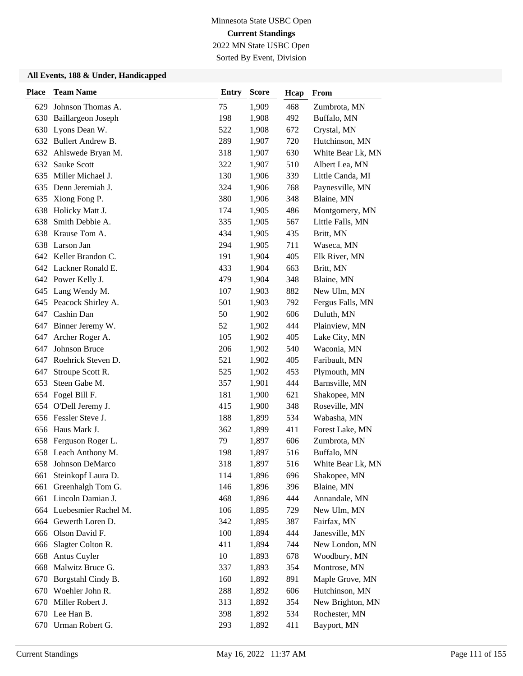2022 MN State USBC Open Sorted By Event, Division

| <b>Place</b> | <b>Team Name</b>          | <b>Entry</b> | <b>Score</b> | Hcap | From              |
|--------------|---------------------------|--------------|--------------|------|-------------------|
| 629          | Johnson Thomas A.         | 75           | 1,909        | 468  | Zumbrota, MN      |
| 630          | <b>Baillargeon Joseph</b> | 198          | 1,908        | 492  | Buffalo, MN       |
| 630          | Lyons Dean W.             | 522          | 1,908        | 672  | Crystal, MN       |
|              | 632 Bullert Andrew B.     | 289          | 1,907        | 720  | Hutchinson, MN    |
| 632          | Ahlswede Bryan M.         | 318          | 1,907        | 630  | White Bear Lk, MN |
| 632          | Sauke Scott               | 322          | 1,907        | 510  | Albert Lea, MN    |
| 635          | Miller Michael J.         | 130          | 1,906        | 339  | Little Canda, MI  |
| 635          | Denn Jeremiah J.          | 324          | 1,906        | 768  | Paynesville, MN   |
| 635          | Xiong Fong P.             | 380          | 1,906        | 348  | Blaine, MN        |
| 638          | Holicky Matt J.           | 174          | 1,905        | 486  | Montgomery, MN    |
| 638          | Smith Debbie A.           | 335          | 1,905        | 567  | Little Falls, MN  |
| 638          | Krause Tom A.             | 434          | 1,905        | 435  | Britt, MN         |
| 638          | Larson Jan                | 294          | 1,905        | 711  | Waseca, MN        |
|              | 642 Keller Brandon C.     | 191          | 1,904        | 405  | Elk River, MN     |
|              | 642 Lackner Ronald E.     | 433          | 1,904        | 663  | Britt, MN         |
|              | 642 Power Kelly J.        | 479          | 1,904        | 348  | Blaine, MN        |
| 645          | Lang Wendy M.             | 107          | 1,903        | 882  | New Ulm, MN       |
|              | 645 Peacock Shirley A.    | 501          | 1,903        | 792  | Fergus Falls, MN  |
| 647          | Cashin Dan                | 50           | 1,902        | 606  | Duluth, MN        |
| 647          | Binner Jeremy W.          | 52           | 1,902        | 444  | Plainview, MN     |
| 647          | Archer Roger A.           | 105          | 1,902        | 405  | Lake City, MN     |
| 647          | Johnson Bruce             | 206          | 1,902        | 540  | Waconia, MN       |
| 647          | Roehrick Steven D.        | 521          | 1,902        | 405  | Faribault, MN     |
| 647          | Stroupe Scott R.          | 525          | 1,902        | 453  | Plymouth, MN      |
| 653          | Steen Gabe M.             | 357          | 1,901        | 444  | Barnsville, MN    |
| 654          | Fogel Bill F.             | 181          | 1,900        | 621  | Shakopee, MN      |
| 654          | O'Dell Jeremy J.          | 415          | 1,900        | 348  | Roseville, MN     |
|              | 656 Fessler Steve J.      | 188          | 1,899        | 534  | Wabasha, MN       |
| 656          | Haus Mark J.              | 362          | 1,899        | 411  | Forest Lake, MN   |
| 658          | Ferguson Roger L.         | 79           | 1,897        | 606  | Zumbrota, MN      |
| 658          | Leach Anthony M.          | 198          | 1,897        | 516  | Buffalo, MN       |
| 658          | Johnson DeMarco           | 318          | 1,897        | 516  | White Bear Lk, MN |
|              | 661 Steinkopf Laura D.    | 114          | 1,896        | 696  | Shakopee, MN      |
| 661          | Greenhalgh Tom G.         | 146          | 1,896        | 396  | Blaine, MN        |
| 661          | Lincoln Damian J.         | 468          | 1,896        | 444  | Annandale, MN     |
|              | 664 Luebesmier Rachel M.  | 106          | 1,895        | 729  | New Ulm, MN       |
|              | 664 Gewerth Loren D.      | 342          | 1,895        | 387  | Fairfax, MN       |
|              | 666 Olson David F.        | 100          | 1,894        | 444  | Janesville, MN    |
| 666          | Slagter Colton R.         | 411          | 1,894        | 744  | New London, MN    |
| 668          | Antus Cuyler              | $10\,$       | 1,893        | 678  | Woodbury, MN      |
| 668          | Malwitz Bruce G.          | 337          | 1,893        | 354  | Montrose, MN      |
| 670          | Borgstahl Cindy B.        | 160          | 1,892        | 891  | Maple Grove, MN   |
| 670          | Woehler John R.           | 288          | 1,892        | 606  | Hutchinson, MN    |
| 670          | Miller Robert J.          | 313          | 1,892        | 354  | New Brighton, MN  |
|              | 670 Lee Han B.            | 398          | 1,892        | 534  | Rochester, MN     |
|              | 670 Urman Robert G.       | 293          | 1,892        | 411  | Bayport, MN       |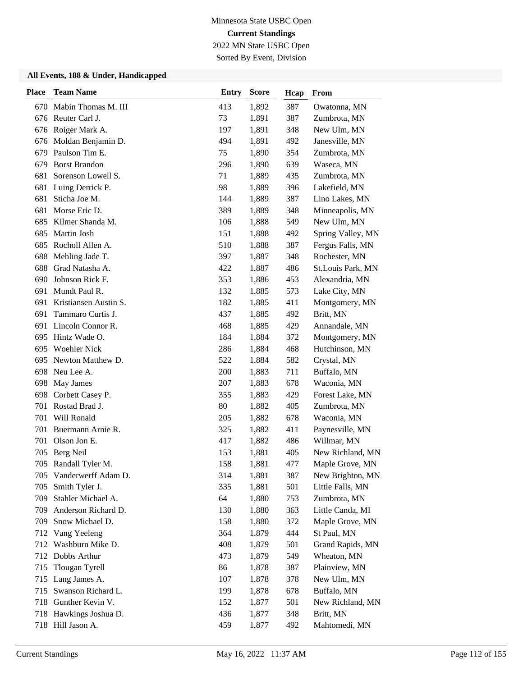Sorted By Event, Division

| <b>Place</b> | <b>Team Name</b>        | <b>Entry</b> | <b>Score</b> | Hcap | From              |
|--------------|-------------------------|--------------|--------------|------|-------------------|
|              | 670 Mabin Thomas M. III | 413          | 1,892        | 387  | Owatonna, MN      |
|              | 676 Reuter Carl J.      | 73           | 1,891        | 387  | Zumbrota, MN      |
|              | 676 Roiger Mark A.      | 197          | 1,891        | 348  | New Ulm, MN       |
|              | 676 Moldan Benjamin D.  | 494          | 1,891        | 492  | Janesville, MN    |
| 679          | Paulson Tim E.          | 75           | 1,890        | 354  | Zumbrota, MN      |
| 679          | <b>Borst Brandon</b>    | 296          | 1,890        | 639  | Waseca, MN        |
| 681          | Sorenson Lowell S.      | 71           | 1,889        | 435  | Zumbrota, MN      |
| 681          | Luing Derrick P.        | 98           | 1,889        | 396  | Lakefield, MN     |
| 681          | Sticha Joe M.           | 144          | 1,889        | 387  | Lino Lakes, MN    |
| 681          | Morse Eric D.           | 389          | 1,889        | 348  | Minneapolis, MN   |
| 685          | Kilmer Shanda M.        | 106          | 1,888        | 549  | New Ulm, MN       |
| 685          | Martin Josh             | 151          | 1,888        | 492  | Spring Valley, MN |
| 685          | Rocholl Allen A.        | 510          | 1,888        | 387  | Fergus Falls, MN  |
| 688          | Mehling Jade T.         | 397          | 1,887        | 348  | Rochester, MN     |
| 688          | Grad Natasha A.         | 422          | 1,887        | 486  | St.Louis Park, MN |
| 690          | Johnson Rick F.         | 353          | 1,886        | 453  | Alexandria, MN    |
| 691          | Mundt Paul R.           | 132          | 1,885        | 573  | Lake City, MN     |
| 691          | Kristiansen Austin S.   | 182          | 1,885        | 411  | Montgomery, MN    |
| 691          | Tammaro Curtis J.       | 437          | 1,885        | 492  | Britt, MN         |
| 691          | Lincoln Connor R.       | 468          | 1,885        | 429  | Annandale, MN     |
|              | 695 Hintz Wade O.       | 184          | 1,884        | 372  | Montgomery, MN    |
| 695          | <b>Woehler Nick</b>     | 286          | 1,884        | 468  | Hutchinson, MN    |
| 695          | Newton Matthew D.       | 522          | 1,884        | 582  | Crystal, MN       |
|              | 698 Neu Lee A.          | 200          | 1,883        | 711  | Buffalo, MN       |
| 698          | May James               | 207          | 1,883        | 678  | Waconia, MN       |
| 698          | Corbett Casey P.        | 355          | 1,883        | 429  | Forest Lake, MN   |
| 701          | Rostad Brad J.          | 80           | 1,882        | 405  | Zumbrota, MN      |
| 701          | Will Ronald             | 205          | 1,882        | 678  | Waconia, MN       |
| 701          | Buermann Arnie R.       | 325          | 1,882        | 411  | Paynesville, MN   |
| 701          | Olson Jon E.            | 417          | 1,882        | 486  | Willmar, MN       |
| 705          | Berg Neil               | 153          | 1,881        | 405  | New Richland, MN  |
|              | 705 Randall Tyler M.    | 158          | 1,881        | 477  | Maple Grove, MN   |
|              | 705 Vanderwerff Adam D. | 314          | 1,881        | 387  | New Brighton, MN  |
| 705          | Smith Tyler J.          | 335          | 1,881        | 501  | Little Falls, MN  |
| 709          | Stahler Michael A.      | 64           | 1,880        | 753  | Zumbrota, MN      |
| 709          | Anderson Richard D.     | 130          | 1,880        | 363  | Little Canda, MI  |
| 709          | Snow Michael D.         | 158          | 1,880        | 372  | Maple Grove, MN   |
|              | 712 Vang Yeeleng        | 364          | 1,879        | 444  | St Paul, MN       |
| 712          | Washburn Mike D.        | 408          | 1,879        | 501  | Grand Rapids, MN  |
|              | 712 Dobbs Arthur        | 473          | 1,879        | 549  | Wheaton, MN       |
| 715          | Tlougan Tyrell          | 86           | 1,878        | 387  | Plainview, MN     |
| 715          | Lang James A.           | 107          | 1,878        | 378  | New Ulm, MN       |
| 715          | Swanson Richard L.      | 199          | 1,878        | 678  | Buffalo, MN       |
|              | 718 Gunther Kevin V.    | 152          | 1,877        | 501  | New Richland, MN  |
|              | 718 Hawkings Joshua D.  | 436          | 1,877        | 348  | Britt, MN         |
|              | 718 Hill Jason A.       | 459          | 1,877        | 492  | Mahtomedi, MN     |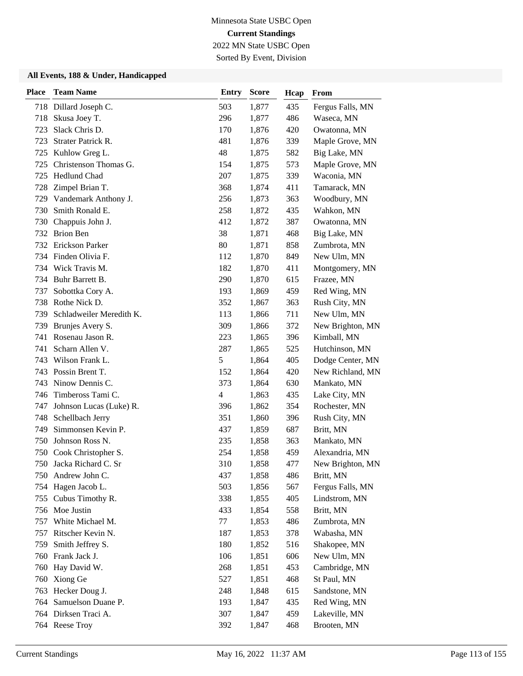2022 MN State USBC Open Sorted By Event, Division

| <b>Place</b> | <b>Team Name</b>         | <b>Entry</b>             | <b>Score</b> | Hcap | From             |
|--------------|--------------------------|--------------------------|--------------|------|------------------|
|              | 718 Dillard Joseph C.    | 503                      | 1,877        | 435  | Fergus Falls, MN |
| 718          | Skusa Joey T.            | 296                      | 1,877        | 486  | Waseca, MN       |
| 723          | Slack Chris D.           | 170                      | 1,876        | 420  | Owatonna, MN     |
| 723          | Strater Patrick R.       | 481                      | 1,876        | 339  | Maple Grove, MN  |
|              | 725 Kuhlow Greg L.       | 48                       | 1,875        | 582  | Big Lake, MN     |
| 725          | Christenson Thomas G.    | 154                      | 1,875        | 573  | Maple Grove, MN  |
| 725          | Hedlund Chad             | 207                      | 1,875        | 339  | Waconia, MN      |
| 728          | Zimpel Brian T.          | 368                      | 1,874        | 411  | Tamarack, MN     |
| 729          | Vandemark Anthony J.     | 256                      | 1,873        | 363  | Woodbury, MN     |
| 730          | Smith Ronald E.          | 258                      | 1,872        | 435  | Wahkon, MN       |
| 730          | Chappuis John J.         | 412                      | 1,872        | 387  | Owatonna, MN     |
|              | 732 Brion Ben            | 38                       | 1,871        | 468  | Big Lake, MN     |
|              | 732 Erickson Parker      | 80                       | 1,871        | 858  | Zumbrota, MN     |
|              | 734 Finden Olivia F.     | 112                      | 1,870        | 849  | New Ulm, MN      |
|              | 734 Wick Travis M.       | 182                      | 1,870        | 411  | Montgomery, MN   |
| 734          | Buhr Barrett B.          | 290                      | 1,870        | 615  | Frazee, MN       |
| 737          | Sobottka Cory A.         | 193                      | 1,869        | 459  | Red Wing, MN     |
| 738          | Rothe Nick D.            | 352                      | 1,867        | 363  | Rush City, MN    |
| 739          | Schladweiler Meredith K. | 113                      | 1,866        | 711  | New Ulm, MN      |
| 739          | Brunjes Avery S.         | 309                      | 1,866        | 372  | New Brighton, MN |
| 741          | Rosenau Jason R.         | 223                      | 1,865        | 396  | Kimball, MN      |
| 741          | Scharn Allen V.          | 287                      | 1,865        | 525  | Hutchinson, MN   |
| 743          | Wilson Frank L.          | $\mathfrak s$            | 1,864        | 405  | Dodge Center, MN |
|              | 743 Possin Brent T.      | 152                      | 1,864        | 420  | New Richland, MN |
| 743          | Ninow Dennis C.          | 373                      | 1,864        | 630  | Mankato, MN      |
| 746          | Timbeross Tami C.        | $\overline{\mathcal{L}}$ | 1,863        | 435  | Lake City, MN    |
| 747          | Johnson Lucas (Luke) R.  | 396                      | 1,862        | 354  | Rochester, MN    |
| 748          | Schellbach Jerry         | 351                      | 1,860        | 396  | Rush City, MN    |
| 749          | Simmonsen Kevin P.       | 437                      | 1,859        | 687  | Britt, MN        |
| 750          | Johnson Ross N.          | 235                      | 1,858        | 363  | Mankato, MN      |
| 750          | Cook Christopher S.      | 254                      | 1,858        | 459  | Alexandria, MN   |
| 750          | Jacka Richard C. Sr      | 310                      | 1,858        | 477  | New Brighton, MN |
|              | 750 Andrew John C.       | 437                      | 1,858        | 486  | Britt, MN        |
| 754          | Hagen Jacob L.           | 503                      | 1,856        | 567  | Fergus Falls, MN |
| 755          | Cubus Timothy R.         | 338                      | 1,855        | 405  | Lindstrom, MN    |
|              | 756 Moe Justin           | 433                      | 1,854        | 558  | Britt, MN        |
| 757          | White Michael M.         | 77                       | 1,853        | 486  | Zumbrota, MN     |
| 757          | Ritscher Kevin N.        | 187                      | 1,853        | 378  | Wabasha, MN      |
| 759          | Smith Jeffrey S.         | 180                      | 1,852        | 516  | Shakopee, MN     |
|              | 760 Frank Jack J.        | 106                      | 1,851        | 606  | New Ulm, MN      |
| 760          | Hay David W.             | 268                      | 1,851        | 453  | Cambridge, MN    |
| 760          | Xiong Ge                 | 527                      | 1,851        | 468  | St Paul, MN      |
| 763          | Hecker Doug J.           | 248                      | 1,848        | 615  | Sandstone, MN    |
| 764          | Samuelson Duane P.       | 193                      | 1,847        | 435  | Red Wing, MN     |
|              | 764 Dirksen Traci A.     | 307                      | 1,847        | 459  | Lakeville, MN    |
|              | 764 Reese Troy           | 392                      | 1,847        | 468  | Brooten, MN      |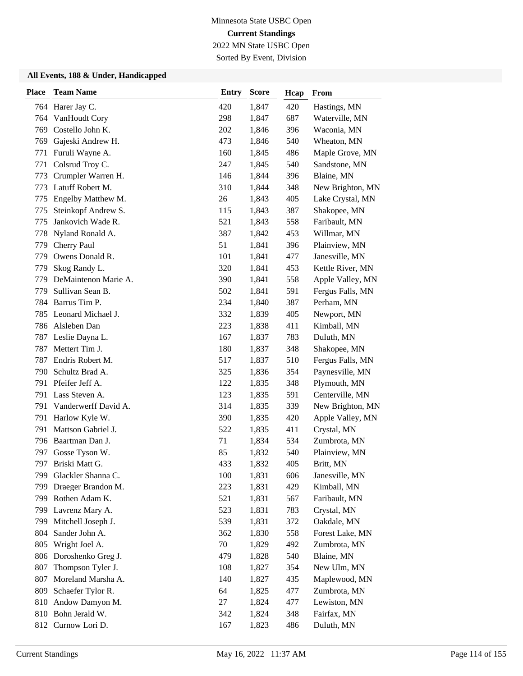2022 MN State USBC Open Sorted By Event, Division

| <b>Place</b> | <b>Team Name</b>       | <b>Entry</b> | <b>Score</b> | Hcap | From             |
|--------------|------------------------|--------------|--------------|------|------------------|
|              | 764 Harer Jay C.       | 420          | 1,847        | 420  | Hastings, MN     |
| 764          | VanHoudt Cory          | 298          | 1,847        | 687  | Waterville, MN   |
| 769          | Costello John K.       | 202          | 1,846        | 396  | Waconia, MN      |
| 769          | Gajeski Andrew H.      | 473          | 1,846        | 540  | Wheaton, MN      |
| 771          | Furuli Wayne A.        | 160          | 1,845        | 486  | Maple Grove, MN  |
| 771          | Colsrud Troy C.        | 247          | 1,845        | 540  | Sandstone, MN    |
| 773          | Crumpler Warren H.     | 146          | 1,844        | 396  | Blaine, MN       |
| 773          | Latuff Robert M.       | 310          | 1,844        | 348  | New Brighton, MN |
| 775          | Engelby Matthew M.     | 26           | 1,843        | 405  | Lake Crystal, MN |
| 775          | Steinkopf Andrew S.    | 115          | 1,843        | 387  | Shakopee, MN     |
| 775          | Jankovich Wade R.      | 521          | 1,843        | 558  | Faribault, MN    |
| 778          | Nyland Ronald A.       | 387          | 1,842        | 453  | Willmar, MN      |
| 779          | Cherry Paul            | 51           | 1,841        | 396  | Plainview, MN    |
| 779          | Owens Donald R.        | 101          | 1,841        | 477  | Janesville, MN   |
| 779          | Skog Randy L.          | 320          | 1,841        | 453  | Kettle River, MN |
| 779          | DeMaintenon Marie A.   | 390          | 1,841        | 558  | Apple Valley, MN |
| 779          | Sullivan Sean B.       | 502          | 1,841        | 591  | Fergus Falls, MN |
| 784          | Barrus Tim P.          | 234          | 1,840        | 387  | Perham, MN       |
| 785          | Leonard Michael J.     | 332          | 1,839        | 405  | Newport, MN      |
|              | 786 Alsleben Dan       | 223          | 1,838        | 411  | Kimball, MN      |
| 787          | Leslie Dayna L.        | 167          | 1,837        | 783  | Duluth, MN       |
| 787          | Mettert Tim J.         | 180          | 1,837        | 348  | Shakopee, MN     |
| 787          | Endris Robert M.       | 517          | 1,837        | 510  | Fergus Falls, MN |
| 790          | Schultz Brad A.        | 325          | 1,836        | 354  | Paynesville, MN  |
|              | 791 Pfeifer Jeff A.    | 122          | 1,835        | 348  | Plymouth, MN     |
| 791          | Lass Steven A.         | 123          | 1,835        | 591  | Centerville, MN  |
| 791          | Vanderwerff David A.   | 314          | 1,835        | 339  | New Brighton, MN |
| 791          | Harlow Kyle W.         | 390          | 1,835        | 420  | Apple Valley, MN |
| 791          | Mattson Gabriel J.     | 522          | 1,835        | 411  | Crystal, MN      |
| 796          | Baartman Dan J.        | 71           | 1,834        | 534  | Zumbrota, MN     |
| 797          | Gosse Tyson W.         | 85           | 1,832        | 540  | Plainview, MN    |
|              | 797 Briski Matt G.     | 433          | 1,832        | 405  | Britt, MN        |
|              | 799 Glackler Shanna C. | 100          | 1,831        | 606  | Janesville, MN   |
| 799          | Draeger Brandon M.     | 223          | 1,831        | 429  | Kimball, MN      |
| 799          | Rothen Adam K.         | 521          | 1,831        | 567  | Faribault, MN    |
|              | 799 Lavrenz Mary A.    | 523          | 1,831        | 783  | Crystal, MN      |
| 799          | Mitchell Joseph J.     | 539          | 1,831        | 372  | Oakdale, MN      |
| 804          | Sander John A.         | 362          | 1,830        | 558  | Forest Lake, MN  |
| 805          | Wright Joel A.         | 70           | 1,829        | 492  | Zumbrota, MN     |
| 806          | Doroshenko Greg J.     | 479          | 1,828        | 540  | Blaine, MN       |
| 807          | Thompson Tyler J.      | 108          | 1,827        | 354  | New Ulm, MN      |
| 807          | Moreland Marsha A.     | 140          | 1,827        | 435  | Maplewood, MN    |
| 809          | Schaefer Tylor R.      | 64           | 1,825        | 477  | Zumbrota, MN     |
| 810          | Andow Damyon M.        | 27           | 1,824        | 477  | Lewiston, MN     |
|              | 810 Bohn Jerald W.     | 342          | 1,824        | 348  | Fairfax, MN      |
| 812          | Curnow Lori D.         | 167          | 1,823        | 486  | Duluth, MN       |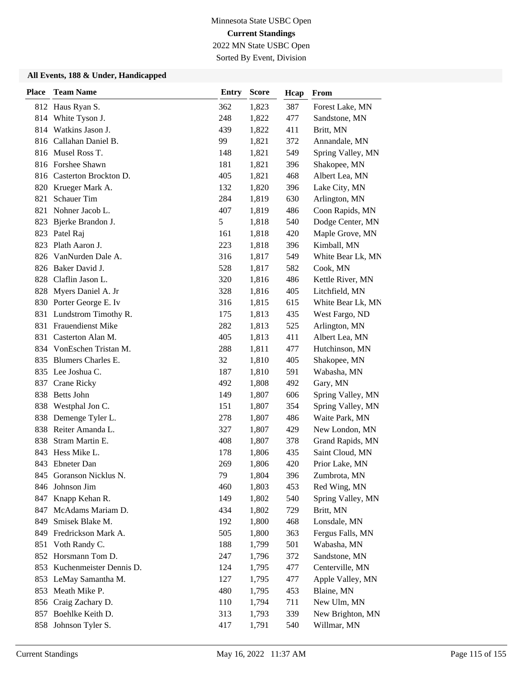2022 MN State USBC Open

### Sorted By Event, Division

| <b>Place</b> | <b>Team Name</b>            | <b>Entry</b> | <b>Score</b> | Hcap | From              |
|--------------|-----------------------------|--------------|--------------|------|-------------------|
|              | 812 Haus Ryan S.            | 362          | 1,823        | 387  | Forest Lake, MN   |
| 814          | White Tyson J.              | 248          | 1,822        | 477  | Sandstone, MN     |
|              | 814 Watkins Jason J.        | 439          | 1,822        | 411  | Britt, MN         |
|              | 816 Callahan Daniel B.      | 99           | 1,821        | 372  | Annandale, MN     |
|              | 816 Musel Ross T.           | 148          | 1,821        | 549  | Spring Valley, MN |
|              | 816 Forshee Shawn           | 181          | 1,821        | 396  | Shakopee, MN      |
|              | 816 Casterton Brockton D.   | 405          | 1,821        | 468  | Albert Lea, MN    |
|              | 820 Krueger Mark A.         | 132          | 1,820        | 396  | Lake City, MN     |
| 821          | <b>Schauer Tim</b>          | 284          | 1,819        | 630  | Arlington, MN     |
| 821          | Nohner Jacob L.             | 407          | 1,819        | 486  | Coon Rapids, MN   |
| 823          | Bjerke Brandon J.           | 5            | 1,818        | 540  | Dodge Center, MN  |
|              | 823 Patel Raj               | 161          | 1,818        | 420  | Maple Grove, MN   |
| 823          | Plath Aaron J.              | 223          | 1,818        | 396  | Kimball, MN       |
| 826          | VanNurden Dale A.           | 316          | 1,817        | 549  | White Bear Lk, MN |
|              | 826 Baker David J.          | 528          | 1,817        | 582  | Cook, MN          |
|              | 828 Claflin Jason L.        | 320          | 1,816        | 486  | Kettle River, MN  |
| 828          | Myers Daniel A. Jr          | 328          | 1,816        | 405  | Litchfield, MN    |
|              | 830 Porter George E. Iv     | 316          | 1,815        | 615  | White Bear Lk, MN |
| 831          | Lundstrom Timothy R.        | 175          | 1,813        | 435  | West Fargo, ND    |
|              | 831 Frauendienst Mike       | 282          | 1,813        | 525  | Arlington, MN     |
| 831          | Casterton Alan M.           | 405          | 1,813        | 411  | Albert Lea, MN    |
|              | 834 VonEschen Tristan M.    | 288          | 1,811        | 477  | Hutchinson, MN    |
|              | 835 Blumers Charles E.      | 32           | 1,810        | 405  | Shakopee, MN      |
|              | 835 Lee Joshua C.           | 187          | 1,810        | 591  | Wabasha, MN       |
| 837          | <b>Crane Ricky</b>          | 492          | 1,808        | 492  | Gary, MN          |
| 838          | <b>Betts John</b>           | 149          | 1,807        | 606  | Spring Valley, MN |
| 838          | Westphal Jon C.             | 151          | 1,807        | 354  | Spring Valley, MN |
|              | 838 Demenge Tyler L.        | 278          | 1,807        | 486  | Waite Park, MN    |
| 838          | Reiter Amanda L.            | 327          | 1,807        | 429  | New London, MN    |
| 838          | Stram Martin E.             | 408          | 1,807        | 378  | Grand Rapids, MN  |
| 843          | Hess Mike L.                | 178          | 1,806        | 435  | Saint Cloud, MN   |
|              | 843 Ebneter Dan             | 269          | 1,806        | 420  | Prior Lake, MN    |
|              | 845 Goranson Nicklus N.     | 79           | 1,804        | 396  | Zumbrota, MN      |
| 846          | Johnson Jim                 | 460          | 1,803        | 453  | Red Wing, MN      |
|              | 847 Knapp Kehan R.          | 149          | 1,802        | 540  | Spring Valley, MN |
|              | 847 McAdams Mariam D.       | 434          | 1,802        | 729  | Britt, MN         |
| 849          | Smisek Blake M.             | 192          | 1,800        | 468  | Lonsdale, MN      |
|              | 849 Fredrickson Mark A.     | 505          | 1,800        | 363  | Fergus Falls, MN  |
| 851          | Voth Randy C.               | 188          | 1,799        | 501  | Wabasha, MN       |
|              | 852 Horsmann Tom D.         | 247          | 1,796        | 372  | Sandstone, MN     |
|              | 853 Kuchenmeister Dennis D. | 124          | 1,795        | 477  | Centerville, MN   |
|              | 853 LeMay Samantha M.       | 127          | 1,795        | 477  | Apple Valley, MN  |
| 853          | Meath Mike P.               | 480          | 1,795        | 453  | Blaine, MN        |
|              | 856 Craig Zachary D.        | 110          | 1,794        | 711  | New Ulm, MN       |
|              | 857 Boehlke Keith D.        | 313          | 1,793        | 339  | New Brighton, MN  |
|              | 858 Johnson Tyler S.        | 417          | 1,791        | 540  | Willmar, MN       |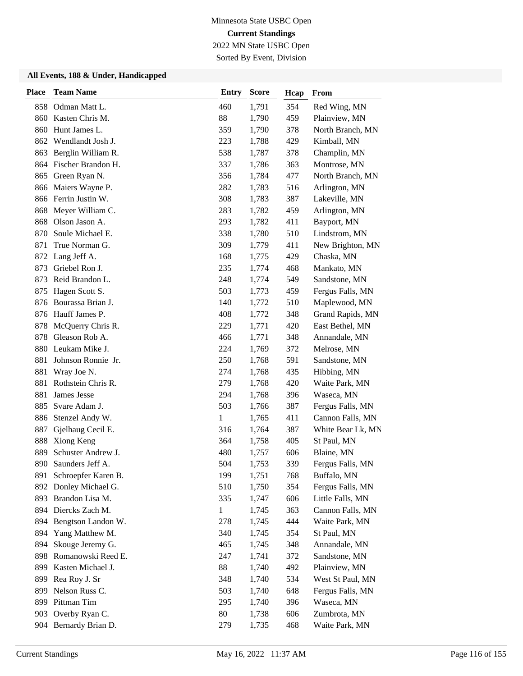2022 MN State USBC Open Sorted By Event, Division

| <b>Place</b> | <b>Team Name</b>       | <b>Entry</b> | <b>Score</b> | Hcap | From              |
|--------------|------------------------|--------------|--------------|------|-------------------|
| 858          | Odman Matt L.          | 460          | 1,791        | 354  | Red Wing, MN      |
| 860          | Kasten Chris M.        | 88           | 1,790        | 459  | Plainview, MN     |
| 860          | Hunt James L.          | 359          | 1,790        | 378  | North Branch, MN  |
| 862          | Wendlandt Josh J.      | 223          | 1,788        | 429  | Kimball, MN       |
| 863          | Berglin William R.     | 538          | 1,787        | 378  | Champlin, MN      |
| 864          | Fischer Brandon H.     | 337          | 1,786        | 363  | Montrose, MN      |
| 865          | Green Ryan N.          | 356          | 1,784        | 477  | North Branch, MN  |
| 866          | Maiers Wayne P.        | 282          | 1,783        | 516  | Arlington, MN     |
|              | 866 Ferrin Justin W.   | 308          | 1,783        | 387  | Lakeville, MN     |
| 868          | Meyer William C.       | 283          | 1,782        | 459  | Arlington, MN     |
| 868          | Olson Jason A.         | 293          | 1,782        | 411  | Bayport, MN       |
| 870          | Soule Michael E.       | 338          | 1,780        | 510  | Lindstrom, MN     |
| 871          | True Norman G.         | 309          | 1,779        | 411  | New Brighton, MN  |
| 872          | Lang Jeff A.           | 168          | 1,775        | 429  | Chaska, MN        |
| 873          | Griebel Ron J.         | 235          | 1,774        | 468  | Mankato, MN       |
| 873          | Reid Brandon L.        | 248          | 1,774        | 549  | Sandstone, MN     |
| 875          | Hagen Scott S.         | 503          | 1,773        | 459  | Fergus Falls, MN  |
| 876          | Bourassa Brian J.      | 140          | 1,772        | 510  | Maplewood, MN     |
|              | 876 Hauff James P.     | 408          | 1,772        | 348  | Grand Rapids, MN  |
| 878          | McQuerry Chris R.      | 229          | 1,771        | 420  | East Bethel, MN   |
| 878          | Gleason Rob A.         | 466          | 1,771        | 348  | Annandale, MN     |
| 880          | Leukam Mike J.         | 224          | 1,769        | 372  | Melrose, MN       |
| 881          | Johnson Ronnie Jr.     | 250          | 1,768        | 591  | Sandstone, MN     |
| 881          | Wray Joe N.            | 274          | 1,768        | 435  | Hibbing, MN       |
| 881          | Rothstein Chris R.     | 279          | 1,768        | 420  | Waite Park, MN    |
| 881          | James Jesse            | 294          | 1,768        | 396  | Waseca, MN        |
| 885          | Svare Adam J.          | 503          | 1,766        | 387  | Fergus Falls, MN  |
| 886          | Stenzel Andy W.        | $\mathbf{1}$ | 1,765        | 411  | Cannon Falls, MN  |
| 887          | Gjelhaug Cecil E.      | 316          | 1,764        | 387  | White Bear Lk, MN |
| 888          | Xiong Keng             | 364          | 1,758        | 405  | St Paul, MN       |
| 889          | Schuster Andrew J.     | 480          | 1,757        | 606  | Blaine, MN        |
| 890          | Saunders Jeff A.       | 504          | 1,753        | 339  | Fergus Falls, MN  |
| 891          | Schroepfer Karen B.    | 199          | 1,751        | 768  | Buffalo, MN       |
| 892          | Donley Michael G.      | 510          | 1,750        | 354  | Fergus Falls, MN  |
| 893          | Brandon Lisa M.        | 335          | 1,747        | 606  | Little Falls, MN  |
|              | 894 Diercks Zach M.    | $\mathbf{1}$ | 1,745        | 363  | Cannon Falls, MN  |
|              | 894 Bengtson Landon W. | 278          | 1,745        | 444  | Waite Park, MN    |
| 894          | Yang Matthew M.        | 340          | 1,745        | 354  | St Paul, MN       |
| 894          | Skouge Jeremy G.       | 465          | 1,745        | 348  | Annandale, MN     |
| 898          | Romanowski Reed E.     | 247          | 1,741        | 372  | Sandstone, MN     |
| 899          | Kasten Michael J.      | 88           | 1,740        | 492  | Plainview, MN     |
| 899          | Rea Roy J. Sr          | 348          | 1,740        | 534  | West St Paul, MN  |
| 899          | Nelson Russ C.         | 503          | 1,740        | 648  | Fergus Falls, MN  |
|              | 899 Pittman Tim        | 295          | 1,740        | 396  | Waseca, MN        |
| 903          | Overby Ryan C.         | 80           | 1,738        | 606  | Zumbrota, MN      |
|              | 904 Bernardy Brian D.  | 279          | 1,735        | 468  | Waite Park, MN    |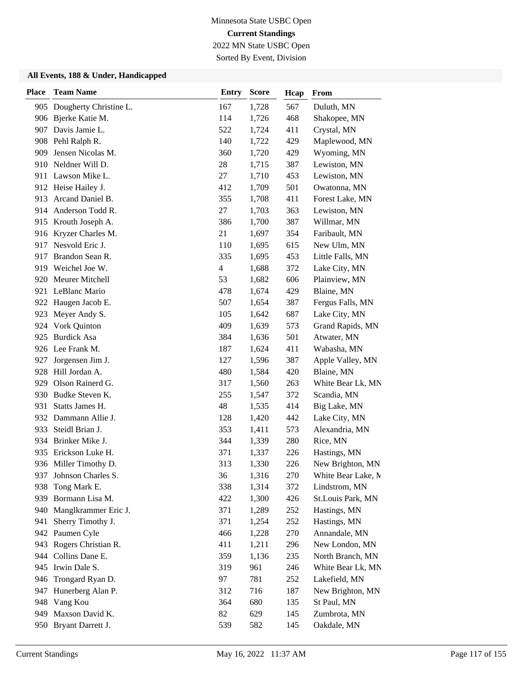2022 MN State USBC Open Sorted By Event, Division

| <b>Place</b> | <b>Team Name</b>           | <b>Entry</b>   | <b>Score</b> | Hcap | From               |
|--------------|----------------------------|----------------|--------------|------|--------------------|
|              | 905 Dougherty Christine L. | 167            | 1,728        | 567  | Duluth, MN         |
|              | 906 Bjerke Katie M.        | 114            | 1,726        | 468  | Shakopee, MN       |
| 907          | Davis Jamie L.             | 522            | 1,724        | 411  | Crystal, MN        |
|              | 908 Pehl Ralph R.          | 140            | 1,722        | 429  | Maplewood, MN      |
| 909          | Jensen Nicolas M.          | 360            | 1,720        | 429  | Wyoming, MN        |
|              | 910 Neldner Will D.        | 28             | 1,715        | 387  | Lewiston, MN       |
|              | 911 Lawson Mike L.         | 27             | 1,710        | 453  | Lewiston, MN       |
|              | 912 Heise Hailey J.        | 412            | 1,709        | 501  | Owatonna, MN       |
| 913          | Arcand Daniel B.           | 355            | 1,708        | 411  | Forest Lake, MN    |
| 914          | Anderson Todd R.           | 27             | 1,703        | 363  | Lewiston, MN       |
| 915          | Krouth Joseph A.           | 386            | 1,700        | 387  | Willmar, MN        |
|              | 916 Kryzer Charles M.      | 21             | 1,697        | 354  | Faribault, MN      |
| 917          | Nesvold Eric J.            | 110            | 1,695        | 615  | New Ulm, MN        |
| 917          | Brandon Sean R.            | 335            | 1,695        | 453  | Little Falls, MN   |
| 919          | Weichel Joe W.             | $\overline{4}$ | 1,688        | 372  | Lake City, MN      |
| 920          | Meurer Mitchell            | 53             | 1,682        | 606  | Plainview, MN      |
|              | 921 LeBlanc Mario          | 478            | 1,674        | 429  | Blaine, MN         |
| 922          | Haugen Jacob E.            | 507            | 1,654        | 387  | Fergus Falls, MN   |
| 923          | Meyer Andy S.              | 105            | 1,642        | 687  | Lake City, MN      |
| 924          | Vork Quinton               | 409            | 1,639        | 573  | Grand Rapids, MN   |
| 925          | <b>Burdick Asa</b>         | 384            | 1,636        | 501  | Atwater, MN        |
|              | 926 Lee Frank M.           | 187            | 1,624        | 411  | Wabasha, MN        |
| 927          | Jorgensen Jim J.           | 127            | 1,596        | 387  | Apple Valley, MN   |
|              | 928 Hill Jordan A.         | 480            | 1,584        | 420  | Blaine, MN         |
|              | 929 Olson Rainerd G.       | 317            | 1,560        | 263  | White Bear Lk, MN  |
| 930          | Budke Steven K.            | 255            | 1,547        | 372  | Scandia, MN        |
| 931          | Statts James H.            | 48             | 1,535        | 414  | Big Lake, MN       |
| 932          | Dammann Allie J.           | 128            | 1,420        | 442  | Lake City, MN      |
| 933          | Steidl Brian J.            | 353            | 1,411        | 573  | Alexandria, MN     |
| 934          | Brinker Mike J.            | 344            | 1,339        | 280  | Rice, MN           |
| 935          | Erickson Luke H.           | 371            | 1,337        | 226  | Hastings, MN       |
|              | 936 Miller Timothy D.      | 313            | 1,330        | 226  | New Brighton, MN   |
| 937          | Johnson Charles S.         | 36             | 1,316        | 270  | White Bear Lake, M |
| 938          | Tong Mark E.               | 338            | 1,314        | 372  | Lindstrom, MN      |
| 939          | Bormann Lisa M.            | 422            | 1,300        | 426  | St.Louis Park, MN  |
| 940          | Manglkrammer Eric J.       | 371            | 1,289        | 252  | Hastings, MN       |
| 941          | Sherry Timothy J.          | 371            | 1,254        | 252  | Hastings, MN       |
|              | 942 Paumen Cyle            | 466            | 1,228        | 270  | Annandale, MN      |
| 943          | Rogers Christian R.        | 411            | 1,211        | 296  | New London, MN     |
| 944          | Collins Dane E.            | 359            | 1,136        | 235  | North Branch, MN   |
|              | 945 Irwin Dale S.          | 319            | 961          | 246  | White Bear Lk, MN  |
| 946          | Trongard Ryan D.           | 97             | 781          | 252  | Lakefield, MN      |
| 947          | Hunerberg Alan P.          | 312            | 716          | 187  | New Brighton, MN   |
|              | 948 Vang Kou               | 364            | 680          | 135  | St Paul, MN        |
| 949          | Maxson David K.            | 82             | 629          | 145  | Zumbrota, MN       |
|              | 950 Bryant Darrett J.      | 539            | 582          | 145  | Oakdale, MN        |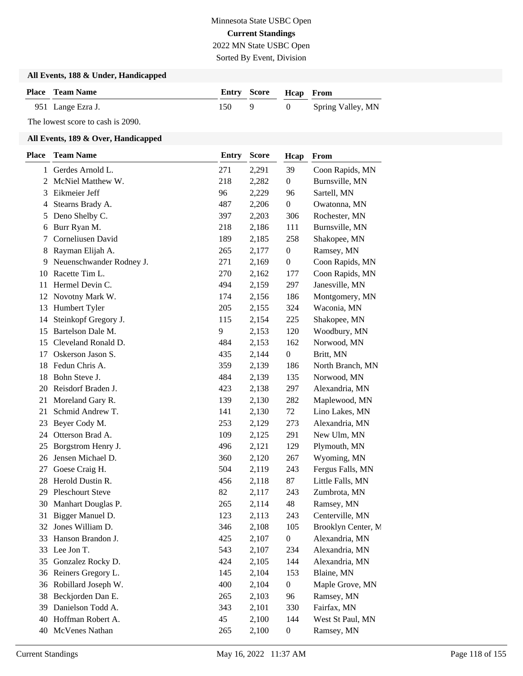Sorted By Event, Division

#### **All Events, 188 & Under, Handicapped**

| <b>Place</b> Team Name |     | <b>Entry Score Heap From</b> |            |                   |
|------------------------|-----|------------------------------|------------|-------------------|
| 951 Lange Ezra J.      | 150 |                              | $\sqrt{1}$ | Spring Valley, MN |

The lowest score to cash is 2090.

| Place          | <b>Team Name</b>         | <b>Entry</b> | <b>Score</b> | Hcap             | From               |
|----------------|--------------------------|--------------|--------------|------------------|--------------------|
| 1              | Gerdes Arnold L.         | 271          | 2,291        | 39               | Coon Rapids, MN    |
| $\overline{2}$ | McNiel Matthew W.        | 218          | 2,282        | $\boldsymbol{0}$ | Burnsville, MN     |
| 3              | Eikmeier Jeff            | 96           | 2,229        | 96               | Sartell, MN        |
| 4              | Stearns Brady A.         | 487          | 2,206        | $\boldsymbol{0}$ | Owatonna, MN       |
| 5              | Deno Shelby C.           | 397          | 2,203        | 306              | Rochester, MN      |
| 6              | Burr Ryan M.             | 218          | 2,186        | 111              | Burnsville, MN     |
| 7              | Corneliusen David        | 189          | 2,185        | 258              | Shakopee, MN       |
| 8              | Rayman Elijah A.         | 265          | 2,177        | $\boldsymbol{0}$ | Ramsey, MN         |
| 9              | Neuenschwander Rodney J. | 271          | 2,169        | $\boldsymbol{0}$ | Coon Rapids, MN    |
| 10             | Racette Tim L.           | 270          | 2,162        | 177              | Coon Rapids, MN    |
| 11             | Hermel Devin C.          | 494          | 2,159        | 297              | Janesville, MN     |
| 12             | Novotny Mark W.          | 174          | 2,156        | 186              | Montgomery, MN     |
| 13             | Humbert Tyler            | 205          | 2,155        | 324              | Waconia, MN        |
| 14             | Steinkopf Gregory J.     | 115          | 2,154        | 225              | Shakopee, MN       |
| 15             | Bartelson Dale M.        | 9            | 2,153        | 120              | Woodbury, MN       |
| 15             | Cleveland Ronald D.      | 484          | 2,153        | 162              | Norwood, MN        |
| 17             | Oskerson Jason S.        | 435          | 2,144        | $\boldsymbol{0}$ | Britt, MN          |
| 18             | Fedun Chris A.           | 359          | 2,139        | 186              | North Branch, MN   |
| 18             | Bohn Steve J.            | 484          | 2,139        | 135              | Norwood, MN        |
| 20             | Reisdorf Braden J.       | 423          | 2,138        | 297              | Alexandria, MN     |
| 21             | Moreland Gary R.         | 139          | 2,130        | 282              | Maplewood, MN      |
| 21             | Schmid Andrew T.         | 141          | 2,130        | 72               | Lino Lakes, MN     |
| 23             | Beyer Cody M.            | 253          | 2,129        | 273              | Alexandria, MN     |
| 24             | Otterson Brad A.         | 109          | 2,125        | 291              | New Ulm, MN        |
| 25             | Borgstrom Henry J.       | 496          | 2,121        | 129              | Plymouth, MN       |
| 26             | Jensen Michael D.        | 360          | 2,120        | 267              | Wyoming, MN        |
| 27             | Goese Craig H.           | 504          | 2,119        | 243              | Fergus Falls, MN   |
| 28             | Herold Dustin R.         | 456          | 2,118        | 87               | Little Falls, MN   |
| 29             | <b>Pleschourt Steve</b>  | 82           | 2,117        | 243              | Zumbrota, MN       |
| 30             | Manhart Douglas P.       | 265          | 2,114        | 48               | Ramsey, MN         |
| 31             | Bigger Manuel D.         | 123          | 2,113        | 243              | Centerville, MN    |
| 32             | Jones William D.         | 346          | 2,108        | 105              | Brooklyn Center, M |
| 33             | Hanson Brandon J.        | 425          | 2,107        | $\boldsymbol{0}$ | Alexandria, MN     |
| 33             | Lee Jon T.               | 543          | 2,107        | 234              | Alexandria, MN     |
| 35             | Gonzalez Rocky D.        | 424          | 2,105        | 144              | Alexandria, MN     |
| 36             | Reiners Gregory L.       | 145          | 2,104        | 153              | Blaine, MN         |
| 36             | Robillard Joseph W.      | 400          | 2,104        | $\boldsymbol{0}$ | Maple Grove, MN    |
| 38             | Beckjorden Dan E.        | 265          | 2,103        | 96               | Ramsey, MN         |
| 39             | Danielson Todd A.        | 343          | 2,101        | 330              | Fairfax, MN        |
| 40             | Hoffman Robert A.        | 45           | 2,100        | 144              | West St Paul, MN   |
| 40             | McVenes Nathan           | 265          | 2,100        | $\boldsymbol{0}$ | Ramsey, MN         |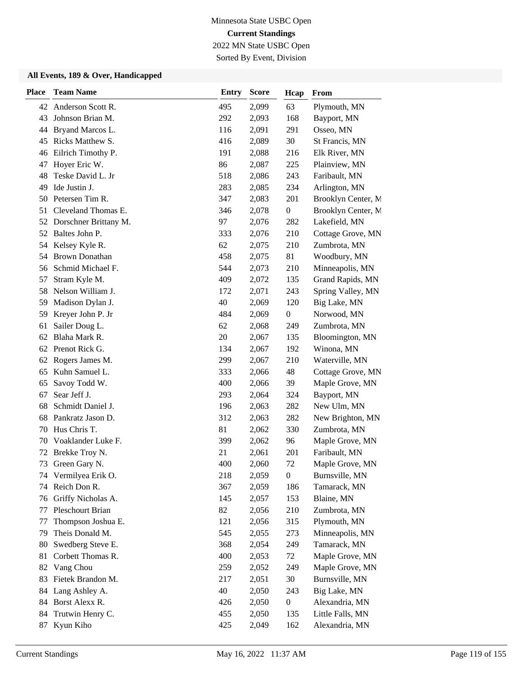2022 MN State USBC Open Sorted By Event, Division

| <b>Place</b> | <b>Team Name</b>      | <b>Entry</b> | <b>Score</b> | Hcap             | From               |
|--------------|-----------------------|--------------|--------------|------------------|--------------------|
|              | 42 Anderson Scott R.  | 495          | 2,099        | 63               | Plymouth, MN       |
| 43           | Johnson Brian M.      | 292          | 2,093        | 168              | Bayport, MN        |
| 44           | Bryand Marcos L.      | 116          | 2,091        | 291              | Osseo, MN          |
| 45           | Ricks Matthew S.      | 416          | 2,089        | 30               | St Francis, MN     |
| 46           | Eilrich Timothy P.    | 191          | 2,088        | 216              | Elk River, MN      |
| 47           | Hoyer Eric W.         | 86           | 2,087        | 225              | Plainview, MN      |
| 48           | Teske David L. Jr     | 518          | 2,086        | 243              | Faribault, MN      |
| 49           | Ide Justin J.         | 283          | 2,085        | 234              | Arlington, MN      |
| 50           | Petersen Tim R.       | 347          | 2,083        | 201              | Brooklyn Center, M |
| 51           | Cleveland Thomas E.   | 346          | 2,078        | $\boldsymbol{0}$ | Brooklyn Center, M |
| 52           | Dorschner Brittany M. | 97           | 2,076        | 282              | Lakefield, MN      |
| 52           | Baltes John P.        | 333          | 2,076        | 210              | Cottage Grove, MN  |
| 54           | Kelsey Kyle R.        | 62           | 2,075        | 210              | Zumbrota, MN       |
| 54           | <b>Brown Donathan</b> | 458          | 2,075        | 81               | Woodbury, MN       |
| 56           | Schmid Michael F.     | 544          | 2,073        | 210              | Minneapolis, MN    |
| 57           | Stram Kyle M.         | 409          | 2,072        | 135              | Grand Rapids, MN   |
| 58           | Nelson William J.     | 172          | 2,071        | 243              | Spring Valley, MN  |
| 59           | Madison Dylan J.      | 40           | 2,069        | 120              | Big Lake, MN       |
| 59           | Kreyer John P. Jr     | 484          | 2,069        | $\boldsymbol{0}$ | Norwood, MN        |
| 61           | Sailer Doug L.        | 62           | 2,068        | 249              | Zumbrota, MN       |
| 62           | Blaha Mark R.         | 20           | 2,067        | 135              | Bloomington, MN    |
| 62           | Prenot Rick G.        | 134          | 2,067        | 192              | Winona, MN         |
| 62           | Rogers James M.       | 299          | 2,067        | 210              | Waterville, MN     |
| 65           | Kuhn Samuel L.        | 333          | 2,066        | 48               | Cottage Grove, MN  |
| 65           | Savoy Todd W.         | 400          | 2,066        | 39               | Maple Grove, MN    |
| 67           | Sear Jeff J.          | 293          | 2,064        | 324              | Bayport, MN        |
| 68           | Schmidt Daniel J.     | 196          | 2,063        | 282              | New Ulm, MN        |
| 68           | Pankratz Jason D.     | 312          | 2,063        | 282              | New Brighton, MN   |
| 70           | Hus Chris T.          | 81           | 2,062        | 330              | Zumbrota, MN       |
| 70           | Voaklander Luke F.    | 399          | 2,062        | 96               | Maple Grove, MN    |
| 72           | Brekke Troy N.        | 21           | 2,061        | 201              | Faribault, MN      |
| 73           | Green Gary N.         | 400          | 2,060        | 72               | Maple Grove, MN    |
|              | 74 Vermilyea Erik O.  | 218          | 2,059        | $\boldsymbol{0}$ | Burnsville, MN     |
| 74           | Reich Don R.          | 367          | 2,059        | 186              | Tamarack, MN       |
| 76           | Griffy Nicholas A.    | 145          | 2,057        | 153              | Blaine, MN         |
| 77           | Pleschourt Brian      | 82           | 2,056        | 210              | Zumbrota, MN       |
| 77           | Thompson Joshua E.    | 121          | 2,056        | 315              | Plymouth, MN       |
| 79           | Theis Donald M.       | 545          | 2,055        | 273              | Minneapolis, MN    |
| 80           | Swedberg Steve E.     | 368          | 2,054        | 249              | Tamarack, MN       |
| 81           | Corbett Thomas R.     | 400          | 2,053        | 72               | Maple Grove, MN    |
| 82           | Vang Chou             | 259          | 2,052        | 249              | Maple Grove, MN    |
| 83           | Fietek Brandon M.     | 217          | 2,051        | 30               | Burnsville, MN     |
| 84           | Lang Ashley A.        | 40           | 2,050        | 243              | Big Lake, MN       |
| 84           | Borst Alexx R.        | 426          | 2,050        | $\boldsymbol{0}$ | Alexandria, MN     |
| 84           | Trutwin Henry C.      | 455          | 2,050        | 135              | Little Falls, MN   |
| 87           | Kyun Kiho             | 425          | 2,049        | 162              | Alexandria, MN     |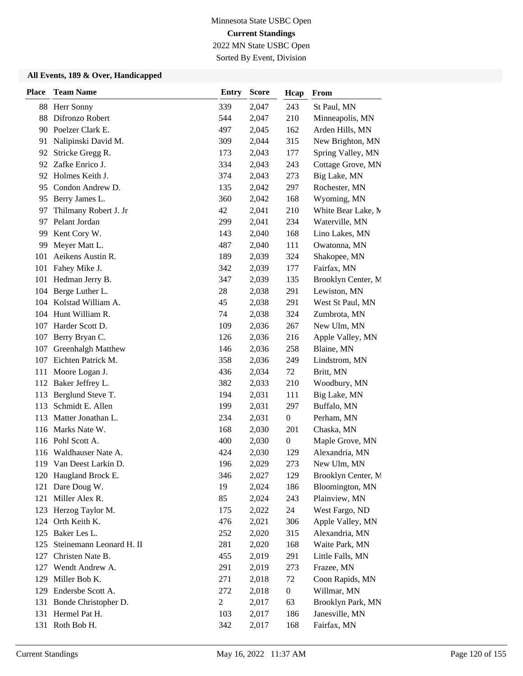2022 MN State USBC Open Sorted By Event, Division

| <b>Place</b> | <b>Team Name</b>         | <b>Entry</b>   | <b>Score</b> | Hcap             | From               |
|--------------|--------------------------|----------------|--------------|------------------|--------------------|
|              | 88 Herr Sonny            | 339            | 2,047        | 243              | St Paul, MN        |
| 88           | Difronzo Robert          | 544            | 2,047        | 210              | Minneapolis, MN    |
| 90           | Poelzer Clark E.         | 497            | 2,045        | 162              | Arden Hills, MN    |
| 91           | Nalipinski David M.      | 309            | 2,044        | 315              | New Brighton, MN   |
| 92           | Stricke Gregg R.         | 173            | 2,043        | 177              | Spring Valley, MN  |
| 92           | Zafke Enrico J.          | 334            | 2,043        | 243              | Cottage Grove, MN  |
| 92           | Holmes Keith J.          | 374            | 2,043        | 273              | Big Lake, MN       |
| 95           | Condon Andrew D.         | 135            | 2,042        | 297              | Rochester, MN      |
| 95           | Berry James L.           | 360            | 2,042        | 168              | Wyoming, MN        |
| 97           | Thilmany Robert J. Jr    | 42             | 2,041        | 210              | White Bear Lake, M |
| 97           | Pelant Jordan            | 299            | 2,041        | 234              | Waterville, MN     |
| 99           | Kent Cory W.             | 143            | 2,040        | 168              | Lino Lakes, MN     |
| 99           | Meyer Matt L.            | 487            | 2,040        | 111              | Owatonna, MN       |
| 101          | Aeikens Austin R.        | 189            | 2,039        | 324              | Shakopee, MN       |
| 101          | Fahey Mike J.            | 342            | 2,039        | 177              | Fairfax, MN        |
| 101          | Hedman Jerry B.          | 347            | 2,039        | 135              | Brooklyn Center, M |
|              | 104 Berge Luther L.      | 28             | 2,038        | 291              | Lewiston, MN       |
|              | 104 Kolstad William A.   | 45             | 2,038        | 291              | West St Paul, MN   |
|              | 104 Hunt William R.      | 74             | 2,038        | 324              | Zumbrota, MN       |
| 107          | Harder Scott D.          | 109            | 2,036        | 267              | New Ulm, MN        |
| 107          | Berry Bryan C.           | 126            | 2,036        | 216              | Apple Valley, MN   |
| 107          | Greenhalgh Matthew       | 146            | 2,036        | 258              | Blaine, MN         |
| 107          | Eichten Patrick M.       | 358            | 2,036        | 249              | Lindstrom, MN      |
| 111          | Moore Logan J.           | 436            | 2,034        | 72               | Britt, MN          |
|              | 112 Baker Jeffrey L.     | 382            | 2,033        | 210              | Woodbury, MN       |
| 113          | Berglund Steve T.        | 194            | 2,031        | 111              | Big Lake, MN       |
| 113          | Schmidt E. Allen         | 199            | 2,031        | 297              | Buffalo, MN        |
| 113          | Matter Jonathan L.       | 234            | 2,031        | $\boldsymbol{0}$ | Perham, MN         |
| 116          | Marks Nate W.            | 168            | 2,030        | 201              | Chaska, MN         |
|              | 116 Pohl Scott A.        | 400            | 2,030        | $\boldsymbol{0}$ | Maple Grove, MN    |
| 116          | Waldhauser Nate A.       | 424            | 2,030        | 129              | Alexandria, MN     |
|              | 119 Van Deest Larkin D.  | 196            | 2,029        | 273              | New Ulm, MN        |
|              | 120 Haugland Brock E.    | 346            | 2,027        | 129              | Brooklyn Center, M |
| 121          | Dare Doug W.             | 19             | 2,024        | 186              | Bloomington, MN    |
| 121          | Miller Alex R.           | 85             | 2,024        | 243              | Plainview, MN      |
| 123          | Herzog Taylor M.         | 175            | 2,022        | 24               | West Fargo, ND     |
|              | 124 Orth Keith K.        | 476            | 2,021        | 306              | Apple Valley, MN   |
|              | 125 Baker Les L.         | 252            | 2,020        | 315              | Alexandria, MN     |
| 125          | Steinemann Leonard H. II | 281            | 2,020        | 168              | Waite Park, MN     |
| 127          | Christen Nate B.         | 455            | 2,019        | 291              | Little Falls, MN   |
| 127          | Wendt Andrew A.          | 291            | 2,019        | 273              | Frazee, MN         |
| 129          | Miller Bob K.            | 271            | 2,018        | 72               | Coon Rapids, MN    |
| 129          | Endersbe Scott A.        | 272            | 2,018        | $\boldsymbol{0}$ | Willmar, MN        |
| 131          | Bonde Christopher D.     | $\overline{c}$ | 2,017        | 63               | Brooklyn Park, MN  |
|              | 131 Hermel Pat H.        | 103            | 2,017        | 186              | Janesville, MN     |
|              | 131 Roth Bob H.          | 342            | 2,017        | 168              | Fairfax, MN        |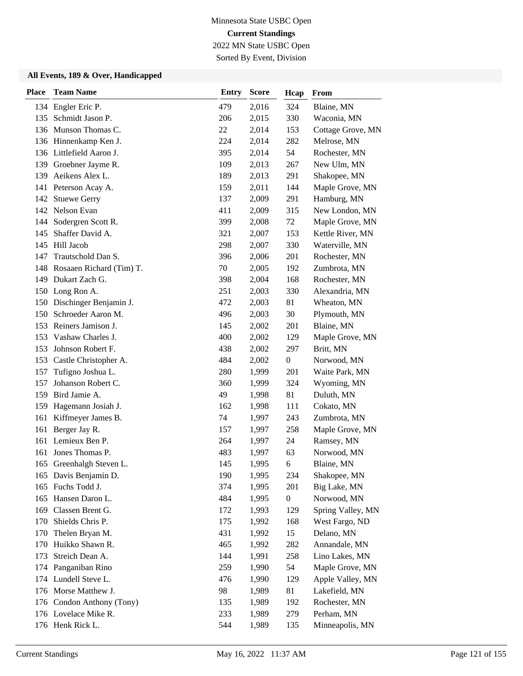2022 MN State USBC Open

Sorted By Event, Division

| <b>Place</b> | <b>Team Name</b>           | <b>Entry</b> | <b>Score</b> | Hcap             | From              |
|--------------|----------------------------|--------------|--------------|------------------|-------------------|
|              | 134 Engler Eric P.         | 479          | 2,016        | 324              | Blaine, MN        |
| 135          | Schmidt Jason P.           | 206          | 2,015        | 330              | Waconia, MN       |
|              | 136 Munson Thomas C.       | 22           | 2,014        | 153              | Cottage Grove, MN |
|              | 136 Hinnenkamp Ken J.      | 224          | 2,014        | 282              | Melrose, MN       |
|              | 136 Littlefield Aaron J.   | 395          | 2,014        | 54               | Rochester, MN     |
|              | 139 Groebner Jayme R.      | 109          | 2,013        | 267              | New Ulm, MN       |
| 139          | Aeikens Alex L.            | 189          | 2,013        | 291              | Shakopee, MN      |
| 141          | Peterson Acay A.           | 159          | 2,011        | 144              | Maple Grove, MN   |
|              | 142 Stuewe Gerry           | 137          | 2,009        | 291              | Hamburg, MN       |
|              | 142 Nelson Evan            | 411          | 2,009        | 315              | New London, MN    |
| 144          | Sodergren Scott R.         | 399          | 2,008        | 72               | Maple Grove, MN   |
| 145          | Shaffer David A.           | 321          | 2,007        | 153              | Kettle River, MN  |
|              | 145 Hill Jacob             | 298          | 2,007        | 330              | Waterville, MN    |
| 147          | Trautschold Dan S.         | 396          | 2,006        | 201              | Rochester, MN     |
| 148          | Rosaaen Richard (Tim) T.   | 70           | 2,005        | 192              | Zumbrota, MN      |
|              | 149 Dukart Zach G.         | 398          | 2,004        | 168              | Rochester, MN     |
|              | 150 Long Ron A.            | 251          | 2,003        | 330              | Alexandria, MN    |
|              | 150 Dischinger Benjamin J. | 472          | 2,003        | 81               | Wheaton, MN       |
| 150          | Schroeder Aaron M.         | 496          | 2,003        | 30               | Plymouth, MN      |
|              | 153 Reiners Jamison J.     | 145          | 2,002        | 201              | Blaine, MN        |
| 153          | Vashaw Charles J.          | 400          | 2,002        | 129              | Maple Grove, MN   |
| 153          | Johnson Robert F.          | 438          | 2,002        | 297              | Britt, MN         |
| 153          | Castle Christopher A.      | 484          | 2,002        | $\boldsymbol{0}$ | Norwood, MN       |
| 157          | Tufigno Joshua L.          | 280          | 1,999        | 201              | Waite Park, MN    |
| 157          | Johanson Robert C.         | 360          | 1,999        | 324              | Wyoming, MN       |
|              | 159 Bird Jamie A.          | 49           | 1,998        | 81               | Duluth, MN        |
| 159          | Hagemann Josiah J.         | 162          | 1,998        | 111              | Cokato, MN        |
| 161          | Kiffmeyer James B.         | 74           | 1,997        | 243              | Zumbrota, MN      |
| 161          | Berger Jay R.              | 157          | 1,997        | 258              | Maple Grove, MN   |
| 161          | Lemieux Ben P.             | 264          | 1,997        | 24               | Ramsey, MN        |
| 161          | Jones Thomas P.            | 483          | 1,997        | 63               | Norwood, MN       |
|              | 165 Greenhalgh Steven L.   | 145          | 1,995        | 6                | Blaine, MN        |
|              | 165 Davis Benjamin D.      | 190          | 1,995        | 234              | Shakopee, MN      |
|              | 165 Fuchs Todd J.          | 374          | 1,995        | 201              | Big Lake, MN      |
| 165          | Hansen Daron L.            | 484          | 1,995        | $\boldsymbol{0}$ | Norwood, MN       |
| 169          | Classen Brent G.           | 172          | 1,993        | 129              | Spring Valley, MN |
| 170          | Shields Chris P.           | 175          | 1,992        | 168              | West Fargo, ND    |
| 170          | Thelen Bryan M.            | 431          | 1,992        | 15               | Delano, MN        |
| 170          | Huikko Shawn R.            | 465          | 1,992        | 282              | Annandale, MN     |
| 173          | Streich Dean A.            | 144          | 1,991        | 258              | Lino Lakes, MN    |
|              | 174 Panganiban Rino        | 259          | 1,990        | 54               | Maple Grove, MN   |
| 174          | Lundell Steve L.           | 476          | 1,990        | 129              | Apple Valley, MN  |
|              | 176 Morse Matthew J.       | 98           | 1,989        | 81               | Lakefield, MN     |
| 176          | Condon Anthony (Tony)      | 135          | 1,989        | 192              | Rochester, MN     |
|              | 176 Lovelace Mike R.       | 233          | 1,989        | 279              | Perham, MN        |
|              | 176 Henk Rick L.           | 544          | 1,989        | 135              | Minneapolis, MN   |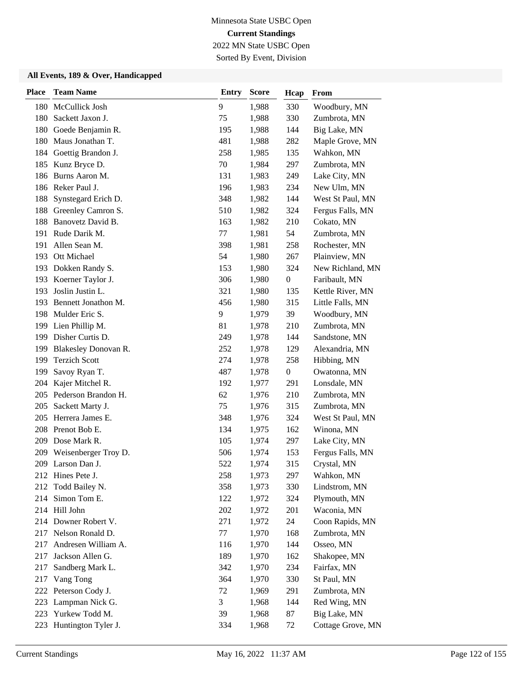2022 MN State USBC Open Sorted By Event, Division

| <b>Place</b> | <b>Team Name</b>        | <b>Entry</b> | <b>Score</b> | Hcap             | From              |
|--------------|-------------------------|--------------|--------------|------------------|-------------------|
| 180          | McCullick Josh          | 9            | 1,988        | 330              | Woodbury, MN      |
| 180          | Sackett Jaxon J.        | 75           | 1,988        | 330              | Zumbrota, MN      |
| 180          | Goede Benjamin R.       | 195          | 1,988        | 144              | Big Lake, MN      |
| 180          | Maus Jonathan T.        | 481          | 1,988        | 282              | Maple Grove, MN   |
| 184          | Goettig Brandon J.      | 258          | 1,985        | 135              | Wahkon, MN        |
| 185          | Kunz Bryce D.           | 70           | 1,984        | 297              | Zumbrota, MN      |
| 186          | Burns Aaron M.          | 131          | 1,983        | 249              | Lake City, MN     |
|              | 186 Reker Paul J.       | 196          | 1,983        | 234              | New Ulm, MN       |
| 188          | Synstegard Erich D.     | 348          | 1,982        | 144              | West St Paul, MN  |
| 188          | Greenley Camron S.      | 510          | 1,982        | 324              | Fergus Falls, MN  |
| 188          | Banovetz David B.       | 163          | 1,982        | 210              | Cokato, MN        |
| 191          | Rude Darik M.           | 77           | 1,981        | 54               | Zumbrota, MN      |
| 191          | Allen Sean M.           | 398          | 1,981        | 258              | Rochester, MN     |
| 193          | Ott Michael             | 54           | 1,980        | 267              | Plainview, MN     |
| 193          | Dokken Randy S.         | 153          | 1,980        | 324              | New Richland, MN  |
| 193          | Koerner Taylor J.       | 306          | 1,980        | $\boldsymbol{0}$ | Faribault, MN     |
| 193          | Joslin Justin L.        | 321          | 1,980        | 135              | Kettle River, MN  |
| 193          | Bennett Jonathon M.     | 456          | 1,980        | 315              | Little Falls, MN  |
| 198          | Mulder Eric S.          | 9            | 1,979        | 39               | Woodbury, MN      |
|              | 199 Lien Phillip M.     | 81           | 1,978        | 210              | Zumbrota, MN      |
| 199          | Disher Curtis D.        | 249          | 1,978        | 144              | Sandstone, MN     |
| 199          | Blakesley Donovan R.    | 252          | 1,978        | 129              | Alexandria, MN    |
| 199          | <b>Terzich Scott</b>    | 274          | 1,978        | 258              | Hibbing, MN       |
| 199          | Savoy Ryan T.           | 487          | 1,978        | $\boldsymbol{0}$ | Owatonna, MN      |
| 204          | Kajer Mitchel R.        | 192          | 1,977        | 291              | Lonsdale, MN      |
|              | 205 Pederson Brandon H. | 62           | 1,976        | 210              | Zumbrota, MN      |
| 205          | Sackett Marty J.        | 75           | 1,976        | 315              | Zumbrota, MN      |
| 205          | Herrera James E.        | 348          | 1,976        | 324              | West St Paul, MN  |
|              | 208 Prenot Bob E.       | 134          | 1,975        | 162              | Winona, MN        |
| 209          | Dose Mark R.            | 105          | 1,974        | 297              | Lake City, MN     |
| 209          | Weisenberger Troy D.    | 506          | 1,974        | 153              | Fergus Falls, MN  |
|              | 209 Larson Dan J.       | 522          | 1,974        | 315              | Crystal, MN       |
|              | 212 Hines Pete J.       | 258          | 1,973        | 297              | Wahkon, MN        |
| 212          | Todd Bailey N.          | 358          | 1,973        | 330              | Lindstrom, MN     |
| 214          | Simon Tom E.            | 122          | 1,972        | 324              | Plymouth, MN      |
|              | 214 Hill John           | 202          | 1,972        | 201              | Waconia, MN       |
|              | 214 Downer Robert V.    | 271          | 1,972        | 24               | Coon Rapids, MN   |
|              | 217 Nelson Ronald D.    | 77           | 1,970        | 168              | Zumbrota, MN      |
| 217          | Andresen William A.     | 116          | 1,970        | 144              | Osseo, MN         |
| 217          | Jackson Allen G.        | 189          | 1,970        | 162              | Shakopee, MN      |
| 217          | Sandberg Mark L.        | 342          | 1,970        | 234              | Fairfax, MN       |
| 217          | Vang Tong               | 364          | 1,970        | 330              | St Paul, MN       |
|              | 222 Peterson Cody J.    | 72           | 1,969        | 291              | Zumbrota, MN      |
| 223          | Lampman Nick G.         | 3            | 1,968        | 144              | Red Wing, MN      |
| 223          | Yurkew Todd M.          | 39           | 1,968        | 87               | Big Lake, MN      |
| 223          | Huntington Tyler J.     | 334          | 1,968        | 72               | Cottage Grove, MN |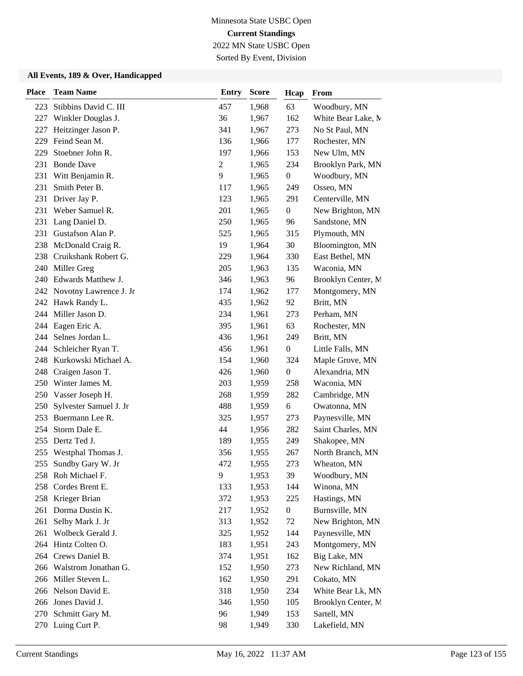2022 MN State USBC Open

Sorted By Event, Division

| <b>Place</b> | <b>Team Name</b>           | <b>Entry</b>   | <b>Score</b> | Hcap             | From               |
|--------------|----------------------------|----------------|--------------|------------------|--------------------|
| 223          | Stibbins David C. III      | 457            | 1,968        | 63               | Woodbury, MN       |
| 227          | Winkler Douglas J.         | 36             | 1,967        | 162              | White Bear Lake, M |
| 227          | Heitzinger Jason P.        | 341            | 1,967        | 273              | No St Paul, MN     |
| 229          | Feind Sean M.              | 136            | 1,966        | 177              | Rochester, MN      |
| 229          | Stoebner John R.           | 197            | 1,966        | 153              | New Ulm, MN        |
| 231          | <b>Bonde Dave</b>          | $\overline{c}$ | 1,965        | 234              | Brooklyn Park, MN  |
| 231          | Witt Benjamin R.           | 9              | 1,965        | $\boldsymbol{0}$ | Woodbury, MN       |
| 231          | Smith Peter B.             | 117            | 1,965        | 249              | Osseo, MN          |
|              | 231 Driver Jay P.          | 123            | 1,965        | 291              | Centerville, MN    |
| 231          | Weber Samuel R.            | 201            | 1,965        | $\boldsymbol{0}$ | New Brighton, MN   |
| 231          | Lang Daniel D.             | 250            | 1,965        | 96               | Sandstone, MN      |
| 231          | Gustafson Alan P.          | 525            | 1,965        | 315              | Plymouth, MN       |
| 238          | McDonald Craig R.          | 19             | 1,964        | 30               | Bloomington, MN    |
| 238          | Cruikshank Robert G.       | 229            | 1,964        | 330              | East Bethel, MN    |
| 240          | Miller Greg                | 205            | 1,963        | 135              | Waconia, MN        |
| 240          | Edwards Matthew J.         | 346            | 1,963        | 96               | Brooklyn Center, M |
|              | 242 Novotny Lawrence J. Jr | 174            | 1,962        | 177              | Montgomery, MN     |
|              | 242 Hawk Randy L.          | 435            | 1,962        | 92               | Britt, MN          |
| 244          | Miller Jason D.            | 234            | 1,961        | 273              | Perham, MN         |
| 244          | Eagen Eric A.              | 395            | 1,961        | 63               | Rochester, MN      |
| 244          | Selnes Jordan L.           | 436            | 1,961        | 249              | Britt, MN          |
| 244          | Schleicher Ryan T.         | 456            | 1,961        | $\boldsymbol{0}$ | Little Falls, MN   |
| 248          | Kurkowski Michael A.       | 154            | 1,960        | 324              | Maple Grove, MN    |
|              | 248 Craigen Jason T.       | 426            | 1,960        | $\boldsymbol{0}$ | Alexandria, MN     |
| 250          | Winter James M.            | 203            | 1,959        | 258              | Waconia, MN        |
| 250          | Vasser Joseph H.           | 268            | 1,959        | 282              | Cambridge, MN      |
| 250          | Sylvester Samuel J. Jr     | 488            | 1,959        | 6                | Owatonna, MN       |
| 253          | Buermann Lee R.            | 325            | 1,957        | 273              | Paynesville, MN    |
| 254          | Storm Dale E.              | 44             | 1,956        | 282              | Saint Charles, MN  |
| 255          | Dertz Ted J.               | 189            | 1,955        | 249              | Shakopee, MN       |
| 255          | Westphal Thomas J.         | 356            | 1,955        | 267              | North Branch, MN   |
| 255          | Sundby Gary W. Jr          | 472            | 1,955        | 273              | Wheaton, MN        |
|              | 258 Roh Michael F.         | 9              | 1,953        | 39               | Woodbury, MN       |
| 258          | Cordes Brent E.            | 133            | 1,953        | 144              | Winona, MN         |
|              | 258 Krieger Brian          | 372            | 1,953        | 225              | Hastings, MN       |
| 261          | Dorma Dustin K.            | 217            | 1,952        | $\boldsymbol{0}$ | Burnsville, MN     |
| 261          | Selby Mark J. Jr           | 313            | 1,952        | 72               | New Brighton, MN   |
| 261          | Wolbeck Gerald J.          | 325            | 1,952        | 144              | Paynesville, MN    |
|              | 264 Hintz Colten O.        | 183            | 1,951        | 243              | Montgomery, MN     |
|              | 264 Crews Daniel B.        | 374            | 1,951        | 162              | Big Lake, MN       |
| 266          | Walstrom Jonathan G.       | 152            | 1,950        | 273              | New Richland, MN   |
| 266          | Miller Steven L.           | 162            | 1,950        | 291              | Cokato, MN         |
|              | 266 Nelson David E.        | 318            | 1,950        | 234              | White Bear Lk, MN  |
| 266          | Jones David J.             | 346            | 1,950        | 105              | Brooklyn Center, M |
|              | 270 Schmitt Gary M.        | 96             | 1,949        | 153              | Sartell, MN        |
|              | 270 Luing Curt P.          | 98             | 1,949        | 330              | Lakefield, MN      |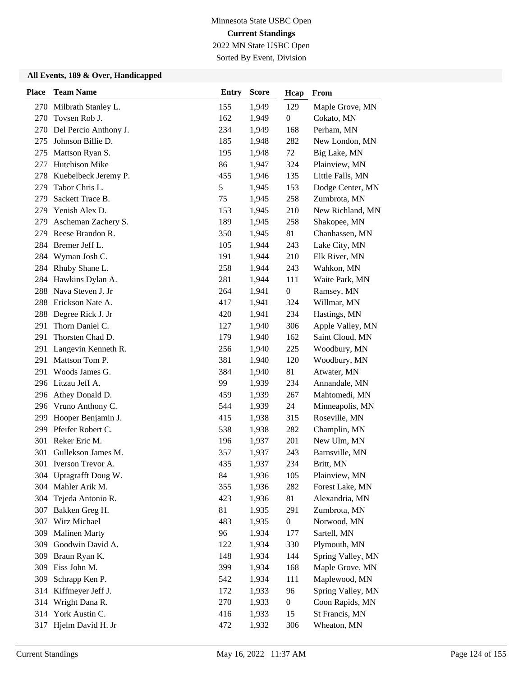2022 MN State USBC Open Sorted By Event, Division

| <b>Place</b> | <b>Team Name</b>        | <b>Entry</b> | <b>Score</b> | Hcap             | From              |
|--------------|-------------------------|--------------|--------------|------------------|-------------------|
|              | 270 Milbrath Stanley L. | 155          | 1,949        | 129              | Maple Grove, MN   |
| 270          | Tovsen Rob J.           | 162          | 1,949        | $\boldsymbol{0}$ | Cokato, MN        |
| 270          | Del Percio Anthony J.   | 234          | 1,949        | 168              | Perham, MN        |
| 275          | Johnson Billie D.       | 185          | 1,948        | 282              | New London, MN    |
| 275          | Mattson Ryan S.         | 195          | 1,948        | 72               | Big Lake, MN      |
| 277          | Hutchison Mike          | 86           | 1,947        | 324              | Plainview, MN     |
| 278          | Kuebelbeck Jeremy P.    | 455          | 1,946        | 135              | Little Falls, MN  |
| 279          | Tabor Chris L.          | 5            | 1,945        | 153              | Dodge Center, MN  |
| 279          | Sackett Trace B.        | 75           | 1,945        | 258              | Zumbrota, MN      |
|              | 279 Yenish Alex D.      | 153          | 1,945        | 210              | New Richland, MN  |
| 279          | Ascheman Zachery S.     | 189          | 1,945        | 258              | Shakopee, MN      |
| 279          | Reese Brandon R.        | 350          | 1,945        | 81               | Chanhassen, MN    |
|              | 284 Bremer Jeff L.      | 105          | 1,944        | 243              | Lake City, MN     |
| 284          | Wyman Josh C.           | 191          | 1,944        | 210              | Elk River, MN     |
| 284          | Rhuby Shane L.          | 258          | 1,944        | 243              | Wahkon, MN        |
| 284          | Hawkins Dylan A.        | 281          | 1,944        | 111              | Waite Park, MN    |
| 288          | Nava Steven J. Jr       | 264          | 1,941        | $\boldsymbol{0}$ | Ramsey, MN        |
| 288          | Erickson Nate A.        | 417          | 1,941        | 324              | Willmar, MN       |
| 288          | Degree Rick J. Jr       | 420          | 1,941        | 234              | Hastings, MN      |
| 291          | Thorn Daniel C.         | 127          | 1,940        | 306              | Apple Valley, MN  |
| 291          | Thorsten Chad D.        | 179          | 1,940        | 162              | Saint Cloud, MN   |
| 291          | Langevin Kenneth R.     | 256          | 1,940        | 225              | Woodbury, MN      |
| 291          | Mattson Tom P.          | 381          | 1,940        | 120              | Woodbury, MN      |
| 291          | Woods James G.          | 384          | 1,940        | 81               | Atwater, MN       |
|              | 296 Litzau Jeff A.      | 99           | 1,939        | 234              | Annandale, MN     |
| 296          | Athey Donald D.         | 459          | 1,939        | 267              | Mahtomedi, MN     |
| 296          | Vruno Anthony C.        | 544          | 1,939        | 24               | Minneapolis, MN   |
|              | 299 Hooper Benjamin J.  | 415          | 1,938        | 315              | Roseville, MN     |
|              | 299 Pfeifer Robert C.   | 538          | 1,938        | 282              | Champlin, MN      |
| 301          | Reker Eric M.           | 196          | 1,937        | 201              | New Ulm, MN       |
| 301          | Gullekson James M.      | 357          | 1,937        | 243              | Barnsville, MN    |
| 301          | Iverson Trevor A.       | 435          | 1,937        | 234              | Britt, MN         |
|              | 304 Uptagrafft Doug W.  | 84           | 1,936        | 105              | Plainview, MN     |
| 304          | Mahler Arik M.          | 355          | 1,936        | 282              | Forest Lake, MN   |
| 304          | Tejeda Antonio R.       | 423          | 1,936        | 81               | Alexandria, MN    |
| 307          | Bakken Greg H.          | 81           | 1,935        | 291              | Zumbrota, MN      |
| 307          | Wirz Michael            | 483          | 1,935        | $\boldsymbol{0}$ | Norwood, MN       |
| 309          | <b>Malinen Marty</b>    | 96           | 1,934        | 177              | Sartell, MN       |
| 309          | Goodwin David A.        | 122          | 1,934        | 330              | Plymouth, MN      |
| 309          | Braun Ryan K.           | 148          | 1,934        | 144              | Spring Valley, MN |
| 309          | Eiss John M.            | 399          | 1,934        | 168              | Maple Grove, MN   |
| 309          | Schrapp Ken P.          | 542          | 1,934        | 111              | Maplewood, MN     |
|              | 314 Kiffmeyer Jeff J.   | 172          | 1,933        | 96               | Spring Valley, MN |
| 314          | Wright Dana R.          | 270          | 1,933        | $\boldsymbol{0}$ | Coon Rapids, MN   |
| 314          | York Austin C.          | 416          | 1,933        | 15               | St Francis, MN    |
| 317          | Hjelm David H. Jr       | 472          | 1,932        | 306              | Wheaton, MN       |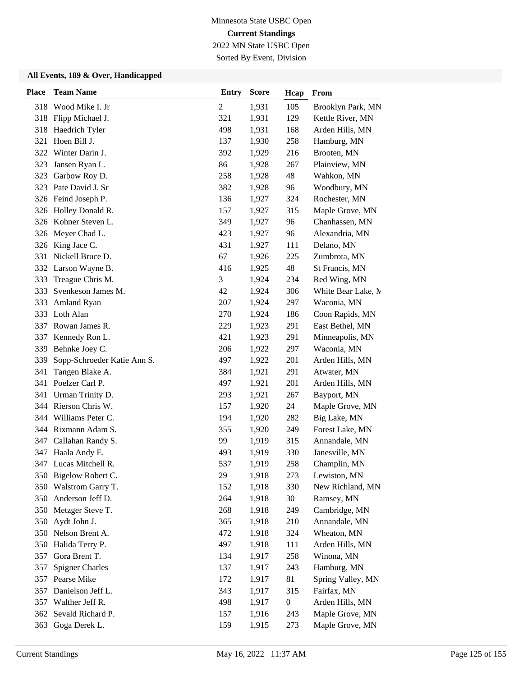2022 MN State USBC Open Sorted By Event, Division

| <b>Place</b> | <b>Team Name</b>            | <b>Entry</b>     | <b>Score</b> | Hcap             | From               |
|--------------|-----------------------------|------------------|--------------|------------------|--------------------|
|              | 318 Wood Mike I. Jr         | $\boldsymbol{2}$ | 1,931        | 105              | Brooklyn Park, MN  |
|              | 318 Flipp Michael J.        | 321              | 1,931        | 129              | Kettle River, MN   |
| 318          | Haedrich Tyler              | 498              | 1,931        | 168              | Arden Hills, MN    |
| 321          | Hoen Bill J.                | 137              | 1,930        | 258              | Hamburg, MN        |
|              | 322 Winter Darin J.         | 392              | 1,929        | 216              | Brooten, MN        |
| 323          | Jansen Ryan L.              | 86               | 1,928        | 267              | Plainview, MN      |
| 323          | Garbow Roy D.               | 258              | 1,928        | 48               | Wahkon, MN         |
|              | 323 Pate David J. Sr        | 382              | 1,928        | 96               | Woodbury, MN       |
|              | 326 Feind Joseph P.         | 136              | 1,927        | 324              | Rochester, MN      |
|              | 326 Holley Donald R.        | 157              | 1,927        | 315              | Maple Grove, MN    |
| 326          | Kohner Steven L.            | 349              | 1,927        | 96               | Chanhassen, MN     |
| 326          | Meyer Chad L.               | 423              | 1,927        | 96               | Alexandria, MN     |
| 326          | King Jace C.                | 431              | 1,927        | 111              | Delano, MN         |
| 331          | Nickell Bruce D.            | 67               | 1,926        | 225              | Zumbrota, MN       |
|              | 332 Larson Wayne B.         | 416              | 1,925        | 48               | St Francis, MN     |
| 333          | Treague Chris M.            | 3                | 1,924        | 234              | Red Wing, MN       |
| 333          | Svenkeson James M.          | 42               | 1,924        | 306              | White Bear Lake, M |
| 333          | Amland Ryan                 | 207              | 1,924        | 297              | Waconia, MN        |
| 333          | Loth Alan                   | 270              | 1,924        | 186              | Coon Rapids, MN    |
|              | 337 Rowan James R.          | 229              | 1,923        | 291              | East Bethel, MN    |
| 337          | Kennedy Ron L.              | 421              | 1,923        | 291              | Minneapolis, MN    |
| 339          | Behnke Joey C.              | 206              | 1,922        | 297              | Waconia, MN        |
| 339          | Sopp-Schroeder Katie Ann S. | 497              | 1,922        | 201              | Arden Hills, MN    |
| 341          | Tangen Blake A.             | 384              | 1,921        | 291              | Atwater, MN        |
| 341          | Poelzer Carl P.             | 497              | 1,921        | 201              | Arden Hills, MN    |
| 341          | Urman Trinity D.            | 293              | 1,921        | 267              | Bayport, MN        |
|              | 344 Rierson Chris W.        | 157              | 1,920        | 24               | Maple Grove, MN    |
| 344          | Williams Peter C.           | 194              | 1,920        | 282              | Big Lake, MN       |
|              | 344 Rixmann Adam S.         | 355              | 1,920        | 249              | Forest Lake, MN    |
| 347          | Callahan Randy S.           | 99               | 1,919        | 315              | Annandale, MN      |
| 347          | Haala Andy E.               | 493              | 1,919        | 330              | Janesville, MN     |
|              | 347 Lucas Mitchell R.       | 537              | 1,919        | 258              | Champlin, MN       |
|              | 350 Bigelow Robert C.       | 29               | 1,918        | 273              | Lewiston, MN       |
|              | 350 Walstrom Garry T.       | 152              | 1,918        | 330              | New Richland, MN   |
| 350          | Anderson Jeff D.            | 264              | 1,918        | 30               | Ramsey, MN         |
|              | 350 Metzger Steve T.        | 268              | 1,918        | 249              | Cambridge, MN      |
| 350          | Aydt John J.                | 365              | 1,918        | 210              | Annandale, MN      |
|              | 350 Nelson Brent A.         | 472              | 1,918        | 324              | Wheaton, MN        |
| 350          | Halida Terry P.             | 497              | 1,918        | 111              | Arden Hills, MN    |
| 357          | Gora Brent T.               | 134              | 1,917        | 258              | Winona, MN         |
| 357          | <b>Spigner Charles</b>      | 137              | 1,917        | 243              | Hamburg, MN        |
| 357          | Pearse Mike                 | 172              | 1,917        | 81               | Spring Valley, MN  |
| 357          | Danielson Jeff L.           | 343              | 1,917        | 315              | Fairfax, MN        |
|              | 357 Walther Jeff R.         | 498              | 1,917        | $\boldsymbol{0}$ | Arden Hills, MN    |
| 362          | Sevald Richard P.           | 157              | 1,916        | 243              | Maple Grove, MN    |
| 363          | Goga Derek L.               | 159              | 1,915        | 273              | Maple Grove, MN    |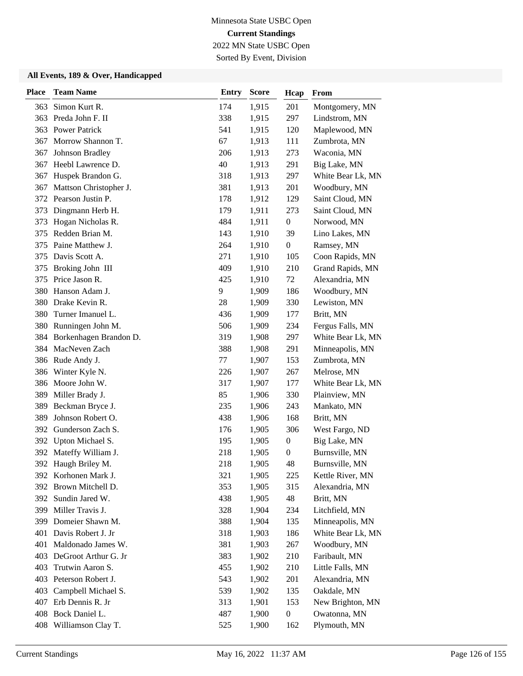2022 MN State USBC Open Sorted By Event, Division

| <b>Place</b> | <b>Team Name</b>           | <b>Entry</b> | <b>Score</b> | Hcap             | From              |
|--------------|----------------------------|--------------|--------------|------------------|-------------------|
|              | 363 Simon Kurt R.          | 174          | 1,915        | 201              | Montgomery, MN    |
| 363          | Preda John F. II           | 338          | 1,915        | 297              | Lindstrom, MN     |
|              | 363 Power Patrick          | 541          | 1,915        | 120              | Maplewood, MN     |
| 367          | Morrow Shannon T.          | 67           | 1,913        | 111              | Zumbrota, MN      |
| 367          | Johnson Bradley            | 206          | 1,913        | 273              | Waconia, MN       |
| 367          | Heebl Lawrence D.          | 40           | 1,913        | 291              | Big Lake, MN      |
| 367          | Huspek Brandon G.          | 318          | 1,913        | 297              | White Bear Lk, MN |
| 367          | Mattson Christopher J.     | 381          | 1,913        | 201              | Woodbury, MN      |
|              | 372 Pearson Justin P.      | 178          | 1,912        | 129              | Saint Cloud, MN   |
| 373          | Dingmann Herb H.           | 179          | 1,911        | 273              | Saint Cloud, MN   |
| 373          | Hogan Nicholas R.          | 484          | 1,911        | $\boldsymbol{0}$ | Norwood, MN       |
| 375          | Redden Brian M.            | 143          | 1,910        | 39               | Lino Lakes, MN    |
| 375          | Paine Matthew J.           | 264          | 1,910        | $\boldsymbol{0}$ | Ramsey, MN        |
| 375          | Davis Scott A.             | 271          | 1,910        | 105              | Coon Rapids, MN   |
| 375          | Broking John III           | 409          | 1,910        | 210              | Grand Rapids, MN  |
| 375          | Price Jason R.             | 425          | 1,910        | 72               | Alexandria, MN    |
| 380          | Hanson Adam J.             | 9            | 1,909        | 186              | Woodbury, MN      |
| 380          | Drake Kevin R.             | 28           | 1,909        | 330              | Lewiston, MN      |
| 380          | Turner Imanuel L.          | 436          | 1,909        | 177              | Britt, MN         |
| 380          | Runningen John M.          | 506          | 1,909        | 234              | Fergus Falls, MN  |
|              | 384 Borkenhagen Brandon D. | 319          | 1,908        | 297              | White Bear Lk, MN |
| 384          | MacNeven Zach              | 388          | 1,908        | 291              | Minneapolis, MN   |
|              | 386 Rude Andy J.           | 77           | 1,907        | 153              | Zumbrota, MN      |
| 386          | Winter Kyle N.             | 226          | 1,907        | 267              | Melrose, MN       |
| 386          | Moore John W.              | 317          | 1,907        | 177              | White Bear Lk, MN |
| 389          | Miller Brady J.            | 85           | 1,906        | 330              | Plainview, MN     |
| 389          | Beckman Bryce J.           | 235          | 1,906        | 243              | Mankato, MN       |
| 389          | Johnson Robert O.          | 438          | 1,906        | 168              | Britt, MN         |
| 392          | Gunderson Zach S.          | 176          | 1,905        | 306              | West Fargo, ND    |
| 392          | Upton Michael S.           | 195          | 1,905        | $\boldsymbol{0}$ | Big Lake, MN      |
| 392          | Mateffy William J.         | 218          | 1,905        | $\boldsymbol{0}$ | Burnsville, MN    |
|              | 392 Haugh Briley M.        | 218          | 1,905        | 48               | Burnsville, MN    |
|              | 392 Korhonen Mark J.       | 321          | 1,905        | 225              | Kettle River, MN  |
| 392          | Brown Mitchell D.          | 353          | 1,905        | 315              | Alexandria, MN    |
| 392          | Sundin Jared W.            | 438          | 1,905        | 48               | Britt, MN         |
| 399          | Miller Travis J.           | 328          | 1,904        | 234              | Litchfield, MN    |
| 399          | Domeier Shawn M.           | 388          | 1,904        | 135              | Minneapolis, MN   |
| 401          | Davis Robert J. Jr         | 318          | 1,903        | 186              | White Bear Lk, MN |
| 401          | Maldonado James W.         | 381          | 1,903        | 267              | Woodbury, MN      |
| 403          | DeGroot Arthur G. Jr       | 383          | 1,902        | 210              | Faribault, MN     |
| 403          | Trutwin Aaron S.           | 455          | 1,902        | 210              | Little Falls, MN  |
| 403          | Peterson Robert J.         | 543          | 1,902        | 201              | Alexandria, MN    |
| 403          | Campbell Michael S.        | 539          | 1,902        | 135              | Oakdale, MN       |
| 407          | Erb Dennis R. Jr           | 313          | 1,901        | 153              | New Brighton, MN  |
|              | 408 Bock Daniel L.         | 487          | 1,900        | $\boldsymbol{0}$ | Owatonna, MN      |
| 408          | Williamson Clay T.         | 525          | 1,900        | 162              | Plymouth, MN      |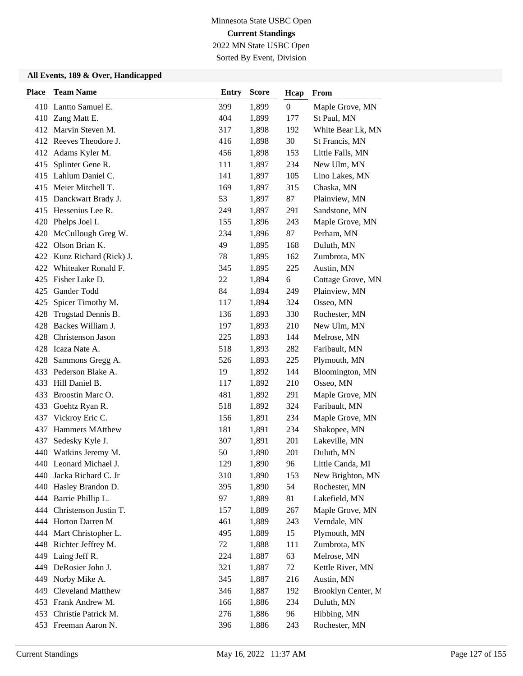2022 MN State USBC Open

Sorted By Event, Division

| <b>Place</b> | <b>Team Name</b>          | <b>Entry</b> | <b>Score</b> | Hcap             | From               |
|--------------|---------------------------|--------------|--------------|------------------|--------------------|
|              | 410 Lantto Samuel E.      | 399          | 1,899        | $\boldsymbol{0}$ | Maple Grove, MN    |
|              | 410 Zang Matt E.          | 404          | 1,899        | 177              | St Paul, MN        |
|              | 412 Marvin Steven M.      | 317          | 1,898        | 192              | White Bear Lk, MN  |
|              | 412 Reeves Theodore J.    | 416          | 1,898        | 30               | St Francis, MN     |
|              | 412 Adams Kyler M.        | 456          | 1,898        | 153              | Little Falls, MN   |
| 415          | Splinter Gene R.          | 111          | 1,897        | 234              | New Ulm, MN        |
|              | 415 Lahlum Daniel C.      | 141          | 1,897        | 105              | Lino Lakes, MN     |
| 415          | Meier Mitchell T.         | 169          | 1,897        | 315              | Chaska, MN         |
|              | 415 Danckwart Brady J.    | 53           | 1,897        | 87               | Plainview, MN      |
|              | 415 Hessenius Lee R.      | 249          | 1,897        | 291              | Sandstone, MN      |
| 420          | Phelps Joel I.            | 155          | 1,896        | 243              | Maple Grove, MN    |
| 420          | McCullough Greg W.        | 234          | 1,896        | 87               | Perham, MN         |
|              | 422 Olson Brian K.        | 49           | 1,895        | 168              | Duluth, MN         |
| 422          | Kunz Richard (Rick) J.    | 78           | 1,895        | 162              | Zumbrota, MN       |
| 422          | Whiteaker Ronald F.       | 345          | 1,895        | 225              | Austin, MN         |
|              | 425 Fisher Luke D.        | 22           | 1,894        | 6                | Cottage Grove, MN  |
| 425          | Gander Todd               | 84           | 1,894        | 249              | Plainview, MN      |
| 425          | Spicer Timothy M.         | 117          | 1,894        | 324              | Osseo, MN          |
| 428          | Trogstad Dennis B.        | 136          | 1,893        | 330              | Rochester, MN      |
| 428          | Backes William J.         | 197          | 1,893        | 210              | New Ulm, MN        |
|              | 428 Christenson Jason     | 225          | 1,893        | 144              | Melrose, MN        |
| 428          | Icaza Nate A.             | 518          | 1,893        | 282              | Faribault, MN      |
| 428          | Sammons Gregg A.          | 526          | 1,893        | 225              | Plymouth, MN       |
|              | 433 Pederson Blake A.     | 19           | 1,892        | 144              | Bloomington, MN    |
| 433          | Hill Daniel B.            | 117          | 1,892        | 210              | Osseo, MN          |
| 433          | Broostin Marc O.          | 481          | 1,892        | 291              | Maple Grove, MN    |
| 433          | Goehtz Ryan R.            | 518          | 1,892        | 324              | Faribault, MN      |
| 437          | Vickroy Eric C.           | 156          | 1,891        | 234              | Maple Grove, MN    |
| 437          | <b>Hammers MAtthew</b>    | 181          | 1,891        | 234              | Shakopee, MN       |
| 437          | Sedesky Kyle J.           | 307          | 1,891        | 201              | Lakeville, MN      |
| 440          | Watkins Jeremy M.         | 50           | 1,890        | 201              | Duluth, MN         |
|              | 440 Leonard Michael J.    | 129          | 1,890        | 96               | Little Canda, MI   |
|              | 440 Jacka Richard C. Jr   | 310          | 1,890        | 153              | New Brighton, MN   |
| 440          | Hasley Brandon D.         | 395          | 1,890        | 54               | Rochester, MN      |
| 444          | Barrie Phillip L.         | 97           | 1,889        | 81               | Lakefield, MN      |
|              | 444 Christenson Justin T. | 157          | 1,889        | 267              | Maple Grove, MN    |
|              | 444 Horton Darren M       | 461          | 1,889        | 243              | Verndale, MN       |
| 444          | Mart Christopher L.       | 495          | 1,889        | 15               | Plymouth, MN       |
|              | 448 Richter Jeffrey M.    | $72\,$       | 1,888        | 111              | Zumbrota, MN       |
|              | 449 Laing Jeff R.         | 224          | 1,887        | 63               | Melrose, MN        |
| 449          | DeRosier John J.          | 321          | 1,887        | 72               | Kettle River, MN   |
| 449          | Norby Mike A.             | 345          | 1,887        | 216              | Austin, MN         |
| 449          | Cleveland Matthew         | 346          | 1,887        | 192              | Brooklyn Center, M |
|              | 453 Frank Andrew M.       | 166          | 1,886        | 234              | Duluth, MN         |
|              | 453 Christie Patrick M.   | 276          | 1,886        | 96               | Hibbing, MN        |
|              | 453 Freeman Aaron N.      | 396          | 1,886        | 243              | Rochester, MN      |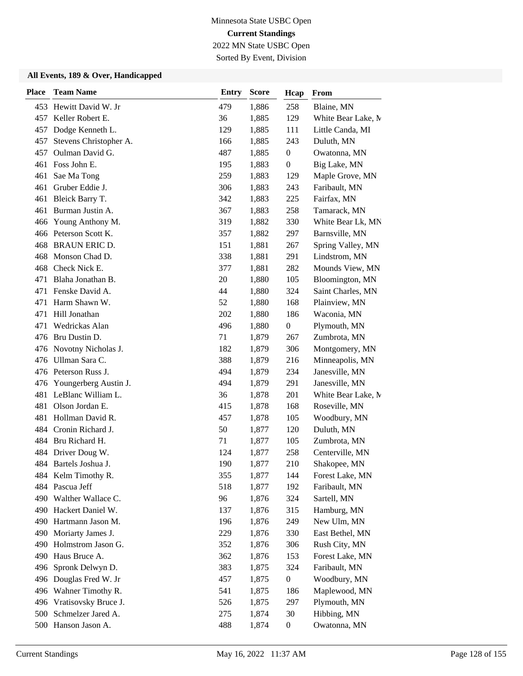2022 MN State USBC Open Sorted By Event, Division

| <b>Place</b> | <b>Team Name</b>                        | <b>Entry</b> | <b>Score</b>   | Hcap             | From                             |
|--------------|-----------------------------------------|--------------|----------------|------------------|----------------------------------|
|              | 453 Hewitt David W. Jr                  | 479          | 1,886          | 258              | Blaine, MN                       |
| 457          | Keller Robert E.                        | 36           | 1,885          | 129              | White Bear Lake, M               |
| 457          | Dodge Kenneth L.                        | 129          | 1,885          | 111              | Little Canda, MI                 |
| 457          | Stevens Christopher A.                  | 166          | 1,885          | 243              | Duluth, MN                       |
| 457          | Oulman David G.                         | 487          | 1,885          | $\boldsymbol{0}$ | Owatonna, MN                     |
| 461          | Foss John E.                            | 195          | 1,883          | $\boldsymbol{0}$ | Big Lake, MN                     |
| 461          | Sae Ma Tong                             | 259          | 1,883          | 129              | Maple Grove, MN                  |
| 461          | Gruber Eddie J.                         | 306          | 1,883          | 243              | Faribault, MN                    |
| 461          | Bleick Barry T.                         | 342          | 1,883          | 225              | Fairfax, MN                      |
| 461          | Burman Justin A.                        | 367          | 1,883          | 258              | Tamarack, MN                     |
| 466          | Young Anthony M.                        | 319          | 1,882          | 330              | White Bear Lk, MN                |
|              | 466 Peterson Scott K.                   | 357          | 1,882          | 297              | Barnsville, MN                   |
| 468          | <b>BRAUN ERIC D.</b>                    | 151          | 1,881          | 267              | Spring Valley, MN                |
| 468          | Monson Chad D.                          | 338          | 1,881          | 291              | Lindstrom, MN                    |
| 468          | Check Nick E.                           | 377          | 1,881          | 282              | Mounds View, MN                  |
| 471          | Blaha Jonathan B.                       | $20\,$       | 1,880          | 105              | Bloomington, MN                  |
|              | 471 Fenske David A.                     | 44           | 1,880          | 324              | Saint Charles, MN                |
| 471          | Harm Shawn W.                           | 52           | 1,880          | 168              | Plainview, MN                    |
| 471          | Hill Jonathan                           | 202          | 1,880          | 186              | Waconia, MN                      |
| 471          | Wedrickas Alan                          | 496          | 1,880          | $\boldsymbol{0}$ | Plymouth, MN                     |
|              | 476 Bru Dustin D.                       | 71           | 1,879          | 267              | Zumbrota, MN                     |
| 476          | Novotny Nicholas J.                     | 182          | 1,879          | 306              | Montgomery, MN                   |
| 476          | Ullman Sara C.                          | 388          | 1,879          | 216              | Minneapolis, MN                  |
|              | 476 Peterson Russ J.                    | 494          | 1,879          | 234              | Janesville, MN                   |
|              | 476 Youngerberg Austin J.               | 494          | 1,879          | 291              | Janesville, MN                   |
| 481          | LeBlanc William L.                      | 36           | 1,878          | 201              | White Bear Lake, M               |
| 481          | Olson Jordan E.                         | 415          | 1,878          | 168              | Roseville, MN                    |
| 481          | Hollman David R.                        | 457          | 1,878          | 105              | Woodbury, MN                     |
|              | 484 Cronin Richard J.                   | 50           | 1,877          | 120              | Duluth, MN                       |
|              | 484 Bru Richard H.                      | 71           | 1,877          | 105              | Zumbrota, MN                     |
| 484          | Driver Doug W.                          | 124          | 1,877          | 258              | Centerville, MN                  |
|              | 484 Bartels Joshua J.                   | 190          | 1,877          | 210              | Shakopee, MN                     |
|              | 484 Kelm Timothy R.                     | 355          | 1,877          | 144              | Forest Lake, MN                  |
|              | 484 Pascua Jeff                         | 518          | 1,877          | 192              | Faribault, MN                    |
| 490          | Walther Wallace C.                      | 96           | 1,876          | 324              | Sartell, MN                      |
| 490          | Hackert Daniel W.                       | 137          | 1,876          | 315              | Hamburg, MN                      |
| 490          | Hartmann Jason M.                       | 196          | 1,876          | 249              | New Ulm, MN                      |
| 490<br>490   | Moriarty James J.<br>Holmstrom Jason G. | 229          | 1,876          | 330              | East Bethel, MN                  |
| 490          | Haus Bruce A.                           | 352<br>362   | 1,876<br>1,876 | 306<br>153       | Rush City, MN<br>Forest Lake, MN |
| 496          | Spronk Delwyn D.                        | 383          | 1,875          | 324              | Faribault, MN                    |
| 496          | Douglas Fred W. Jr                      | 457          | 1,875          | $\boldsymbol{0}$ | Woodbury, MN                     |
| 496          | Wahner Timothy R.                       | 541          | 1,875          | 186              | Maplewood, MN                    |
| 496          | Vratisovsky Bruce J.                    | 526          | 1,875          | 297              | Plymouth, MN                     |
| 500          | Schmelzer Jared A.                      | 275          | 1,874          | 30               | Hibbing, MN                      |
|              | 500 Hanson Jason A.                     | 488          | 1,874          | $\boldsymbol{0}$ | Owatonna, MN                     |
|              |                                         |              |                |                  |                                  |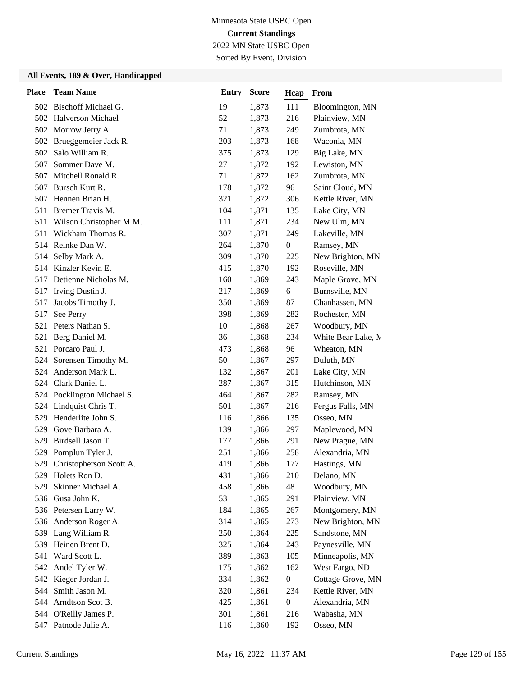Sorted By Event, Division

| <b>Place</b> | <b>Team Name</b>           | <b>Entry</b> | <b>Score</b> | Hcap             | From               |
|--------------|----------------------------|--------------|--------------|------------------|--------------------|
|              | 502 Bischoff Michael G.    | 19           | 1,873        | 111              | Bloomington, MN    |
|              | 502 Halverson Michael      | 52           | 1,873        | 216              | Plainview, MN      |
| 502          | Morrow Jerry A.            | 71           | 1,873        | 249              | Zumbrota, MN       |
| 502          | Brueggemeier Jack R.       | 203          | 1,873        | 168              | Waconia, MN        |
| 502          | Salo William R.            | 375          | 1,873        | 129              | Big Lake, MN       |
| 507          | Sommer Dave M.             | 27           | 1,872        | 192              | Lewiston, MN       |
| 507          | Mitchell Ronald R.         | 71           | 1,872        | 162              | Zumbrota, MN       |
| 507          | Bursch Kurt R.             | 178          | 1,872        | 96               | Saint Cloud, MN    |
|              | 507 Hennen Brian H.        | 321          | 1,872        | 306              | Kettle River, MN   |
| 511          | Bremer Travis M.           | 104          | 1,871        | 135              | Lake City, MN      |
| 511          | Wilson Christopher M M.    | 111          | 1,871        | 234              | New Ulm, MN        |
| 511          | Wickham Thomas R.          | 307          | 1,871        | 249              | Lakeville, MN      |
|              | 514 Reinke Dan W.          | 264          | 1,870        | $\boldsymbol{0}$ | Ramsey, MN         |
| 514          | Selby Mark A.              | 309          | 1,870        | 225              | New Brighton, MN   |
| 514          | Kinzler Kevin E.           | 415          | 1,870        | 192              | Roseville, MN      |
| 517          | Detienne Nicholas M.       | 160          | 1,869        | 243              | Maple Grove, MN    |
| 517          | Irving Dustin J.           | 217          | 1,869        | 6                | Burnsville, MN     |
| 517          | Jacobs Timothy J.          | 350          | 1,869        | 87               | Chanhassen, MN     |
| 517          | See Perry                  | 398          | 1,869        | 282              | Rochester, MN      |
| 521          | Peters Nathan S.           | 10           | 1,868        | 267              | Woodbury, MN       |
| 521          | Berg Daniel M.             | 36           | 1,868        | 234              | White Bear Lake, M |
| 521          | Porcaro Paul J.            | 473          | 1,868        | 96               | Wheaton, MN        |
| 524          | Sorensen Timothy M.        | 50           | 1,867        | 297              | Duluth, MN         |
| 524          | Anderson Mark L.           | 132          | 1,867        | 201              | Lake City, MN      |
|              | 524 Clark Daniel L.        | 287          | 1,867        | 315              | Hutchinson, MN     |
|              | 524 Pocklington Michael S. | 464          | 1,867        | 282              | Ramsey, MN         |
| 524          | Lindquist Chris T.         | 501          | 1,867        | 216              | Fergus Falls, MN   |
| 529          | Henderlite John S.         | 116          | 1,866        | 135              | Osseo, MN          |
| 529          | Gove Barbara A.            | 139          | 1,866        | 297              | Maplewood, MN      |
| 529          | Birdsell Jason T.          | 177          | 1,866        | 291              | New Prague, MN     |
| 529          | Pomplun Tyler J.           | 251          | 1,866        | 258              | Alexandria, MN     |
| 529          | Christopherson Scott A.    | 419          | 1,866        | 177              | Hastings, MN       |
|              | 529 Holets Ron D.          | 431          | 1,866        | 210              | Delano, MN         |
| 529          | Skinner Michael A.         | 458          | 1,866        | 48               | Woodbury, MN       |
| 536          | Gusa John K.               | 53           | 1,865        | 291              | Plainview, MN      |
|              | 536 Petersen Larry W.      | 184          | 1,865        | 267              | Montgomery, MN     |
|              | 536 Anderson Roger A.      | 314          | 1,865        | 273              | New Brighton, MN   |
| 539          | Lang William R.            | 250          | 1,864        | 225              | Sandstone, MN      |
| 539          | Heinen Brent D.            | 325          | 1,864        | 243              | Paynesville, MN    |
| 541          | Ward Scott L.              | 389          | 1,863        | 105              | Minneapolis, MN    |
|              | 542 Andel Tyler W.         | 175          | 1,862        | 162              | West Fargo, ND     |
| 542          | Kieger Jordan J.           | 334          | 1,862        | $\boldsymbol{0}$ | Cottage Grove, MN  |
| 544          | Smith Jason M.             | 320          | 1,861        | 234              | Kettle River, MN   |
| 544          | Arndtson Scot B.           | 425          | 1,861        | $\boldsymbol{0}$ | Alexandria, MN     |
|              | 544 O'Reilly James P.      | 301          | 1,861        | 216              | Wabasha, MN        |
| 547          | Patnode Julie A.           | 116          | 1,860        | 192              | Osseo, MN          |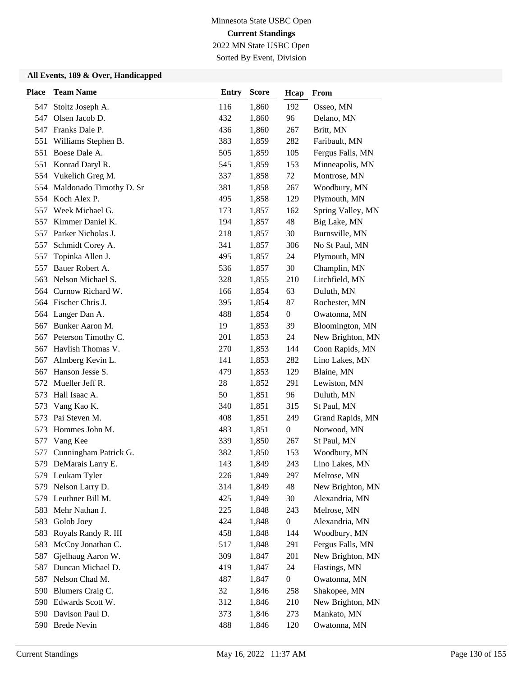2022 MN State USBC Open

Sorted By Event, Division

| <b>Place</b> | <b>Team Name</b>            | <b>Entry</b> | <b>Score</b> | Hcap             | From              |
|--------------|-----------------------------|--------------|--------------|------------------|-------------------|
| 547          | Stoltz Joseph A.            | 116          | 1,860        | 192              | Osseo, MN         |
| 547          | Olsen Jacob D.              | 432          | 1,860        | 96               | Delano, MN        |
| 547          | Franks Dale P.              | 436          | 1,860        | 267              | Britt, MN         |
| 551          | Williams Stephen B.         | 383          | 1,859        | 282              | Faribault, MN     |
| 551          | Boese Dale A.               | 505          | 1,859        | 105              | Fergus Falls, MN  |
| 551          | Konrad Daryl R.             | 545          | 1,859        | 153              | Minneapolis, MN   |
| 554          | Vukelich Greg M.            | 337          | 1,858        | 72               | Montrose, MN      |
|              | 554 Maldonado Timothy D. Sr | 381          | 1,858        | 267              | Woodbury, MN      |
|              | 554 Koch Alex P.            | 495          | 1,858        | 129              | Plymouth, MN      |
| 557          | Week Michael G.             | 173          | 1,857        | 162              | Spring Valley, MN |
| 557          | Kimmer Daniel K.            | 194          | 1,857        | 48               | Big Lake, MN      |
| 557          | Parker Nicholas J.          | 218          | 1,857        | 30               | Burnsville, MN    |
| 557          | Schmidt Corey A.            | 341          | 1,857        | 306              | No St Paul, MN    |
| 557          | Topinka Allen J.            | 495          | 1,857        | 24               | Plymouth, MN      |
| 557          | Bauer Robert A.             | 536          | 1,857        | 30               | Champlin, MN      |
| 563          | Nelson Michael S.           | 328          | 1,855        | 210              | Litchfield, MN    |
|              | 564 Curnow Richard W.       | 166          | 1,854        | 63               | Duluth, MN        |
|              | 564 Fischer Chris J.        | 395          | 1,854        | 87               | Rochester, MN     |
|              | 564 Langer Dan A.           | 488          | 1,854        | $\boldsymbol{0}$ | Owatonna, MN      |
| 567          | Bunker Aaron M.             | 19           | 1,853        | 39               | Bloomington, MN   |
| 567          | Peterson Timothy C.         | 201          | 1,853        | 24               | New Brighton, MN  |
| 567          | Havlish Thomas V.           | 270          | 1,853        | 144              | Coon Rapids, MN   |
| 567          | Almberg Kevin L.            | 141          | 1,853        | 282              | Lino Lakes, MN    |
| 567          | Hanson Jesse S.             | 479          | 1,853        | 129              | Blaine, MN        |
| 572          | Mueller Jeff R.             | 28           | 1,852        | 291              | Lewiston, MN      |
| 573          | Hall Isaac A.               | 50           | 1,851        | 96               | Duluth, MN        |
| 573          | Vang Kao K.                 | 340          | 1,851        | 315              | St Paul, MN       |
| 573          | Pai Steven M.               | 408          | 1,851        | 249              | Grand Rapids, MN  |
| 573          | Hommes John M.              | 483          | 1,851        | $\boldsymbol{0}$ | Norwood, MN       |
| 577          | Vang Kee                    | 339          | 1,850        | 267              | St Paul, MN       |
| 577          | Cunningham Patrick G.       | 382          | 1,850        | 153              | Woodbury, MN      |
|              | 579 DeMarais Larry E.       | 143          | 1,849        | 243              | Lino Lakes, MN    |
|              | 579 Leukam Tyler            | 226          | 1,849        | 297              | Melrose, MN       |
| 579          | Nelson Larry D.             | 314          | 1,849        | 48               | New Brighton, MN  |
| 579          | Leuthner Bill M.            | 425          | 1,849        | 30               | Alexandria, MN    |
| 583          | Mehr Nathan J.              | 225          | 1,848        | 243              | Melrose, MN       |
|              | 583 Golob Joey              | 424          | 1,848        | $\boldsymbol{0}$ | Alexandria, MN    |
| 583          | Royals Randy R. III         | 458          | 1,848        | 144              | Woodbury, MN      |
| 583          | McCoy Jonathan C.           | 517          | 1,848        | 291              | Fergus Falls, MN  |
| 587          | Gjelhaug Aaron W.           | 309          | 1,847        | 201              | New Brighton, MN  |
| 587          | Duncan Michael D.           | 419          | 1,847        | 24               | Hastings, MN      |
| 587          | Nelson Chad M.              | 487          | 1,847        | $\boldsymbol{0}$ | Owatonna, MN      |
| 590          | Blumers Craig C.            | 32           | 1,846        | 258              | Shakopee, MN      |
| 590          | Edwards Scott W.            | 312          | 1,846        | 210              | New Brighton, MN  |
|              | 590 Davison Paul D.         | 373          | 1,846        | 273              | Mankato, MN       |
|              | 590 Brede Nevin             | 488          | 1,846        | 120              | Owatonna, MN      |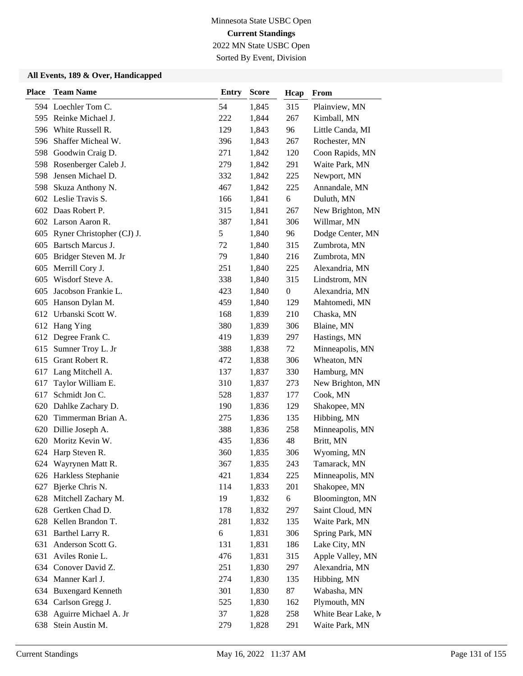2022 MN State USBC Open Sorted By Event, Division

| <b>Place</b> | <b>Team Name</b>          | <b>Entry</b> | <b>Score</b> | Hcap             | From               |
|--------------|---------------------------|--------------|--------------|------------------|--------------------|
|              | 594 Loechler Tom C.       | 54           | 1,845        | 315              | Plainview, MN      |
| 595          | Reinke Michael J.         | 222          | 1,844        | 267              | Kimball, MN        |
| 596          | White Russell R.          | 129          | 1,843        | 96               | Little Canda, MI   |
| 596          | Shaffer Micheal W.        | 396          | 1,843        | 267              | Rochester, MN      |
| 598          | Goodwin Craig D.          | 271          | 1,842        | 120              | Coon Rapids, MN    |
| 598          | Rosenberger Caleb J.      | 279          | 1,842        | 291              | Waite Park, MN     |
| 598          | Jensen Michael D.         | 332          | 1,842        | 225              | Newport, MN        |
| 598          | Skuza Anthony N.          | 467          | 1,842        | 225              | Annandale, MN      |
|              | 602 Leslie Travis S.      | 166          | 1,841        | 6                | Duluth, MN         |
|              | 602 Daas Robert P.        | 315          | 1,841        | 267              | New Brighton, MN   |
|              | 602 Larson Aaron R.       | 387          | 1,841        | 306              | Willmar, MN        |
| 605          | Ryner Christopher (CJ) J. | 5            | 1,840        | 96               | Dodge Center, MN   |
| 605          | Bartsch Marcus J.         | 72           | 1,840        | 315              | Zumbrota, MN       |
| 605          | Bridger Steven M. Jr      | 79           | 1,840        | 216              | Zumbrota, MN       |
| 605          | Merrill Cory J.           | 251          | 1,840        | 225              | Alexandria, MN     |
| 605          | Wisdorf Steve A.          | 338          | 1,840        | 315              | Lindstrom, MN      |
| 605          | Jacobson Frankie L.       | 423          | 1,840        | $\boldsymbol{0}$ | Alexandria, MN     |
| 605          | Hanson Dylan M.           | 459          | 1,840        | 129              | Mahtomedi, MN      |
| 612          | Urbanski Scott W.         | 168          | 1,839        | 210              | Chaska, MN         |
| 612          | Hang Ying                 | 380          | 1,839        | 306              | Blaine, MN         |
| 612          | Degree Frank C.           | 419          | 1,839        | 297              | Hastings, MN       |
| 615          | Sumner Troy L. Jr         | 388          | 1,838        | 72               | Minneapolis, MN    |
| 615          | Grant Robert R.           | 472          | 1,838        | 306              | Wheaton, MN        |
| 617          | Lang Mitchell A.          | 137          | 1,837        | 330              | Hamburg, MN        |
| 617          | Taylor William E.         | 310          | 1,837        | 273              | New Brighton, MN   |
| 617          | Schmidt Jon C.            | 528          | 1,837        | 177              | Cook, MN           |
| 620          | Dahlke Zachary D.         | 190          | 1,836        | 129              | Shakopee, MN       |
| 620          | Timmerman Brian A.        | 275          | 1,836        | 135              | Hibbing, MN        |
| 620          | Dillie Joseph A.          | 388          | 1,836        | 258              | Minneapolis, MN    |
| 620          | Moritz Kevin W.           | 435          | 1,836        | 48               | Britt, MN          |
| 624          | Harp Steven R.            | 360          | 1,835        | 306              | Wyoming, MN        |
|              | 624 Wayrynen Matt R.      | 367          | 1,835        | 243              | Tamarack, MN       |
|              | 626 Harkless Stephanie    | 421          | 1,834        | 225              | Minneapolis, MN    |
| 627          | Bjerke Chris N.           | 114          | 1,833        | 201              | Shakopee, MN       |
| 628          | Mitchell Zachary M.       | 19           | 1,832        | 6                | Bloomington, MN    |
| 628          | Gertken Chad D.           | 178          | 1,832        | 297              | Saint Cloud, MN    |
|              | 628 Kellen Brandon T.     | 281          | 1,832        | 135              | Waite Park, MN     |
| 631          | Barthel Larry R.          | 6            | 1,831        | 306              | Spring Park, MN    |
| 631          | Anderson Scott G.         | 131          | 1,831        | 186              | Lake City, MN      |
| 631          | Aviles Ronie L.           | 476          | 1,831        | 315              | Apple Valley, MN   |
|              | 634 Conover David Z.      | 251          | 1,830        | 297              | Alexandria, MN     |
| 634          | Manner Karl J.            | 274          | 1,830        | 135              | Hibbing, MN        |
| 634          | <b>Buxengard Kenneth</b>  | 301          | 1,830        | 87               | Wabasha, MN        |
| 634          | Carlson Gregg J.          | 525          | 1,830        | 162              | Plymouth, MN       |
| 638          | Aguirre Michael A. Jr     | 37           | 1,828        | 258              | White Bear Lake, M |
| 638          | Stein Austin M.           | 279          | 1,828        | 291              | Waite Park, MN     |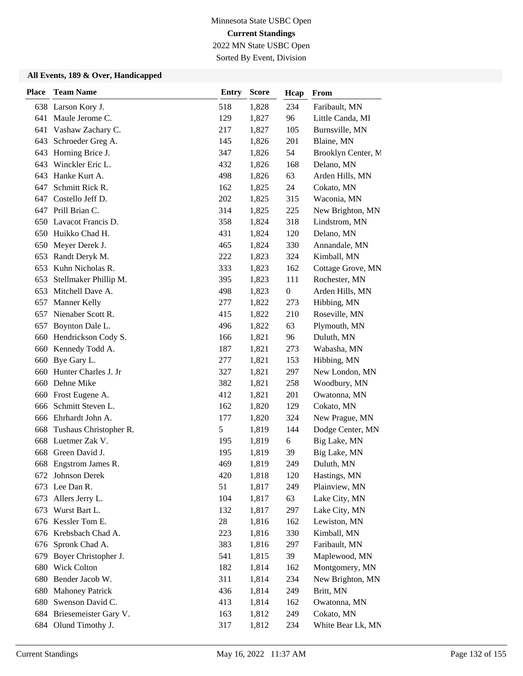2022 MN State USBC Open

### Sorted By Event, Division

| <b>Place</b> | <b>Team Name</b>          | <b>Entry</b> | <b>Score</b> | Hcap             | From               |
|--------------|---------------------------|--------------|--------------|------------------|--------------------|
|              | 638 Larson Kory J.        | 518          | 1,828        | 234              | Faribault, MN      |
| 641          | Maule Jerome C.           | 129          | 1,827        | 96               | Little Canda, MI   |
| 641          | Vashaw Zachary C.         | 217          | 1,827        | 105              | Burnsville, MN     |
|              | 643 Schroeder Greg A.     | 145          | 1,826        | 201              | Blaine, MN         |
| 643          | Horning Brice J.          | 347          | 1,826        | 54               | Brooklyn Center, M |
| 643          | Winckler Eric L.          | 432          | 1,826        | 168              | Delano, MN         |
| 643          | Hanke Kurt A.             | 498          | 1,826        | 63               | Arden Hills, MN    |
| 647          | Schmitt Rick R.           | 162          | 1,825        | 24               | Cokato, MN         |
| 647          | Costello Jeff D.          | 202          | 1,825        | 315              | Waconia, MN        |
| 647          | Prill Brian C.            | 314          | 1,825        | 225              | New Brighton, MN   |
| 650          | Lavacot Francis D.        | 358          | 1,824        | 318              | Lindstrom, MN      |
| 650          | Huikko Chad H.            | 431          | 1,824        | 120              | Delano, MN         |
| 650          | Meyer Derek J.            | 465          | 1,824        | 330              | Annandale, MN      |
| 653          | Randt Deryk M.            | 222          | 1,823        | 324              | Kimball, MN        |
| 653          | Kuhn Nicholas R.          | 333          | 1,823        | 162              | Cottage Grove, MN  |
| 653          | Stellmaker Phillip M.     | 395          | 1,823        | 111              | Rochester, MN      |
| 653          | Mitchell Dave A.          | 498          | 1,823        | $\boldsymbol{0}$ | Arden Hills, MN    |
| 657          | Manner Kelly              | 277          | 1,822        | 273              | Hibbing, MN        |
| 657          | Nienaber Scott R.         | 415          | 1,822        | 210              | Roseville, MN      |
| 657          | Boynton Dale L.           | 496          | 1,822        | 63               | Plymouth, MN       |
| 660          | Hendrickson Cody S.       | 166          | 1,821        | 96               | Duluth, MN         |
| 660          | Kennedy Todd A.           | 187          | 1,821        | 273              | Wabasha, MN        |
| 660          | Bye Gary L.               | 277          | 1,821        | 153              | Hibbing, MN        |
| 660          | Hunter Charles J. Jr      | 327          | 1,821        | 297              | New London, MN     |
| 660          | Dehne Mike                | 382          | 1,821        | 258              | Woodbury, MN       |
| 660          | Frost Eugene A.           | 412          | 1,821        | 201              | Owatonna, MN       |
| 666          | Schmitt Steven L.         | 162          | 1,820        | 129              | Cokato, MN         |
| 666          | Ehrhardt John A.          | 177          | 1,820        | 324              | New Prague, MN     |
| 668          | Tushaus Christopher R.    | 5            | 1,819        | 144              | Dodge Center, MN   |
| 668          | Luetmer Zak V.            | 195          | 1,819        | 6                | Big Lake, MN       |
| 668          | Green David J.            | 195          | 1,819        | 39               | Big Lake, MN       |
| 668          | Engstrom James R.         | 469          | 1,819        | 249              | Duluth, MN         |
|              | 672 Johnson Derek         | 420          | 1,818        | 120              | Hastings, MN       |
| 673          | Lee Dan R.                | 51           | 1,817        | 249              | Plainview, MN      |
| 673          | Allers Jerry L.           | 104          | 1,817        | 63               | Lake City, MN      |
| 673          | Wurst Bart L.             | 132          | 1,817        | 297              | Lake City, MN      |
|              | 676 Kessler Tom E.        | 28           | 1,816        | 162              | Lewiston, MN       |
| 676          | Krebsbach Chad A.         | 223          | 1,816        | 330              | Kimball, MN        |
| 676          | Spronk Chad A.            | 383          | 1,816        | 297              | Faribault, MN      |
| 679          | Boyer Christopher J.      | 541          | 1,815        | 39               | Maplewood, MN      |
| 680          | Wick Colton               | 182          | 1,814        | 162              | Montgomery, MN     |
| 680          | Bender Jacob W.           | 311          | 1,814        | 234              | New Brighton, MN   |
| 680          | <b>Mahoney Patrick</b>    | 436          | 1,814        | 249              | Britt, MN          |
| 680          | Swenson David C.          | 413          | 1,814        | 162              | Owatonna, MN       |
|              | 684 Briesemeister Gary V. | 163          | 1,812        | 249              | Cokato, MN         |
|              | 684 Olund Timothy J.      | 317          | 1,812        | 234              | White Bear Lk, MN  |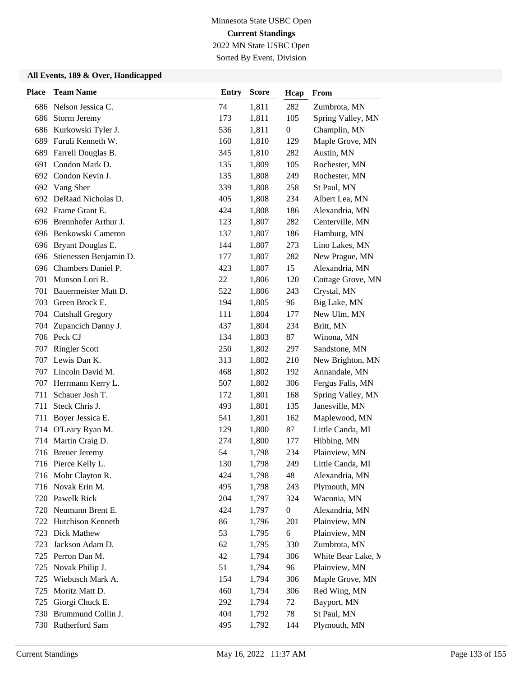2022 MN State USBC Open Sorted By Event, Division

| <b>Place</b> | <b>Team Name</b>       | <b>Entry</b> | <b>Score</b> | Hcap             | From               |
|--------------|------------------------|--------------|--------------|------------------|--------------------|
|              | 686 Nelson Jessica C.  | 74           | 1,811        | 282              | Zumbrota, MN       |
| 686          | Storm Jeremy           | 173          | 1,811        | 105              | Spring Valley, MN  |
| 686          | Kurkowski Tyler J.     | 536          | 1,811        | $\boldsymbol{0}$ | Champlin, MN       |
| 689          | Furuli Kenneth W.      | 160          | 1,810        | 129              | Maple Grove, MN    |
| 689          | Farrell Douglas B.     | 345          | 1,810        | 282              | Austin, MN         |
| 691          | Condon Mark D.         | 135          | 1,809        | 105              | Rochester, MN      |
| 692          | Condon Kevin J.        | 135          | 1,808        | 249              | Rochester, MN      |
| 692          | Vang Sher              | 339          | 1,808        | 258              | St Paul, MN        |
|              | 692 DeRaad Nicholas D. | 405          | 1,808        | 234              | Albert Lea, MN     |
|              | 692 Frame Grant E.     | 424          | 1,808        | 186              | Alexandria, MN     |
| 696          | Brennhofer Arthur J.   | 123          | 1,807        | 282              | Centerville, MN    |
|              | 696 Benkowski Cameron  | 137          | 1,807        | 186              | Hamburg, MN        |
|              | 696 Bryant Douglas E.  | 144          | 1,807        | 273              | Lino Lakes, MN     |
| 696          | Stienessen Benjamin D. | 177          | 1,807        | 282              | New Prague, MN     |
| 696          | Chambers Daniel P.     | 423          | 1,807        | 15               | Alexandria, MN     |
| 701          | Munson Lori R.         | 22           | 1,806        | 120              | Cottage Grove, MN  |
| 701          | Bauermeister Matt D.   | 522          | 1,806        | 243              | Crystal, MN        |
| 703          | Green Brock E.         | 194          | 1,805        | 96               | Big Lake, MN       |
|              | 704 Cutshall Gregory   | 111          | 1,804        | 177              | New Ulm, MN        |
|              | 704 Zupancich Danny J. | 437          | 1,804        | 234              | Britt, MN          |
|              | 706 Peck CJ            | 134          | 1,803        | 87               | Winona, MN         |
| 707          | <b>Ringler Scott</b>   | 250          | 1,802        | 297              | Sandstone, MN      |
| 707          | Lewis Dan K.           | 313          | 1,802        | 210              | New Brighton, MN   |
|              | 707 Lincoln David M.   | 468          | 1,802        | 192              | Annandale, MN      |
|              | 707 Herrmann Kerry L.  | 507          | 1,802        | 306              | Fergus Falls, MN   |
| 711          | Schauer Josh T.        | 172          | 1,801        | 168              | Spring Valley, MN  |
| 711          | Steck Chris J.         | 493          | 1,801        | 135              | Janesville, MN     |
| 711          | Boyer Jessica E.       | 541          | 1,801        | 162              | Maplewood, MN      |
|              | 714 O'Leary Ryan M.    | 129          | 1,800        | 87               | Little Canda, MI   |
| 714          | Martin Craig D.        | 274          | 1,800        | 177              | Hibbing, MN        |
|              | 716 Breuer Jeremy      | 54           | 1,798        | 234              | Plainview, MN      |
|              | 716 Pierce Kelly L.    | 130          | 1,798        | 249              | Little Canda, MI   |
|              | 716 Mohr Clayton R.    | 424          | 1,798        | 48               | Alexandria, MN     |
|              | 716 Novak Erin M.      | 495          | 1,798        | 243              | Plymouth, MN       |
| 720          | Pawelk Rick            | 204          | 1,797        | 324              | Waconia, MN        |
| 720          | Neumann Brent E.       | 424          | 1,797        | $\boldsymbol{0}$ | Alexandria, MN     |
|              | 722 Hutchison Kenneth  | 86           | 1,796        | 201              | Plainview, MN      |
| 723          | Dick Mathew            | 53           | 1,795        | 6                | Plainview, MN      |
| 723          | Jackson Adam D.        | 62           | 1,795        | 330              | Zumbrota, MN       |
| 725          | Perron Dan M.          | 42           | 1,794        | 306              | White Bear Lake, M |
| 725          | Novak Philip J.        | 51           | 1,794        | 96               | Plainview, MN      |
| 725          | Wiebusch Mark A.       | 154          | 1,794        | 306              | Maple Grove, MN    |
| 725          | Moritz Matt D.         | 460          | 1,794        | 306              | Red Wing, MN       |
| 725          | Giorgi Chuck E.        | 292          | 1,794        | 72               | Bayport, MN        |
|              | 730 Brummund Collin J. | 404          | 1,792        | 78               | St Paul, MN        |
|              | 730 Rutherford Sam     | 495          | 1,792        | 144              | Plymouth, MN       |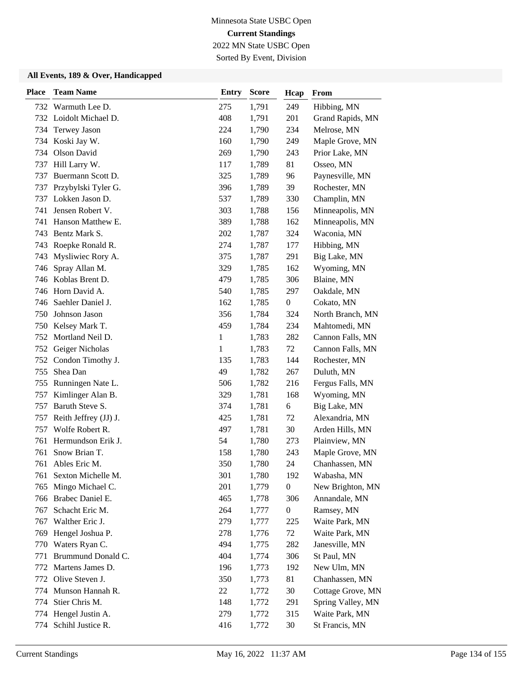2022 MN State USBC Open Sorted By Event, Division

| <b>Place</b> | <b>Team Name</b>       | <b>Entry</b> | <b>Score</b> | Hcap             | From              |
|--------------|------------------------|--------------|--------------|------------------|-------------------|
|              | 732 Warmuth Lee D.     | 275          | 1,791        | 249              | Hibbing, MN       |
|              | 732 Loidolt Michael D. | 408          | 1,791        | 201              | Grand Rapids, MN  |
| 734          | Terwey Jason           | 224          | 1,790        | 234              | Melrose, MN       |
|              | 734 Koski Jay W.       | 160          | 1,790        | 249              | Maple Grove, MN   |
| 734          | Olson David            | 269          | 1,790        | 243              | Prior Lake, MN    |
| 737          | Hill Larry W.          | 117          | 1,789        | 81               | Osseo, MN         |
| 737          | Buermann Scott D.      | 325          | 1,789        | 96               | Paynesville, MN   |
| 737          | Przybylski Tyler G.    | 396          | 1,789        | 39               | Rochester, MN     |
| 737          | Lokken Jason D.        | 537          | 1,789        | 330              | Champlin, MN      |
| 741          | Jensen Robert V.       | 303          | 1,788        | 156              | Minneapolis, MN   |
| 741          | Hanson Matthew E.      | 389          | 1,788        | 162              | Minneapolis, MN   |
| 743          | Bentz Mark S.          | 202          | 1,787        | 324              | Waconia, MN       |
| 743          | Roepke Ronald R.       | 274          | 1,787        | 177              | Hibbing, MN       |
| 743          | Mysliwiec Rory A.      | 375          | 1,787        | 291              | Big Lake, MN      |
| 746          | Spray Allan M.         | 329          | 1,785        | 162              | Wyoming, MN       |
|              | 746 Koblas Brent D.    | 479          | 1,785        | 306              | Blaine, MN        |
|              | 746 Horn David A.      | 540          | 1,785        | 297              | Oakdale, MN       |
| 746          | Saehler Daniel J.      | 162          | 1,785        | $\boldsymbol{0}$ | Cokato, MN        |
| 750          | Johnson Jason          | 356          | 1,784        | 324              | North Branch, MN  |
|              | 750 Kelsey Mark T.     | 459          | 1,784        | 234              | Mahtomedi, MN     |
|              | 752 Mortland Neil D.   | 1            | 1,783        | 282              | Cannon Falls, MN  |
| 752          | Geiger Nicholas        | 1            | 1,783        | 72               | Cannon Falls, MN  |
| 752          | Condon Timothy J.      | 135          | 1,783        | 144              | Rochester, MN     |
| 755          | Shea Dan               | 49           | 1,782        | 267              | Duluth, MN        |
|              | 755 Runningen Nate L.  | 506          | 1,782        | 216              | Fergus Falls, MN  |
| 757          | Kimlinger Alan B.      | 329          | 1,781        | 168              | Wyoming, MN       |
| 757          | Baruth Steve S.        | 374          | 1,781        | 6                | Big Lake, MN      |
| 757          | Reith Jeffrey (JJ) J.  | 425          | 1,781        | 72               | Alexandria, MN    |
| 757          | Wolfe Robert R.        | 497          | 1,781        | 30               | Arden Hills, MN   |
| 761          | Hermundson Erik J.     | 54           | 1,780        | 273              | Plainview, MN     |
| 761          | Snow Brian T.          | 158          | 1,780        | 243              | Maple Grove, MN   |
| 761          | Ables Eric M.          | 350          | 1,780        | 24               | Chanhassen, MN    |
| 761          | Sexton Michelle M.     | 301          | 1,780        | 192              | Wabasha, MN       |
| 765          | Mingo Michael C.       | 201          | 1,779        | $\boldsymbol{0}$ | New Brighton, MN  |
| 766          | Brabec Daniel E.       | 465          | 1,778        | 306              | Annandale, MN     |
| 767          | Schacht Eric M.        | 264          | 1,777        | $\boldsymbol{0}$ | Ramsey, MN        |
| 767          | Walther Eric J.        | 279          | 1,777        | 225              | Waite Park, MN    |
| 769          | Hengel Joshua P.       | 278          | 1,776        | 72               | Waite Park, MN    |
| 770          | Waters Ryan C.         | 494          | 1,775        | 282              | Janesville, MN    |
| 771          | Brummund Donald C.     | 404          | 1,774        | 306              | St Paul, MN       |
|              | 772 Martens James D.   | 196          | 1,773        | 192              | New Ulm, MN       |
| 772          | Olive Steven J.        | 350          | 1,773        | 81               | Chanhassen, MN    |
| 774          | Munson Hannah R.       | 22           | 1,772        | 30               | Cottage Grove, MN |
| 774          | Stier Chris M.         | 148          | 1,772        | 291              | Spring Valley, MN |
|              | 774 Hengel Justin A.   | 279          | 1,772        | 315              | Waite Park, MN    |
| 774          | Schihl Justice R.      | 416          | 1,772        | 30               | St Francis, MN    |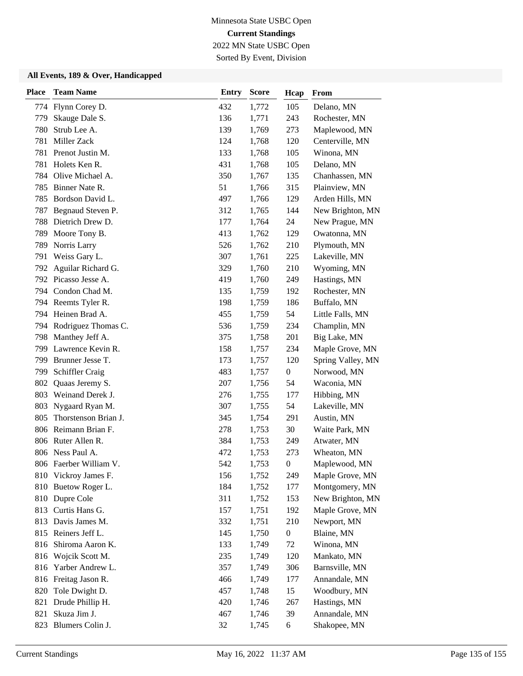2022 MN State USBC Open Sorted By Event, Division

| <b>Place</b> | <b>Team Name</b>        | <b>Entry</b> | <b>Score</b> | Hcap             | From              |
|--------------|-------------------------|--------------|--------------|------------------|-------------------|
|              | 774 Flynn Corey D.      | 432          | 1,772        | 105              | Delano, MN        |
| 779          | Skauge Dale S.          | 136          | 1,771        | 243              | Rochester, MN     |
| 780          | Strub Lee A.            | 139          | 1,769        | 273              | Maplewood, MN     |
| 781          | Miller Zack             | 124          | 1,768        | 120              | Centerville, MN   |
| 781          | Prenot Justin M.        | 133          | 1,768        | 105              | Winona, MN        |
| 781          | Holets Ken R.           | 431          | 1,768        | 105              | Delano, MN        |
| 784          | Olive Michael A.        | 350          | 1,767        | 135              | Chanhassen, MN    |
|              | 785 Binner Nate R.      | 51           | 1,766        | 315              | Plainview, MN     |
|              | 785 Bordson David L.    | 497          | 1,766        | 129              | Arden Hills, MN   |
| 787          | Begnaud Steven P.       | 312          | 1,765        | 144              | New Brighton, MN  |
| 788          | Dietrich Drew D.        | 177          | 1,764        | 24               | New Prague, MN    |
| 789          | Moore Tony B.           | 413          | 1,762        | 129              | Owatonna, MN      |
| 789          | Norris Larry            | 526          | 1,762        | 210              | Plymouth, MN      |
| 791          | Weiss Gary L.           | 307          | 1,761        | 225              | Lakeville, MN     |
| 792          | Aguilar Richard G.      | 329          | 1,760        | 210              | Wyoming, MN       |
|              | 792 Picasso Jesse A.    | 419          | 1,760        | 249              | Hastings, MN      |
|              | 794 Condon Chad M.      | 135          | 1,759        | 192              | Rochester, MN     |
|              | 794 Reemts Tyler R.     | 198          | 1,759        | 186              | Buffalo, MN       |
|              | 794 Heinen Brad A.      | 455          | 1,759        | 54               | Little Falls, MN  |
|              | 794 Rodriguez Thomas C. | 536          | 1,759        | 234              | Champlin, MN      |
| 798          | Manthey Jeff A.         | 375          | 1,758        | 201              | Big Lake, MN      |
| 799          | Lawrence Kevin R.       | 158          | 1,757        | 234              | Maple Grove, MN   |
| 799          | Brunner Jesse T.        | 173          | 1,757        | 120              | Spring Valley, MN |
| 799          | Schiffler Craig         | 483          | 1,757        | $\boldsymbol{0}$ | Norwood, MN       |
| 802          | Quaas Jeremy S.         | 207          | 1,756        | 54               | Waconia, MN       |
|              | 803 Weinand Derek J.    | 276          | 1,755        | 177              | Hibbing, MN       |
| 803          | Nygaard Ryan M.         | 307          | 1,755        | 54               | Lakeville, MN     |
| 805          | Thorstenson Brian J.    | 345          | 1,754        | 291              | Austin, MN        |
|              | 806 Reimann Brian F.    | 278          | 1,753        | 30               | Waite Park, MN    |
|              | 806 Ruter Allen R.      | 384          | 1,753        | 249              | Atwater, MN       |
|              | 806 Ness Paul A.        | 472          | 1,753        | 273              | Wheaton, MN       |
|              | 806 Faerber William V.  | 542          | 1,753        | $\boldsymbol{0}$ | Maplewood, MN     |
|              | 810 Vickroy James F.    | 156          | 1,752        | 249              | Maple Grove, MN   |
| 810          | Buetow Roger L.         | 184          | 1,752        | 177              | Montgomery, MN    |
| 810          | Dupre Cole              | 311          | 1,752        | 153              | New Brighton, MN  |
| 813          | Curtis Hans G.          | 157          | 1,751        | 192              | Maple Grove, MN   |
|              | 813 Davis James M.      | 332          | 1,751        | 210              | Newport, MN       |
|              | 815 Reiners Jeff L.     | 145          | 1,750        | $\boldsymbol{0}$ | Blaine, MN        |
| 816          | Shiroma Aaron K.        | 133          | 1,749        | 72               | Winona, MN        |
|              | 816 Wojcik Scott M.     | 235          | 1,749        | 120              | Mankato, MN       |
| 816          | Yarber Andrew L.        | 357          | 1,749        | 306              | Barnsville, MN    |
|              | 816 Freitag Jason R.    | 466          | 1,749        | 177              | Annandale, MN     |
| 820          | Tole Dwight D.          | 457          | 1,748        | 15               | Woodbury, MN      |
| 821          | Drude Phillip H.        | 420          | 1,746        | 267              | Hastings, MN      |
| 821          | Skuza Jim J.            | 467          | 1,746        | 39               | Annandale, MN     |
|              | 823 Blumers Colin J.    | 32           | 1,745        | 6                | Shakopee, MN      |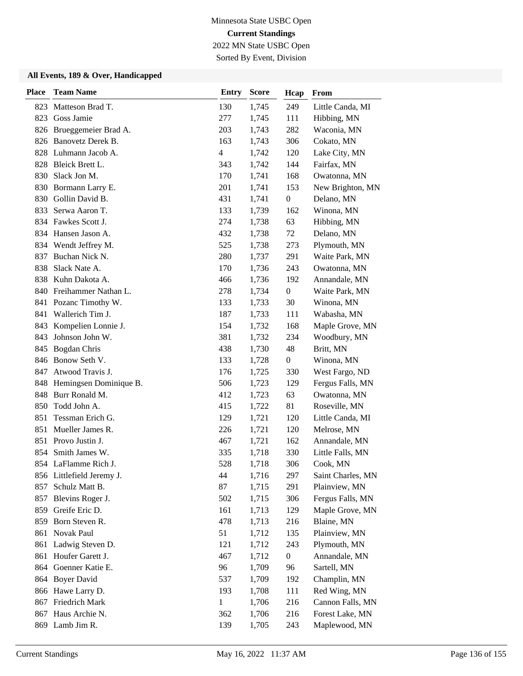2022 MN State USBC Open Sorted By Event, Division

| <b>Place</b> | <b>Team Name</b>          | <b>Entry</b>   | <b>Score</b> | Hcap             | From              |
|--------------|---------------------------|----------------|--------------|------------------|-------------------|
| 823          | Matteson Brad T.          | 130            | 1,745        | 249              | Little Canda, MI  |
| 823          | Goss Jamie                | 277            | 1,745        | 111              | Hibbing, MN       |
| 826          | Brueggemeier Brad A.      | 203            | 1,743        | 282              | Waconia, MN       |
|              | 826 Banovetz Derek B.     | 163            | 1,743        | 306              | Cokato, MN        |
|              | 828 Luhmann Jacob A.      | $\overline{4}$ | 1,742        | 120              | Lake City, MN     |
| 828          | Bleick Brett L.           | 343            | 1,742        | 144              | Fairfax, MN       |
| 830          | Slack Jon M.              | 170            | 1,741        | 168              | Owatonna, MN      |
| 830          | Bormann Larry E.          | 201            | 1,741        | 153              | New Brighton, MN  |
| 830          | Gollin David B.           | 431            | 1,741        | $\boldsymbol{0}$ | Delano, MN        |
| 833          | Serwa Aaron T.            | 133            | 1,739        | 162              | Winona, MN        |
|              | 834 Fawkes Scott J.       | 274            | 1,738        | 63               | Hibbing, MN       |
|              | 834 Hansen Jason A.       | 432            | 1,738        | 72               | Delano, MN        |
|              | 834 Wendt Jeffrey M.      | 525            | 1,738        | 273              | Plymouth, MN      |
| 837          | Buchan Nick N.            | 280            | 1,737        | 291              | Waite Park, MN    |
| 838          | Slack Nate A.             | 170            | 1,736        | 243              | Owatonna, MN      |
| 838          | Kuhn Dakota A.            | 466            | 1,736        | 192              | Annandale, MN     |
| 840          | Freihammer Nathan L.      | 278            | 1,734        | $\boldsymbol{0}$ | Waite Park, MN    |
| 841          | Pozanc Timothy W.         | 133            | 1,733        | 30               | Winona, MN        |
| 841          | Wallerich Tim J.          | 187            | 1,733        | 111              | Wabasha, MN       |
| 843          | Kompelien Lonnie J.       | 154            | 1,732        | 168              | Maple Grove, MN   |
| 843          | Johnson John W.           | 381            | 1,732        | 234              | Woodbury, MN      |
| 845          | <b>Bogdan Chris</b>       | 438            | 1,730        | 48               | Britt, MN         |
| 846          | Bonow Seth V.             | 133            | 1,728        | $\overline{0}$   | Winona, MN        |
| 847          | Atwood Travis J.          | 176            | 1,725        | 330              | West Fargo, ND    |
| 848          | Hemingsen Dominique B.    | 506            | 1,723        | 129              | Fergus Falls, MN  |
| 848          | Burr Ronald M.            | 412            | 1,723        | 63               | Owatonna, MN      |
| 850          | Todd John A.              | 415            | 1,722        | 81               | Roseville, MN     |
| 851          | Tessman Erich G.          | 129            | 1,721        | 120              | Little Canda, MI  |
| 851          | Mueller James R.          | 226            | 1,721        | 120              | Melrose, MN       |
| 851          | Provo Justin J.           | 467            | 1,721        | 162              | Annandale, MN     |
| 854          | Smith James W.            | 335            | 1,718        | 330              | Little Falls, MN  |
|              | 854 LaFlamme Rich J.      | 528            | 1,718        | 306              | Cook, MN          |
|              | 856 Littlefield Jeremy J. | 44             | 1,716        | 297              | Saint Charles, MN |
| 857          | Schulz Matt B.            | 87             | 1,715        | 291              | Plainview, MN     |
| 857          | Blevins Roger J.          | 502            | 1,715        | 306              | Fergus Falls, MN  |
| 859          | Greife Eric D.            | 161            | 1,713        | 129              | Maple Grove, MN   |
| 859          | Born Steven R.            | 478            | 1,713        | 216              | Blaine, MN        |
| 861          | Novak Paul                | 51             | 1,712        | 135              | Plainview, MN     |
| 861          | Ladwig Steven D.          | 121            | 1,712        | 243              | Plymouth, MN      |
| 861          | Houfer Garett J.          | 467            | 1,712        | $\boldsymbol{0}$ | Annandale, MN     |
|              | 864 Goenner Katie E.      | 96             | 1,709        | 96               | Sartell, MN       |
|              | 864 Boyer David           | 537            | 1,709        | 192              | Champlin, MN      |
|              | 866 Hawe Larry D.         | 193            | 1,708        | 111              | Red Wing, MN      |
| 867          | Friedrich Mark            | 1              | 1,706        | 216              | Cannon Falls, MN  |
| 867          | Haus Archie N.            | 362            | 1,706        | 216              | Forest Lake, MN   |
|              | 869 Lamb Jim R.           | 139            | 1,705        | 243              | Maplewood, MN     |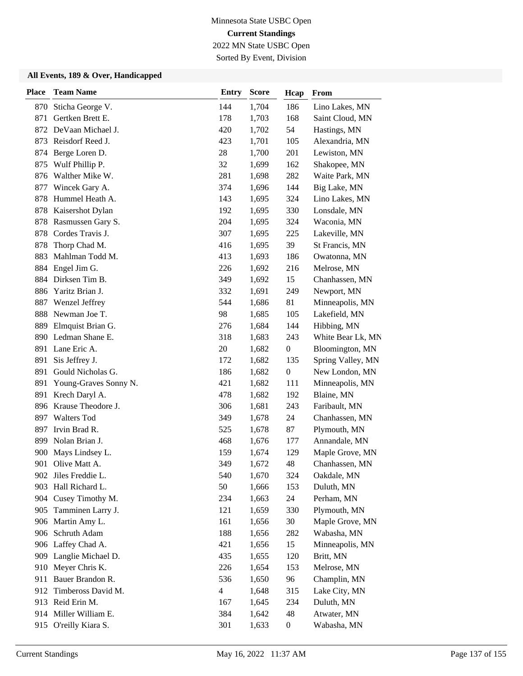Sorted By Event, Division

| <b>Place</b> | <b>Team Name</b>       | <b>Entry</b>   | <b>Score</b> | Hcap             | From              |
|--------------|------------------------|----------------|--------------|------------------|-------------------|
| 870          | Sticha George V.       | 144            | 1,704        | 186              | Lino Lakes, MN    |
| 871          | Gertken Brett E.       | 178            | 1,703        | 168              | Saint Cloud, MN   |
| 872          | DeVaan Michael J.      | 420            | 1,702        | 54               | Hastings, MN      |
| 873          | Reisdorf Reed J.       | 423            | 1,701        | 105              | Alexandria, MN    |
| 874          | Berge Loren D.         | 28             | 1,700        | 201              | Lewiston, MN      |
| 875          | Wulf Phillip P.        | 32             | 1,699        | 162              | Shakopee, MN      |
| 876          | Walther Mike W.        | 281            | 1,698        | 282              | Waite Park, MN    |
| 877          | Wincek Gary A.         | 374            | 1,696        | 144              | Big Lake, MN      |
| 878          | Hummel Heath A.        | 143            | 1,695        | 324              | Lino Lakes, MN    |
| 878          | Kaisershot Dylan       | 192            | 1,695        | 330              | Lonsdale, MN      |
| 878          | Rasmussen Gary S.      | 204            | 1,695        | 324              | Waconia, MN       |
| 878          | Cordes Travis J.       | 307            | 1,695        | 225              | Lakeville, MN     |
| 878          | Thorp Chad M.          | 416            | 1,695        | 39               | St Francis, MN    |
| 883          | Mahlman Todd M.        | 413            | 1,693        | 186              | Owatonna, MN      |
| 884          | Engel Jim G.           | 226            | 1,692        | 216              | Melrose, MN       |
| 884          | Dirksen Tim B.         | 349            | 1,692        | 15               | Chanhassen, MN    |
| 886          | Yaritz Brian J.        | 332            | 1,691        | 249              | Newport, MN       |
| 887          | Wenzel Jeffrey         | 544            | 1,686        | 81               | Minneapolis, MN   |
| 888          | Newman Joe T.          | 98             | 1,685        | 105              | Lakefield, MN     |
| 889          | Elmquist Brian G.      | 276            | 1,684        | 144              | Hibbing, MN       |
|              | 890 Ledman Shane E.    | 318            | 1,683        | 243              | White Bear Lk, MN |
| 891          | Lane Eric A.           | 20             | 1,682        | $\boldsymbol{0}$ | Bloomington, MN   |
| 891          | Sis Jeffrey J.         | 172            | 1,682        | 135              | Spring Valley, MN |
| 891          | Gould Nicholas G.      | 186            | 1,682        | $\boldsymbol{0}$ | New London, MN    |
| 891          | Young-Graves Sonny N.  | 421            | 1,682        | 111              | Minneapolis, MN   |
| 891          | Krech Daryl A.         | 478            | 1,682        | 192              | Blaine, MN        |
| 896          | Krause Theodore J.     | 306            | 1,681        | 243              | Faribault, MN     |
| 897          | <b>Walters Tod</b>     | 349            | 1,678        | 24               | Chanhassen, MN    |
| 897          | Irvin Brad R.          | 525            | 1,678        | 87               | Plymouth, MN      |
| 899          | Nolan Brian J.         | 468            | 1,676        | 177              | Annandale, MN     |
| 900          | Mays Lindsey L.        | 159            | 1,674        | 129              | Maple Grove, MN   |
| 901          | Olive Matt A.          | 349            | 1,672        | 48               | Chanhassen, MN    |
|              | 902 Jiles Freddie L.   | 540            | 1,670        | 324              | Oakdale, MN       |
| 903          | Hall Richard L.        | 50             | 1,666        | 153              | Duluth, MN        |
| 904          | Cusey Timothy M.       | 234            | 1,663        | 24               | Perham, MN        |
|              | 905 Tamminen Larry J.  | 121            | 1,659        | 330              | Plymouth, MN      |
|              | 906 Martin Amy L.      | 161            | 1,656        | 30               | Maple Grove, MN   |
| 906          | Schruth Adam           | 188            | 1,656        | 282              | Wabasha, MN       |
|              | 906 Laffey Chad A.     | 421            | 1,656        | 15               | Minneapolis, MN   |
|              | 909 Langlie Michael D. | 435            | 1,655        | 120              | Britt, MN         |
|              | 910 Meyer Chris K.     | 226            | 1,654        | 153              | Melrose, MN       |
| 911          | Bauer Brandon R.       | 536            | 1,650        | 96               | Champlin, MN      |
| 912          | Timbeross David M.     | $\overline{4}$ | 1,648        | 315              | Lake City, MN     |
|              | 913 Reid Erin M.       | 167            | 1,645        | 234              | Duluth, MN        |
|              | 914 Miller William E.  | 384            | 1,642        | 48               | Atwater, MN       |
| 915          | O'reilly Kiara S.      | 301            | 1,633        | $\boldsymbol{0}$ | Wabasha, MN       |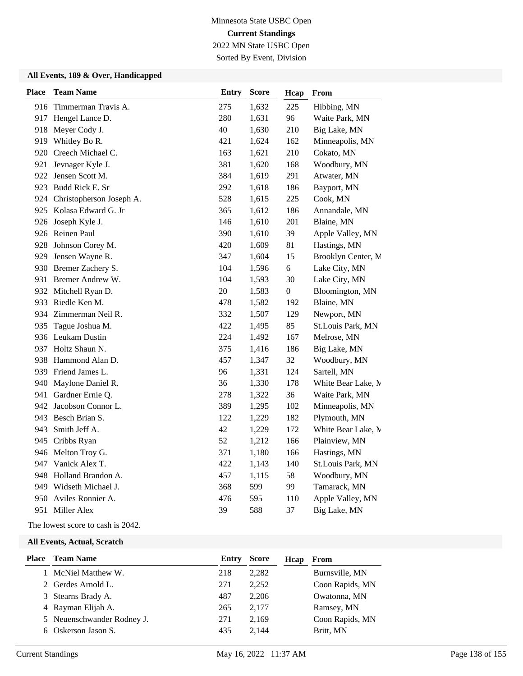2022 MN State USBC Open Sorted By Event, Division

#### **All Events, 189 & Over, Handicapped**

| <b>Team Name</b>             | <b>Entry</b> | Score | Hcap             | From               |
|------------------------------|--------------|-------|------------------|--------------------|
| Timmerman Travis A.          | 275          | 1,632 | 225              | Hibbing, MN        |
| Hengel Lance D.              | 280          | 1,631 | 96               | Waite Park, MN     |
| Meyer Cody J.                | 40           | 1,630 | 210              | Big Lake, MN       |
| Whitley Bo R.                | 421          | 1,624 | 162              | Minneapolis, MN    |
| Creech Michael C.            | 163          | 1,621 | 210              | Cokato, MN         |
| Jevnager Kyle J.             | 381          | 1,620 | 168              | Woodbury, MN       |
| 922 Jensen Scott M.          | 384          | 1,619 | 291              | Atwater, MN        |
| 923 Budd Rick E. Sr          | 292          | 1,618 | 186              | Bayport, MN        |
| 924 Christopherson Joseph A. | 528          | 1,615 | 225              | Cook, MN           |
| 925 Kolasa Edward G. Jr      | 365          | 1,612 | 186              | Annandale, MN      |
| Joseph Kyle J.               | 146          | 1,610 | 201              | Blaine, MN         |
| 926 Reinen Paul              | 390          | 1,610 | 39               | Apple Valley, MN   |
| Johnson Corey M.             | 420          | 1,609 | 81               | Hastings, MN       |
| Jensen Wayne R.              | 347          | 1,604 | 15               | Brooklyn Center, M |
| 930 Bremer Zachery S.        | 104          | 1,596 | 6                | Lake City, MN      |
| 931 Bremer Andrew W.         | 104          | 1,593 | 30               | Lake City, MN      |
| 932 Mitchell Ryan D.         | 20           | 1,583 | $\boldsymbol{0}$ | Bloomington, MN    |
| 933 Riedle Ken M.            | 478          | 1,582 | 192              | Blaine, MN         |
| 934 Zimmerman Neil R.        | 332          | 1,507 | 129              | Newport, MN        |
| Tague Joshua M.              | 422          | 1,495 | 85               | St.Louis Park, MN  |
| 936 Leukam Dustin            | 224          | 1,492 | 167              | Melrose, MN        |
| 937 Holtz Shaun N.           | 375          | 1,416 | 186              | Big Lake, MN       |
| Hammond Alan D.              | 457          | 1,347 | 32               | Woodbury, MN       |
| 939 Friend James L.          | 96           | 1,331 | 124              | Sartell, MN        |
| Maylone Daniel R.            | 36           | 1,330 | 178              | White Bear Lake, M |
| Gardner Ernie Q.             | 278          | 1,322 | 36               | Waite Park, MN     |
| 942 Jacobson Connor L.       | 389          | 1,295 | 102              | Minneapolis, MN    |
| 943 Besch Brian S.           | 122          | 1,229 | 182              | Plymouth, MN       |
| 943 Smith Jeff A.            | 42           | 1,229 | 172              | White Bear Lake, N |
| 945 Cribbs Ryan              | 52           | 1,212 | 166              | Plainview, MN      |
| 946 Melton Troy G.           | 371          | 1,180 | 166              | Hastings, MN       |
| 947 Vanick Alex T.           | 422          | 1,143 | 140              | St.Louis Park, MN  |
| 948 Holland Brandon A.       | 457          | 1,115 | 58               | Woodbury, MN       |
| 949 Widseth Michael J.       | 368          | 599   | 99               | Tamarack, MN       |
| Aviles Ronnier A.            | 476          | 595   | 110              | Apple Valley, MN   |
| 951 Miller Alex              | 39           | 588   | 37               | Big Lake, MN       |
|                              |              |       |                  |                    |

The lowest score to cash is 2042.

| Place Team Name            | Entry | <b>Score</b> | Hcap | From            |
|----------------------------|-------|--------------|------|-----------------|
| 1 McNiel Matthew W.        | 218   | 2,282        |      | Burnsville, MN  |
| 2 Gerdes Arnold L.         | 271   | 2,252        |      | Coon Rapids, MN |
| 3 Stearns Brady A.         | 487   | 2,206        |      | Owatonna, MN    |
| 4 Rayman Elijah A.         | 265   | 2.177        |      | Ramsey, MN      |
| 5 Neuenschwander Rodney J. | 271   | 2.169        |      | Coon Rapids, MN |
| 6 Oskerson Jason S.        | 435   | 2.144        |      | Britt, MN       |
|                            |       |              |      |                 |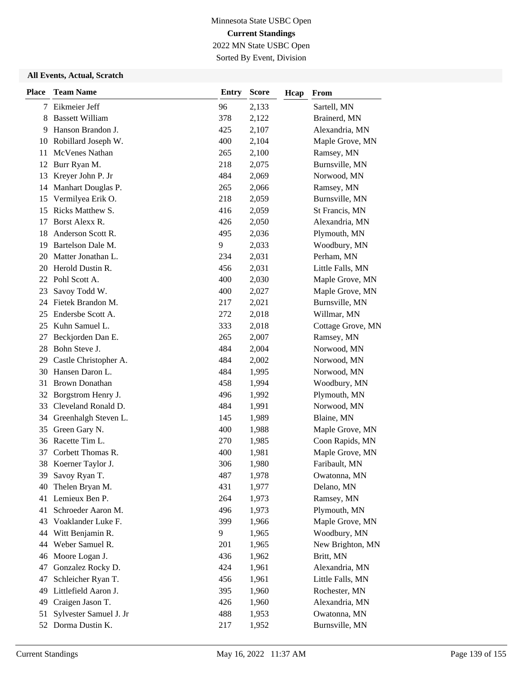Sorted By Event, Division

| <b>Place</b> | <b>Team Name</b>        | <b>Entry</b> | <b>Score</b> | Hcap | From              |
|--------------|-------------------------|--------------|--------------|------|-------------------|
| 7            | Eikmeier Jeff           | 96           | 2,133        |      | Sartell, MN       |
| 8            | <b>Bassett William</b>  | 378          | 2,122        |      | Brainerd, MN      |
| 9            | Hanson Brandon J.       | 425          | 2,107        |      | Alexandria, MN    |
| 10           | Robillard Joseph W.     | 400          | 2,104        |      | Maple Grove, MN   |
| 11           | McVenes Nathan          | 265          | 2,100        |      | Ramsey, MN        |
| 12           | Burr Ryan M.            | 218          | 2,075        |      | Burnsville, MN    |
| 13           | Kreyer John P. Jr       | 484          | 2,069        |      | Norwood, MN       |
| 14           | Manhart Douglas P.      | 265          | 2,066        |      | Ramsey, MN        |
| 15           | Vermilyea Erik O.       | 218          | 2,059        |      | Burnsville, MN    |
| 15           | <b>Ricks Matthew S.</b> | 416          | 2,059        |      | St Francis, MN    |
| 17           | Borst Alexx R.          | 426          | 2,050        |      | Alexandria, MN    |
| 18           | Anderson Scott R.       | 495          | 2,036        |      | Plymouth, MN      |
| 19           | Bartelson Dale M.       | 9            | 2,033        |      | Woodbury, MN      |
| 20           | Matter Jonathan L.      | 234          | 2,031        |      | Perham, MN        |
| 20           | Herold Dustin R.        | 456          | 2,031        |      | Little Falls, MN  |
| 22           | Pohl Scott A.           | 400          | 2,030        |      | Maple Grove, MN   |
| 23           | Savoy Todd W.           | 400          | 2,027        |      | Maple Grove, MN   |
| 24           | Fietek Brandon M.       | 217          | 2,021        |      | Burnsville, MN    |
| 25           | Endersbe Scott A.       | 272          | 2,018        |      | Willmar, MN       |
| 25           | Kuhn Samuel L.          | 333          | 2,018        |      | Cottage Grove, MN |
| 27           | Beckjorden Dan E.       | 265          | 2,007        |      | Ramsey, MN        |
| 28           | Bohn Steve J.           | 484          | 2,004        |      | Norwood, MN       |
| 29           | Castle Christopher A.   | 484          | 2,002        |      | Norwood, MN       |
| 30           | Hansen Daron L.         | 484          | 1,995        |      | Norwood, MN       |
| 31           | <b>Brown Donathan</b>   | 458          | 1,994        |      | Woodbury, MN      |
| 32           | Borgstrom Henry J.      | 496          | 1,992        |      | Plymouth, MN      |
| 33           | Cleveland Ronald D.     | 484          | 1,991        |      | Norwood, MN       |
| 34           | Greenhalgh Steven L.    | 145          | 1,989        |      | Blaine, MN        |
| 35           | Green Gary N.           | 400          | 1,988        |      | Maple Grove, MN   |
| 36           | Racette Tim L.          | 270          | 1,985        |      | Coon Rapids, MN   |
| 37           | Corbett Thomas R.       | 400          | 1,981        |      | Maple Grove, MN   |
| 38           | Koerner Taylor J.       | 306          | 1,980        |      | Faribault, MN     |
| 39           | Savoy Ryan T.           | 487          | 1,978        |      | Owatonna, MN      |
| 40           | Thelen Bryan M.         | 431          | 1,977        |      | Delano, MN        |
| 41           | Lemieux Ben P.          | 264          | 1,973        |      | Ramsey, MN        |
| 41           | Schroeder Aaron M.      | 496          | 1,973        |      | Plymouth, MN      |
| 43           | Voaklander Luke F.      | 399          | 1,966        |      | Maple Grove, MN   |
| 44           | Witt Benjamin R.        | 9            | 1,965        |      | Woodbury, MN      |
| 44           | Weber Samuel R.         | 201          | 1,965        |      | New Brighton, MN  |
| 46           | Moore Logan J.          | 436          | 1,962        |      | Britt, MN         |
| 47           | Gonzalez Rocky D.       | 424          | 1,961        |      | Alexandria, MN    |
| 47           | Schleicher Ryan T.      | 456          | 1,961        |      | Little Falls, MN  |
| 49           | Littlefield Aaron J.    | 395          | 1,960        |      | Rochester, MN     |
| 49           | Craigen Jason T.        | 426          | 1,960        |      | Alexandria, MN    |
| 51           | Sylvester Samuel J. Jr  | 488          | 1,953        |      | Owatonna, MN      |
| 52           | Dorma Dustin K.         | 217          | 1,952        |      | Burnsville, MN    |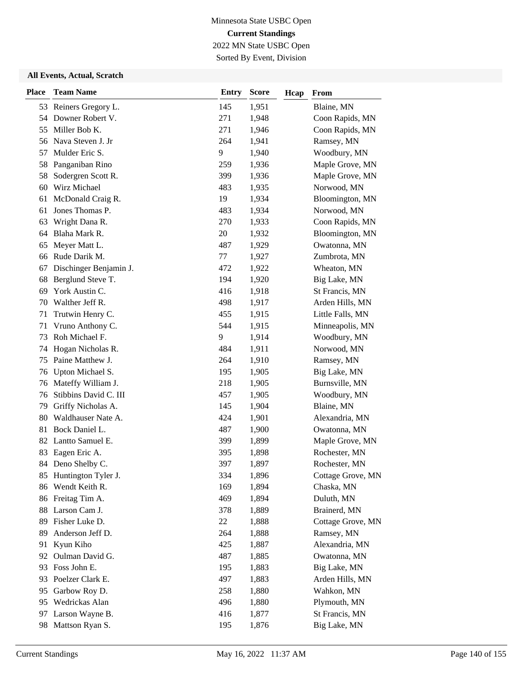Sorted By Event, Division

| <b>Place</b> | <b>Team Name</b>       | <b>Entry</b> | <b>Score</b> | Hcap | From              |
|--------------|------------------------|--------------|--------------|------|-------------------|
|              | 53 Reiners Gregory L.  | 145          | 1,951        |      | Blaine, MN        |
| 54           | Downer Robert V.       | 271          | 1,948        |      | Coon Rapids, MN   |
| 55           | Miller Bob K.          | 271          | 1,946        |      | Coon Rapids, MN   |
| 56           | Nava Steven J. Jr      | 264          | 1,941        |      | Ramsey, MN        |
| 57           | Mulder Eric S.         | 9            | 1,940        |      | Woodbury, MN      |
| 58           | Panganiban Rino        | 259          | 1,936        |      | Maple Grove, MN   |
| 58           | Sodergren Scott R.     | 399          | 1,936        |      | Maple Grove, MN   |
| 60           | Wirz Michael           | 483          | 1,935        |      | Norwood, MN       |
| 61           | McDonald Craig R.      | 19           | 1,934        |      | Bloomington, MN   |
| 61           | Jones Thomas P.        | 483          | 1,934        |      | Norwood, MN       |
| 63           | Wright Dana R.         | 270          | 1,933        |      | Coon Rapids, MN   |
| 64           | Blaha Mark R.          | 20           | 1,932        |      | Bloomington, MN   |
| 65           | Meyer Matt L.          | 487          | 1,929        |      | Owatonna, MN      |
| 66           | Rude Darik M.          | 77           | 1,927        |      | Zumbrota, MN      |
| 67           | Dischinger Benjamin J. | 472          | 1,922        |      | Wheaton, MN       |
| 68           | Berglund Steve T.      | 194          | 1,920        |      | Big Lake, MN      |
| 69           | York Austin C.         | 416          | 1,918        |      | St Francis, MN    |
| 70           | Walther Jeff R.        | 498          | 1,917        |      | Arden Hills, MN   |
| 71           | Trutwin Henry C.       | 455          | 1,915        |      | Little Falls, MN  |
| 71           | Vruno Anthony C.       | 544          | 1,915        |      | Minneapolis, MN   |
| 73           | Roh Michael F.         | 9            | 1,914        |      | Woodbury, MN      |
| 74           | Hogan Nicholas R.      | 484          | 1,911        |      | Norwood, MN       |
| 75           | Paine Matthew J.       | 264          | 1,910        |      | Ramsey, MN        |
| 76           | Upton Michael S.       | 195          | 1,905        |      | Big Lake, MN      |
| 76           | Mateffy William J.     | 218          | 1,905        |      | Burnsville, MN    |
| 76           | Stibbins David C. III  | 457          | 1,905        |      | Woodbury, MN      |
| 79           | Griffy Nicholas A.     | 145          | 1,904        |      | Blaine, MN        |
| 80           | Waldhauser Nate A.     | 424          | 1,901        |      | Alexandria, MN    |
| 81           | Bock Daniel L.         | 487          | 1,900        |      | Owatonna, MN      |
| 82           | Lantto Samuel E.       | 399          | 1,899        |      | Maple Grove, MN   |
| 83           | Eagen Eric A.          | 395          | 1,898        |      | Rochester, MN     |
| 84           | Deno Shelby C.         | 397          | 1,897        |      | Rochester, MN     |
|              | 85 Huntington Tyler J. | 334          | 1,896        |      | Cottage Grove, MN |
| 86           | Wendt Keith R.         | 169          | 1,894        |      | Chaska, MN        |
| 86           | Freitag Tim A.         | 469          | 1,894        |      | Duluth, MN        |
| 88           | Larson Cam J.          | 378          | 1,889        |      | Brainerd, MN      |
| 89           | Fisher Luke D.         | 22           | 1,888        |      | Cottage Grove, MN |
| 89           | Anderson Jeff D.       | 264          | 1,888        |      | Ramsey, MN        |
| 91           | Kyun Kiho              | 425          | 1,887        |      | Alexandria, MN    |
| 92           | Oulman David G.        | 487          | 1,885        |      | Owatonna, MN      |
| 93           | Foss John E.           | 195          | 1,883        |      | Big Lake, MN      |
| 93           | Poelzer Clark E.       | 497          | 1,883        |      | Arden Hills, MN   |
| 95           | Garbow Roy D.          | 258          | 1,880        |      | Wahkon, MN        |
| 95           | Wedrickas Alan         | 496          | 1,880        |      | Plymouth, MN      |
| 97           | Larson Wayne B.        | 416          | 1,877        |      | St Francis, MN    |
| 98           | Mattson Ryan S.        | 195          | 1,876        |      | Big Lake, MN      |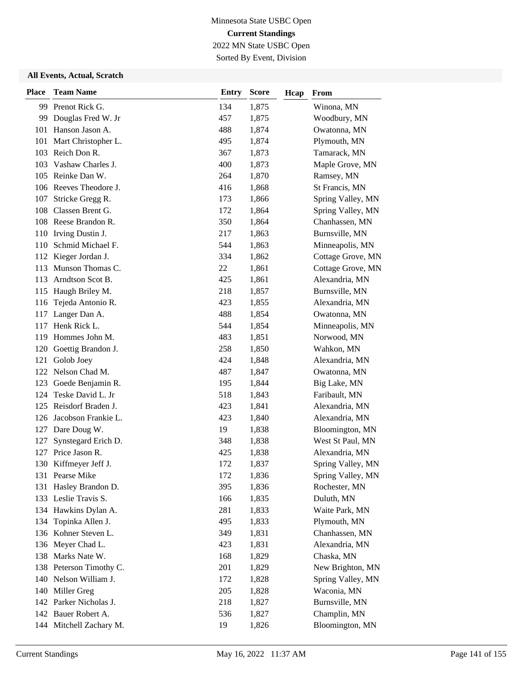Sorted By Event, Division

| <b>Place</b> | <b>Team Name</b>        | <b>Entry</b> | <b>Score</b> | Hcap | From              |
|--------------|-------------------------|--------------|--------------|------|-------------------|
|              | 99 Prenot Rick G.       | 134          | 1,875        |      | Winona, MN        |
| 99           | Douglas Fred W. Jr      | 457          | 1,875        |      | Woodbury, MN      |
| 101          | Hanson Jason A.         | 488          | 1,874        |      | Owatonna, MN      |
| 101          | Mart Christopher L.     | 495          | 1,874        |      | Plymouth, MN      |
| 103          | Reich Don R.            | 367          | 1,873        |      | Tamarack, MN      |
| 103          | Vashaw Charles J.       | 400          | 1,873        |      | Maple Grove, MN   |
| 105          | Reinke Dan W.           | 264          | 1,870        |      | Ramsey, MN        |
|              | 106 Reeves Theodore J.  | 416          | 1,868        |      | St Francis, MN    |
| 107          | Stricke Gregg R.        | 173          | 1,866        |      | Spring Valley, MN |
| 108          | Classen Brent G.        | 172          | 1,864        |      | Spring Valley, MN |
|              | 108 Reese Brandon R.    | 350          | 1,864        |      | Chanhassen, MN    |
| 110          | Irving Dustin J.        | 217          | 1,863        |      | Burnsville, MN    |
| 110          | Schmid Michael F.       | 544          | 1,863        |      | Minneapolis, MN   |
| 112          | Kieger Jordan J.        | 334          | 1,862        |      | Cottage Grove, MN |
| 113          | Munson Thomas C.        | 22           | 1,861        |      | Cottage Grove, MN |
| 113          | Arndtson Scot B.        | 425          | 1,861        |      | Alexandria, MN    |
| 115          | Haugh Briley M.         | 218          | 1,857        |      | Burnsville, MN    |
| 116          | Tejeda Antonio R.       | 423          | 1,855        |      | Alexandria, MN    |
| 117          | Langer Dan A.           | 488          | 1,854        |      | Owatonna, MN      |
| 117          | Henk Rick L.            | 544          | 1,854        |      | Minneapolis, MN   |
| 119          | Hommes John M.          | 483          | 1,851        |      | Norwood, MN       |
| 120          | Goettig Brandon J.      | 258          | 1,850        |      | Wahkon, MN        |
| 121          | Golob Joey              | 424          | 1,848        |      | Alexandria, MN    |
|              | 122 Nelson Chad M.      | 487          | 1,847        |      | Owatonna, MN      |
| 123          | Goede Benjamin R.       | 195          | 1,844        |      | Big Lake, MN      |
| 124          | Teske David L. Jr       | 518          | 1,843        |      | Faribault, MN     |
| 125          | Reisdorf Braden J.      | 423          | 1,841        |      | Alexandria, MN    |
| 126          | Jacobson Frankie L.     | 423          | 1,840        |      | Alexandria, MN    |
| 127          | Dare Doug W.            | 19           | 1,838        |      | Bloomington, MN   |
| 127          | Synstegard Erich D.     | 348          | 1,838        |      | West St Paul, MN  |
| 127          | Price Jason R.          | 425          | 1,838        |      | Alexandria, MN    |
|              | 130 Kiffmeyer Jeff J.   | 172          | 1,837        |      | Spring Valley, MN |
|              | 131 Pearse Mike         | 172          | 1,836        |      | Spring Valley, MN |
| 131          | Hasley Brandon D.       | 395          | 1,836        |      | Rochester, MN     |
|              | 133 Leslie Travis S.    | 166          | 1,835        |      | Duluth, MN        |
|              | 134 Hawkins Dylan A.    | 281          | 1,833        |      | Waite Park, MN    |
| 134          | Topinka Allen J.        | 495          | 1,833        |      | Plymouth, MN      |
|              | 136 Kohner Steven L.    | 349          | 1,831        |      | Chanhassen, MN    |
|              | 136 Meyer Chad L.       | 423          | 1,831        |      | Alexandria, MN    |
|              | 138 Marks Nate W.       | 168          | 1,829        |      | Chaska, MN        |
|              | 138 Peterson Timothy C. | 201          | 1,829        |      | New Brighton, MN  |
|              | 140 Nelson William J.   | 172          | 1,828        |      | Spring Valley, MN |
| 140          | Miller Greg             | 205          | 1,828        |      | Waconia, MN       |
|              | 142 Parker Nicholas J.  | 218          | 1,827        |      | Burnsville, MN    |
|              | 142 Bauer Robert A.     | 536          | 1,827        |      | Champlin, MN      |
|              | 144 Mitchell Zachary M. | 19           | 1,826        |      | Bloomington, MN   |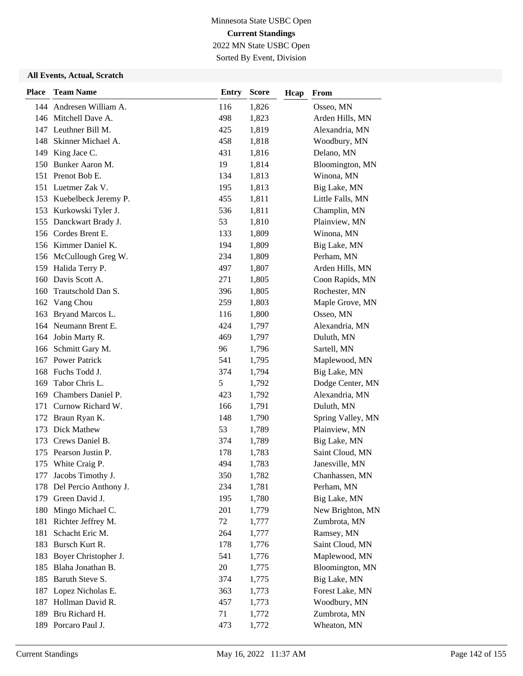Sorted By Event, Division

| <b>Place</b> | <b>Team Name</b>         | <b>Entry</b> | <b>Score</b> | Hcap | From              |
|--------------|--------------------------|--------------|--------------|------|-------------------|
|              | 144 Andresen William A.  | 116          | 1,826        |      | Osseo, MN         |
|              | 146 Mitchell Dave A.     | 498          | 1,823        |      | Arden Hills, MN   |
|              | 147 Leuthner Bill M.     | 425          | 1,819        |      | Alexandria, MN    |
|              | 148 Skinner Michael A.   | 458          | 1,818        |      | Woodbury, MN      |
|              | 149 King Jace C.         | 431          | 1,816        |      | Delano, MN        |
| 150          | Bunker Aaron M.          | 19           | 1,814        |      | Bloomington, MN   |
|              | 151 Prenot Bob E.        | 134          | 1,813        |      | Winona, MN        |
|              | 151 Luetmer Zak V.       | 195          | 1,813        |      | Big Lake, MN      |
|              | 153 Kuebelbeck Jeremy P. | 455          | 1,811        |      | Little Falls, MN  |
| 153          | Kurkowski Tyler J.       | 536          | 1,811        |      | Champlin, MN      |
| 155          | Danckwart Brady J.       | 53           | 1,810        |      | Plainview, MN     |
|              | 156 Cordes Brent E.      | 133          | 1,809        |      | Winona, MN        |
|              | 156 Kimmer Daniel K.     | 194          | 1,809        |      | Big Lake, MN      |
|              | 156 McCullough Greg W.   | 234          | 1,809        |      | Perham, MN        |
|              | 159 Halida Terry P.      | 497          | 1,807        |      | Arden Hills, MN   |
| 160          | Davis Scott A.           | 271          | 1,805        |      | Coon Rapids, MN   |
| 160          | Trautschold Dan S.       | 396          | 1,805        |      | Rochester, MN     |
| 162          | Vang Chou                | 259          | 1,803        |      | Maple Grove, MN   |
| 163          | Bryand Marcos L.         | 116          | 1,800        |      | Osseo, MN         |
| 164          | Neumann Brent E.         | 424          | 1,797        |      | Alexandria, MN    |
| 164          | Jobin Marty R.           | 469          | 1,797        |      | Duluth, MN        |
| 166          | Schmitt Gary M.          | 96           | 1,796        |      | Sartell, MN       |
| 167          | <b>Power Patrick</b>     | 541          | 1,795        |      | Maplewood, MN     |
| 168          | Fuchs Todd J.            | 374          | 1,794        |      | Big Lake, MN      |
| 169          | Tabor Chris L.           | 5            | 1,792        |      | Dodge Center, MN  |
| 169          | Chambers Daniel P.       | 423          | 1,792        |      | Alexandria, MN    |
| 171          | Curnow Richard W.        | 166          | 1,791        |      | Duluth, MN        |
| 172          | Braun Ryan K.            | 148          | 1,790        |      | Spring Valley, MN |
| 173          | Dick Mathew              | 53           | 1,789        |      | Plainview, MN     |
| 173          | Crews Daniel B.          | 374          | 1,789        |      | Big Lake, MN      |
| 175          | Pearson Justin P.        | 178          | 1,783        |      | Saint Cloud, MN   |
|              | 175 White Craig P.       | 494          | 1,783        |      | Janesville, MN    |
| 177          | Jacobs Timothy J.        | 350          | 1,782        |      | Chanhassen, MN    |
| 178          | Del Percio Anthony J.    | 234          | 1,781        |      | Perham, MN        |
| 179          | Green David J.           | 195          | 1,780        |      | Big Lake, MN      |
| 180          | Mingo Michael C.         | 201          | 1,779        |      | New Brighton, MN  |
| 181          | Richter Jeffrey M.       | 72           | 1,777        |      | Zumbrota, MN      |
| 181          | Schacht Eric M.          | 264          | 1,777        |      | Ramsey, MN        |
| 183          | Bursch Kurt R.           | 178          | 1,776        |      | Saint Cloud, MN   |
| 183          | Boyer Christopher J.     | 541          | 1,776        |      | Maplewood, MN     |
| 185          | Blaha Jonathan B.        | 20           | 1,775        |      | Bloomington, MN   |
| 185          | Baruth Steve S.          | 374          | 1,775        |      | Big Lake, MN      |
| 187          | Lopez Nicholas E.        | 363          | 1,773        |      | Forest Lake, MN   |
| 187          | Hollman David R.         | 457          | 1,773        |      | Woodbury, MN      |
| 189          | Bru Richard H.           | 71           | 1,772        |      | Zumbrota, MN      |
|              | 189 Porcaro Paul J.      | 473          | 1,772        |      | Wheaton, MN       |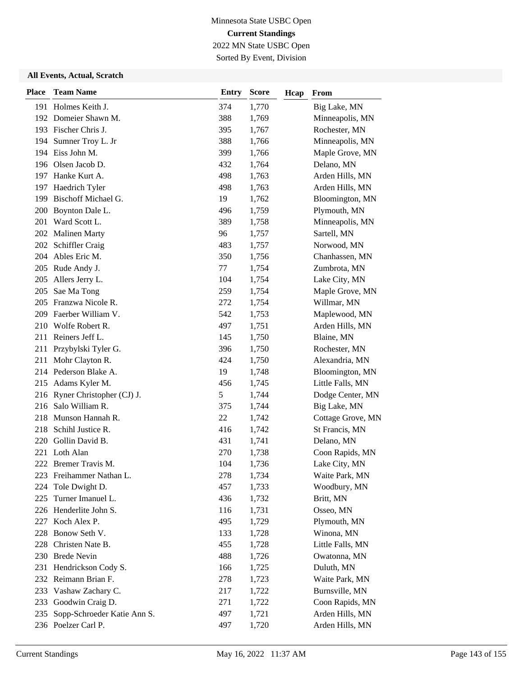Sorted By Event, Division

| <b>Place</b> | <b>Team Name</b>              | <b>Entry</b> | <b>Score</b> | Hcap | From              |
|--------------|-------------------------------|--------------|--------------|------|-------------------|
|              | 191 Holmes Keith J.           | 374          | 1,770        |      | Big Lake, MN      |
|              | 192 Domeier Shawn M.          | 388          | 1,769        |      | Minneapolis, MN   |
|              | 193 Fischer Chris J.          | 395          | 1,767        |      | Rochester, MN     |
| 194          | Sumner Troy L. Jr             | 388          | 1,766        |      | Minneapolis, MN   |
|              | 194 Eiss John M.              | 399          | 1,766        |      | Maple Grove, MN   |
|              | 196 Olsen Jacob D.            | 432          | 1,764        |      | Delano, MN        |
|              | 197 Hanke Kurt A.             | 498          | 1,763        |      | Arden Hills, MN   |
|              | 197 Haedrich Tyler            | 498          | 1,763        |      | Arden Hills, MN   |
| 199          | <b>Bischoff Michael G.</b>    | 19           | 1,762        |      | Bloomington, MN   |
| 200          | Boynton Dale L.               | 496          | 1,759        |      | Plymouth, MN      |
| 201          | Ward Scott L.                 | 389          | 1,758        |      | Minneapolis, MN   |
|              | 202 Malinen Marty             | 96           | 1,757        |      | Sartell, MN       |
| 202          | Schiffler Craig               | 483          | 1,757        |      | Norwood, MN       |
|              | 204 Ables Eric M.             | 350          | 1,756        |      | Chanhassen, MN    |
|              | 205 Rude Andy J.              | 77           | 1,754        |      | Zumbrota, MN      |
|              | 205 Allers Jerry L.           | 104          | 1,754        |      | Lake City, MN     |
| 205          | Sae Ma Tong                   | 259          | 1,754        |      | Maple Grove, MN   |
| 205          | Franzwa Nicole R.             | 272          | 1,754        |      | Willmar, MN       |
| 209          | Faerber William V.            | 542          | 1,753        |      | Maplewood, MN     |
| 210          | Wolfe Robert R.               | 497          | 1,751        |      | Arden Hills, MN   |
|              | 211 Reiners Jeff L.           | 145          | 1,750        |      | Blaine, MN        |
| 211          | Przybylski Tyler G.           | 396          | 1,750        |      | Rochester, MN     |
| 211          | Mohr Clayton R.               | 424          | 1,750        |      | Alexandria, MN    |
|              | 214 Pederson Blake A.         | 19           | 1,748        |      | Bloomington, MN   |
|              | 215 Adams Kyler M.            | 456          | 1,745        |      | Little Falls, MN  |
|              | 216 Ryner Christopher (CJ) J. | 5            | 1,744        |      | Dodge Center, MN  |
| 216          | Salo William R.               | 375          | 1,744        |      | Big Lake, MN      |
| 218          | Munson Hannah R.              | 22           | 1,742        |      | Cottage Grove, MN |
| 218          | Schihl Justice R.             | 416          | 1,742        |      | St Francis, MN    |
| 220          | Gollin David B.               | 431          | 1,741        |      | Delano, MN        |
|              | 221 Loth Alan                 | 270          | 1,738        |      | Coon Rapids, MN   |
|              | 222 Bremer Travis M.          | 104          | 1,736        |      | Lake City, MN     |
|              | 223 Freihammer Nathan L.      | 278          | 1,734        |      | Waite Park, MN    |
| 224          | Tole Dwight D.                | 457          | 1,733        |      | Woodbury, MN      |
| 225          | Turner Imanuel L.             | 436          | 1,732        |      | Britt, MN         |
|              | 226 Henderlite John S.        | 116          | 1,731        |      | Osseo, MN         |
|              | 227 Koch Alex P.              | 495          | 1,729        |      | Plymouth, MN      |
| 228          | Bonow Seth V.                 | 133          | 1,728        |      | Winona, MN        |
| 228          | Christen Nate B.              | 455          | 1,728        |      | Little Falls, MN  |
|              | 230 Brede Nevin               | 488          | 1,726        |      | Owatonna, MN      |
| 231          | Hendrickson Cody S.           | 166          | 1,725        |      | Duluth, MN        |
|              | 232 Reimann Brian F.          | 278          | 1,723        |      | Waite Park, MN    |
| 233          | Vashaw Zachary C.             | 217          | 1,722        |      | Burnsville, MN    |
| 233          | Goodwin Craig D.              | 271          | 1,722        |      | Coon Rapids, MN   |
| 235          | Sopp-Schroeder Katie Ann S.   | 497          | 1,721        |      | Arden Hills, MN   |
|              | 236 Poelzer Carl P.           | 497          | 1,720        |      | Arden Hills, MN   |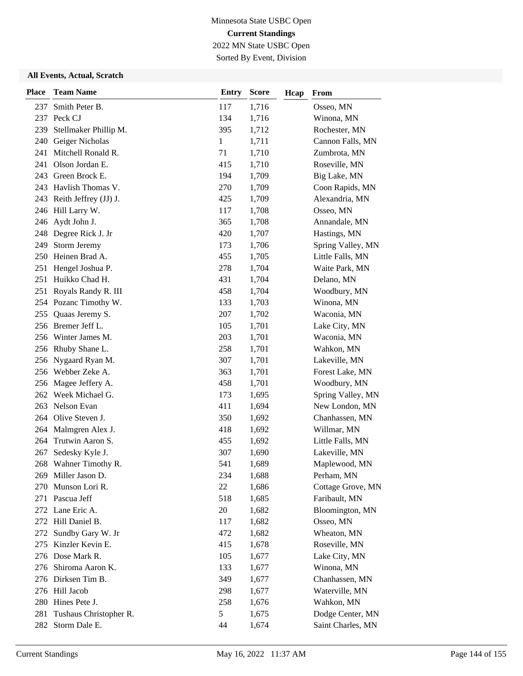Sorted By Event, Division

| <b>Place</b> | <b>Team Name</b>          | <b>Entry</b> | <b>Score</b> | Hcap | From              |
|--------------|---------------------------|--------------|--------------|------|-------------------|
| 237          | Smith Peter B.            | 117          | 1,716        |      | Osseo, MN         |
|              | 237 Peck CJ               | 134          | 1,716        |      | Winona, MN        |
| 239          | Stellmaker Phillip M.     | 395          | 1,712        |      | Rochester, MN     |
| 240          | Geiger Nicholas           | 1            | 1,711        |      | Cannon Falls, MN  |
| 241          | Mitchell Ronald R.        | 71           | 1,710        |      | Zumbrota, MN      |
| 241          | Olson Jordan E.           | 415          | 1,710        |      | Roseville, MN     |
| 243          | Green Brock E.            | 194          | 1,709        |      | Big Lake, MN      |
| 243          | Havlish Thomas V.         | 270          | 1,709        |      | Coon Rapids, MN   |
|              | 243 Reith Jeffrey (JJ) J. | 425          | 1,709        |      | Alexandria, MN    |
|              | 246 Hill Larry W.         | 117          | 1,708        |      | Osseo, MN         |
| 246          | Aydt John J.              | 365          | 1,708        |      | Annandale, MN     |
|              | 248 Degree Rick J. Jr     | 420          | 1,707        |      | Hastings, MN      |
| 249          | Storm Jeremy              | 173          | 1,706        |      | Spring Valley, MN |
| 250          | Heinen Brad A.            | 455          | 1,705        |      | Little Falls, MN  |
| 251          | Hengel Joshua P.          | 278          | 1,704        |      | Waite Park, MN    |
| 251          | Huikko Chad H.            | 431          | 1,704        |      | Delano, MN        |
| 251          | Royals Randy R. III       | 458          | 1,704        |      | Woodbury, MN      |
|              | 254 Pozanc Timothy W.     | 133          | 1,703        |      | Winona, MN        |
| 255          | Quaas Jeremy S.           | 207          | 1,702        |      | Waconia, MN       |
|              | 256 Bremer Jeff L.        | 105          | 1,701        |      | Lake City, MN     |
| 256          | Winter James M.           | 203          | 1,701        |      | Waconia, MN       |
|              | 256 Rhuby Shane L.        | 258          | 1,701        |      | Wahkon, MN        |
| 256          | Nygaard Ryan M.           | 307          | 1,701        |      | Lakeville, MN     |
|              | 256 Webber Zeke A.        | 363          | 1,701        |      | Forest Lake, MN   |
| 256          | Magee Jeffery A.          | 458          | 1,701        |      | Woodbury, MN      |
| 262          | Week Michael G.           | 173          | 1,695        |      | Spring Valley, MN |
| 263          | Nelson Evan               | 411          | 1,694        |      | New London, MN    |
| 264          | Olive Steven J.           | 350          | 1,692        |      | Chanhassen, MN    |
| 264          | Malmgren Alex J.          | 418          | 1,692        |      | Willmar, MN       |
| 264          | Trutwin Aaron S.          | 455          | 1,692        |      | Little Falls, MN  |
| 267          | Sedesky Kyle J.           | 307          | 1,690        |      | Lakeville, MN     |
|              | 268 Wahner Timothy R.     | 541          | 1,689        |      | Maplewood, MN     |
|              | 269 Miller Jason D.       | 234          | 1,688        |      | Perham, MN        |
| 270          | Munson Lori R.            | 22           | 1,686        |      | Cottage Grove, MN |
| 271          | Pascua Jeff               | 518          | 1,685        |      | Faribault, MN     |
|              | 272 Lane Eric A.          | 20           | 1,682        |      | Bloomington, MN   |
|              | 272 Hill Daniel B.        | 117          | 1,682        |      | Osseo, MN         |
| 272          | Sundby Gary W. Jr         | 472          | 1,682        |      | Wheaton, MN       |
| 275          | Kinzler Kevin E.          | 415          | 1,678        |      | Roseville, MN     |
|              | 276 Dose Mark R.          | 105          | 1,677        |      | Lake City, MN     |
|              | 276 Shiroma Aaron K.      | 133          | 1,677        |      | Winona, MN        |
|              | 276 Dirksen Tim B.        | 349          | 1,677        |      | Chanhassen, MN    |
|              | 276 Hill Jacob            | 298          | 1,677        |      | Waterville, MN    |
| 280          | Hines Pete J.             | 258          | 1,676        |      | Wahkon, MN        |
| 281          | Tushaus Christopher R.    | 5            | 1,675        |      | Dodge Center, MN  |
|              | 282 Storm Dale E.         | 44           | 1,674        |      | Saint Charles, MN |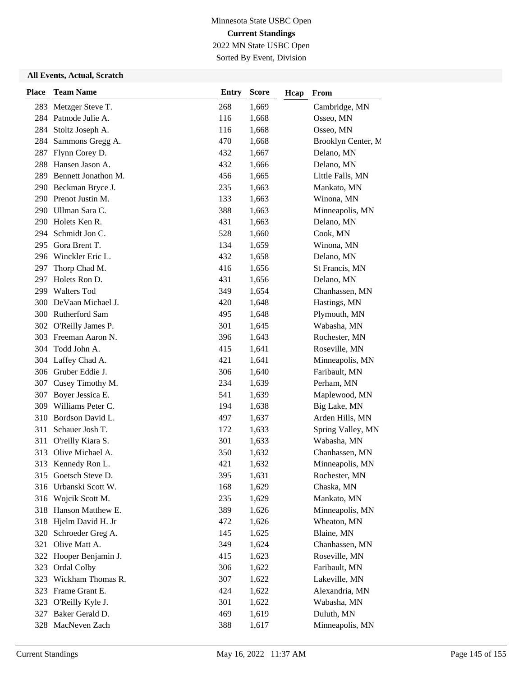## Minnesota State USBC Open **Current Standings** 2022 MN State USBC Open

Sorted By Event, Division

#### **All Events, Actual, Scratch**

| <b>Place</b> | <b>Team Name</b>      | <b>Entry</b> | <b>Score</b> | Hcap | From               |
|--------------|-----------------------|--------------|--------------|------|--------------------|
| 283          | Metzger Steve T.      | 268          | 1,669        |      | Cambridge, MN      |
| 284          | Patnode Julie A.      | 116          | 1,668        |      | Osseo, MN          |
| 284          | Stoltz Joseph A.      | 116          | 1,668        |      | Osseo, MN          |
| 284          | Sammons Gregg A.      | 470          | 1,668        |      | Brooklyn Center, M |
| 287          | Flynn Corey D.        | 432          | 1,667        |      | Delano, MN         |
| 288          | Hansen Jason A.       | 432          | 1,666        |      | Delano, MN         |
| 289          | Bennett Jonathon M.   | 456          | 1,665        |      | Little Falls, MN   |
| 290          | Beckman Bryce J.      | 235          | 1,663        |      | Mankato, MN        |
|              | 290 Prenot Justin M.  | 133          | 1,663        |      | Winona, MN         |
| 290          | Ullman Sara C.        | 388          | 1,663        |      | Minneapolis, MN    |
| 290          | Holets Ken R.         | 431          | 1,663        |      | Delano, MN         |
| 294          | Schmidt Jon C.        | 528          | 1,660        |      | Cook, MN           |
| 295          | Gora Brent T.         | 134          | 1,659        |      | Winona, MN         |
| 296          | Winckler Eric L.      | 432          | 1,658        |      | Delano, MN         |
| 297          | Thorp Chad M.         | 416          | 1,656        |      | St Francis, MN     |
| 297          | Holets Ron D.         | 431          | 1,656        |      | Delano, MN         |
| 299          | <b>Walters Tod</b>    | 349          | 1,654        |      | Chanhassen, MN     |
| 300          | De Vaan Michael J.    | 420          | 1,648        |      | Hastings, MN       |
| 300          | Rutherford Sam        | 495          | 1,648        |      | Plymouth, MN       |
|              | 302 O'Reilly James P. | 301          | 1,645        |      | Wabasha, MN        |
| 303          | Freeman Aaron N.      | 396          | 1,643        |      | Rochester, MN      |
| 304          | Todd John A.          | 415          | 1,641        |      | Roseville, MN      |
| 304          | Laffey Chad A.        | 421          | 1,641        |      | Minneapolis, MN    |
|              | 306 Gruber Eddie J.   | 306          | 1,640        |      | Faribault, MN      |
| 307          | Cusey Timothy M.      | 234          | 1,639        |      | Perham, MN         |
| 307          | Boyer Jessica E.      | 541          | 1,639        |      | Maplewood, MN      |
| 309          | Williams Peter C.     | 194          | 1,638        |      | Big Lake, MN       |
| 310          | Bordson David L.      | 497          | 1,637        |      | Arden Hills, MN    |
| 311          | Schauer Josh T.       | 172          | 1,633        |      | Spring Valley, MN  |
| 311          | O'reilly Kiara S.     | 301          | 1,633        |      | Wabasha, MN        |
| 313          | Olive Michael A.      | 350          | 1,632        |      | Chanhassen, MN     |
|              | 313 Kennedy Ron L.    | 421          | 1,632        |      | Minneapolis, MN    |
|              | 315 Goetsch Steve D.  | 395          | 1,631        |      | Rochester, MN      |
| 316          | Urbanski Scott W.     | 168          | 1,629        |      | Chaska, MN         |
| 316          | Wojcik Scott M.       | 235          | 1,629        |      | Mankato, MN        |
| 318          | Hanson Matthew E.     | 389          | 1,626        |      | Minneapolis, MN    |
|              | 318 Hjelm David H. Jr | 472          | 1,626        |      | Wheaton, MN        |
| 320          | Schroeder Greg A.     | 145          | 1,625        |      | Blaine, MN         |
| 321          | Olive Matt A.         | 349          | 1,624        |      | Chanhassen, MN     |
| 322          | Hooper Benjamin J.    | 415          | 1,623        |      | Roseville, MN      |
| 323          | Ordal Colby           | 306          | 1,622        |      | Faribault, MN      |
| 323          | Wickham Thomas R.     | 307          | 1,622        |      | Lakeville, MN      |
| 323          | Frame Grant E.        | 424          | 1,622        |      | Alexandria, MN     |
|              | 323 O'Reilly Kyle J.  | 301          | 1,622        |      | Wabasha, MN        |
| 327          | Baker Gerald D.       | 469          | 1,619        |      | Duluth, MN         |
| 328          | MacNeven Zach         | 388          | 1,617        |      | Minneapolis, MN    |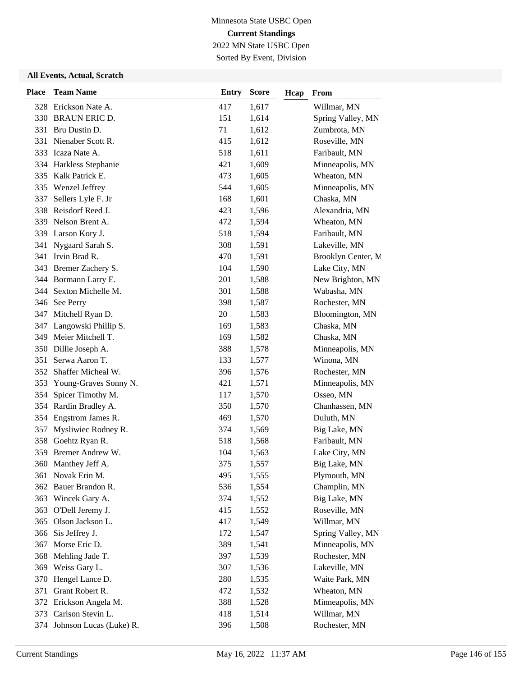## Minnesota State USBC Open **Current Standings** 2022 MN State USBC Open

Sorted By Event, Division

#### **All Events, Actual, Scratch**

| <b>Place</b> | <b>Team Name</b>         | <b>Entry</b> | <b>Score</b> | Hcap | From               |
|--------------|--------------------------|--------------|--------------|------|--------------------|
|              | 328 Erickson Nate A.     | 417          | 1,617        |      | Willmar, MN        |
|              | 330 BRAUN ERIC D.        | 151          | 1,614        |      | Spring Valley, MN  |
| 331          | Bru Dustin D.            | 71           | 1,612        |      | Zumbrota, MN       |
| 331          | Nienaber Scott R.        | 415          | 1,612        |      | Roseville, MN      |
| 333          | Icaza Nate A.            | 518          | 1,611        |      | Faribault, MN      |
| 334          | Harkless Stephanie       | 421          | 1,609        |      | Minneapolis, MN    |
| 335          | Kalk Patrick E.          | 473          | 1,605        |      | Wheaton, MN        |
| 335          | Wenzel Jeffrey           | 544          | 1,605        |      | Minneapolis, MN    |
| 337          | Sellers Lyle F. Jr       | 168          | 1,601        |      | Chaska, MN         |
| 338          | Reisdorf Reed J.         | 423          | 1,596        |      | Alexandria, MN     |
| 339          | Nelson Brent A.          | 472          | 1,594        |      | Wheaton, MN        |
| 339          | Larson Kory J.           | 518          | 1,594        |      | Faribault, MN      |
| 341          | Nygaard Sarah S.         | 308          | 1,591        |      | Lakeville, MN      |
| 341          | Irvin Brad R.            | 470          | 1,591        |      | Brooklyn Center, M |
| 343          | Bremer Zachery S.        | 104          | 1,590        |      | Lake City, MN      |
|              | 344 Bormann Larry E.     | 201          | 1,588        |      | New Brighton, MN   |
|              | 344 Sexton Michelle M.   | 301          | 1,588        |      | Wabasha, MN        |
|              | 346 See Perry            | 398          | 1,587        |      | Rochester, MN      |
| 347          | Mitchell Ryan D.         | 20           | 1,583        |      | Bloomington, MN    |
|              | 347 Langowski Phillip S. | 169          | 1,583        |      | Chaska, MN         |
| 349          | Meier Mitchell T.        | 169          | 1,582        |      | Chaska, MN         |
| 350          | Dillie Joseph A.         | 388          | 1,578        |      | Minneapolis, MN    |
| 351          | Serwa Aaron T.           | 133          | 1,577        |      | Winona, MN         |
| 352          | Shaffer Micheal W.       | 396          | 1,576        |      | Rochester, MN      |
| 353          | Young-Graves Sonny N.    | 421          | 1,571        |      | Minneapolis, MN    |
| 354          | Spicer Timothy M.        | 117          | 1,570        |      | Osseo, MN          |
| 354          | Rardin Bradley A.        | 350          | 1,570        |      | Chanhassen, MN     |
| 354          | Engstrom James R.        | 469          | 1,570        |      | Duluth, MN         |
| 357          | Mysliwiec Rodney R.      | 374          | 1,569        |      | Big Lake, MN       |
| 358          | Goehtz Ryan R.           | 518          | 1,568        |      | Faribault, MN      |
| 359          | Bremer Andrew W.         | 104          | 1,563        |      | Lake City, MN      |
|              | 360 Manthey Jeff A.      | 375          | 1,557        |      | Big Lake, MN       |
|              | 361 Novak Erin M.        | 495          | 1,555        |      | Plymouth, MN       |
| 362          | Bauer Brandon R.         | 536          | 1,554        |      | Champlin, MN       |
| 363          | Wincek Gary A.           | 374          | 1,552        |      | Big Lake, MN       |
| 363          | O'Dell Jeremy J.         | 415          | 1,552        |      | Roseville, MN      |
| 365          | Olson Jackson L.         | 417          | 1,549        |      | Willmar, MN        |
| 366          | Sis Jeffrey J.           | 172          | 1,547        |      | Spring Valley, MN  |
| 367          | Morse Eric D.            | 389          | 1,541        |      | Minneapolis, MN    |
| 368          | Mehling Jade T.          | 397          | 1,539        |      | Rochester, MN      |
|              | 369 Weiss Gary L.        | 307          | 1,536        |      | Lakeville, MN      |
| 370          | Hengel Lance D.          | 280          | 1,535        |      | Waite Park, MN     |
| 371          | Grant Robert R.          | 472          | 1,532        |      | Wheaton, MN        |
| 372          | Erickson Angela M.       | 388          | 1,528        |      | Minneapolis, MN    |
|              | 373 Carlson Stevin L.    | 418          | 1,514        |      | Willmar, MN        |
| 374          | Johnson Lucas (Luke) R.  | 396          | 1,508        |      | Rochester, MN      |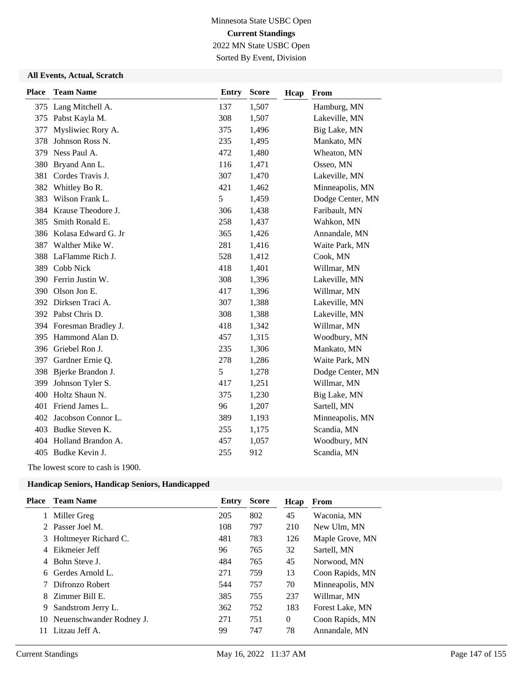## Minnesota State USBC Open **Current Standings** 2022 MN State USBC Open

Sorted By Event, Division

#### **All Events, Actual, Scratch**

| <b>Place</b> | <b>Team Name</b>        | <b>Entry</b> | <b>Score</b> | Hcap | From             |
|--------------|-------------------------|--------------|--------------|------|------------------|
|              | 375 Lang Mitchell A.    | 137          | 1,507        |      | Hamburg, MN      |
|              | 375 Pabst Kayla M.      | 308          | 1,507        |      | Lakeville, MN    |
| 377          | Mysliwiec Rory A.       | 375          | 1,496        |      | Big Lake, MN     |
| 378          | Johnson Ross N.         | 235          | 1,495        |      | Mankato, MN      |
| 379          | Ness Paul A.            | 472          | 1,480        |      | Wheaton, MN      |
| 380          | Bryand Ann L.           | 116          | 1,471        |      | Osseo, MN        |
| 381          | Cordes Travis J.        | 307          | 1,470        |      | Lakeville, MN    |
| 382          | Whitley Bo R.           | 421          | 1,462        |      | Minneapolis, MN  |
| 383          | Wilson Frank L.         | 5            | 1,459        |      | Dodge Center, MN |
| 384          | Krause Theodore J.      | 306          | 1,438        |      | Faribault, MN    |
| 385          | Smith Ronald E.         | 258          | 1,437        |      | Wahkon, MN       |
| 386          | Kolasa Edward G. Jr     | 365          | 1,426        |      | Annandale, MN    |
| 387          | Walther Mike W.         | 281          | 1,416        |      | Waite Park, MN   |
| 388          | LaFlamme Rich J.        | 528          | 1,412        |      | Cook, MN         |
| 389          | Cobb Nick               | 418          | 1,401        |      | Willmar, MN      |
| 390          | Ferrin Justin W.        | 308          | 1,396        |      | Lakeville, MN    |
| 390          | Olson Jon E.            | 417          | 1,396        |      | Willmar, MN      |
|              | 392 Dirksen Traci A.    | 307          | 1,388        |      | Lakeville, MN    |
|              | 392 Pabst Chris D.      | 308          | 1,388        |      | Lakeville, MN    |
|              | 394 Foresman Bradley J. | 418          | 1,342        |      | Willmar, MN      |
|              | 395 Hammond Alan D.     | 457          | 1,315        |      | Woodbury, MN     |
| 396          | Griebel Ron J.          | 235          | 1,306        |      | Mankato, MN      |
| 397          | Gardner Ernie Q.        | 278          | 1,286        |      | Waite Park, MN   |
| 398          | Bjerke Brandon J.       | 5            | 1,278        |      | Dodge Center, MN |
| 399          | Johnson Tyler S.        | 417          | 1,251        |      | Willmar, MN      |
| 400          | Holtz Shaun N.          | 375          | 1,230        |      | Big Lake, MN     |
| 401          | Friend James L.         | 96           | 1,207        |      | Sartell, MN      |
|              | 402 Jacobson Connor L.  | 389          | 1,193        |      | Minneapolis, MN  |
| 403          | Budke Steven K.         | 255          | 1,175        |      | Scandia, MN      |
| 404          | Holland Brandon A.      | 457          | 1,057        |      | Woodbury, MN     |
|              | 405 Budke Kevin J.      | 255          | 912          |      | Scandia, MN      |
|              |                         |              |              |      |                  |

The lowest score to cash is 1900.

| Place | <b>Team Name</b>         | Entry | <b>Score</b> | Hcap     | From            |
|-------|--------------------------|-------|--------------|----------|-----------------|
|       | Miller Greg              | 205   | 802          | 45       | Waconia, MN     |
|       | 2 Passer Joel M.         | 108   | 797          | 210      | New Ulm, MN     |
|       | 3 Holtmeyer Richard C.   | 481   | 783          | 126      | Maple Grove, MN |
| 4     | Eikmeier Jeff            | 96    | 765          | 32       | Sartell, MN     |
| 4     | Bohn Steve J.            | 484   | 765          | 45       | Norwood, MN     |
| 6     | Gerdes Arnold L.         | 271   | 759          | 13       | Coon Rapids, MN |
|       | Difronzo Robert          | 544   | 757          | 70       | Minneapolis, MN |
| 8.    | Zimmer Bill E.           | 385   | 755          | 237      | Willmar, MN     |
| 9     | Sandstrom Jerry L.       | 362   | 752          | 183      | Forest Lake, MN |
| 10    | Neuenschwander Rodney J. | 271   | 751          | $\Omega$ | Coon Rapids, MN |
| 11    | Litzau Jeff A.           | 99    | 747          | 78       | Annandale, MN   |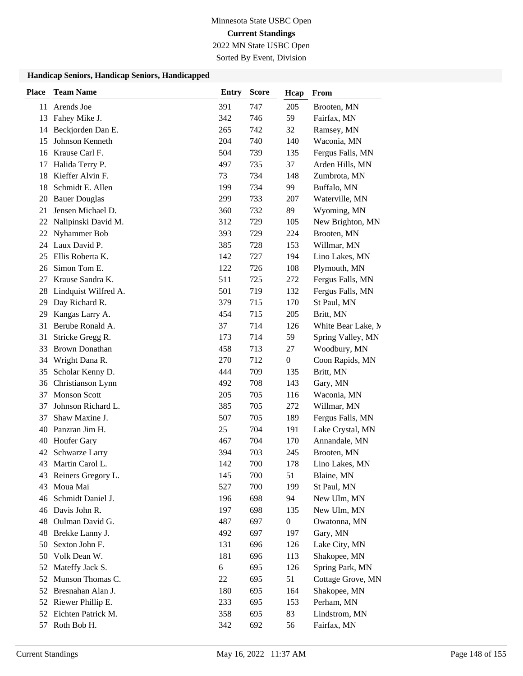2022 MN State USBC Open

Sorted By Event, Division

| <b>Place</b> | <b>Team Name</b>      | <b>Entry</b> | <b>Score</b> | Hcap             | From               |
|--------------|-----------------------|--------------|--------------|------------------|--------------------|
| 11           | Arends Joe            | 391          | 747          | 205              | Brooten, MN        |
| 13           | Fahey Mike J.         | 342          | 746          | 59               | Fairfax, MN        |
| 14           | Beckjorden Dan E.     | 265          | 742          | 32               | Ramsey, MN         |
| 15           | Johnson Kenneth       | 204          | 740          | 140              | Waconia, MN        |
| 16           | Krause Carl F.        | 504          | 739          | 135              | Fergus Falls, MN   |
| 17           | Halida Terry P.       | 497          | 735          | 37               | Arden Hills, MN    |
| 18           | Kieffer Alvin F.      | 73           | 734          | 148              | Zumbrota, MN       |
| 18           | Schmidt E. Allen      | 199          | 734          | 99               | Buffalo, MN        |
| 20           | <b>Bauer Douglas</b>  | 299          | 733          | 207              | Waterville, MN     |
| 21           | Jensen Michael D.     | 360          | 732          | 89               | Wyoming, MN        |
| 22           | Nalipinski David M.   | 312          | 729          | 105              | New Brighton, MN   |
| 22           | Nyhammer Bob          | 393          | 729          | 224              | Brooten, MN        |
| 24           | Laux David P.         | 385          | 728          | 153              | Willmar, MN        |
| 25           | Ellis Roberta K.      | 142          | 727          | 194              | Lino Lakes, MN     |
| 26           | Simon Tom E.          | 122          | 726          | 108              | Plymouth, MN       |
| 27           | Krause Sandra K.      | 511          | 725          | 272              | Fergus Falls, MN   |
| 28           | Lindquist Wilfred A.  | 501          | 719          | 132              | Fergus Falls, MN   |
| 29           | Day Richard R.        | 379          | 715          | 170              | St Paul, MN        |
| 29           | Kangas Larry A.       | 454          | 715          | 205              | Britt, MN          |
| 31           | Berube Ronald A.      | 37           | 714          | 126              | White Bear Lake, M |
| 31           | Stricke Gregg R.      | 173          | 714          | 59               | Spring Valley, MN  |
| 33           | <b>Brown Donathan</b> | 458          | 713          | 27               | Woodbury, MN       |
| 34           | Wright Dana R.        | 270          | 712          | $\boldsymbol{0}$ | Coon Rapids, MN    |
| 35           | Scholar Kenny D.      | 444          | 709          | 135              | Britt, MN          |
| 36           | Christianson Lynn     | 492          | 708          | 143              | Gary, MN           |
| 37           | <b>Monson Scott</b>   | 205          | 705          | 116              | Waconia, MN        |
| 37           | Johnson Richard L.    | 385          | 705          | 272              | Willmar, MN        |
| 37           | Shaw Maxine J.        | 507          | 705          | 189              | Fergus Falls, MN   |
| 40           | Panzran Jim H.        | 25           | 704          | 191              | Lake Crystal, MN   |
| 40           | Houfer Gary           | 467          | 704          | 170              | Annandale, MN      |
| 42           | Schwarze Larry        | 394          | 703          | 245              | Brooten, MN        |
| 43           | Martin Carol L.       | 142          | 700          | 178              | Lino Lakes, MN     |
|              | 43 Reiners Gregory L. | 145          | 700          | 51               | Blaine, MN         |
| 43           | Moua Mai              | 527          | 700          | 199              | St Paul, MN        |
| 46           | Schmidt Daniel J.     | 196          | 698          | 94               | New Ulm, MN        |
| 46           | Davis John R.         | 197          | 698          | 135              | New Ulm, MN        |
| 48           | Oulman David G.       | 487          | 697          | $\boldsymbol{0}$ | Owatonna, MN       |
| 48           | Brekke Lanny J.       | 492          | 697          | 197              | Gary, MN           |
| 50           | Sexton John F.        | 131          | 696          | 126              | Lake City, MN      |
| 50           | Volk Dean W.          | 181          | 696          | 113              | Shakopee, MN       |
| 52           | Mateffy Jack S.       | 6            | 695          | 126              | Spring Park, MN    |
| 52           | Munson Thomas C.      | 22           | 695          | 51               | Cottage Grove, MN  |
| 52           | Bresnahan Alan J.     | 180          | 695          | 164              | Shakopee, MN       |
| 52           | Riewer Phillip E.     | 233          | 695          | 153              | Perham, MN         |
| 52           | Eichten Patrick M.    | 358          | 695          | 83               | Lindstrom, MN      |
| 57           | Roth Bob H.           | 342          | 692          | 56               | Fairfax, MN        |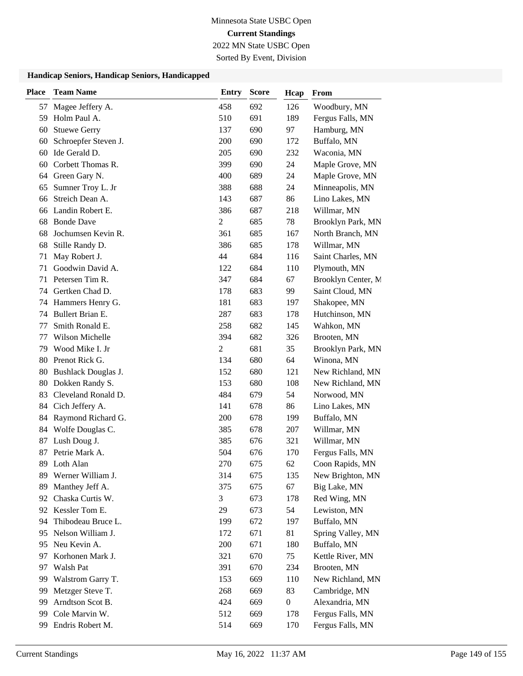2022 MN State USBC Open

Sorted By Event, Division

| <b>Place</b> | <b>Team Name</b>     | <b>Entry</b>   | <b>Score</b> | Hcap             | From               |
|--------------|----------------------|----------------|--------------|------------------|--------------------|
| 57           | Magee Jeffery A.     | 458            | 692          | 126              | Woodbury, MN       |
| 59           | Holm Paul A.         | 510            | 691          | 189              | Fergus Falls, MN   |
| 60           | <b>Stuewe Gerry</b>  | 137            | 690          | 97               | Hamburg, MN        |
| 60           | Schroepfer Steven J. | 200            | 690          | 172              | Buffalo, MN        |
| 60           | Ide Gerald D.        | 205            | 690          | 232              | Waconia, MN        |
| 60           | Corbett Thomas R.    | 399            | 690          | 24               | Maple Grove, MN    |
| 64           | Green Gary N.        | 400            | 689          | 24               | Maple Grove, MN    |
| 65           | Sumner Troy L. Jr    | 388            | 688          | 24               | Minneapolis, MN    |
| 66           | Streich Dean A.      | 143            | 687          | 86               | Lino Lakes, MN     |
| 66           | Landin Robert E.     | 386            | 687          | 218              | Willmar, MN        |
| 68           | <b>Bonde Dave</b>    | $\overline{2}$ | 685          | 78               | Brooklyn Park, MN  |
| 68           | Jochumsen Kevin R.   | 361            | 685          | 167              | North Branch, MN   |
| 68           | Stille Randy D.      | 386            | 685          | 178              | Willmar, MN        |
| 71           | May Robert J.        | 44             | 684          | 116              | Saint Charles, MN  |
| 71           | Goodwin David A.     | 122            | 684          | 110              | Plymouth, MN       |
| 71           | Petersen Tim R.      | 347            | 684          | 67               | Brooklyn Center, M |
| 74           | Gertken Chad D.      | 178            | 683          | 99               | Saint Cloud, MN    |
| 74           | Hammers Henry G.     | 181            | 683          | 197              | Shakopee, MN       |
| 74           | Bullert Brian E.     | 287            | 683          | 178              | Hutchinson, MN     |
| 77           | Smith Ronald E.      | 258            | 682          | 145              | Wahkon, MN         |
| 77           | Wilson Michelle      | 394            | 682          | 326              | Brooten, MN        |
| 79           | Wood Mike I. Jr      | $\overline{c}$ | 681          | 35               | Brooklyn Park, MN  |
| 80           | Prenot Rick G.       | 134            | 680          | 64               | Winona, MN         |
| 80           | Bushlack Douglas J.  | 152            | 680          | 121              | New Richland, MN   |
| 80           | Dokken Randy S.      | 153            | 680          | 108              | New Richland, MN   |
| 83           | Cleveland Ronald D.  | 484            | 679          | 54               | Norwood, MN        |
| 84           | Cich Jeffery A.      | 141            | 678          | 86               | Lino Lakes, MN     |
| 84           | Raymond Richard G.   | 200            | 678          | 199              | Buffalo, MN        |
| 84           | Wolfe Douglas C.     | 385            | 678          | 207              | Willmar, MN        |
| 87           | Lush Doug J.         | 385            | 676          | 321              | Willmar, MN        |
| 87           | Petrie Mark A.       | 504            | 676          | 170              | Fergus Falls, MN   |
| 89           | Loth Alan            | 270            | 675          | 62               | Coon Rapids, MN    |
|              | 89 Werner William J. | 314            | 675          | 135              | New Brighton, MN   |
| 89           | Manthey Jeff A.      | 375            | 675          | 67               | Big Lake, MN       |
| 92           | Chaska Curtis W.     | 3              | 673          | 178              | Red Wing, MN       |
|              | 92 Kessler Tom E.    | 29             | 673          | 54               | Lewiston, MN       |
| 94           | Thibodeau Bruce L.   | 199            | 672          | 197              | Buffalo, MN        |
| 95           | Nelson William J.    | 172            | 671          | 81               | Spring Valley, MN  |
| 95           | Neu Kevin A.         | 200            | 671          | 180              | Buffalo, MN        |
| 97           | Korhonen Mark J.     | 321            | 670          | 75               | Kettle River, MN   |
| 97           | Walsh Pat            | 391            | 670          | 234              | Brooten, MN        |
| 99           | Walstrom Garry T.    | 153            | 669          | 110              | New Richland, MN   |
| 99           | Metzger Steve T.     | 268            | 669          | 83               | Cambridge, MN      |
| 99           | Arndtson Scot B.     | 424            | 669          | $\boldsymbol{0}$ | Alexandria, MN     |
| 99           | Cole Marvin W.       | 512            | 669          | 178              | Fergus Falls, MN   |
| 99           | Endris Robert M.     | 514            | 669          | 170              | Fergus Falls, MN   |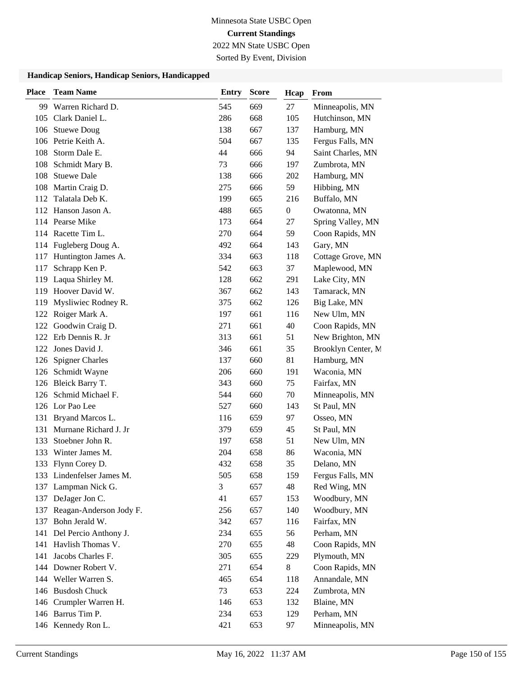2022 MN State USBC Open

Sorted By Event, Division

| <b>Place</b> | <b>Team Name</b>          | <b>Entry</b> | <b>Score</b> | Hcap | From               |
|--------------|---------------------------|--------------|--------------|------|--------------------|
|              | 99 Warren Richard D.      | 545          | 669          | 27   | Minneapolis, MN    |
| 105          | Clark Daniel L.           | 286          | 668          | 105  | Hutchinson, MN     |
| 106          | <b>Stuewe Doug</b>        | 138          | 667          | 137  | Hamburg, MN        |
| 106          | Petrie Keith A.           | 504          | 667          | 135  | Fergus Falls, MN   |
| 108          | Storm Dale E.             | 44           | 666          | 94   | Saint Charles, MN  |
| 108          | Schmidt Mary B.           | 73           | 666          | 197  | Zumbrota, MN       |
| 108          | <b>Stuewe Dale</b>        | 138          | 666          | 202  | Hamburg, MN        |
|              | 108 Martin Craig D.       | 275          | 666          | 59   | Hibbing, MN        |
| 112          | Talatala Deb K.           | 199          | 665          | 216  | Buffalo, MN        |
|              | 112 Hanson Jason A.       | 488          | 665          | 0    | Owatonna, MN       |
|              | 114 Pearse Mike           | 173          | 664          | 27   | Spring Valley, MN  |
|              | 114 Racette Tim L.        | 270          | 664          | 59   | Coon Rapids, MN    |
|              | 114 Fugleberg Doug A.     | 492          | 664          | 143  | Gary, MN           |
| 117          | Huntington James A.       | 334          | 663          | 118  | Cottage Grove, MN  |
| 117          | Schrapp Ken P.            | 542          | 663          | 37   | Maplewood, MN      |
|              | 119 Laqua Shirley M.      | 128          | 662          | 291  | Lake City, MN      |
|              | 119 Hoover David W.       | 367          | 662          | 143  | Tamarack, MN       |
| 119          | Mysliwiec Rodney R.       | 375          | 662          | 126  | Big Lake, MN       |
| 122          | Roiger Mark A.            | 197          | 661          | 116  | New Ulm, MN        |
|              | 122 Goodwin Craig D.      | 271          | 661          | 40   | Coon Rapids, MN    |
| 122          | Erb Dennis R. Jr          | 313          | 661          | 51   | New Brighton, MN   |
| 122          | Jones David J.            | 346          | 661          | 35   | Brooklyn Center, M |
| 126          | <b>Spigner Charles</b>    | 137          | 660          | 81   | Hamburg, MN        |
| 126          | Schmidt Wayne             | 206          | 660          | 191  | Waconia, MN        |
|              | 126 Bleick Barry T.       | 343          | 660          | 75   | Fairfax, MN        |
| 126          | Schmid Michael F.         | 544          | 660          | 70   | Minneapolis, MN    |
|              | 126 Lor Pao Lee           | 527          | 660          | 143  | St Paul, MN        |
|              | 131 Bryand Marcos L.      | 116          | 659          | 97   | Osseo, MN          |
| 131          | Murnane Richard J. Jr     | 379          | 659          | 45   | St Paul, MN        |
| 133          | Stoebner John R.          | 197          | 658          | 51   | New Ulm, MN        |
| 133          | Winter James M.           | 204          | 658          | 86   | Waconia, MN        |
|              | 133 Flynn Corey D.        | 432          | 658          | 35   | Delano, MN         |
|              | 133 Lindenfelser James M. | 505          | 658          | 159  | Fergus Falls, MN   |
| 137          | Lampman Nick G.           | 3            | 657          | 48   | Red Wing, MN       |
| 137          | DeJager Jon C.            | 41           | 657          | 153  | Woodbury, MN       |
| 137          | Reagan-Anderson Jody F.   | 256          | 657          | 140  | Woodbury, MN       |
| 137          | Bohn Jerald W.            | 342          | 657          | 116  | Fairfax, MN        |
|              | 141 Del Percio Anthony J. | 234          | 655          | 56   | Perham, MN         |
| 141          | Havlish Thomas V.         | 270          | 655          | 48   | Coon Rapids, MN    |
|              | 141 Jacobs Charles F.     | 305          | 655          | 229  | Plymouth, MN       |
|              | 144 Downer Robert V.      | 271          | 654          | 8    | Coon Rapids, MN    |
|              | 144 Weller Warren S.      | 465          | 654          | 118  | Annandale, MN      |
|              | 146 Busdosh Chuck         | 73           | 653          | 224  | Zumbrota, MN       |
|              | 146 Crumpler Warren H.    | 146          | 653          | 132  | Blaine, MN         |
|              | 146 Barrus Tim P.         | 234          | 653          | 129  | Perham, MN         |
|              | 146 Kennedy Ron L.        | 421          | 653          | 97   | Minneapolis, MN    |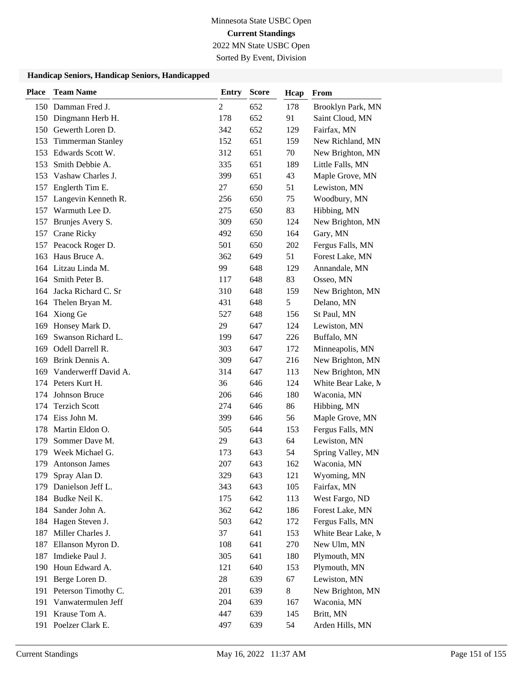2022 MN State USBC Open

Sorted By Event, Division

| <b>Place</b> | <b>Team Name</b>         | <b>Entry</b>   | <b>Score</b> | Hcap  | From               |
|--------------|--------------------------|----------------|--------------|-------|--------------------|
|              | 150 Damman Fred J.       | $\overline{c}$ | 652          | 178   | Brooklyn Park, MN  |
|              | 150 Dingmann Herb H.     | 178            | 652          | 91    | Saint Cloud, MN    |
|              | 150 Gewerth Loren D.     | 342            | 652          | 129   | Fairfax, MN        |
| 153          | <b>Timmerman Stanley</b> | 152            | 651          | 159   | New Richland, MN   |
| 153          | Edwards Scott W.         | 312            | 651          | 70    | New Brighton, MN   |
| 153          | Smith Debbie A.          | 335            | 651          | 189   | Little Falls, MN   |
| 153          | Vashaw Charles J.        | 399            | 651          | 43    | Maple Grove, MN    |
| 157          | Englerth Tim E.          | 27             | 650          | 51    | Lewiston, MN       |
| 157          | Langevin Kenneth R.      | 256            | 650          | 75    | Woodbury, MN       |
| 157          | Warmuth Lee D.           | 275            | 650          | 83    | Hibbing, MN        |
| 157          | Brunjes Avery S.         | 309            | 650          | 124   | New Brighton, MN   |
| 157          | Crane Ricky              | 492            | 650          | 164   | Gary, MN           |
| 157          | Peacock Roger D.         | 501            | 650          | 202   | Fergus Falls, MN   |
| 163          | Haus Bruce A.            | 362            | 649          | 51    | Forest Lake, MN    |
| 164          | Litzau Linda M.          | 99             | 648          | 129   | Annandale, MN      |
|              | 164 Smith Peter B.       | 117            | 648          | 83    | Osseo, MN          |
| 164          | Jacka Richard C. Sr      | 310            | 648          | 159   | New Brighton, MN   |
| 164          | Thelen Bryan M.          | 431            | 648          | 5     | Delano, MN         |
| 164          | Xiong Ge                 | 527            | 648          | 156   | St Paul, MN        |
| 169          | Honsey Mark D.           | 29             | 647          | 124   | Lewiston, MN       |
| 169          | Swanson Richard L.       | 199            | 647          | 226   | Buffalo, MN        |
| 169          | Odell Darrell R.         | 303            | 647          | 172   | Minneapolis, MN    |
| 169          | Brink Dennis A.          | 309            | 647          | 216   | New Brighton, MN   |
| 169          | Vanderwerff David A.     | 314            | 647          | 113   | New Brighton, MN   |
| 174          | Peters Kurt H.           | 36             | 646          | 124   | White Bear Lake, M |
| 174          | Johnson Bruce            | 206            | 646          | 180   | Waconia, MN        |
| 174          | <b>Terzich Scott</b>     | 274            | 646          | 86    | Hibbing, MN        |
| 174          | Eiss John M.             | 399            | 646          | 56    | Maple Grove, MN    |
| 178          | Martin Eldon O.          | 505            | 644          | 153   | Fergus Falls, MN   |
| 179          | Sommer Dave M.           | 29             | 643          | 64    | Lewiston, MN       |
| 179          | Week Michael G.          | 173            | 643          | 54    | Spring Valley, MN  |
| 179          | <b>Antonson James</b>    | 207            | 643          | 162   | Waconia. MN        |
| 179          | Spray Alan D.            | 329            | 643          | 121   | Wyoming, MN        |
| 179          | Danielson Jeff L.        | 343            | 643          | 105   | Fairfax, MN        |
| 184          | Budke Neil K.            | 175            | 642          | 113   | West Fargo, ND     |
| 184          | Sander John A.           | 362            | 642          | 186   | Forest Lake, MN    |
| 184          | Hagen Steven J.          | 503            | 642          | 172   | Fergus Falls, MN   |
| 187          | Miller Charles J.        | 37             | 641          | 153   | White Bear Lake, M |
| 187          | Ellanson Myron D.        | 108            | 641          | 270   | New Ulm, MN        |
| 187          | Imdieke Paul J.          | 305            | 641          | 180   | Plymouth, MN       |
| 190          | Houn Edward A.           | 121            | 640          | 153   | Plymouth, MN       |
| 191          | Berge Loren D.           | 28             | 639          | 67    | Lewiston, MN       |
|              | 191 Peterson Timothy C.  | 201            | 639          | $8\,$ | New Brighton, MN   |
| 191          | Vanwatermulen Jeff       | 204            | 639          | 167   | Waconia, MN        |
|              | 191 Krause Tom A.        | 447            | 639          | 145   | Britt, MN          |
|              | 191 Poelzer Clark E.     | 497            | 639          | 54    | Arden Hills, MN    |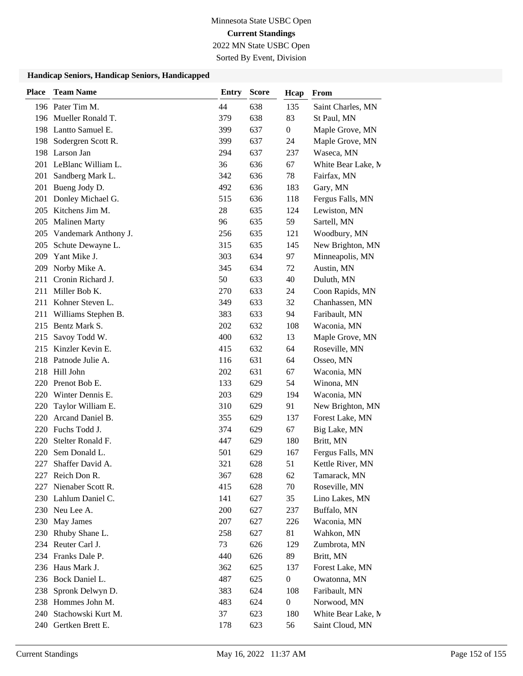2022 MN State USBC Open

Sorted By Event, Division

| <b>Place</b> | <b>Team Name</b>                  | <b>Entry</b> | <b>Score</b> | Hcap             | From                            |
|--------------|-----------------------------------|--------------|--------------|------------------|---------------------------------|
|              | 196 Pater Tim M.                  | 44           | 638          | 135              | Saint Charles, MN               |
|              | 196 Mueller Ronald T.             | 379          | 638          | 83               | St Paul, MN                     |
|              | 198 Lantto Samuel E.              | 399          | 637          | $\overline{0}$   | Maple Grove, MN                 |
|              | 198 Sodergren Scott R.            | 399          | 637          | 24               | Maple Grove, MN                 |
|              | 198 Larson Jan                    | 294          | 637          | 237              | Waseca, MN                      |
|              | 201 LeBlanc William L.            | 36           | 636          | 67               | White Bear Lake, M              |
| 201          | Sandberg Mark L.                  | 342          | 636          | 78               | Fairfax, MN                     |
| 201          | Bueng Jody D.                     | 492          | 636          | 183              | Gary, MN                        |
| 201          | Donley Michael G.                 | 515          | 636          | 118              | Fergus Falls, MN                |
| 205          | Kitchens Jim M.                   | 28           | 635          | 124              | Lewiston, MN                    |
|              | 205 Malinen Marty                 | 96           | 635          | 59               | Sartell, MN                     |
|              | 205 Vandemark Anthony J.          | 256          | 635          | 121              | Woodbury, MN                    |
| 205          | Schute Dewayne L.                 | 315          | 635          | 145              | New Brighton, MN                |
| 209          | Yant Mike J.                      | 303          | 634          | 97               | Minneapolis, MN                 |
| 209          | Norby Mike A.                     | 345          | 634          | 72               | Austin, MN                      |
| 211          | Cronin Richard J.                 | 50           | 633          | 40               | Duluth, MN                      |
| 211          | Miller Bob K.                     | 270          | 633          | 24               | Coon Rapids, MN                 |
| 211          | Kohner Steven L.                  | 349          | 633          | 32               | Chanhassen, MN                  |
| 211          | Williams Stephen B.               | 383          | 633          | 94               | Faribault, MN                   |
|              | 215 Bentz Mark S.                 | 202          | 632          | 108              | Waconia, MN                     |
| 215          | Savoy Todd W.                     | 400          | 632          | 13               | Maple Grove, MN                 |
| 215          | Kinzler Kevin E.                  | 415          | 632          | 64               | Roseville, MN                   |
| 218          | Patnode Julie A.                  | 116          | 631          | 64               | Osseo, MN                       |
|              | 218 Hill John                     | 202          | 631          | 67               | Waconia, MN                     |
| 220          | Prenot Bob E.                     | 133          | 629          | 54               | Winona, MN                      |
| 220          | Winter Dennis E.                  | 203          | 629          | 194              | Waconia, MN                     |
| 220          | Taylor William E.                 | 310          | 629          | 91               | New Brighton, MN                |
| 220          | Arcand Daniel B.                  | 355          | 629          | 137              | Forest Lake, MN                 |
|              | 220 Fuchs Todd J.                 | 374          | 629          | 67               | Big Lake, MN                    |
| 220          | Stelter Ronald F.                 | 447          | 629          | 180              | Britt, MN                       |
| 220          | Sem Donald L.                     | 501          | 629          | 167              | Fergus Falls, MN                |
| 227          | Shaffer David A.                  | 321          | 628          | 51               | Kettle River, MN                |
| 227          | Reich Don R.<br>Nienaber Scott R. | 367          | 628<br>628   | 62<br>70         | Tamarack, MN                    |
| 227          | 230 Lahlum Daniel C.              | 415<br>141   | 627          | 35               | Roseville, MN<br>Lino Lakes, MN |
|              | 230 Neu Lee A.                    | 200          | 627          | 237              | Buffalo, MN                     |
| 230          | May James                         | 207          | 627          | 226              | Waconia, MN                     |
| 230          | Rhuby Shane L.                    | 258          | 627          | 81               | Wahkon, MN                      |
|              | 234 Reuter Carl J.                | 73           | 626          | 129              | Zumbrota, MN                    |
|              | 234 Franks Dale P.                | 440          | 626          | 89               | Britt, MN                       |
|              | 236 Haus Mark J.                  | 362          | 625          | 137              | Forest Lake, MN                 |
| 236          | Bock Daniel L.                    | 487          | 625          | $\boldsymbol{0}$ | Owatonna, MN                    |
| 238          | Spronk Delwyn D.                  | 383          | 624          | 108              | Faribault, MN                   |
|              | 238 Hommes John M.                | 483          | 624          | $\boldsymbol{0}$ | Norwood, MN                     |
| 240          | Stachowski Kurt M.                | 37           | 623          | 180              | White Bear Lake, M              |
|              | 240 Gertken Brett E.              | 178          | 623          | 56               | Saint Cloud, MN                 |
|              |                                   |              |              |                  |                                 |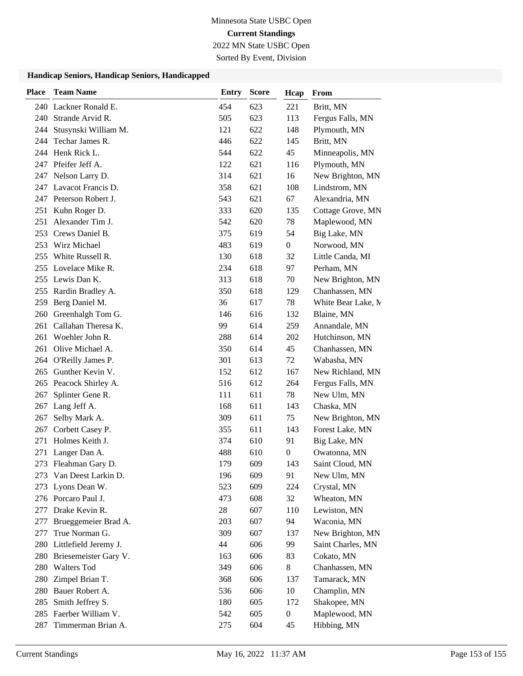2022 MN State USBC Open

Sorted By Event, Division

| <b>Place</b> | <b>Team Name</b>         | <b>Entry</b> | <b>Score</b> | Hcap             | From               |
|--------------|--------------------------|--------------|--------------|------------------|--------------------|
|              | 240 Lackner Ronald E.    | 454          | 623          | 221              | Britt, MN          |
| 240          | Strande Arvid R.         | 505          | 623          | 113              | Fergus Falls, MN   |
|              | 244 Stusynski William M. | 121          | 622          | 148              | Plymouth, MN       |
| 244          | Techar James R.          | 446          | 622          | 145              | Britt, MN          |
| 244          | Henk Rick L.             | 544          | 622          | 45               | Minneapolis, MN    |
| 247          | Pfeifer Jeff A.          | 122          | 621          | 116              | Plymouth, MN       |
| 247          | Nelson Larry D.          | 314          | 621          | 16               | New Brighton, MN   |
|              | 247 Lavacot Francis D.   | 358          | 621          | 108              | Lindstrom, MN      |
| 247          | Peterson Robert J.       | 543          | 621          | 67               | Alexandria, MN     |
| 251          | Kuhn Roger D.            | 333          | 620          | 135              | Cottage Grove, MN  |
| 251          | Alexander Tim J.         | 542          | 620          | 78               | Maplewood, MN      |
|              | 253 Crews Daniel B.      | 375          | 619          | 54               | Big Lake, MN       |
| 253          | Wirz Michael             | 483          | 619          | $\boldsymbol{0}$ | Norwood, MN        |
| 255          | White Russell R.         | 130          | 618          | 32               | Little Canda, MI   |
|              | 255 Lovelace Mike R.     | 234          | 618          | 97               | Perham, MN         |
|              | 255 Lewis Dan K.         | 313          | 618          | 70               | New Brighton, MN   |
|              | 255 Rardin Bradley A.    | 350          | 618          | 129              | Chanhassen, MN     |
| 259          | Berg Daniel M.           | 36           | 617          | 78               | White Bear Lake, M |
| 260          | Greenhalgh Tom G.        | 146          | 616          | 132              | Blaine, MN         |
| 261          | Callahan Theresa K.      | 99           | 614          | 259              | Annandale, MN      |
| 261          | Woehler John R.          | 288          | 614          | 202              | Hutchinson, MN     |
| 261          | Olive Michael A.         | 350          | 614          | 45               | Chanhassen, MN     |
| 264          | O'Reilly James P.        | 301          | 613          | 72               | Wabasha, MN        |
| 265          | Gunther Kevin V.         | 152          | 612          | 167              | New Richland, MN   |
|              | 265 Peacock Shirley A.   | 516          | 612          | 264              | Fergus Falls, MN   |
| 267          | Splinter Gene R.         | 111          | 611          | 78               | New Ulm, MN        |
| 267          | Lang Jeff A.             | 168          | 611          | 143              | Chaska, MN         |
| 267          | Selby Mark A.            | 309          | 611          | 75               | New Brighton, MN   |
| 267          | Corbett Casey P.         | 355          | 611          | 143              | Forest Lake, MN    |
| 271          | Holmes Keith J.          | 374          | 610          | 91               | Big Lake, MN       |
| 271          | Langer Dan A.            | 488          | 610          | $\boldsymbol{0}$ | Owatonna, MN       |
|              | 273 Fleahman Gary D.     | 179          | 609          | 143              | Saint Cloud, MN    |
|              | 273 Van Deest Larkin D.  | 196          | 609          | 91               | New Ulm, MN        |
| 273          | Lyons Dean W.            | 523          | 609          | 224              | Crystal, MN        |
|              | 276 Porcaro Paul J.      | 473          | 608          | 32               | Wheaton, MN        |
| 277          | Drake Kevin R.           | 28           | 607          | 110              | Lewiston, MN       |
| 277          | Brueggemeier Brad A.     | 203          | 607          | 94               | Waconia, MN        |
| 277          | True Norman G.           | 309          | 607          | 137              | New Brighton, MN   |
| 280          | Littlefield Jeremy J.    | 44           | 606          | 99               | Saint Charles, MN  |
| 280          | Briesemeister Gary V.    | 163          | 606          | 83               | Cokato, MN         |
| 280          | Walters Tod              | 349          | 606          | 8                | Chanhassen, MN     |
| 280          | Zimpel Brian T.          | 368          | 606          | 137              | Tamarack, MN       |
| 280          | Bauer Robert A.          | 536          | 606          | 10               | Champlin, MN       |
| 285          | Smith Jeffrey S.         | 180          | 605          | 172              | Shakopee, MN       |
|              | 285 Faerber William V.   | 542          | 605          | $\boldsymbol{0}$ | Maplewood, MN      |
| 287          | Timmerman Brian A.       | 275          | 604          | 45               | Hibbing, MN        |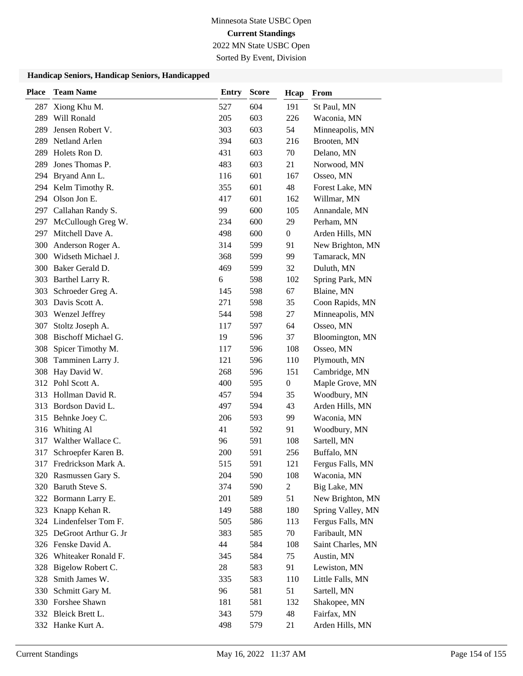2022 MN State USBC Open

Sorted By Event, Division

| <b>Place</b> | <b>Team Name</b>           | Entry | <b>Score</b> | Hcap             | From              |
|--------------|----------------------------|-------|--------------|------------------|-------------------|
| 287          | Xiong Khu M.               | 527   | 604          | 191              | St Paul, MN       |
| 289          | Will Ronald                | 205   | 603          | 226              | Waconia, MN       |
| 289          | Jensen Robert V.           | 303   | 603          | 54               | Minneapolis, MN   |
| 289          | Netland Arlen              | 394   | 603          | 216              | Brooten, MN       |
| 289          | Holets Ron D.              | 431   | 603          | 70               | Delano, MN        |
| 289          | Jones Thomas P.            | 483   | 603          | 21               | Norwood, MN       |
|              | 294 Bryand Ann L.          | 116   | 601          | 167              | Osseo, MN         |
|              | 294 Kelm Timothy R.        | 355   | 601          | 48               | Forest Lake, MN   |
|              | 294 Olson Jon E.           | 417   | 601          | 162              | Willmar, MN       |
| 297          | Callahan Randy S.          | 99    | 600          | 105              | Annandale, MN     |
|              | 297 McCullough Greg W.     | 234   | 600          | 29               | Perham, MN        |
| 297          | Mitchell Dave A.           | 498   | 600          | $\boldsymbol{0}$ | Arden Hills, MN   |
| 300          | Anderson Roger A.          | 314   | 599          | 91               | New Brighton, MN  |
| 300          | Widseth Michael J.         | 368   | 599          | 99               | Tamarack, MN      |
| 300          | Baker Gerald D.            | 469   | 599          | 32               | Duluth, MN        |
|              | 303 Barthel Larry R.       | 6     | 598          | 102              | Spring Park, MN   |
| 303          | Schroeder Greg A.          | 145   | 598          | 67               | Blaine, MN        |
| 303          | Davis Scott A.             | 271   | 598          | 35               | Coon Rapids, MN   |
| 303          | Wenzel Jeffrey             | 544   | 598          | 27               | Minneapolis, MN   |
| 307          | Stoltz Joseph A.           | 117   | 597          | 64               | Osseo, MN         |
| 308          | <b>Bischoff Michael G.</b> | 19    | 596          | 37               | Bloomington, MN   |
| 308          | Spicer Timothy M.          | 117   | 596          | 108              | Osseo, MN         |
| 308          | Tamminen Larry J.          | 121   | 596          | 110              | Plymouth, MN      |
|              | 308 Hay David W.           | 268   | 596          | 151              | Cambridge, MN     |
|              | 312 Pohl Scott A.          | 400   | 595          | $\boldsymbol{0}$ | Maple Grove, MN   |
| 313          | Hollman David R.           | 457   | 594          | 35               | Woodbury, MN      |
| 313          | Bordson David L.           | 497   | 594          | 43               | Arden Hills, MN   |
|              | 315 Behnke Joey C.         | 206   | 593          | 99               | Waconia, MN       |
| 316          | Whiting Al                 | 41    | 592          | 91               | Woodbury, MN      |
| 317          | Walther Wallace C.         | 96    | 591          | 108              | Sartell, MN       |
| 317          | Schroepfer Karen B.        | 200   | 591          | 256              | Buffalo, MN       |
|              | 317 Fredrickson Mark A.    | 515   | 591          | 121              | Fergus Falls, MN  |
|              | 320 Rasmussen Gary S.      | 204   | 590          | 108              | Waconia, MN       |
| 320          | Baruth Steve S.            | 374   | 590          | $\overline{c}$   | Big Lake, MN      |
|              | 322 Bormann Larry E.       | 201   | 589          | 51               | New Brighton, MN  |
|              | 323 Knapp Kehan R.         | 149   | 588          | 180              | Spring Valley, MN |
|              | 324 Lindenfelser Tom F.    | 505   | 586          | 113              | Fergus Falls, MN  |
|              | 325 DeGroot Arthur G. Jr   | 383   | 585          | 70               | Faribault, MN     |
|              | 326 Fenske David A.        | 44    | 584          | 108              | Saint Charles, MN |
| 326          | Whiteaker Ronald F.        | 345   | 584          | 75               | Austin, MN        |
| 328          | Bigelow Robert C.          | 28    | 583          | 91               | Lewiston, MN      |
| 328          | Smith James W.             | 335   | 583          | 110              | Little Falls, MN  |
| 330          | Schmitt Gary M.            | 96    | 581          | 51               | Sartell, MN       |
|              | 330 Forshee Shawn          | 181   | 581          | 132              | Shakopee, MN      |
|              | 332 Bleick Brett L.        | 343   | 579          | 48               | Fairfax, MN       |
|              | 332 Hanke Kurt A.          | 498   | 579          | 21               | Arden Hills, MN   |